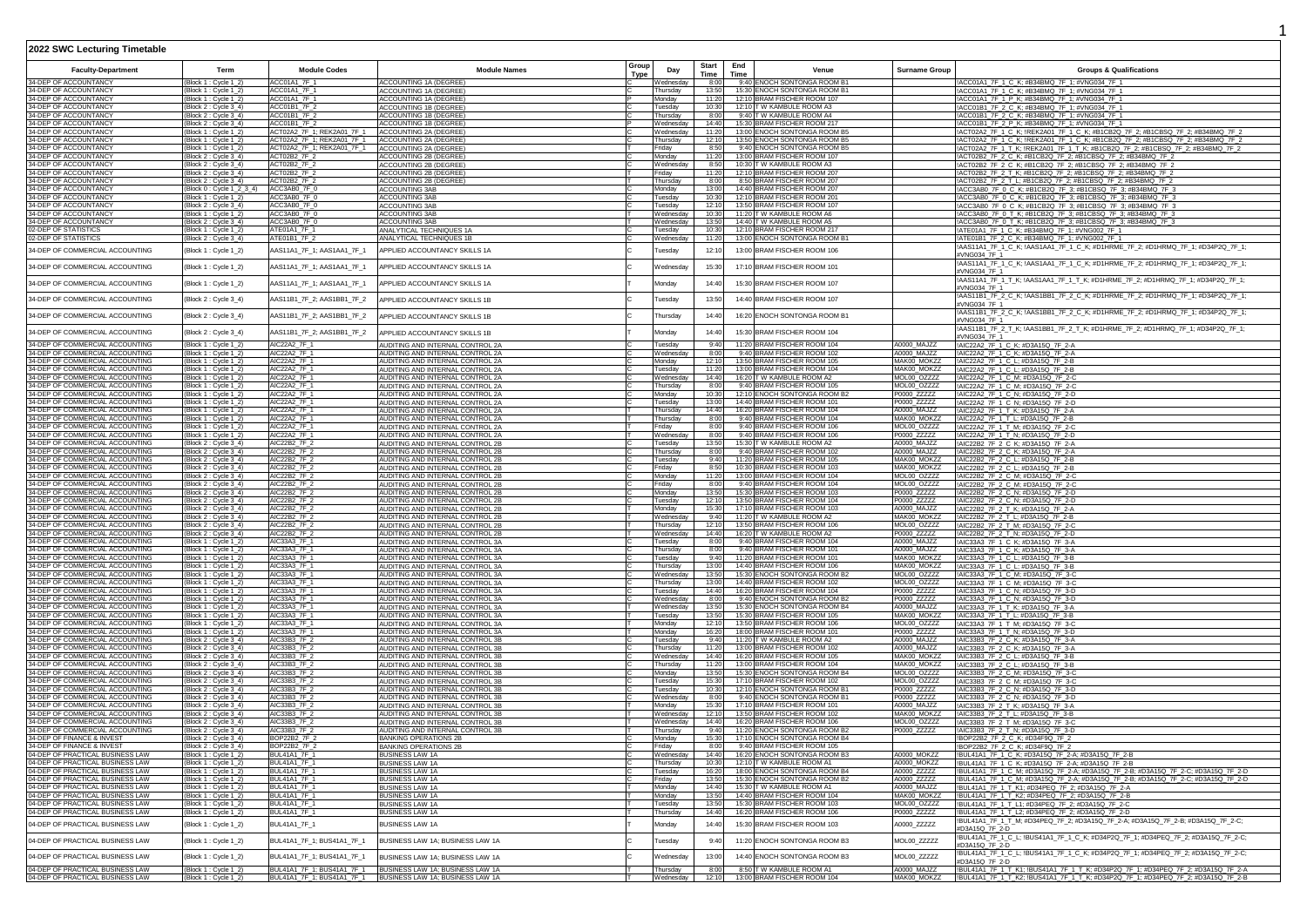| 2022 SWC Lecturing Timetable                                                                                                                 |                                                |                                                          |                                                                                                   |               |                       |                |                                                               |                            |                                                                                                                                                                        |
|----------------------------------------------------------------------------------------------------------------------------------------------|------------------------------------------------|----------------------------------------------------------|---------------------------------------------------------------------------------------------------|---------------|-----------------------|----------------|---------------------------------------------------------------|----------------------------|------------------------------------------------------------------------------------------------------------------------------------------------------------------------|
| <b>Faculty-Department</b>                                                                                                                    | Term                                           | <b>Module Codes</b>                                      | <b>Module Names</b>                                                                               | Group<br>Type | Day                   | Start<br>Time  | End<br>Venue<br>Time                                          | <b>Surname Group</b>       | <b>Groups &amp; Qualifications</b>                                                                                                                                     |
| 34-DEP OF ACCOUNTANCY<br>34-DEP OF ACCOUNTANCY                                                                                               | Block 1 : Cycle 1_2)<br>Block 1 : Cycle 1_2)   | ACC01A1_7F_1<br>ACC01A1_7F_1                             | ACCOUNTING 1A (DEGREE                                                                             |               | Nednesday<br>Thursday | 8:00<br>13:50  | 9:40 ENOCH SONTONGA ROOM B1<br>15:30 ENOCH SONTONGA ROOM B1   |                            | !ACC01A1_7F_1_C_K; #B34BMQ_7F_1; #VNG034_7F_1<br>!ACC01A1_7F_1_C_K; #B34BMQ_7F_1; #VNG034_7F_1                                                                         |
| 34-DEP OF ACCOUNTANCY                                                                                                                        | Block 1 : Cycle 1_2)                           | ACC01A1 7F 1                                             | ACCOUNTING 1A (DEGREE)<br>ACCOUNTING 1A (DEGREE                                                   |               | Monday                | 11:20          | 12:10 BRAM FISCHER ROOM 107                                   |                            | ACC01A1_7F_1_P_K; #B34BMQ_7F_1; #VNG034_7F_1                                                                                                                           |
| 34-DEP OF ACCOUNTANCY                                                                                                                        | Block 2: Cycle 3_4)                            | ACC01B1_7F_2                                             | ACCOUNTING 1B (DEGREE                                                                             |               | Tuesdav               | 10:30          | 12:10 T W KAMBULE ROOM A3                                     |                            | !ACC01B1_7F_2_C_K; #B34BMQ_7F_1; #VNG034_7F_1                                                                                                                          |
| 34-DEP OF ACCOUNTANCY<br>34-DEP OF ACCOUNTANCY                                                                                               | Block 2 : Cycle 3_4)<br>Block 2 : Cycle 3_4    | ACC01B1_7F_2<br>ACC01B1_7F_2                             | ACCOUNTING 1B (DEGREE)<br>ACCOUNTING 1B (DEGREE                                                   |               | Thursday<br>Wednesdav | 8:00<br>14:40  | 9:40 T W KAMBULE ROOM A4<br>15:30 BRAM FISCHER ROOM 217       |                            | !ACC01B1_7F_2_C_K; #B34BMQ_7F_1; #VNG034_7F_1<br>!ACC01B1_7F_2_P_K; #B34BMQ_7F_1; #VNG034_7F_1                                                                         |
| 34-DEP OF ACCOUNTANCY<br>34-DEP OF ACCOUNTANCY                                                                                               | Block 1 : Cycle 1_2)                           | ACT02A2_7F_1; REK2A01_7F_1                               | ACCOUNTING 2A (DEGREE)                                                                            |               | Nednesday             | 11:20          | 13:00 ENOCH SONTONGA ROOM B5                                  |                            | !ACT02A2_7F_1_C_K; !REK2A01_7F_1_C_K; #B1CB2Q_7F_2; #B1CBSQ_7F_2; #B34BMQ_7F_2                                                                                         |
| 34-DEP OF ACCOUNTANCY                                                                                                                        | (Block 1 : Cycle 1_2)<br>Block 1 : Cycle 1_2)  | ACT02A2_7F_1; REK2A01_7F_1<br>ACT02A2_7F_1; REK2A01_7F_1 | ACCOUNTING 2A (DEGREE)<br>ACCOUNTING 2A (DEGREE)                                                  |               | Thursday<br>Friday    | 12:10<br>8:50  | 13:50 ENOCH SONTONGA ROOM B5<br>9:40 ENOCH SONTONGA ROOM B5   |                            | !ACT02A2_7F_1_C_K; !REK2A01_7F_1_C_K; #B1CB2Q_7F_2; #B1CBSQ_7F_2; #B34BMQ_7F_2<br>!ACT02A2_7F_1_T_K; !REK2A01_7F_1_T_K; #B1CB2Q_7F_2; #B1CBSQ_7F_2; #B34BMQ_7F_2       |
| 34-DEP OF ACCOUNTANCY                                                                                                                        | Block 2 : Cycle 3_4)                           | ACT02B2 7F 2                                             | <b>ACCOUNTING 2B (DEGREE)</b>                                                                     |               | Monday                | 11:20          | 13:00 BRAM FISCHER ROOM 107                                   |                            | !ACT02B2_7F_2_C_K; #B1CB2Q_7F_2; #B1CBSQ_7F_2; #B34BMQ_7F_2                                                                                                            |
| 34-DEP OF ACCOUNTANCY<br>34-DEP OF ACCOUNTANCY                                                                                               | Block 2 : Cycle 3_4)                           | ACT02B2_7F_2<br>ACT02B2_7F_2                             | ACCOUNTING 2B (DEGREE)                                                                            |               | Wednesday<br>Friday   | 8:50<br>11:20  | 10:30 T W KAMBULE ROOM A3<br>12:10 BRAM FISCHER ROOM 207      |                            | !ACT02B2_7F_2_C_K; #B1CB2Q_7F_2; #B1CBSQ_7F_2; #B34BMQ_7F_2                                                                                                            |
| 34-DEP OF ACCOUNTANCY                                                                                                                        | (Block 2 : Cycle 3_4)<br>Block 2 : Cycle 3_4)  | ACT02B2_7F_2                                             | ACCOUNTING 2B (DEGREE<br>ACCOUNTING 2B (DEGREE)                                                   |               | Thursday              | 8:00           | 8:50 BRAM FISCHER ROOM 207                                    |                            | !ACT02B2_7F_2_T_K; #B1CB2Q_7F_2; #B1CBSQ_7F_2; #B34BMQ_7F_2<br>!ACT02B2_7F_2_T_L; #B1CB2Q_7F_2; #B1CBSQ_7F_2; #B34BMQ_7F_2                                             |
| 34-DEP OF ACCOUNTANCY<br>34-DEP OF ACCOUNTANCY<br>34-DEP OF ACCOUNTANCY                                                                      | [Block 0 : Cycle 1_2_3_4)                      | ACC3AB0 7F 0                                             | ACCOUNTING 3AB                                                                                    |               | Monday                | 13:00          | 14:40 BRAM FISCHER ROOM 207                                   |                            | !ACC3AB0_7F_0_C_K; #B1CB2Q_7F_3; #B1CBSQ_7F_3; #B34BMQ_7F_3                                                                                                            |
|                                                                                                                                              | Block 1 : Cycle 1_2)<br>(Block 2 : Cycle 3_4)  | ACC3AB0_7F_0<br>ACC3AB0 7F 0                             | <b>ACCOUNTING 3AB</b><br>ACCOUNTING 3AB                                                           |               | Tuesday<br>uesday     | 10:30<br>12:10 | 12:10 BRAM FISCHER ROOM 201<br>13:50 BRAM FISCHER ROOM 107    |                            | !ACC3AB0_7F_0_C_K; #B1CB2Q_7F_3; #B1CBSQ_7F_3; #B34BMQ_7F_3<br>!ACC3AB0_7F_0_C_K; #B1CB2Q_7F_3; #B1CBSQ_7F_3; #B34BMQ_7F_3                                             |
| 34-DEP OF ACCOUNTANCY                                                                                                                        | (Block 1 : Cycle 1_2)                          | ACC3AB0_7F_0                                             | ACCOUNTING 3AB                                                                                    |               | Nednesday             | 10:30          | 11:20 T W KAMBULE ROOM A6                                     |                            | !ACC3AB0_7F_0_T_K; #B1CB2Q_7F_3; #B1CBSQ_7F_3; #B34BMQ_7F_3                                                                                                            |
| 34-DEP OF ACCOUNTANCY                                                                                                                        | (Block 2 : Cycle 3_4)                          | ACC3AB0_7F_0<br>ATE01A1_7F_1                             | ACCOUNTING 3AB                                                                                    |               | Wednesday             | 13:50          | 14:40 T W KAMBULE ROOM A5                                     |                            | !ACC3AB0_7F_0_T_K; #B1CB2Q_7F_3; #B1CBSQ_7F_3; #B34BMQ_7F_3                                                                                                            |
| 02-DEP OF STATISTICS<br>02-DEP OF STATISTICS                                                                                                 | Block 1 : Cycle 1_2)<br>Block 2 : Cycle 3_4)   | ATE01B1_7F_2                                             | ANALYTICAL TECHNIQUES 1A<br>ANALYTICAL TECHNIQUES 1B                                              |               | uesday<br>Wednesday   | 10:30<br>11:20 | 12:10 BRAM FISCHER ROOM 217<br>13:00 ENOCH SONTONGA ROOM B1   |                            | !ATE01A1_7F_1_C_K; #B34BMQ_7F_1; #VNG002_7F_1<br>!ATE01B1_7F_2_C_K; #B34BMQ_7F_1; #VNG002_7F_1                                                                         |
| 34-DEP OF COMMERCIAL ACCOUNTING                                                                                                              | (Block 1 : Cycle 1_2)                          | AAS11A1_7F_1; AAS1AA1_7F_1                               | APPLIED ACCOUNTANCY SKILLS 1A                                                                     |               | Tuesday               | 12:10          | 13:00 BRAM FISCHER ROOM 106                                   |                            | !AAS11A1_7F_1_C_K; !AAS1AA1_7F_1_C_K; #D1HRME_7F_2; #D1HRMQ_7F_1; #D34P2Q_7F_1;<br>#VNG034 7F 1                                                                        |
| 34-DEP OF COMMERCIAL ACCOUNTING                                                                                                              | (Block 1 : Cycle 1_2)                          | AAS11A1_7F_1; AAS1AA1_7F_1                               | APPLIED ACCOUNTANCY SKILLS 1A                                                                     |               | Wednesday             | 15:30          | 17:10 BRAM FISCHER ROOM 101                                   |                            | AAS11A1_7F_1_C_K; !AAS1AA1_7F_1_C_K; #D1HRME_7F_2; #D1HRMQ_7F_1; #D34P2Q_7F_1;<br>#VNG034 7F 1                                                                         |
| 34-DEP OF COMMERCIAL ACCOUNTING                                                                                                              | (Block 1 : Cycle 1_2)                          | AAS11A1_7F_1; AAS1AA1_7F_1                               | APPLIED ACCOUNTANCY SKILLS 1A                                                                     |               | Monday                | 14:40          | 15:30 BRAM FISCHER ROOM 107                                   |                            | !AAS11A1_7F_1_T_K; !AAS1AA1_7F_1_T_K; #D1HRME_7F_2; #D1HRMQ_7F_1; #D34P2Q_7F_1;<br>#VNG034 7F 1                                                                        |
| 34-DEP OF COMMERCIAL ACCOUNTING                                                                                                              | (Block 2 : Cycle 3_4)                          | AAS11B1_7F_2; AAS1BB1_7F_2                               | APPLIED ACCOUNTANCY SKILLS 1B                                                                     |               | Tuesday               | 13:50          | 14:40 BRAM FISCHER ROOM 107                                   |                            | !AAS11B1_7F_2_C_K; !AAS1BB1_7F_2_C_K; #D1HRME_7F_2; #D1HRMQ_7F_1; #D34P2Q_7F_1;<br>#VNG034 7F 1                                                                        |
| 34-DEP OF COMMERCIAL ACCOUNTING                                                                                                              | (Block 2 : Cycle 3_4)                          | AAS11B1_7F_2; AAS1BB1_7F_2                               | APPLIED ACCOUNTANCY SKILLS 1B                                                                     |               | Thursdav              | 14:40          | 16:20 ENOCH SONTONGA ROOM B1                                  |                            | !AAS11B1_7F_2_C_K; !AAS1BB1_7F_2_C_K; #D1HRME_7F_2; #D1HRMQ_7F_1; #D34P2Q_7F_1;<br>#VNG034 7F 1                                                                        |
| 34-DEP OF COMMERCIAL ACCOUNTING                                                                                                              | (Block 2 : Cycle 3_4)                          | AAS11B1_7F_2; AAS1BB1_7F_2                               | APPLIED ACCOUNTANCY SKILLS 1B                                                                     |               | Mondav                | 14:40          | 15:30 BRAM FISCHER ROOM 104                                   |                            | !AAS11B1_7F_2_T_K; !AAS1BB1_7F_2_T_K; #D1HRME_7F_2; #D1HRMQ_7F_1; #D34P2Q_7F_1;<br>#VNG034 7F 1                                                                        |
| 34-DEP OF COMMERCIAL ACCOUNTING<br>34-DEP OF COMMERCIAL ACCOUNTING                                                                           | (Block 1 : Cycle 1_2)<br>Block 1 : Cycle 1_2)  | AIC22A2 7F 1<br>AIC22A2 7F_1                             | AUDITING AND INTERNAL CONTROL 2A<br>AUDITING AND INTERNAL CONTROL 2A                              |               | Tuesdav<br>Wednesday  | 9:40<br>8:00   | 11:20 BRAM FISCHER ROOM 104<br>9:40 BRAM FISCHER ROOM 102     | A0000 MAJZZ<br>A0000 MAJZZ | !AIC22A2_7F_1_C_K; #D3A15Q_7F_2-A<br>!AIC22A2_7F_1_C_K; #D3A15Q_7F_2-A                                                                                                 |
| 34-DEP OF COMMERCIAL ACCOUNTING                                                                                                              | (Block 1 : Cycle 1_2)                          | AIC22A2_7F_1                                             | AUDITING AND INTERNAL CONTROL 2A                                                                  |               | Monday                | 12:10          | 13:50 BRAM FISCHER ROOM 105                                   | MAK00 MOKZZ                | !AIC22A2_7F_1_C_L; #D3A15Q_7F_2-B                                                                                                                                      |
| 34-DEP OF COMMERCIAL ACCOUNTING<br>34-DEP OF COMMERCIAL ACCOUNTING                                                                           | Block 1 : Cycle 1_2<br>Block 1 : Cycle 1_2)    | AIC22A2_7F_1<br>AIC22A2 7F_1                             | AUDITING AND INTERNAL CONTROL 2A<br>AUDITING AND INTERNAL CONTROL 2A                              |               | uesday<br>Wednesday   | 11:20<br>14:40 | 13:00 BRAM FISCHER ROOM 104<br>16:20 T W KAMBULE ROOM A2      | MAK00_MOKZZ<br>MOL00 OZZZZ | !AIC22A2_7F_1_C_L; #D3A15Q_7F_2-B<br>!AIC22A2_7F_1_C_M; #D3A15Q_7F_2-C                                                                                                 |
| 34-DEP OF COMMERCIAL ACCOUNTING                                                                                                              | (Block 1 : Cycle 1_2)                          | AIC22A2_7F_1                                             | AUDITING AND INTERNAL CONTROL 2A                                                                  |               | Thursday              | 8:00           | 9:40 BRAM FISCHER ROOM 105                                    | MOL00 OZZZZ                | !AIC22A2_7F_1_C_M; #D3A15Q_7F_2-C                                                                                                                                      |
| 34-DEP OF COMMERCIAL ACCOUNTING                                                                                                              | (Block 1 : Cycle 1_2)                          | AIC22A2_7F_1                                             | AUDITING AND INTERNAL CONTROL 2A                                                                  |               | Monday                | 10:30          | 12:10 ENOCH SONTONGA ROOM B2<br>14:40 BRAM FISCHER ROOM 101   | P0000_ZZZZZ                | !AIC22A2_7F_1_C_N; #D3A15Q_7F_2-D                                                                                                                                      |
| 34-DEP OF COMMERCIAL ACCOUNTING<br>34-DEP OF COMMERCIAL ACCOUNTING                                                                           | Block 1 : Cycle 1_2)<br>(Block 1 : Cycle 1_2)  | AIC22A2_7F_1<br>AIC22A2_7F_1                             | AUDITING AND INTERNAL CONTROL 2A<br>AUDITING AND INTERNAL CONTROL 2A                              |               | Tuesday<br>Thursday   | 13:00<br>14:40 | 16:20 BRAM FISCHER ROOM 104                                   | P0000_ZZZZZ<br>A0000_MAJZZ | !AIC22A2_7F_1_C_N; #D3A15Q_7F_2-D<br>!AIC22A2_7F_1_T_K; #D3A15Q_7F_2-A                                                                                                 |
| 34-DEP OF COMMERCIAL ACCOUNTING                                                                                                              | (Block 1: Cycle 1_2)                           | AIC22A2_7F_1                                             | AUDITING AND INTERNAL CONTROL 2A                                                                  |               | Thursday              | 8:00           | 9:40 BRAM FISCHER ROOM 104                                    | MAK00_MOKZZ                | !AIC22A2_7F_1_T_L; #D3A15Q_7F_2-B                                                                                                                                      |
| 34-DEP OF COMMERCIAL ACCOUNTING<br>34-DEP OF COMMERCIAL ACCOUNTING                                                                           | Block 1 : Cycle 1_2)<br>Block 1 : Cvcle 1 2    | AIC22A2_7F_1<br>AIC22A2 7F_1                             | AUDITING AND INTERNAL CONTROL 2A<br>AUDITING AND INTERNAL CONTROL 2A                              |               | Friday<br>Wednesdav   | 8:00<br>8:00   | 9:40 BRAM FISCHER ROOM 106<br>9:40 BRAM FISCHER ROOM 106      | MOL00_OZZZZ<br>P0000 ZZZZZ | !AIC22A2_7F_1_T_M; #D3A15Q_7F_2-C<br>AIC22A2_7F_1_T_N; #D3A15Q_7F_2-D                                                                                                  |
| 34-DEP OF COMMERCIAL ACCOUNTING                                                                                                              | Block 2 : Cvcle 3 4)                           | AIC22B2_7F_2                                             | AUDITING AND INTERNAL CONTROL 2B                                                                  |               | uesday                | 13:50          | 15:30 T W KAMBULE ROOM A2                                     | A0000 MAJZZ                | AIC22B2_7F_2_C_K; #D3A15Q_7F_2-A                                                                                                                                       |
| 34-DEP OF COMMERCIAL ACCOUNTING                                                                                                              | Block 2: Cycle 3_4)                            | AIC22B2 7F 2                                             | AUDITING AND INTERNAL CONTROL 2B                                                                  |               | Thursdav              | 8:00           | 9:40 BRAM FISCHER ROOM 102                                    | A0000 MAJZZ                | !AIC22B2_7F_2_C_K; #D3A15Q_7F_2-A                                                                                                                                      |
| 34-DEP OF COMMERCIAL ACCOUNTING<br>34-DEP OF COMMERCIAL ACCOUNTING                                                                           | Block 2 : Cycle 3_4)<br>Block 2 : Cycle 3_4)   | AIC22B2_7F_2<br>AIC22B2 7F 2                             | AUDITING AND INTERNAL CONTROL 2B<br>AUDITING AND INTERNAL CONTROL 2B                              |               | Tuesday<br>Fridav     | 9:40<br>8:50   | 11:20 BRAM FISCHER ROOM 105<br>10:30 BRAM FISCHER ROOM 103    | MAK00_MOKZZ<br>MAK00 MOKZZ | !AIC22B2_7F_2_C_L; #D3A15Q_7F_2-B<br>!AIC22B2_7F_2_C_L; #D3A15Q_7F_2-B                                                                                                 |
| 34-DEP OF COMMERCIAL ACCOUNTING<br>34-DEP OF COMMERCIAL ACCOUNTING                                                                           | Block 2 : Cycle 3_4)                           | AIC22B2_7F_2                                             | AUDITING AND INTERNAL CONTROL 2B                                                                  |               | Monday                | 11:20          | 13:00 BRAM FISCHER ROOM 104                                   | MOL00_OZZZZ                | !AIC22B2_7F_2_C_M; #D3A15Q_7F_2-C                                                                                                                                      |
|                                                                                                                                              | Block 2 : Cycle 3_4)                           | AIC22B2 7F 2                                             | AUDITING AND INTERNAL CONTROL 2B                                                                  |               | Fridav                | 8:00           | 9:40 BRAM FISCHER ROOM 104                                    | MOL00 OZZZZ                | !AIC22B2_7F_2_C_M; #D3A15Q_7F_2-C                                                                                                                                      |
| 34-DEP OF COMMERCIAL ACCOUNTING<br>34-DEP OF COMMERCIAL ACCOUNTING                                                                           | (Block 2 : Cycle 3_4)<br>(Block 2 : Cycle 3_4) | AIC22B2_7F_2<br>AIC22B2_7F_2                             | AUDITING AND INTERNAL CONTROL 2B<br>AUDITING AND INTERNAL CONTROL 2B                              |               | Monday<br>Tuesday     | 13:50<br>12:10 | 15:30 BRAM FISCHER ROOM 103<br>13:50 BRAM FISCHER ROOM 104    | P0000_ZZZZZ<br>P0000_ZZZZZ | !AIC22B2_7F_2_C_N; #D3A15Q_7F_2-D<br>!AIC22B2_7F_2_C_N; #D3A15Q_7F_2-D                                                                                                 |
| 34-DEP OF COMMERCIAL ACCOUNTING                                                                                                              | Block 2 : Cycle 3_4)                           | AIC22B2_7F_2                                             | AUDITING AND INTERNAL CONTROL 2B                                                                  |               | Monday                | 15:30          | 17:10 BRAM FISCHER ROOM 103                                   | A0000 MAJZZ                | !AIC22B2_7F_2_T_K; #D3A15Q_7F_2-A                                                                                                                                      |
| 34-DEP OF COMMERCIAL ACCOUNTING                                                                                                              | (Block 2 : Cycle 3_4)                          | AIC22B2_7F_2                                             | AUDITING AND INTERNAL CONTROL 2B                                                                  |               | Wednesda              | 9:40           | 11:20 T W KAMBULE ROOM A2                                     | MAK00 MOKZZ                | !AIC22B2_7F_2_T_L; #D3A15Q_7F_2-B                                                                                                                                      |
| 34-DEP OF COMMERCIAL ACCOUNTING<br>34-DEP OF COMMERCIAL ACCOUNTING                                                                           | (Block 2 : Cycle 3_4)<br>(Block 2 : Cycle 3_4) | AIC22B2_7F_2<br>AIC22B2_7F_2                             | AUDITING AND INTERNAL CONTROL 2B<br>AUDITING AND INTERNAL CONTROL 2B                              |               | Thursday<br>Wednesday | 12:10<br>14:40 | 13:50 BRAM FISCHER ROOM 106<br>16:20 T W KAMBULE ROOM A?      | MOL00_OZZZZ<br>P0000_ZZZZZ | !AIC22B2_7F_2_T_M; #D3A15Q_7F_2-C<br>!AIC22B2_7F_2_T_N; #D3A15Q_7F_2-D                                                                                                 |
| 34-DEP OF COMMERCIAL ACCOUNTING<br>34-DEP OF COMMERCIAL ACCOUNTING                                                                           | Block 1 : Cycle 1_2)                           | AIC33A3_7F_1                                             | AUDITING AND INTERNAL CONTROL 3A                                                                  |               | uesday                | 8:00           | 9:40 BRAM FISCHER ROOM 104                                    | A0000 MAJZZ                | !AIC33A3_7F_1_C_K; #D3A15Q_7F_3-A                                                                                                                                      |
| 34-DEP OF COMMERCIAL ACCOUNTING                                                                                                              | (Block 1 : Cycle 1_2)<br>(Block 1 : Cycle 1_2) | AIC33A3_7F_1<br>AIC33A3_7F_1                             | AUDITING AND INTERNAL CONTROL 3A<br>AUDITING AND INTERNAL CONTROL 3A                              |               | Thursday<br>Tuesday   | 8:00<br>9:40   | 9:40 BRAM FISCHER ROOM 101<br>11:20 BRAM FISCHER ROOM 101     | A0000 MAJ77<br>MAK00 MOKZZ | !AIC33A3_7F_1_C_K; #D3A15Q_7F_3-A<br>!AIC33A3_7F_1_C_L; #D3A15Q_7F_3-B                                                                                                 |
| 34-DEP OF COMMERCIAL ACCOUNTING                                                                                                              | (Block 1 : Cycle 1_2)                          | AIC33A3 7F 1                                             | AUDITING AND INTERNAL CONTROL 3A                                                                  |               | Thursday              | 13:00          | 14:40 BRAM FISCHER ROOM 106                                   | MAK00_MOKZZ                | !AIC33A3_7F_1_C_L; #D3A15Q_7F_3-B                                                                                                                                      |
| 34-DEP OF COMMERCIAL ACCOUNTING                                                                                                              | Block 1 : Cycle 1_2)                           | AIC33A3_7F_1                                             | AUDITING AND INTERNAL CONTROL 3A                                                                  |               | Nednesday             | 13:50          | 15:30 ENOCH SONTONGA ROOM B2                                  | MOL00_OZZZZ                | !AIC33A3_7F_1_C_M; #D3A15Q_7F_3-C                                                                                                                                      |
| 34-DEP OF COMMERCIAL ACCOUNTING<br>34-DEP OF COMMERCIAL ACCOUNTING                                                                           | Block 1 : Cycle 1_2)<br>(Block 1 : Cycle 1_2)  | AIC33A3_7F_1<br>AIC33A3_7F_1                             | AUDITING AND INTERNAL CONTROL 3A<br>AUDITING AND INTERNAL CONTROL 3A                              |               | Thursday<br>Tuesday   | 13:00<br>14:40 | 14:40 BRAM FISCHER ROOM 102<br>16:20 BRAM FISCHER ROOM 104    | MOL00 OZZZZ<br>P0000_ZZZZZ | !AIC33A3_7F_1_C_M; #D3A15Q_7F_3-C<br>!AIC33A3_7F_1_C_N; #D3A15Q_7F_3-D                                                                                                 |
| 34-DEP OF COMMERCIAL ACCOUNTING                                                                                                              | (Block 1 : Cycle 1_2)                          | AIC33A3_7F_1                                             | AUDITING AND INTERNAL CONTROL 3A                                                                  |               | Wednesday             | 8:00           | 9:40 ENOCH SONTONGA ROOM B2                                   | P0000_ZZZZZ                | !AIC33A3_7F_1_C_N; #D3A15Q_7F_3-D                                                                                                                                      |
| 34-DEP OF COMMERCIAL ACCOUNTING                                                                                                              | Block 1 : Cycle 1_2)                           | AIC33A3 7F_1                                             | AUDITING AND INTERNAL CONTROL 3A                                                                  |               | Wednesdav             | 13:50          | 15:30 ENOCH SONTONGA ROOM B4                                  | A0000 MAJZZ                | !AIC33A3_7F_1_T_K; #D3A15Q_7F_3-A                                                                                                                                      |
| 34-DEP OF COMMERCIAL ACCOUNTING<br>34-DEP OF COMMERCIAL ACCOUNTING                                                                           | Block 1 : Cycle 1_2<br>(Block 1 : Cycle 1_2)   | AIC33A3_7F_1<br>AIC33A3 7F_1                             | AUDITING AND INTERNAL CONTROL 3A<br>AUDITING AND INTERNAL CONTROL 3A                              |               | uesday<br>Monday      | 13:50<br>12:10 | 15:30 BRAM FISCHER ROOM 105<br>13:50 BRAM FISCHER ROOM 106    | MAK00_MOKZZ<br>MOL00 OZZZZ | !AIC33A3_7F_1_T_L; #D3A15Q_7F_3-B<br>!AIC33A3_7F_1_T_M; #D3A15Q_7F_3-C                                                                                                 |
| 34-DEP OF COMMERCIAL ACCOUNTING                                                                                                              | Block 1 : Cycle 1_2)                           | AIC33A3_7F_1                                             | AUDITING AND INTERNAL CONTROL 3A                                                                  |               | Monday                | 16:20          | 18:00 BRAM FISCHER ROOM 101                                   | P0000_ZZZZZ                | !AIC33A3_7F_1_T_N; #D3A15Q_7F_3-D                                                                                                                                      |
| 34-DEP OF COMMERCIAL ACCOUNTING                                                                                                              | Block 2 : Cycle 3_4)                           | AIC33B3 7F 2                                             | AUDITING AND INTERNAL CONTROL 3B                                                                  |               | uesday                | 9:40           | 11:20 T W KAMBULE ROOM A2                                     | A0000 MAJZZ                | !AIC33B3_7F_2_C_K; #D3A15Q_7F_3-A                                                                                                                                      |
| 34-DEP OF COMMERCIAL ACCOUNTING<br>34-DEP OF COMMERCIAL ACCOUNTING                                                                           | Block 2 : Cycle 3_4)<br>(Block 2 : Cycle 3 4)  | AIC33B3_7F_2<br>AIC33B3 7F 2                             | AUDITING AND INTERNAL CONTROL 3B<br>AUDITING AND INTERNAL CONTROL 3B                              |               | Thursday<br>Wednesdav | 11:20<br>14:40 | 13:00 BRAM FISCHER ROOM 102<br>16:20 BRAM FISCHER ROOM 105    | A0000_MAJZZ<br>MAK00 MOKZZ | !AIC33B3_7F_2_C_K; #D3A15Q_7F_3-A<br>!AIC33B3_7F_2_C_L; #D3A15Q_7F_3-B                                                                                                 |
| 34-DEP OF COMMERCIAL ACCOUNTING                                                                                                              | (Block 2 : Cycle 3_4)                          | AIC33B3_7F_2                                             | AUDITING AND INTERNAL CONTROL 3B                                                                  |               | Thursday              | 11:20          | 13:00 BRAM FISCHER ROOM 104                                   | MAK00_MOKZZ                | !AIC33B3_7F_2_C_L; #D3A15Q_7F_3-B                                                                                                                                      |
| 34-DEP OF COMMERCIAL ACCOUNTING                                                                                                              | (Block 2 : Cycle 3_4)                          | AIC33B3_7F_2                                             | AUDITING AND INTERNAL CONTROL 3B                                                                  |               | Monday                | 13:50          | 15:30 ENOCH SONTONGA ROOM B4                                  | MOL00_OZZZZ                | !AIC33B3_7F_2_C_M; #D3A15Q_7F_3-C                                                                                                                                      |
| 34-DEP OF COMMERCIAL ACCOUNTING<br>34-DEP OF COMMERCIAL ACCOUNTING                                                                           | Block 2 : Cycle 3_4)<br>(Block 2 : Cycle 3_4)  | AIC33B3_7F_2<br>AIC33B3 7F 2                             | AUDITING AND INTERNAL CONTROL 3B<br>AUDITING AND INTERNAL CONTROL 3B                              |               | uesday<br>Tuesday     | 15:30<br>10:30 | 17:10 BRAM FISCHER ROOM 102<br>12:10 ENOCH SONTONGA ROOM B1   | MOL00_OZZZZ<br>P0000 ZZZZZ | !AIC33B3_7F_2_C_M; #D3A15Q_7F_3-C<br>!AIC33B3_7F_2_C_N; #D3A15Q_7F_3-D                                                                                                 |
| 34-DEP OF COMMERCIAL ACCOUNTING                                                                                                              | Block 2 : Cycle 3_4)                           | AIC33B3 7F 2                                             | AUDITING AND INTERNAL CONTROL 3B                                                                  |               | Wednesday             | 8:00           | 9:40 ENOCH SONTONGA ROOM B1                                   | P0000 ZZZZZ                | !AIC33B3_7F_2_C_N; #D3A15Q_7F_3-D                                                                                                                                      |
| 34-DEP OF COMMERCIAL ACCOUNTING<br>34-DEP OF COMMERCIAL ACCOUNTING                                                                           | (Block 2 : Cycle 3_4)<br>Block 2 : Cycle 3_4)  | AIC33B3 7F 2<br>AIC33B3_7F_2                             | AUDITING AND INTERNAL CONTROL 3B<br>AUDITING AND INTERNAL CONTROL 3B                              |               | Monday<br>Nednesday   | 15:30<br>12:10 | 17:10 BRAM FISCHER ROOM 101<br>13:50 BRAM FISCHER ROOM 102    | A0000 MAJ77<br>MAK00_MOKZZ | !AIC33B3_7F_2_T_K; #D3A15Q_7F_3-A<br>!AIC33B3_7F_2_T_L; #D3A15Q_7F_3-B                                                                                                 |
| 34-DEP OF COMMERCIAL ACCOUNTING                                                                                                              | (Block 2 : Cycle 3_4)                          | AIC33B3 7F 2                                             | AUDITING AND INTERNAL CONTROL 3B                                                                  |               | Wednesday             | 14:40          | 16:20 BRAM FISCHER ROOM 106                                   | MOL00 OZZZZ                | !AIC33B3_7F_2_T_M; #D3A15Q_7F_3-C                                                                                                                                      |
| 34-DEP OF COMMERCIAL ACCOUNTING                                                                                                              | (Block 2 : Cycle 3_4)                          | AIC33B3 7F 2                                             | AUDITING AND INTERNAL CONTROL 3B                                                                  |               | Thursday              | 9:40           | 11:20 ENOCH SONTONGA ROOM B2                                  | P0000 ZZZZZ                | !AIC33B3_7F_2_T_N; #D3A15Q_7F_3-D                                                                                                                                      |
| 34-DEP OF FINANCE & INVEST<br>34-DEP OF FINANCE & INVEST                                                                                     | (Block 2 : Cycle 3_4)<br>Block 2: Cycle 3 4)   | BOP22B2_7F_2<br>BOP22B2_7F_2                             | <b>BANKING OPERATIONS 2B</b><br>BANKING OPERATIONS 2B                                             |               | Monday<br>Friday      | 15:30<br>8:00  | 17:10 ENOCH SONTONGA ROOM B4<br>9:40 BRAM FISCHER ROOM 105    |                            | !BOP22B2_7F_2_C_K; #D34F9Q_7F_2<br>!BOP22B2_7F_2_C_K; #D34F9Q_7F_2                                                                                                     |
| 04-DEP OF PRACTICAL BUSINESS LAW<br>04-DEP OF PRACTICAL BUSINESS LAW                                                                         | $(Block 1 : Cycle 1_2)$                        | <b>BUL41A1_7F_1</b>                                      | BUSINESS LAW 1A                                                                                   |               | Wednesday             | 14:40          | 16:20 ENOCH SONTONGA ROOM B3                                  | A0000 MOKZZ                | !BUL41A1_7F_1_C_K; #D3A15Q_7F_2-A; #D3A15Q_7F_2-B                                                                                                                      |
|                                                                                                                                              | (Block 1 : Cycle 1_2)                          | <b>BUL41A1_7F_1</b>                                      | <b>BUSINESS LAW 1A</b>                                                                            |               | Thursday              | 10:30          | 12:10 T W KAMBULE ROOM A1                                     | A0000 MOKZZ                | !BUL41A1_7F_1_C_K; #D3A15Q_7F_2-A; #D3A15Q_7F_2-B                                                                                                                      |
| 04-DEP OF PRACTICAL BUSINESS LAW<br>04-DEP OF PRACTICAL BUSINESS LAW<br>04-DEP OF PRACTICAL BUSINESS LAW<br>04-DEP OF PRACTICAL BUSINESS LAW | (Block 1 : Cycle 1_2)<br>Block 1 : Cvcle 1 2)  | BUL41A1_7F_1<br>BUL41A1_7F_1                             | BUSINESS LAW 1A<br><b>BUSINESS LAW 1A</b>                                                         |               | Tuesday<br>Fridav     | 16:20<br>13:50 | 18:00 ENOCH SONTONGA ROOM B4<br>15:30 ENOCH SONTONGA ROOM B2  | A0000_ZZZZZ<br>A0000 ZZZZZ | !BUL41A1_7F_1_C_M; #D3A15Q_7F_2-A; #D3A15Q_7F_2-B; #D3A15Q_7F_2-C; #D3A15Q_7F_2-D<br>!BUL41A1 7F 1 C M: #D3A15Q 7F 2-A: #D3A15Q 7F 2-B: #D3A15Q 7F 2-C: #D3A15Q 7F 2-D |
|                                                                                                                                              | Block 1 : Cycle 1_2)                           | BUL41A1_7F_1                                             | <b>BUSINESS LAW 1A</b>                                                                            |               | Monday                | 14:40          | 15:30 T W KAMBULE ROOM A1                                     | A0000 MAJZZ                | !BUL41A1 7F 1 T K1: #D34PEQ 7F 2: #D3A15Q 7F 2-A                                                                                                                       |
| 04-DEP OF PRACTICAL BUSINESS LAW                                                                                                             | Block 1 : Cycle 1_2)<br>Block 1 : Cycle 1_2)   | <b>BUL41A1_7F_1</b><br>BUL41A1_7F_1                      | <b>BUSINESS LAW 1A</b>                                                                            |               | Mondav<br>Tuesday     | 13:50<br>13:50 | 14:40 BRAM FISCHER ROOM 104<br>15:30 BRAM FISCHER ROOM 103    | MAK00 MOKZZ<br>MOL00_OZZZZ | !BUL41A1_7F_1_T_K2; #D34PEQ_7F_2; #D3A15Q_7F_2-B<br>!BUL41A1_7F_1_T_L1; #D34PEQ_7F_2; #D3A15Q_7F_2-C                                                                   |
| 04-DEP OF PRACTICAL BUSINESS LAW                                                                                                             | Block 1 : Cycle 1 2)                           | <b>BUL41A1_7F_1</b>                                      | BUSINESS LAW 1A<br><b>BUSINESS LAW 1A</b>                                                         |               | Thursdav              | 14:40          | 16:20 BRAM FISCHER ROOM 106                                   | P0000 ZZZZZ                | !BUL41A1_7F_1_T_L2; #D34PEQ_7F_2; #D3A15Q_7F_2-D                                                                                                                       |
| 04-DEP OF PRACTICAL BUSINESS LAW                                                                                                             | (Block 1 : Cycle 1_2)                          | BUL41A1_7F_1                                             | BUSINESS LAW 1A                                                                                   |               | Monday                | 14:40          | 15:30 BRAM FISCHER ROOM 103                                   | A0000_ZZZZZ                | BUL41A1_7F_1_T_M; #D34PEQ_7F_2; #D3A15Q_7F_2-A; #D3A15Q_7F_2-B; #D3A15Q_7F_2-C;<br>#D3A15Q_7F_2-D                                                                      |
| 04-DEP OF PRACTICAL BUSINESS LAW                                                                                                             | (Block 1 : Cycle 1_2)                          | BUL41A1_7F_1; BUS41A1_7F_1                               | BUSINESS LAW 1A; BUSINESS LAW 1A                                                                  |               | Tuesday               | 9:40           | 11:20 ENOCH SONTONGA ROOM B3                                  | MOL00_ZZZZZ                | !BUL41A1_7F_1_C_L; !BUS41A1_7F_1_C_K; #D34P2Q_7F_1; #D34PEQ_7F_2; #D3A15Q_7F_2-C;<br>#D3A15Q 7F 2-D                                                                    |
| 04-DEP OF PRACTICAL BUSINESS LAW                                                                                                             | (Block 1 : Cycle 1_2)                          | BUL41A1_7F_1; BUS41A1_7F_1                               | BUSINESS LAW 1A; BUSINESS LAW 1A                                                                  |               | Wednesday             | 13:00          | 14:40 ENOCH SONTONGA ROOM B3                                  | MOL00_ZZZZZ                | !BUL41A1_7F_1_C_L; !BUS41A1_7F_1_C_K; #D34P2Q_7F_1; #D34PEQ_7F_2; #D3A15Q_7F_2-C;<br>#D3A15Q 7F 2-D                                                                    |
| 04-DEP OF PRACTICAL BUSINESS LAW<br>04-DEP OF PRACTICAL BUSINESS LAW                                                                         | (Block 1 : Cycle 1_2)<br>(Block 1 : Cycle 1_2) | BUL41A1_7F_1; BUS41A1_7F_1                               | BUSINESS LAW 1A; BUSINESS LAW 1A<br>BUL41A1_7F_1; BUS41A1_7F_1   BUSINESS LAW 1A; BUSINESS LAW 1A |               | Thursday<br>Wednesday | 8:00           | 8:50 T W KAMBULE ROOM A1<br>12:10 13:00 BRAM FISCHER ROOM 104 | A0000_MAJZZ<br>MAK00_MOKZZ | IBUL41A1_7F_1_T_K1; IBUS41A1_7F_1_T_K; #D34P2Q_7F_1; #D34PEQ_7F_2; #D3A15Q_7F_2-A<br>IBUL41A1_7F_1_T_K2; IBUS41A1_7F_1_T_K; #D34P2Q_7F_1; #D34PEQ_7F_2; #D3A15Q_7F_2-B |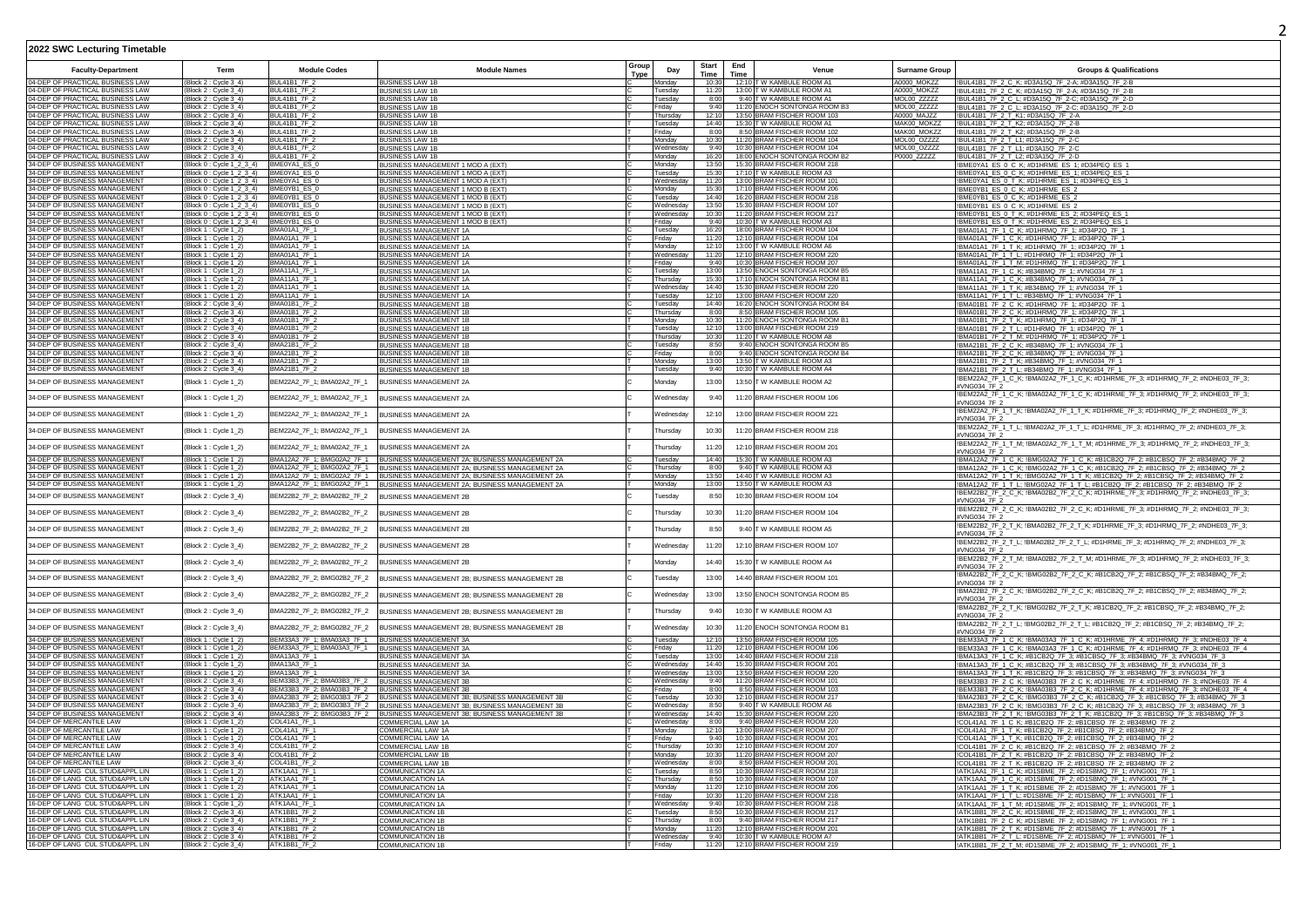| <b>Faculty-Department</b>                                             | Term                                                                | <b>Module Codes</b>                                                       | <b>Module Names</b>                                                                                                          | Group                  | Start          | End  | Venue                                                         | <b>Surname Grou</b>        | <b>Groups &amp; Qualifications</b>                                                                                                                                                 |
|-----------------------------------------------------------------------|---------------------------------------------------------------------|---------------------------------------------------------------------------|------------------------------------------------------------------------------------------------------------------------------|------------------------|----------------|------|---------------------------------------------------------------|----------------------------|------------------------------------------------------------------------------------------------------------------------------------------------------------------------------------|
| 04-DEP OF PRACTICAL BUSINESS LAW                                      |                                                                     | <b>BUL41B1 7F 2</b>                                                       |                                                                                                                              | Day<br><b>Type</b>     | Time           | Time | 12:10 T W KAMBULE ROOM A1                                     | A0000 MOKZZ                |                                                                                                                                                                                    |
| 04-DEP OF PRACTICAL BUSINESS LAW                                      | Block 2: Cycle 3_4)<br>(Block 2 : Cycle 3-4)                        | BUI 41B1 7F 2                                                             | <b>BUSINESS LAW 1B</b><br><b>BUSINESS LAW 1B</b>                                                                             | Mondav<br>Tuesdav      | 10:30<br>11:20 |      | 13:00 T W KAMBULE ROOM A1                                     | A0000 MOK77                | !BUL41B1_7F_2_C_K; #D3A15Q_7F_2-A; #D3A15Q_7F_2-B<br>!BUL41B1_7F_2_C_K; #D3A15Q_7F_2-A; #D3A15Q_7F_2-B                                                                             |
| 04-DEP OF PRACTICAL BUSINESS LAW                                      | (Block 2: Cycle 3 4)                                                | BUI 41B1 7F 2                                                             | <b>BUSINESS LAW 1B</b>                                                                                                       | Tuesdav                | 8:00           |      | 9:40 TW KAMBULE ROOM A1                                       | MOL00 77777                | !BUL41B1_7F_2_C_L; #D3A15Q_7F_2-C; #D3A15Q_7F_2-D                                                                                                                                  |
| 04-DEP OF PRACTICAL BUSINESS LAW                                      | (Block 2: Cycle 3_4)                                                | <b>BUL41B1 7F 2</b>                                                       | <b>BUSINESS LAW 1B</b>                                                                                                       | Fridav                 | 9:40           |      | 11:20 FNOCH SONTONGA ROOM B3                                  | MOI 00 77777               | !BUL41B1_7F_2_C_L; #D3A15Q_7F_2-C; #D3A15Q_7F_2-D                                                                                                                                  |
| 04-DEP OF PRACTICAL BUSINESS LAW<br>04-DEP OF PRACTICAL BUSINESS LAW  | (Block 2 : Cycle 3_4)<br>(Block 2 : Cycle 3_4)                      | RIII 41R1 7F 2<br>BUL41B1_7F_2                                            | <b>BUSINESS LAW 1B</b><br><b>BUSINESS LAW 1E</b>                                                                             | Thursday<br>Tuesday    | 12.10<br>14:40 |      | 13:50 BRAM FISCHER ROOM 103<br>15:30 T W KAMBULE ROOM A1      | A0000 MA177<br>MAK00 MOKZZ | !BUL41B1_7F_2_T_K1; #D3A15Q_7F_2-A<br>!BUL41B1_7F_2_T_K2; #D3A15Q_7F_2-B                                                                                                           |
| 04-DEP OF PRACTICAL BUSINESS LAW                                      | (Block 2 : Cycle 3_4)                                               | BUL41B1_7F_2                                                              | <b>BUSINESS LAW 1B</b>                                                                                                       | Fridav                 | 8:00           |      | 8:50 BRAM FISCHER ROOM 102                                    | MAK00 MOKZZ                | !BUL41B1_7F_2_T_K2; #D3A15Q_7F_2-B                                                                                                                                                 |
| 04-DEP OF PRACTICAL BUSINESS LAW                                      | (Block 2: Cycle 3_4)                                                | <b>BUL41B1 7F 2</b>                                                       | <b>BUSINESS LAW 1E</b>                                                                                                       | Mondav                 | 10:30          |      | 11:20 BRAM FISCHER ROOM 104                                   | MOL00 OZZZZ                | !BUL41B1_7F_2_T_L1: #D3A15Q_7F_2-C                                                                                                                                                 |
| 04-DEP OF PRACTICAL BUSINESS LAW<br>04-DEP OF PRACTICAL BUSINESS LAW  | (Block 2 : Cycle 3_4)                                               | BUL41B1_7F_2<br><b>BUL41B1_7F_2</b>                                       | <b>BUSINESS LAW 1E</b><br><b>BUSINESS LAW 1B</b>                                                                             | Wednesday              | 9:40<br>16:20  |      | 10:30 BRAM FISCHER ROOM 104<br>18:00 ENOCH SONTONGA ROOM B2   | MOL00_OZZZZ<br>P0000 ZZZZZ | !BUL41B1_7F_2_T_L1; #D3A15Q_7F_2-C<br>!BUL41B1_7F_2_T_L2; #D3A15Q_7F_2-D                                                                                                           |
| 34-DEP OF BUSINESS MANAGEMENT                                         | Block 2: Cvcle 3 4)<br>(Block 0: Cvcle 1 2 3 4)                     | BME0YA1 ES 0                                                              | BUSINESS MANAGEMENT 1 MOD A (EXT)                                                                                            | Monday<br>Monday       | 13:50          |      | 15:30 BRAM FISCHER ROOM 218                                   |                            | !BME0YA1_ES_0_C_K; #D1HRME_ES_1; #D34PEQ_ES_1                                                                                                                                      |
| 34-DEP OF BUSINESS MANAGEMENT                                         | Block 0: Cycle 1 2 3 4) BME0YA1 ES 0                                |                                                                           | BUSINESS MANAGEMENT 1 MOD A (EXT)                                                                                            | uesdav                 | 15:30          |      | 17:10 T W KAMBULE ROOM A3                                     |                            | !BME0YA1_ES_0_C_K; #D1HRME_ES_1; #D34PEQ_ES_1                                                                                                                                      |
| 34-DEP OF BUSINESS MANAGEMENT                                         | (Block 0 : Cycle 1_2_3_4) BME0YA1_ES_0                              |                                                                           | BUSINESS MANAGEMENT 1 MOD A (EXT)                                                                                            | Wednesda               | 11:20          |      | 13:00 BRAM FISCHER ROOM 101                                   |                            | !BME0YA1_ES_0_T_K; #D1HRME_ES_1; #D34PEQ_ES_1                                                                                                                                      |
| 34-DEP OF BUSINESS MANAGEMENT<br>34-DEP OF BUSINESS MANAGEMENT        | (Block 0 : Cycle 1_2_3_4)<br>(Block 0 : Cycle 1_2_3_4) BME0YB1_ES_0 |                                                                           | BUSINESS MANAGEMENT 1 MOD B (EXT)                                                                                            | Monday<br>Tuesdav      | 15:30<br>14:40 |      | 17:10 BRAM FISCHER ROOM 206<br>16:20 BRAM FISCHER ROOM 218    |                            | !BME0YB1_ES_0_C_K; #D1HRME_ES_2                                                                                                                                                    |
| 34-DEP OF BUSINESS MANAGEMENT                                         | (Block 0 : Cycle 1_2_3_4) BME0YB1_ES_0                              |                                                                           | BUSINESS MANAGEMENT 1 MOD B (EXT)<br>BUSINESS MANAGEMENT 1 MOD B (EXT)                                                       | Wednesday              | 13.50          |      | 15:30 BRAM FISCHER ROOM 107                                   |                            | !BME0YB1_ES_0_C_K; #D1HRME_ES_2<br>!BME0YB1_ES_0_C_K; #D1HRME_ES_2                                                                                                                 |
| 34-DEP OF BUSINESS MANAGEMENT                                         | (Block 0 : Cycle 1_2_3_4) BME0YB1_ES_0                              |                                                                           | BUSINESS MANAGEMENT 1 MOD B (EXT                                                                                             | Wednesday              | 10:30          |      | 11:20 BRAM FISCHER ROOM 217                                   |                            | !BME0YB1_ES_0_T_K; #D1HRME_ES_2; #D34PEQ_ES_1                                                                                                                                      |
| 34-DEP OF BUSINESS MANAGEMENT                                         | (Block 0: Cycle 1_2_3_4) BME0YB1_ES_0                               |                                                                           | BUSINESS MANAGEMENT 1 MOD B (EXT)                                                                                            | Friday                 | 9:40           |      | 10:30 T W KAMBULE ROOM A3                                     |                            | !BME0YB1_ES_0_T_K; #D1HRME_ES_2; #D34PEQ_ES_1                                                                                                                                      |
| 34-DEP OF BUSINESS MANAGEMENT<br>34-DEP OF BUSINESS MANAGEMENT        | (Block 1: Cycle 1_2)<br>(Block 1 : Cycle 1_2)                       | BMA01A1_7F *<br><b>BMA01A1 7F 1</b>                                       | BUSINESS MANAGEMENT 1A<br><b>BUSINESS MANAGEMENT 1A</b>                                                                      | Tuesday                | 16:20<br>11:20 |      | 18:00 BRAM FISCHER ROOM 104<br>12:10 BRAM FISCHER ROOM 104    |                            | !BMA01A1_7F_1_C_K; #D1HRMQ_7F_1; #D34P2Q_7F_1<br>!BMA01A1_7F_1_C_K; #D1HRMQ_7F_1; #D34P2Q_7F_1                                                                                     |
| 34-DEP OF BUSINESS MANAGEMENT                                         | Block 1: Cvcle 1 2)                                                 | BMA01A1_7F_1                                                              | BUSINESS MANAGEMENT 1A                                                                                                       | Friday<br>Mondav       | 12:10          |      | 13:00 T W KAMBULE ROOM A6                                     |                            | BMA01A1_7F_1_T_K; #D1HRMQ_7F_1; #D34P2Q_7F_1                                                                                                                                       |
| 34-DEP OF BUSINESS MANAGEMENT                                         | (Block 1: Cycle 1 2)                                                | BMA01A1_7F_1                                                              | <b>BUSINESS MANAGEMENT 1A</b>                                                                                                | Wednesda               | 11:20          |      | 12:10 BRAM FISCHER ROOM 220                                   |                            | !BMA01A1_7F_1_T_L: #D1HRMQ_7F_1: #D34P2Q_7F_1                                                                                                                                      |
| 34-DEP OF BUSINESS MANAGEMENT                                         | (Block 1 : Cycle 1_2)                                               | <b>BMA01A1 7F 1</b>                                                       | BUSINESS MANAGEMENT 1A                                                                                                       | Fridav                 | 9:40           |      | 10:30 BRAM FISCHER ROOM 207                                   |                            | !BMA01A1_7F_1_T_M; #D1HRMQ_7F_1; #D34P2Q_7F_1                                                                                                                                      |
| 34-DEP OF BUSINESS MANAGEMENT<br><b>4-DEP OF BUSINESS MANAGEMENT</b>  | (Block 1 : Cycle 1-2)<br>(Block 1: Cvcle 1 2)                       | <b>BMA11A1 7F 1</b><br><b>BMA11A1 7F 1</b>                                | BUSINESS MANAGEMENT 1A                                                                                                       | Tuesdav<br>Thursdav    | 13:00<br>15:30 |      | 13:50 FNOCH SONTONGA ROOM B<br>17:10 FNOCH SONTONGA ROOM B1   |                            | !BMA11A1_7F_1_C_K; #B34BMQ_7F_1; #VNG034_7F_1                                                                                                                                      |
| 34-DEP OF BUSINESS MANAGEMENT                                         | (Block 1 : Cycle 1_2)                                               | <b>BMA11A1 7F 1</b>                                                       | <b>BUSINESS MANAGEMENT 1A</b><br>BUSINESS MANAGEMENT 1A                                                                      | Wednesda               | 14:40          |      | 15:30 BRAM FISCHER ROOM 220                                   |                            | !BMA11A1_7F_1_C_K; #B34BMQ_7F_1; #VNG034_7F_1<br>!BMA11A1_7F_1_T_K; #B34BMQ_7F_1; #VNG034_7F_1                                                                                     |
| 34-DEP OF BUSINESS MANAGEMENT                                         | (Block 1 : Cycle 1_2)                                               | <b>BMA11A1 7F 1</b>                                                       | BUSINESS MANAGEMENT 1A                                                                                                       | Tuesday                |                |      | 12:10 13:00 BRAM FISCHER ROOM 220                             |                            | !BMA11A1_7F_1_T_L; #B34BMQ_7F_1; #VNG034_7F_1                                                                                                                                      |
| 34-DEP OF BUSINESS MANAGEMENT                                         | (Block 2: Cycle 3_4)                                                | <b>BMA01B1 7F 2</b>                                                       | <b>BUSINESS MANAGEMENT 1E</b>                                                                                                | Tuesday                | 14:40          |      | 16:20 ENOCH SONTONGA ROOM B4                                  |                            | !BMA01B1_7F_2_C_K; #D1HRMQ_7F_1; #D34P2Q_7F_1                                                                                                                                      |
| 34-DEP OF BUSINESS MANAGEMENT<br>34-DEP OF BUSINESS MANAGEMENT        | (Block 2: Cycle 3_4)                                                | BMA01B1_7F_2<br><b>BMA01B1 7F 2</b>                                       | <b>BUSINESS MANAGEMENT 1E</b><br><b>BUSINESS MANAGEMENT 1E</b>                                                               | Thursday               | 8:00<br>10:30  |      | 8:50 BRAM FISCHER ROOM 105<br>11:20 ENOCH SONTONGA ROOM B1    |                            | !BMA01B1_7F_2_C_K; #D1HRMQ_7F_1; #D34P2Q_7F_1                                                                                                                                      |
| <b>4-DEP OF BUSINESS MANAGEMENT</b>                                   | Block 2: Cycle 3_4)<br>(Block 2 : Cycle 3_4)                        | BMA01B1 7F 2                                                              | <b>BUSINESS MANAGEMENT 1F</b>                                                                                                | Monday<br>Tuesday      | 12:10          |      | 13:00 BRAM FISCHER ROOM 219                                   |                            | !BMA01B1_7F_2_T_K; #D1HRMQ_7F_1; #D34P2Q_7F_1<br>!BMA01B1_7F_2_T_L; #D1HRMQ_7F_1; #D34P2Q_7F_1                                                                                     |
| 4-DEP OF BUSINESS MANAGEMENT                                          | Block 2: Cycle 3 4)                                                 | BMA01B1_7F_2                                                              | <b>BUSINESS MANAGEMENT 1E</b>                                                                                                | Thursdav               | 10:30          |      | 11:20 T W KAMBULE ROOM A8                                     |                            | BMA01B1_7F_2_T_M; #D1HRMQ_7F_1; #D34P2Q_7F_1                                                                                                                                       |
| 34-DEP OF BUSINESS MANAGEMENT                                         | (Block 2: Cycle 3_4)                                                | <b>BMA21B1 7F 2</b>                                                       | BUSINESS MANAGEMENT 1B                                                                                                       | Tuesdav                | 8:50           |      | 9:40 ENOCH SONTONGA ROOM B5                                   |                            | !BMA21B1_7F_2_C_K; #B34BMQ_7F_1; #VNG034_7F_1                                                                                                                                      |
| <b>34-DEP OF BUSINESS MANAGEMENT</b><br>34-DEP OF BUSINESS MANAGEMENT | Block 2: Cycle 3 4)<br>(Block 2 : Cycle 3 4)                        | BMA21B1 7F 2<br>BMA21B1 7F 2                                              | BUSINESS MANAGEMENT 1B                                                                                                       | Fridav                 | 8:00<br>13:00  |      | 9:40 ENOCH SONTONGA ROOM B4<br>13:50 T W KAMBULE ROOM A3      |                            | !BMA21B1_7F_2_C_K; #B34BMQ_7F_1; #VNG034_7F_1                                                                                                                                      |
| 34-DEP OF BUSINESS MANAGEMENT                                         | (Block 2 : Cycle 3_4)                                               | BMA21B1_7F_2                                                              | <b>BUSINESS MANAGEMENT 1B</b><br>BUSINESS MANAGEMENT 1B                                                                      | Monday<br>Tuesday      | 9:40           |      | 10:30 T W KAMBULE ROOM A4                                     |                            | !BMA21B1_7F_2_T_K; #B34BMQ_7F_1; #VNG034_7F_1<br>!BMA21B1_7F_2_T_L; #B34BMQ_7F_1; #VNG034_7F_1                                                                                     |
| 34-DEP OF BUSINESS MANAGEMENT                                         | (Block 1 : Cycle 1_2)                                               | BEM22A2_7F_1; BMA02A2_7F_1                                                | <b>BUSINESS MANAGEMENT 2A</b>                                                                                                | Monday                 | 13:00          |      | 13:50 T W KAMBULE ROOM A2                                     |                            | !BEM22A2_7F_1_C_K; !BMA02A2_7F_1_C_K; #D1HRME_7F_3; #D1HRMQ_7F_2; #NDHE03_7F_3;                                                                                                    |
| 34-DEP OF BUSINESS MANAGEMENT                                         | (Block 1 : Cycle 1_2)                                               | BEM22A2_7F_1; BMA02A2_7F_1                                                | <b>BUSINESS MANAGEMENT 2A</b>                                                                                                | Wednesda               | 9:40           |      | 11:20 BRAM FISCHER ROOM 106                                   |                            | #VNG034 7F 2<br>!BEM22A2_7F_1_C_K; !BMA02A2_7F_1_C_K; #D1HRME_7F_3; #D1HRMQ_7F_2; #NDHE03_7F_3;                                                                                    |
| 34-DEP OF BUSINESS MANAGEMENT                                         | (Block 1 : Cycle 1_2)                                               | BEM22A2_7F_1; BMA02A2_7F_1                                                | BUSINESS MANAGEMENT 2A                                                                                                       | Wednesday              | 12:10          |      | 13:00 BRAM FISCHER ROOM 221                                   |                            | #VNG034 7F 2<br>!BEM22A2_7F_1_T_K; !BMA02A2_7F_1_T_K; #D1HRME_7F_3; #D1HRMQ_7F_2; #NDHE03_7F_3;                                                                                    |
| 34-DEP OF BUSINESS MANAGEMENT                                         | (Block 1 : Cycle 1_2)                                               | BEM22A2_7F_1; BMA02A2_7F_1                                                | <b>BUSINESS MANAGEMENT 2A</b>                                                                                                | Thursday               | 10:30          |      | 11:20 BRAM FISCHER ROOM 218                                   |                            | #VNG034 7F 2<br>!BEM22A2_7F_1_T_L; !BMA02A2_7F_1_T_L; #D1HRME_7F_3; #D1HRMQ_7F_2; #NDHE03_7F_3;                                                                                    |
| 34-DEP OF BUSINESS MANAGEMENT                                         | Block 1 : Cycle 1_2)                                                | BEM22A2_7F_1; BMA02A2_7F_1                                                | BUSINESS MANAGEMENT 2A                                                                                                       | <b>hursday</b>         | 11:20          |      | 12:10 BRAM FISCHER ROOM 201                                   |                            | #VNG034 7F 2<br>!BEM22A2_7F_1_T_M; !BMA02A2_7F_1_T_M; #D1HRME_7F_3; #D1HRMQ_7F_2; #NDHE03_7F_3;                                                                                    |
| <b>34-DEP OF BUSINESS MANAGEMENT</b>                                  | (Block 1: Cycle 1 2)                                                | BMA12A2_7F_1: BMG02A2_7F_1                                                |                                                                                                                              | Tuesdav                | 14:40          |      | 15:30 TW KAMBULE ROOM A3                                      |                            | #VNG034 7F 2                                                                                                                                                                       |
| 34-DEP OF BLISINESS MANAGEMENT                                        | (Block 1 : Cycle 1_2)                                               |                                                                           | BUSINESS MANAGEMENT 2A; BUSINESS MANAGEMENT 2A<br>BMA12A2_7F_1; BMG02A2_7F_1  BUSINESS MANAGEMENT 2A; BUSINESS MANAGEMENT 2A | Thursday               | 8:00           |      | 9:40 T W KAMRLILE ROOM A3                                     |                            | !BMA12A2_7F_1_C_K; !BMG02A2_7F_1_C_K; #B1CB2Q_7F_2; #B1CBSQ_7F_2; #B34BMQ_7F_2<br>!BMA12A2_7F_1_C_K; !BMG02A2_7F_1_C_K; #B1CB2Q_7F_2; #B1CBSQ_7F_2; #B34BMQ_7F_2                   |
| 34-DEP OF BUSINESS MANAGEMENT                                         | (Block 1 : Cycle 1_2)                                               |                                                                           | BMA12A2_7F_1; BMG02A2_7F_1   BUSINESS MANAGEMENT 2A; BUSINESS MANAGEMENT 2A                                                  | Monday                 | 13:50          |      | 14:40 T W KAMBULE ROOM A3                                     |                            | !BMA12A2_7F_1_T_K; !BMG02A2_7F_1_T_K; #B1CB2Q_7F_2; #B1CBSQ_7F_2; #B34BMQ_7F_2                                                                                                     |
| 34-DEP OF BUSINESS MANAGEMENT                                         | (Block 1: Cycle 1_2)                                                |                                                                           | BMA12A2_7F_1; BMG02A2_7F_1  BUSINESS MANAGEMENT 2A; BUSINESS MANAGEMENT 2A                                                   | Monday                 | 13:00          |      | 13:50 T W KAMBULE ROOM A3                                     |                            | !BMA12A2_7F_1_T_L; !BMG02A2_7F_1_T_L; #B1CB2Q_7F_2; #B1CBSQ_7F_2; #B34BMQ_7F_2                                                                                                     |
| 34-DEP OF BUSINESS MANAGEMENT                                         | (Block 2 : Cycle 3_4)                                               | BEM22B2_7F_2; BMA02B2_7F_2                                                | <b>BUSINESS MANAGEMENT 2B</b>                                                                                                | Tuesday                | 8:50           |      | 10:30 BRAM FISCHER ROOM 104                                   |                            | IBEM22B2_7F_2_C_K; IBMA02B2_7F_2_C_K; #D1HRME_7F_3; #D1HRMQ_7F_2; #NDHE03_7F_3;<br>#VNG034 7F 2                                                                                    |
| 34-DEP OF BUSINESS MANAGEMENT                                         | (Block 2 : Cycle 3_4)                                               | BEM22B2_7F_2; BMA02B2_7F_2                                                | <b>BUSINESS MANAGEMENT 2B</b>                                                                                                | Thursday               | 10:30          |      | 11:20 BRAM FISCHER ROOM 104                                   |                            | !BEM22B2_7F_2_C_K; !BMA02B2_7F_2_C_K; #D1HRME_7F_3; #D1HRMQ_7F_2; #NDHE03_7F_3;<br>#VNG034 7F 2<br>!BEM22B2_7F_2_T_K; !BMA02B2_7F_2_T_K; #D1HRME_7F_3; #D1HRMQ_7F_2; #NDHE03_7F_3; |
| 34-DEP OF BUSINESS MANAGEMENT                                         | Block 2 : Cycle 3_4                                                 | BEM22B2_7F_2; BMA02B2_7F_2                                                | <b>BUSINESS MANAGEMENT 2B</b>                                                                                                | Thursday               | 8:50           |      | 9:40 T W KAMBULE ROOM A5                                      |                            | #VNG034 7F 2<br>!BEM22B2_7F_2_T_L; !BMA02B2_7F_2_T_L; #D1HRME_7F_3; #D1HRMQ_7F_2; #NDHE03_7F_3;                                                                                    |
| 34-DEP OF BUSINESS MANAGEMENT                                         | (Block 2: Cycle 3_4)                                                | BEM22B2_7F_2; BMA02B2_7F_2                                                | <b>BUSINESS MANAGEMENT 2B</b>                                                                                                | Wednesday              | 11:20          |      | 12:10 BRAM FISCHER ROOM 107                                   |                            | #VNG034 7F 2<br>!BEM22B2_7F_2_T_M; !BMA02B2_7F_2_T_M; #D1HRME_7F_3; #D1HRMQ_7F_2; #NDHE03_7F_3;                                                                                    |
| 34-DEP OF BUSINESS MANAGEMENT<br>34-DEP OF BUSINESS MANAGEMENT        | (Block 2: Cycle 3_4)                                                | BEM22B2_7F_2; BMA02B2_7F_2                                                | <b>BUSINESS MANAGEMENT 2B</b>                                                                                                | Monday                 | 14:40<br>13:00 |      | 15:30 T W KAMBULE ROOM A4<br>14:40 BRAM FISCHER ROOM 101      |                            | #VNG034 7F 2<br>BMA22B2_7F_2_C_K; !BMG02B2_7F_2_C_K; #B1CB2Q_7F_2; #B1CBSQ_7F_2; #B34BMQ_7F_2;                                                                                     |
| 34-DEP OF BUSINESS MANAGEMENT                                         | (Block 2: Cycle 3_4)                                                | BMA22B2_7F_2; BMG02B2_7F_2                                                | BUSINESS MANAGEMENT 2B: BUSINESS MANAGEMENT 2B<br>BUSINESS MANAGEMENT 2B: BUSINESS MANAGEMENT 2B                             | Tuesdav                | 13:00          |      | 13:50 ENOCH SONTONGA ROOM B5                                  |                            | #VNG034 7F 2<br>!BMA22B2_7F_2_C_K; !BMG02B2_7F_2_C_K; #B1CB2Q_7F_2; #B1CBSQ_7F_2; #B34BMQ_7F_2;                                                                                    |
| 34-DEP OF BUSINESS MANAGEMENT                                         | (Block 2 : Cycle 3_4)<br>(Block 2: Cycle 3_4)                       | BMA22B2_7F_2; BMG02B2_7F_2<br>BMA22B2_7F_2; BMG02B2_7F_2                  | BUSINESS MANAGEMENT 2B; BUSINESS MANAGEMENT 2B                                                                               | Wednesda<br>Thursday   | 9:40           |      | 10:30 T W KAMBULE ROOM A3                                     |                            | #VNG034 7F 2<br>!BMA22B2_7F_2_T_K; !BMG02B2_7F_2_T_K; #B1CB2Q_7F_2; #B1CBSQ_7F_2; #B34BMQ_7F_2;                                                                                    |
| 34-DEP OF BUSINESS MANAGEMENT                                         | Block 2 : Cycle 3_4)                                                | BMA22B2 7F 2: BMG02B2 7F 2                                                | BUSINESS MANAGEMENT 2B; BUSINESS MANAGEMENT 2B                                                                               | Vednesday              | 10:30          |      | 11:20 ENOCH SONTONGA ROOM B1                                  |                            | #VNG034 7F 2<br>!BMA22B2_7F_2_T_L; !BMG02B2_7F_2_T_L; #B1CB2Q_7F_2; #B1CBSQ_7F_2; #B34BMQ_7F_2;                                                                                    |
| 34-DEP OF BUSINESS MANAGEMENT                                         | (Block 1: Cvcle 1 2)                                                | BEM33A3_7F_1: BMA03A3_7F_1                                                |                                                                                                                              | Tuesday                | 12:10          |      | 13:50 BRAM FISCHER ROOM 105                                   |                            | #VNG034 7F 2                                                                                                                                                                       |
| 34-DEP OF BUSINESS MANAGEMENT                                         | (Block 1 : Cycle 1_2)                                               | BEM33A3 7F 1: BMA03A3 7F 1                                                | <b>BUSINESS MANAGEMENT 3A</b><br>BUSINESS MANAGEMENT 3A                                                                      | Fridav                 | $11 - 20$      |      | 12:10 RRAM FISCHER ROOM 106                                   |                            | !BEM33A3_7F_1_C_K; !BMA03A3_7F_1_C_K; #D1HRME_7F_4; #D1HRMQ_7F_3; #NDHE03_7F_4<br>!BEM33A3_7F_1_C_K; !BMA03A3_7F_1_C_K; #D1HRME_7F_4; #D1HRMQ_7F_3; #NDHE03_7F_4                   |
| 34-DEP OF BUSINESS MANAGEMENT                                         | (Block 1 : Cycle 1_2)                                               | BMA13A3 7F 1                                                              | <b>BUSINESS MANAGEMENT 3A</b>                                                                                                | Tuesday                | 13:00          |      | 14:40 BRAM FISCHER ROOM 218                                   |                            | !BMA13A3_7F_1_C_K; #B1CB2Q_7F_3; #B1CBSQ_7F_3; #B34BMQ_7F_3; #VNG034_7F_3                                                                                                          |
| 34-DEP OF BUSINESS MANAGEMENT                                         | (Block 1: Cycle 1_2)                                                | BMA13A3_7F_1                                                              | <b>BUSINESS MANAGEMENT 3A</b>                                                                                                | Wednesday              | 14:40          |      | 15:30 BRAM FISCHER ROOM 201                                   |                            | !BMA13A3_7F_1_C_K; #B1CB2Q_7F_3; #B1CBSQ_7F_3; #B34BMQ_7F_3; #VNG034_7F_3                                                                                                          |
| 34-DEP OF BUSINESS MANAGEMENT<br>34-DEP OF BUSINESS MANAGEMENT        | (Block 1 : Cycle 1_2)<br>(Block 2: Cycle 3_4)                       | <b>BMA13A3 7F 1</b><br>BEM33B3_7F_2; BMA03B3_7F_2  BUSINESS MANAGEMENT 3B | BUSINESS MANAGEMENT 3A                                                                                                       | Wednesday              | 13:00<br>9:40  |      | 13:50 BRAM FISCHER ROOM 220<br>11:20 BRAM FISCHER ROOM 101    |                            | !BMA13A3_7F_1_T_K; #B1CB2Q_7F_3; #B1CBSQ_7F_3; #B34BMQ_7F_3; #VNG034_7F_3<br>BEM33B3_7F_2_C_K; !BMA03B3_7F_2_C_K; #D1HRME_7F_4; #D1HRMQ_7F_3; #NDHE03_7F_4                         |
| 34-DEP OF BUSINESS MANAGEMENT                                         | (Block 2 : Cycle 3 4)                                               | BEM33B3_7F_2; BMA03B3_7F_2  BUSINESS MANAGEMENT 3B                        |                                                                                                                              | Wednesday<br>Fridav    | 8:00           |      | 8:50 BRAM FISCHER ROOM 103                                    |                            | !BEM33B3_7F_2_C_K; !BMA03B3_7F_2_C_K; #D1HRME_7F_4; #D1HRMQ_7F_3; #NDHE03_7F_4                                                                                                     |
| 34-DEP OF BUSINESS MANAGEMENT                                         | (Block 2 : Cvcle 3 4)                                               |                                                                           | BMA23B3_7F_2; BMG03B3_7F_2 BUSINESS MANAGEMENT 3B; BUSINESS MANAGEMENT 3B                                                    | Tuesdav                | 10:30          |      | 12:10 BRAM FISCHER ROOM 217                                   |                            | IBMA23B3 7F 2 C K; IBMG03B3 7F 2 C K; #B1CB2Q 7F 3; #B1CBSQ 7F 3; #B34BMQ 7F 3                                                                                                     |
| 34-DEP OF BUSINESS MANAGEMENT                                         | (Block 2: Cycle 3 4)                                                |                                                                           | BMA23B3_7F_2; BMG03B3_7F_2 BUSINESS MANAGEMENT 3B; BUSINESS MANAGEMENT 3B                                                    | Wednesdav              | 8:50           |      | 9:40 T W KAMBULE ROOM A6                                      |                            | !BMA23B3_7F_2_C_K; !BMG03B3_7F_2_C_K; #B1CB2Q_7F_3; #B1CBSQ_7F_3; #B34BMQ_7F_3                                                                                                     |
| 34-DEP OF BUSINESS MANAGEMENT<br>04-DEP OF MERCANTILE LAW             | (Block 2: Cycle 3 4)                                                | COI 41A1 7F 1                                                             | BMA23B3_7F_2; BMG03B3_7F_2 BUSINESS MANAGEMENT 3B; BUSINESS MANAGEMENT 3B                                                    | Wednesdav<br>Wednesday | 14:40<br>8:00  |      | 15:30 BRAM FISCHER ROOM 220<br>9:40 BRAM FISCHER ROOM 220     |                            | !BMA23B3_7F_2_T_K; !BMG03B3_7F_2_T_K; #B1CB2Q_7F_3; #B1CBSQ_7F_3; #B34BMQ_7F_3                                                                                                     |
| 04-DEP OF MERCANTILE LAW                                              | (Block 1 : Cycle 1 2)<br>(Block 1 : Cycle 1_2)                      | COI 41A1 7F 1                                                             | COMMERCIAL LAW 1A<br>COMMERCIAL LAW 1A                                                                                       | Monday                 | 12:10          |      | 13:00 BRAM FISCHER ROOM 207                                   |                            | !COL41A1_7F_1_C_K; #B1CB2Q_7F_2; #B1CBSQ_7F_2; #B34BMQ_7F_2<br>!COL41A1_7F_1_T_K; #B1CB2Q_7F_2; #B1CBSQ_7F_2; #B34BMQ_7F_2                                                         |
| 04-DFP OF MERCANTILE LAW                                              | (Block 1 : Cycle 1_2)                                               | COL41A1_7F_1                                                              | COMMERCIAL LAW 1A                                                                                                            | Friday                 | 9.40           |      | 10:30 BRAM FISCHER ROOM 201                                   |                            | !COL41A1_7F_1_T_K; #B1CB2Q_7F_2; #B1CBSQ_7F_2; #B34BMQ_7F_2                                                                                                                        |
| 04-DEP OF MERCANTILE LAW                                              | (Block 2 : Cycle 3_4)                                               | COL41B1 7F 2                                                              | COMMERCIAL LAW 1B                                                                                                            | Thursday               |                |      | 10:30 12:10 BRAM FISCHER ROOM 207                             |                            | !COL41B1_7F_2_C_K; #B1CB2Q_7F_2; #B1CBSQ_7F_2; #B34BMQ_7F_2                                                                                                                        |
| 04-DEP OF MERCANTILE LAW<br>04-DEP OF MERCANTILE LAW                  | (Block 2: Cycle 3_4)<br>(Block 2 : Cycle 3_4)                       | COL41B1 7F 2<br>COL41B1_7F_2                                              | COMMERCIAL LAW 1B                                                                                                            | Monday<br>Wednesda     | 10:30<br>8:00  |      | 11:20 BRAM FISCHER ROOM 207<br>8:50 BRAM FISCHER ROOM 201     |                            | ICOL41B1_7F_2_T_K; #B1CB2Q_7F_2; #B1CBSQ_7F_2; #B34BMQ_7F_2<br>!COL41B1_7F_2_T_K; #B1CB2Q_7F_2; #B1CBSQ_7F_2; #B34BMQ_7F_2                                                         |
| 16-DEP OF LANG CUL STUD&APPL LIN                                      | (Block 1 : Cycle 1 2)                                               | ATK1AA1 7F 1                                                              | COMMERCIAL LAW 1B<br>COMMUNICATION 1A                                                                                        | Tuesdav                | 8:50           |      | 10:30 BRAM FISCHER ROOM 218                                   |                            | !ATK1AA1_7F_1_C_K; #D1SBME_7F_2; #D1SBMQ_7F_1; #VNG001_7F_1                                                                                                                        |
| 16-DEP OF LANG CUL STUD&APPL LIN                                      | (Block 1 : Cycle 1 2)                                               | ATK1AA1_7F_1                                                              | <b>COMMUNICATION 1A</b>                                                                                                      | Thursdav               | 8:50           |      | 10:30 BRAM FISCHER ROOM 107                                   |                            | !ATK1AA1_7F_1_C_K; #D1SBME_7F_2; #D1SBMQ_7F_1; #VNG001_7F_1                                                                                                                        |
| 6-DEP OF LANG CUL STUD&APPL LIN                                       | Block 1 : Cycle 1_2]                                                | ATK1AA1 7F 1                                                              | <b>COMMUNICATION 1A</b>                                                                                                      | Mondav                 | 11:20          |      | 12:10 BRAM FISCHER ROOM 206                                   |                            | ATK1AA1_7F_1_T_K; #D1SBME_7F_2; #D1SBMQ_7F_1; #VNG001_7F_1                                                                                                                         |
| 16-DEP OF LANG CUL STUD&APPL LIN<br>16-DEP OF LANG CULSTUD&APPL LIN   | (Block 1 : Cycle 1 2)<br>(Block 1: Cvcle 1 2)                       | ATK1AA1 7F 1<br>ATK1AA1 7F 1                                              | <b>COMMUNICATION 1A</b><br>COMMUNICATION 1A                                                                                  | Fridav<br>Wednesdav    | 10:30<br>9:40  |      | 10:30 BRAM FISCHER ROOM 218                                   |                            | !ATK1AA1_7F_1_T_L; #D1SBME_7F_2; #D1SBMQ_7F_1; #VNG001_7F_1                                                                                                                        |
| 16-DEP OF LANG CULSTUD&APPL LIN                                       | (Block 2 : Cycle 3 4)                                               | ATK1BB1 7F 2                                                              | <b>COMMUNICATION 1B</b>                                                                                                      | Tuesdav                | 8:50           |      | 10:30 BRAM FISCHER ROOM 217                                   |                            | !ATK1AA1_7F_1_T_M; #D1SBME_7F_2; #D1SBMQ_7F_1; #VNG001_7F_1<br>!ATK1BB1_7F_2_C_K; #D1SBME_7F_2; #D1SBMQ_7F_1; #VNG001_7F_1                                                         |
| 16-DEP OF LANG CUL STUD&APPL LIN                                      | (Block 2 : Cycle 3_4)                                               | ATK1BB1 7F 2                                                              | COMMUNICATION 1B                                                                                                             | Thursday               | 8:00           |      | 9:40 BRAM FISCHER ROOM 217                                    |                            | !ATK1BB1_7F_2_C_K; #D1SBME_7F_2; #D1SBMQ_7F_1; #VNG001_7F_1                                                                                                                        |
| 16-DEP OF LANG CULSTUD&APPL LIN<br>16-DEP OF LANG CUL STUD&APPL LIN   | (Block 2 : Cycle 3_4)                                               | ATK1RR1 7F 2<br>ATK1BB1 7F 2                                              | COMMUNICATION 1                                                                                                              | Monday                 | 11:20          |      | 12:10 BRAM FISCHER ROOM 201<br>9:40 10:30 T W KAMBULE ROOM A7 |                            | !ATK1BB1_7F_2_T_K; #D1SBME_7F_2; #D1SBMQ_7F_1; #VNG001_7F_1                                                                                                                        |
| 16-DEP OF LANG CUL STUD&APPL LIN                                      | (Block 2 : Cycle 3_4)<br>(Block 2 : Cycle 3_4)                      | ATK1BB1_7F_2                                                              | COMMUNICATION 1<br>COMMUNICATION 1E                                                                                          | Wednesday<br>Friday    | 11:20          |      | 12:10 BRAM FISCHER ROOM 219                                   |                            | !ATK1BB1_7F_2_T_L; #D1SBME_7F_2; #D1SBMQ_7F_1; #VNG001_7F_1<br>!ATK1BB1_7F_2_T_M; #D1SBME_7F_2; #D1SBMQ_7F_1; #VNG001_7F_1                                                         |
|                                                                       |                                                                     |                                                                           |                                                                                                                              |                        |                |      |                                                               |                            |                                                                                                                                                                                    |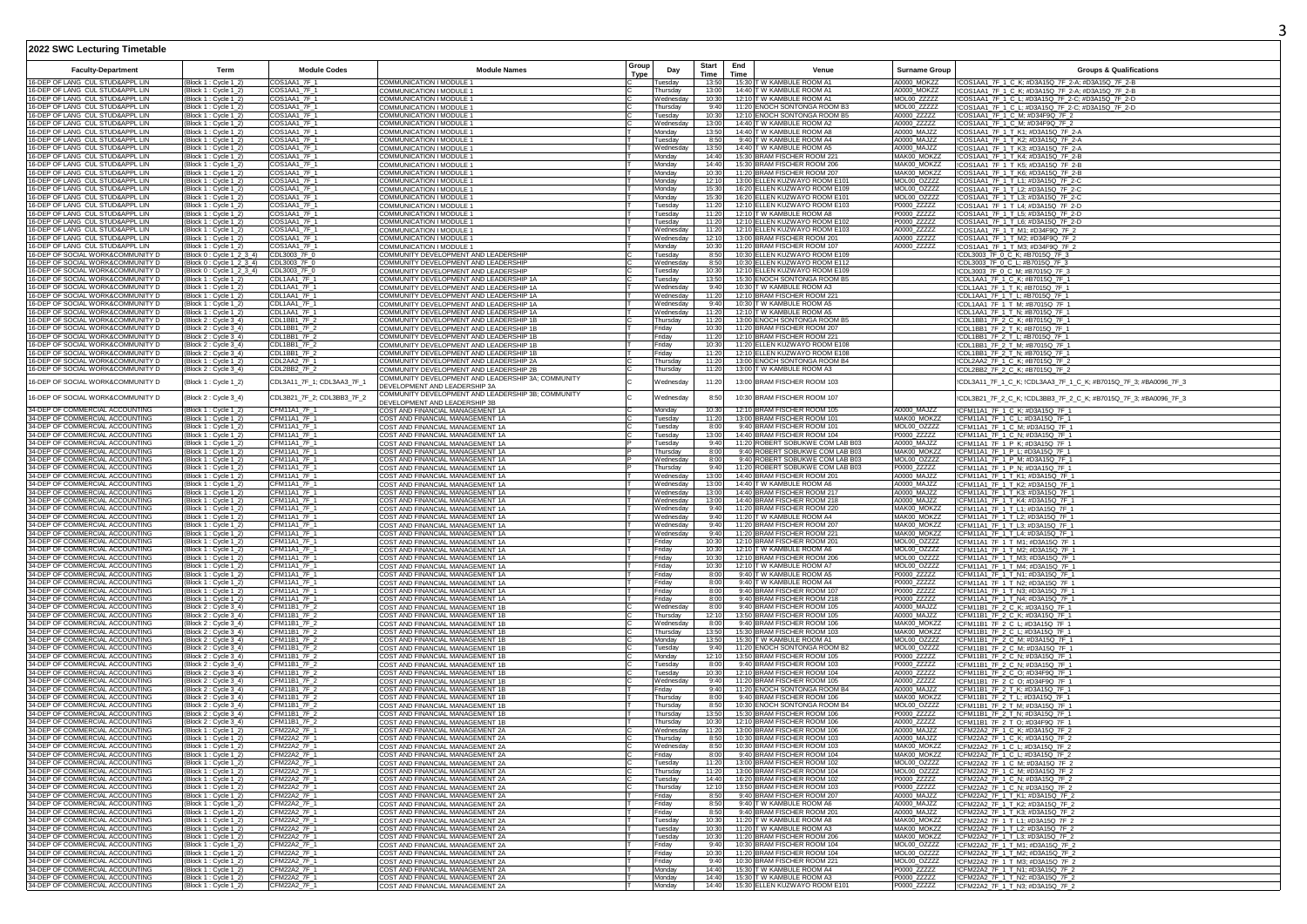| <b>Faculty-Department</b>                                              | Term                                                                           | <b>Module Codes</b>                        | <b>Module Names</b>                                                                                                  | Group<br>Type | Day                               | Start<br>Time  | End<br>Time | Venue                                                               | <b>Surname Group</b>       | <b>Groups &amp; Qualifications</b>                                                                     |
|------------------------------------------------------------------------|--------------------------------------------------------------------------------|--------------------------------------------|----------------------------------------------------------------------------------------------------------------------|---------------|-----------------------------------|----------------|-------------|---------------------------------------------------------------------|----------------------------|--------------------------------------------------------------------------------------------------------|
| 16-DEP OF LANG CUL STUD&APPL LIN                                       | Block 1 : Cycle 1_2]                                                           | <b>COS1AA1 7F 1</b>                        | COMMUNICATION I MODULE                                                                                               |               | Tuesdav                           | 13:50          |             | 15:30 T W KAMBULE ROOM A1                                           | A0000 MOKZZ                | !COS1AA1_7F_1_C_K; #D3A15Q_7F_2-A; #D3A15Q_7F_2-B                                                      |
| 16-DEP OF LANG CUL STUD&APPL LIN                                       | Block 1 : Cycle 1_2)                                                           | COS1AA1_7F_1                               | COMMUNICATION I MODULE 1                                                                                             |               | Thursday                          | 13:00          |             | 14:40 T W KAMBULE ROOM A1                                           | A0000 MOKZZ                | !COS1AA1_7F_1_C_K; #D3A15Q_7F_2-A; #D3A15Q_7F_2-B                                                      |
| 16-DEP OF LANG CUL STUD&APPL LIN<br>16-DEP OF LANG CUL STUD&APPL LIN   | Block 1 : Cycle 1_2)<br>Block 1 : Cycle 1_2]                                   | COS1AA1 7F 1<br>COS1AA1_7F_1               | COMMUNICATION I MODULE 1<br>COMMUNICATION I MODULE 1                                                                 |               | Wednesday<br>Thursday             | 10:30<br>9:40  |             | 12:10 T W KAMBULE ROOM A1<br>11:20 ENOCH SONTONGA ROOM B3           | MOL00 ZZZZZ<br>MOL00_ZZZZZ | !COS1AA1_7F_1_C_L; #D3A15Q_7F_2-C; #D3A15Q_7F_2-D<br>!COS1AA1_7F_1_C_L; #D3A15Q_7F_2-C; #D3A15Q_7F_2-D |
| 16-DEP OF LANG CUL STUD&APPL LIN                                       | Block 1 : Cycle 1_2]                                                           | COS1AA1 7F_1                               | COMMUNICATION I MODULE 1                                                                                             |               | Tuesday                           | 10:30          |             | 12:10 ENOCH SONTONGA ROOM B5                                        | A0000_ZZZZZ                | !COS1AA1_7F_1_C_M; #D34F9Q_7F_2                                                                        |
| 16-DEP OF LANG CUL STUD&APPL LIN                                       | Block 1 : Cycle 1_2                                                            | COS1AA1_7F_1                               | COMMUNICATION I MODULE 1                                                                                             |               | Wednesday                         | 13:00          |             | 14:40 T W KAMBULE ROOM A2                                           | A0000_ZZZZZ                | !COS1AA1_7F_1_C_M; #D34F9Q_7F_2                                                                        |
| 16-DEP OF LANG CUL STUD&APPL LIN<br>16-DEP OF LANG CUL STUD&APPL LIN   | Block 1 : Cycle 1_2)<br>Block 1 : Cvcle 1 2                                    | COS1AA1_7F_1<br>COS1AA1_7F_1               | COMMUNICATION I MODULE 1<br>COMMUNICATION I MODULE 1                                                                 |               | Monday<br>Tuesdav                 | 13:50<br>8:50  |             | 14:40 T W KAMBULE ROOM A8<br>9:40 T W KAMBULE ROOM A4               | A0000_MAJZZ<br>A0000 MAJZZ | !COS1AA1_7F_1_T_K1; #D3A15Q_7F_2-A<br>COS1AA1 7F 1 T K2: #D3A15Q 7F 2-A                                |
| 16-DEP OF LANG CUL STUD&APPL LIN                                       | Block 1 : Cycle 1_2)                                                           | COS1AA1_7F_1                               | COMMUNICATION I MODULE 1                                                                                             |               | Wednesda                          | 13:50          |             | 14:40 T W KAMBULE ROOM A5                                           | A0000_MAJZZ                | !COS1AA1_7F_1_T_K3; #D3A15Q_7F_2-A                                                                     |
| 16-DEP OF LANG CUL STUD&APPL LIN                                       | Block 1 : Cycle 1_2)                                                           | COS1AA1_7F_1                               | <b>COMMUNICATION I MODULE 1</b>                                                                                      |               | Monday                            | 14:40          |             | 15:30 BRAM FISCHER ROOM 221                                         | MAK00 MOKZZ                | !COS1AA1_7F_1_T_K4; #D3A15Q_7F_2-B                                                                     |
| 16-DEP OF LANG CUL STUD&APPL LIN<br>6-DEP OF LANG CUL STUD&APPL LIN    | Block 1 : Cycle 1_2)<br>Block 1 : Cvcle 1 2                                    | COS1AA1_7F_1<br>COS1AA1_7F_1               | COMMUNICATION I MODULE 1<br>COMMUNICATION I MODULE 1                                                                 |               | Monday<br>Monday                  | 14:40<br>10:30 |             | 15:30 BRAM FISCHER ROOM 206<br>11:20 BRAM FISCHER ROOM 207          | MAK00 MOKZZ<br>MAK00 MOKZZ | !COS1AA1_7F_1_T_K5; #D3A15Q_7F_2-B<br>!COS1AA1_7F_1_T_K6; #D3A15Q_7F_2-B                               |
| 16-DEP OF LANG CUL STUD&APPL LIN                                       | Block 1 : Cycle 1_2                                                            | COS1AA1_7F_1                               | COMMUNICATION I MODULE 1                                                                                             |               | Monday                            | 12:10          |             | 13:00 ELLEN KUZWAYO ROOM E10                                        | MOL00_OZZZZ                | !COS1AA1_7F_1_T_L1; #D3A15Q_7F_2-C                                                                     |
| 16-DEP OF LANG CUL STUD&APPL LIN                                       | Block 1 : Cycle 1_2)                                                           | COS1AA1_7F_1                               | COMMUNICATION I MODULE 1                                                                                             |               | Monday                            | 15:30          |             | 16:20 ELLEN KUZWAYO ROOM E109                                       | MOL00 OZZZZ                | ICOS1AA1_7F_1_T_L2; #D3A15Q_7F_2-C                                                                     |
| 16-DEP OF LANG CUL STUD&APPL LIN<br>16-DEP OF LANG CUL STUD&APPL LIN   | Block 1 : Cycle 1_2)<br>Block 1 : Cycle 1_2)                                   | COS1AA1_7F_1<br>COS1AA1_7F_1               | COMMUNICATION I MODULE 1<br>COMMUNICATION I MODULE 1                                                                 |               | Monday<br>Tuesdav                 | 15:30<br>11:20 |             | 16:20 ELLEN KUZWAYO ROOM E101<br>12:10 ELLEN KUZWAYO ROOM E103      | MOL00_OZZZZ<br>P0000 ZZZZZ | !COS1AA1_7F_1_T_L3; #D3A15Q_7F_2-C<br>!COS1AA1_7F_1_T_L4; #D3A15Q_7F_2-D                               |
| 16-DEP OF LANG CUL STUD&APPL LIN                                       | Block 1 : Cycle 1_2)                                                           | COS1AA1_7F_1                               | COMMUNICATION I MODULE *                                                                                             |               | Tuesday                           | 11:2           |             | 12:10 T W KAMBULE ROOM A8                                           | P0000_ZZZZZ                | COS1AA1_7F_1_T_L5; #D3A15Q_7F_2-D                                                                      |
| 16-DEP OF LANG CUL STUD&APPL LIN                                       | Block 1 : Cycle 1_2)                                                           | COS1AA1_7F_1                               | COMMUNICATION I MODULE 1                                                                                             |               | Tuesday                           | 11:20          |             | 12:10 ELLEN KUZWAYO ROOM E102                                       | P0000_ZZZZZ                | !COS1AA1_7F_1_T_L6; #D3A15Q_7F_2-D                                                                     |
| 16-DEP OF LANG CUL STUD&APPL LIN<br>16-DEP OF LANG CUL STUD&APPL LIN   | Block 1 : Cycle 1_2)<br>(Block 1 : Cycle 1_2)                                  | COS1AA1_7F_1<br>COS1AA1 7F 1               | COMMUNICATION I MODULE 1<br>COMMUNICATION I MODULE 1                                                                 |               | Wednesday<br>Wednesdav            | 11:20<br>12:10 |             | 12:10 ELLEN KUZWAYO ROOM E103<br>13:00 BRAM FISCHER ROOM 201        | A0000_ZZZZZ<br>A0000_ZZZZZ | !COS1AA1_7F_1_T_M1; #D34F9Q_7F_2<br>!COS1AA1_7F_1_T_M2; #D34F9Q_7F_2                                   |
| 16-DEP OF LANG CUL STUD&APPL LIN                                       | Block 1 : Cycle 1_2]                                                           | COS1AA1_7F_                                | COMMUNICATION I MODULE 1                                                                                             |               | Monday                            | 10:30          |             | 11:20 BRAM FISCHER ROOM 107                                         | A0000_ZZZZZ                | COS1AA1_7F_1_T_M3; #D34F9Q_7F_2                                                                        |
| 16-DEP OF SOCIAL WORK&COMMUNITY D                                      | Block 0 : Cycle 1_2_3_4)                                                       | CDL3003_7F_0                               | COMMUNITY DEVELOPMENT AND LEADERSHIP                                                                                 |               | Tuesday                           | 8:50           |             | 10:30 ELLEN KUZWAYO ROOM E109                                       |                            | CDL3003_7F_0_C_K; #B7015Q_7F_3                                                                         |
| 16-DEP OF SOCIAL WORK&COMMUNITY D<br>16-DEP OF SOCIAL WORK&COMMUNITY D | Block 0 : Cycle 1_2_3_4) CDL3003_7F_0<br>Block 0 : Cycle 1_2_3_4) CDL3003_7F_0 |                                            | COMMUNITY DEVELOPMENT AND LEADERSHIP<br>COMMUNITY DEVELOPMENT AND LEADERSHIP                                         |               | Wednesday<br>Tuesday              | 8:50<br>10:30  |             | 10:30 ELLEN KUZWAYO ROOM E112<br>12:10 ELLEN KUZWAYO ROOM E109      |                            | !CDL3003 7F 0 C L: #B7015Q 7F 3<br>!CDL3003_7F_0_C_M; #B7015Q_7F_3                                     |
| 16-DEP OF SOCIAL WORK&COMMUNITY D                                      | Block 1 : Cycle 1_2)                                                           | CDL1AA1_7F_1                               | COMMUNITY DEVELOPMENT AND LEADERSHIP 1A                                                                              |               | Tuesday                           | 13:50          |             | 15:30 ENOCH SONTONGA ROOM B5                                        |                            | ICDI 1AA1 7F 1 C K #B7015O 7F 1                                                                        |
| 16-DEP OF SOCIAL WORK&COMMUNITY D                                      | Block 1 : Cycle 1_2)                                                           | CDL1AA1_7F_1                               | COMMUNITY DEVELOPMENT AND LEADERSHIP 1A                                                                              |               | Wednesday                         | 9:40           |             | 10:30 T W KAMBULE ROOM A3                                           |                            | !CDL1AA1_7F_1_T_K; #B7015Q_7F_1                                                                        |
| 16-DEP OF SOCIAL WORK&COMMUNITY D<br>16-DEP OF SOCIAL WORK&COMMUNITY D | Block 1 : Cycle 1_2)<br>Block 1 : Cycle 1_2)                                   | CDL1AA1_7F_1<br>CDL1AA1_7F_1               | COMMUNITY DEVELOPMENT AND LEADERSHIP 1A<br>COMMUNITY DEVELOPMENT AND LEADERSHIP 1A                                   |               | Wednesday<br>Wednesday            | 11:20<br>9:40  |             | 12:10 BRAM FISCHER ROOM 221<br>10:30 TW KAMBULE ROOM A5             |                            | !CDL1AA1_7F_1_T_L; #B7015Q_7F_1<br>!CDL1AA1_7F_1_T_M; #B7015Q_7F_1                                     |
| 16-DEP OF SOCIAL WORK&COMMUNITY D                                      | Block 1 : Cycle 1_2)                                                           | CDL1AA1_7F_1                               | COMMUNITY DEVELOPMENT AND LEADERSHIP 1A                                                                              |               | Wednesday                         | 11:2           |             | 12:10 T W KAMBULE ROOM A5                                           |                            | CDL1AA1_7F_1_T_N; #B7015Q_7F_1                                                                         |
| 16-DEP OF SOCIAL WORK&COMMUNITY D                                      | Block 2 : Cycle 3_4)                                                           | CDL1BB1_7F_2                               | COMMUNITY DEVELOPMENT AND LEADERSHIP 1B                                                                              |               | Thursday                          | 11:20          |             | 13:00 ENOCH SONTONGA ROOM B5                                        |                            | !CDL1BB1_7F_2_C_K; #B7015Q_7F_1                                                                        |
| 16-DEP OF SOCIAL WORK&COMMUNITY D<br>16-DEP OF SOCIAL WORK&COMMUNITY D | Block 2 : Cycle 3_4)<br>Block 2 : Cycle 3_4)                                   | CDL1BB1 7F 2<br>CDL1BB1_7F_2               | COMMUNITY DEVELOPMENT AND LEADERSHIP 1B<br>COMMUNITY DEVELOPMENT AND LEADERSHIP 1B                                   |               | Fridav<br>Friday                  | 10:30<br>11:20 |             | 11:20 BRAM FISCHER ROOM 207<br>12:10 BRAM FISCHER ROOM 221          |                            | ICDL1BB1_7F_2_T_K; #B7015Q_7F_1<br>!CDL1BB1_7F_2_T_L; #B7015Q_7F_1                                     |
| 6-DEP OF SOCIAL WORK&COMMUNITY D                                       | Block 2 : Cvcle 3 4                                                            | CDL1BB1_7F_2                               | COMMUNITY DEVELOPMENT AND LEADERSHIP 1B                                                                              |               | Fridav                            | 10:30          |             | 11:20 ELLEN KUZWAYO ROOM E108                                       |                            | !CDL1BB1_7F_2_T_M; #B7015Q_7F_1                                                                        |
| 16-DEP OF SOCIAL WORK&COMMUNITY D                                      | Block 2 : Cycle 3_4)                                                           | CDL1BB1_7F_2                               | COMMUNITY DEVELOPMENT AND LEADERSHIP 1B                                                                              |               | Friday                            | 11:20          |             | 12:10 ELLEN KUZWAYO ROOM E108                                       |                            | CDL1BB1_7F_2_T_N; #B7015Q_7F_1                                                                         |
| 16-DEP OF SOCIAL WORK&COMMUNITY D<br>16-DEP OF SOCIAL WORK&COMMUNITY D | Block 1 : Cycle 1_2)<br>Block 2 : Cycle 3_4)                                   | CDL2AA2 7F_1<br>CDL2BB2_7F_2               | COMMUNITY DEVELOPMENT AND LEADERSHIP 2A<br>COMMUNITY DEVELOPMENT AND LEADERSHIP 2B                                   |               | Thursday<br>Thursday              | 11:20<br>11:20 |             | 13:00 ENOCH SONTONGA ROOM B4<br>13:00 T W KAMBULE ROOM A3           |                            | !CDL2AA2_7F_1_C_K; #B7015Q_7F_2<br>!CDL2BB2_7F_2_C_K; #B7015Q_7F_2                                     |
| 16-DEP OF SOCIAL WORK&COMMUNITY D                                      | Block 1 : Cycle 1_2)                                                           | CDL3A11_7F_1; CDL3AA3_7F_1                 | COMMUNITY DEVELOPMENT AND LEADERSHIP 3A; COMMUNITY                                                                   |               | Wednesday                         | 11:20          |             | 13:00 BRAM FISCHER ROOM 103                                         |                            | !CDL3A11_7F_1_C_K; !CDL3AA3_7F_1_C_K; #B7015Q_7F_3; #BA0096_7F_3                                       |
| 16-DEP OF SOCIAL WORK&COMMUNITY D                                      | Block 2 : Cycle 3_4)                                                           | CDL3B21_7F_2; CDL3BB3_7F_2                 | DEVELOPMENT AND LEADERSHIP 3A<br>COMMUNITY DEVELOPMENT AND LEADERSHIP 3B; COMMUNITY<br>DEVELOPMENT AND LEADERSHIP 3B |               | Wednesday                         | 8:50           |             | 10:30 BRAM FISCHER ROOM 107                                         |                            | !CDL3B21_7F_2_C_K; !CDL3BB3_7F_2_C_K; #B7015Q_7F_3; #BA0096_7F_3                                       |
| 34-DEP OF COMMERCIAL ACCOUNTING                                        | (Block 1 : Cycle 1_2)                                                          | CFM11A1_7F_1                               | COST AND FINANCIAL MANAGEMENT 1A                                                                                     |               | Monday                            | 10:30          |             | 12:10 BRAM FISCHER ROOM 105                                         | A0000_MAJZZ                | ICFM11A1_7F_1_C_K; #D3A15Q_7F_1                                                                        |
| 34-DEP OF COMMERCIAL ACCOUNTING                                        | Block 1 : Cycle 1_2                                                            | CFM11A1_7F_1                               | COST AND FINANCIAL MANAGEMENT 1A                                                                                     |               | Tuesday                           | 11:20          |             | 13:00 BRAM FISCHER ROOM 101                                         | MAK00_MOKZZ                | CFM11A1_7F_1_C_L; #D3A15Q_7F_                                                                          |
| 34-DEP OF COMMERCIAL ACCOUNTING<br>34-DEP OF COMMERCIAL ACCOUNTING     | [Block 1 : Cycle 1_2]<br>Block 1 : Cycle 1_2)                                  | CFM11A1 7F 1<br>CFM11A1_7F_1               | COST AND FINANCIAL MANAGEMENT 1A<br>COST AND FINANCIAL MANAGEMENT 1A                                                 |               | Tuesday<br>Tuesday                | 8:00<br>13:00  |             | 9:40 BRAM FISCHER ROOM 101<br>14:40 BRAM FISCHER ROOM 104           | MOL00_OZZZZ<br>P0000_ZZZZZ | !CFM11A1_7F_1_C_M; #D3A15Q_7F_1<br>CFM11A1_7F_1_C_N; #D3A15Q_7F_1                                      |
| 34-DEP OF COMMERCIAL ACCOUNTING                                        | Block 1 : Cycle 1_2)                                                           | CFM11A1_7F_1                               | COST AND FINANCIAL MANAGEMENT 1A                                                                                     |               | Tuesday                           | 9:40           |             | 11:20 ROBERT SOBUKWE COM LAB B03                                    | A0000 MAJ77                | CFM11A1_7F_1_P_K; #D3A15Q_7F_1                                                                         |
| 34-DEP OF COMMERCIAL ACCOUNTING                                        | Block 1 : Cycle 1_2]                                                           | CFM11A1_7F_1                               | COST AND FINANCIAL MANAGEMENT 1A                                                                                     |               | Thursday                          | 8:00           |             | 9:40 ROBERT SOBUKWE COM LAB B03                                     | MAK00_MOKZZ                | CFM11A1_7F_1_P_L; #D3A15Q_7F_1                                                                         |
| 34-DEP OF COMMERCIAL ACCOUNTING<br>34-DEP OF COMMERCIAL ACCOUNTING     | Block 1 : Cycle 1_2]<br>Block 1 : Cycle 1_2]                                   | <b>CFM11A1 7F 1</b><br><b>CFM11A1 7F 1</b> | COST AND FINANCIAL MANAGEMENT 1A                                                                                     |               | Wednesday                         | 8:00<br>9:40   |             | 9:40 ROBERT SOBUKWE COM LAB B03<br>11:20 ROBERT SOBUKWE COM LAB B03 | MOL00 OZZZZ<br>P0000_ZZZZZ | CFM11A1_7F_1_P_M; #D3A15Q_7F_1                                                                         |
| 34-DEP OF COMMERCIAL ACCOUNTING                                        | Block 1 : Cycle 1_2)                                                           | CFM11A1_7F_1                               | COST AND FINANCIAL MANAGEMENT 1A<br>COST AND FINANCIAL MANAGEMENT 1A                                                 |               | Thursday<br>Wednesday             | 13:00          |             | 14:40 BRAM FISCHER ROOM 201                                         | A0000 MAJZZ                | !CFM11A1_7F_1_P_N; #D3A15Q_7F_1<br>CFM11A1_7F_1_T_K1; #D3A15Q_7F_1                                     |
| 34-DEP OF COMMERCIAL ACCOUNTING                                        | Block 1 : Cycle 1_2                                                            | CFM11A1_7F_1                               | COST AND FINANCIAL MANAGEMENT 1A                                                                                     |               | Wednesday                         | 13:00          |             | 14:40 T W KAMBULE ROOM A6                                           | A0000_MAJZZ                | CFM11A1_7F_1_T_K2; #D3A15Q_7F_1                                                                        |
| 34-DEP OF COMMERCIAL ACCOUNTING<br>34-DEP OF COMMERCIAL ACCOUNTING     | Block 1 : Cycle 1_2)                                                           | CFM11A1_7F_1<br>CFM11A1_7F_1               | COST AND FINANCIAL MANAGEMENT 1A<br>COST AND FINANCIAL MANAGEMENT 1A                                                 |               | Wednesday                         | 13:00<br>13:00 |             | 14:40 BRAM FISCHER ROOM 217<br>14:40 BRAM FISCHER ROOM 218          | A0000_MAJZZ<br>A0000_MAJZZ | CFM11A1_7F_1_T_K3; #D3A15Q_7F_1<br>CFM11A1_7F_1_T_K4: #D3A15Q_7F_1                                     |
| 34-DEP OF COMMERCIAL ACCOUNTING                                        | Block 1 : Cycle 1_2)<br>Block 1 : Cycle 1_2)                                   | CFM11A1_7F_1                               | COST AND FINANCIAL MANAGEMENT 1A                                                                                     |               | Wednesday<br>Wednesday            | 9:40           |             | 11:20 BRAM FISCHER ROOM 220                                         | MAK00_MOKZZ                | CFM11A1_7F_1_T_L1; #D3A15Q_7F_1                                                                        |
| 34-DEP OF COMMERCIAL ACCOUNTING                                        | Block 1 : Cvcle 1 2                                                            | CFM11A1_7F_1                               | COST AND FINANCIAL MANAGEMENT 1A                                                                                     |               | Wednesdav                         | 9:40           |             | 11:20 T W KAMBULE ROOM A4                                           | MAK00 MOKZZ                | CFM11A1_7F_1_T_L2; #D3A15Q_7F_1                                                                        |
| 34-DEP OF COMMERCIAL ACCOUNTING<br>34-DEP OF COMMERCIAL ACCOUNTING     | Block 1 : Cycle 1_2<br>Block 1 : Cycle 1_2)                                    | CFM11A1_7F_1<br>CFM11A1_7F_1               | COST AND FINANCIAL MANAGEMENT 1A                                                                                     |               | Wednesday<br>Wednesdav            | 9:40<br>9:40   |             | 11:20 BRAM FISCHER ROOM 207<br>11:20 BRAM FISCHER ROOM 221          | MAK00_MOKZZ<br>MAK00 MOKZZ | CFM11A1_7F_1_T_L3; #D3A15Q_7F_1                                                                        |
| 34-DEP OF COMMERCIAL ACCOUNTING                                        | Block 1 : Cycle 1_2]                                                           | CFM11A1_7F_1                               | COST AND FINANCIAL MANAGEMENT 1A<br>COST AND FINANCIAL MANAGEMENT 1A                                                 |               | Friday                            | 10:30          |             | 12:10 BRAM FISCHER ROOM 201                                         | MOL00_OZZZZ                | !CFM11A1_7F_1_T_L4; #D3A15Q_7F_1<br>CFM11A1_7F_1_T_M1; #D3A15Q_7F_1                                    |
| 34-DEP OF COMMERCIAL ACCOUNTING                                        | Block 1 : Cycle 1_2                                                            | CFM11A1_7F_1                               | COST AND FINANCIAL MANAGEMENT 1A                                                                                     |               | Fridav                            | 10:30          |             | 12:10 T W KAMBULE ROOM A6                                           | MOL00 OZZZZ                | CFM11A1_7F_1_T_M2; #D3A15Q_7F_1                                                                        |
| 34-DEP OF COMMERCIAL ACCOUNTING<br>34-DEP OF COMMERCIAL ACCOUNTING     | Block 1 : Cycle 1_2<br>Block 1 : Cycle 1_2)                                    | CFM11A1_7F_1<br>CFM11A1_7F_1               | COST AND FINANCIAL MANAGEMENT 1A<br>COST AND FINANCIAL MANAGEMENT 1A                                                 |               | Friday<br>Friday                  | 10:30<br>10:30 |             | 12:10 BRAM FISCHER ROOM 206<br>12:10 T W KAMBULE ROOM A7            | MOL00_OZZZZ<br>MOL00 OZZZZ | CFM11A1_7F_1_T_M3; #D3A15Q_7F_1<br>!CFM11A1_7F_1_T_M4; #D3A15Q_7F_1                                    |
| 34-DEP OF COMMERCIAL ACCOUNTING                                        | Block 1 : Cycle 1_2)                                                           | CFM11A1_7F_1                               | COST AND FINANCIAL MANAGEMENT 1A                                                                                     |               | Friday                            | 8:00           |             | 9:40 T W KAMBULE ROOM A5                                            | P0000_ZZZZZ                | CFM11A1_7F_1_T_N1; #D3A15Q_7F_1                                                                        |
| 34-DEP OF COMMERCIAL ACCOUNTING                                        | Block 1 : Cycle 1_2                                                            | CFM11A1_7F_1                               | COST AND FINANCIAL MANAGEMENT 1A                                                                                     |               | Friday                            | 8:00           |             | 9:40 T W KAMBULE ROOM A4                                            | P0000_ZZZZZ                | CFM11A1_7F_1_T_N2; #D3A15Q_7F_1                                                                        |
| 34-DEP OF COMMERCIAL ACCOUNTING<br>34-DEP OF COMMERCIAL ACCOUNTING     | Block 1 : Cycle 1_2)                                                           | CFM11A1_7F_1<br>CFM11A1 7F 1               | COST AND FINANCIAL MANAGEMENT 1A<br>COST AND FINANCIAL MANAGEMENT 1A                                                 |               | Friday                            | 8:00<br>8:00   |             | 9:40 BRAM FISCHER ROOM 107<br>9:40 BRAM FISCHER ROOM 218            | P0000_ZZZZZ                | CFM11A1_7F_1_T_N3; #D3A15Q_7F_1<br>!CFM11A1_7F_1_T_N4; #D3A15Q_7F_1                                    |
| 34-DEP OF COMMERCIAL ACCOUNTING                                        | [Block 1 : Cycle 1_2)<br>Block 2 : Cycle 3_4)                                  | CFM11B1_7F_2                               | COST AND FINANCIAL MANAGEMENT 1B                                                                                     |               | Friday<br>Wednesday               | 8:00           |             | 9:40 BRAM FISCHER ROOM 105                                          | P0000_ZZZZZ<br>A0000 MAJZZ | CFM11B1_7F_2_C_K; #D3A15Q_7F_1                                                                         |
| 34-DEP OF COMMERCIAL ACCOUNTING                                        | Block 2 : Cycle 3_4)                                                           | CFM11B1_7F_2                               | COST AND FINANCIAL MANAGEMENT 1B                                                                                     |               | Thursday                          | 12:10          |             | 13:50 BRAM FISCHER ROOM 105                                         | A0000 MAJZZ                | CFM11B1_7F_2_C_K; #D3A15Q_7F_1                                                                         |
| 34-DEP OF COMMERCIAL ACCOUNTING<br>34-DEP OF COMMERCIAL ACCOUNTING     | Block 2 : Cycle 3_4)<br>Block 2 : Cycle 3_4)                                   | CFM11B1_7F_2<br>CFM11B1_7F_2               | COST AND FINANCIAL MANAGEMENT 1B                                                                                     |               | Wednesday                         | 8:00<br>13:50  |             | 9:40 BRAM FISCHER ROOM 106<br>15:30 BRAM FISCHER ROOM 103           | MAK00_MOKZZ<br>MAK00_MOKZZ | CFM11B1_7F_2_C_L; #D3A15Q_7F_1                                                                         |
| 34-DEP OF COMMERCIAL ACCOUNTING                                        | Block 2 : Cycle 3_4)                                                           | CFM11B1_7F_2                               | COST AND FINANCIAL MANAGEMENT 1B<br>COST AND FINANCIAL MANAGEMENT 1B                                                 |               | Thursday<br>Monday                | 13:50          |             | 15:30 T W KAMBULE ROOM A1                                           | MOL00_OZZZZ                | !CFM11B1_7F_2_C_L; #D3A15Q_7F_1<br>!CFM11B1_7F_2_C_M; #D3A15Q_7F_1                                     |
| 34-DEP OF COMMERCIAL ACCOUNTING                                        | Block 2 : Cycle 3_4)                                                           | CFM11B1_7F_2                               | COST AND FINANCIAL MANAGEMENT 1B                                                                                     |               | Tuesday                           | 9:40           |             | 11:20 ENOCH SONTONGA ROOM B2                                        | MOL00_OZZZZ                | CFM11B1_7F_2_C_M; #D3A15Q_7F_1                                                                         |
| 34-DEP OF COMMERCIAL ACCOUNTING<br>34-DEP OF COMMERCIAL ACCOUNTING     | Block 2 : Cycle 3_4)                                                           | CFM11B1_7F_2<br>CFM11B1_7F_2               | COST AND FINANCIAL MANAGEMENT 1B<br>COST AND FINANCIAL MANAGEMENT 1B                                                 |               | Monday<br>Tuesday                 | 12:10<br>8:00  |             | 13:50 BRAM FISCHER ROOM 105<br>9:40 BRAM FISCHER ROOM 103           | P0000_ZZZZZ<br>P0000_ZZZZZ | CFM11B1_7F_2_C_N; #D3A15Q_7F_1                                                                         |
| 34-DEP OF COMMERCIAL ACCOUNTING                                        | Block 2 : Cycle 3_4)<br>Block 2 : Cycle 3_4)                                   | CFM11B1_7F_2                               | COST AND FINANCIAL MANAGEMENT 1B                                                                                     |               | Tuesdav                           | 10:30          |             | 12:10 BRAM FISCHER ROOM 104                                         | A0000_ZZZZZ                | CFM11B1_7F_2_C_N; #D3A15Q_7F_1<br>CFM11B1_7F_2_C_O; #D34F9Q_7F_1                                       |
| 34-DEP OF COMMERCIAL ACCOUNTING                                        | Block 2 : Cycle 3_4)                                                           | CFM11B1_7F_2                               | COST AND FINANCIAL MANAGEMENT 1B                                                                                     |               | Wednesda                          | 9:40           |             | 11:20 BRAM FISCHER ROOM 105                                         | A0000_ZZZZZ                | CFM11B1_7F_2_C_O; #D34F9Q_7F_1                                                                         |
| 34-DEP OF COMMERCIAL ACCOUNTING<br>34-DEP OF COMMERCIAL ACCOUNTING     | Block 2 : Cycle 3 4<br>Block 2 : Cycle 3_4)                                    | CFM11B1_7F_2<br>CFM11B1_7F_2               | COST AND FINANCIAL MANAGEMENT 1B<br>COST AND FINANCIAL MANAGEMENT 1B                                                 |               | Fridav<br>Thursday                | 9:40<br>8:00   |             | 11:20 ENOCH SONTONGA ROOM B4<br>9:40 BRAM FISCHER ROOM 106          | A0000_MAJZZ<br>MAK00_MOKZZ | CFM11B1_7F_2_T_K; #D3A15Q_7F_1<br>CFM11B1_7F_2_T_L; #D3A15Q_7F_1                                       |
| 34-DEP OF COMMERCIAL ACCOUNTING                                        | Block 2: Cycle 3_4)                                                            | CFM11B1_7F_2                               | COST AND FINANCIAL MANAGEMENT 1B                                                                                     |               | Thursday                          | 8:50           |             | 10:30 ENOCH SONTONGA ROOM B4                                        | MOL00 OZZZZ                | !CFM11B1_7F_2_T_M; #D3A15Q_7F_1                                                                        |
| 34-DEP OF COMMERCIAL ACCOUNTING                                        | Block 2 : Cvcle 3 4)                                                           | CFM11B1_7F_2                               | COST AND FINANCIAL MANAGEMENT 1B                                                                                     |               | Thursday                          | 13:50          |             | 15:30 BRAM FISCHER ROOM 106                                         | P0000_ZZZZZ                | CFM11B1_7F_2_T_N; #D3A15Q_7F_1                                                                         |
| 34-DEP OF COMMERCIAL ACCOUNTING<br>34-DEP OF COMMERCIAL ACCOUNTING     | Block 2 : Cycle 3-4'<br>Block 1 : Cycle 1_2                                    | CFM11B1_7F_2<br>CFM22A2_7F_1               | COST AND FINANCIAL MANAGEMENT 1B                                                                                     |               | Thursdav<br>Wednesda <sup>,</sup> | 10:30<br>11:20 |             | 12:10 BRAM FISCHER ROOM 106<br>13:00 BRAM FISCHER ROOM 106          | A0000_ZZZZZ<br>A0000_MAJZZ | CFM11B1_7F_2_T_O; #D34F9Q_7F_1                                                                         |
| 34-DEP OF COMMERCIAL ACCOUNTING                                        | Block 1 : Cycle 1 2)                                                           | CFM22A2_7F_1                               | COST AND FINANCIAL MANAGEMENT 2A<br>COST AND FINANCIAL MANAGEMENT 2A                                                 |               | Thursday                          | 8:50           |             | 10:30 BRAM FISCHER ROOM 103                                         | A0000 MAJZZ                | CFM22A2_7F_1_C_K; #D3A15Q_7F_2<br>!CFM22A2_7F_1_C_K: #D3A15Q_7F_2                                      |
| 34-DEP OF COMMERCIAL ACCOUNTING                                        | Block 1 : Cycle 1_2)                                                           | CFM22A2_7F_1                               | COST AND FINANCIAL MANAGEMENT 2A                                                                                     |               | Wednesday                         | 8:50           |             | 10:30 BRAM FISCHER ROOM 103                                         | MAK00_MOKZZ                | !CFM22A2_7F_1_C_L; #D3A15Q_7F_2                                                                        |
| 34-DEP OF COMMERCIAL ACCOUNTING<br>34-DEP OF COMMERCIAL ACCOUNTING     | (Block 1 : Cycle 1_2)<br>Block 1: Cycle 1_2)                                   | CFM22A2 7F 1<br>CFM22A2_7F_1               | COST AND FINANCIAL MANAGEMENT 2A<br>COST AND FINANCIAL MANAGEMENT 2A                                                 |               | Friday<br>Tuesday                 | 8:00<br>11:20  |             | 9:40 BRAM FISCHER ROOM 104<br>13:00 BRAM FISCHER ROOM 102           | MAK00_MOKZZ<br>MOL00 OZZZZ | !CFM22A2_7F_1_C_L; #D3A15Q_7F_2<br>!CFM22A2_7F_1_C_M; #D3A15Q_7F_2                                     |
| 34-DEP OF COMMERCIAL ACCOUNTING                                        | Block 1 : Cycle 1_2)                                                           | CFM22A2 7F 1                               | COST AND FINANCIAL MANAGEMENT 2A                                                                                     |               | Thursday                          | 11:20          |             | 13:00 BRAM FISCHER ROOM 104                                         | MOL00_OZZZZ                | !CFM22A2 7F 1 C M: #D3A15Q 7F 2                                                                        |
| 34-DEP OF COMMERCIAL ACCOUNTING                                        | Block 1 : Cycle 1_2)                                                           | CFM22A2_7F_1                               | COST AND FINANCIAL MANAGEMENT 2A                                                                                     |               | Tuesday                           | 14:40          |             | 16:20 BRAM FISCHER ROOM 102                                         | P0000_ZZZZZ                | CFM22A2_7F_1_C_N; #D3A15Q_7F_2                                                                         |
| 34-DEP OF COMMERCIAL ACCOUNTING<br>34-DEP OF COMMERCIAL ACCOUNTING     | Block 1 : Cycle 1_2)<br>Block 1 : Cycle 1_2)                                   | CFM22A2_7F_1<br>CFM22A2 7F 1               | COST AND FINANCIAL MANAGEMENT 2A<br>COST AND FINANCIAL MANAGEMENT 2A                                                 |               | Thursdav<br>Friday                | 12:10<br>8:50  |             | 13:50 BRAM FISCHER ROOM 103<br>9:40 BRAM FISCHER ROOM 207           | P0000 ZZZZZ<br>A0000 MAJZZ | CFM22A2_7F_1_C_N; #D3A15Q_7F_2<br>CFM22A2_7F_1_T_K1; #D3A15Q_7F_2                                      |
| 34-DEP OF COMMERCIAL ACCOUNTING                                        | Block 1 : Cycle 1_2)                                                           | CFM22A2_7F_1                               | COST AND FINANCIAL MANAGEMENT 2A                                                                                     |               | Friday                            | 8:50           |             | 9:40 TW KAMBULE ROOM A6                                             | A0000 MAJ77                | CFM22A2_7F_1_T_K2; #D3A15Q_7F_2                                                                        |
| 34-DEP OF COMMERCIAL ACCOUNTING                                        | Block 1 : Cycle 1_2)                                                           | CFM22A2_7F_1                               | COST AND FINANCIAL MANAGEMENT 2A                                                                                     |               | Friday                            | 8:50           |             | 9:40 BRAM FISCHER ROOM 201                                          | A0000 MAJZZ                | !CFM22A2 7F 1 T K3: #D3A15Q 7F 2                                                                       |
| 34-DEP OF COMMERCIAL ACCOUNTING<br>34-DEP OF COMMERCIAL ACCOUNTING     | Block 1 : Cycle 1_2)<br>Block 1 : Cycle 1_2                                    | CFM22A2_7F_1<br>CFM22A2 7F 1               | COST AND FINANCIAL MANAGEMENT 2A<br>COST AND FINANCIAL MANAGEMENT 2A                                                 |               | Tuesday<br>Tuesday                | 10:30<br>10:30 |             | 11:20 T W KAMBULE ROOM A8<br>11:20 T W KAMBULE ROOM A3              | MAK00 MOK77<br>MAK00 MOKZZ | !CFM22A2_7F_1_T_L1; #D3A15Q_7F_2<br>CFM22A2_7F_1_T_L2; #D3A15Q_7F_2                                    |
| 34-DEP OF COMMERCIAL ACCOUNTING.                                       | Block 1 : Cycle 1_2)                                                           | CFM22A2 7F 1                               | COST AND FINANCIAL MANAGEMENT 2A                                                                                     |               | Tuesday                           | 10:30          |             | 11:20 BRAM FISCHER ROOM 206                                         | MAK00 MOK77                | !CFM22A2_7F_1_T_L3; #D3A15Q_7F_2                                                                       |
| 34-DEP OF COMMERCIAL ACCOUNTING                                        | Block 1 : Cycle 1_2)                                                           | CFM22A2_7F_1                               | COST AND FINANCIAL MANAGEMENT 2A                                                                                     |               | Friday                            | 9:40           |             | 10:30 BRAM FISCHER ROOM 104                                         | MOL00_OZZZZ                | !CFM22A2_7F_1_T_M1; #D3A15Q_7F_2                                                                       |
| 34-DEP OF COMMERCIAL ACCOUNTING<br>34-DEP OF COMMERCIAL ACCOUNTING     | Block 1 : Cycle 1_2)<br>Block 1 : Cycle 1_2)                                   | CFM22A2_7F_1<br>CFM22A2_7F_1               | COST AND FINANCIAL MANAGEMENT 2A<br>COST AND FINANCIAL MANAGEMENT 2A                                                 |               | Friday<br>Fridav                  | 10:30<br>9:40  |             | 11:20 BRAM FISCHER ROOM 104<br>10:30 BRAM FISCHER ROOM 221          | MOL00 OZZZZ<br>MOL00_OZZZZ | !CFM22A2_7F_1_T_M2; #D3A15Q_7F_2<br>CFM22A2_7F_1_T_M3; #D3A15Q_7F_2                                    |
| 34-DEP OF COMMERCIAL ACCOUNTING                                        | (Block 1 : Cycle 1_2)                                                          | CFM22A2_7F_1                               | COST AND FINANCIAL MANAGEMENT 2A                                                                                     |               | Monday                            | 14:40          |             | 15:30 T W KAMBULE ROOM A4                                           | P0000_ZZZZZZ               | !CFM22A2_7F_1_T_N1; #D3A15Q_7F_2                                                                       |
| 34-DEP OF COMMERCIAL ACCOUNTING                                        | (Block 1 : Cycle 1_2)                                                          | CFM22A2_7F_1                               | COST AND FINANCIAL MANAGEMENT 2A                                                                                     |               | Monday                            | 14:40          |             | 15:30 T W KAMBULE ROOM A3                                           | P0000 ZZZZZ                | !CFM22A2_7F_1_T_N2; #D3A15Q_7F_2                                                                       |
| 34-DEP OF COMMERCIAL ACCOUNTING                                        | (Block 1 : Cycle 1_2)                                                          | CFM22A2_7F_1                               | COST AND FINANCIAL MANAGEMENT 2A                                                                                     |               | Monday                            | 14:40          |             | 15:30 ELLEN KUZWAYO ROOM E101                                       | P0000_ZZZZZZ               | !CFM22A2_7F_1_T_N3; #D3A15Q_7F_2                                                                       |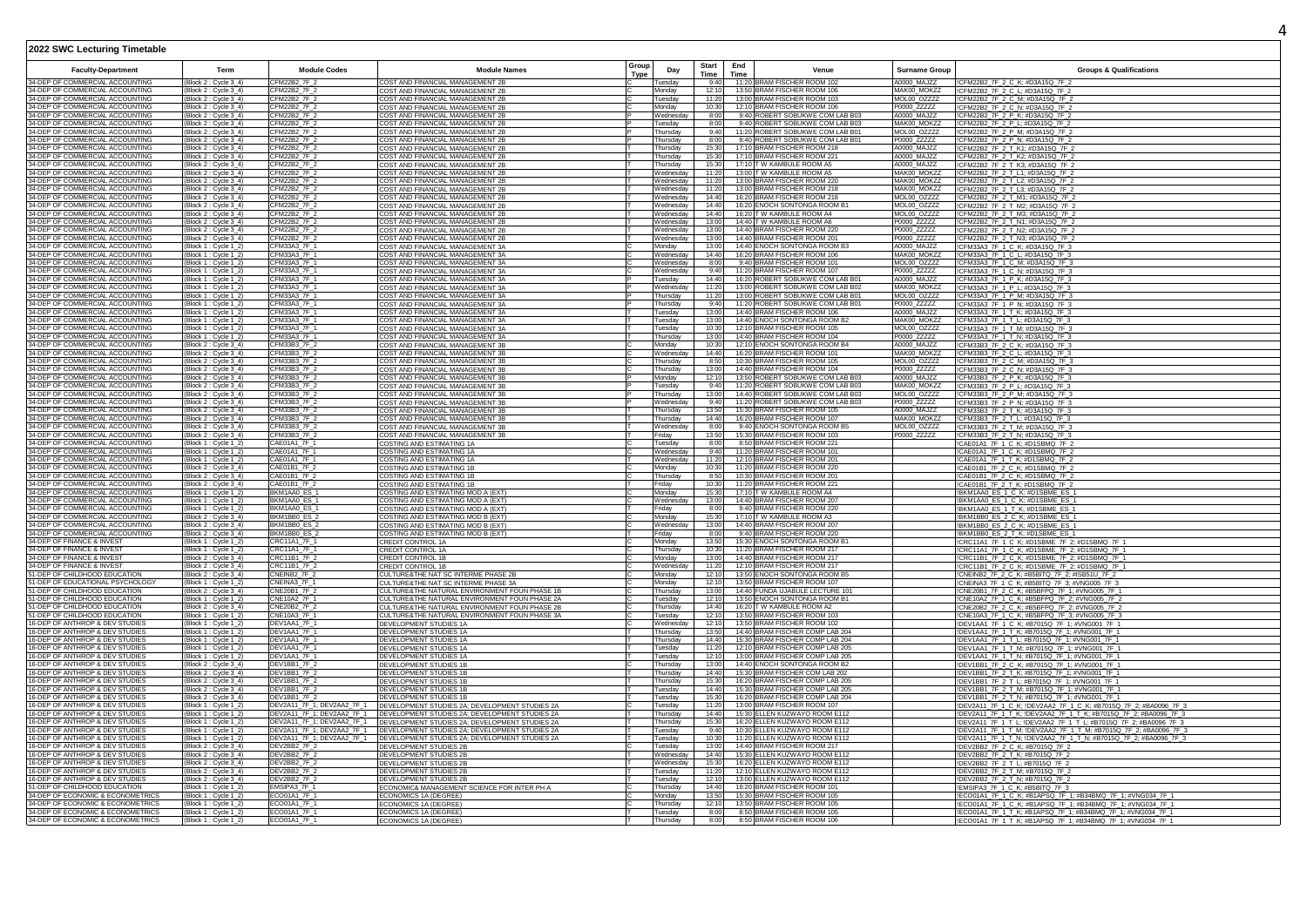| <b>Faculty-Department</b>                                              | Term                                           | <b>Module Codes</b>                                      | <b>Module Names</b>                                                                  | Group | Day                            | <b>Start</b>   | End<br>Venue                                                         | Surname Group              | <b>Groups &amp; Qualifications</b>                                                                                         |
|------------------------------------------------------------------------|------------------------------------------------|----------------------------------------------------------|--------------------------------------------------------------------------------------|-------|--------------------------------|----------------|----------------------------------------------------------------------|----------------------------|----------------------------------------------------------------------------------------------------------------------------|
| 34-DFP OF COMMERCIAL ACCOUNTING                                        | Block 2 : Cycle 3_4)                           | CFM22B2_7F_2                                             | COST AND FINANCIAL MANAGEMENT 2B                                                     | Type  | Tuesday                        | Time<br>9:40   | Time<br>11:20 BRAM FISCHER ROOM 102                                  | A0000 MAJZZ                | !CFM22B2_7F_2_C_K; #D3A15Q_7F_2                                                                                            |
| 34-DEP OF COMMERCIAL ACCOUNTING                                        | Block 2 : Cycle 3_4)                           | CFM22B2_7F_2                                             | OST AND FINANCIAL MANAGEMENT 2E                                                      |       | Monday                         | 12:10          | 13:50 BRAM FISCHER ROOM 106                                          | MAK00_MOKZZ                | ICFM22B2_7F_2_C_L; #D3A15Q_7F_                                                                                             |
| 34-DEP OF COMMERCIAL ACCOUNTING                                        | Block 2 : Cycle 3_4)                           | CFM22B2 7F 2                                             | COST AND FINANCIAL MANAGEMENT 2E                                                     |       | Tuesday                        | 11:20          | 13:00 BRAM FISCHER ROOM 103                                          | MOL00 OZZZZ                | ICFM22B2_7F_2_C_M; #D3A15Q_7F_2                                                                                            |
| 34-DEP OF COMMERCIAL ACCOUNTING<br>34-DEP OF COMMERCIAL ACCOUNTING     | Block 2 : Cycle 3 4)                           | CFM22B2 7F 2<br>CFM22B2_7F_2                             | COST AND FINANCIAL MANAGEMENT 2B                                                     |       | Mondav                         | 10:30          | 12:10 BRAM FISCHER ROOM 106<br>9:40 ROBERT SOBUKWE COM LAB B03       | P0000 ZZZZZ<br>A0000 MAJ77 | CFM22B2_7F_2_C_N; #D3A15Q_7F_2                                                                                             |
| 34-DEP OF COMMERCIAL ACCOUNTING                                        | Block 2 : Cvcle 3 4)<br>Block 2 : Cycle 3_4)   | CFM22B2 7F 2                                             | COST AND FINANCIAL MANAGEMENT 2B<br>COST AND FINANCIAL MANAGEMENT 2B                 |       | Wednesday<br>Tuesday           | 8:00<br>8:00   | 9:40 ROBERT SOBUKWE COM LAB B03                                      | MAK00 MOKZZ                | !CFM22B2_7F_2_P_K; #D3A15Q_7F_2<br>!CFM22B2_7F_2_P_L; #D3A15Q_7F_2                                                         |
| 34-DEP OF COMMERCIAL ACCOUNTING                                        | Block 2 : Cycle 3_4)                           | FM22B2_7F_2                                              | OST AND FINANCIAL MANAGEMENT 2B                                                      |       | Thursday                       | 9:40           | 11:20 ROBERT SOBUKWE COM LAB B01                                     | MOL00_OZZZZ                | CFM22B2_7F_2_P_M; #D3A15Q_7F_2                                                                                             |
| 34-DEP OF COMMERCIAL ACCOUNTING                                        | Block 2 : Cycle 3_4)                           | CFM22B2_7F_2                                             | COST AND FINANCIAL MANAGEMENT 2B                                                     |       | Thursdav                       | 8:00           | 9:40 ROBERT SOBUKWE COM LAB B01                                      | P0000_ZZZZZ                | CFM22B2_7F_2_P_N; #D3A15Q_7F_2                                                                                             |
| 34-DEP OF COMMERCIAL ACCOUNTING<br>34-DEP OF COMMERCIAL ACCOUNTING     | Block 2 : Cycle 3_4)                           | <b>FM22B2 7F 2</b>                                       | OST AND FINANCIAL MANAGEMENT 2B                                                      |       | hursdav                        | 15:30          | 17:10 BRAM FISCHER ROOM 218<br>17:10 BRAM FISCHER ROOM 221           | A0000 MAJZZ                | CFM22B2_7F_2_T_K1; #D3A15Q_7F_2<br>CFM22B2_7F_2_T_K2; #D3A15Q_7F_2                                                         |
| 34-DEP OF COMMERCIAL ACCOUNTING                                        | Block 2 : Cycle 3_4)<br>Block 2 : Cycle 3_4)   | CFM22B2_7F_2<br>CFM22B2_7F_2                             | COST AND FINANCIAL MANAGEMENT 2B<br>COST AND FINANCIAL MANAGEMENT 2B                 |       | Thursday<br>Thursday           | 15:30<br>15:30 | 17:10 T W KAMBULE ROOM A5                                            | A0000 MAJ77<br>A0000_MAJZZ | ICFM22B2_7F_2_T_K3; #D3A15Q_7F_2                                                                                           |
| 34-DEP OF COMMERCIAL ACCOUNTING                                        | Block 2 : Cycle 3_4)                           | CFM22B2_7F_2                                             | COST AND FINANCIAL MANAGEMENT 2B                                                     |       | Vednesday                      | 11:20          | 13:00 T W KAMBULE ROOM A5                                            | MAK00_MOKZZ                | ICFM22B2_7F_2_T_L1; #D3A15Q_7F_2                                                                                           |
| 34-DEP OF COMMERCIAL ACCOUNTING                                        | Block 2 : Cycle 3_4)                           | CFM22B2 7F 2                                             | COST AND FINANCIAL MANAGEMENT 2B                                                     |       | Wednesday                      | 11:20          | 13:00 BRAM FISCHER ROOM 220                                          | MAK00 MOKZZ                | ICFM22B2_7F_2_T_L2; #D3A15Q_7F_2                                                                                           |
| 34-DEP OF COMMERCIAL ACCOUNTING<br>34-DEP OF COMMERCIAL ACCOUNTING     | Block 2 : Cycle 3 4)                           | FM22B2 7F 2<br>CFM22B2 7F 2                              | COST AND FINANCIAL MANAGEMENT 2B                                                     |       | Vednesdav                      | 11:20          | 13:00 BRAM FISCHER ROOM 218<br>16:20 BRAM FISCHER ROOM 218           | MAK00 MOKZZ<br>MOL00 OZZZZ | CFM22B2_7F_2_T_L3; #D3A15Q_7F_2                                                                                            |
| 34-DEP OF COMMERCIAL ACCOUNTING                                        | Block 2 : Cycle 3_4)<br>Block 2 : Cycle 3_4)   | CFM22B2 7F 2                                             | COST AND FINANCIAL MANAGEMENT 2B<br>COST AND FINANCIAL MANAGEMENT 2B                 |       | <i>N</i> ednesdav<br>Wednesday | 14.40<br>14:40 | 16:20 ENOCH SONTONGA ROOM B1                                         | MOL00_OZZZZ                | !CFM22B2_7F_2_T_M1; #D3A15Q_7F_2<br>!CFM22B2_7F_2_T_M2; #D3A15Q_7F_2                                                       |
| 34-DEP OF COMMERCIAL ACCOUNTING                                        | Block 2 : Cycle 3_4)                           | CFM22B2_7F_2                                             | COST AND FINANCIAL MANAGEMENT 2B                                                     |       | Wednesday                      | 14:40          | 16:20 T W KAMBULE ROOM A4                                            | MOL00_OZZZZ                | ICFM22B2_7F_2_T_M3; #D3A15Q_7F_2                                                                                           |
| 34-DEP OF COMMERCIAL ACCOUNTING                                        | Block 2 : Cycle 3_4)                           | FM22B2_7F_2                                              | COST AND FINANCIAL MANAGEMENT 2B                                                     |       | Wednesdav                      | 13:00          | 14:40 T W KAMBULE ROOM A6                                            | P0000_ZZZZZ                | CFM22B2_7F_2_T_N1; #D3A15Q_7F_2                                                                                            |
| 34-DEP OF COMMERCIAL ACCOUNTING<br>34-DEP OF COMMERCIAL ACCOUNTING     | Block 2 : Cycle 3_4)                           | CFM22B2 7F 2                                             | COST AND FINANCIAL MANAGEMENT 2B<br>COST AND FINANCIAL MANAGEMENT 2B                 |       | Wednesdav                      | 13:00<br>13:00 | 14:40 BRAM FISCHER ROOM 220<br>14:40 BRAM FISCHER ROOM 201           | P0000_ZZZZZ<br>P0000 77777 | ICFM22B2_7F_2_T_N2; #D3A15Q_7F_2<br>CFM22B2_7F_2_T_N3; #D3A15Q_7F_2                                                        |
| 34-DEP OF COMMERCIAL ACCOUNTING                                        | Block 2: Cycle 3_4)<br>Block 1 : Cycle 1_2)    | CFM22B2_7F_2<br>CFM33A3_7F_1                             | COST AND FINANCIAL MANAGEMENT 3A                                                     |       | Wednesday<br>Monday            | 13:00          | 14:40 ENOCH SONTONGA ROOM B3                                         | A0000 MAJZZ                | !CFM33A3_7F_1_C_K; #D3A15Q_7F_3                                                                                            |
| 34-DEP OF COMMERCIAL ACCOUNTING                                        | Block 1 : Cycle 1_2)                           | CFM33A3_7F_1                                             | COST AND FINANCIAL MANAGEMENT 3A                                                     |       | Wednesday                      | 14:40          | 16:20 BRAM FISCHER ROOM 106                                          | MAK00_MOKZZ                | !CFM33A3_7F_1_C_L; #D3A15Q_7F_3                                                                                            |
| 34-DEP OF COMMERCIAL ACCOUNTING                                        | Block 1 : Cycle 1_2)                           | CFM33A3_7F_1                                             | COST AND FINANCIAL MANAGEMENT 3A                                                     |       | Wednesday                      | 8:00           | 9:40 BRAM FISCHER ROOM 101                                           | MOL00_OZZZZ                | ICFM33A3 7F 1 C M; #D3A15Q 7F 3                                                                                            |
| 34-DEP OF COMMERCIAL ACCOUNTING<br>34-DEP OF COMMERCIAL ACCOUNTING     | Block 1 : Cvcle 1 2<br>Block 1 : Cycle 1-2     | FM33A3 7F 1<br>CFM33A3 7F 1                              | COST AND FINANCIAL MANAGEMENT 3A                                                     |       | Wednesdav<br>Tuesdav           | 9:40<br>14:40  | 11:20 BRAM FISCHER ROOM 107<br>16:20 ROBERT SOBUKWE COM LAB B01      | P0000 ZZZZZ<br>A0000 MAJZZ | ICFM33A3_7F_1_C_N; #D3A15Q_7F_3                                                                                            |
| 34-DEP OF COMMERCIAL ACCOUNTING                                        | Block 1 : Cycle 1_2)                           | CFM33A3 7F 1                                             | COST AND FINANCIAL MANAGEMENT 3A<br>COST AND FINANCIAL MANAGEMENT 3A                 |       | Wednesday                      | 11:20          | 13:00 ROBERT SOBUKWE COM LAB B02                                     | MAK00 MOKZZ                | !CFM33A3_7F_1_P_K; #D3A15Q_7F_3<br>!CFM33A3_7F_1_P_L; #D3A15Q_7F_3                                                         |
| 34-DEP OF COMMERCIAL ACCOUNTING                                        | Block 1 : Cycle 1_2)                           | CFM33A3_7F_1                                             | COST AND FINANCIAL MANAGEMENT 3A                                                     |       | Thursday                       | 11:20          | 13:00 ROBERT SOBUKWE COM LAB B01                                     | MOL00_OZZZZ                | !CFM33A3_7F_1_P_M; #D3A15Q_7F_3                                                                                            |
| 34-DEP OF COMMERCIAL ACCOUNTING                                        | Block 1 : Cycle 1_2)                           | CFM33A3 7F 1                                             | COST AND FINANCIAL MANAGEMENT 3A                                                     |       | Thursday                       | 9:40           | 11:20 ROBERT SOBUKWE COM LAB B01                                     | P0000 ZZZZZ                | CFM33A3_7F_1_P_N; #D3A15Q_7F_3                                                                                             |
| 34-DEP OF COMMERCIAL ACCOUNTING<br>34-DEP OF COMMERCIAL ACCOUNTING     | Block 1 : Cycle 1_2                            | CFM33A3 7F 1<br>CFM33A3 7F 1                             | COST AND FINANCIAL MANAGEMENT 3A<br>COST AND FINANCIAL MANAGEMENT 3A                 |       | Tuesday                        | 13:00<br>13:00 | 14:40 BRAM FISCHER ROOM 106                                          | A0000 MAJZZ<br>MAK00 MOKZZ | CFM33A3_7F_1_T_K; #D3A15Q_7F_3<br>CFM33A3_7F_1_T_L; #D3A15Q_7F_3                                                           |
| 34-DEP OF COMMERCIAL ACCOUNTING                                        | Block 1: Cycle 1_2)<br>Block 1 : Cycle 1_2)    | CFM33A3 7F 1                                             | COST AND FINANCIAL MANAGEMENT 3A                                                     |       | Tuesday<br>Tuesday             | 10:30          | 14:40 ENOCH SONTONGA ROOM B2<br>12:10 BRAM FISCHER ROOM 105          | MOL00_OZZZZ                | !CFM33A3_7F_1_T_M; #D3A15Q_7F_3                                                                                            |
| 34-DEP OF COMMERCIAL ACCOUNTING                                        | Block 1 : Cycle 1_2)                           | CFM33A3_7F_1                                             | COST AND FINANCIAL MANAGEMENT 3A                                                     |       | Thursday                       | 13:00          | 14:40 BRAM FISCHER ROOM 104                                          | P0000_ZZZZZ                | !CFM33A3_7F_1_T_N; #D3A15Q_7F_3                                                                                            |
| 34-DEP OF COMMERCIAL ACCOUNTING                                        | Block 2 : Cycle 3_4)                           | CFM33B3 7F 2                                             | COST AND FINANCIAL MANAGEMENT 3B                                                     |       | Monday                         | 10:30          | 12:10 ENOCH SONTONGA ROOM B4                                         | A0000 MAJZZ                | ICFM33B3 7F 2 C K; #D3A15Q 7F 3                                                                                            |
| 34-DEP OF COMMERCIAL ACCOUNTING<br>34-DEP OF COMMERCIAL ACCOUNTING     | Block 2 : Cycle 3 4)                           | CFM33B3 7F 2<br>CFM33B3 7F 2                             | COST AND FINANCIAL MANAGEMENT 3B                                                     |       | Wednesdav                      | 14:40<br>8:50  | 16:20 BRAM FISCHER ROOM 101<br>10:30 BRAM FISCHER ROOM 105           | MAK00 MOKZZ<br>MOL00 OZZZZ | ICFM33B3_7F_2_C_L; #D3A15Q_7F_3                                                                                            |
| 34-DEP OF COMMERCIAL ACCOUNTING                                        | Block 2: Cycle 3 4)<br>Block 2 : Cycle 3_4)    | CFM33B3 7F 2                                             | COST AND FINANCIAL MANAGEMENT 3B<br>COST AND FINANCIAL MANAGEMENT 3B                 |       | Thursday<br>Thursday           | 13:00          | 14:40 BRAM FISCHER ROOM 104                                          | P0000 ZZZZZ                | <u>ICFM33B3_7F_2_C_M; #D3A15Q_7F_3</u><br>!CFM33B3_7F_2_C_N; #D3A15Q_7F_3                                                  |
| 34-DEP OF COMMERCIAL ACCOUNTING                                        | Block 2 : Cycle 3_4)                           | CFM33B3_7F_2                                             | COST AND FINANCIAL MANAGEMENT 3B                                                     |       | Monday                         | 12:10          | 13:50 ROBERT SOBUKWE COM LAB B03                                     | A0000_MAJZZ                | ICFM33B3_7F_2_P_K; #D3A15Q_7F_3                                                                                            |
| 34-DEP OF COMMERCIAL ACCOUNTING                                        | Block 2 : Cycle 3_4)                           | CFM33B3 7F 2                                             | COST AND FINANCIAL MANAGEMENT 3B                                                     |       | uesday                         | 9:40           | 11:20 ROBERT SOBUKWE COM LAB B03                                     | MAK00 MOKZZ                | !CFM33B3_7F_2_P_L; #D3A15Q_7F_3                                                                                            |
| 34-DEP OF COMMERCIAL ACCOUNTING<br>34-DEP OF COMMERCIAL ACCOUNTING     | Block 2 : Cycle 3_4                            | CFM33B3_7F_2<br>CFM33B3_7F_2                             | COST AND FINANCIAL MANAGEMENT 3B<br>COST AND FINANCIAL MANAGEMENT 3B                 |       | Thursday                       | 13:00<br>9:40  | 14:40 ROBERT SOBUKWE COM LAB B03<br>11:20 ROBERT SOBUKWE COM LAB B03 | MOL00_OZZZZ<br>P0000_ZZZZZ | ICFM33B3_7F_2_P_M; #D3A15Q_7F_3<br>ICFM33B3_7F_2_P_N; #D3A15Q_7F_3                                                         |
| 34-DEP OF COMMERCIAL ACCOUNTING                                        | Block 2 : Cycle 3_4)<br>Block 2 : Cycle 3_4)   | CFM33B3_7F_2                                             | COST AND FINANCIAL MANAGEMENT 3B                                                     |       | Wednesday<br>Thursday          | 13:50          | 15:30 BRAM FISCHER ROOM 105                                          | A0000 MAJZZ                | CFM33B3_7F_2_T_K; #D3A15Q_7F_3                                                                                             |
| 34-DEP OF COMMERCIAL ACCOUNTING                                        | Block 2 : Cycle 3_4)                           | CFM33B3_7F_2                                             | COST AND FINANCIAL MANAGEMENT 3B                                                     |       | Thursday                       | 14:40          | 16:20 BRAM FISCHER ROOM 107                                          | MAK00_MOKZZ                | !CFM33B3_7F_2_T_L; #D3A15Q_7F_3<br>!CFM33B3_7F_2_T_M; #D3A15Q_7F_3                                                         |
| 34-DEP OF COMMERCIAL ACCOUNTING<br>34-DEP OF COMMERCIAL ACCOUNTING     | Block 2 : Cycle 3_4)<br>Block 2 : Cycle 3 4    | CFM33B3 7F 2<br>FM33B3 7F 2                              | COST AND FINANCIAL MANAGEMENT 3E                                                     |       | Wednesday                      | 8:00<br>13:50  | 9:40 ENOCH SONTONGA ROOM B5<br>15:30 BRAM FISCHER ROOM 103           | MOL00 OZZZZ<br>P0000 ZZZZZ |                                                                                                                            |
| 34-DEP OF COMMERCIAL ACCOUNTING                                        | Block 1 : Cycle 1-2)                           | CAE01A1_7F_1                                             | COST AND FINANCIAL MANAGEMENT 3B<br>COSTING AND ESTIMATING 1A                        |       | Fridav<br>Tuesdav              | 8:00           | 8:50 BRAM FISCHER ROOM 221                                           |                            | ICFM33B3_7F_2_T_N; #D3A15Q_7F_3<br>!CAE01A1_7F_1_C_K; #D1SBMQ_7F_2                                                         |
| 34-DEP OF COMMERCIAL ACCOUNTING                                        | Block 1 : Cycle 1_2)                           | CAE01A1 7F 1                                             | COSTING AND ESTIMATING 1A                                                            |       | Wednesday                      | 9:40           | 11:20 BRAM FISCHER ROOM 101                                          |                            | CAE01A1_7F_1_C_K; #D1SBMQ_7F_2                                                                                             |
| 34-DEP OF COMMERCIAL ACCOUNTING                                        | Block 1 : Cycle 1_2]                           | CAE01A1 7F 1                                             | OSTING AND ESTIMATING 1A                                                             |       | Wednesday                      | 11:20          | 12:10 BRAM FISCHER ROOM 201                                          |                            | CAE01A1_7F_1_T_K; #D1SBMQ_7F_2                                                                                             |
| 34-DEP OF COMMERCIAL ACCOUNTING<br>34-DEP OF COMMERCIAL ACCOUNTING     | Block 2 : Cycle 3_4)<br>Block 2 : Cycle 3_4)   | CAE01B1_7F_2<br>CAE01B1_7F_2                             | COSTING AND ESTIMATING 1B<br>COSTING AND ESTIMATING 1B                               |       | Monday<br>Thursday             | 10:30<br>8:50  | 11:20 BRAM FISCHER ROOM 220<br>10:30 BRAM FISCHER ROOM 201           |                            | !CAE01B1_7F_2_C_K; #D1SBMQ_7F_2                                                                                            |
| 34-DEP OF COMMERCIAL ACCOUNTING                                        | Block 2 : Cycle 3_4)                           | CAE01B1_7F_2                                             | COSTING AND ESTIMATING 1B                                                            |       | Fridav                         | 10:30          | 11:20 BRAM FISCHER ROOM 221                                          |                            | CAE01B1_7F_2_C_K; #D1SBMQ_7F_2<br>!CAE01B1_7F_2_T_K; #D1SBMQ_7F_2                                                          |
| 34-DEP OF COMMERCIAL ACCOUNTING                                        | Block 1 : Cycle 1_2)                           | BKM1AA0_ES_1                                             | COSTING AND ESTIMATING MOD A (EXT)                                                   |       | Monday                         | 15:30          | 17:10 T W KAMBULE ROOM A4                                            |                            | BKM1AA0_ES_1_C_K; #D1SBME_ES_1                                                                                             |
| 34-DEP OF COMMERCIAL ACCOUNTING                                        | Block 1 : Cycle 1_2)                           | BKM1AA0_ES_                                              | OSTING AND ESTIMATING MOD A (EXT)                                                    |       | Wednesday                      | 13:00          | 14:40 BRAM FISCHER ROOM 207                                          |                            | !BKM1AA0_ES_1_C_K; #D1SBME_ES_1                                                                                            |
| 34-DEP OF COMMERCIAL ACCOUNTING<br>34-DEP OF COMMERCIAL ACCOUNTING     | Block 1 : Cycle 1_2)<br>Block 2 : Cvcle 3 4)   | BKM1AA0_ES_<br>BKM1BB0 ES 2                              | COSTING AND ESTIMATING MOD A (EXT)<br>OSTING AND ESTIMATING MOD B (EXT)              |       | Friday<br>Monday               | 8:00<br>15:30  | 9:40 BRAM FISCHER ROOM 220<br>17:10 T W KAMBULE ROOM A3              |                            | BKM1AA0_ES_1_T_K; #D1SBME_ES_1<br>BKM1BB0 ES 2 C K; #D1SBME ES 1                                                           |
| 34-DEP OF COMMERCIAL ACCOUNTING                                        | Block 2 : Cycle 3 4)                           | BKM1BB0 FS 2                                             | COSTING AND ESTIMATING MOD B (EXT)                                                   |       | Wednesday                      | 13:00          | 14:40 BRAM FISCHER ROOM 207                                          |                            | !BKM1BB0 ES 2 C K; #D1SBME ES 1                                                                                            |
| 34-DEP OF COMMERCIAL ACCOUNTING                                        | Block 2 : Cycle 3_4)                           | BKM1BB0 ES 2                                             | COSTING AND ESTIMATING MOD B (EXT)                                                   |       | Friday                         | 8:00           | 9:40 BRAM FISCHER ROOM 220                                           |                            | BKM1BB0 ES 2 T_K; #D1SBME ES 1                                                                                             |
| 34-DEP OF FINANCE & INVEST<br>34-DEP OF FINANCE & INVEST               | Block 1 : Cycle 1_2)                           | CRC11A1_7F_1<br>CRC11A1_7F_1                             | CREDIT CONTROL 1A                                                                    |       | Monday<br>Thursdav             | 13:50<br>10:30 | 15:30 ENOCH SONTONGA ROOM B1<br>11:20 BRAM FISCHER ROOM 217          |                            | ICRC11A1_7F_1_C_K; #D1SBME_7F_2; #D1SBMQ_7F_1                                                                              |
| 34-DEP OF FINANCE & INVEST                                             | Block 1 : Cycle 1_2)<br>Block 2: Cycle 3_4     | CRC11B1_7F_2                                             | CREDIT CONTROL 1A<br>CREDIT CONTROL 1B                                               |       | Monday                         | 13:00          | 14:40 BRAM FISCHER ROOM 217                                          |                            | ICRC11A1_7F_1_C_K; #D1SBME_7F_2; #D1SBMQ_7F_1<br>ICRC11B1_7F_2_C_K; #D1SBME_7F_2; #D1SBMQ_7F_1                             |
| 34-DEP OF FINANCE & INVEST                                             | Block 2 : Cycle 3 4)                           | CRC11B1_7F_2                                             | <b>CREDIT CONTROL 1B</b>                                                             |       | Wednesda                       | 11:20          | 12:10 BRAM FISCHER ROOM 217                                          |                            | CRC11B1_7F_2_C_K; #D1SBME_7F_2; #D1SBMQ_7F_1                                                                               |
| 51-DEP OF CHILDHOOD EDUCATION                                          | Block 2 : Cycle 3_4)                           | CNEINB <sub>2</sub> 7F <sub>2</sub>                      | CULTURE&THE NAT SC INTERME PHASE 2B                                                  |       | Monday                         | 12:10          | 13:50 ENOCH SONTONGA ROOM B5                                         |                            | CNEINB2_7F_2_C_K; #B5BITQ_7F_2; #ISB51U_7F_2                                                                               |
| 51-DEP OF EDUCATIONAL PSYCHOLOGY<br>51-DEP OF CHILDHOOD EDUCATION      | Block 1 : Cycle 1_2)<br>Block 2 : Cycle 3_4)   | CNEINA3_7F_1<br>NE20B1_7F_2                              | CULTURE&THE NAT SC INTERME PHASE 3A<br>CULTURE&THE NATURAL ENVIRONMENT FOUN PHASE 1B |       | Monday<br>Thursday             | 12:10<br>13:00 | 13:50 BRAM FISCHER ROOM 107<br>14:40 FUNDA UJABULE LECTURE 101       |                            | ICNEINA3_7F_1_C_K; #B5BITQ_7F_3; #VNG005_7F_3<br>CNE20B1_7F_2_C_K; #B5BFPQ_7F_1; #VNG005_7F_1                              |
| 51-DEP OF CHILDHOOD EDUCATION                                          | Block 1 : Cycle 1_2                            | <b>CNE10A2 7F1</b>                                       | CULTURE&THE NATURAL ENVIRONMENT FOUN PHASE 2A                                        |       | uesdav                         | 12:1           | 13:50 ENOCH SONTONGA ROOM B1                                         |                            | CNE10A2 7F 1 C K; #B5BFPQ 7F 2; #VNG005 7F 2                                                                               |
| 51-DEP OF CHILDHOOD EDUCATION                                          | Block 2 : Cycle 3 4)                           | CNE20B2 7F 2                                             | CULTURE&THE NATURAL ENVIRONMENT FOUN PHASE 2B                                        |       | Thursday                       | 14:40          | 16:20 T W KAMBULE ROOM A2                                            |                            | CNE20B2 7F 2 C K; #B5BFPQ 7F 2; #VNG005 7F 2                                                                               |
| 51-DEP OF CHILDHOOD EDUCATION<br>16-DEP OF ANTHROP & DEV STUDIES       | Block 1 : Cycle 1_2)                           | CNE10A3 7F 1<br>DEV1AA1_7F_1                             | CULTURE&THE NATURAL ENVIRONMENT FOUN PHASE 3A                                        |       | Tuesday<br>Wednesda            | 12:10<br>12:10 | 13:50 BRAM FISCHER ROOM 103<br>13:50 BRAM FISCHER ROOM 102           |                            | !CNE10A3_7F_1_C_K; #B5BFPQ_7F_3; #VNG005_7F_3                                                                              |
| 16-DEP OF ANTHROP & DEV STUDIES                                        | Block 1 : Cycle 1_2)<br>Block 1 : Cycle 1_2)   | DEV1AA1_7F_1                                             | DEVELOPMENT STUDIES 1A<br>DEVELOPMENT STUDIES 1A                                     |       | Thursdav                       | 13:50          | 14:40 BRAM FISCHER COMP LAB 204                                      |                            | !DEV1AA1_7F_1_C_K; #B7015Q_7F_1; #VNG001_7F_1<br>!DEV1AA1_7F_1_T_K; #B7015Q_7F_1; #VNG001_7F_1                             |
| 16-DEP OF ANTHROP & DEV STUDIES                                        | Block 1 : Cycle 1_2                            | DEV1AA1_7F_1                                             | DEVELOPMENT STUDIES 1A                                                               |       | Thursday                       | 14:40          | 15:30 BRAM FISCHER COMP LAB 204                                      |                            | IDEV1AA1_7F_1_T_L;                                 #B7015Q_7F_1;                #VNG001_7F_1                               |
| 16-DEP OF ANTHROP & DEV STUDIES                                        | Block 1 : Cycle 1_2)                           | DEV1AA1_7F_1                                             | DEVELOPMENT STUDIES 1A                                                               |       | Tuesdav                        | 11:20          | 12:10 BRAM FISCHER COMP LAB 205                                      |                            | !DEV1AA1_7F_1_T_M; #B7015Q_7F_1; #VNG001_7F_1                                                                              |
| 16-DEP OF ANTHROP & DEV STUDIES<br>16-DEP OF ANTHROP & DEV STUDIES     | Block 1 : Cycle 1_2)                           | DEV1AA1 7F 1<br>DEV1BB1_7F_2                             | DEVELOPMENT STUDIES 1A                                                               |       | uesdav                         | 12:10<br>13:00 | 13:00 BRAM FISCHER COMP LAB 205                                      |                            | !DEV1AA1_7F_1_T_N; #B7015Q_7F_1; #VNG001_7F_1                                                                              |
| 16-DEP OF ANTHROP & DEV STUDIES                                        | Block 2 : Cycle 3_4)<br>Block 2 : Cycle 3_4)   | DEV1BB1_7F_2                                             | DEVELOPMENT STUDIES 1B<br>DEVELOPMENT STUDIES 1B                                     |       | Thursday<br>Thursday           | 14:40          | 14:40 ENOCH SONTONGA ROOM B2<br>15:30 BRAM FISCHER COM LAB 202       |                            | !DEV1BB1_7F_2_C_K; #B7015Q_7F_1; #VNG001_7F_1<br>!DEV1BB1_7F_2_T_K; #B7015Q_7F_1; #VNG001_7F_1                             |
| 16-DEP OF ANTHROP & DEV STUDIES                                        | Block 2 : Cycle 3_4)                           | DEV1BB1_7F_2                                             | DEVELOPMENT STUDIES 1E                                                               |       | Thursdav                       | 15:30          | 16:20 BRAM FISCHER COMP LAB 205                                      |                            | !DEV1BB1_7F_2_T_L; #B7015Q_7F_1; #VNG001_7F_1                                                                              |
| 16-DEP OF ANTHROP & DEV STUDIES                                        | Block 2: Cycle 3_4)                            | DFV1BB1_7F_2                                             | DEVELOPMENT STUDIES 1B                                                               |       | Tuesday                        | 14:40          | 15:30 BRAM FISCHER COMP LAB 205                                      |                            | !DEV1BB1_7F_2_T_M; #B7015Q_7F_1; #VNG001_7F_1                                                                              |
| 16-DEP OF ANTHROP & DEV STUDIES<br>16-DEP OF ANTHROP & DEV STUDIES     | Block 2 : Cycle 3_4)<br>Block 1 : Cycle 1_2)   | DEV1BB1 7F 2<br>DEV2A11_7F_1; DEV2AA2_7F_1               | DEVELOPMENT STUDIES 1B<br>DEVELOPMENT STUDIES 2A; DEVELOPMENT STUDIES 2A             |       | Tuesday<br>uesday              | 15:30<br>11:20 | 16:20 BRAM FISCHER COMP LAB 204<br>13:00 BRAM FISCHER ROOM 107       |                            | !DEV1BB1_7F_2_T_N; #B7015Q_7F_1; #VNG001_7F_1<br>IDEV2A11_7F_1_C_K; IDEV2AA2_7F_1_C_K; #B7015Q_7F_2; #BA0096_7F_3          |
| 16-DEP OF ANTHROP & DEV STUDIES                                        | Block 1 : Cycle 1_2)                           | DEV2A11_7F_1; DEV2AA2_7F_1                               | DEVELOPMENT STUDIES 2A; DEVELOPMENT STUDIES 2A                                       |       | Thursdav                       | 14:40          | 15:30 ELLEN KUZWAYO ROOM E112                                        |                            | !DEV2A11_7F_1_T_K; !DEV2AA2_7F_1_T_K; #B7015Q_7F_2; #BA0096_7F_3                                                           |
| 16-DEP OF ANTHROP & DEV STUDIES                                        | Block 1 : Cycle 1_2)                           | DEV2A11_7F_1; DEV2AA2_7F_1                               | DEVELOPMENT STUDIES 2A; DEVELOPMENT STUDIES 2A                                       |       | Thursday                       | 15:30          | 16:20 ELLEN KUZWAYO ROOM E112                                        |                            | IDEV2A11_7F_1_T_L; IDEV2AA2_7F_1_T_L; #B7015Q_7F_2; #BA0096_7F_3                                                           |
| 16-DEP OF ANTHROP & DEV STUDIES<br>16-DEP OF ANTHROP & DEV STUDIES     | Block 1 : Cycle 1_2)                           | DEV2A11_7F_1; DEV2AA2_7F_1<br>DEV2A11_7F_1; DEV2AA2_7F_1 | DEVELOPMENT STUDIES 2A; DEVELOPMENT STUDIES 2A                                       |       | Tuesdav<br>Tuesdav             | 9:40<br>10:30  | 10:30 ELLEN KUZWAYO ROOM E112<br>11:20 FLLEN KUZWAYO ROOM E112       |                            | !DEV2A11_7F_1_T_M; !DEV2AA2_7F_1_T_M; #B7015Q_7F_2; #BA0096_7F_3                                                           |
| 16-DEP OF ANTHROP & DEV STUDIES                                        | Block 1 : Cycle 1_2)<br>Block 2 : Cycle 3_4)   | DEV2BB2_7F_2                                             | DEVELOPMENT STUDIES 2A; DEVELOPMENT STUDIES 2A<br>DEVELOPMENT STUDIES 2B             |       | Tuesday                        | 13:00          | 14:40 BRAM FISCHER ROOM 217                                          |                            | IDEV2A11_7F_1_T_N; IDEV2AA2_7F_1_T_N; #B7015Q_7F_2; #BA0096_7F_3<br>!DEV2BB2_7F_2_C_K; #B7015Q_7F_2                        |
| 16-DEP OF ANTHROP & DEV STUDIES                                        | Block 2 : Cycle 3_4)                           | DEV2BB2_7F_2                                             | DEVELOPMENT STUDIES 2B                                                               |       | Wednesday                      | 14:40          | 15:30 ELLEN KUZWAYO ROOM E112                                        |                            | !DEV2BB2_7F_2_T_K; #B7015Q_7F_2                                                                                            |
| 16-DEP OF ANTHROP & DEV STUDIES                                        | Block 2: Cycle 3_4)                            | DEV2BB2_7F_2                                             | DEVELOPMENT STUDIES 2B                                                               |       | Wednesday                      | 15:30          | 16:20 ELLEN KUZWAYO ROOM E112                                        |                            | !DEV2BB2_7F_2_T_L; #B7015Q_7F_2                                                                                            |
| 16-DEP OF ANTHROP & DEV STUDIES<br>16-DEP OF ANTHROP & DEV STUDIES     | Block 2 : Cycle 3_4)<br>Block 2 : Cycle 3_4)   | DEV2BB2_7F_2<br>DEV2BB2_7F_2                             | DEVELOPMENT STUDIES 2B<br>DEVELOPMENT STUDIES 2B                                     |       | Tuesday<br>Tuesday             | 11:20<br>12:10 | 12:10 ELLEN KUZWAYO ROOM E112<br>13:00 ELLEN KUZWAYO ROOM E112       |                            | IDEV2BB2_7F_2_T_M; #B7015Q_7F_2                                                                                            |
| 51-DEP OF CHILDHOOD EDUCATION                                          | Block 1 : Cycle 1_2)                           | EMSIPA3 7F 1                                             | ECONOMIC& MANAGEMENT SCIENCE FOR INTER PH A                                          |       | Thursday                       | 14:40          | 16:20 BRAM FISCHER ROOM 101                                          |                            | !DEV2BB2_7F_2_T_N; #B7015Q_7F_2<br>!EMSIPA3_7F_1_C_K; #B5BITQ_7F_3                                                         |
| 34-DEP OF ECONOMIC & ECONOMETRICS                                      | Block 1 : Cycle 1_2)                           | ECO01A1_7F_1                                             | ECONOMICS 1A (DEGREE)                                                                |       | Mondav                         | 13:50          | 15:30 BRAM FISCHER ROOM 105                                          |                            | ECO01A1_7F_1_C_K; #B1APSQ_7F_1; #B34BMQ_7F_1; #VNG034_7F_1                                                                 |
| 34-DEP OF ECONOMIC & ECONOMETRICS<br>34-DEP OF ECONOMIC & ECONOMETRICS | Block 1 : Cycle 1_2                            | <b>ECO01A1 7F 1</b><br>ECO01A1_7F_1                      | ECONOMICS 1A (DEGREE)                                                                |       | Thursday<br>Tuesdav            | 12:1<br>8:00   | 13:50 BRAM FISCHER ROOM 105<br>8:50 BRAM FISCHER ROOM 105            |                            | !ECO01A1_7F_1_C_K; #B1APSQ_7F_1; #B34BMQ_7F_1; #VNG034_7F_1                                                                |
| 34-DEP OF ECONOMIC & ECONOMETRICS                                      | (Block 1 : Cycle 1_2)<br>(Block 1 : Cycle 1_2) | ECO01A1 7F 1                                             | ECONOMICS 1A (DEGREE)<br>ECONOMICS 1A (DEGREE)                                       |       | Thursday                       | 8:00           | 8:50 BRAM FISCHER ROOM 106                                           |                            | !ECO01A1_7F_1_T_K; #B1APSQ_7F_1; #B34BMQ_7F_1; #VNG034_7F_1<br>IECO01A1 7F 1 T K: #B1APSQ 7F 1: #B34BMQ 7F 1: #VNG034 7F 1 |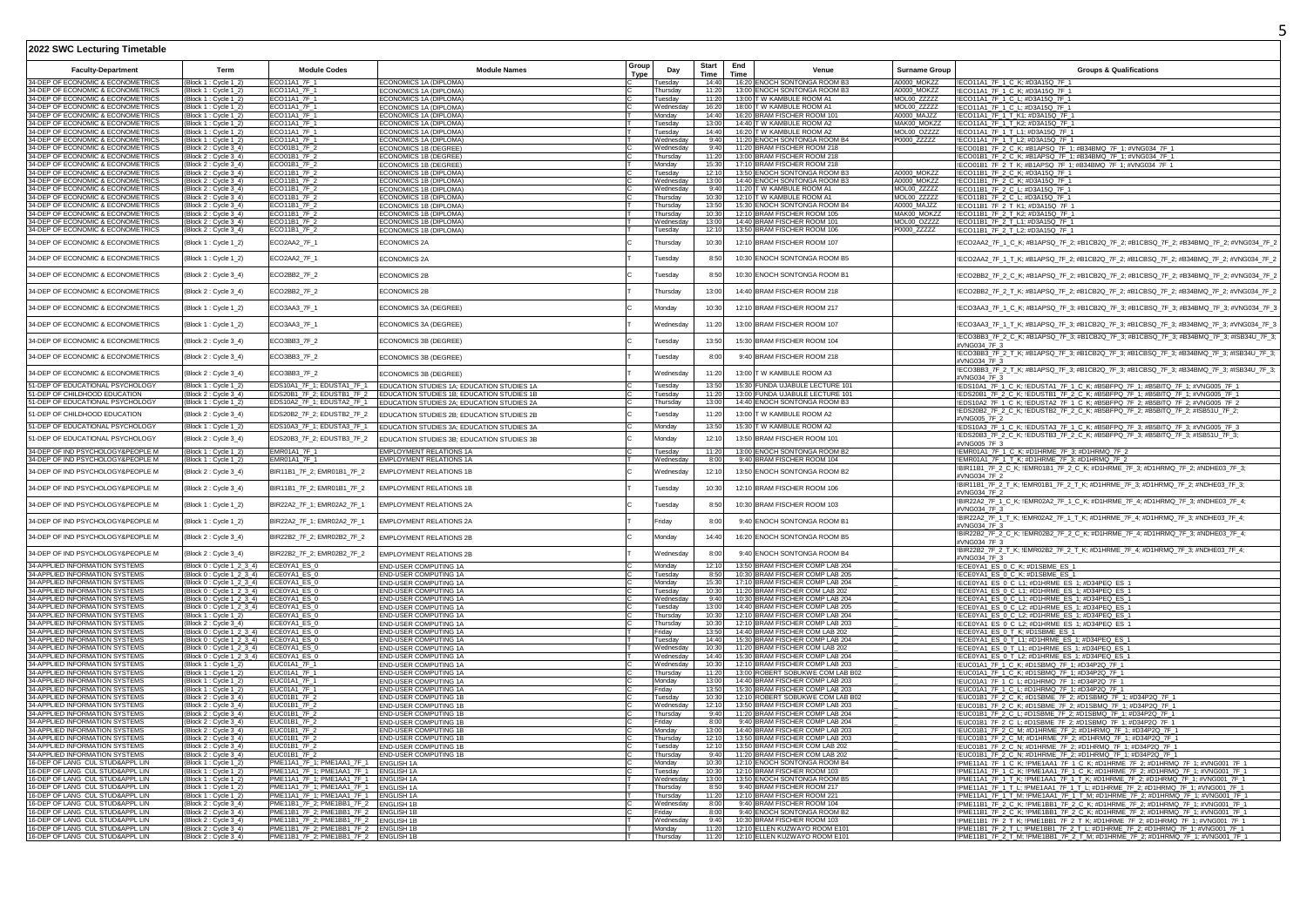|                                                                        |                                                                               |                                                                                |                                                                       | Group       |                      | <b>Start</b>   | End  |                                                                         |                            |                                                                                                                                                                  |
|------------------------------------------------------------------------|-------------------------------------------------------------------------------|--------------------------------------------------------------------------------|-----------------------------------------------------------------------|-------------|----------------------|----------------|------|-------------------------------------------------------------------------|----------------------------|------------------------------------------------------------------------------------------------------------------------------------------------------------------|
| <b>Faculty-Department</b>                                              | Term                                                                          | <b>Module Codes</b>                                                            | <b>Module Names</b>                                                   | <b>Type</b> | Day                  | <b>Time</b>    | Time | Venue                                                                   | <b>Surname Group</b>       | <b>Groups &amp; Qualifications</b>                                                                                                                               |
| 34-DEP OF ECONOMIC & ECONOMETRICS                                      | (Block 1 : Cycle 1 2                                                          | FCO11A1 7F 1                                                                   | ECONOMICS 1A (DIPLOMA)                                                |             | Tuesdav              | 14:40          |      | 16:20 FNOCH SONTONGA ROOM B3                                            | A0000 MOK77                | !ECO11A1_7F_1_C_K; #D3A15Q_7F_1                                                                                                                                  |
| 34-DEP OF ECONOMIC & ECONOMETRICS                                      | (Block 1 : Cycle 1_2                                                          | ECO11A1 7F 1                                                                   | <b>ECONOMICS 1A (DIPLOMA)</b>                                         |             | Thursday             | 11.20          |      | 13:00 ENOCH SONTONGA ROOM B3                                            | A0000 MOKZZ                | !ECO11A1_7F_1_C_K; #D3A15Q_7F_1                                                                                                                                  |
| 34-DEP OF ECONOMIC & ECONOMETRICS                                      | (Block 1: Cycle 1_2                                                           | FCO11A1 7F 1                                                                   | ECONOMICS 1A (DIPLOMA)                                                |             | Tuesday              | 11:20          |      | 13:00 TW KAMBULE ROOM A1                                                | MOL00 ZZZZZ                | !ECO11A1 7F 1 C L: #D3A15Q 7F 1                                                                                                                                  |
| 34-DEP OF ECONOMIC & ECONOMETRICS<br>34-DEP OF ECONOMIC & ECONOMETRICS | Block 1 : Cycle 1_2<br>Block 1 : Cycle 1 :                                    | ECO11A1 7F 1<br>ECO11A1_7F_1                                                   | ECONOMICS 1A (DIPLOMA)                                                |             | Wednesday<br>Monday  | 16:20<br>14:40 |      | 18:00 T W KAMBULE ROOM A1<br>16:20 BRAM FISCHER ROOM 101                | MOL00 ZZZZZ<br>A0000 MAJZZ | !ECO11A1_7F_1_C_L; #D3A15Q_7F_1<br>IECO11A1_7F_1_T_K1; #D3A15Q_7F_1                                                                                              |
| 34-DEP OF ECONOMIC & ECONOMETRICS                                      | Block 1: Cycle 1 2                                                            | ECO11A1_7F_1                                                                   | CONOMICS 1A (DIPLOMA)<br>ECONOMICS 1A (DIPLOMA)                       |             | Tuesday              | 13:00          |      | 14:40 T W KAMBULE ROOM A2                                               | MAK00 MOKZZ                | !ECO11A1_7F_1_T_K2; #D3A15Q_7F_1                                                                                                                                 |
| 34-DEP OF ECONOMIC & ECONOMETRICS                                      | (Block 1 : Cycle 1_2                                                          | ECO11A1 7F 1                                                                   | ECONOMICS 1A (DIPLOMA)                                                |             | Tuesdav              | 14:40          |      | 16:20 T W KAMBULE ROOM A2                                               | MOL00 OZZZZ                | !ECO11A1 7F 1 T L1: #D3A15Q 7F 1                                                                                                                                 |
| 34-DEP OF FCONOMIC & ECONOMETRICS                                      | (Block 1 : Cycle 1-2)                                                         | FCO11A1 7F 1                                                                   | <b>FCONOMICS 1A (DIPI OMA)</b>                                        |             | Wednesday            | 9:40           |      | 11:20 FNOCH SONTONGA ROOM B4                                            | P0000 ZZZZZ                | !ECO11A1_7F_1_T_L2: #D3A15Q_7F_1                                                                                                                                 |
| 34-DEP OF ECONOMIC & ECONOMETRICS                                      | Block 2 : Cycle 3_4)                                                          | FCO01B1 7F 2                                                                   | CONOMICS 1B (DEGREE)                                                  |             | Wednesday            | 9:40           |      | 11:20 BRAM FISCHER ROOM 218                                             |                            | !ECO01B1_7F_2_C_K; #B1APSQ_7F_1; #B34BMQ_7F_1; #VNG034_7F_                                                                                                       |
| 34-DEP OF ECONOMIC & ECONOMETRICS                                      | Block 2 : Cycle 3_4)                                                          | <b>ECO01B1 7F 2</b>                                                            | ECONOMICS 1B (DEGREE)                                                 |             | Thursday             | 11.20          |      | 13:00 RRAM FISCHER ROOM 218                                             |                            | !ECO01B1_7F_2_C_K; #B1APSQ_7F_1; #B34BMQ_7F_1; #VNG034_7F_1                                                                                                      |
| 34-DEP OF ECONOMIC & ECONOMETRICS                                      | (Block 2 : Cycle 3_4)                                                         | FCO01B1_7F_2                                                                   | <b>ECONOMICS 1B (DEGREE)</b>                                          |             | Monday               | 15:30          |      | 17:10 BRAM FISCHER ROOM 218                                             |                            | !ECO01B1_7F_2_T_K; #B1APSQ_7F_1; #B34BMQ_7F_1; #VNG034_7F_1                                                                                                      |
| 34-DEP OF ECONOMIC & ECONOMETRICS<br>4-DEP OF ECONOMIC & ECONOMETRICS  | Block 2 : Cycle 3_4)                                                          | ECO11B1_7F_2<br>ECO11B1_7F_2                                                   | ECONOMICS 1B (DIPLOMA)                                                |             | Tuesday<br>Wednesday | 12:10<br>13:00 |      | 13:50 ENOCH SONTONGA ROOM B3<br>14:40 ENOCH SONTONGA ROOM B3            | A0000_MOKZZ<br>A0000_MOKZZ | !ECO11B1_7F_2_C_K; #D3A15Q_7F_1                                                                                                                                  |
| 34-DEP OF ECONOMIC & ECONOMETRICS                                      | (Block 2 : Cycle 3_4)<br>Block 2 : Cycle 3_4)                                 | ECO11B1 7F                                                                     | ECONOMICS 1B (DIPLOMA)<br>CONOMICS 1B (DIPLOMA)                       |             | Wednesday            | 9:40           |      | 11:20 T W KAMBULE ROOM A1                                               | <b>MOL00 ZZZZZ</b>         | !ECO11B1_7F_2_C_K; #D3A15Q_7F_1<br>!ECO11B1 7F 2 C L: #D3A15Q 7F 1                                                                                               |
| 34-DEP OF ECONOMIC & ECONOMETRICS                                      | (Block 2: Cycle 3_4)                                                          | ECO11B1 7F 2                                                                   | ECONOMICS 1B (DIPLOMA)                                                |             | Thursdav             | 10:30          |      | 12:10 T W KAMBULE ROOM A                                                | MOL00 ZZZZZ                | !ECO11B1_7F_2_C_L: #D3A15Q_7F_1                                                                                                                                  |
| 34-DEP OF ECONOMIC & ECONOMETRICS                                      | Block 2: Cycle 3 4)                                                           | ECO11B1_7F_2                                                                   | FCONOMICS 1B (DIPI OMA)                                               |             | hursdav              | 13:50          |      | 15:30 ENOCH SONTONGA ROOM B4                                            | A0000 MAJ77                | !ECO11B1_7F_2_T_K1; #D3A15Q_7F_1                                                                                                                                 |
| 34-DEP OF ECONOMIC & ECONOMETRICS                                      | (Block 2: Cycle 3_4)                                                          | ECO11B1_7F_2                                                                   | ECONOMICS 1B (DIPLOMA)                                                |             | Thursdav             | 10:30          |      | 12:10 BRAM FISCHER ROOM 105                                             | MAK00 MOKZZ                | !ECO11B1_7F_2_T_K2; #D3A15Q_7F_1                                                                                                                                 |
| 34-DEP OF ECONOMIC & ECONOMETRICS                                      | (Block 2 : Cycle 3_4)                                                         | ECO11B1_7F_2                                                                   | ECONOMICS 1B (DIPLOMA)                                                |             | Wednesday            | 13:00          |      | 14:40 BRAM FISCHER ROOM 101                                             | MOL00_OZZZZ                | !ECO11B1_7F_2_T_L1; #D3A15Q_7F_1                                                                                                                                 |
| 34-DEP OF ECONOMIC & ECONOMETRICS                                      | (Block 2 : Cycle 3_4)                                                         | ECO11B1 7F 2                                                                   | ECONOMICS 1B (DIPLOMA)                                                |             | Tuesday              | 12:10          |      | 13:50 BRAM FISCHER ROOM 106                                             | P0000 ZZZZZ                | !ECO11B1_7F_2_T_L2: #D3A15Q_7F_1                                                                                                                                 |
| 34-DEP OF ECONOMIC & ECONOMETRICS                                      | (Block 1: Cycle 1_2)                                                          | ECO2AA2 7F 1                                                                   | ECONOMICS 2A                                                          |             | Thursday             | 10:30          |      | 12:10 BRAM FISCHER ROOM 107                                             |                            | !ECO2AA2_7F_1_C_K; #B1APSQ_7F_2; #B1CB2Q_7F_2; #B1CBSQ_7F_2; #B34BMQ_7F_2; #VNG034_7F_1                                                                          |
| 34-DEP OF ECONOMIC & ECONOMETRICS                                      | (Block 1 : Cycle 1_2)                                                         | ECO2AA2_7F_1                                                                   | ECONOMICS 2A                                                          |             | Tuesday              | 8:50           |      | 10:30 ENOCH SONTONGA ROOM B5                                            |                            | !ECO2AA2_7F_1_T_K; #B1APSQ_7F_2; #B1CB2Q_7F_2; #B1CBSQ_7F_2; #B34BMQ_7F_2; #VNG034_7F_1                                                                          |
| 34-DEP OF ECONOMIC & ECONOMETRICS                                      | Block 2 : Cycle 3_4)                                                          | ECO2BB2_7F_2                                                                   | <b>ECONOMICS 2B</b>                                                   |             | Tuesday              | 8:50           |      | 10:30 ENOCH SONTONGA ROOM B1                                            |                            | !ECO2BB2_7F_2_C_K; #B1APSQ_7F_2; #B1CB2Q_7F_2; #B1CBSQ_7F_2; #B34BMQ_7F_2; #VNG034_7F_1                                                                          |
| 34-DEP OF ECONOMIC & ECONOMETRICS                                      | Block 2 : Cycle 3_4)                                                          | ECO2BB2_7F_2                                                                   | ECONOMICS 2B                                                          |             | Thursdav             | 13:00          |      | 14:40 BRAM FISCHER ROOM 218                                             |                            | !ECO2BB2_7F_2_T_K; #B1APSQ_7F_2; #B1CB2Q_7F_2; #B1CBSQ_7F_2; #B34BMQ_7F_2; #VNG034_7F_1                                                                          |
| 34-DEP OF ECONOMIC & ECONOMETRICS                                      | (Block 1 : Cycle 1_2)                                                         | ECO3AA3_7F_1                                                                   | ECONOMICS 3A (DEGREE)                                                 |             | Mondav               | 10:30          |      | 12:10 BRAM FISCHER ROOM 217                                             |                            | !ECO3AA3_7F_1_C_K; #B1APSQ_7F_3; #B1CB2Q_7F_3; #B1CBSQ_7F_3; #B34BMQ_7F_3; #VNG034_7F_3                                                                          |
| 34-DEP OF ECONOMIC & ECONOMETRICS                                      | Block 1 : Cycle 1_2)                                                          | ECO3AA3_7F_1                                                                   | ECONOMICS 3A (DEGREE)                                                 |             | Wednesday            | 11:20          |      | 13:00 BRAM FISCHER ROOM 107                                             |                            | !ECO3AA3_7F_1_T_K; #B1APSQ_7F_3; #B1CB2Q_7F_3; #B1CBSQ_7F_3; #B34BMQ_7F_3; #VNG034_7F_3                                                                          |
| 34-DEP OF ECONOMIC & ECONOMETRICS                                      | Block 2 : Cycle 3_4)                                                          | ECO3BB3_7F_2                                                                   | ECONOMICS 3B (DEGREE)                                                 |             | uesday               | 13:50          |      | 15:30 BRAM FISCHER ROOM 104                                             |                            | !ECO3BB3_7F_2_C_K; #B1APSQ_7F_3; #B1CB2Q_7F_3; #B1CBSQ_7F_3; #B34BMQ_7F_3; #ISB34U_7F_3;<br>#VNG034 7F 3                                                         |
| 34-DEP OF ECONOMIC & ECONOMETRICS                                      | Block 2 : Cycle 3_4)                                                          | ECO3BB3 7F 2                                                                   | ECONOMICS 3B (DEGREE)                                                 |             | <b>Tuesdav</b>       | 8:00           |      | 9:40 BRAM FISCHER ROOM 218                                              |                            | !ECO3BB3_7F_2_T_K; #B1APSQ_7F_3; #B1CB2Q_7F_3; #B1CBSQ_7F_3; #B34BMQ_7F_3; #ISB34U_7F_3;<br>#VNG034 7F 3                                                         |
| 34-DEP OF ECONOMIC & ECONOMETRICS                                      | Block 2 : Cycle 3_4)                                                          | ECO3BB3_7F_2                                                                   | ECONOMICS 3B (DEGREE)                                                 |             | Wednesday            | 11:20          |      | 13:00 T W KAMBULE ROOM A3                                               |                            | !ECO3BB3_7F_2_T_K; #B1APSQ_7F_3; #B1CB2Q_7F_3; #B1CBSQ_7F_3; #B34BMQ_7F_3; #ISB34U_7F_3;<br>#VNG034_7F_3                                                         |
| 1-DEP OF EDUCATIONAL PSYCHOLOGY                                        | Block 1 : Cycle 1_2)                                                          |                                                                                | EDS10A1_7F_1; EDUSTA1_7F_1 EDUCATION STUDIES 1A; EDUCATION STUDIES 1A |             | Tuesday              | 13:50          |      | 15:30 FUNDA UJABULE LECTURE 101                                         |                            | !EDS10A1_7F_1_C_K; !EDUSTA1_7F_1_C_K; #B5BFPQ_7F_1; #B5BITQ_7F_1; #VNG005_7F_1                                                                                   |
| 1-DEP OF CHILDHOOD EDUCATION                                           | (Block 2 : Cycle 3_4)                                                         |                                                                                | EDS20B1_7F_2; EDUSTB1_7F_2 EDUCATION STUDIES 1B; EDUCATION STUDIES 1B |             | uesday               | 11:20          |      | 13:00 FUNDA UJABULE LECTURE 101                                         |                            | IEDS20B1_7F_2_C_K; IEDUSTB1_7F_2_C_K; #B5BFPQ_7F_1; #B5BITQ_7F_1; #VNG005_7F_1                                                                                   |
| 1-DEP OF EDUCATIONAL PSYCHOLOGY                                        | (Block 1: Cvcle 1 2)                                                          |                                                                                | EDS10A2_7F_1; EDUSTA2_7F_1 EDUCATION STUDIES 2A; EDUCATION STUDIES 2A |             | Thursday             | 13:00          |      | 14:40 ENOCH SONTONGA ROOM B3                                            |                            | !EDS10A2 7F 1 C K; !EDUSTA2 7F 1 C K; #B5BFPQ 7F 2; #B5BITQ 7F 2; #VNG005 7F 2                                                                                   |
| 51-DEP OF CHILDHOOD EDUCATION                                          | Block 2 : Cycle 3_4)                                                          | EDS20B2_7F_2; EDUSTB2_7F_2                                                     | EDUCATION STUDIES 2B; EDUCATION STUDIES 2B                            |             | uesday               | 11:20          |      | 13:00 T W KAMBULE ROOM A2                                               |                            | !EDS20B2_7F_2_C_K; !EDUSTB2_7F_2_C_K; #B5BFPQ_7F_2; #B5BITQ_7F_2; #ISB51U_7F_2;                                                                                  |
| 51-DEP OF EDUCATIONAL PSYCHOLOGY                                       | Block 1 : Cycle 1_2)                                                          | EDS10A3 7F 1: EDUSTA3 7F 1                                                     | EDUCATION STUDIES 3A; EDUCATION STUDIES 3A                            |             | Monday               | 13:50          |      | 15:30 TW KAMBULE ROOM A2                                                |                            | #VNG005 7F 2<br>!EDS10A3_7F_1_C_K; !EDUSTA3_7F_1_C_K; #B5BFPQ_7F_3; #B5BITQ_7F_3; #VNG005_7F_3                                                                   |
|                                                                        |                                                                               |                                                                                |                                                                       |             |                      |                |      |                                                                         |                            | !EDS20B3_7F_2_C_K; !EDUSTB3_7F_2_C_K; #B5BFPQ_7F_3; #B5BITQ_7F_3; #ISB51U_7F_3;                                                                                  |
| 1-DEP OF EDUCATIONAL PSYCHOLOGY                                        | Block 2 : Cycle 3_4)                                                          | EDS20B3_7F_2; EDUSTB3_7F_2                                                     | EDUCATION STUDIES 3B: EDUCATION STUDIES 3B                            |             | Monday               | 12:10          |      | 13:50 BRAM FISCHER ROOM 101                                             |                            | #VNG005 7F 3                                                                                                                                                     |
| 34-DEP OF IND PSYCHOLOGY&PEOPLE M                                      | (Block 1 : Cycle 1_2)                                                         | <b>FMR01A1 7F 1</b>                                                            | <b>EMPLOYMENT RELATIONS 1A</b>                                        |             | uesday               | 11:20          |      | 13:00 ENOCH SONTONGA ROOM B2                                            |                            | !EMR01A1_7F_1_C_K; #D1HRME_7F_3; #D1HRMQ_7F_2                                                                                                                    |
| 34-DEP OF IND PSYCHOLOGY&PEOPLE M                                      | (Block 1 : Cycle 1_2)                                                         | EMR01A1_7F_1                                                                   | EMPLOYMENT RELATIONS 1A                                               |             | Wednesday            | 8:00           |      | 9:40 BRAM FISCHER ROOM 104                                              |                            | !EMR01A1_7F_1_T_K; #D1HRME_7F_3; #D1HRMQ_7F_2                                                                                                                    |
| 34-DEP OF IND PSYCHOLOGY&PEOPLE M                                      | Block 2 : Cycle 3_4)                                                          | BIR11B1_7F_2; EMR01B1_7F_2                                                     | <b>EMPLOYMENT RELATIONS 1B</b>                                        |             | Wednesday            | 12:10          |      | 13:50 ENOCH SONTONGA ROOM B2                                            |                            | !BIR11B1_7F_2_C_K; !EMR01B1_7F_2_C_K; #D1HRME_7F_3; #D1HRMQ_7F_2; #NDHE03_7F_3;<br>#VNG034 7F 2                                                                  |
| 34-DEP OF IND PSYCHOLOGY&PEOPLE M                                      | Block 2 : Cycle 3_4)                                                          | BIR11B1_7F_2; EMR01B1_7F_2                                                     | <b>EMPLOYMENT RELATIONS 1B</b>                                        |             | uesday               | 10:30          |      | 12:10 BRAM FISCHER ROOM 106                                             |                            | !BIR11B1_7F_2_T_K; !EMR01B1_7F_2_T_K; #D1HRME_7F_3; #D1HRMQ_7F_2; #NDHE03_7F_3;<br>#VNG034 7F 2                                                                  |
| 34-DEP OF IND PSYCHOLOGY&PEOPLE M                                      | Block 1 : Cycle 1_2)                                                          | BIR22A2_7F_1; EMR02A2_7F_1                                                     | <b>EMPLOYMENT RELATIONS 2A</b>                                        |             | Tuesday              | 8:50           |      | 10:30 BRAM FISCHER ROOM 103                                             |                            | !BIR22A2_7F_1_C_K; !EMR02A2_7F_1_C_K; #D1HRME_7F_4; #D1HRMQ_7F_3; #NDHE03_7F_4;<br>#VNG034 7F 3                                                                  |
| 34-DEP OF IND PSYCHOLOGY&PEOPLE M                                      | (Block 1 : Cycle 1_2)                                                         | BIR22A2_7F_1; EMR02A2_7F_1                                                     | <b>EMPLOYMENT RELATIONS 2A</b>                                        |             | Fridav               | 8:00           |      | 9:40 ENOCH SONTONGA ROOM B1                                             |                            | !BIR22A2_7F_1_T_K; !EMR02A2_7F_1_T_K; #D1HRME_7F_4; #D1HRMQ_7F_3; #NDHE03_7F_4;<br>#VNG034 7F 3                                                                  |
| 34-DEP OF IND PSYCHOLOGY&PEOPLE M                                      | (Block 2 : Cycle 3_4)                                                         | BIR22B2_7F_2; EMR02B2_7F_2                                                     | EMPLOYMENT RELATIONS 2B                                               |             | Monday               | 14:40          |      | 16:20 ENOCH SONTONGA ROOM B5                                            |                            | !BIR22B2_7F_2_C_K; !EMR02B2_7F_2_C_K; #D1HRME_7F_4; #D1HRMQ_7F_3; #NDHE03_7F_4;<br>#VNG034 7F 3                                                                  |
| 34-DEP OF IND PSYCHOLOGY&PEOPLE M                                      | (Block 2 : Cycle 3_4)                                                         | BIR22B2 7F 2: EMR02B2 7F 2                                                     | <b>EMPLOYMENT RELATIONS 2B</b>                                        |             | Wednesday            | 8:00           |      | 9:40 ENOCH SONTONGA ROOM B4                                             |                            | !BIR22B2_7F_2_T_K; !EMR02B2_7F_2_T_K; #D1HRME_7F_4; #D1HRMQ_7F_3; #NDHE03_7F_4;<br>#VNG034 7F 3                                                                  |
| 34-APPLIED INFORMATION SYSTEMS                                         | Block 0 : Cycle 1 2 3 4)                                                      | ECE0YA1 ES 0                                                                   | END-USER COMPUTING 1A                                                 |             | Monday               | 12:10          |      | 13:50 BRAM FISCHER COMP LAB 204                                         |                            | !ECE0YA1_ES_0_C_K; #D1SBME_ES_1                                                                                                                                  |
| 34-APPLIED INFORMATION SYSTEMS                                         | Block 0 : Cycle 1_2_3_4) ECE0YA1_ES_0                                         |                                                                                | END-USER COMPUTING 1A                                                 |             | Tuesday              | 8:50           |      | 10:30 BRAM FISCHER COMP LAB 205<br>17:10 BRAM FISCHER COMP LAB 204      |                            | !ECE0YA1_ES_0_C_K; #D1SBME_ES_1                                                                                                                                  |
| 34-APPLIED INFORMATION SYSTEMS<br>4-APPLIED INFORMATION SYSTEMS        | (Block 0: Cycle 1_2_3_4) ECE0YA1_ES_0<br>Block 0: Cycle 1_2_3_4) ECE0YA1_ES_0 |                                                                                | END-USER COMPUTING 1A<br>END-USER COMPUTING 1A                        |             | Monday<br>Tuesday    | 15:30<br>10:30 |      | 11:20 BRAM FISCHER COM LAB 202                                          |                            | !ECE0YA1_ES_0_C_L1; #D1HRME_ES_1; #D34PEQ_ES_1<br>!ECE0YA1_ES_0_C_L1; #D1HRME_ES_1; #D34PEQ_ES_1                                                                 |
| 4-APPLIED INFORMATION SYSTEMS                                          | Block 0 : Cycle 1_2_3_4)                                                      | ECE0YA1 ES 0                                                                   | END-USER COMPUTING 1A                                                 |             | Wednesday            | 9:40           |      | 10:30 BRAM FISCHER COMP LAB 204                                         |                            | !ECE0YA1_ES_0_C_L1; #D1HRME_ES_1; #D34PEQ_ES_1                                                                                                                   |
| 34-APPLIED INFORMATION SYSTEMS                                         | Block 0: Cycle 1_2_3_4) ECE0YA1_ES_0                                          |                                                                                | END-USER COMPUTING 1A                                                 |             | Tuesdav              | 13:00          |      | 14:40 BRAM FISCHER COMP LAB 205                                         |                            | !ECE0YA1_ES_0_C_L2; #D1HRME_ES_1; #D34PEQ_ES_1                                                                                                                   |
| 34-APPLIED INFORMATION SYSTEM!                                         | Block 1: Cycle 1 2)                                                           | FCF0YA1 FS 0                                                                   | END-USER COMPUTING 1A                                                 |             | hursdav              | 10:30          |      | 12:10 BRAM FISCHER COMP LAB 204                                         |                            | !ECE0YA1_ES_0_C_L2; #D1HRME_ES_1; #D34PEQ_ES_1                                                                                                                   |
| 34-APPLIED INFORMATION SYSTEMS                                         | (Block 2: Cvcle 3 4)                                                          | ECE0YA1 ES 0                                                                   | END-USER COMPUTING 1A                                                 |             | Thursdav             | 10:30          |      | 12:10 BRAM FISCHER COMP LAB 203                                         |                            | !ECE0YA1_ES_0_C_L2; #D1HRME_ES_1; #D34PEQ_ES_1                                                                                                                   |
| 34-APPLIED INFORMATION SYSTEMS<br>34-APPLIED INFORMATION SYSTEMS       | Block 0 : Cycle 1 2 3 4)<br>Block 0: Cycle 1_2_3_4) ECE0YA1_ES_0              | ECE0YA1 ES 0                                                                   | END-USER COMPUTING 1A<br><b>END-USER COMPUTING 1A</b>                 |             | Fridav<br>Tuesdav    | 13:50<br>14:40 |      | 14:40 BRAM FISCHER COM LAB 202<br>15:30 BRAM FISCHER COMP LAB 204       |                            | !ECE0YA1_ES_0_T_K; #D1SBME_ES_1                                                                                                                                  |
| 34-APPLIED INFORMATION SYSTEMS                                         | Block 0: Cycle 1_2_3_4) ECE0YA1_ES_0                                          |                                                                                | END-USER COMPUTING 1A                                                 |             | Wednesday            | 10:30          |      | 11:20 BRAM FISCHER COM LAB 202                                          |                            | !ECE0YA1_ES_0_T_L1; #D1HRME_ES_1; #D34PEQ_ES_1<br>!ECE0YA1_ES_0_T_L1; #D1HRME_ES_1; #D34PEQ_ES_1                                                                 |
| 34-APPLIED INFORMATION SYSTEMS                                         | (Block 0: Cycle 1_2_3_4) ECE0YA1_ES_0                                         |                                                                                | END-USER COMPUTING 1A                                                 |             | Wednesday            | 14.40          |      | 15:30 BRAM FISCHER COMP LAB 204                                         |                            | !ECE0YA1_ES_0_T_L2; #D1HRME_ES_1; #D34PEQ_ES_1                                                                                                                   |
| 34-APPLIED INFORMATION SYSTEMS                                         | (Block 1: Cycle 1_2                                                           | <b>EUC01A1 7F 1</b>                                                            | END-USER COMPUTING 1A                                                 |             | Wednesday            | 10:30          |      | 12:10 BRAM FISCHER COMP LAB 203                                         |                            | !EUC01A1_7F_1_C_K; #D1SBMQ_7F_1; #D34P2Q_7F_1                                                                                                                    |
| 4-APPLIED INFORMATION SYSTEMS                                          | Block 1 : Cycle 1_2)                                                          | EUC01A1_7F_1                                                                   | END-USER COMPUTING 1A                                                 |             | Thursday             | 11:20          |      | 13:00 ROBERT SOBUKWE COM LAB B02                                        |                            | !EUC01A1_7F_1_C_K; #D1SBMQ_7F_1; #D34P2Q_7F_1                                                                                                                    |
| 34-APPLIED INFORMATION SYSTEMS                                         | (Block 1: Cvcle 1 2                                                           | EUC01A1_7F_1                                                                   | END-USER COMPUTING 1A                                                 |             | Mondav               | 13:00          |      | 14:40 BRAM FISCHER COMP LAB 203                                         |                            | !EUC01A1_7F_1_C_L; #D1HRMQ_7F_1; #D34P2Q_7F_1                                                                                                                    |
| 34-APPLIED INFORMATION SYSTEMS<br>34-APPLIED INFORMATION SYSTEMS       | Block 1 : Cvcle 1 2                                                           | EUC01A1 7F 1<br>EUC01B1_7F_2                                                   | END-USER COMPUTING 1A<br><b>END-USER COMPUTING 1B</b>                 |             | Fridav               | 13:50<br>10:30 |      | 15:30 BRAM FISCHER COMP LAB 203<br>12:10 ROBERT SOBUKWE COM LAB B02     |                            | !EUC01A1_7F_1_C_L; #D1HRMQ_7F_1; #D34P2Q_7F_1<br>!EUC01B1_7F_2_C_K; #D1SBME_7F_2; #D1SBMQ_7F_1; #D34P2Q_7F_1                                                     |
| 34-APPLIED INFORMATION SYSTEMS                                         | (Block 2 : Cvcle 3 4)<br>Block 2: Cycle 3_4)                                  | FUC01B1_7F_2                                                                   | END-USER COMPUTING 1B                                                 |             | Tuesdav<br>Wednesday | 12:10          |      | 13:50 BRAM FISCHER COMP LAB 203                                         |                            | !EUC01B1_7F_2_C_K; #D1SBME_7F_2; #D1SBMQ_7F_1; #D34P2Q_7F_1                                                                                                      |
| 34-APPLIED INFORMATION SYSTEMS                                         | Block 2: Cvcle 3 4)                                                           | FUC01B1_7F_2                                                                   | END-USER COMPUTING 1B                                                 |             | Thursday             | 9:40           |      | 11:20 BRAM FISCHER COMP LAB 204                                         |                            | !EUC01B1_7F_2_C_L; #D1SBME_7F_2; #D1SBMQ_7F_1; #D34P2Q_7F_1                                                                                                      |
| 34-APPLIED INFORMATION SYSTEMS                                         | Block 2 : Cycle 3_4)                                                          | FUC01B1_7F_2                                                                   | END-USER COMPUTING 1B                                                 |             | Fridav               | 8:00           |      | 9:40 BRAM FISCHER COMP LAB 204                                          |                            | IEUC01B1_7F_2_C_L; #D1SBME_7F_2; #D1SBMQ_7F_1; #D34P2Q_7F_1                                                                                                      |
| 34-APPLIED INFORMATION SYSTEMS                                         | (Block 2: Cycle 3_4)                                                          | EUC01B1 7F 2                                                                   | END-USER COMPUTING 1B                                                 |             | Monday               | 13:00          |      | 14:40 BRAM FISCHER COMP LAB 203                                         |                            | !EUC01B1_7F_2_C_M; #D1HRME_7F_2; #D1HRMQ_7F_1; #D34P2Q_7F_1                                                                                                      |
| 34-APPLIED INFORMATION SYSTEMS<br>34-APPLIED INFORMATION SYSTEMS       | (Block 2 : Cycle 3_4)                                                         | EUC01B1_7F_2<br>EUC01B1_7F 2                                                   | END-USER COMPUTING 1B                                                 |             | Thursday<br>uesdav   | 12:10          |      | 12:10 13:50 BRAM FISCHER COMP LAB 203<br>13:50 BRAM FISCHER COM LAB 202 |                            | !EUC01B1_7F_2_C_M; #D1HRME_7F_2; #D1HRMQ_7F_1; #D34P2Q_7F_1                                                                                                      |
| 34-APPLIED INFORMATION SYSTEMS                                         | Block 2 : Cycle 3_4)<br>Block 2 : Cycle 3_4)                                  | EUC01B1 7F 2                                                                   | END-USER COMPUTING 1B<br><b>END-USER COMPUTING 1B</b>                 |             | Thursdav             | 9:40           |      | 11:20 BRAM FISCHER COM LAB 202                                          |                            | !EUC01B1_7F_2_C_N; #D1HRME_7F_2; #D1HRMQ_7F_1; #D34P2Q_7F_1<br>!EUC01B1_7F_2_C_N: #D1HRME_7F_2: #D1HRMQ_7F_1: #D34P2Q_7F_1                                       |
| 6-DEP OF LANG CUL STUD&APPL LIN                                        | Block 1 : Cycle 1_2)                                                          | PME11A1_7F_1; PME1AA1_7F_1                                                     | <b>ENGLISH 1A</b>                                                     |             | Monday               | 10:30          |      | 12:10 ENOCH SONTONGA ROOM B4                                            |                            | !PME11A1_7F_1_C_K; !PME1AA1_7F_1_C_K; #D1HRME_7F_2; #D1HRMQ_7F_1; #VNG001_7F_1                                                                                   |
| 16-DEP OF LANG CUL STUD&APPL LIN                                       | (Block 1 : Cycle 1_2)                                                         | PME11A1_7F_1; PME1AA1_7F_1 ENGLISH 1A                                          |                                                                       |             | Tuesdav              | 10:30          |      | 12:10 BRAM FISCHER ROOM 103                                             |                            | !PME11A1_7F_1_C_K; !PME1AA1_7F_1_C_K; #D1HRME_7F_2; #D1HRMQ_7F_1; #VNG001_7F_1                                                                                   |
| 6-DEP OF LANG CUL STUD&APPL LIN                                        | (Block 1 : Cycle 1_2)                                                         | PME11A1_7F_1: PME1AA1_7F_1 ENGLISH_1A                                          |                                                                       |             | Wednesday            | 13:00          |      | 13:50 ENOCH SONTONGA ROOM B5                                            |                            | !PME11A1_7F_1_T_K; !PME1AA1_7F_1_T_K; #D1HRME_7F_2; #D1HRMQ_7F_1; #VNG001_7F_1                                                                                   |
| 16-DEP OF LANG CUL STUD&APPL LIN                                       | Block 1 : Cycle 1_2                                                           | PME11A1 7F 1: PME1AA1 7F 1 ENGLISH 1A                                          |                                                                       |             | Thursday             | 8:50           |      | 9:40 BRAM FISCHER ROOM 217                                              |                            | !PME11A1_7F_1_T_L; !PME1AA1_7F_1_T_L; #D1HRME_7F_2; #D1HRMQ_7F_1; #VNG001_7F_1                                                                                   |
| 6-DEP OF LANG CUL STUD&APPL LIN<br>6-DEP OF LANG CUL STUD&APPL LIN     | Block 1 : Cycle 1_2<br>Block 2: Cycle 3_4                                     | PME11A1 7F 1: PME1AA1 7F 1 ENGLISH 1A<br>PME11B1_7F_2; PME1BB1_7F_2 ENGLISH 1B |                                                                       |             | Thursday<br>Wednesda | 11:20<br>8:00  |      | 12:10 BRAM FISCHER ROOM 221<br>9:40 BRAM FISCHER ROOM 104               |                            | !PME11A1_7F_1_T_M; !PME1AA1_7F_1_T_M; #D1HRME_7F_2; #D1HRMQ_7F_1; #VNG001_7F_1                                                                                   |
| 6-DEP OF LANG CUL STUD&APPL LIN                                        | Block 2: Cycle 3 4                                                            | PME11B1_7F_2; PME1BB1_7F_2 ENGLISH_1B                                          |                                                                       |             | Fridav               | 8:00           |      | 9:40 ENOCH SONTONGA ROOM B2                                             |                            | !PME11B1_7F_2_C_K; !PME1BB1_7F_2_C_K; #D1HRME_7F_2; #D1HRMQ_7F_1; #VNG001_7F_1<br>!PME11B1_7F_2_C_K; !PME1BB1_7F_2_C_K; #D1HRME_7F_2; #D1HRMQ_7F_1; #VNG001_7F_1 |
| 6-DEP OF LANG CUL STUD&APPL LIN                                        | Block 2 : Cycle 3_4                                                           | PME11B1_7F_2; PME1BB1_7F_2 ENGLISH 1B                                          |                                                                       |             | Wednesday            | 9:40           |      | 10:30 BRAM FISCHER ROOM 103                                             |                            | !PME11B1_7F_2_T_K: !PME1BB1_7F_2_T_K: #D1HRME_7F_2: #D1HRMQ_7F_1: #VNG001_7F_1                                                                                   |
| 6-DEP OF LANG CULSTUD&APPL LIN                                         | Block 2: Cycle 3_4)                                                           | PME11B1_7F_2; PME1BB1_7F_2 ENGLISH 1B                                          |                                                                       |             | Monday               |                |      | 11:20 12:10 FLLEN KUZWAYO ROOM F10                                      |                            | !PME11B1_7F_2_T_L; !PME1BB1_7F_2_T_L; #D1HRME_7F_2; #D1HRMQ_7F_1; #VNG001_7F_1                                                                                   |
| 16-DEP OF LANG CUL STUD&APPL LIN                                       | (Block 2: Cvcle 3 4)                                                          | PME11B1 7F 2; PME1BB1 7F 2 ENGLISH 1B                                          |                                                                       |             | Thursday             | 11:20          |      | 12:10 ELLEN KUZWAYO ROOM E101                                           |                            | !PME11B1_7F_2_T_M; !PME1BB1_7F_2_T_M; #D1HRME_7F_2; #D1HRMQ_7F_1; #VNG001_7F_1                                                                                   |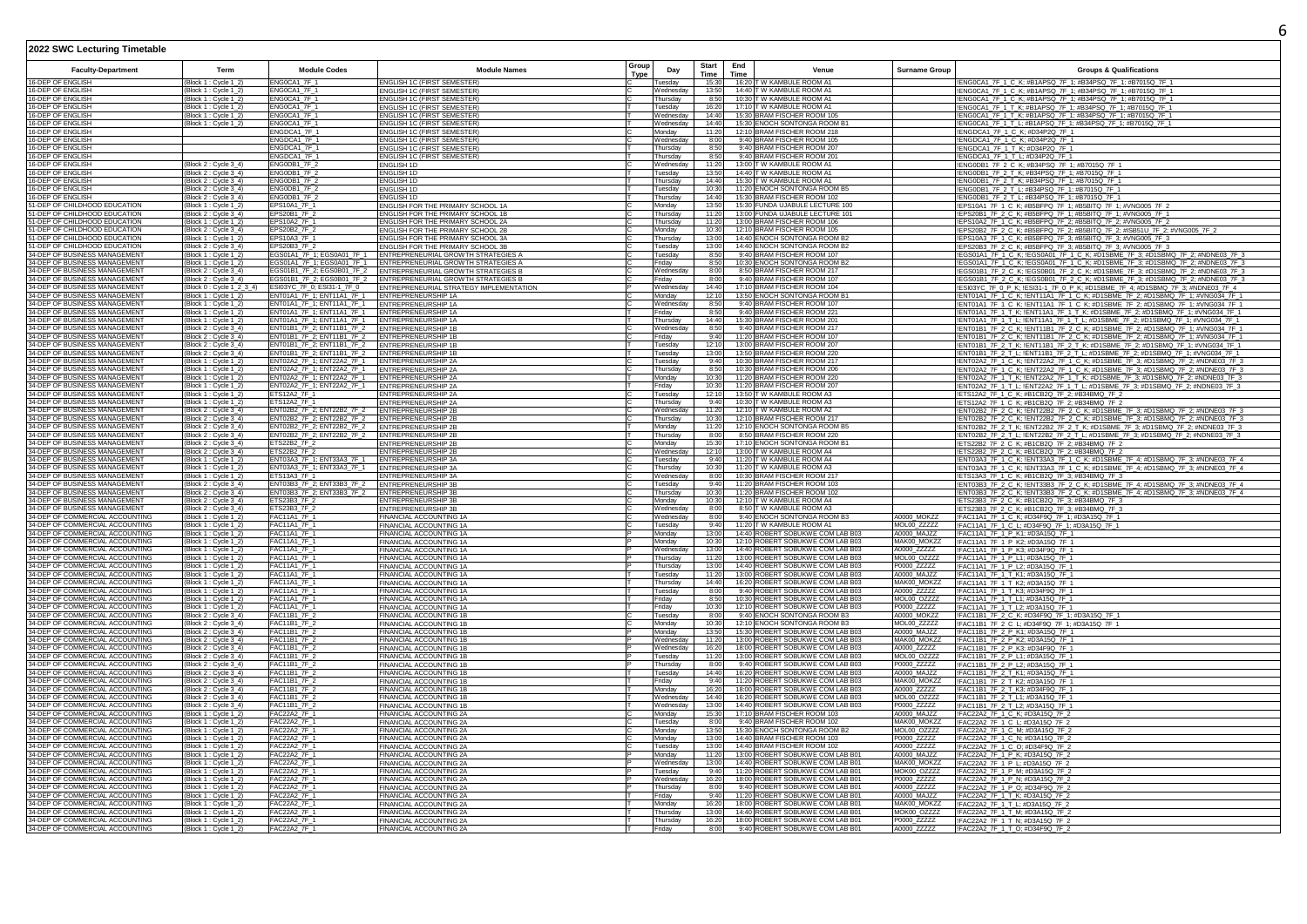| 2022 SWC Lecturing Timetable                                       |                                                |                                                                              |                                                                        |               |                       |                      |             |                                                                      |                            |                                                                                                                                                                |  |
|--------------------------------------------------------------------|------------------------------------------------|------------------------------------------------------------------------------|------------------------------------------------------------------------|---------------|-----------------------|----------------------|-------------|----------------------------------------------------------------------|----------------------------|----------------------------------------------------------------------------------------------------------------------------------------------------------------|--|
| <b>Faculty-Department</b>                                          | Term                                           | <b>Module Codes</b>                                                          | <b>Module Names</b>                                                    | Group<br>Type | Day                   | <b>Start</b><br>Time | End<br>Time | Venue                                                                | <b>Surname Group</b>       | <b>Groups &amp; Qualifications</b>                                                                                                                             |  |
| 16-DEP OF ENGLISH                                                  | Block 1 : Cycle 1_2)                           | ENG0CA1_7F_1                                                                 | <b>ENGLISH 1C (FIRST SEMESTER)</b>                                     |               | uesday                | 15:30                |             | 16:20 T W KAMBULE ROOM A1                                            |                            | !ENG0CA1_7F_1_C_K; #B1APSQ_7F_1; #B34PSQ_7F_1; #B7015Q_7F_1                                                                                                    |  |
| 16-DEP OF ENGLISH                                                  | Block 1 : Cycle 1_2)                           | ENGOCA1_7F_1                                                                 | ENGLISH 1C (FIRST SEMESTER)                                            |               | Wednesdav             | 13:50                |             | 14:40 T W KAMBULE ROOM A1                                            |                            | !ENG0CA1_7F_1_C_K: #B1APSQ_7F_1: #B34PSQ_7F_1: #B7015Q_7F_1                                                                                                    |  |
| 16-DEP OF ENGLISH                                                  | Block 1: Cycle 1_2                             | ENG0CA1_7F_1                                                                 | <b>ENGLISH 1C (FIRST SEMESTER)</b>                                     |               | hursdav               | 8.50                 |             | 10:30 T W KAMBULE ROOM A1                                            |                            | !ENG0CA1_7F_1_C_K; #B1APSQ_7F_1; #B34PSQ_7F_1; #B7015Q_7F_1                                                                                                    |  |
| 16-DEP OF ENGLISH                                                  | Block 1 : Cycle 1_2                            | FNG0CA1 7F 1                                                                 | ENGLISH 1C (FIRST SEMESTER)                                            |               | uesdav                | 16:20                |             | 17:10 T W KAMBULE ROOM A1                                            |                            | !ENG0CA1_7F_1_T_K; #B1APSQ_7F_1; #B34PSQ_7F_1; #B7015Q_7F_1                                                                                                    |  |
| 16-DEP OF ENGLISH                                                  | Block 1 : Cycle 1_2)                           | ENG0CA1_7F_1                                                                 | ENGLISH 1C (FIRST SEMESTER)                                            |               | Wednesday             | 14.40                |             | 15:30 BRAM FISCHER ROOM 105                                          |                            | !ENG0CA1_7F_1_T_K; #B1APSQ_7F_1; #B34PSQ_7F_1; #B7015Q_7F_1                                                                                                    |  |
| 16-DEP OF ENGLISH                                                  | Block 1 : Cycle 1_2)                           | ENG0CA1_7F_1                                                                 | ENGLISH 1C (FIRST SEMESTER)                                            |               | Wednesday             | 14:40                |             | 15:30 ENOCH SONTONGA ROOM B1                                         |                            | !ENG0CA1_7F_1_T_L; #B1APSQ_7F_1; #B34PSQ_7F_1; #B7015Q_7F_1                                                                                                    |  |
| 16-DEP OF ENGLISH                                                  |                                                | ENGDCA1_7F_1                                                                 | <b>ENGLISH 1C (FIRST SEMESTER)</b>                                     |               | Monday                | 11:20                |             | 12:10 BRAM FISCHER ROOM 218                                          |                            | ENGDCA1_7F_1_C_K; #D34P2Q_7F_1                                                                                                                                 |  |
| 16-DEP OF ENGLISH                                                  |                                                | ENGDCA1 7F 1                                                                 | <b>ENGLISH 1C (FIRST SEMESTER)</b>                                     |               | Wednesdav             | 8:00                 |             | 9:40 BRAM FISCHER ROOM 105                                           |                            | !ENGDCA1_7F_1_C_K; #D34P2Q_7F_1                                                                                                                                |  |
| 16-DEP OF FNGLISH                                                  |                                                | FNGDCA1 7F 1<br>FNGDCA1 7F 1                                                 | <b>FNGLISH 1C (FIRST SEMESTER)</b>                                     |               | Thursdav              | 8:50                 |             | 9:40 BRAM FISCHER ROOM 207<br>9:40 BRAM FISCHER ROOM 201             |                            | !ENGDCA1_7F_1_T_K; #D34P2Q_7F_1                                                                                                                                |  |
| 16-DEP OF ENGLISH<br>16-DEP OF ENGLISH                             |                                                | ENGODB1 7F 2                                                                 | <b>ENGLISH 1C (FIRST SEMESTER)</b>                                     |               | Thursday<br>Wednesday | 8:50<br>11:20        |             | 13:00 T W KAMBULE ROOM A1                                            |                            | !ENGDCA1_7F_1_T_L; #D34P2Q_7F_1                                                                                                                                |  |
| 16-DEP OF ENGLISH                                                  | Block 2 : Cycle 3_4)<br>Block 2 : Cycle 3_4    | ENG0DB1_7F_2                                                                 | ENGLISH 1D<br>ENGLISH 1D                                               |               | uesday                | 13:50                |             | 14:40 T W KAMBULE ROOM A1                                            |                            | !ENG0DB1_7F_2_C_K; #B34PSQ_7F_1; #B7015Q_7F_1<br>ENG0DB1_7F_2_T_K; #B34PSQ_7F_1; #B7015Q_7F_1                                                                  |  |
| 16-DEP OF ENGLISH                                                  | Block 2 : Cycle 3_4)                           | ENGODB1 7F 2                                                                 | <b>ENGLISH 1D</b>                                                      |               | Thursday              | 14:40                |             | 15:30 T W KAMBULE ROOM A1                                            |                            | !ENG0DB1_7F_2_T_K; #B34PSQ_7F_1; #B7015Q_7F_1                                                                                                                  |  |
| 16-DEP OF ENGLISH                                                  | Block 2 : Cycle 3_4)                           | ENG0DB1_7F_2                                                                 | <b>ENGLISH 1D</b>                                                      |               | uesday                | 10:30                |             | 11:20 ENOCH SONTONGA ROOM B5                                         |                            | !ENG0DB1_7F_2_T_L; #B34PSQ_7F_1; #B7015Q_7F_1                                                                                                                  |  |
| 16-DEP OF ENGLISH                                                  | Block 2 : Cycle 3_4)                           | ENGODB1_7F_2                                                                 | <b>ENGLISH 1D</b>                                                      |               | Thursdav              | 14:40                |             | 15:30 BRAM FISCHER ROOM 102                                          |                            | !ENG0DB1_7F_2_T_L: #B34PSQ_7F_1: #B7015Q_7F_1                                                                                                                  |  |
| 51-DEP OF CHILDHOOD EDUCATION                                      | Block 1 : Cycle 1_2                            | EPS10A1 7F 1                                                                 | ENGLISH FOR THE PRIMARY SCHOOL 1A                                      |               | Monday                | 13:50                |             | 15:30 FUNDA UJABULE LECTURE 100                                      |                            | !EPS10A1_7F_1_C_K; #B5BFPQ_7F_1; #B5BITQ_7F_1; #VNG005_7F_2                                                                                                    |  |
| 51-DEP OF CHILDHOOD EDUCATION                                      | Block 2 : Cycle 3_4)                           | EPS20B1 7F 2                                                                 | ENGLISH FOR THE PRIMARY SCHOOL 1B                                      |               | Thursday              | 11:20                |             | 13:00 FUNDA UJABULE LECTURE 101                                      |                            | !EPS20B1_7F_2_C_K; #B5BFPQ_7F_1; #B5BITQ_7F_1; #VNG005_7F_1                                                                                                    |  |
| 51-DEP OF CHILDHOOD EDUCATION                                      | Block 1 : Cycle 1_2)                           | EPS10A2_7F_1                                                                 | ENGLISH FOR THE PRIMARY SCHOOL 2A                                      |               | Thursday              | 11:20                |             | 13:00 BRAM FISCHER ROOM 106                                          |                            | !EPS10A2_7F_1_C_K; #B5BFPQ_7F_2; #B5BITQ_7F_2; #VNG005_7F_2                                                                                                    |  |
| -DEP OF CHILDHOOD EDUCATION                                        | (Block 2 : Cycle 3_4)<br>(Block 1 : Cycle 1_2) | EPS20B2_7F_2                                                                 | ENGLISH FOR THE PRIMARY SCHOOL 2B                                      |               | Monday                | 10:30                |             | 12:10 BRAM FISCHER ROOM 105                                          |                            | IEPS20B2_7F_2_C_K; #B5BFPQ_7F_2; #B5BITQ_7F_2; #ISB51U_7F_2; #VNG005_7F_2                                                                                      |  |
| 51-DEP OF CHILDHOOD EDUCATION<br>51-DEP OF CHILDHOOD EDUCATION     | Block 2 : Cycle 3_4                            | EPS10A3_7F_1<br>EPS20B3 7F 2                                                 | ENGLISH FOR THE PRIMARY SCHOOL 3A<br>ENGLISH FOR THE PRIMARY SCHOOL 3B |               | Thursdav<br>uesdav    | 13:00<br>13:00       |             | 14:40 ENOCH SONTONGA ROOM B2<br>14:40 ENOCH SONTONGA ROOM B2         |                            | !EPS10A3 7F 1 C K; #B5BFPQ 7F 3; #B5BITQ 7F 3; #VNG005 7F 3<br>!EPS20B3 7F 2 C K: #B5BFPQ 7F 3: #B5BITQ 7F 3: #VNG005 7F 3                                     |  |
| 34-DEP OF BUSINESS MANAGEMENT                                      | Block 1 : Cycle 1_2                            | FGS01A1_7F_1: FGS0A01_7F_1                                                   | ENTREPRENEURIAL GROWTH STRATEGIES A                                    |               | uesdav                | 8:50                 |             | 9:40 BRAM FISCHER ROOM 107                                           |                            | !EGS01A1_7F_1_C_K; !EGS0A01_7F_1_C_K; #D1SBME_7F_3; #D1SBMQ_7F_2; #NDNE03_7F_3                                                                                 |  |
| 34-DEP OF BUSINESS MANAGEMENT                                      | Block 1 : Cycle 1_2)                           | FGS01A1_7F_1: FGS0A01_7F_1                                                   | ENTREPRENEURIAL GROWTH STRATEGIES A                                    |               | Friday                | 8:50                 |             | 10:30 ENOCH SONTONGA ROOM B2                                         |                            | !EGS01A1_7F_1_C_K; !EGS0A01_7F_1_C_K; #D1SBME_7F_3; #D1SBMQ_7F_2; #NDNE03_7F_3                                                                                 |  |
| 34-DEP OF BUSINESS MANAGEMENT                                      | Block 2 : Cycle 3_4)                           | EGS01B1_7F_2; EGS0B01_7F_2                                                   | ENTREPRENEURIAL GROWTH STRATEGIES B                                    |               | Wednesday             | 8:00                 |             | 8:50 BRAM FISCHER ROOM 217                                           |                            | !EGS01B1_7F_2_C_K; !EGS0B01_7F_2_C_K; #D1SBME_7F_3; #D1SBMQ_7F_2; #NDNE03_7F_3                                                                                 |  |
| 34-DEP OF BUSINESS MANAGEMENT                                      | Block 2 : Cycle 3_4)                           | EGS01B1_7F_2; EGS0B01_7F_2                                                   | ENTREPRENEURIAL GROWTH STRATEGIES B                                    |               | Friday                | 8:00                 |             | 9:40 BRAM FISCHER ROOM 107                                           |                            | !EGS01B1_7F_2_C_K; !EGS0B01_7F_2_C_K; #D1SBME_7F_3; #D1SBMQ_7F_2; #NDNE03_7F_3                                                                                 |  |
| 34-DEP OF BUSINESS MANAGEMENT                                      | Block 0 : Cycle 1_2 3_4)                       | ESI03YC_7F_0; ESI31-1_7F_0                                                   | ENTREPRENEURIAL STRATEGY IMPLEMENTATION                                |               | Wednesday             | 14:40                | 17:10       | <b>BRAM FISCHER ROOM 104</b>                                         |                            | !ESI03YC 7F 0 P K: !ESI31-1 7F 0 P K: #D1SBME 7F 4: #D1SBMQ 7F 3: #NDNE03 7F 4                                                                                 |  |
| 34-DEP OF BUSINESS MANAGEMENT                                      | Block 1 : Cycle 1_2                            | FNT01A1_7F_1: FNT11A1_7F_1                                                   | <b>FNTRFPRENEURSHIP 1A</b>                                             |               | Mondav                | 12:10                |             | 13:50 ENOCH SONTONGA ROOM B1                                         |                            | !ENT01A1 7F 1 C K: !ENT11A1 7F 1 C K: #D1SBME 7F 2: #D1SBMQ 7F 1: #VNG034 7F 1                                                                                 |  |
| 34-DEP OF BUSINESS MANAGEMENT                                      | Block 1 : Cycle 1_2                            | ENT01A1_7F_1; ENT11A1_7F_1                                                   | <b>ENTREPRENEURSHIP 1A</b>                                             |               | Wednesday             | 8:50                 |             | 9:40 BRAM FISCHER ROOM 107                                           |                            | !ENT01A1_7F_1_C_K; !ENT11A1_7F_1_C_K; #D1SBME_7F_2; #D1SBMQ_7F_1; #VNG034_7F_1                                                                                 |  |
| 34-DEP OF BUSINESS MANAGEMENT                                      | Block 1 : Cycle 1_2)                           | ENT01A1_7F_1; ENT11A1_7F_1                                                   | <b>ENTREPRENEURSHIP 1A</b>                                             |               | Friday                | 8:50                 |             | 9:40 BRAM FISCHER ROOM 221                                           |                            | !ENT01A1_7F_1_T_K; !ENT11A1_7F_1_T_K; #D1SBME_7F_2; #D1SBMQ_7F_1; #VNG034_7F_1                                                                                 |  |
| 34-DEP OF BUSINESS MANAGEMENT<br>34-DEP OF BUSINESS MANAGEMENT     | Block 1 : Cycle 1_2)<br>Block 2 : Cycle 3_4    | ENT01A1_7F_1; ENT11A1_7F_1 ENTREPRENEURSHIP 1A<br>ENT01B1_7F_2; ENT11B1_7F_2 | <b>ENTREPRENEURSHIP 1B</b>                                             |               | Thursday<br>Nednesday | 14:40<br>8:50        |             | 15:30 BRAM FISCHER ROOM 201<br>9:40 BRAM FISCHER ROOM 217            |                            | !ENT01A1_7F_1_T_L; !ENT11A1_7F_1_T_L; #D1SBME_7F_2; #D1SBMQ_7F_1; #VNG034_7F_1<br>ENT01B1_7F_2_C_K; !ENT11B1_7F_2_C_K; #D1SBME_7F_2; #D1SBMQ_7F_1; #VNG034_7F_ |  |
| 34-DEP OF BUSINESS MANAGEMENT                                      | Block 2 : Cycle 3_4)                           | ENT01B1_7F_2; ENT11B1_7F_2                                                   | <b>ENTREPRENEURSHIP 16</b>                                             |               | Friday                | 9:40                 |             | 11:20 BRAM FISCHER ROOM 107                                          |                            | !ENT01B1_7F_2_C_K; !ENT11B1_7F_2_C_K; #D1SBME_7F_2; #D1SBMQ_7F_1; #VNG034_7F_1                                                                                 |  |
| 34-DEP OF BUSINESS MANAGEMENT                                      | Block 2: Cycle 3_4                             |                                                                              | <b>ENTREPRENEURSHIP 1B</b>                                             |               | uesdav                | 12:10                |             | 13:00 BRAM FISCHER ROOM 207                                          |                            | !ENT01B1_7F_2_T_K; !ENT11B1_7F_2_T_K; #D1SBME_7F_2; #D1SBMQ_7F_1; #VNG034_7F_1                                                                                 |  |
| 34-DEP OF BUSINESS MANAGEMENT                                      | Block 2 : Cycle 3_4)                           | ENT01B1_7F_2; ENT11B1_7F_2<br>ENT01B1_7F_2; ENT11B1_7F_2                     | <b>FNTREPRENEURSHIP 1B</b>                                             |               | uesdav                | 13:00                |             | 13:50 BRAM FISCHER ROOM 220                                          |                            | !ENT01B1_7F_2_T_L; !ENT11B1_7F_2_T_L; #D1SBME_7F_2; #D1SBMQ_7F_1; #VNG034_7F_1                                                                                 |  |
| 34-DEP OF BUSINESS MANAGEMENT                                      | Block 1 : Cycle 1_2)                           | ENT02A2_7F_1; ENT22A2_7F_1 ENTREPRENEURSHIP 2A                               |                                                                        |               | Tuesday               | 9:40                 |             | 10:30 BRAM FISCHER ROOM 217                                          |                            | !ENT02A2_7F_1_C_K; !ENT22A2_7F_1_C_K; #D1SBME_7F_3; #D1SBMQ_7F_2; #NDNE03_7F_3                                                                                 |  |
| 34-DEP OF BUSINESS MANAGEMENT                                      | Block 1 : Cycle 1_2                            | ENT02A2_7F_1; ENT22A2_7F_1                                                   | ENTREPRENEURSHIP 2A                                                    |               | Thursday              | 8:50                 |             | 10:30 BRAM FISCHER ROOM 206                                          |                            | !ENT02A2_7F_1_C_K; !ENT22A2_7F_1_C_K; #D1SBME_7F_3; #D1SBMQ_7F_2; #NDNE03_7F_3                                                                                 |  |
| 34-DEP OF BUSINESS MANAGEMENT                                      | Block 1 : Cycle 1_2                            | ENT02A2_7F_1; ENT22A2_7F_1 ENTREPRENEURSHIP 2A                               |                                                                        |               | Monday                | 10:30                |             | 11:20 BRAM FISCHER ROOM 220                                          |                            | !ENT02A2_7F_1_T_K; !ENT22A2_7F_1_T_K; #D1SBME_7F_3; #D1SBMQ_7F_2; #NDNE03_7F_3                                                                                 |  |
| 34-DEP OF BUSINESS MANAGEMENT<br>34-DEP OF BUSINESS MANAGEMENT     | Block 1 : Cycle 1_2<br>Block 1 : Cycle 1_2     | ENT02A2_7F_1; ENT22A2_7F_1<br>ETS12A2_7F_1                                   | ENTREPRENEURSHIP 2A<br>ENTREPRENEURSHIP 2A                             |               | Friday<br>Tuesday     | 10:30<br>12:10       |             | 11:20 BRAM FISCHER ROOM 207<br>13:50 T W KAMBULE ROOM A3             |                            | IENT02A2_7F_1_T_L; IENT22A2_7F_1_T_L; #D1SBME_7F_3; #D1SBMQ_7F_2; #NDNE03_7F_3<br>!ETS12A2 7F 1 C K; #B1CB2Q 7F 2; #B34BMQ 7F 2                                |  |
| 34-DEP OF BUSINESS MANAGEMENT                                      |                                                | ETS12A2 7F 1                                                                 | <b>ENTREPRENEURSHIP 2A</b>                                             |               | Thursday              | 9:40                 |             | 10:30 T W KAMBULE ROOM A3                                            |                            | !ETS12A2_7F_1_C_K; #B1CB2Q_7F_2; #B34BMQ_7F_2                                                                                                                  |  |
| 34-DEP OF BUSINESS MANAGEMENT                                      | Block 1 : Cycle 1_2)<br>Block 2 : Cycle 3_4)   | ENT02B2_7F_2; ENT22B2_7F_2                                                   | <b>ENTREPRENEURSHIP 2B</b>                                             |               | Wednesday             | 11:20                |             | 12:10 T W KAMBULE ROOM A2                                            |                            | !ENT02B2_7F_2_C_K; !ENT22B2_7F_2_C_K; #D1SBME_7F_3; #D1SBMQ_7F_2; #NDNE03_7F_3                                                                                 |  |
| 34-DEP OF BUSINESS MANAGEMENT                                      | Block 2 : Cycle 3_4)                           | ENT02B2_7F_2; ENT22B2_7F_2                                                   | <b>ENTREPRENEURSHIP 2B</b>                                             |               | Thursday              | 10:30                |             | 12:10 BRAM FISCHER ROOM 217                                          |                            | !ENT02B2_7F_2_C_K; !ENT22B2_7F_2_C_K; #D1SBME_7F_3; #D1SBMQ_7F_2; #NDNE03_7F_3                                                                                 |  |
| 34-DEP OF BUSINESS MANAGEMENT                                      | Block 2 : Cycle 3_4                            | ENT02B2_7F_2: ENT22B2_7F_2                                                   | <b>ENTREPRENEURSHIP 2B</b>                                             |               | Monday                | 11:20                | 12:10       | <b>ENOCH SONTONGA ROOM B5</b>                                        |                            | !ENT02B2_7F_2_T_K; !ENT22B2_7F_2_T_K; #D1SBME_7F_3; #D1SBMQ_7F_2; #NDNE03_7F_3                                                                                 |  |
| 34-DEP OF BUSINESS MANAGEMENT                                      | Block 2 : Cycle 3_4)                           | ENT02B2_7F_2; ENT22B2_7F_2                                                   | <b>ENTREPRENEURSHIP 2B</b>                                             |               | Thursday              | 8:00                 |             | 8:50 BRAM FISCHER ROOM 220                                           |                            | !ENT02B2_7F_2_T_L; !ENT22B2_7F_2_T_L; #D1SBME_7F_3; #D1SBMQ_7F_2; #NDNE03_7F_3                                                                                 |  |
| 34-DEP OF BUSINESS MANAGEMENT                                      | Block 2 : Cycle 3 4                            | ETS22B2 7F 2                                                                 | <b>NTREPRENEURSHIP 2B</b>                                              |               | Mondav                | 15:30                |             | 17:10 ENOCH SONTONGA ROOM B1                                         |                            | !ETS22B2_7F_2_C_K; #B1CB2Q_7F_2; #B34BMQ_7F_2                                                                                                                  |  |
| 34-DEP OF BUSINESS MANAGEMENT                                      | Block 2: Cycle 3 4                             | ETS22B2 7F 2                                                                 | <b>ENTREPRENEURSHIP 2B</b>                                             |               | Wednesdav             | 12:10                |             | 13:00 T W KAMBULE ROOM A4                                            |                            | !ETS22B2_7F_2_C_K; #B1CB2Q_7F_2; #B34BMQ_7F_2                                                                                                                  |  |
| 34-DEP OF BUSINESS MANAGEMENT                                      | Block 1 : Cycle 1_2)                           | FNT03A3 7F 1: FNT33A3 7F 1                                                   | <b>ENTREPRENEURSHIP 3A</b>                                             |               | Tuesdav               | 9:40                 |             | 11:20 T W KAMBULE ROOM A4                                            |                            | !ENT03A3_7F_1_C_K; !ENT33A3_7F_1_C_K; #D1SBME_7F_4; #D1SBMQ_7F_3; #NDNE03_7F_4                                                                                 |  |
| 34-DEP OF BUSINESS MANAGEMENT<br>34-DEP OF BUSINESS MANAGEMENT     | Block 1 : Cycle 1_2)                           | ENT03A3_7F_1; ENT33A3_7F_1<br>ETS13A3 7F 1                                   | ENTREPRENEURSHIP 3A                                                    |               | Thursday              | 10:30<br>8:00        |             | 11:20 T W KAMBULE ROOM A3<br>10:30 BRAM FISCHER ROOM 217             |                            | !ENT03A3_7F_1_C_K; !ENT33A3_7F_1_C_K; #D1SBME_7F_4; #D1SBMQ_7F_3; #NDNE03_7F_4                                                                                 |  |
| 34-DEP OF BUSINESS MANAGEMENT                                      | Block 1 : Cycle 1_2)<br>Block 2 : Cycle 3_4    | ENT03B3_7F_2; ENT33B3_7F_2                                                   | <b>ENTREPRENEURSHIP 3A</b><br>ENTREPRENEURSHIP 3B                      |               | Wednesday<br>uesday   | 9:40                 |             | 11:20 BRAM FISCHER ROOM 103                                          |                            | !ETS13A3_7F_1_C_K; #B1CB2Q_7F_3; #B34BMQ_7F_3<br>ENT03B3_7F_2_C_K; !ENT33B3_7F_2_C_K; #D1SBME_7F_4; #D1SBMQ_7F_3; #NDNE03_7F_4                                 |  |
| 34-DEP OF BUSINESS MANAGEMENT                                      | (Block 2 : Cycle 3_4)                          | ENT03B3 7F 2; ENT33B3 7F 2                                                   | <b>ENTREPRENEURSHIP 3B</b>                                             |               | Thursdav              | 10:30                |             | 11:20 BRAM FISCHER ROOM 102                                          |                            | !ENT03B3 7F 2 C K; !ENT33B3 7F 2 C K; #D1SBME 7F 4; #D1SBMQ 7F 3; #NDNE03 7F 4                                                                                 |  |
| 34-DEP OF BUSINESS MANAGEMENT                                      | Block 2 : Cycle 3_4)                           | ETS23B3 7F 2                                                                 | <b>ENTREPRENEURSHIP 3B</b>                                             |               | Mondav                | 10:30                |             | 12:10 T W KAMBULE ROOM A4                                            |                            | !ETS23B3_7F_2_C_K; #B1CB2Q_7F_3; #B34BMQ_7F_3                                                                                                                  |  |
| 34-DEP OF BUSINESS MANAGEMENT                                      | Block 2 : Cycle 3_4)                           | ETS23B3 7F 2                                                                 | <b>ENTREPRENEURSHIP 3B</b>                                             |               | Wednesdav             | 8:00                 |             | 8:50 T W KAMBULE ROOM A3                                             |                            | !ETS23B3 7F 2 C K: #B1CB2Q 7F 3: #B34BMQ 7F 3                                                                                                                  |  |
| 34-DEP OF COMMERCIAL ACCOUNTING                                    | Block 1 : Cycle 1_2                            | <b>FAC11A1 7F 1</b>                                                          | FINANCIAL ACCOUNTING 1A                                                |               | Wednesday             | 8:00                 |             | 9:40 ENOCH SONTONGA ROOM B3                                          | A0000 MOKZZ                | !FAC11A1_7F_1_C_K; #D34F9Q_7F_1; #D3A15Q_7F_1                                                                                                                  |  |
| 34-DEP OF COMMERCIAL ACCOUNTING                                    | Block 1 : Cycle 1_2                            | FAC11A1_7F_1                                                                 | FINANCIAL ACCOUNTING 1A                                                |               | uesday                | 9:40                 |             | 11:20 T W KAMBULE ROOM A1                                            | MOL00_ZZZZZ                | !FAC11A1_7F_1_C_L; #D34F9Q_7F_1; #D3A15Q_7F_1                                                                                                                  |  |
| 34-DEP OF COMMERCIAL ACCOUNTING                                    | Block 1 : Cycle 1_2)                           | FAC11A1_7F_1                                                                 | FINANCIAL ACCOUNTING 1A                                                |               | Monday                | 13:00                |             | 14:40 ROBERT SOBUKWE COM LAB B03                                     | A0000 MAJZZ                | !FAC11A1_7F_1_P_K1; #D3A15Q_7F_1                                                                                                                               |  |
| 34-DEP OF COMMERCIAL ACCOUNTING<br>34-DEP OF COMMERCIAL ACCOUNTING | Block 1 : Cycle 1_2)                           | FAC11A1_7F_1<br>FAC11A1_7F_1                                                 | FINANCIAL ACCOUNTING 1A                                                |               | Monday                | 10:30<br>13:00       |             | 12:10 ROBERT SOBUKWE COM LAB B03<br>14:40 ROBERT SOBUKWE COM LAB B03 | MAK00_MOKZZ<br>A0000 ZZZZZ | !FAC11A1_7F_1_P_K2; #D3A15Q_7F_1                                                                                                                               |  |
| 34-DEP OF COMMERCIAL ACCOUNTING                                    | Block 1 : Cycle 1_2                            | FAC11A1 7F 1                                                                 | FINANCIAL ACCOUNTING 1A                                                |               | Wednesdav<br>hursdav  | 11:20                |             | 13:00 ROBERT SOBUKWE COM LAB B03                                     | MOI 00 07777               | IFAC11A1_7F_1_P_K3: #D34F9O_7F_1                                                                                                                               |  |
| 34-DEP OF COMMERCIAL ACCOUNTING                                    | Block 1 : Cycle 1_2<br>Block 1 : Cycle 1_2)    | <b>FAC11A1 7F 1</b>                                                          | FINANCIAL ACCOUNTING 1A<br>FINANCIAL ACCOUNTING 1A                     |               | Thursday              | 13:00                |             | 14:40 ROBERT SOBUKWE COM LAB B03                                     | P0000 ZZZZZ                | !FAC11A1_7F_1_P_L1; #D3A15Q_7F_1<br>!FAC11A1_7F_1_P_L2; #D3A15Q_7F_1                                                                                           |  |
| 34-DEP OF COMMERCIAL ACCOUNTING                                    | Block 1 : Cycle 1_2)                           | <b>FAC11A1 7F 1</b>                                                          | FINANCIAL ACCOUNTING 1A                                                |               | Tuesday               | 11:20                |             | 13:00 ROBERT SOBUKWE COM LAB B03                                     | A0000 MAJ77                | !FAC11A1_7F_1_T_K1; #D3A15Q_7F_1                                                                                                                               |  |
| 34-DEP OF COMMERCIAL ACCOUNTING                                    | Block 1 : Cycle 1_2)                           | FAC11A1_7F_1                                                                 | FINANCIAL ACCOUNTING 1A                                                |               | hursday               | 14:40                |             | 16:20 ROBERT SOBUKWE COM LAB B03                                     | MAK00_MOKZZ                | !FAC11A1_7F_1_T_K2: #D3A15Q_7F_1                                                                                                                               |  |
| 34-DEP OF COMMERCIAL ACCOUNTING                                    | Block 1 : Cycle 1_2)                           | FAC11A1_7F_1                                                                 | FINANCIAL ACCOUNTING 1A                                                |               | Tuesdav               | 8:00                 |             | 9:40 ROBERT SOBUKWE COM LAB B03                                      | A0000 ZZZZZ                | !FAC11A1_7F_1_T_K3; #D34F9Q_7F_1                                                                                                                               |  |
| 34-DEP OF COMMERCIAL ACCOUNTING                                    | Block 1 : Cycle 1_2                            | FAC11A1 7F 1                                                                 | FINANCIAL ACCOUNTING 1A                                                |               | Fridav                | 8:50                 |             | 10:30 ROBERT SOBUKWE COM LAB B03                                     | MOL00 OZZZZ                | !FAC11A1_7F_1_T_L1: #D3A15Q_7F_1                                                                                                                               |  |
| 34-DEP OF COMMERCIAL ACCOUNTING                                    | Block 1: Cvcle 1 2                             | FAC11A1 7F 1                                                                 | FINANCIAL ACCOUNTING 1A                                                |               | Fridav                | 10:30                |             | 12:10 ROBERT SOBUKWE COM LAB B03                                     | P0000 77777                | !FAC11A1_7F_1_T_L2: #D3A15Q_7F_1                                                                                                                               |  |
| 34-DEP OF COMMERCIAL ACCOUNTING<br>34-DEP OF COMMERCIAL ACCOUNTING | Block 2 : Cycle 3_4)                           | FAC11B1_7F_2                                                                 | FINANCIAL ACCOUNTING 1B                                                |               | Tuesday               | 8:00<br>10:30        |             | 9:40 ENOCH SONTONGA ROOM B3<br>12:10 ENOCH SONTONGA ROOM B3          | A0000_MOKZZ                | !FAC11B1_7F_2_C_K; #D34F9Q_7F_1; #D3A15Q_7F_1                                                                                                                  |  |
| 34-DEP OF COMMERCIAL ACCOUNTING                                    | Block 2 : Cycle 3_4)<br>Block 2 : Cycle 3_4)   | FAC11B1_7F_2<br>FAC11B1_7F_2                                                 | FINANCIAL ACCOUNTING 1B                                                |               | Monday<br>Monday      | 13:50                |             | 15:30 ROBERT SOBUKWE COM LAB B03                                     | MOL00_ZZZZZ<br>A0000_MAJZZ | !FAC11B1_7F_2_C_L; #D34F9Q_7F_1; #D3A15Q_7F_1                                                                                                                  |  |
| 34-DEP OF COMMERCIAL ACCOUNTING                                    | Block 2 : Cycle 3_4)                           | <b>FAC11B1 7F 2</b>                                                          | FINANCIAL ACCOUNTING 1B<br>FINANCIAL ACCOUNTING 1B                     |               | Wednesday             | 11:20                |             | 13:00 ROBERT SOBUKWE COM LAB B03                                     | MAK00 MOKZZ                | !FAC11B1_7F_2_P_K1; #D3A15Q_7F_1<br>!FAC11B1_7F_2_P_K2: #D3A15Q_7F_1                                                                                           |  |
| 34-DEP OF COMMERCIAL ACCOUNTING                                    | Block 2 : Cycle 3_4)                           | FAC11B1_7F_2                                                                 | FINANCIAL ACCOUNTING 1B                                                |               | Wednesdav             | 16:20                |             | 18:00 ROBERT SOBUKWE COM LAB B03                                     | A0000_ZZZZZ                | IFAC11B1_7F_2_P_K3: #D34F9O_7F_1                                                                                                                               |  |
| 34-DEP OF COMMERCIAL ACCOUNTING                                    | Block 2 : Cycle 3_4                            | FAC11B1_7F_2                                                                 | FINANCIAL ACCOUNTING 1B                                                |               | uesday                | 11:20                |             | 13:00 ROBERT SOBUKWE COM LAB B03                                     | MOL00 OZZZZ                | !FAC11B1_7F_2_P_L1; #D3A15Q_7F_1                                                                                                                               |  |
| 34-DEP OF COMMERCIAL ACCOUNTING                                    | Block 2 : Cycle 3_4)                           | FAC11B1 7F 2                                                                 | FINANCIAL ACCOUNTING 1B                                                |               | Thursday              | 8:00                 |             | 9:40 ROBERT SOBUKWE COM LAB B03                                      | P0000 ZZZZZ                | !FAC11B1_7F_2_P_L2; #D3A15Q_7F_1                                                                                                                               |  |
| 34-DEP OF COMMERCIAL ACCOUNTING                                    | Block 2 : Cycle 3_4)                           | FAC11B1_7F_2                                                                 | FINANCIAL ACCOUNTING 1B                                                |               | Tuesday               | 14:40                |             | 16:20 ROBERT SOBUKWE COM LAB B03                                     | A0000_MAJZZ                | !FAC11B1_7F_2_T_K1; #D3A15Q_7F_1                                                                                                                               |  |
| 34-DEP OF COMMERCIAL ACCOUNTING                                    | Block 2 : Cycle 3_4)                           | FAC11B1_7F_2                                                                 | FINANCIAL ACCOUNTING 1B                                                |               | Friday                | 9:40                 |             | 11:20 ROBERT SOBUKWE COM LAB B03                                     | MAK00 MOKZZ                | !FAC11B1_7F_2_T_K2; #D3A15Q_7F_1                                                                                                                               |  |
| 34-DEP OF COMMERCIAL ACCOUNTING                                    | Block 2 : Cycle 3_4)                           | FAC11B1_7F_2                                                                 | FINANCIAL ACCOUNTING 1B                                                |               | Monday                | 16:20                |             | 18:00 ROBERT SOBUKWE COM LAB B03                                     | A0000_ZZZZZ                | !FAC11B1_7F_2_T_K3; #D34F9Q_7F_1                                                                                                                               |  |
| 34-DEP OF COMMERCIAL ACCOUNTING<br>34-DEP OF COMMERCIAL ACCOUNTING | Block 2: Cycle 3 4<br>Block 2 : Cycle 3_4)     | FAC11B1_7F_2<br>FAC11B1_7F_2                                                 | FINANCIAL ACCOUNTING 1B                                                |               | Wednesdav             | 14:40<br>13:00       |             | 16:20 ROBERT SOBUKWE COM LAB B03<br>14:40 ROBERT SOBUKWE COM LAB B03 | MOL00 OZZZZ<br>P0000 ZZZZZ | !FAC11B1_7F_2_T_L1; #D3A15Q_7F_1                                                                                                                               |  |
| 34-DEP OF COMMERCIAL ACCOUNTING                                    | Block 1 : Cycle 1_2)                           | FAC22A2 7F 1                                                                 | FINANCIAL ACCOUNTING 1B<br>FINANCIAL ACCOUNTING 2A                     |               | Wednesday<br>Monday   | 15:30                |             | 17:10 BRAM FISCHER ROOM 103                                          | A0000 MAJZZ                | !FAC11B1_7F_2_T_L2; #D3A15Q_7F_1<br>!FAC22A2_7F_1_C_K; #D3A15Q_7F_2                                                                                            |  |
| 34-DEP OF COMMERCIAL ACCOUNTING                                    | Block 1 : Cycle 1_2                            | <b>FAC22A2 7F 1</b>                                                          | FINANCIAL ACCOUNTING 2A                                                |               | Tuesday               | 8:00                 |             | 9:40 BRAM FISCHER ROOM 102                                           | MAK00 MOK77                | !FAC22A2_7F_1_C_L; #D3A15Q_7F_2                                                                                                                                |  |
| 34-DEP OF COMMERCIAL ACCOUNTING                                    | Block 1 : Cycle 1_2                            | FAC22A2 7F 1                                                                 | FINANCIAL ACCOUNTING 2A                                                |               | Monday                | 13:50                |             | 15:30 ENOCH SONTONGA ROOM B2                                         | MOL00_OZZZZ                | !FAC22A2_7F_1_C_M; #D3A15Q_7F_2                                                                                                                                |  |
| 34-DEP OF COMMERCIAL ACCOUNTING                                    | Block 1 : Cycle 1_2                            | FAC22A2 7F 1                                                                 | FINANCIAL ACCOUNTING 2A                                                |               | Monday                | 13:00                |             | 14:40 BRAM FISCHER ROOM 103                                          | P0000 ZZZZZ                | !FAC22A2 7F 1 C N; #D3A15Q 7F 2                                                                                                                                |  |
| 34-DEP OF COMMERCIAL ACCOUNTING                                    | Block 1 : Cycle 1_2                            | FAC22A2_7F_1                                                                 | FINANCIAL ACCOUNTING 2A                                                |               | Tuesday               | 13:00                |             | 14:40 BRAM FISCHER ROOM 102                                          | A0000_ZZZZZ                | !FAC22A2_7F_1_C_O; #D34F9Q_7F_2                                                                                                                                |  |
| 34-DEP OF COMMERCIAL ACCOUNTING                                    | Block 1: Cycle 1_2                             | FAC22A2 7F 1                                                                 | FINANCIAL ACCOUNTING 2A                                                |               | Mondav                | 11:20                |             | 13:00 ROBERT SOBUKWE COM LAB B01                                     | A0000 MAJZZ                | !FAC22A2 7F 1 P K: #D3A15Q 7F 2                                                                                                                                |  |
| 34-DEP OF COMMERCIAL ACCOUNTING                                    | Block 1 : Cycle 1_2                            | FAC22A2 7F 1                                                                 | FINANCIAL ACCOUNTING 2A                                                |               | Wednesday             | 13:00                |             | 14:40 ROBERT SOBUKWE COM LAB B01                                     | MAK00 MOK77                | !FAC22A2_7F_1_P_L; #D3A15Q_7F_2                                                                                                                                |  |
| 34-DEP OF COMMERCIAL ACCOUNTING<br>34-DEP OF COMMERCIAL ACCOUNTING | Block 1 : Cycle 1_2)                           | FAC22A2_7F_1<br>FAC22A2_7F_1                                                 | FINANCIAL ACCOUNTING 2A<br>FINANCIAL ACCOUNTING 2A                     |               | Tuesday<br>Nednesday  | 9:40<br>16:20        |             | 11:20 ROBERT SOBUKWE COM LAB B01<br>18:00 ROBERT SOBUKWE COM LAB B01 | MOK00_OZZZZ<br>P0000_ZZZZZ | !FAC22A2_7F_1_P_M; #D3A15Q_7F_2<br>!FAC22A2_7F_1_P_N; #D3A15Q_7F_2                                                                                             |  |
| 34-DEP OF COMMERCIAL ACCOUNTING                                    | Block 1 : Cycle 1_2<br>Block 1 : Cycle 1_2     | FAC22A2 7F 1                                                                 | FINANCIAL ACCOUNTING 2A                                                |               | Thursday              | 8:00                 |             | 9:40 ROBERT SOBUKWE COM LAB B01                                      | A0000 ZZZZZ                | !FAC22A2 7F 1 P O; #D34F9Q 7F 2                                                                                                                                |  |
| 34-DEP OF COMMERCIAL ACCOUNTING                                    | Block 1: Cycle 1 2                             | FAC22A2_7F_1                                                                 | FINANCIAL ACCOUNTING 2A                                                |               | ridav                 | 9:40                 |             | 11:20 ROBERT SOBUKWE COM LAB B01                                     | A0000_MAJZZ                | !FAC22A2_7F_1_T_K; #D3A15Q_7F_2                                                                                                                                |  |
| 34-DEP OF COMMERCIAL ACCOUNTING                                    | (Block 1: Cycle 1_2)                           | FAC22A2 7F 1                                                                 | FINANCIAL ACCOUNTING 2A                                                |               | Monday                | 16:20                |             | 18:00 ROBERT SOBUKWE COM LAB B01                                     | MAK00 MOKZZ                | !FAC22A2_7F_1_T_L; #D3A15Q_7F_2                                                                                                                                |  |
| 34-DEP OF COMMERCIAL ACCOUNTING                                    | (Block 1: Cycle 1_2)                           | FAC22A2 7F 1                                                                 | FINANCIAL ACCOUNTING 2A                                                |               | Thursday              | 13:00                |             | 14:40 ROBERT SOBUKWE COM LAB B01                                     | MOK00 OZZZZ                | !FAC22A2_7F_1_T_M: #D3A15Q_7F_2                                                                                                                                |  |

34-DEP OF COMMERCIALACCOUNTING (Block 1:Cycle | FRAZ2AZ\_7F\_1 | FINANCIALACCOUNTING ACCOUNTING AND TT | Friday 16201 11 | THOU ALBERT SOUNCY PRODUCT | TOWNER (BLOCK) TO THE THOU ALBERT SOUND AND DESCAL TO A LOOD AND DESCAL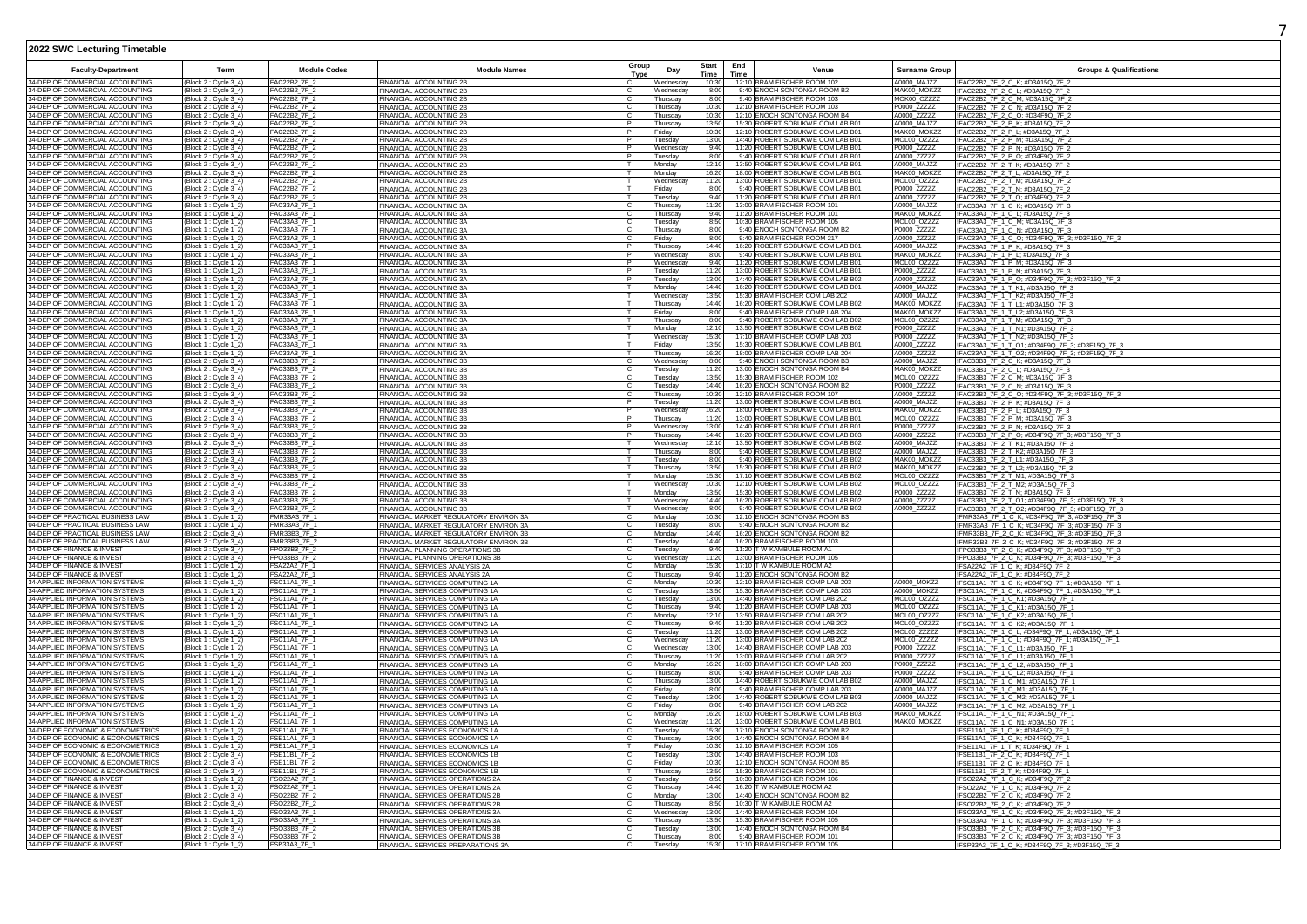|                                                                      |                                                |                                    |                                                                                  | Group       |                        | Start          | End  |                                                                      |                            |                                                                                                  |
|----------------------------------------------------------------------|------------------------------------------------|------------------------------------|----------------------------------------------------------------------------------|-------------|------------------------|----------------|------|----------------------------------------------------------------------|----------------------------|--------------------------------------------------------------------------------------------------|
| <b>Faculty-Department</b>                                            | Term                                           | <b>Module Codes</b>                | <b>Module Names</b>                                                              | <b>Type</b> | Day                    | Time           | Time | Venue                                                                | <b>Surname Group</b>       | <b>Groups &amp; Qualifications</b>                                                               |
| 34-DEP OF COMMERCIAL ACCOUNTING<br>34-DEP OF COMMERCIAL ACCOUNTING   | (Block 2 : Cycle 3_4)                          | FAC22B2_7F_2<br>AC22B2_7F_2        | FINANCIAL ACCOUNTING 2B                                                          |             | Nednesday<br>/ednesday | 10:30<br>8:00  |      | 12:10 BRAM FISCHER ROOM 102<br>9:40 ENOCH SONTONGA ROOM B2           | A0000 MAJ77<br>MAK00_MOKZZ | !FAC22B2_7F_2_C_K; #D3A15Q_7F_2                                                                  |
| 34-DEP OF COMMERCIAL ACCOUNTING                                      | (Block 2 : Cycle 3_4)<br>Block 2 : Cycle 3_4   | FAC22B2_7F_2                       | FINANCIAL ACCOUNTING 2B<br>FINANCIAL ACCOUNTING 2B                               |             | hursdav                | 8:00           |      | 9:40 BRAM FISCHER ROOM 103                                           | MOK00_OZZZZ                | !FAC22B2_7F_2_C_L; #D3A15Q_7F_2<br>!FAC22B2_7F_2_C_M; #D3A15Q_7F_2                               |
| 34-DEP OF COMMERCIAL ACCOUNTING                                      | Block 2 : Cycle 3_4                            | FAC22B2_7F_                        | FINANCIAL ACCOUNTING 2B                                                          |             | hursday                | 10:30          |      | 12:10 BRAM FISCHER ROOM 103                                          | P0000_ZZZZZ                | IFAC22B2_7F_2_C_N; #D3A15Q_7F_2<br>IFAC22B2_7F_2_C_O; #D34F9Q_7F_2                               |
| 34-DEP OF COMMERCIAL ACCOUNTING                                      | (Block 2 : Cycle 3_4)                          | FAC22B2 7F                         | FINANCIAL ACCOUNTING 2B                                                          |             | Thursdav               | 10:30          |      | 12:10 ENOCH SONTONGA ROOM B4                                         | A0000 ZZZZZ                |                                                                                                  |
| 34-DEP OF COMMERCIAL ACCOUNTING<br>34-DEP OF COMMERCIAL ACCOUNTING   | Block 2: Cycle 3_4                             | FAC22B2_7F_2                       | FINANCIAL ACCOUNTING 2B<br><b>FINANCIAL ACCOUNTING 2B</b>                        |             | hursday                | 13:50<br>10:30 |      | 15:30 ROBERT SOBUKWE COM LAB B01<br>12:10 ROBERT SOBUKWE COM LAB B01 | A0000_MAJZZ<br>MAK00_MOKZZ | !FAC22B2_7F_2_P_K; #D3A15Q_7F_2<br>!FAC22B2_7F_2_P_L; #D3A15Q_7F_2                               |
| 34-DEP OF COMMERCIAL ACCOUNTING                                      | (Block 2 : Cycle 3_4)<br>(Block 2: Cycle 3_4)  | FAC22B2_7F_2<br>FAC22B2 7F 2       | FINANCIAL ACCOUNTING 2B                                                          |             | Friday<br>Tuesdav      | 13:00          |      | 14:40 ROBERT SOBUKWE COM LAB B01                                     | MOL00 OZZZZ                | !FAC22B2_7F_2_P_M; #D3A15Q_7F_2                                                                  |
| 34-DEP OF COMMERCIAL ACCOUNTING                                      | (Block 2 : Cycle 3_4)                          | <b>FAC22B2_7F</b>                  | <b>FINANCIAL ACCOUNTING 2B</b>                                                   |             | Wednesda               | 9:40           |      | 11:20 ROBERT SOBUKWE COM LAB B01                                     | P0000 ZZZZZ                | !FAC22B2_7F_2_P_N; #D3A15Q_7F_2                                                                  |
| 34-DEP OF COMMERCIAL ACCOUNTING                                      | (Block 2 : Cycle 3_4)                          | <b>FAC22B2 7F 2</b>                | <b>FINANCIAL ACCOUNTING 2B</b>                                                   |             | Tuesday                | 8:00           |      | 9:40 ROBERT SOBUKWE COM LAB B01                                      | A0000_ZZZZZ                | !FAC22B2_7F_2_P_0; #D34F9Q_7F_2                                                                  |
| 34-DEP OF COMMERCIAL ACCOUNTING                                      | (Block 2 : Cycle 3_4)                          | FAC22B2_7F_2                       | FINANCIAL ACCOUNTING 2B                                                          |             | Monday                 | 12:10          |      | 13:50 ROBERT SOBUKWE COM LAB B01                                     | A0000_MAJZZ                | !FAC22B2_7F_2_T_K; #D3A15Q_7F_2                                                                  |
| 4-DEP OF COMMERCIAL ACCOUNTING<br>34-DEP OF COMMERCIAL ACCOUNTING    | (Block 2 : Cycle 3_4)<br>(Block 2 : Cycle 3_4) | AC22B2_7F_2<br><b>FAC22B2 7F</b>   | FINANCIAL ACCOUNTING 2B<br>FINANCIAL ACCOUNTING 2B                               |             | Monday<br>Vednesday    | 16:20<br>11:20 |      | 18:00 ROBERT SOBUKWE COM LAB B01<br>13:00 ROBERT SOBUKWE COM LAB B01 | MAK00_MOKZZ<br>MOL00_OZZZZ | !FAC22B2_7F_2_T_L; #D3A15Q_7F_2<br>!FAC22B2_7F_2_T_M; #D3A15Q_7F_2                               |
| 34-DEP OF COMMERCIAL ACCOUNTING                                      | (Block 2 : Cycle 3_4)                          | AC22B2 7F                          | FINANCIAL ACCOUNTING 2B                                                          |             | riday                  | 8:00           |      | 9:40 ROBERT SOBUKWE COM LAB B01                                      | P0000 ZZZZZ                | !FAC22B2_7F_2_T_N; #D3A15Q_7F_2                                                                  |
| 34-DEP OF COMMERCIAL ACCOUNTING                                      | (Block 2 : Cycle 3_4)                          | AC22B2 7F                          | <b>FINANCIAL ACCOUNTING 2B</b>                                                   |             | uesday                 | 9:40           |      | 11:20 ROBERT SOBUKWE COM LAB B01                                     | A0000 ZZZZZ                | !FAC22B2 7F 2 T O; #D34F9Q 7F 2                                                                  |
| 34-DEP OF COMMERCIAL ACCOUNTING                                      | (Block 1 : Cycle 1_2)                          | FAC33A3_7F_1                       | FINANCIAL ACCOUNTING 3A                                                          |             | Thursday               | 11:20          |      | 13:00 BRAM FISCHER ROOM 101                                          | A0000 MAJZZ                | IFAC33A3_7F_1_C_K; #D3A15Q_7F_3                                                                  |
| 34-DEP OF COMMERCIAL ACCOUNTING<br>34-DEP OF COMMERCIAL ACCOUNTING   | Block 1 : Cycle 1_2                            | FAC33A3 7F<br>FAC33A3 7F 1         | FINANCIAL ACCOUNTING 3A<br>FINANCIAL ACCOUNTING 3A                               |             | Thursdav<br>uesday     | 9:40<br>8:50   |      | 11:20 BRAM FISCHER ROOM 101<br>10:30 BRAM FISCHER ROOM 105           | MAK00_MOKZZ                | !FAC33A3_7F_1_C_L; #D3A15Q_7F_3<br>!FAC33A3 7F 1 C M: #D3A15Q 7F 3                               |
| 34-DEP OF COMMERCIAL ACCOUNTING                                      | (Block 1 : Cycle 1_2)<br>(Block 1 : Cycle 1_2) | FAC33A3 7F_1                       | FINANCIAL ACCOUNTING 3A                                                          |             | Thursday               | 8:00           |      | 9:40 ENOCH SONTONGA ROOM B2                                          | MOL00_OZZZZ<br>P0000_ZZZZZ | !FAC33A3_7F_1_C_N; #D3A15Q_7F_3                                                                  |
| 34-DEP OF COMMERCIAL ACCOUNTING                                      | (Block 1 : Cycle 1_2)                          | FAC33A3 7F 1                       | FINANCIAL ACCOUNTING 3A                                                          |             | Friday                 | 8:00           |      | 9:40 BRAM FISCHER ROOM 217                                           | A0000_ZZZZZ                | !FAC33A3_7F_1_C_O; #D34F9Q_7F_3; #D3F15Q_7F_3                                                    |
| 34-DEP OF COMMERCIAL ACCOUNTING                                      | (Block 1 : Cycle 1_2)                          | FAC33A3_7F_1                       | FINANCIAL ACCOUNTING 3A                                                          |             | Thursday               | 14:40          |      | 16:20 ROBERT SOBUKWE COM LAB B01                                     | A0000 MAJZZ                | !FAC33A3_7F_1_P_K; #D3A15Q_7F_3                                                                  |
| 34-DEP OF COMMERCIAL ACCOUNTING<br>34-DEP OF COMMERCIAL ACCOUNTING   | (Block 1 : Cycle 1_2<br>(Block 1 : Cycle 1_2)  | FAC33A3_7F_1<br>FAC33A3_7F_1       | FINANCIAL ACCOUNTING 3A<br>FINANCIAL ACCOUNTING 3A                               |             | Vednesday<br>Nednesday | 8:00<br>9:40   |      | 9:40 ROBERT SOBUKWE COM LAB B01<br>11:20 ROBERT SOBUKWE COM LAB B01  | MAK00_MOKZZ<br>MOL00_OZZZZ | !FAC33A3_7F_1_P_L; #D3A15Q_7F_3<br>!FAC33A3_7F_1_P_M; #D3A15Q_7F_3                               |
| 34-DEP OF COMMERCIAL ACCOUNTING                                      | (Block 1 : Cycle 1_2                           | AC33A3_7F_                         | FINANCIAL ACCOUNTING 3A                                                          |             | uesdav                 | 11:20          |      | 13:00 ROBERT SOBUKWE COM LAB B01                                     | P0000_ZZZZZ                | !FAC33A3_7F_1_P_N; #D3A15Q_7F_3                                                                  |
| 34-DEP OF COMMERCIAL ACCOUNTING                                      | (Block 1 : Cycle 1_2)                          | FAC33A3 7F                         | FINANCIAL ACCOUNTING 3A                                                          |             | uesday                 | 13:00          |      | 14:40 ROBERT SOBUKWE COM LAB B02                                     | A0000 ZZZZZ                | !FAC33A3_7F_1_P_O; #D34F9Q_7F_3; #D3F15Q_7F_3                                                    |
| 34-DEP OF COMMERCIAL ACCOUNTING                                      | Block 1 : Cycle 1 2                            | FAC33A3_7F_                        | FINANCIAL ACCOUNTING 3A                                                          |             | Monday                 | 14:40          |      | 16:20 ROBERT SOBUKWE COM LAB B01                                     | A0000_MAJZZ                | IFAC33A3_7F_1_T_K1; #D3A15Q_7F_3                                                                 |
| 34-DEP OF COMMERCIAL ACCOUNTING<br>34-DEP OF COMMERCIAL ACCOUNTING   | (Block 1 : Cycle 1_2<br>Block 1 : Cycle 1_2    | FAC33A3_7F_1<br>AC33A3 7F 1        | FINANCIAL ACCOUNTING 3A                                                          |             | Wednesday<br>hursdav   | 13:50<br>14:40 |      | 15:30 BRAM FISCHER COM LAB 202<br>16:20 ROBERT SOBUKWE COM LAB B02   | A0000_MAJZZ<br>MAK00 MOKZZ | IFAC33A3 7F 1 T K2; #D3A15Q 7F 3<br>IFAC33A3_7F_1_T_L1; #D3A15Q_7F_3                             |
| 34-DEP OF COMMERCIAL ACCOUNTING                                      | (Block 1 : Cycle 1_2)                          | FAC33A3 7F 1                       | FINANCIAL ACCOUNTING 3A<br>FINANCIAL ACCOUNTING 3A                               |             | Friday                 | 8:00           |      | 9:40 BRAM FISCHER COMP LAB 204                                       | MAK00_MOKZZ                | IFAC33A3_7F_1_T_L2; #D3A15Q_7F_3                                                                 |
| 34-DEP OF COMMERCIAL ACCOUNTING                                      | (Block 1 : Cycle 1_2)                          | FAC33A3_7F_1                       | FINANCIAL ACCOUNTING 3A                                                          |             | Thursday               | 8:00           |      | 9:40 ROBERT SOBUKWE COM LAB B02                                      | MOL00_OZZZZ                | !FAC33A3_7F_1_T_M; #D3A15Q_7F_3                                                                  |
| 34-DEP OF COMMERCIAL ACCOUNTING                                      | (Block 1 : Cycle 1_2)                          | FAC33A3 7F 1                       | <b>FINANCIAL ACCOUNTING 3A</b>                                                   |             | Monday                 | 12:10          |      | 13:50 ROBERT SOBUKWE COM LAB B02                                     | P0000_ZZZZZ                | !FAC33A3 7F 1 T N1: #D3A15Q 7F 3                                                                 |
| 34-DEP OF COMMERCIAL ACCOUNTING                                      | (Block 1 : Cycle 1_2)                          | FAC33A3 7F 1                       | FINANCIAL ACCOUNTING 3A                                                          |             | Wednesday              | 15:30          |      | 17:10 BRAM FISCHER COMP LAB 203                                      | P0000_ZZZZZ                | !FAC33A3_7F_1_T_N2; #D3A15Q_7F_3                                                                 |
| 34-DEP OF COMMERCIAL ACCOUNTING<br>4-DEP OF COMMERCIAL ACCOUNTING    | Block 1 : Cycle 1_2<br>(Block 1 : Cycle 1_2    | FAC33A3_7F_1<br>FAC33A3_7F_1       | FINANCIAL ACCOUNTING 3A<br>FINANCIAL ACCOUNTING 3A                               |             | riday<br>hursday       | 13:50<br>16:20 |      | 15:30 ROBERT SOBUKWE COM LAB B01<br>18:00 BRAM FISCHER COMP LAB 204  | A0000_ZZZZZ<br>A0000_ZZZZZ | !FAC33A3_7F_1_T_O1; #D34F9Q_7F_3; #D3F15Q_7F_3<br>IFAC33A3_7F_1_T_O2; #D34F9Q_7F_3; #D3F15Q_7F_3 |
| 34-DEP OF COMMERCIAL ACCOUNTING                                      | (Block 2 : Cycle 3_4)                          | FAC33B3 7F                         | FINANCIAL ACCOUNTING 3B                                                          |             | Vednesday              | 8:00           |      | 9:40 ENOCH SONTONGA ROOM B3                                          | A0000 MAJZZ                | IFAC33B3_7F_2_C_K; #D3A15Q_7F_3                                                                  |
| 34-DEP OF COMMERCIAL ACCOUNTING                                      | (Block 2 : Cycle 3_4)                          | FAC33B3 7F                         | FINANCIAL ACCOUNTING 3B                                                          |             | uesday                 | 11:20          |      | 13:00 ENOCH SONTONGA ROOM B4                                         | MAK00 MOKZZ                | !FAC33B3_7F_2_C_L; #D3A15Q_7F_3                                                                  |
| 34-DEP OF COMMERCIAL ACCOUNTING<br>34-DEP OF COMMERCIAL ACCOUNTING   | (Block 2 : Cycle 3_4)                          | FAC33B3_7F_                        | FINANCIAL ACCOUNTING 3B                                                          |             | uesday                 | 13:50          |      | 15:30 BRAM FISCHER ROOM 102                                          | MOL00_OZZZZ                | IFAC33B3_7F_2_C_M; #D3A15Q_7F_3                                                                  |
| 4-DEP OF COMMERCIAL ACCOUNTING                                       | (Block 2: Cycle 3 4)<br>Block 2 : Cycle 3 4    | FAC33B3 7F<br>AC33B3 7F            | FINANCIAL ACCOUNTING 3B                                                          |             | uesdav<br>hursdav      | 14:40<br>10:30 |      | 16:20 ENOCH SONTONGA ROOM B2<br>12:10 BRAM FISCHER ROOM 107          | P0000 ZZZZZ<br>A0000 ZZZZZ | IFAC33B3_7F_2_C_N; #D3A15Q_7F_3                                                                  |
| 34-DEP OF COMMERCIAL ACCOUNTING                                      | (Block 2 : Cycle 3_4)                          | FAC33B3 7F 2                       | FINANCIAL ACCOUNTING 3B<br>FINANCIAL ACCOUNTING 3B                               |             | uesday                 | 11:20          |      | 13:00 ROBERT SOBUKWE COM LAB B01                                     | A0000 MAJZZ                | !FAC33B3_7F_2_C_O; #D34F9Q_7F_3; #D3F15Q_7F_3<br>!FAC33B3_7F_2_P_K; #D3A15Q_7F_3                 |
| 34-DEP OF COMMERCIAL ACCOUNTING                                      | (Block 2 : Cycle 3_4)                          | FAC33B3_7F_2                       | FINANCIAL ACCOUNTING 3B                                                          |             | Wednesday              | 16:20          |      | 18:00 ROBERT SOBUKWE COM LAB B01                                     | MAK00_MOKZZ                | IFAC33B3_7F_2_P_L; #D3A15Q_7F_3                                                                  |
| 34-DEP OF COMMERCIAL ACCOUNTING                                      | (Block 2 : Cycle 3_4)                          | FAC33B3 7F 2                       | FINANCIAL ACCOUNTING 3B                                                          |             | hursday                | 11:20          |      | 13:00 ROBERT SOBUKWE COM LAB B01                                     | MOL00_OZZZZ                | !FAC33B3_7F_2_P_M; #D3A15Q_7F_3                                                                  |
| 34-DEP OF COMMERCIAL ACCOUNTING<br>34-DEP OF COMMERCIAL ACCOUNTING   | (Block 2 : Cycle 3_4)                          | FAC33B3_7F_2<br>FAC33B3_7F_        | FINANCIAL ACCOUNTING 3B                                                          |             | Vednesday<br>hursday   | 13:00<br>14:40 |      | 14:40 ROBERT SOBUKWE COM LAB B01<br>16:20 ROBERT SOBUKWE COM LAB B03 | P0000_ZZZZZ<br>A0000_ZZZZZ | !FAC33B3_7F_2_P_N; #D3A15Q_7F_3                                                                  |
| 34-DEP OF COMMERCIAL ACCOUNTING                                      | (Block 2 : Cycle 3_4)<br>(Block 2 : Cycle 3_4) | AC33B3_7F_                         | FINANCIAL ACCOUNTING 3B<br>FINANCIAL ACCOUNTING 3B                               |             | Vednesdav              | 12:10          |      | 13:50 ROBERT SOBUKWE COM LAB B02                                     | A0000_MAJZZ                | !FAC33B3_7F_2_P_O; #D34F9Q_7F_3; #D3F15Q_7F_3<br>!FAC33B3_7F_2_T_K1; #D3A15Q_7F_3                |
| 34-DEP OF COMMERCIAL ACCOUNTING                                      | (Block 2 : Cycle 3_4)                          | FAC33B3 7F                         | FINANCIAL ACCOUNTING 3B                                                          |             | hursday                | 8:00           |      | 9:40 ROBERT SOBUKWE COM LAB B02                                      | A0000 MAJZZ                | !FAC33B3 7F 2 T K2: #D3A15Q 7F 3                                                                 |
| 34-DEP OF COMMERCIAL ACCOUNTING                                      | (Block 2 : Cycle 3_4)                          | FAC33B3_7F_                        | FINANCIAL ACCOUNTING 3B                                                          |             | uesday                 | 8:00           |      | 9:40 ROBERT SOBUKWE COM LAB B02                                      | MAK00 MOKZZ                | IFAC33B3 7F 2 T L1; #D3A15Q 7F 3                                                                 |
| 34-DEP OF COMMERCIAL ACCOUNTING<br>34-DEP OF COMMERCIAL ACCOUNTING   | Block 2 : Cycle 3_4<br>(Block 2: Cycle 3 4     | FAC33B3_7F_<br>FAC33B3 7F          | FINANCIAL ACCOUNTING 3E                                                          |             | hursday                | 13:50<br>15:30 |      | 15:30 ROBERT SOBUKWE COM LAB B02<br>17:10 ROBERT SOBUKWE COM LAB B02 | MAK00_MOKZZ<br>MOL00_OZZZZ | IFAC33B3_7F_2_T_L2; #D3A15Q_7F_3                                                                 |
| 34-DEP OF COMMERCIAL ACCOUNTING                                      | (Block 2 : Cycle 3_4                           | FAC33B3 7F                         | FINANCIAL ACCOUNTING 3B<br>FINANCIAL ACCOUNTING 3B                               |             | Mondav<br>Wednesday    | 10:30          |      | 12:10 ROBERT SOBUKWE COM LAB B02                                     | MOL00_OZZZZ                | !FAC33B3_7F_2_T_M1; #D3A15Q_7F_3<br>!FAC33B3_7F_2_T_M2; #D3A15Q_7F_3                             |
| 34-DEP OF COMMERCIAL ACCOUNTING                                      | (Block 2 : Cycle 3_4)                          | FAC33B3 7F                         | FINANCIAL ACCOUNTING 3E                                                          |             | Monday                 | 13:50          |      | 15:30 ROBERT SOBUKWE COM LAB B02                                     | P0000_ZZZZZ                | !FAC33B3_7F_2_T_N; #D3A15Q_7F_3                                                                  |
| 34-DEP OF COMMERCIAL ACCOUNTING                                      | (Block 2 : Cycle 3_4)                          | FAC33B3_7F_2                       | FINANCIAL ACCOUNTING 3B                                                          |             | Wednesday              | 14:40          |      | 16:20 ROBERT SOBUKWE COM LAB B02                                     | A0000_ZZZZZ                | !FAC33B3_7F_2_T_O1; #D34F9Q_7F_3; #D3F15Q_7F_3                                                   |
| 34-DEP OF COMMERCIAL ACCOUNTING                                      | (Block 2 : Cycle 3_4)                          | FAC33B3_7F_                        | FINANCIAL ACCOUNTING 3B                                                          |             | Wednesday              | 8:00           |      | 9:40 ROBERT SOBUKWE COM LAB B02                                      | A0000_ZZZZZ                | !FAC33B3_7F_2_T_O2; #D34F9Q_7F_3; #D3F15Q_7F_3                                                   |
| 04-DEP OF PRACTICAL BUSINESS LAW<br>04-DEP OF PRACTICAL BUSINESS LAW | (Block 1 : Cycle 1_2)<br>(Block 1 : Cycle 1_2) | FMR33A3_7F_1<br>FMR33A3_7F_        | FINANCIAL MARKET REGULATORY ENVIRON 3A<br>FINANCIAL MARKET REGULATORY ENVIRON 3A |             | Monday<br>uesday       | 10:30<br>8:00  |      | 12:10 ENOCH SONTONGA ROOM B3<br>9:40 ENOCH SONTONGA ROOM B2          |                            | !FMR33A3_7F_1_C_K; #D34F9Q_7F_3; #D3F15Q_7F_3<br>!FMR33A3_7F_1_C_K; #D34F9Q_7F_3; #D3F15Q_7F_3   |
| 04-DEP OF PRACTICAL BUSINESS LAW                                     | (Block 2 : Cycle 3_4)                          | FMR33B3 7F 2                       | FINANCIAL MARKET REGULATORY ENVIRON 3B                                           |             | Monday                 | 14:40          |      | 16:20 ENOCH SONTONGA ROOM B2                                         |                            | !FMR33B3_7F_2_C_K; #D34F9Q_7F_3; #D3F15Q_7F_3                                                    |
| 04-DEP OF PRACTICAL BUSINESS LAW                                     | Block 2 : Cycle 3_4                            | <b>FMR33B3 7F</b>                  | FINANCIAL MARKET REGULATORY ENVIRON 3B                                           |             | uesday                 | 14:40          |      | 16:20 BRAM FISCHER ROOM 103                                          |                            | !FMR33B3_7F_2_C_K; #D34F9Q_7F_3; #D3F15Q_7F_3                                                    |
| 34-DEP OF FINANCE & INVEST                                           | (Block 2 : Cycle 3_4)                          | FPO33B3 7F                         | FINANCIAL PLANNING OPERATIONS 3B                                                 |             | Tuesday                | 9:40           |      | 11:20 T W KAMBULE ROOM A1                                            |                            | IFPO33B3 7F 2 C K: #D34F9Q 7F 3: #D3F15Q 7F 3                                                    |
| 34-DEP OF FINANCE & INVEST<br>34-DEP OF FINANCE & INVEST             | (Block 2 : Cycle 3_4)<br>(Block 1 : Cycle 1_2) | PO33B3 7F<br>SA22A2 7F 1           | FINANCIAL PLANNING OPERATIONS 3B<br>FINANCIAL SERVICES ANALYSIS 2A               |             | Wednesday<br>Mondav    | 11:20<br>15:30 |      | 13:00 BRAM FISCHER ROOM 105<br>17:10 T W KAMBULE ROOM A2             |                            | IFPO33B3_7F_2_C_K; #D34F9Q_7F_3; #D3F15Q_7F_3<br>IFSA22A2_7F_1_C_K; #D34F9Q_7F_2                 |
| 34-DEP OF FINANCE & INVEST                                           | (Block 1 : Cycle 1_2                           | SA22A2 7F 1                        | FINANCIAL SERVICES ANALYSIS 2A                                                   |             | hursdav                | 9:40           |      | 11:20 ENOCH SONTONGA ROOM B2                                         |                            | !FSA22A2_7F_1_C_K; #D34F9Q_7F_2                                                                  |
| 34-APPLIED INFORMATION SYSTEMS                                       | (Block 1 : Cvcle 1 2                           | <b>FSC11A1 7F 1</b>                | FINANCIAL SERVICES COMPUTING 1A                                                  |             | Mondav                 | 10:30          |      | 12:10 BRAM FISCHER COMP LAB 203                                      | A0000 MOK77                | IFSC11A1_7F_1_C_K; #D34F9Q_7F_1; #D3A15Q_7F_1                                                    |
| 34-APPLIED INFORMATION SYSTEMS                                       | (Block 1 : Cycle 1_2)                          | FSC11A1_7F_1                       | FINANCIAL SERVICES COMPUTING 1A                                                  |             | Tuesday                | 13:50          |      | 15:30 BRAM FISCHER COMP LAB 203                                      | A0000_MOKZZ                | !FSC11A1_7F_1_C_K; #D34F9Q_7F_1; #D3A15Q_7F_1                                                    |
| 34-APPLIED INFORMATION SYSTEMS<br>34-APPLIED INFORMATION SYSTEMS     | (Block 1 : Cycle 1_2)<br>(Block 1 : Cycle 1_2) | "SC11A1_7F_1<br>SC11A1_7F_1        | FINANCIAL SERVICES COMPUTING 1A<br>FINANCIAL SERVICES COMPUTING 1A               |             | uesday<br>hursday      | 13:00<br>9:40  |      | 14:40 BRAM FISCHER COM LAB 202<br>11:20 BRAM FISCHER COMP LAB 203    | MOL00_OZZZZ<br>MOL00_OZZZZ | !FSC11A1_7F_1_C_K1; #D3A15Q_7F_1<br>!FSC11A1_7F_1_C_K1; #D3A15Q_7F_1                             |
| 34-APPLIED INFORMATION SYSTEMS                                       | (Block 1 : Cycle 1_2                           | SC11A1 7F                          | FINANCIAL SERVICES COMPUTING 1A                                                  |             | Monday                 | 12:10          |      | 13:50 BRAM FISCHER COM LAB 202                                       | <b>MOL00 OZZZZ</b>         | !FSC11A1_7F_1_C_K2; #D3A15Q_7F_1                                                                 |
| 34-APPLIED INFORMATION SYSTEMS                                       | Block 1 : Cycle 1_2]                           | SC11A1_7F                          | FINANCIAL SERVICES COMPUTING 1A                                                  |             | hursday                | 9:40           |      | 11:20 BRAM FISCHER COM LAB 202                                       | MOL00 OZZZZ                | IFSC11A1_7F_1_C_K2; #D3A15Q_7F_1                                                                 |
| 34-APPLIED INFORMATION SYSTEMS                                       | (Block 1 : Cycle 1_2)                          | $-$ SC11A1_7F_                     | FINANCIAL SERVICES COMPUTING 1A                                                  |             | uesday                 | 11:20          |      | 13:00 BRAM FISCHER COM LAB 202                                       | MOL00_ZZZZZ                | IFSC11A1_7F_1_C_L; #D34F9Q_7F_1; #D3A15Q_7F_1                                                    |
| 34-APPLIED INFORMATION SYSTEMS<br>4-APPLIED INFORMATION SYSTEMS      | (Block 1 : Cycle 1_2)<br>Block 1 : Cycle 1_2   | FSC11A1_7F_1<br>SC11A1_7F_1        | FINANCIAL SERVICES COMPUTING 1A                                                  |             | Wednesdav<br>Wednesdav | 11:20<br>13:00 |      | 13:00 BRAM FISCHER COM LAB 202<br>14:40 BRAM FISCHER COMP LAB 203    | MOL00_ZZZZZ<br>P0000 ZZZZZ | IFSC11A1_7F_1_C_L; #D34F9Q_7F_1; #D3A15Q_7F_1                                                    |
| 34-APPLIED INFORMATION SYSTEMS                                       | (Block 1 : Cvcle 1 2                           | SC11A1_7F_1                        | FINANCIAL SERVICES COMPUTING 1A<br>FINANCIAL SERVICES COMPUTING 1A               |             | hursdav                | 11:20          |      | 13:00 BRAM FISCHER COM LAB 202                                       | P0000 ZZZZZ                | !FSC11A1_7F_1_C_L1; #D3A15Q_7F_1<br>IFSC11A1_7F_1_C_L1; #D3A15Q_7F_1                             |
| 34-APPLIED INFORMATION SYSTEMS                                       | Block 1 : Cycle 1_2                            | SC <sub>11</sub> A <sub>1</sub> 7F | FINANCIAL SERVICES COMPUTING 1A                                                  |             | Monday                 | 16:20          |      | 18:00 BRAM FISCHER COMP LAB 203                                      | P0000 ZZZZZ                | IFSC11A1_7F_1_C_L2; #D3A15Q_7F_1                                                                 |
| 34-APPLIED INFORMATION SYSTEMS                                       | (Block 1 : Cycle 1_2)                          | SC11A1_7F_1                        | FINANCIAL SERVICES COMPUTING 1A                                                  |             | Thursday               | 8:00           |      | 9:40 BRAM FISCHER COMP LAB 203                                       | P0000_ZZZZZ                | !FSC11A1_7F_1_C_L2; #D3A15Q_7F_1                                                                 |
| 34-APPLIED INFORMATION SYSTEMS<br>34-APPLIED INFORMATION SYSTEMS     | (Block 1 : Cycle 1_2)                          | $SC11A1$ _7F_1<br>SC11A1_7F_1      | FINANCIAL SERVICES COMPUTING 1A<br>FINANCIAL SERVICES COMPUTING 1A               |             | Thursday               | 13:00          |      | 14:40 ROBERT SOBUKWE COM LAB B02<br>9:40 BRAM FISCHER COMP LAB 203   | A0000_MAJZZ<br>A0000_MAJZZ | !FSC11A1_7F_1_C_M1; #D3A15Q_7F_1<br>!FSC11A1_7F_1_C_M1; #D3A15Q_7F_1                             |
| 34-APPLIED INFORMATION SYSTEMS                                       | (Block 1 : Cycle 1_2)<br>(Block 1 : Cycle 1_2) | SC11A1_7F_1                        | FINANCIAL SERVICES COMPUTING 1A                                                  |             | riday<br>uesday        | 8:00<br>13:00  |      | 14:40 ROBERT SOBUKWE COM LAB B03                                     | A0000_MAJZZ                | !FSC11A1_7F_1_C_M2; #D3A15Q_7F_1                                                                 |
| 34-APPLIED INFORMATION SYSTEMS                                       | (Block 1 : Cycle 1_2)                          | SC11A1_7F                          | FINANCIAL SERVICES COMPUTING 1A                                                  |             | riday                  | 8:00           |      | 9:40 BRAM FISCHER COM LAB 202                                        | A0000 MAJZZ                | !FSC11A1_7F_1_C_M2; #D3A15Q_7F_1                                                                 |
| 34-APPLIED INFORMATION SYSTEMS                                       | (Block 1 : Cycle 1_2)                          | FSC11A1_7F_1                       | FINANCIAL SERVICES COMPUTING 1A                                                  |             | Monday                 | 16:20          |      | 18:00 ROBERT SOBUKWE COM LAB B03                                     | MAK00_MOKZZ                | IFSC11A1_7F_1_C_N1; #D3A15Q_7F_1                                                                 |
| 34-APPLIED INFORMATION SYSTEMS<br>34-DEP OF ECONOMIC & ECONOMETRICS  | Block 1 : Cycle 1_2<br>(Block 1: Cycle 1 2     | SC11A1_7F_1<br>FSE11A1_7F_1        | FINANCIAL SERVICES COMPUTING 1A                                                  |             | Wednesday              | 11:20<br>15:30 |      | 13:00 ROBERT SOBUKWE COM LAB B01                                     | MAK00 MOK77                | IFSC11A1_7F_1_C_N1; #D3A15Q_7F_1                                                                 |
| 34-DEP OF ECONOMIC & ECONOMETRICS                                    | Block 1 : Cycle 1_2                            | <b>SE11A1 7F</b>                   | FINANCIAL SERVICES ECONOMICS 1A                                                  |             | uesdav<br>hursdav      | 13:00          |      | 17:10 ENOCH SONTONGA ROOM B2<br>14:40 ENOCH SONTONGA ROOM B4         |                            | IFSE11A1_7F_1_C_K: #D34F90_7F_1<br>!FSE11A1_7F_1_C_K; #D34F9Q_7F_1                               |
| 34-DEP OF ECONOMIC & ECONOMETRICS                                    | (Block 1 : Cycle 1_2                           | FSE11A1_7F_1                       | FINANCIAL SERVICES ECONOMICS 1A<br>FINANCIAL SERVICES ECONOMICS 1A               |             | Friday                 | 10:30          |      | 12:10 BRAM FISCHER ROOM 105                                          |                            | IFSE11A1_7F_1_T_K; #D34F9Q_7F_1                                                                  |
| 34-DEP OF ECONOMIC & ECONOMETRICS                                    | Block 2: Cycle 3 4                             | SF11B1 7F 3                        | FINANCIAL SERVICES ECONOMICS 1B                                                  |             | uesdav                 | 13:00          |      | 14:40 BRAM FISCHER ROOM 103                                          |                            | !FSE11B1_7F_2_C_K; #D34F9Q_7F_1                                                                  |
| 34-DEP OF ECONOMIC & ECONOMETRICS                                    | (Block 2 : Cycle 3_4)                          | FSF11B1 7F                         | FINANCIAL SERVICES ECONOMICS 1B                                                  |             | Fridav                 | 10:30          |      | 12:10 ENOCH SONTONGA ROOM B5                                         |                            | !FSE11B1_7F_2_C_K; #D34F9Q_7F_1                                                                  |
| 34-DEP OF ECONOMIC & ECONOMETRICS<br>34-DEP OF FINANCE & INVEST      | (Block 2 : Cycle 3_4)<br>(Block 1 : Cycle 1_2) | FSE11B1_7F_2<br>SO22A2_7F          | FINANCIAL SERVICES ECONOMICS 1B<br>FINANCIAL SERVICES OPERATIONS 2A              |             | Thursday<br>uesday     | 13:50<br>8:50  |      | 15:30 BRAM FISCHER ROOM 101<br>10:30 BRAM FISCHER ROOM 106           |                            | !FSE11B1_7F_2_T_K; #D34F9Q_7F_1<br>!FSO22A2_7F_1_C_K; #D34F9Q_7F_2                               |
| 34-DEP OF FINANCE & INVEST                                           | (Block 1 : Cycle 1_2)                          | SO22A2 7F 1                        | FINANCIAL SERVICES OPERATIONS 2A                                                 |             | hursday                | 14:40          |      | 16:20 T W KAMBULE ROOM A2                                            |                            | !FSO22A2_7F_1_C_K; #D34F9Q_7F_2                                                                  |
| 34-DEP OF FINANCE & INVES                                            | Block 2 : Cycle 3_4                            | SO22B2 7F                          | FINANCIAL SERVICES OPERATIONS 2B                                                 |             | Monday                 | 13:00          |      | 14:40 ENOCH SONTONGA ROOM B2                                         |                            | !FSO22B2_7F_2_C_K; #D34F9Q_7F_2                                                                  |
| 34-DEP OF FINANCE & INVES                                            | (Block 2 : Cycle 3_4)                          | FSO22B2 7F                         | FINANCIAL SERVICES OPERATIONS 2B                                                 |             | Thursday               | 8:50           |      | 10:30 T W KAMBULE ROOM A2                                            |                            | I!FSO22B2_7F_2_C_K: #D34F9Q_7F_2                                                                 |
| 34-DEP OF FINANCE & INVEST<br>34-DEP OF FINANCE & INVEST             | Block 1 : Cycle 1_2)<br>(Block 1 : Cycle 1 2   | SO33A3_7F<br>SO33A3 7F             | FINANCIAL SERVICES OPERATIONS 3A                                                 |             | Wednesdav<br>Thursdav  | 13:00<br>13:50 |      | 14:40 BRAM FISCHER ROOM 104<br>15:30 BRAM FISCHER ROOM 105           |                            | IFSO33A3_7F_1_C_K; #D34F9Q_7F_3; #D3F15Q_7F_3                                                    |
| 34-DEP OF FINANCE & INVEST                                           | (Block 2 : Cycle 3_4                           | SO33B3 7F                          | FINANCIAL SERVICES OPERATIONS 3A<br>FINANCIAL SERVICES OPERATIONS 3B             |             | uesdav                 | 13:00          |      | 14:40 ENOCH SONTONGA ROOM B4                                         |                            | IFSO33A3_7F_1_C_K; #D34F9Q_7F_3; #D3F15Q_7F_3<br>!FSO33B3_7F_2_C_K; #D34F9Q_7F_3; #D3F15Q_7F_3   |
| 34-DEP OF FINANCE & INVEST                                           | (Block 2 : Cycle 3_4)                          | FSO33B3 7F 2                       | FINANCIAL SERVICES OPERATIONS 3B                                                 |             | hursday                | 8:00           |      | 9:40 BRAM FISCHER ROOM 101                                           |                            | IFSO33B3_7F_2_C_K; #D34F9Q_7F_3; #D3F15Q_7F_3                                                    |
| 34-DEP OF FINANCE & INVEST                                           | (Block 1 : Cycle 1_2)                          | FSP33A3 7F                         | FINANCIAL SERVICES PREPARATIONS 3A                                               |             | uesday                 | 15:30          |      | 17:10 BRAM FISCHER ROOM 105                                          |                            | IFSP33A3 7F 1 C K: #D34F9Q 7F 3: #D3F15Q 7F 3                                                    |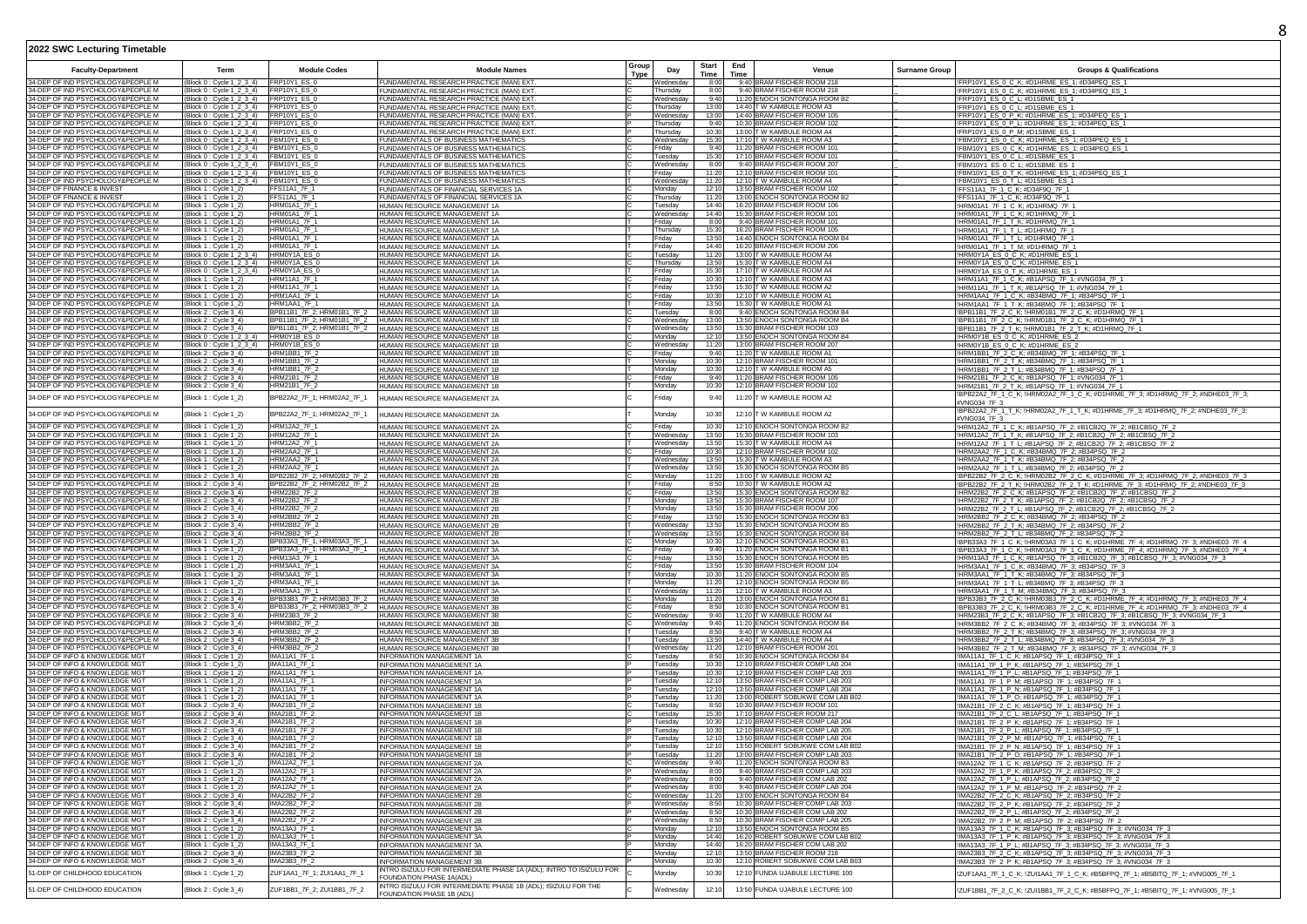| (Block 0 : Cycle 1 2 3 4)<br>FRP10Y1_ES_0<br>UNDAMENTAL RESEARCH PRACTICE (MAN) EXT.<br>9:40 BRAM FISCHER ROOM 218<br>!FRP10Y1 ES 0 C K; #D1HRME ES 1; #D34PEQ ES 1<br>Wednesdav<br>8:00<br>34-DEP OF IND PSYCHOLOGY&PEOPLE M<br>(Block 0 : Cycle 1 2 3 4)<br>FRP10Y1_ES_0<br>UNDAMENTAL RESEARCH PRACTICE (MAN) EXT.<br>Thursday<br>8:00<br>9:40 BRAM FISCHER ROOM 218<br>!FRP10Y1_ES_0_C_K; #D1HRME_ES_1; #D34PEQ_ES_1<br>34-DEP OF IND PSYCHOLOGY&PEOPLE M<br>(Block 0: Cycle 1_2_3_4) FRP10Y1_ES_0<br>9:40<br>11:20 ENOCH SONTONGA ROOM B2<br>FUNDAMENTAL RESEARCH PRACTICE (MAN) EXT.<br>Wednesdav<br>!FRP10Y1_ES_0_C_L; #D1SBME_ES_1<br>34-DEP OF IND PSYCHOLOGY&PEOPLE M<br>(Block 0: Cycle 1 2 3 4) FRP10Y1 ES 0<br>UNDAMENTAL RESEARCH PRACTICE (MAN) EXT.<br>Thursday<br>13:00<br>14:40 T W KAMBULE ROOM A3<br>!FRP10Y1_ES_0_C_L; #D1SBME_ES_1<br>34-DEP OF IND PSYCHOLOGY&PEOPLE M<br>FRP10Y1_ES_0<br>13:00<br>14:40 BRAM FISCHER ROOM 105<br>(Block 0 : Cycle 1_2_3_4)<br>Wednesdav<br>!FRP10Y1_ES_0_P_K; #D1HRME_ES_1; #D34PEQ_ES_1<br><b>IUNDAMENTAL RESEARCH PRACTICE (MAN) EXT</b><br>34-DEP OF IND PSYCHOLOGY&PEOPLE M<br>(Block 0 : Cycle 1_2_3_4)<br>FRP10Y1_ES_0<br>9:40<br>10:30 BRAM FISCHER ROOM 102<br>FUNDAMENTAL RESEARCH PRACTICE (MAN) EXT.<br>Thursday<br>!FRP10Y1_ES_0_P_L; #D1HRME_ES_1; #D34PEQ_ES_1<br>34-DEP OF IND PSYCHOLOGY&PEOPLE M<br>FRP10Y1_ES_0<br>FUNDAMENTAL RESEARCH PRACTICE (MAN) EXT.<br>10:30<br>13:00 T W KAMBULE ROOM A4<br>(Block 0 : Cycle 1_2_3_4)<br>!FRP10Y1_ES_0_P_M; #D1SBME_ES_1<br>Thursday<br>34-DEP OF IND PSYCHOLOGY&PEOPLE M<br>FUNDAMENTALS OF BUSINESS MATHEMATICS<br>17:10 T W KAMBULE ROOM A3<br>!FBM10Y1_ES_0_C_K; #D1HRME_ES_1; #D34PEQ_ES_1<br>(Block 0 : Cycle 1_2_3_4)<br>FBM10Y1_ES_0<br>Wednesday<br>15:30<br>FBM10Y1 ES 0<br>UNDAMENTALS OF BUSINESS MATHEMATICS<br>11:20 BRAM FISCHER ROOM 101<br>!FBM10Y1_ES_0_C_K; #D1HRME_ES_1; #D34PEQ_ES_1<br>34-DEP OF IND PSYCHOLOGY&PEOPLE M<br>(Block 0 : Cycle 1_2_3_4)<br>Friday<br>9:40<br>UNDAMENTALS OF BUSINESS MATHEMATICS<br>17:10 BRAM FISCHER ROOM 101<br>!FBM10Y1_ES_0_C_L; #D1SBME_ES_1<br>34-DEP OF IND PSYCHOLOGY&PEOPLE M<br>Block 0 : Cycle 1_2_3_4)<br>FBM10Y1 ES 0<br>Tuesday<br>15:30<br>9:40 BRAM FISCHER ROOM 207<br>34-DEP OF IND PSYCHOLOGY&PEOPLE M<br>(Block 0: Cycle 1_2_3_4) FBM10Y1_ES 0<br>8:00<br>FUNDAMENTALS OF BUSINESS MATHEMATICS<br>Wednesdav<br>!FBM10Y1_ES_0_C_L; #D1SBME_ES_1<br>34-DEP OF IND PSYCHOLOGY&PEOPLE M<br>(Block 0 : Cycle 1_2_3_4) FBM10Y1_ES_0<br>11:20<br>12:10 BRAM FISCHER ROOM 101<br>FUNDAMENTALS OF BUSINESS MATHEMATICS<br>Friday<br>!FBM10Y1_ES_0_T_K; #D1HRME_ES_1; #D34PEQ_ES_1<br>FBM10Y1_ES_0<br>12:10 T W KAMBULE ROOM A4<br>34-DEP OF IND PSYCHOLOGY&PEOPLE M<br>(Block 0 : Cycle 1_2_3_4)<br>FUNDAMENTALS OF BUSINESS MATHEMATICS<br>Wednesday<br>11:20<br>!FBM10Y1_ES_0_T_L; #D1SBME_ES_1<br>34-DEP OF FINANCE & INVEST<br>13:50 BRAM FISCHER ROOM 102<br>Block 1 : Cycle 1_2)<br>FFS11A1 7F 1<br>Monday<br>12:10<br>!FFS11A1_7F_1_C_K; #D34F9Q_7F_1<br>UNDAMENTALS OF FINANCIAL SERVICES 1A<br><b>FFS11A1 7F 1</b><br>13:00 ENOCH SONTONGA ROOM B2<br>34-DEP OF FINANCE & INVEST<br>(Block 1 : Cycle 1_2)<br>11:20<br>!FFS11A1_7F_1_C_K; #D34F9Q_7F_1<br>FUNDAMENTALS OF FINANCIAL SERVICES 1A<br>Thursday<br>34-DEP OF IND PSYCHOLOGY&PEOPLE M<br>Block 1 : Cycle 1_2]<br>HRM01A1_7F_1<br>16:20 BRAM FISCHER ROOM 106<br>!HRM01A1_7F_1_C_K; #D1HRMQ_7F_1<br>HUMAN RESOURCE MANAGEMENT 1A<br>Tuesday<br>14:40<br>HRM01A1_7F_1<br>34-DEP OF IND PSYCHOLOGY&PEOPLE M<br>14:40<br>15:30 BRAM FISCHER ROOM 101<br>(Block 1 : Cycle 1_2)<br>HUMAN RESOURCE MANAGEMENT 1A<br>Wednesda<br>!HRM01A1_7F_1_C_K; #D1HRMQ_7F_1<br>34-DEP OF IND PSYCHOLOGY&PEOPLE M<br>HRM01A1_7F_1<br>IUMAN RESOURCE MANAGEMENT 1A<br>9:40 BRAM FISCHER ROOM 101<br>HRM01A1_7F_1_T_K; #D1HRMQ_7F_1<br>Block 1 : Cycle 1_2)<br>8:00<br>Friday<br>34-DEP OF IND PSYCHOLOGY&PEOPLE M<br>(Block 1 : Cycle 1_2)<br><b>HRM01A1 7F 1</b><br>HUMAN RESOURCE MANAGEMENT 1A<br>Thursday<br>15:30<br>16:20 BRAM FISCHER ROOM 105<br>!HRM01A1_7F_1_T_L; #D1HRMQ_7F_1<br>34-DEP OF IND PSYCHOLOGY&PEOPLE M<br>HRM01A1_7F_1<br>HUMAN RESOURCE MANAGEMENT 1A<br>13:50<br>14:40 ENOCH SONTONGA ROOM B4<br>!HRM01A1_7F_1_T_L; #D1HRMQ_7F_1<br>(Block 1 : Cvcle 1 2)<br>Fridav<br>34-DEP OF IND PSYCHOLOGY&PEOPLE M<br>(Block 1 : Cycle 1_2)<br><b>HRM01A1 7F 1</b><br>HUMAN RESOURCE MANAGEMENT 1A<br>Friday<br>14:40<br>16:20 BRAM FISCHER ROOM 206<br>!HRM01A1_7F_1_T_M: #D1HRMQ_7F_1<br>34-DEP OF IND PSYCHOLOGY&PEOPLE M<br>HRM0Y1A ES 0<br>11:20<br>13:00 T W KAMBULE ROOM A4<br>Block 0: Cvcle 1 2 3 4)<br>HUMAN RESOURCE MANAGEMENT 1A<br>Tuesdav<br>!HRM0Y1A ES 0 C K; #D1HRME ES 1<br>34-DEP OF IND PSYCHOLOGY&PEOPLE M<br>(Block 0: Cycle 1 2 3 4)<br>HRM0Y1A_ES_0<br>HUMAN RESOURCE MANAGEMENT 1A<br>Thursday<br>13:50<br>15:30 T W KAMBULE ROOM A4<br>IHRM0Y1A ES 0 C K; #D1HRME ES 1<br>17:10 T W KAMBULE ROOM A4<br>34-DEP OF IND PSYCHOLOGY&PEOPLE M<br>(Block 0 : Cycle 1 2 3 4)<br>HRM0Y1A ES 0<br>15:30<br>HUMAN RESOURCE MANAGEMENT 1A<br>Fridav<br>!HRM0Y1A_ES_0_T_K; #D1HRME_ES_1<br>34-DEP OF IND PSYCHOLOGY&PEOPLE M<br>(Block 1 : Cycle 1_2)<br>HRM11A1_7F_1<br>HUMAN RESOURCE MANAGEMENT 1A<br>Friday<br>10:30<br>12:10 T W KAMBULE ROOM A3<br>!HRM11A1_7F_1_C_K; #B1APSQ_7F_1; #VNG034_7F_1<br>34-DEP OF IND PSYCHOLOGY&PEOPLE M<br><b>HRM11A1_7F_1</b><br>13:50<br>15:30 T W KAMBULE ROOM A2<br>Block 1 : Cycle 1 2<br>Fridav<br>HUMAN RESOURCE MANAGEMENT 1A<br>!HRM11A1_7F_1_T_K; #B1APSQ_7F_1; #VNG034_7F_1<br>34-DEP OF IND PSYCHOLOGY&PEOPLE M<br>(Block 1 : Cycle 1_2<br>HRM1AA1 7F 1<br>HUMAN RESOURCE MANAGEMENT 1A<br>Friday<br>10:30<br>12:10 T W KAMBULE ROOM A1<br>!HRM1AA1_7F_1_C_K; #B34BMQ_7F_1; #B34PSQ_7F_1<br>34-DEP OF IND PSYCHOLOGY&PEOPLE M<br>(Block 1 : Cycle 1_2)<br>HRM1AA1_7F_1<br>13:50<br>15:30 T W KAMBULE ROOM A1<br>HUMAN RESOURCE MANAGEMENT 1A<br>Friday<br>!HRM1AA1_7F_1_T_K; #B34BMQ_7F_1; #B34PSQ_7F_1<br>34-DEP OF IND PSYCHOLOGY&PEOPLE M<br>HUMAN RESOURCE MANAGEMENT 1B<br>9:40 ENOCH SONTONGA ROOM B4<br>!BPB11B1_7F_2_C_K; !HRM01B1_7F_2_C_K; #D1HRMQ_7F_1<br>(Block 2 : Cycle 3_4)<br>BPB11B1_7F_2; HRM01B1_7F_2<br>Tuesday<br>8:00<br>!BPB11B1_7F_2_C_K; !HRM01B1_7F_2_C_K; #D1HRMQ_7F_1<br>BPB11B1_7F_2; HRM01B1_7F_2<br>HUMAN RESOURCE MANAGEMENT 1B<br>34-DEP OF IND PSYCHOLOGY&PEOPLE M<br>(Block 2 : Cycle 3_4)<br>Wednesday<br>13:00<br>13:50 ENOCH SONTONGA ROOM B4<br>34-DEP OF IND PSYCHOLOGY&PEOPLE M<br>BPB11B1_7F_2; HRM01B1_7F_2<br>HUMAN RESOURCE MANAGEMENT 1B<br>15:30 BRAM FISCHER ROOM 103<br>!BPB11B1_7F_2_T_K; !HRM01B1_7F_2_T_K; #D1HRMQ_7F_1<br>Block 2 : Cycle 3_4<br>Wednesday<br>13:50<br>!HRM0Y1B_ES_0_C_K; #D1HRME_ES_2<br>34-DEP OF IND PSYCHOLOGY&PEOPLE M<br>HRM0Y1B FS 0<br>HUMAN RESOURCE MANAGEMENT 1B<br>13:50 ENOCH SONTONGA ROOM B4<br>(Block 0 : Cycle 1_2_3_4)<br>12:10<br>Monday<br>34-DEP OF IND PSYCHOLOGY&PEOPLE M<br>HRM0Y1B_ES_0<br>13:00 BRAM FISCHER ROOM 207<br>(Block 0 : Cycle 1_2_3_4)<br>HUMAN RESOURCE MANAGEMENT 1B<br>Wednesday<br>11:20<br>!HRM0Y1B_ES_0_C_K; #D1HRME_ES_2<br>34-DEP OF IND PSYCHOLOGY&PEOPLE M<br>HRM1BB1_7F_2<br>11:20 T W KAMBULE ROOM A1<br>9:40<br>(Block 2 : Cycle 3_4)<br>HUMAN RESOURCE MANAGEMENT 1B<br>Friday<br>!HRM1BB1_7F_2_C_K; #B34BMQ_7F_1; #B34PSQ_7F_1<br>34-DEP OF IND PSYCHOLOGY&PEOPLE M<br>HRM1BB1_7F_2<br>12:10 BRAM FISCHER ROOM 101<br>Block 2 : Cycle 3_4)<br>IUMAN RESOURCE MANAGEMENT 1B<br>Monday<br>10:30<br>HRM1BB1_7F_2_T_K; #B34BMQ_7F_1; #B34PSQ_7F_1<br>34-DEP OF IND PSYCHOLOGY&PEOPLE M<br>Monday<br>12:10 T W KAMBULE ROOM A5<br><b>HRM1BB1 7F 2</b><br>(Block 2 : Cycle 3 4)<br>HUMAN RESOURCE MANAGEMENT 1B<br>10:30<br>!HRM1BB1_7F_2_T_L; #B34BMQ_7F_1; #B34PSQ_7F_1<br>34-DEP OF IND PSYCHOLOGY&PEOPLE M<br>HRM21B1_7F_2<br>11:20 BRAM FISCHER ROOM 105<br>(Block 2 : Cycle 3_4)<br>HUMAN RESOURCE MANAGEMENT 1B<br>Friday<br>9:40<br>!HRM21B1_7F_2_C_K; #B1APSQ_7F_1; #VNG034_7F_1<br>12:10 BRAM FISCHER ROOM 102<br>34-DEP OF IND PSYCHOLOGY&PEOPLE M<br>HRM21B1_7F_2<br>Monday<br>10:30<br>(Block 2 : Cycle 3_4)<br>HUMAN RESOURCE MANAGEMENT 1B<br>!HRM21B1_7F_2_T_K; #B1APSQ_7F_1; #VNG034_7F_1<br>!BPB22A2_7F_1_C_K; !HRM02A2_7F_1_C_K; #D1HRME_7F_3; #D1HRMQ_7F_2; #NDHE03_7F_3;<br>34-DEP OF IND PSYCHOLOGY&PEOPLE M<br>(Block 1 : Cycle 1_2)<br>BPB22A2_7F_1; HRM02A2_7F_1<br>HUMAN RESOURCE MANAGEMENT 2A<br>Friday<br>9:40<br>11:20 T W KAMBULE ROOM A2<br>#VNG034_7F_3<br>!BPB22A2_7F_1_T_K; !HRM02A2_7F_1_T_K; #D1HRME_7F_3; #D1HRMQ_7F_2; #NDHE03_7F_3;<br>34-DEP OF IND PSYCHOLOGY&PEOPLE M<br>HUMAN RESOURCE MANAGEMENT 2A<br>12:10 T W KAMBULE ROOM A2<br>(Block 1 : Cycle 1_2)<br>BPB22A2_7F_1; HRM02A2_7F_1<br>Monday<br>10:30<br>#VNG034_7F_3<br>34-DEP OF IND PSYCHOLOGY&PEOPLE M<br>12:10 ENOCH SONTONGA ROOM B2<br>(Block 1 : Cycle 1_2)<br>HRM12A2_7F_1<br>HUMAN RESOURCE MANAGEMENT 2A<br>10:30<br>IHRM12A2_7F_1_C_K; #B1APSQ_7F_2; #B1CB2Q_7F_2; #B1CBSQ_7F_2<br>Fridav<br>34-DEP OF IND PSYCHOLOGY&PEOPLE M<br>15:30 BRAM FISCHER ROOM 103<br>Block 1 : Cycle 1_2]<br>HRM12A2_7F_1<br>HUMAN RESOURCE MANAGEMENT 2A<br>Wednesday<br>13:50<br>!HRM12A2_7F_1_T_K; #B1APSQ_7F_2; #B1CB2Q_7F_2; #B1CBSQ_7F_2<br>34-DEP OF IND PSYCHOLOGY&PEOPLE M<br>(Block 1 : Cycle 1_2)<br><b>HRM12A2 7F 1</b><br>HUMAN RESOURCE MANAGEMENT 2A<br>13:50<br>15:30 T W KAMBULE ROOM A4<br>Wednesdav<br>!HRM12A2_7F_1_T_L; #B1APSQ_7F_2; #B1CB2Q_7F_2; #B1CBSQ_7F_2<br>34-DEP OF IND PSYCHOLOGY&PEOPLE M<br>(Block 1 : Cycle 1_2)<br>HRM2AA2_7F_1<br>10:30<br>12:10 BRAM FISCHER ROOM 102<br>!HRM2AA2_7F_1_C_K; #B34BMQ_7F_2; #B34PSQ_7F_2<br>HUMAN RESOURCE MANAGEMENT 2A<br>Friday<br>34-DEP OF IND PSYCHOLOGY&PEOPLE M<br>HRM2AA2_7F_1<br>13:50<br>15:30 T W KAMBULE ROOM A3<br>Block 1 : Cycle 1_2]<br>Wednesdav<br>!HRM2AA2_7F_1_T_K; #B34BMQ_7F_2; #B34PSQ_7F_2<br>HUMAN RESOURCE MANAGEMENT 2A<br>34-DEP OF IND PSYCHOLOGY&PEOPLE M<br>(Block 1 : Cycle 1_2)<br>HRM2AA2 7F 1<br>Wednesday<br>13:50<br>15:30 ENOCH SONTONGA ROOM B5<br>!HRM2AA2_7F_1_T_L; #B34BMQ_7F_2; #B34PSQ_7F_2<br>HUMAN RESOURCE MANAGEMENT 2A<br>BPB22B2_7F_2; HRM02B2_7F_2<br>34-DEP OF IND PSYCHOLOGY&PEOPLE M<br>(Block 2 : Cycle 3_4)<br>Monday<br>11:20<br>13:00 T W KAMBULE ROOM A2<br>!BPB22B2_7F_2_C_K; !HRM02B2_7F_2_C_K; #D1HRME_7F_3; #D1HRMQ_7F_2; #NDHE03_7F_3<br>HUMAN RESOURCE MANAGEMENT 2B<br>34-DEP OF IND PSYCHOLOGY&PEOPLE M<br>(Block 2 : Cycle 3_4)<br>BPB22B2_7F_2; HRM02B2_7F_2<br>HUMAN RESOURCE MANAGEMENT 2B<br>Friday<br>8:50<br>10:30 T W KAMBULE ROOM A2<br>!BPB22B2_7F_2_T_K; !HRM02B2_7F_2_T_K; #D1HRME_7F_3; #D1HRMQ_7F_2; #NDHE03_7F_3<br>34-DEP OF IND PSYCHOLOGY&PEOPLE M<br>HRM22B2_7F_2<br>HUMAN RESOURCE MANAGEMENT 2B<br>Friday<br>13:50<br>15:30 ENOCH SONTONGA ROOM B2<br>!HRM22B2_7F_2_C_K; #B1APSQ_7F_2; #B1CB2Q_7F_2; #B1CBSQ_7F_2<br>(Block 2 : Cycle 3_4)<br>15:30 BRAM FISCHER ROOM 107<br>!HRM22B2_7F_2_T_K; #B1APSQ_7F_2; #B1CB2Q_7F_2; #B1CBSQ_7F_2<br>34-DEP OF IND PSYCHOLOGY&PEOPLE M<br>Block 2: Cycle 3_4)<br>HRM22B2_7F_2<br><b>IUMAN RESOURCE MANAGEMENT 2E</b><br>Monday<br>13:50<br>HUMAN RESOURCE MANAGEMENT 2B<br>15:30 BRAM FISCHER ROOM 206<br>!HRM22B2_7F_2_T_L; #B1APSQ_7F_2; #B1CB2Q_7F_2; #B1CBSQ_7F_2<br>34-DEP OF IND PSYCHOLOGY&PEOPLE M<br>HRM22B2 7F 2<br>Monday<br>13:50<br>(Block 2 : Cycle 3 4)<br>34-DEP OF IND PSYCHOLOGY&PEOPLE M<br>HRM2BB2_7F_2<br>HUMAN RESOURCE MANAGEMENT 2B<br>15:30 ENOCH SONTONGA ROOM B3<br>!HRM2BB2_7F_2_C_K; #B34BMQ_7F_2; #B34PSQ_7F_2<br>(Block 2 : Cycle 3_4)<br>Friday<br>13:50<br>34-DEP OF IND PSYCHOLOGY&PEOPLE M<br>HRM2BB2 7F 2<br>13:50<br>15:30 ENOCH SONTONGA ROOM B5<br>(Block 2 : Cycle 3 4)<br>HUMAN RESOURCE MANAGEMENT 2B<br>Wednesdav<br>!HRM2BB2_7F_2_T_K; #B34BMQ_7F_2; #B34PSQ_7F_2<br>34-DEP OF IND PSYCHOLOGY&PEOPLE M<br>HRM2BB2_7F_2<br>15:30 ENOCH SONTONGA ROOM B4<br>Block 2 : Cycle 3_4<br>HUMAN RESOURCE MANAGEMENT 2B<br>Wednesday<br>13:50<br>!HRM2BB2_7F_2_T_L; #B34BMQ_7F_2; #B34PSQ_7F_2<br>BPB33A3_7F_1; HRM03A3_7F_1<br>12:10 ENOCH SONTONGA ROOM B1<br>34-DEP OF IND PSYCHOLOGY&PEOPLE M<br>Monday<br>10:30<br>(Block 1 : Cycle 1_2)<br>HUMAN RESOURCE MANAGEMENT 3A<br>!BPB33A3_7F_1_C_K; !HRM03A3_7F_1_C_K; #D1HRME_7F_4; #D1HRMQ_7F_3; #NDHE03_7F_4<br>34-DEP OF IND PSYCHOLOGY&PEOPLE M<br>BPB33A3_7F_1; HRM03A3_7F_1<br>11:20 ENOCH SONTONGA ROOM B1<br>!BPB33A3_7F_1_C_K; !HRM03A3_7F_1_C_K; #D1HRME_7F_4; #D1HRMQ_7F_3; #NDHE03_7F_4<br>(Block 1 : Cycle 1_2)<br>HUMAN RESOURCE MANAGEMENT 3A<br>Friday<br>9:40<br>34-DEP OF IND PSYCHOLOGY&PEOPLE M<br>15:30 ENOCH SONTONGA ROOM B5<br>HRM13A3 7F 1<br>13:50<br>(Block 1 : Cycle 1_2)<br>HUMAN RESOURCE MANAGEMENT 3A<br>Friday<br>!HRM13A3_7F_1_C_K; #B1APSQ_7F_3; #B1CB2Q_7F_3; #B1CBSQ_7F_3; #VNG034_7F_3<br>34-DEP OF IND PSYCHOLOGY&PEOPLE M<br>HRM3AA1_7F_1<br>15:30 BRAM FISCHER ROOM 104<br>Block 1 : Cycle 1_2<br>HUMAN RESOURCE MANAGEMENT 3A<br>Friday<br>13:50<br>!HRM3AA1_7F_1_C_K; #B34BMQ_7F_3; #B34PSQ_7F_3<br>34-DEP OF IND PSYCHOLOGY&PEOPLE M<br><b>HRM3AA1 7F 1</b><br>Monday<br>11:20 ENOCH SONTONGA ROOM B5<br>10:30<br>(Block 1 : Cycle 1_2<br>HUMAN RESOURCE MANAGEMENT 3A<br>!HRM3AA1_7F_1_T_K; #B34BMQ_7F_3; #B34PSQ_7F_3<br>34-DEP OF IND PSYCHOLOGY&PEOPLE M<br>12:10 ENOCH SONTONGA ROOM B5<br>(Block 1 : Cycle 1_2)<br>HRM3AA1 7F 1<br>HUMAN RESOURCE MANAGEMENT 3A<br>Monday<br>11:20<br>!HRM3AA1_7F_1_T_L; #B34BMQ_7F_3; #B34PSQ_7F_3<br>34-DEP OF IND PSYCHOLOGY&PEOPLE M<br>HRM3AA1 7F 1<br>HUMAN RESOURCE MANAGEMENT 3A<br>Wednesda<br>11:20<br>12:10 T W KAMBULE ROOM A3<br>!HRM3AA1_7F_1_T_M; #B34BMQ_7F_3; #B34PSQ_7F_3<br>(Block 1 : Cycle 1_2)<br>34-DEP OF IND PSYCHOLOGY&PEOPLE M<br>BPB33B3_7F_2; HRM03B3_7F_2<br>HUMAN RESOURCE MANAGEMENT 3B<br>13:00 ENOCH SONTONGA ROOM B1<br>!BPB33B3_7F_2_C_K; !HRM03B3_7F_2_C_K; #D1HRME_7F_4; #D1HRMQ_7F_3; #NDHE03_7F_4<br>(Block 2 : Cycle 3_4)<br>Monday<br>11:20<br>BPB33B3_7F_2; HRM03B3_7F_2 HUMAN RESOURCE MANAGEMENT 3B<br>34-DEP OF IND PSYCHOLOGY&PEOPLE M<br>(Block 2 : Cycle 3_4)<br>Friday<br>8:50<br>10:30 ENOCH SONTONGA ROOM B1<br>IBPB33B3_7F_2_C_K; IHRM03B3_7F_2_C_K; #D1HRME_7F_4; #D1HRMQ_7F_3; #NDHE03_7F_4<br>HUMAN RESOURCE MANAGEMENT 3B<br>!HRM23B3 7F 2 C K; #B1APSQ 7F 3; #B1CB2Q 7F 3; #B1CBSQ 7F 3; #VNG034 7F 3<br>34-DEP OF IND PSYCHOLOGY&PEOPLE M<br>(Block 2: Cycle 3_4)<br>HRM23B3_7F_2<br>9:40<br>11:20 T W KAMBULE ROOM A4<br>Wednesdav<br>11:20 ENOCH SONTONGA ROOM B4<br>34-DEP OF IND PSYCHOLOGY&PEOPLE M<br>(Block 2 : Cycle 3_4)<br>HRM3BB2 7F 2<br>HUMAN RESOURCE MANAGEMENT 3B<br>Wednesday<br>9:40<br>!HRM3BB2_7F_2_C_K; #B34BMQ_7F_3; #B34PSQ_7F_3; #VNG034_7F_3<br>34-DEP OF IND PSYCHOLOGY&PEOPLE M<br>HRM3BB2_7F_2<br>8:50<br>9:40 T W KAMBULE ROOM A4<br>HRM3BB2 7F 2 T K; #B34BMQ 7F 3; #B34PSQ 7F 3; #VNG034 7F 3<br>(Block 2 : Cvcle 3 4<br>HUMAN RESOURCE MANAGEMENT 3B<br>Tuesdav<br>34-DEP OF IND PSYCHOLOGY&PEOPLE M<br>(Block 2 : Cycle 3_4)<br>HRM3BB2 7F 2<br>HUMAN RESOURCE MANAGEMENT 3B<br>Tuesday<br>13:50<br>14:40 T W KAMBULE ROOM A4<br>IHRM3BB2_7F_2_T_L; #B34BMQ_7F_3; #B34PSQ_7F_3; #VNG034_7F_3<br>34-DEP OF IND PSYCHOLOGY&PEOPLE M<br>(Block 2 : Cycle 3_4)<br>HRM3BB2_7F_2<br>11:20<br>12:10 BRAM FISCHER ROOM 201<br>!HRM3BB2_7F_2_T_M; #B34BMQ_7F_3; #B34PSQ_7F_3; #VNG034_7F_3<br>HUMAN RESOURCE MANAGEMENT 3E<br>Wednesdav<br>34-DEP OF INFO & KNOWLEDGE MGT<br>(Block 1 : Cycle 1_2)<br><b>IMA11A1 7F 1</b><br>Tuesday<br>8:50<br>10:30 ENOCH SONTONGA ROOM B4<br>!IMA11A1_7F_1_C_K; #B1APSQ_7F_1; #B34PSQ_7F_1<br>INFORMATION MANAGEMENT 1A<br>34-DEP OF INFO & KNOWLEDGE MGT<br><b>IMA11A1_7F_1</b><br>10:30<br>12:10 BRAM FISCHER COMP LAB 204<br>Block 1: Cvcle 1 2<br><b>INFORMATION MANAGEMENT 1A</b><br>Tuesdav<br>!IMA11A1_7F_1_P_K; #B1APSQ_7F_1; #B34PSQ_7F_1<br>IMA11A1_7F_1<br>12:10 BRAM FISCHER COMP LAB 203<br>!IMA11A1_7F_1_P_L; #B1APSQ_7F_1; #B34PSQ_7F_1<br>34-DEP OF INFO & KNOWLEDGE MGT<br>Block 1 : Cycle 1_2<br>INFORMATION MANAGEMENT 1A<br>Tuesday<br>10:30<br>!IMA11A1_7F_1_P_M; #B1APSQ_7F_1; #B34PSQ_7F_1<br><b>IMA11A1 7F 1</b><br>INFORMATION MANAGEMENT 1A<br>34-DEP OF INFO & KNOWLEDGE MGT<br>12:10<br>13:50 BRAM FISCHER COMP LAB 203<br>(Block 1 : Cycle 1_2)<br>Tuesday<br>IMA11A1_7F_1<br>12:10<br>!IMA11A1_7F_1_P_N; #B1APSQ_7F_1; #B34PSQ_7F_1<br>34-DEP OF INFO & KNOWLEDGE MGT<br>(Block 1 : Cycle 1_2)<br>INFORMATION MANAGEMENT 1A<br>Tuesday<br>13:50 BRAM FISCHER COMP LAB 204<br><b>IMA11A1 7F 1</b><br><b>INFORMATION MANAGEMENT 1A</b><br>13:00 ROBERT SOBUKWE COM LAB B02<br>34-DEP OF INFO & KNOWLEDGE MGT<br>11:20<br>!IMA11A1_7F_1_P_O; #B1APSQ_7F_1; #B34PSQ_7F_1<br>(Block 1 : Cvcle 1 2)<br>Tuesdav<br>IMA21B1_7F_2<br>10:30 BRAM FISCHER ROOM 101<br>34-DEP OF INFO & KNOWLEDGE MGT<br>Block 2 : Cycle 3_4)<br><b>INFORMATION MANAGEMENT 1B</b><br>Tuesday<br>8:50<br>!IMA21B1_7F_2_C_K; #B1APSQ_7F_1; #B34PSQ_7F_1<br>IMA21B1 7F 2<br>17:10 BRAM FISCHER ROOM 217<br>34-DEP OF INFO & KNOWLEDGE MGT<br>15:30<br>(Block 2 : Cycle 3 4)<br><b>INFORMATION MANAGEMENT 1B</b><br>Tuesday<br>!IMA21B1_7F_2_C_L; #B1APSQ_7F_1; #B34PSQ_7F_1<br>34-DEP OF INFO & KNOWLEDGE MGT<br>IMA21B1_7F_2<br>12:10 BRAM FISCHER COMP LAB 204<br>(Block 2 : Cycle 3_4)<br>INFORMATION MANAGEMENT 1B<br>Tuesday<br>10:30<br>!IMA21B1_7F_2_P_K; #B1APSQ_7F_1; #B34PSQ_7F_1<br>12:10 BRAM FISCHER COMP LAB 205<br>34-DEP OF INFO & KNOWLEDGE MGT<br>IMA21B1_7F_2<br>(Block 2 : Cycle 3_4)<br>INFORMATION MANAGEMENT 1B<br>Tuesdav<br>10:30<br>!IMA21B1_7F_2_P_L; #B1APSQ_7F_1; #B34PSQ_7F_1<br>34-DEP OF INFO & KNOWLEDGE MGT<br>IMA21B1_7F_2<br>13:50 BRAM FISCHER COMP LAB 204<br>Block 2 : Cycle 3_4)<br><b>INFORMATION MANAGEMENT 1B</b><br>Tuesday<br>12:10<br>!IMA21B1_7F_2_P_M; #B1APSQ_7F_1; #B34PSQ_7F_1<br>13:50 ROBERT SOBUKWE COM LAB B02<br>34-DEP OF INFO & KNOWLEDGE MGT<br>IMA21B1_7F_2<br>12:10<br>(Block 2 : Cycle 3 4)<br><b>INFORMATION MANAGEMENT 1B</b><br>Tuesday<br>!IMA21B1_7F_2_P_N; #B1APSQ_7F_1; #B34PSQ_7F_1<br>34-DEP OF INFO & KNOWLEDGE MGT<br>(Block 2 : Cycle 3_4)<br>IMA21B1_7F_2<br>11:20<br>13:00 BRAM FISCHER COMP LAB 203<br>INFORMATION MANAGEMENT 1B<br>Tuesday<br>!IMA21B1_7F_2_P_O; #B1APSQ_7F_1; #B34PSQ_7F_1<br>34-DEP OF INFO & KNOWLEDGE MGT<br>(Block 1 : Cycle 1_2<br>IMA12A2_7F_1<br>INFORMATION MANAGEMENT 2A<br>Wednesday  <br>9:40 11:20 ENOCH SONTONGA ROOM B3<br>!IMA12A2 7F 1 C K: #B1APSQ 7F 2: #B34PSQ 7F<br>34-DEP OF INFO & KNOWLEDGE MGT<br>IMA12A2_7F_1<br>INFORMATION MANAGEMENT 2A<br>9:40 BRAM FISCHER COMP LAB 203<br>!IMA12A2 7F 1 P K; #B1APSQ 7F 2; #B34PSQ 7F 2<br>(Block 1 : Cycle 1_2)<br>Wednesdav<br>8:00<br>34-DEP OF INFO & KNOWLEDGE MGT<br>(Block 1 : Cycle 1_2)<br>IMA12A2_7F_1<br><b>INFORMATION MANAGEMENT 2A</b><br>Wednesday<br>9:40 BRAM FISCHER COM LAB 202<br>!IMA12A2_7F_1_P_L; #B1APSQ_7F_2; #B34PSQ_7F_2<br>8:00<br>!IMA12A2 7F 1 P M; #B1APSQ 7F 2; #B34PSQ 7F 2<br>34-DEP OF INFO & KNOWLEDGE MGT<br>(Block 1 : Cycle 1_2)<br>IMA12A2_7F_1<br><b>INFORMATION MANAGEMENT 2A</b><br>8:00<br>9:40 BRAM FISCHER COMP LAB 204<br>Wednesday<br><b>INFORMATION MANAGEMENT 2B</b><br>!IMA22B2_7F_2_C_K; #B1APSQ_7F_2; #B34PSQ_7F_2<br>34-DEP OF INFO & KNOWLEDGE MGT<br>(Block 2 : Cycle 3_4)<br>IMA22B2_7F_2<br>Wednesday<br>11:20<br>13:00 ENOCH SONTONGA ROOM B4<br>34-DEP OF INFO & KNOWLEDGE MGT<br>(Block 2: Cycle 3_4)<br>IMA22B2_7F_2<br><b>INFORMATION MANAGEMENT 2B</b><br>Wednesday<br>8:50<br>10:30 BRAM FISCHER COMP LAB 203<br>!IMA22B2_7F_2_P_K; #B1APSQ_7F_2; #B34PSQ_7F_2<br>34-DEP OF INFO & KNOWLEDGE MGT<br>(Block 2: Cycle 3_4)<br>IMA22B2_7F_2<br><b>INFORMATION MANAGEMENT 2B</b><br>Wednesday<br>8:50<br>10:30 BRAM FISCHER COM LAB 202<br>!IMA22B2_7F_2_P_L; #B1APSQ_7F_2; #B34PSQ_7F_2<br>34-DEP OF INFO & KNOWLEDGE MGT<br>$(Block 2 : Cycle 3_4)$<br>IMA22B2_7F_2<br>8:50<br>10:30 BRAM FISCHER COMP LAB 205<br>!IMA22B2_7F_2_P_M; #B1APSQ_7F_2; #B34PSQ_7F_2<br>INFORMATION MANAGEMENT 2B<br>Wednesdav<br>34-DEP OF INFO & KNOWLEDGE MGT<br>(Block 1 : Cycle 1_2)<br>IMA13A3_7F_1<br>INFORMATION MANAGEMENT 3A<br>Monday<br>12:10<br>13:50 ENOCH SONTONGA ROOM B5<br>!IMA13A3_7F_1_C_K; #B1APSQ_7F_3; #B34PSQ_7F_3; #VNG034_7F_3<br>34-DEP OF INFO & KNOWLEDGE MGT<br>Block 1 : Cycle 1_2)<br>IMA13A3_7F_1<br>Monday<br>14:40<br>16:20 ROBERT SOBUKWE COM LAB B02<br>INFORMATION MANAGEMENT 3A<br>!IMA13A3 7F 1 P K; #B1APSQ 7F 3; #B34PSQ 7F 3; #VNG034 7F 3<br>34-DEP OF INFO & KNOWLEDGE MGT<br>(Block 1: Cycle 1_2)<br>IMA13A3_7F_1<br>INFORMATION MANAGEMENT 3A<br>Monday<br>14:40<br>16:20 BRAM FISCHER COM LAB 202<br>!IMA13A3_7F_1_P_L; #B1APSQ_7F_3; #B34PSQ_7F_3; #VNG034_7F_3<br>34-DEP OF INFO & KNOWLEDGE MGT<br>IMA23B3_7F_2<br>INFORMATION MANAGEMENT 3B<br>Monday<br>12:10<br>13:50 BRAM FISCHER ROOM 218<br>!IMA23B3_7F_2_C_K; #B1APSQ_7F_3; #B34PSQ_7F_3; #VNG034_7F_3<br>(Block 2 : Cycle 3_4)<br>34-DEP OF INFO & KNOWLEDGE MGT<br><b>INFORMATION MANAGEMENT 3B</b><br>12:10 ROBERT SOBUKWE COM LAB B03<br>!IMA23B3_7F_2_P_K; #B1APSQ_7F_3; #B34PSQ_7F_3; #VNG034_7F_3<br>(Block 2 : Cycle 3_4)<br>IMA23B3_7F_2<br>Monday<br>10:30<br>INTRO ISIZULU FOR INTERMEDIATE PHASE 1A (ADL); INTRO TO ISIZULU FOR<br>51-DEP OF CHILDHOOD EDUCATION<br>ZUF1AA1_7F_1; ZUI1AA1_7F_1<br>Monday<br>12:10 FUNDA UJABULE LECTURE 100<br>!ZUF1AA1_7F_1_C_K; !ZUI1AA1_7F_1_C_K; #B5BFPQ_7F_1; #B5BITQ_7F_1; #VNG005_7F_1<br>(Block 1 : Cycle 1_2)<br>10:30<br>FOUNDATION PHASE 1A(ADL)<br>INTRO ISIZULU FOR INTERMEDIATE PHASE 1B (ADL); ISIZULU FOR THE<br>13:50 FUNDA UJABULE LECTURE 100<br>51-DEP OF CHILDHOOD EDUCATION<br>(Block 2 : Cycle 3_4)<br>ZUF1BB1 7F 2: ZUI1BB1 7F 2<br>Wednesday<br>12:10<br>IZUF1BB1_7F_2_C_K; IZUI1BB1_7F_2_C_K; #B5BFPQ_7F_1; #B5BITQ_7F_1; #VNG005_7F_1<br>FOUNDATION PHASE 1B (ADL) | <b>Faculty-Department</b>         | Term | <b>Module Codes</b> | <b>Module Names</b> | Group<br>Type | Day | Start  <br>Time | End<br>Time | Venue | <b>Surname Group</b> | <b>Groups &amp; Qualifications</b> |
|----------------------------------------------------------------------------------------------------------------------------------------------------------------------------------------------------------------------------------------------------------------------------------------------------------------------------------------------------------------------------------------------------------------------------------------------------------------------------------------------------------------------------------------------------------------------------------------------------------------------------------------------------------------------------------------------------------------------------------------------------------------------------------------------------------------------------------------------------------------------------------------------------------------------------------------------------------------------------------------------------------------------------------------------------------------------------------------------------------------------------------------------------------------------------------------------------------------------------------------------------------------------------------------------------------------------------------------------------------------------------------------------------------------------------------------------------------------------------------------------------------------------------------------------------------------------------------------------------------------------------------------------------------------------------------------------------------------------------------------------------------------------------------------------------------------------------------------------------------------------------------------------------------------------------------------------------------------------------------------------------------------------------------------------------------------------------------------------------------------------------------------------------------------------------------------------------------------------------------------------------------------------------------------------------------------------------------------------------------------------------------------------------------------------------------------------------------------------------------------------------------------------------------------------------------------------------------------------------------------------------------------------------------------------------------------------------------------------------------------------------------------------------------------------------------------------------------------------------------------------------------------------------------------------------------------------------------------------------------------------------------------------------------------------------------------------------------------------------------------------------------------------------------------------------------------------------------------------------------------------------------------------------------------------------------------------------------------------------------------------------------------------------------------------------------------------------------------------------------------------------------------------------------------------------------------------------------------------------------------------------------------------------------------------------------------------------------------------------------------------------------------------------------------------------------------------------------------------------------------------------------------------------------------------------------------------------------------------------------------------------------------------------------------------------------------------------------------------------------------------------------------------------------------------------------------------------------------------------------------------------------------------------------------------------------------------------------------------------------------------------------------------------------------------------------------------------------------------------------------------------------------------------------------------------------------------------------------------------------------------------------------------------------------------------------------------------------------------------------------------------------------------------------------------------------------------------------------------------------------------------------------------------------------------------------------------------------------------------------------------------------------------------------------------------------------------------------------------------------------------------------------------------------------------------------------------------------------------------------------------------------------------------------------------------------------------------------------------------------------------------------------------------------------------------------------------------------------------------------------------------------------------------------------------------------------------------------------------------------------------------------------------------------------------------------------------------------------------------------------------------------------------------------------------------------------------------------------------------------------------------------------------------------------------------------------------------------------------------------------------------------------------------------------------------------------------------------------------------------------------------------------------------------------------------------------------------------------------------------------------------------------------------------------------------------------------------------------------------------------------------------------------------------------------------------------------------------------------------------------------------------------------------------------------------------------------------------------------------------------------------------------------------------------------------------------------------------------------------------------------------------------------------------------------------------------------------------------------------------------------------------------------------------------------------------------------------------------------------------------------------------------------------------------------------------------------------------------------------------------------------------------------------------------------------------------------------------------------------------------------------------------------------------------------------------------------------------------------------------------------------------------------------------------------------------------------------------------------------------------------------------------------------------------------------------------------------------------------------------------------------------------------------------------------------------------------------------------------------------------------------------------------------------------------------------------------------------------------------------------------------------------------------------------------------------------------------------------------------------------------------------------------------------------------------------------------------------------------------------------------------------------------------------------------------------------------------------------------------------------------------------------------------------------------------------------------------------------------------------------------------------------------------------------------------------------------------------------------------------------------------------------------------------------------------------------------------------------------------------------------------------------------------------------------------------------------------------------------------------------------------------------------------------------------------------------------------------------------------------------------------------------------------------------------------------------------------------------------------------------------------------------------------------------------------------------------------------------------------------------------------------------------------------------------------------------------------------------------------------------------------------------------------------------------------------------------------------------------------------------------------------------------------------------------------------------------------------------------------------------------------------------------------------------------------------------------------------------------------------------------------------------------------------------------------------------------------------------------------------------------------------------------------------------------------------------------------------------------------------------------------------------------------------------------------------------------------------------------------------------------------------------------------------------------------------------------------------------------------------------------------------------------------------------------------------------------------------------------------------------------------------------------------------------------------------------------------------------------------------------------------------------------------------------------------------------------------------------------------------------------------------------------------------------------------------------------------------------------------------------------------------------------------------------------------------------------------------------------------------------------------------------------------------------------------------------------------------------------------------------------------------------------------------------------------------------------------------------------------------------------------------------------------------------------------------------------------------------------------------------------------------------------------------------------------------------------------------------------------------------------------------------------------------------------------------------------------------------------------------------------------------------------------------------------------------------------------------------------------------------------------------------------------------------------------------------------------------------------------------------------------------------------------------------------------------------------------------------------------------------------------------------------------------------------------------------------------------------------------------------------------------------------------------------------------------------------------------------------------------------------------------------------------------------------------------------------------------------------------------------------------------------------------------------------------------------------------------------------------------------------------------------------------------------------------------------------------------------------------------------------------------------------------------------------------------------------------------------------------------------------------------------------------------------------------------------------------------------------------------------------------------------------------------------------------------------------------------------------------------------------------------------------------------------------------------------------------------------------------------------------------------------------------------------------------------------------------------------------------------------------------------------------------------------------------------------------------------------------------------------------------------------------------------------------------------------------------------------------------------------------------------------------------------------------------------------------------------------------------------------------------------------------------------------------------------------------------------------------------------------------------------------------------------------------------------------------------------------------------------------------------------------------------------------------------------------------------------------------------------------------------------------------------------------------------------------------------------------------------------------------------------------------------------------------------------------------------------------------------------------------------------------------------------------------------------------------------------------------------------------------------------------------------------------------------------------------------------------------------------------------------------------------------------------------------------------------------------------------------------------------------------------------------------------------------------------------------------------------------------------------------------------------------------------------------------------------------------------------------------------------------------------------------------------------------------------------------------------------------------------------------------------------------------------------------------------------------------------------------------------------------------------------------------------------------------------------------------------------------------------------------------------------------------------------------------------------------------------------------------------------------------------------------------------------------------------------------------------------------------------------------------------------------------------------------------------------------------------------------------------------------------------------------------------------------------------------------------------------------------------------------------------------------------------------------------------------------------------------------------------------------------------------------------------------------------------------------------------------------------------------------------------------------------------------------------------------------------------------------------------------------------------------------------------------------------------------------------------------------------------------------------------------------------------------------------------------------------------------------------------------------------------------------------------------------------------------------------------------------------------------------------------------------------------------------------------------------------------------------------------------------------------------------------------------------------------------------------------------------------------------------------------------------------------------------------------------------------------------------------------------------------------------------------------------------------------------------------------------------------------------------------------------------------------------------------------------------------------------------------------------------------------------------------------------------------------------------------------------------------------------------------------------------------------------------------------------------------------------------------------------------------------------------------------------------------------------------------------------------------------------------------------------------------------------------------------------------------------------------------------------------------------------------------------------------------------------------------------------------------------------------------------------------------------------------------------------------------------------------------------------------------------------------------------------------------------------------------------------------------------------------------------------------------------------------------------------------------------------------------------------------------------------------------------------------------------------------------------------------------------------------------------------------------------------------------------------------------------------------------------------------------------------------------------------------------------------------------------------------------------------------------------------------------------------------------------------------------------------------------------------------------------------------------------------------------------------------------------------------------------------------------------------------------------------------------------------------------------------------------------------------------------------------------------------------------------------------------------------------------------------------------------------------------------------------------------------------------------------------------------------------------------------------------------------------------------------------------------------------------------------------------------------------------------------------------------------------------------------------------------------------------------------------------------------------------------------------------------------------------------------------------------------------------------------------------------------------------------------------------------------------------------------------------------------------------------------------------------------------------------------------------------------------------------------------------------------------------------------------------------------------------------------------------------------------------------------------------------------------------------------------------------------------------------------------------------------------------------------------------------------------------------------------------------------------------------------------------------------------------------------------------------------------------------------------------------------------------------------------------------------------------------------------------------------------------------------------------------------------------------------------------------------------------------------------------------------------------------------------------------------------------------------------------------------------------------------------------------------------------------------------------------------------------------------------------------------------------------------------------------------------------------------------------------------------------------------------------------------------------------------------------------------------------------------------------------------------------------------------------------------------------------------------------------------------------------------------------------------------------------------------------------------------------------------------------------------------------------------------------------------------------------------------------------------------------------------------------------------------------------------------------------------------------------------------------------------------------------------------------------------------------------------------------------------------------------------------------------------------------------------------------------------------------------------------------------------------------------------------------------------------------------------------------------------------------------------------------------------------------------------------------------------------------------------------------------------------------------------------------------------------------------|-----------------------------------|------|---------------------|---------------------|---------------|-----|-----------------|-------------|-------|----------------------|------------------------------------|
|                                                                                                                                                                                                                                                                                                                                                                                                                                                                                                                                                                                                                                                                                                                                                                                                                                                                                                                                                                                                                                                                                                                                                                                                                                                                                                                                                                                                                                                                                                                                                                                                                                                                                                                                                                                                                                                                                                                                                                                                                                                                                                                                                                                                                                                                                                                                                                                                                                                                                                                                                                                                                                                                                                                                                                                                                                                                                                                                                                                                                                                                                                                                                                                                                                                                                                                                                                                                                                                                                                                                                                                                                                                                                                                                                                                                                                                                                                                                                                                                                                                                                                                                                                                                                                                                                                                                                                                                                                                                                                                                                                                                                                                                                                                                                                                                                                                                                                                                                                                                                                                                                                                                                                                                                                                                                                                                                                                                                                                                                                                                                                                                                                                                                                                                                                                                                                                                                                                                                                                                                                                                                                                                                                                                                                                                                                                                                                                                                                                                                                                                                                                                                                                                                                                                                                                                                                                                                                                                                                                                                                                                                                                                                                                                                                                                                                                                                                                                                                                                                                                                                                                                                                                                                                                                                                                                                                                                                                                                                                                                                                                                                                                                                                                                                                                                                                                                                                                                                                                                                                                                                                                                                                                                                                                                                                                                                                                                                                                                                                                                                                                                                                                                                                                                                                                                                                                                                                                                                                                                                                                                                                                                                                                                                                                                                                                                                                                                                                                                                                                                                                                                                                                                                                                                                                                                                                                                                                                                                                                                                                                                                                                                                                                                                                                                                                                                                                                                                                                                                                                                                                                                                                                                                                                                                                                                                                                                                                                                                                                                                                                                                                                                                                                                                                                                                                                                                                                                                                                                                                                                                                                                                                                                                                                                                                                                                                                                                                                                                                                                                                                                                                                                                                                                                                                                                                                                                                                                                                                                                                                                                                                                                                                                                                                                                                                                                                                                                                                                                                                                                                                                                                                                                                                                                                                                                                                                                                                                                                                                                                                                                                                                                                                                                                                                                                                                                                                                                                                                                                                                                                                                                                                                                                                                                                                                                                                                                                                                                                                                                                                                                                                                                                                                                                                                                                                                                                                                                                                                                                                                                                                                                                                                                                                                                                                                                                                                                                                                                                                                                                                                                                                                                                                                                                                                                                                                                                                                                                                                                                                                                                                                                                                                                                                                                                                                                                                                                                                                                                                                                                                                                                                                                                                                                                                                                                                                                                                                                                                                                                                                                                                                                                                                                                                                                                                                                                                                                                                                                                                                                                                                                                                                                                                                                                                                                                                                                                                                                                                                                                                                                                                                                                                                                                                                                                                                                                                                                                                                                                                                                                                                                                                                                                                                                                                                                                                                                                                                                                                                                                                                                                                                                                                                                                                                                                                                                                                                                                                                                                                                                                                                                                                                                                                                                                                                                                                                                                                                                                                                                                                                                                                                                                                                                                                                                                                                                                                                                                                                                                                                                                                                                                                                                                                                                                                                                                                                                                                                                                                                                                                                                                                                                                                                                                                                                                                                                                                                                                                                                        | 34-DEP OF IND PSYCHOLOGY&PEOPLE M |      |                     |                     |               |     |                 |             |       |                      |                                    |
|                                                                                                                                                                                                                                                                                                                                                                                                                                                                                                                                                                                                                                                                                                                                                                                                                                                                                                                                                                                                                                                                                                                                                                                                                                                                                                                                                                                                                                                                                                                                                                                                                                                                                                                                                                                                                                                                                                                                                                                                                                                                                                                                                                                                                                                                                                                                                                                                                                                                                                                                                                                                                                                                                                                                                                                                                                                                                                                                                                                                                                                                                                                                                                                                                                                                                                                                                                                                                                                                                                                                                                                                                                                                                                                                                                                                                                                                                                                                                                                                                                                                                                                                                                                                                                                                                                                                                                                                                                                                                                                                                                                                                                                                                                                                                                                                                                                                                                                                                                                                                                                                                                                                                                                                                                                                                                                                                                                                                                                                                                                                                                                                                                                                                                                                                                                                                                                                                                                                                                                                                                                                                                                                                                                                                                                                                                                                                                                                                                                                                                                                                                                                                                                                                                                                                                                                                                                                                                                                                                                                                                                                                                                                                                                                                                                                                                                                                                                                                                                                                                                                                                                                                                                                                                                                                                                                                                                                                                                                                                                                                                                                                                                                                                                                                                                                                                                                                                                                                                                                                                                                                                                                                                                                                                                                                                                                                                                                                                                                                                                                                                                                                                                                                                                                                                                                                                                                                                                                                                                                                                                                                                                                                                                                                                                                                                                                                                                                                                                                                                                                                                                                                                                                                                                                                                                                                                                                                                                                                                                                                                                                                                                                                                                                                                                                                                                                                                                                                                                                                                                                                                                                                                                                                                                                                                                                                                                                                                                                                                                                                                                                                                                                                                                                                                                                                                                                                                                                                                                                                                                                                                                                                                                                                                                                                                                                                                                                                                                                                                                                                                                                                                                                                                                                                                                                                                                                                                                                                                                                                                                                                                                                                                                                                                                                                                                                                                                                                                                                                                                                                                                                                                                                                                                                                                                                                                                                                                                                                                                                                                                                                                                                                                                                                                                                                                                                                                                                                                                                                                                                                                                                                                                                                                                                                                                                                                                                                                                                                                                                                                                                                                                                                                                                                                                                                                                                                                                                                                                                                                                                                                                                                                                                                                                                                                                                                                                                                                                                                                                                                                                                                                                                                                                                                                                                                                                                                                                                                                                                                                                                                                                                                                                                                                                                                                                                                                                                                                                                                                                                                                                                                                                                                                                                                                                                                                                                                                                                                                                                                                                                                                                                                                                                                                                                                                                                                                                                                                                                                                                                                                                                                                                                                                                                                                                                                                                                                                                                                                                                                                                                                                                                                                                                                                                                                                                                                                                                                                                                                                                                                                                                                                                                                                                                                                                                                                                                                                                                                                                                                                                                                                                                                                                                                                                                                                                                                                                                                                                                                                                                                                                                                                                                                                                                                                                                                                                                                                                                                                                                                                                                                                                                                                                                                                                                                                                                                                                                                                                                                                                                                                                                                                                                                                                                                                                                                                                                                                                                                                                                                                                                                                                                                                                                                                                                                                                                                                                                                                                                                        |                                   |      |                     |                     |               |     |                 |             |       |                      |                                    |
|                                                                                                                                                                                                                                                                                                                                                                                                                                                                                                                                                                                                                                                                                                                                                                                                                                                                                                                                                                                                                                                                                                                                                                                                                                                                                                                                                                                                                                                                                                                                                                                                                                                                                                                                                                                                                                                                                                                                                                                                                                                                                                                                                                                                                                                                                                                                                                                                                                                                                                                                                                                                                                                                                                                                                                                                                                                                                                                                                                                                                                                                                                                                                                                                                                                                                                                                                                                                                                                                                                                                                                                                                                                                                                                                                                                                                                                                                                                                                                                                                                                                                                                                                                                                                                                                                                                                                                                                                                                                                                                                                                                                                                                                                                                                                                                                                                                                                                                                                                                                                                                                                                                                                                                                                                                                                                                                                                                                                                                                                                                                                                                                                                                                                                                                                                                                                                                                                                                                                                                                                                                                                                                                                                                                                                                                                                                                                                                                                                                                                                                                                                                                                                                                                                                                                                                                                                                                                                                                                                                                                                                                                                                                                                                                                                                                                                                                                                                                                                                                                                                                                                                                                                                                                                                                                                                                                                                                                                                                                                                                                                                                                                                                                                                                                                                                                                                                                                                                                                                                                                                                                                                                                                                                                                                                                                                                                                                                                                                                                                                                                                                                                                                                                                                                                                                                                                                                                                                                                                                                                                                                                                                                                                                                                                                                                                                                                                                                                                                                                                                                                                                                                                                                                                                                                                                                                                                                                                                                                                                                                                                                                                                                                                                                                                                                                                                                                                                                                                                                                                                                                                                                                                                                                                                                                                                                                                                                                                                                                                                                                                                                                                                                                                                                                                                                                                                                                                                                                                                                                                                                                                                                                                                                                                                                                                                                                                                                                                                                                                                                                                                                                                                                                                                                                                                                                                                                                                                                                                                                                                                                                                                                                                                                                                                                                                                                                                                                                                                                                                                                                                                                                                                                                                                                                                                                                                                                                                                                                                                                                                                                                                                                                                                                                                                                                                                                                                                                                                                                                                                                                                                                                                                                                                                                                                                                                                                                                                                                                                                                                                                                                                                                                                                                                                                                                                                                                                                                                                                                                                                                                                                                                                                                                                                                                                                                                                                                                                                                                                                                                                                                                                                                                                                                                                                                                                                                                                                                                                                                                                                                                                                                                                                                                                                                                                                                                                                                                                                                                                                                                                                                                                                                                                                                                                                                                                                                                                                                                                                                                                                                                                                                                                                                                                                                                                                                                                                                                                                                                                                                                                                                                                                                                                                                                                                                                                                                                                                                                                                                                                                                                                                                                                                                                                                                                                                                                                                                                                                                                                                                                                                                                                                                                                                                                                                                                                                                                                                                                                                                                                                                                                                                                                                                                                                                                                                                                                                                                                                                                                                                                                                                                                                                                                                                                                                                                                                                                                                                                                                                                                                                                                                                                                                                                                                                                                                                                                                                                                                                                                                                                                                                                                                                                                                                                                                                                                                                                                                                                                                                                                                                                                                                                                                                                                                                                                                                                                                                                                                                                        |                                   |      |                     |                     |               |     |                 |             |       |                      |                                    |
|                                                                                                                                                                                                                                                                                                                                                                                                                                                                                                                                                                                                                                                                                                                                                                                                                                                                                                                                                                                                                                                                                                                                                                                                                                                                                                                                                                                                                                                                                                                                                                                                                                                                                                                                                                                                                                                                                                                                                                                                                                                                                                                                                                                                                                                                                                                                                                                                                                                                                                                                                                                                                                                                                                                                                                                                                                                                                                                                                                                                                                                                                                                                                                                                                                                                                                                                                                                                                                                                                                                                                                                                                                                                                                                                                                                                                                                                                                                                                                                                                                                                                                                                                                                                                                                                                                                                                                                                                                                                                                                                                                                                                                                                                                                                                                                                                                                                                                                                                                                                                                                                                                                                                                                                                                                                                                                                                                                                                                                                                                                                                                                                                                                                                                                                                                                                                                                                                                                                                                                                                                                                                                                                                                                                                                                                                                                                                                                                                                                                                                                                                                                                                                                                                                                                                                                                                                                                                                                                                                                                                                                                                                                                                                                                                                                                                                                                                                                                                                                                                                                                                                                                                                                                                                                                                                                                                                                                                                                                                                                                                                                                                                                                                                                                                                                                                                                                                                                                                                                                                                                                                                                                                                                                                                                                                                                                                                                                                                                                                                                                                                                                                                                                                                                                                                                                                                                                                                                                                                                                                                                                                                                                                                                                                                                                                                                                                                                                                                                                                                                                                                                                                                                                                                                                                                                                                                                                                                                                                                                                                                                                                                                                                                                                                                                                                                                                                                                                                                                                                                                                                                                                                                                                                                                                                                                                                                                                                                                                                                                                                                                                                                                                                                                                                                                                                                                                                                                                                                                                                                                                                                                                                                                                                                                                                                                                                                                                                                                                                                                                                                                                                                                                                                                                                                                                                                                                                                                                                                                                                                                                                                                                                                                                                                                                                                                                                                                                                                                                                                                                                                                                                                                                                                                                                                                                                                                                                                                                                                                                                                                                                                                                                                                                                                                                                                                                                                                                                                                                                                                                                                                                                                                                                                                                                                                                                                                                                                                                                                                                                                                                                                                                                                                                                                                                                                                                                                                                                                                                                                                                                                                                                                                                                                                                                                                                                                                                                                                                                                                                                                                                                                                                                                                                                                                                                                                                                                                                                                                                                                                                                                                                                                                                                                                                                                                                                                                                                                                                                                                                                                                                                                                                                                                                                                                                                                                                                                                                                                                                                                                                                                                                                                                                                                                                                                                                                                                                                                                                                                                                                                                                                                                                                                                                                                                                                                                                                                                                                                                                                                                                                                                                                                                                                                                                                                                                                                                                                                                                                                                                                                                                                                                                                                                                                                                                                                                                                                                                                                                                                                                                                                                                                                                                                                                                                                                                                                                                                                                                                                                                                                                                                                                                                                                                                                                                                                                                                                                                                                                                                                                                                                                                                                                                                                                                                                                                                                                                                                                                                                                                                                                                                                                                                                                                                                                                                                                                                                                                                                                                                                                                                                                                                                                                                                                                                                                                                                                                                                                                                        |                                   |      |                     |                     |               |     |                 |             |       |                      |                                    |
|                                                                                                                                                                                                                                                                                                                                                                                                                                                                                                                                                                                                                                                                                                                                                                                                                                                                                                                                                                                                                                                                                                                                                                                                                                                                                                                                                                                                                                                                                                                                                                                                                                                                                                                                                                                                                                                                                                                                                                                                                                                                                                                                                                                                                                                                                                                                                                                                                                                                                                                                                                                                                                                                                                                                                                                                                                                                                                                                                                                                                                                                                                                                                                                                                                                                                                                                                                                                                                                                                                                                                                                                                                                                                                                                                                                                                                                                                                                                                                                                                                                                                                                                                                                                                                                                                                                                                                                                                                                                                                                                                                                                                                                                                                                                                                                                                                                                                                                                                                                                                                                                                                                                                                                                                                                                                                                                                                                                                                                                                                                                                                                                                                                                                                                                                                                                                                                                                                                                                                                                                                                                                                                                                                                                                                                                                                                                                                                                                                                                                                                                                                                                                                                                                                                                                                                                                                                                                                                                                                                                                                                                                                                                                                                                                                                                                                                                                                                                                                                                                                                                                                                                                                                                                                                                                                                                                                                                                                                                                                                                                                                                                                                                                                                                                                                                                                                                                                                                                                                                                                                                                                                                                                                                                                                                                                                                                                                                                                                                                                                                                                                                                                                                                                                                                                                                                                                                                                                                                                                                                                                                                                                                                                                                                                                                                                                                                                                                                                                                                                                                                                                                                                                                                                                                                                                                                                                                                                                                                                                                                                                                                                                                                                                                                                                                                                                                                                                                                                                                                                                                                                                                                                                                                                                                                                                                                                                                                                                                                                                                                                                                                                                                                                                                                                                                                                                                                                                                                                                                                                                                                                                                                                                                                                                                                                                                                                                                                                                                                                                                                                                                                                                                                                                                                                                                                                                                                                                                                                                                                                                                                                                                                                                                                                                                                                                                                                                                                                                                                                                                                                                                                                                                                                                                                                                                                                                                                                                                                                                                                                                                                                                                                                                                                                                                                                                                                                                                                                                                                                                                                                                                                                                                                                                                                                                                                                                                                                                                                                                                                                                                                                                                                                                                                                                                                                                                                                                                                                                                                                                                                                                                                                                                                                                                                                                                                                                                                                                                                                                                                                                                                                                                                                                                                                                                                                                                                                                                                                                                                                                                                                                                                                                                                                                                                                                                                                                                                                                                                                                                                                                                                                                                                                                                                                                                                                                                                                                                                                                                                                                                                                                                                                                                                                                                                                                                                                                                                                                                                                                                                                                                                                                                                                                                                                                                                                                                                                                                                                                                                                                                                                                                                                                                                                                                                                                                                                                                                                                                                                                                                                                                                                                                                                                                                                                                                                                                                                                                                                                                                                                                                                                                                                                                                                                                                                                                                                                                                                                                                                                                                                                                                                                                                                                                                                                                                                                                                                                                                                                                                                                                                                                                                                                                                                                                                                                                                                                                                                                                                                                                                                                                                                                                                                                                                                                                                                                                                                                                                                                                                                                                                                                                                                                                                                                                                                                                                                                                                                                                                        |                                   |      |                     |                     |               |     |                 |             |       |                      |                                    |
|                                                                                                                                                                                                                                                                                                                                                                                                                                                                                                                                                                                                                                                                                                                                                                                                                                                                                                                                                                                                                                                                                                                                                                                                                                                                                                                                                                                                                                                                                                                                                                                                                                                                                                                                                                                                                                                                                                                                                                                                                                                                                                                                                                                                                                                                                                                                                                                                                                                                                                                                                                                                                                                                                                                                                                                                                                                                                                                                                                                                                                                                                                                                                                                                                                                                                                                                                                                                                                                                                                                                                                                                                                                                                                                                                                                                                                                                                                                                                                                                                                                                                                                                                                                                                                                                                                                                                                                                                                                                                                                                                                                                                                                                                                                                                                                                                                                                                                                                                                                                                                                                                                                                                                                                                                                                                                                                                                                                                                                                                                                                                                                                                                                                                                                                                                                                                                                                                                                                                                                                                                                                                                                                                                                                                                                                                                                                                                                                                                                                                                                                                                                                                                                                                                                                                                                                                                                                                                                                                                                                                                                                                                                                                                                                                                                                                                                                                                                                                                                                                                                                                                                                                                                                                                                                                                                                                                                                                                                                                                                                                                                                                                                                                                                                                                                                                                                                                                                                                                                                                                                                                                                                                                                                                                                                                                                                                                                                                                                                                                                                                                                                                                                                                                                                                                                                                                                                                                                                                                                                                                                                                                                                                                                                                                                                                                                                                                                                                                                                                                                                                                                                                                                                                                                                                                                                                                                                                                                                                                                                                                                                                                                                                                                                                                                                                                                                                                                                                                                                                                                                                                                                                                                                                                                                                                                                                                                                                                                                                                                                                                                                                                                                                                                                                                                                                                                                                                                                                                                                                                                                                                                                                                                                                                                                                                                                                                                                                                                                                                                                                                                                                                                                                                                                                                                                                                                                                                                                                                                                                                                                                                                                                                                                                                                                                                                                                                                                                                                                                                                                                                                                                                                                                                                                                                                                                                                                                                                                                                                                                                                                                                                                                                                                                                                                                                                                                                                                                                                                                                                                                                                                                                                                                                                                                                                                                                                                                                                                                                                                                                                                                                                                                                                                                                                                                                                                                                                                                                                                                                                                                                                                                                                                                                                                                                                                                                                                                                                                                                                                                                                                                                                                                                                                                                                                                                                                                                                                                                                                                                                                                                                                                                                                                                                                                                                                                                                                                                                                                                                                                                                                                                                                                                                                                                                                                                                                                                                                                                                                                                                                                                                                                                                                                                                                                                                                                                                                                                                                                                                                                                                                                                                                                                                                                                                                                                                                                                                                                                                                                                                                                                                                                                                                                                                                                                                                                                                                                                                                                                                                                                                                                                                                                                                                                                                                                                                                                                                                                                                                                                                                                                                                                                                                                                                                                                                                                                                                                                                                                                                                                                                                                                                                                                                                                                                                                                                                                                                                                                                                                                                                                                                                                                                                                                                                                                                                                                                                                                                                                                                                                                                                                                                                                                                                                                                                                                                                                                                                                                                                                                                                                                                                                                                                                                                                                                                                                                                                                                                                                        |                                   |      |                     |                     |               |     |                 |             |       |                      |                                    |
|                                                                                                                                                                                                                                                                                                                                                                                                                                                                                                                                                                                                                                                                                                                                                                                                                                                                                                                                                                                                                                                                                                                                                                                                                                                                                                                                                                                                                                                                                                                                                                                                                                                                                                                                                                                                                                                                                                                                                                                                                                                                                                                                                                                                                                                                                                                                                                                                                                                                                                                                                                                                                                                                                                                                                                                                                                                                                                                                                                                                                                                                                                                                                                                                                                                                                                                                                                                                                                                                                                                                                                                                                                                                                                                                                                                                                                                                                                                                                                                                                                                                                                                                                                                                                                                                                                                                                                                                                                                                                                                                                                                                                                                                                                                                                                                                                                                                                                                                                                                                                                                                                                                                                                                                                                                                                                                                                                                                                                                                                                                                                                                                                                                                                                                                                                                                                                                                                                                                                                                                                                                                                                                                                                                                                                                                                                                                                                                                                                                                                                                                                                                                                                                                                                                                                                                                                                                                                                                                                                                                                                                                                                                                                                                                                                                                                                                                                                                                                                                                                                                                                                                                                                                                                                                                                                                                                                                                                                                                                                                                                                                                                                                                                                                                                                                                                                                                                                                                                                                                                                                                                                                                                                                                                                                                                                                                                                                                                                                                                                                                                                                                                                                                                                                                                                                                                                                                                                                                                                                                                                                                                                                                                                                                                                                                                                                                                                                                                                                                                                                                                                                                                                                                                                                                                                                                                                                                                                                                                                                                                                                                                                                                                                                                                                                                                                                                                                                                                                                                                                                                                                                                                                                                                                                                                                                                                                                                                                                                                                                                                                                                                                                                                                                                                                                                                                                                                                                                                                                                                                                                                                                                                                                                                                                                                                                                                                                                                                                                                                                                                                                                                                                                                                                                                                                                                                                                                                                                                                                                                                                                                                                                                                                                                                                                                                                                                                                                                                                                                                                                                                                                                                                                                                                                                                                                                                                                                                                                                                                                                                                                                                                                                                                                                                                                                                                                                                                                                                                                                                                                                                                                                                                                                                                                                                                                                                                                                                                                                                                                                                                                                                                                                                                                                                                                                                                                                                                                                                                                                                                                                                                                                                                                                                                                                                                                                                                                                                                                                                                                                                                                                                                                                                                                                                                                                                                                                                                                                                                                                                                                                                                                                                                                                                                                                                                                                                                                                                                                                                                                                                                                                                                                                                                                                                                                                                                                                                                                                                                                                                                                                                                                                                                                                                                                                                                                                                                                                                                                                                                                                                                                                                                                                                                                                                                                                                                                                                                                                                                                                                                                                                                                                                                                                                                                                                                                                                                                                                                                                                                                                                                                                                                                                                                                                                                                                                                                                                                                                                                                                                                                                                                                                                                                                                                                                                                                                                                                                                                                                                                                                                                                                                                                                                                                                                                                                                                                                                                                                                                                                                                                                                                                                                                                                                                                                                                                                                                                                                                                                                                                                                                                                                                                                                                                                                                                                                                                                                                                                                                                                                                                                                                                                                                                                                                                                                                                                                                                                                                                                        |                                   |      |                     |                     |               |     |                 |             |       |                      |                                    |
|                                                                                                                                                                                                                                                                                                                                                                                                                                                                                                                                                                                                                                                                                                                                                                                                                                                                                                                                                                                                                                                                                                                                                                                                                                                                                                                                                                                                                                                                                                                                                                                                                                                                                                                                                                                                                                                                                                                                                                                                                                                                                                                                                                                                                                                                                                                                                                                                                                                                                                                                                                                                                                                                                                                                                                                                                                                                                                                                                                                                                                                                                                                                                                                                                                                                                                                                                                                                                                                                                                                                                                                                                                                                                                                                                                                                                                                                                                                                                                                                                                                                                                                                                                                                                                                                                                                                                                                                                                                                                                                                                                                                                                                                                                                                                                                                                                                                                                                                                                                                                                                                                                                                                                                                                                                                                                                                                                                                                                                                                                                                                                                                                                                                                                                                                                                                                                                                                                                                                                                                                                                                                                                                                                                                                                                                                                                                                                                                                                                                                                                                                                                                                                                                                                                                                                                                                                                                                                                                                                                                                                                                                                                                                                                                                                                                                                                                                                                                                                                                                                                                                                                                                                                                                                                                                                                                                                                                                                                                                                                                                                                                                                                                                                                                                                                                                                                                                                                                                                                                                                                                                                                                                                                                                                                                                                                                                                                                                                                                                                                                                                                                                                                                                                                                                                                                                                                                                                                                                                                                                                                                                                                                                                                                                                                                                                                                                                                                                                                                                                                                                                                                                                                                                                                                                                                                                                                                                                                                                                                                                                                                                                                                                                                                                                                                                                                                                                                                                                                                                                                                                                                                                                                                                                                                                                                                                                                                                                                                                                                                                                                                                                                                                                                                                                                                                                                                                                                                                                                                                                                                                                                                                                                                                                                                                                                                                                                                                                                                                                                                                                                                                                                                                                                                                                                                                                                                                                                                                                                                                                                                                                                                                                                                                                                                                                                                                                                                                                                                                                                                                                                                                                                                                                                                                                                                                                                                                                                                                                                                                                                                                                                                                                                                                                                                                                                                                                                                                                                                                                                                                                                                                                                                                                                                                                                                                                                                                                                                                                                                                                                                                                                                                                                                                                                                                                                                                                                                                                                                                                                                                                                                                                                                                                                                                                                                                                                                                                                                                                                                                                                                                                                                                                                                                                                                                                                                                                                                                                                                                                                                                                                                                                                                                                                                                                                                                                                                                                                                                                                                                                                                                                                                                                                                                                                                                                                                                                                                                                                                                                                                                                                                                                                                                                                                                                                                                                                                                                                                                                                                                                                                                                                                                                                                                                                                                                                                                                                                                                                                                                                                                                                                                                                                                                                                                                                                                                                                                                                                                                                                                                                                                                                                                                                                                                                                                                                                                                                                                                                                                                                                                                                                                                                                                                                                                                                                                                                                                                                                                                                                                                                                                                                                                                                                                                                                                                                                                                                                                                                                                                                                                                                                                                                                                                                                                                                                                                                                                                                                                                                                                                                                                                                                                                                                                                                                                                                                                                                                                                                                                                                                                                                                                                                                                                                                                                                                                                                                                                                                                        |                                   |      |                     |                     |               |     |                 |             |       |                      |                                    |
|                                                                                                                                                                                                                                                                                                                                                                                                                                                                                                                                                                                                                                                                                                                                                                                                                                                                                                                                                                                                                                                                                                                                                                                                                                                                                                                                                                                                                                                                                                                                                                                                                                                                                                                                                                                                                                                                                                                                                                                                                                                                                                                                                                                                                                                                                                                                                                                                                                                                                                                                                                                                                                                                                                                                                                                                                                                                                                                                                                                                                                                                                                                                                                                                                                                                                                                                                                                                                                                                                                                                                                                                                                                                                                                                                                                                                                                                                                                                                                                                                                                                                                                                                                                                                                                                                                                                                                                                                                                                                                                                                                                                                                                                                                                                                                                                                                                                                                                                                                                                                                                                                                                                                                                                                                                                                                                                                                                                                                                                                                                                                                                                                                                                                                                                                                                                                                                                                                                                                                                                                                                                                                                                                                                                                                                                                                                                                                                                                                                                                                                                                                                                                                                                                                                                                                                                                                                                                                                                                                                                                                                                                                                                                                                                                                                                                                                                                                                                                                                                                                                                                                                                                                                                                                                                                                                                                                                                                                                                                                                                                                                                                                                                                                                                                                                                                                                                                                                                                                                                                                                                                                                                                                                                                                                                                                                                                                                                                                                                                                                                                                                                                                                                                                                                                                                                                                                                                                                                                                                                                                                                                                                                                                                                                                                                                                                                                                                                                                                                                                                                                                                                                                                                                                                                                                                                                                                                                                                                                                                                                                                                                                                                                                                                                                                                                                                                                                                                                                                                                                                                                                                                                                                                                                                                                                                                                                                                                                                                                                                                                                                                                                                                                                                                                                                                                                                                                                                                                                                                                                                                                                                                                                                                                                                                                                                                                                                                                                                                                                                                                                                                                                                                                                                                                                                                                                                                                                                                                                                                                                                                                                                                                                                                                                                                                                                                                                                                                                                                                                                                                                                                                                                                                                                                                                                                                                                                                                                                                                                                                                                                                                                                                                                                                                                                                                                                                                                                                                                                                                                                                                                                                                                                                                                                                                                                                                                                                                                                                                                                                                                                                                                                                                                                                                                                                                                                                                                                                                                                                                                                                                                                                                                                                                                                                                                                                                                                                                                                                                                                                                                                                                                                                                                                                                                                                                                                                                                                                                                                                                                                                                                                                                                                                                                                                                                                                                                                                                                                                                                                                                                                                                                                                                                                                                                                                                                                                                                                                                                                                                                                                                                                                                                                                                                                                                                                                                                                                                                                                                                                                                                                                                                                                                                                                                                                                                                                                                                                                                                                                                                                                                                                                                                                                                                                                                                                                                                                                                                                                                                                                                                                                                                                                                                                                                                                                                                                                                                                                                                                                                                                                                                                                                                                                                                                                                                                                                                                                                                                                                                                                                                                                                                                                                                                                                                                                                                                                                                                                                                                                                                                                                                                                                                                                                                                                                                                                                                                                                                                                                                                                                                                                                                                                                                                                                                                                                                                                                                                                                                                                                                                                                                                                                                                                                                                                                                                                                                                                                                                                        |                                   |      |                     |                     |               |     |                 |             |       |                      |                                    |
|                                                                                                                                                                                                                                                                                                                                                                                                                                                                                                                                                                                                                                                                                                                                                                                                                                                                                                                                                                                                                                                                                                                                                                                                                                                                                                                                                                                                                                                                                                                                                                                                                                                                                                                                                                                                                                                                                                                                                                                                                                                                                                                                                                                                                                                                                                                                                                                                                                                                                                                                                                                                                                                                                                                                                                                                                                                                                                                                                                                                                                                                                                                                                                                                                                                                                                                                                                                                                                                                                                                                                                                                                                                                                                                                                                                                                                                                                                                                                                                                                                                                                                                                                                                                                                                                                                                                                                                                                                                                                                                                                                                                                                                                                                                                                                                                                                                                                                                                                                                                                                                                                                                                                                                                                                                                                                                                                                                                                                                                                                                                                                                                                                                                                                                                                                                                                                                                                                                                                                                                                                                                                                                                                                                                                                                                                                                                                                                                                                                                                                                                                                                                                                                                                                                                                                                                                                                                                                                                                                                                                                                                                                                                                                                                                                                                                                                                                                                                                                                                                                                                                                                                                                                                                                                                                                                                                                                                                                                                                                                                                                                                                                                                                                                                                                                                                                                                                                                                                                                                                                                                                                                                                                                                                                                                                                                                                                                                                                                                                                                                                                                                                                                                                                                                                                                                                                                                                                                                                                                                                                                                                                                                                                                                                                                                                                                                                                                                                                                                                                                                                                                                                                                                                                                                                                                                                                                                                                                                                                                                                                                                                                                                                                                                                                                                                                                                                                                                                                                                                                                                                                                                                                                                                                                                                                                                                                                                                                                                                                                                                                                                                                                                                                                                                                                                                                                                                                                                                                                                                                                                                                                                                                                                                                                                                                                                                                                                                                                                                                                                                                                                                                                                                                                                                                                                                                                                                                                                                                                                                                                                                                                                                                                                                                                                                                                                                                                                                                                                                                                                                                                                                                                                                                                                                                                                                                                                                                                                                                                                                                                                                                                                                                                                                                                                                                                                                                                                                                                                                                                                                                                                                                                                                                                                                                                                                                                                                                                                                                                                                                                                                                                                                                                                                                                                                                                                                                                                                                                                                                                                                                                                                                                                                                                                                                                                                                                                                                                                                                                                                                                                                                                                                                                                                                                                                                                                                                                                                                                                                                                                                                                                                                                                                                                                                                                                                                                                                                                                                                                                                                                                                                                                                                                                                                                                                                                                                                                                                                                                                                                                                                                                                                                                                                                                                                                                                                                                                                                                                                                                                                                                                                                                                                                                                                                                                                                                                                                                                                                                                                                                                                                                                                                                                                                                                                                                                                                                                                                                                                                                                                                                                                                                                                                                                                                                                                                                                                                                                                                                                                                                                                                                                                                                                                                                                                                                                                                                                                                                                                                                                                                                                                                                                                                                                                                                                                                                                                                                                                                                                                                                                                                                                                                                                                                                                                                                                                                                                                                                                                                                                                                                                                                                                                                                                                                                                                                                                                                                                                                                                                                                                                                                                                                                                                                                                                                                                                                                                                                                                        |                                   |      |                     |                     |               |     |                 |             |       |                      |                                    |
|                                                                                                                                                                                                                                                                                                                                                                                                                                                                                                                                                                                                                                                                                                                                                                                                                                                                                                                                                                                                                                                                                                                                                                                                                                                                                                                                                                                                                                                                                                                                                                                                                                                                                                                                                                                                                                                                                                                                                                                                                                                                                                                                                                                                                                                                                                                                                                                                                                                                                                                                                                                                                                                                                                                                                                                                                                                                                                                                                                                                                                                                                                                                                                                                                                                                                                                                                                                                                                                                                                                                                                                                                                                                                                                                                                                                                                                                                                                                                                                                                                                                                                                                                                                                                                                                                                                                                                                                                                                                                                                                                                                                                                                                                                                                                                                                                                                                                                                                                                                                                                                                                                                                                                                                                                                                                                                                                                                                                                                                                                                                                                                                                                                                                                                                                                                                                                                                                                                                                                                                                                                                                                                                                                                                                                                                                                                                                                                                                                                                                                                                                                                                                                                                                                                                                                                                                                                                                                                                                                                                                                                                                                                                                                                                                                                                                                                                                                                                                                                                                                                                                                                                                                                                                                                                                                                                                                                                                                                                                                                                                                                                                                                                                                                                                                                                                                                                                                                                                                                                                                                                                                                                                                                                                                                                                                                                                                                                                                                                                                                                                                                                                                                                                                                                                                                                                                                                                                                                                                                                                                                                                                                                                                                                                                                                                                                                                                                                                                                                                                                                                                                                                                                                                                                                                                                                                                                                                                                                                                                                                                                                                                                                                                                                                                                                                                                                                                                                                                                                                                                                                                                                                                                                                                                                                                                                                                                                                                                                                                                                                                                                                                                                                                                                                                                                                                                                                                                                                                                                                                                                                                                                                                                                                                                                                                                                                                                                                                                                                                                                                                                                                                                                                                                                                                                                                                                                                                                                                                                                                                                                                                                                                                                                                                                                                                                                                                                                                                                                                                                                                                                                                                                                                                                                                                                                                                                                                                                                                                                                                                                                                                                                                                                                                                                                                                                                                                                                                                                                                                                                                                                                                                                                                                                                                                                                                                                                                                                                                                                                                                                                                                                                                                                                                                                                                                                                                                                                                                                                                                                                                                                                                                                                                                                                                                                                                                                                                                                                                                                                                                                                                                                                                                                                                                                                                                                                                                                                                                                                                                                                                                                                                                                                                                                                                                                                                                                                                                                                                                                                                                                                                                                                                                                                                                                                                                                                                                                                                                                                                                                                                                                                                                                                                                                                                                                                                                                                                                                                                                                                                                                                                                                                                                                                                                                                                                                                                                                                                                                                                                                                                                                                                                                                                                                                                                                                                                                                                                                                                                                                                                                                                                                                                                                                                                                                                                                                                                                                                                                                                                                                                                                                                                                                                                                                                                                                                                                                                                                                                                                                                                                                                                                                                                                                                                                                                                                                                                                                                                                                                                                                                                                                                                                                                                                                                                                                                                                                                                                                                                                                                                                                                                                                                                                                                                                                                                                                                                                                                                                                                                                                                                                                                                                                                                                                                                                                                                                                                                                                                        |                                   |      |                     |                     |               |     |                 |             |       |                      |                                    |
|                                                                                                                                                                                                                                                                                                                                                                                                                                                                                                                                                                                                                                                                                                                                                                                                                                                                                                                                                                                                                                                                                                                                                                                                                                                                                                                                                                                                                                                                                                                                                                                                                                                                                                                                                                                                                                                                                                                                                                                                                                                                                                                                                                                                                                                                                                                                                                                                                                                                                                                                                                                                                                                                                                                                                                                                                                                                                                                                                                                                                                                                                                                                                                                                                                                                                                                                                                                                                                                                                                                                                                                                                                                                                                                                                                                                                                                                                                                                                                                                                                                                                                                                                                                                                                                                                                                                                                                                                                                                                                                                                                                                                                                                                                                                                                                                                                                                                                                                                                                                                                                                                                                                                                                                                                                                                                                                                                                                                                                                                                                                                                                                                                                                                                                                                                                                                                                                                                                                                                                                                                                                                                                                                                                                                                                                                                                                                                                                                                                                                                                                                                                                                                                                                                                                                                                                                                                                                                                                                                                                                                                                                                                                                                                                                                                                                                                                                                                                                                                                                                                                                                                                                                                                                                                                                                                                                                                                                                                                                                                                                                                                                                                                                                                                                                                                                                                                                                                                                                                                                                                                                                                                                                                                                                                                                                                                                                                                                                                                                                                                                                                                                                                                                                                                                                                                                                                                                                                                                                                                                                                                                                                                                                                                                                                                                                                                                                                                                                                                                                                                                                                                                                                                                                                                                                                                                                                                                                                                                                                                                                                                                                                                                                                                                                                                                                                                                                                                                                                                                                                                                                                                                                                                                                                                                                                                                                                                                                                                                                                                                                                                                                                                                                                                                                                                                                                                                                                                                                                                                                                                                                                                                                                                                                                                                                                                                                                                                                                                                                                                                                                                                                                                                                                                                                                                                                                                                                                                                                                                                                                                                                                                                                                                                                                                                                                                                                                                                                                                                                                                                                                                                                                                                                                                                                                                                                                                                                                                                                                                                                                                                                                                                                                                                                                                                                                                                                                                                                                                                                                                                                                                                                                                                                                                                                                                                                                                                                                                                                                                                                                                                                                                                                                                                                                                                                                                                                                                                                                                                                                                                                                                                                                                                                                                                                                                                                                                                                                                                                                                                                                                                                                                                                                                                                                                                                                                                                                                                                                                                                                                                                                                                                                                                                                                                                                                                                                                                                                                                                                                                                                                                                                                                                                                                                                                                                                                                                                                                                                                                                                                                                                                                                                                                                                                                                                                                                                                                                                                                                                                                                                                                                                                                                                                                                                                                                                                                                                                                                                                                                                                                                                                                                                                                                                                                                                                                                                                                                                                                                                                                                                                                                                                                                                                                                                                                                                                                                                                                                                                                                                                                                                                                                                                                                                                                                                                                                                                                                                                                                                                                                                                                                                                                                                                                                                                                                                                                                                                                                                                                                                                                                                                                                                                                                                                                                                                                                                                                                                                                                                                                                                                                                                                                                                                                                                                                                                                                                                                                                                                                                                                                                                                                                                                                                                                                                                                                                                                                                                                                        |                                   |      |                     |                     |               |     |                 |             |       |                      |                                    |
|                                                                                                                                                                                                                                                                                                                                                                                                                                                                                                                                                                                                                                                                                                                                                                                                                                                                                                                                                                                                                                                                                                                                                                                                                                                                                                                                                                                                                                                                                                                                                                                                                                                                                                                                                                                                                                                                                                                                                                                                                                                                                                                                                                                                                                                                                                                                                                                                                                                                                                                                                                                                                                                                                                                                                                                                                                                                                                                                                                                                                                                                                                                                                                                                                                                                                                                                                                                                                                                                                                                                                                                                                                                                                                                                                                                                                                                                                                                                                                                                                                                                                                                                                                                                                                                                                                                                                                                                                                                                                                                                                                                                                                                                                                                                                                                                                                                                                                                                                                                                                                                                                                                                                                                                                                                                                                                                                                                                                                                                                                                                                                                                                                                                                                                                                                                                                                                                                                                                                                                                                                                                                                                                                                                                                                                                                                                                                                                                                                                                                                                                                                                                                                                                                                                                                                                                                                                                                                                                                                                                                                                                                                                                                                                                                                                                                                                                                                                                                                                                                                                                                                                                                                                                                                                                                                                                                                                                                                                                                                                                                                                                                                                                                                                                                                                                                                                                                                                                                                                                                                                                                                                                                                                                                                                                                                                                                                                                                                                                                                                                                                                                                                                                                                                                                                                                                                                                                                                                                                                                                                                                                                                                                                                                                                                                                                                                                                                                                                                                                                                                                                                                                                                                                                                                                                                                                                                                                                                                                                                                                                                                                                                                                                                                                                                                                                                                                                                                                                                                                                                                                                                                                                                                                                                                                                                                                                                                                                                                                                                                                                                                                                                                                                                                                                                                                                                                                                                                                                                                                                                                                                                                                                                                                                                                                                                                                                                                                                                                                                                                                                                                                                                                                                                                                                                                                                                                                                                                                                                                                                                                                                                                                                                                                                                                                                                                                                                                                                                                                                                                                                                                                                                                                                                                                                                                                                                                                                                                                                                                                                                                                                                                                                                                                                                                                                                                                                                                                                                                                                                                                                                                                                                                                                                                                                                                                                                                                                                                                                                                                                                                                                                                                                                                                                                                                                                                                                                                                                                                                                                                                                                                                                                                                                                                                                                                                                                                                                                                                                                                                                                                                                                                                                                                                                                                                                                                                                                                                                                                                                                                                                                                                                                                                                                                                                                                                                                                                                                                                                                                                                                                                                                                                                                                                                                                                                                                                                                                                                                                                                                                                                                                                                                                                                                                                                                                                                                                                                                                                                                                                                                                                                                                                                                                                                                                                                                                                                                                                                                                                                                                                                                                                                                                                                                                                                                                                                                                                                                                                                                                                                                                                                                                                                                                                                                                                                                                                                                                                                                                                                                                                                                                                                                                                                                                                                                                                                                                                                                                                                                                                                                                                                                                                                                                                                                                                                                                                                                                                                                                                                                                                                                                                                                                                                                                                                                                                                                                                                                                                                                                                                                                                                                                                                                                                                                                                                                                                                                                                                                                                                                                                                                                                                                                                                                                                                                                                                                                                                                                                        |                                   |      |                     |                     |               |     |                 |             |       |                      |                                    |
|                                                                                                                                                                                                                                                                                                                                                                                                                                                                                                                                                                                                                                                                                                                                                                                                                                                                                                                                                                                                                                                                                                                                                                                                                                                                                                                                                                                                                                                                                                                                                                                                                                                                                                                                                                                                                                                                                                                                                                                                                                                                                                                                                                                                                                                                                                                                                                                                                                                                                                                                                                                                                                                                                                                                                                                                                                                                                                                                                                                                                                                                                                                                                                                                                                                                                                                                                                                                                                                                                                                                                                                                                                                                                                                                                                                                                                                                                                                                                                                                                                                                                                                                                                                                                                                                                                                                                                                                                                                                                                                                                                                                                                                                                                                                                                                                                                                                                                                                                                                                                                                                                                                                                                                                                                                                                                                                                                                                                                                                                                                                                                                                                                                                                                                                                                                                                                                                                                                                                                                                                                                                                                                                                                                                                                                                                                                                                                                                                                                                                                                                                                                                                                                                                                                                                                                                                                                                                                                                                                                                                                                                                                                                                                                                                                                                                                                                                                                                                                                                                                                                                                                                                                                                                                                                                                                                                                                                                                                                                                                                                                                                                                                                                                                                                                                                                                                                                                                                                                                                                                                                                                                                                                                                                                                                                                                                                                                                                                                                                                                                                                                                                                                                                                                                                                                                                                                                                                                                                                                                                                                                                                                                                                                                                                                                                                                                                                                                                                                                                                                                                                                                                                                                                                                                                                                                                                                                                                                                                                                                                                                                                                                                                                                                                                                                                                                                                                                                                                                                                                                                                                                                                                                                                                                                                                                                                                                                                                                                                                                                                                                                                                                                                                                                                                                                                                                                                                                                                                                                                                                                                                                                                                                                                                                                                                                                                                                                                                                                                                                                                                                                                                                                                                                                                                                                                                                                                                                                                                                                                                                                                                                                                                                                                                                                                                                                                                                                                                                                                                                                                                                                                                                                                                                                                                                                                                                                                                                                                                                                                                                                                                                                                                                                                                                                                                                                                                                                                                                                                                                                                                                                                                                                                                                                                                                                                                                                                                                                                                                                                                                                                                                                                                                                                                                                                                                                                                                                                                                                                                                                                                                                                                                                                                                                                                                                                                                                                                                                                                                                                                                                                                                                                                                                                                                                                                                                                                                                                                                                                                                                                                                                                                                                                                                                                                                                                                                                                                                                                                                                                                                                                                                                                                                                                                                                                                                                                                                                                                                                                                                                                                                                                                                                                                                                                                                                                                                                                                                                                                                                                                                                                                                                                                                                                                                                                                                                                                                                                                                                                                                                                                                                                                                                                                                                                                                                                                                                                                                                                                                                                                                                                                                                                                                                                                                                                                                                                                                                                                                                                                                                                                                                                                                                                                                                                                                                                                                                                                                                                                                                                                                                                                                                                                                                                                                                                                                                                                                                                                                                                                                                                                                                                                                                                                                                                                                                                                                                                                                                                                                                                                                                                                                                                                                                                                                                                                                                                                                                                                                                                                                                                                                                                                                                                                                                                                                                                                                                                                                                                        |                                   |      |                     |                     |               |     |                 |             |       |                      |                                    |
|                                                                                                                                                                                                                                                                                                                                                                                                                                                                                                                                                                                                                                                                                                                                                                                                                                                                                                                                                                                                                                                                                                                                                                                                                                                                                                                                                                                                                                                                                                                                                                                                                                                                                                                                                                                                                                                                                                                                                                                                                                                                                                                                                                                                                                                                                                                                                                                                                                                                                                                                                                                                                                                                                                                                                                                                                                                                                                                                                                                                                                                                                                                                                                                                                                                                                                                                                                                                                                                                                                                                                                                                                                                                                                                                                                                                                                                                                                                                                                                                                                                                                                                                                                                                                                                                                                                                                                                                                                                                                                                                                                                                                                                                                                                                                                                                                                                                                                                                                                                                                                                                                                                                                                                                                                                                                                                                                                                                                                                                                                                                                                                                                                                                                                                                                                                                                                                                                                                                                                                                                                                                                                                                                                                                                                                                                                                                                                                                                                                                                                                                                                                                                                                                                                                                                                                                                                                                                                                                                                                                                                                                                                                                                                                                                                                                                                                                                                                                                                                                                                                                                                                                                                                                                                                                                                                                                                                                                                                                                                                                                                                                                                                                                                                                                                                                                                                                                                                                                                                                                                                                                                                                                                                                                                                                                                                                                                                                                                                                                                                                                                                                                                                                                                                                                                                                                                                                                                                                                                                                                                                                                                                                                                                                                                                                                                                                                                                                                                                                                                                                                                                                                                                                                                                                                                                                                                                                                                                                                                                                                                                                                                                                                                                                                                                                                                                                                                                                                                                                                                                                                                                                                                                                                                                                                                                                                                                                                                                                                                                                                                                                                                                                                                                                                                                                                                                                                                                                                                                                                                                                                                                                                                                                                                                                                                                                                                                                                                                                                                                                                                                                                                                                                                                                                                                                                                                                                                                                                                                                                                                                                                                                                                                                                                                                                                                                                                                                                                                                                                                                                                                                                                                                                                                                                                                                                                                                                                                                                                                                                                                                                                                                                                                                                                                                                                                                                                                                                                                                                                                                                                                                                                                                                                                                                                                                                                                                                                                                                                                                                                                                                                                                                                                                                                                                                                                                                                                                                                                                                                                                                                                                                                                                                                                                                                                                                                                                                                                                                                                                                                                                                                                                                                                                                                                                                                                                                                                                                                                                                                                                                                                                                                                                                                                                                                                                                                                                                                                                                                                                                                                                                                                                                                                                                                                                                                                                                                                                                                                                                                                                                                                                                                                                                                                                                                                                                                                                                                                                                                                                                                                                                                                                                                                                                                                                                                                                                                                                                                                                                                                                                                                                                                                                                                                                                                                                                                                                                                                                                                                                                                                                                                                                                                                                                                                                                                                                                                                                                                                                                                                                                                                                                                                                                                                                                                                                                                                                                                                                                                                                                                                                                                                                                                                                                                                                                                                                                                                                                                                                                                                                                                                                                                                                                                                                                                                                                                                                                                                                                                                                                                                                                                                                                                                                                                                                                                                                                                                                                                                                                                                                                                                                                                                                                                                                                                                                                                                                                                                                                        |                                   |      |                     |                     |               |     |                 |             |       |                      |                                    |
|                                                                                                                                                                                                                                                                                                                                                                                                                                                                                                                                                                                                                                                                                                                                                                                                                                                                                                                                                                                                                                                                                                                                                                                                                                                                                                                                                                                                                                                                                                                                                                                                                                                                                                                                                                                                                                                                                                                                                                                                                                                                                                                                                                                                                                                                                                                                                                                                                                                                                                                                                                                                                                                                                                                                                                                                                                                                                                                                                                                                                                                                                                                                                                                                                                                                                                                                                                                                                                                                                                                                                                                                                                                                                                                                                                                                                                                                                                                                                                                                                                                                                                                                                                                                                                                                                                                                                                                                                                                                                                                                                                                                                                                                                                                                                                                                                                                                                                                                                                                                                                                                                                                                                                                                                                                                                                                                                                                                                                                                                                                                                                                                                                                                                                                                                                                                                                                                                                                                                                                                                                                                                                                                                                                                                                                                                                                                                                                                                                                                                                                                                                                                                                                                                                                                                                                                                                                                                                                                                                                                                                                                                                                                                                                                                                                                                                                                                                                                                                                                                                                                                                                                                                                                                                                                                                                                                                                                                                                                                                                                                                                                                                                                                                                                                                                                                                                                                                                                                                                                                                                                                                                                                                                                                                                                                                                                                                                                                                                                                                                                                                                                                                                                                                                                                                                                                                                                                                                                                                                                                                                                                                                                                                                                                                                                                                                                                                                                                                                                                                                                                                                                                                                                                                                                                                                                                                                                                                                                                                                                                                                                                                                                                                                                                                                                                                                                                                                                                                                                                                                                                                                                                                                                                                                                                                                                                                                                                                                                                                                                                                                                                                                                                                                                                                                                                                                                                                                                                                                                                                                                                                                                                                                                                                                                                                                                                                                                                                                                                                                                                                                                                                                                                                                                                                                                                                                                                                                                                                                                                                                                                                                                                                                                                                                                                                                                                                                                                                                                                                                                                                                                                                                                                                                                                                                                                                                                                                                                                                                                                                                                                                                                                                                                                                                                                                                                                                                                                                                                                                                                                                                                                                                                                                                                                                                                                                                                                                                                                                                                                                                                                                                                                                                                                                                                                                                                                                                                                                                                                                                                                                                                                                                                                                                                                                                                                                                                                                                                                                                                                                                                                                                                                                                                                                                                                                                                                                                                                                                                                                                                                                                                                                                                                                                                                                                                                                                                                                                                                                                                                                                                                                                                                                                                                                                                                                                                                                                                                                                                                                                                                                                                                                                                                                                                                                                                                                                                                                                                                                                                                                                                                                                                                                                                                                                                                                                                                                                                                                                                                                                                                                                                                                                                                                                                                                                                                                                                                                                                                                                                                                                                                                                                                                                                                                                                                                                                                                                                                                                                                                                                                                                                                                                                                                                                                                                                                                                                                                                                                                                                                                                                                                                                                                                                                                                                                                                                                                                                                                                                                                                                                                                                                                                                                                                                                                                                                                                                                                                                                                                                                                                                                                                                                                                                                                                                                                                                                                                                                                                                                                                                                                                                                                                                                                                                                                                                                                                                                                                                                        |                                   |      |                     |                     |               |     |                 |             |       |                      |                                    |
|                                                                                                                                                                                                                                                                                                                                                                                                                                                                                                                                                                                                                                                                                                                                                                                                                                                                                                                                                                                                                                                                                                                                                                                                                                                                                                                                                                                                                                                                                                                                                                                                                                                                                                                                                                                                                                                                                                                                                                                                                                                                                                                                                                                                                                                                                                                                                                                                                                                                                                                                                                                                                                                                                                                                                                                                                                                                                                                                                                                                                                                                                                                                                                                                                                                                                                                                                                                                                                                                                                                                                                                                                                                                                                                                                                                                                                                                                                                                                                                                                                                                                                                                                                                                                                                                                                                                                                                                                                                                                                                                                                                                                                                                                                                                                                                                                                                                                                                                                                                                                                                                                                                                                                                                                                                                                                                                                                                                                                                                                                                                                                                                                                                                                                                                                                                                                                                                                                                                                                                                                                                                                                                                                                                                                                                                                                                                                                                                                                                                                                                                                                                                                                                                                                                                                                                                                                                                                                                                                                                                                                                                                                                                                                                                                                                                                                                                                                                                                                                                                                                                                                                                                                                                                                                                                                                                                                                                                                                                                                                                                                                                                                                                                                                                                                                                                                                                                                                                                                                                                                                                                                                                                                                                                                                                                                                                                                                                                                                                                                                                                                                                                                                                                                                                                                                                                                                                                                                                                                                                                                                                                                                                                                                                                                                                                                                                                                                                                                                                                                                                                                                                                                                                                                                                                                                                                                                                                                                                                                                                                                                                                                                                                                                                                                                                                                                                                                                                                                                                                                                                                                                                                                                                                                                                                                                                                                                                                                                                                                                                                                                                                                                                                                                                                                                                                                                                                                                                                                                                                                                                                                                                                                                                                                                                                                                                                                                                                                                                                                                                                                                                                                                                                                                                                                                                                                                                                                                                                                                                                                                                                                                                                                                                                                                                                                                                                                                                                                                                                                                                                                                                                                                                                                                                                                                                                                                                                                                                                                                                                                                                                                                                                                                                                                                                                                                                                                                                                                                                                                                                                                                                                                                                                                                                                                                                                                                                                                                                                                                                                                                                                                                                                                                                                                                                                                                                                                                                                                                                                                                                                                                                                                                                                                                                                                                                                                                                                                                                                                                                                                                                                                                                                                                                                                                                                                                                                                                                                                                                                                                                                                                                                                                                                                                                                                                                                                                                                                                                                                                                                                                                                                                                                                                                                                                                                                                                                                                                                                                                                                                                                                                                                                                                                                                                                                                                                                                                                                                                                                                                                                                                                                                                                                                                                                                                                                                                                                                                                                                                                                                                                                                                                                                                                                                                                                                                                                                                                                                                                                                                                                                                                                                                                                                                                                                                                                                                                                                                                                                                                                                                                                                                                                                                                                                                                                                                                                                                                                                                                                                                                                                                                                                                                                                                                                                                                                                                                                                                                                                                                                                                                                                                                                                                                                                                                                                                                                                                                                                                                                                                                                                                                                                                                                                                                                                                                                                                                                                                                                                                                                                                                                                                                                                                                                                                                                                                                                                                                                                                                        |                                   |      |                     |                     |               |     |                 |             |       |                      |                                    |
|                                                                                                                                                                                                                                                                                                                                                                                                                                                                                                                                                                                                                                                                                                                                                                                                                                                                                                                                                                                                                                                                                                                                                                                                                                                                                                                                                                                                                                                                                                                                                                                                                                                                                                                                                                                                                                                                                                                                                                                                                                                                                                                                                                                                                                                                                                                                                                                                                                                                                                                                                                                                                                                                                                                                                                                                                                                                                                                                                                                                                                                                                                                                                                                                                                                                                                                                                                                                                                                                                                                                                                                                                                                                                                                                                                                                                                                                                                                                                                                                                                                                                                                                                                                                                                                                                                                                                                                                                                                                                                                                                                                                                                                                                                                                                                                                                                                                                                                                                                                                                                                                                                                                                                                                                                                                                                                                                                                                                                                                                                                                                                                                                                                                                                                                                                                                                                                                                                                                                                                                                                                                                                                                                                                                                                                                                                                                                                                                                                                                                                                                                                                                                                                                                                                                                                                                                                                                                                                                                                                                                                                                                                                                                                                                                                                                                                                                                                                                                                                                                                                                                                                                                                                                                                                                                                                                                                                                                                                                                                                                                                                                                                                                                                                                                                                                                                                                                                                                                                                                                                                                                                                                                                                                                                                                                                                                                                                                                                                                                                                                                                                                                                                                                                                                                                                                                                                                                                                                                                                                                                                                                                                                                                                                                                                                                                                                                                                                                                                                                                                                                                                                                                                                                                                                                                                                                                                                                                                                                                                                                                                                                                                                                                                                                                                                                                                                                                                                                                                                                                                                                                                                                                                                                                                                                                                                                                                                                                                                                                                                                                                                                                                                                                                                                                                                                                                                                                                                                                                                                                                                                                                                                                                                                                                                                                                                                                                                                                                                                                                                                                                                                                                                                                                                                                                                                                                                                                                                                                                                                                                                                                                                                                                                                                                                                                                                                                                                                                                                                                                                                                                                                                                                                                                                                                                                                                                                                                                                                                                                                                                                                                                                                                                                                                                                                                                                                                                                                                                                                                                                                                                                                                                                                                                                                                                                                                                                                                                                                                                                                                                                                                                                                                                                                                                                                                                                                                                                                                                                                                                                                                                                                                                                                                                                                                                                                                                                                                                                                                                                                                                                                                                                                                                                                                                                                                                                                                                                                                                                                                                                                                                                                                                                                                                                                                                                                                                                                                                                                                                                                                                                                                                                                                                                                                                                                                                                                                                                                                                                                                                                                                                                                                                                                                                                                                                                                                                                                                                                                                                                                                                                                                                                                                                                                                                                                                                                                                                                                                                                                                                                                                                                                                                                                                                                                                                                                                                                                                                                                                                                                                                                                                                                                                                                                                                                                                                                                                                                                                                                                                                                                                                                                                                                                                                                                                                                                                                                                                                                                                                                                                                                                                                                                                                                                                                                                                                                                                                                                                                                                                                                                                                                                                                                                                                                                                                                                                                                                                                                                                                                                                                                                                                                                                                                                                                                                                                                                                                                                                                                                                                                                                                                                                                                                                                                                                                                                                                                                                                                                        |                                   |      |                     |                     |               |     |                 |             |       |                      |                                    |
|                                                                                                                                                                                                                                                                                                                                                                                                                                                                                                                                                                                                                                                                                                                                                                                                                                                                                                                                                                                                                                                                                                                                                                                                                                                                                                                                                                                                                                                                                                                                                                                                                                                                                                                                                                                                                                                                                                                                                                                                                                                                                                                                                                                                                                                                                                                                                                                                                                                                                                                                                                                                                                                                                                                                                                                                                                                                                                                                                                                                                                                                                                                                                                                                                                                                                                                                                                                                                                                                                                                                                                                                                                                                                                                                                                                                                                                                                                                                                                                                                                                                                                                                                                                                                                                                                                                                                                                                                                                                                                                                                                                                                                                                                                                                                                                                                                                                                                                                                                                                                                                                                                                                                                                                                                                                                                                                                                                                                                                                                                                                                                                                                                                                                                                                                                                                                                                                                                                                                                                                                                                                                                                                                                                                                                                                                                                                                                                                                                                                                                                                                                                                                                                                                                                                                                                                                                                                                                                                                                                                                                                                                                                                                                                                                                                                                                                                                                                                                                                                                                                                                                                                                                                                                                                                                                                                                                                                                                                                                                                                                                                                                                                                                                                                                                                                                                                                                                                                                                                                                                                                                                                                                                                                                                                                                                                                                                                                                                                                                                                                                                                                                                                                                                                                                                                                                                                                                                                                                                                                                                                                                                                                                                                                                                                                                                                                                                                                                                                                                                                                                                                                                                                                                                                                                                                                                                                                                                                                                                                                                                                                                                                                                                                                                                                                                                                                                                                                                                                                                                                                                                                                                                                                                                                                                                                                                                                                                                                                                                                                                                                                                                                                                                                                                                                                                                                                                                                                                                                                                                                                                                                                                                                                                                                                                                                                                                                                                                                                                                                                                                                                                                                                                                                                                                                                                                                                                                                                                                                                                                                                                                                                                                                                                                                                                                                                                                                                                                                                                                                                                                                                                                                                                                                                                                                                                                                                                                                                                                                                                                                                                                                                                                                                                                                                                                                                                                                                                                                                                                                                                                                                                                                                                                                                                                                                                                                                                                                                                                                                                                                                                                                                                                                                                                                                                                                                                                                                                                                                                                                                                                                                                                                                                                                                                                                                                                                                                                                                                                                                                                                                                                                                                                                                                                                                                                                                                                                                                                                                                                                                                                                                                                                                                                                                                                                                                                                                                                                                                                                                                                                                                                                                                                                                                                                                                                                                                                                                                                                                                                                                                                                                                                                                                                                                                                                                                                                                                                                                                                                                                                                                                                                                                                                                                                                                                                                                                                                                                                                                                                                                                                                                                                                                                                                                                                                                                                                                                                                                                                                                                                                                                                                                                                                                                                                                                                                                                                                                                                                                                                                                                                                                                                                                                                                                                                                                                                                                                                                                                                                                                                                                                                                                                                                                                                                                                                                                                                                                                                                                                                                                                                                                                                                                                                                                                                                                                                                                                                                                                                                                                                                                                                                                                                                                                                                                                                                                                                                                                                                                                                                                                                                                                                                                                                                                                                                                                                                                                                                                                        |                                   |      |                     |                     |               |     |                 |             |       |                      |                                    |
|                                                                                                                                                                                                                                                                                                                                                                                                                                                                                                                                                                                                                                                                                                                                                                                                                                                                                                                                                                                                                                                                                                                                                                                                                                                                                                                                                                                                                                                                                                                                                                                                                                                                                                                                                                                                                                                                                                                                                                                                                                                                                                                                                                                                                                                                                                                                                                                                                                                                                                                                                                                                                                                                                                                                                                                                                                                                                                                                                                                                                                                                                                                                                                                                                                                                                                                                                                                                                                                                                                                                                                                                                                                                                                                                                                                                                                                                                                                                                                                                                                                                                                                                                                                                                                                                                                                                                                                                                                                                                                                                                                                                                                                                                                                                                                                                                                                                                                                                                                                                                                                                                                                                                                                                                                                                                                                                                                                                                                                                                                                                                                                                                                                                                                                                                                                                                                                                                                                                                                                                                                                                                                                                                                                                                                                                                                                                                                                                                                                                                                                                                                                                                                                                                                                                                                                                                                                                                                                                                                                                                                                                                                                                                                                                                                                                                                                                                                                                                                                                                                                                                                                                                                                                                                                                                                                                                                                                                                                                                                                                                                                                                                                                                                                                                                                                                                                                                                                                                                                                                                                                                                                                                                                                                                                                                                                                                                                                                                                                                                                                                                                                                                                                                                                                                                                                                                                                                                                                                                                                                                                                                                                                                                                                                                                                                                                                                                                                                                                                                                                                                                                                                                                                                                                                                                                                                                                                                                                                                                                                                                                                                                                                                                                                                                                                                                                                                                                                                                                                                                                                                                                                                                                                                                                                                                                                                                                                                                                                                                                                                                                                                                                                                                                                                                                                                                                                                                                                                                                                                                                                                                                                                                                                                                                                                                                                                                                                                                                                                                                                                                                                                                                                                                                                                                                                                                                                                                                                                                                                                                                                                                                                                                                                                                                                                                                                                                                                                                                                                                                                                                                                                                                                                                                                                                                                                                                                                                                                                                                                                                                                                                                                                                                                                                                                                                                                                                                                                                                                                                                                                                                                                                                                                                                                                                                                                                                                                                                                                                                                                                                                                                                                                                                                                                                                                                                                                                                                                                                                                                                                                                                                                                                                                                                                                                                                                                                                                                                                                                                                                                                                                                                                                                                                                                                                                                                                                                                                                                                                                                                                                                                                                                                                                                                                                                                                                                                                                                                                                                                                                                                                                                                                                                                                                                                                                                                                                                                                                                                                                                                                                                                                                                                                                                                                                                                                                                                                                                                                                                                                                                                                                                                                                                                                                                                                                                                                                                                                                                                                                                                                                                                                                                                                                                                                                                                                                                                                                                                                                                                                                                                                                                                                                                                                                                                                                                                                                                                                                                                                                                                                                                                                                                                                                                                                                                                                                                                                                                                                                                                                                                                                                                                                                                                                                                                                                                                                                                                                                                                                                                                                                                                                                                                                                                                                                                                                                                                                                                                                                                                                                                                                                                                                                                                                                                                                                                                                                                                                                                                                                                                                                                                                                                                                                                                                                                                                                                                                                                                                                        |                                   |      |                     |                     |               |     |                 |             |       |                      |                                    |
|                                                                                                                                                                                                                                                                                                                                                                                                                                                                                                                                                                                                                                                                                                                                                                                                                                                                                                                                                                                                                                                                                                                                                                                                                                                                                                                                                                                                                                                                                                                                                                                                                                                                                                                                                                                                                                                                                                                                                                                                                                                                                                                                                                                                                                                                                                                                                                                                                                                                                                                                                                                                                                                                                                                                                                                                                                                                                                                                                                                                                                                                                                                                                                                                                                                                                                                                                                                                                                                                                                                                                                                                                                                                                                                                                                                                                                                                                                                                                                                                                                                                                                                                                                                                                                                                                                                                                                                                                                                                                                                                                                                                                                                                                                                                                                                                                                                                                                                                                                                                                                                                                                                                                                                                                                                                                                                                                                                                                                                                                                                                                                                                                                                                                                                                                                                                                                                                                                                                                                                                                                                                                                                                                                                                                                                                                                                                                                                                                                                                                                                                                                                                                                                                                                                                                                                                                                                                                                                                                                                                                                                                                                                                                                                                                                                                                                                                                                                                                                                                                                                                                                                                                                                                                                                                                                                                                                                                                                                                                                                                                                                                                                                                                                                                                                                                                                                                                                                                                                                                                                                                                                                                                                                                                                                                                                                                                                                                                                                                                                                                                                                                                                                                                                                                                                                                                                                                                                                                                                                                                                                                                                                                                                                                                                                                                                                                                                                                                                                                                                                                                                                                                                                                                                                                                                                                                                                                                                                                                                                                                                                                                                                                                                                                                                                                                                                                                                                                                                                                                                                                                                                                                                                                                                                                                                                                                                                                                                                                                                                                                                                                                                                                                                                                                                                                                                                                                                                                                                                                                                                                                                                                                                                                                                                                                                                                                                                                                                                                                                                                                                                                                                                                                                                                                                                                                                                                                                                                                                                                                                                                                                                                                                                                                                                                                                                                                                                                                                                                                                                                                                                                                                                                                                                                                                                                                                                                                                                                                                                                                                                                                                                                                                                                                                                                                                                                                                                                                                                                                                                                                                                                                                                                                                                                                                                                                                                                                                                                                                                                                                                                                                                                                                                                                                                                                                                                                                                                                                                                                                                                                                                                                                                                                                                                                                                                                                                                                                                                                                                                                                                                                                                                                                                                                                                                                                                                                                                                                                                                                                                                                                                                                                                                                                                                                                                                                                                                                                                                                                                                                                                                                                                                                                                                                                                                                                                                                                                                                                                                                                                                                                                                                                                                                                                                                                                                                                                                                                                                                                                                                                                                                                                                                                                                                                                                                                                                                                                                                                                                                                                                                                                                                                                                                                                                                                                                                                                                                                                                                                                                                                                                                                                                                                                                                                                                                                                                                                                                                                                                                                                                                                                                                                                                                                                                                                                                                                                                                                                                                                                                                                                                                                                                                                                                                                                                                                                                                                                                                                                                                                                                                                                                                                                                                                                                                                                                                                                                                                                                                                                                                                                                                                                                                                                                                                                                                                                                                                                                                                                                                                                                                                                                                                                                                                                                                                                                                                                                                                                                                        |                                   |      |                     |                     |               |     |                 |             |       |                      |                                    |
|                                                                                                                                                                                                                                                                                                                                                                                                                                                                                                                                                                                                                                                                                                                                                                                                                                                                                                                                                                                                                                                                                                                                                                                                                                                                                                                                                                                                                                                                                                                                                                                                                                                                                                                                                                                                                                                                                                                                                                                                                                                                                                                                                                                                                                                                                                                                                                                                                                                                                                                                                                                                                                                                                                                                                                                                                                                                                                                                                                                                                                                                                                                                                                                                                                                                                                                                                                                                                                                                                                                                                                                                                                                                                                                                                                                                                                                                                                                                                                                                                                                                                                                                                                                                                                                                                                                                                                                                                                                                                                                                                                                                                                                                                                                                                                                                                                                                                                                                                                                                                                                                                                                                                                                                                                                                                                                                                                                                                                                                                                                                                                                                                                                                                                                                                                                                                                                                                                                                                                                                                                                                                                                                                                                                                                                                                                                                                                                                                                                                                                                                                                                                                                                                                                                                                                                                                                                                                                                                                                                                                                                                                                                                                                                                                                                                                                                                                                                                                                                                                                                                                                                                                                                                                                                                                                                                                                                                                                                                                                                                                                                                                                                                                                                                                                                                                                                                                                                                                                                                                                                                                                                                                                                                                                                                                                                                                                                                                                                                                                                                                                                                                                                                                                                                                                                                                                                                                                                                                                                                                                                                                                                                                                                                                                                                                                                                                                                                                                                                                                                                                                                                                                                                                                                                                                                                                                                                                                                                                                                                                                                                                                                                                                                                                                                                                                                                                                                                                                                                                                                                                                                                                                                                                                                                                                                                                                                                                                                                                                                                                                                                                                                                                                                                                                                                                                                                                                                                                                                                                                                                                                                                                                                                                                                                                                                                                                                                                                                                                                                                                                                                                                                                                                                                                                                                                                                                                                                                                                                                                                                                                                                                                                                                                                                                                                                                                                                                                                                                                                                                                                                                                                                                                                                                                                                                                                                                                                                                                                                                                                                                                                                                                                                                                                                                                                                                                                                                                                                                                                                                                                                                                                                                                                                                                                                                                                                                                                                                                                                                                                                                                                                                                                                                                                                                                                                                                                                                                                                                                                                                                                                                                                                                                                                                                                                                                                                                                                                                                                                                                                                                                                                                                                                                                                                                                                                                                                                                                                                                                                                                                                                                                                                                                                                                                                                                                                                                                                                                                                                                                                                                                                                                                                                                                                                                                                                                                                                                                                                                                                                                                                                                                                                                                                                                                                                                                                                                                                                                                                                                                                                                                                                                                                                                                                                                                                                                                                                                                                                                                                                                                                                                                                                                                                                                                                                                                                                                                                                                                                                                                                                                                                                                                                                                                                                                                                                                                                                                                                                                                                                                                                                                                                                                                                                                                                                                                                                                                                                                                                                                                                                                                                                                                                                                                                                                                                                                                                                                                                                                                                                                                                                                                                                                                                                                                                                                                                                                                                                                                                                                                                                                                                                                                                                                                                                                                                                                                                                                                                                                                                                                                                                                                                                                                                                                                                                                                                                                                                                                                        |                                   |      |                     |                     |               |     |                 |             |       |                      |                                    |
|                                                                                                                                                                                                                                                                                                                                                                                                                                                                                                                                                                                                                                                                                                                                                                                                                                                                                                                                                                                                                                                                                                                                                                                                                                                                                                                                                                                                                                                                                                                                                                                                                                                                                                                                                                                                                                                                                                                                                                                                                                                                                                                                                                                                                                                                                                                                                                                                                                                                                                                                                                                                                                                                                                                                                                                                                                                                                                                                                                                                                                                                                                                                                                                                                                                                                                                                                                                                                                                                                                                                                                                                                                                                                                                                                                                                                                                                                                                                                                                                                                                                                                                                                                                                                                                                                                                                                                                                                                                                                                                                                                                                                                                                                                                                                                                                                                                                                                                                                                                                                                                                                                                                                                                                                                                                                                                                                                                                                                                                                                                                                                                                                                                                                                                                                                                                                                                                                                                                                                                                                                                                                                                                                                                                                                                                                                                                                                                                                                                                                                                                                                                                                                                                                                                                                                                                                                                                                                                                                                                                                                                                                                                                                                                                                                                                                                                                                                                                                                                                                                                                                                                                                                                                                                                                                                                                                                                                                                                                                                                                                                                                                                                                                                                                                                                                                                                                                                                                                                                                                                                                                                                                                                                                                                                                                                                                                                                                                                                                                                                                                                                                                                                                                                                                                                                                                                                                                                                                                                                                                                                                                                                                                                                                                                                                                                                                                                                                                                                                                                                                                                                                                                                                                                                                                                                                                                                                                                                                                                                                                                                                                                                                                                                                                                                                                                                                                                                                                                                                                                                                                                                                                                                                                                                                                                                                                                                                                                                                                                                                                                                                                                                                                                                                                                                                                                                                                                                                                                                                                                                                                                                                                                                                                                                                                                                                                                                                                                                                                                                                                                                                                                                                                                                                                                                                                                                                                                                                                                                                                                                                                                                                                                                                                                                                                                                                                                                                                                                                                                                                                                                                                                                                                                                                                                                                                                                                                                                                                                                                                                                                                                                                                                                                                                                                                                                                                                                                                                                                                                                                                                                                                                                                                                                                                                                                                                                                                                                                                                                                                                                                                                                                                                                                                                                                                                                                                                                                                                                                                                                                                                                                                                                                                                                                                                                                                                                                                                                                                                                                                                                                                                                                                                                                                                                                                                                                                                                                                                                                                                                                                                                                                                                                                                                                                                                                                                                                                                                                                                                                                                                                                                                                                                                                                                                                                                                                                                                                                                                                                                                                                                                                                                                                                                                                                                                                                                                                                                                                                                                                                                                                                                                                                                                                                                                                                                                                                                                                                                                                                                                                                                                                                                                                                                                                                                                                                                                                                                                                                                                                                                                                                                                                                                                                                                                                                                                                                                                                                                                                                                                                                                                                                                                                                                                                                                                                                                                                                                                                                                                                                                                                                                                                                                                                                                                                                                                                                                                                                                                                                                                                                                                                                                                                                                                                                                                                                                                                                                                                                                                                                                                                                                                                                                                                                                                                                                                                                                                                                                                                                                                                                                                                                                                                                                                                                                                                                                                                                                                                                        |                                   |      |                     |                     |               |     |                 |             |       |                      |                                    |
|                                                                                                                                                                                                                                                                                                                                                                                                                                                                                                                                                                                                                                                                                                                                                                                                                                                                                                                                                                                                                                                                                                                                                                                                                                                                                                                                                                                                                                                                                                                                                                                                                                                                                                                                                                                                                                                                                                                                                                                                                                                                                                                                                                                                                                                                                                                                                                                                                                                                                                                                                                                                                                                                                                                                                                                                                                                                                                                                                                                                                                                                                                                                                                                                                                                                                                                                                                                                                                                                                                                                                                                                                                                                                                                                                                                                                                                                                                                                                                                                                                                                                                                                                                                                                                                                                                                                                                                                                                                                                                                                                                                                                                                                                                                                                                                                                                                                                                                                                                                                                                                                                                                                                                                                                                                                                                                                                                                                                                                                                                                                                                                                                                                                                                                                                                                                                                                                                                                                                                                                                                                                                                                                                                                                                                                                                                                                                                                                                                                                                                                                                                                                                                                                                                                                                                                                                                                                                                                                                                                                                                                                                                                                                                                                                                                                                                                                                                                                                                                                                                                                                                                                                                                                                                                                                                                                                                                                                                                                                                                                                                                                                                                                                                                                                                                                                                                                                                                                                                                                                                                                                                                                                                                                                                                                                                                                                                                                                                                                                                                                                                                                                                                                                                                                                                                                                                                                                                                                                                                                                                                                                                                                                                                                                                                                                                                                                                                                                                                                                                                                                                                                                                                                                                                                                                                                                                                                                                                                                                                                                                                                                                                                                                                                                                                                                                                                                                                                                                                                                                                                                                                                                                                                                                                                                                                                                                                                                                                                                                                                                                                                                                                                                                                                                                                                                                                                                                                                                                                                                                                                                                                                                                                                                                                                                                                                                                                                                                                                                                                                                                                                                                                                                                                                                                                                                                                                                                                                                                                                                                                                                                                                                                                                                                                                                                                                                                                                                                                                                                                                                                                                                                                                                                                                                                                                                                                                                                                                                                                                                                                                                                                                                                                                                                                                                                                                                                                                                                                                                                                                                                                                                                                                                                                                                                                                                                                                                                                                                                                                                                                                                                                                                                                                                                                                                                                                                                                                                                                                                                                                                                                                                                                                                                                                                                                                                                                                                                                                                                                                                                                                                                                                                                                                                                                                                                                                                                                                                                                                                                                                                                                                                                                                                                                                                                                                                                                                                                                                                                                                                                                                                                                                                                                                                                                                                                                                                                                                                                                                                                                                                                                                                                                                                                                                                                                                                                                                                                                                                                                                                                                                                                                                                                                                                                                                                                                                                                                                                                                                                                                                                                                                                                                                                                                                                                                                                                                                                                                                                                                                                                                                                                                                                                                                                                                                                                                                                                                                                                                                                                                                                                                                                                                                                                                                                                                                                                                                                                                                                                                                                                                                                                                                                                                                                                                                                                                                                                                                                                                                                                                                                                                                                                                                                                                                                                                                                                                                                                                                                                                                                                                                                                                                                                                                                                                                                                                                                                                                                                                                                                                                                                                                                                                                                                                                                                                                                                                                                                                                                        |                                   |      |                     |                     |               |     |                 |             |       |                      |                                    |
|                                                                                                                                                                                                                                                                                                                                                                                                                                                                                                                                                                                                                                                                                                                                                                                                                                                                                                                                                                                                                                                                                                                                                                                                                                                                                                                                                                                                                                                                                                                                                                                                                                                                                                                                                                                                                                                                                                                                                                                                                                                                                                                                                                                                                                                                                                                                                                                                                                                                                                                                                                                                                                                                                                                                                                                                                                                                                                                                                                                                                                                                                                                                                                                                                                                                                                                                                                                                                                                                                                                                                                                                                                                                                                                                                                                                                                                                                                                                                                                                                                                                                                                                                                                                                                                                                                                                                                                                                                                                                                                                                                                                                                                                                                                                                                                                                                                                                                                                                                                                                                                                                                                                                                                                                                                                                                                                                                                                                                                                                                                                                                                                                                                                                                                                                                                                                                                                                                                                                                                                                                                                                                                                                                                                                                                                                                                                                                                                                                                                                                                                                                                                                                                                                                                                                                                                                                                                                                                                                                                                                                                                                                                                                                                                                                                                                                                                                                                                                                                                                                                                                                                                                                                                                                                                                                                                                                                                                                                                                                                                                                                                                                                                                                                                                                                                                                                                                                                                                                                                                                                                                                                                                                                                                                                                                                                                                                                                                                                                                                                                                                                                                                                                                                                                                                                                                                                                                                                                                                                                                                                                                                                                                                                                                                                                                                                                                                                                                                                                                                                                                                                                                                                                                                                                                                                                                                                                                                                                                                                                                                                                                                                                                                                                                                                                                                                                                                                                                                                                                                                                                                                                                                                                                                                                                                                                                                                                                                                                                                                                                                                                                                                                                                                                                                                                                                                                                                                                                                                                                                                                                                                                                                                                                                                                                                                                                                                                                                                                                                                                                                                                                                                                                                                                                                                                                                                                                                                                                                                                                                                                                                                                                                                                                                                                                                                                                                                                                                                                                                                                                                                                                                                                                                                                                                                                                                                                                                                                                                                                                                                                                                                                                                                                                                                                                                                                                                                                                                                                                                                                                                                                                                                                                                                                                                                                                                                                                                                                                                                                                                                                                                                                                                                                                                                                                                                                                                                                                                                                                                                                                                                                                                                                                                                                                                                                                                                                                                                                                                                                                                                                                                                                                                                                                                                                                                                                                                                                                                                                                                                                                                                                                                                                                                                                                                                                                                                                                                                                                                                                                                                                                                                                                                                                                                                                                                                                                                                                                                                                                                                                                                                                                                                                                                                                                                                                                                                                                                                                                                                                                                                                                                                                                                                                                                                                                                                                                                                                                                                                                                                                                                                                                                                                                                                                                                                                                                                                                                                                                                                                                                                                                                                                                                                                                                                                                                                                                                                                                                                                                                                                                                                                                                                                                                                                                                                                                                                                                                                                                                                                                                                                                                                                                                                                                                                                                                                                                                                                                                                                                                                                                                                                                                                                                                                                                                                                                                                                                                                                                                                                                                                                                                                                                                                                                                                                                                                                                                                                                                                                                                                                                                                                                                                                                                                                                                                                                                                                                                                                                        |                                   |      |                     |                     |               |     |                 |             |       |                      |                                    |
|                                                                                                                                                                                                                                                                                                                                                                                                                                                                                                                                                                                                                                                                                                                                                                                                                                                                                                                                                                                                                                                                                                                                                                                                                                                                                                                                                                                                                                                                                                                                                                                                                                                                                                                                                                                                                                                                                                                                                                                                                                                                                                                                                                                                                                                                                                                                                                                                                                                                                                                                                                                                                                                                                                                                                                                                                                                                                                                                                                                                                                                                                                                                                                                                                                                                                                                                                                                                                                                                                                                                                                                                                                                                                                                                                                                                                                                                                                                                                                                                                                                                                                                                                                                                                                                                                                                                                                                                                                                                                                                                                                                                                                                                                                                                                                                                                                                                                                                                                                                                                                                                                                                                                                                                                                                                                                                                                                                                                                                                                                                                                                                                                                                                                                                                                                                                                                                                                                                                                                                                                                                                                                                                                                                                                                                                                                                                                                                                                                                                                                                                                                                                                                                                                                                                                                                                                                                                                                                                                                                                                                                                                                                                                                                                                                                                                                                                                                                                                                                                                                                                                                                                                                                                                                                                                                                                                                                                                                                                                                                                                                                                                                                                                                                                                                                                                                                                                                                                                                                                                                                                                                                                                                                                                                                                                                                                                                                                                                                                                                                                                                                                                                                                                                                                                                                                                                                                                                                                                                                                                                                                                                                                                                                                                                                                                                                                                                                                                                                                                                                                                                                                                                                                                                                                                                                                                                                                                                                                                                                                                                                                                                                                                                                                                                                                                                                                                                                                                                                                                                                                                                                                                                                                                                                                                                                                                                                                                                                                                                                                                                                                                                                                                                                                                                                                                                                                                                                                                                                                                                                                                                                                                                                                                                                                                                                                                                                                                                                                                                                                                                                                                                                                                                                                                                                                                                                                                                                                                                                                                                                                                                                                                                                                                                                                                                                                                                                                                                                                                                                                                                                                                                                                                                                                                                                                                                                                                                                                                                                                                                                                                                                                                                                                                                                                                                                                                                                                                                                                                                                                                                                                                                                                                                                                                                                                                                                                                                                                                                                                                                                                                                                                                                                                                                                                                                                                                                                                                                                                                                                                                                                                                                                                                                                                                                                                                                                                                                                                                                                                                                                                                                                                                                                                                                                                                                                                                                                                                                                                                                                                                                                                                                                                                                                                                                                                                                                                                                                                                                                                                                                                                                                                                                                                                                                                                                                                                                                                                                                                                                                                                                                                                                                                                                                                                                                                                                                                                                                                                                                                                                                                                                                                                                                                                                                                                                                                                                                                                                                                                                                                                                                                                                                                                                                                                                                                                                                                                                                                                                                                                                                                                                                                                                                                                                                                                                                                                                                                                                                                                                                                                                                                                                                                                                                                                                                                                                                                                                                                                                                                                                                                                                                                                                                                                                                                                                                                                                                                                                                                                                                                                                                                                                                                                                                                                                                                                                                                                                                                                                                                                                                                                                                                                                                                                                                                                                                                                                                                                                                                                                                                                                                                                                                                                                                                                                                                                                                                                                                                                        |                                   |      |                     |                     |               |     |                 |             |       |                      |                                    |
|                                                                                                                                                                                                                                                                                                                                                                                                                                                                                                                                                                                                                                                                                                                                                                                                                                                                                                                                                                                                                                                                                                                                                                                                                                                                                                                                                                                                                                                                                                                                                                                                                                                                                                                                                                                                                                                                                                                                                                                                                                                                                                                                                                                                                                                                                                                                                                                                                                                                                                                                                                                                                                                                                                                                                                                                                                                                                                                                                                                                                                                                                                                                                                                                                                                                                                                                                                                                                                                                                                                                                                                                                                                                                                                                                                                                                                                                                                                                                                                                                                                                                                                                                                                                                                                                                                                                                                                                                                                                                                                                                                                                                                                                                                                                                                                                                                                                                                                                                                                                                                                                                                                                                                                                                                                                                                                                                                                                                                                                                                                                                                                                                                                                                                                                                                                                                                                                                                                                                                                                                                                                                                                                                                                                                                                                                                                                                                                                                                                                                                                                                                                                                                                                                                                                                                                                                                                                                                                                                                                                                                                                                                                                                                                                                                                                                                                                                                                                                                                                                                                                                                                                                                                                                                                                                                                                                                                                                                                                                                                                                                                                                                                                                                                                                                                                                                                                                                                                                                                                                                                                                                                                                                                                                                                                                                                                                                                                                                                                                                                                                                                                                                                                                                                                                                                                                                                                                                                                                                                                                                                                                                                                                                                                                                                                                                                                                                                                                                                                                                                                                                                                                                                                                                                                                                                                                                                                                                                                                                                                                                                                                                                                                                                                                                                                                                                                                                                                                                                                                                                                                                                                                                                                                                                                                                                                                                                                                                                                                                                                                                                                                                                                                                                                                                                                                                                                                                                                                                                                                                                                                                                                                                                                                                                                                                                                                                                                                                                                                                                                                                                                                                                                                                                                                                                                                                                                                                                                                                                                                                                                                                                                                                                                                                                                                                                                                                                                                                                                                                                                                                                                                                                                                                                                                                                                                                                                                                                                                                                                                                                                                                                                                                                                                                                                                                                                                                                                                                                                                                                                                                                                                                                                                                                                                                                                                                                                                                                                                                                                                                                                                                                                                                                                                                                                                                                                                                                                                                                                                                                                                                                                                                                                                                                                                                                                                                                                                                                                                                                                                                                                                                                                                                                                                                                                                                                                                                                                                                                                                                                                                                                                                                                                                                                                                                                                                                                                                                                                                                                                                                                                                                                                                                                                                                                                                                                                                                                                                                                                                                                                                                                                                                                                                                                                                                                                                                                                                                                                                                                                                                                                                                                                                                                                                                                                                                                                                                                                                                                                                                                                                                                                                                                                                                                                                                                                                                                                                                                                                                                                                                                                                                                                                                                                                                                                                                                                                                                                                                                                                                                                                                                                                                                                                                                                                                                                                                                                                                                                                                                                                                                                                                                                                                                                                                                                                                                                                                                                                                                                                                                                                                                                                                                                                                                                                                                                                                                                                                                                                                                                                                                                                                                                                                                                                                                                                                                                                                                                                                                                                                                                                                                                                                                                                                                                                                                                                                                                                                                                                        |                                   |      |                     |                     |               |     |                 |             |       |                      |                                    |
|                                                                                                                                                                                                                                                                                                                                                                                                                                                                                                                                                                                                                                                                                                                                                                                                                                                                                                                                                                                                                                                                                                                                                                                                                                                                                                                                                                                                                                                                                                                                                                                                                                                                                                                                                                                                                                                                                                                                                                                                                                                                                                                                                                                                                                                                                                                                                                                                                                                                                                                                                                                                                                                                                                                                                                                                                                                                                                                                                                                                                                                                                                                                                                                                                                                                                                                                                                                                                                                                                                                                                                                                                                                                                                                                                                                                                                                                                                                                                                                                                                                                                                                                                                                                                                                                                                                                                                                                                                                                                                                                                                                                                                                                                                                                                                                                                                                                                                                                                                                                                                                                                                                                                                                                                                                                                                                                                                                                                                                                                                                                                                                                                                                                                                                                                                                                                                                                                                                                                                                                                                                                                                                                                                                                                                                                                                                                                                                                                                                                                                                                                                                                                                                                                                                                                                                                                                                                                                                                                                                                                                                                                                                                                                                                                                                                                                                                                                                                                                                                                                                                                                                                                                                                                                                                                                                                                                                                                                                                                                                                                                                                                                                                                                                                                                                                                                                                                                                                                                                                                                                                                                                                                                                                                                                                                                                                                                                                                                                                                                                                                                                                                                                                                                                                                                                                                                                                                                                                                                                                                                                                                                                                                                                                                                                                                                                                                                                                                                                                                                                                                                                                                                                                                                                                                                                                                                                                                                                                                                                                                                                                                                                                                                                                                                                                                                                                                                                                                                                                                                                                                                                                                                                                                                                                                                                                                                                                                                                                                                                                                                                                                                                                                                                                                                                                                                                                                                                                                                                                                                                                                                                                                                                                                                                                                                                                                                                                                                                                                                                                                                                                                                                                                                                                                                                                                                                                                                                                                                                                                                                                                                                                                                                                                                                                                                                                                                                                                                                                                                                                                                                                                                                                                                                                                                                                                                                                                                                                                                                                                                                                                                                                                                                                                                                                                                                                                                                                                                                                                                                                                                                                                                                                                                                                                                                                                                                                                                                                                                                                                                                                                                                                                                                                                                                                                                                                                                                                                                                                                                                                                                                                                                                                                                                                                                                                                                                                                                                                                                                                                                                                                                                                                                                                                                                                                                                                                                                                                                                                                                                                                                                                                                                                                                                                                                                                                                                                                                                                                                                                                                                                                                                                                                                                                                                                                                                                                                                                                                                                                                                                                                                                                                                                                                                                                                                                                                                                                                                                                                                                                                                                                                                                                                                                                                                                                                                                                                                                                                                                                                                                                                                                                                                                                                                                                                                                                                                                                                                                                                                                                                                                                                                                                                                                                                                                                                                                                                                                                                                                                                                                                                                                                                                                                                                                                                                                                                                                                                                                                                                                                                                                                                                                                                                                                                                                                                                                                                                                                                                                                                                                                                                                                                                                                                                                                                                                                                                                                                                                                                                                                                                                                                                                                                                                                                                                                                                                                                                                                                                                                                                                                                                                                                                                                                                                                                                                                                                                                                                                                        |                                   |      |                     |                     |               |     |                 |             |       |                      |                                    |
|                                                                                                                                                                                                                                                                                                                                                                                                                                                                                                                                                                                                                                                                                                                                                                                                                                                                                                                                                                                                                                                                                                                                                                                                                                                                                                                                                                                                                                                                                                                                                                                                                                                                                                                                                                                                                                                                                                                                                                                                                                                                                                                                                                                                                                                                                                                                                                                                                                                                                                                                                                                                                                                                                                                                                                                                                                                                                                                                                                                                                                                                                                                                                                                                                                                                                                                                                                                                                                                                                                                                                                                                                                                                                                                                                                                                                                                                                                                                                                                                                                                                                                                                                                                                                                                                                                                                                                                                                                                                                                                                                                                                                                                                                                                                                                                                                                                                                                                                                                                                                                                                                                                                                                                                                                                                                                                                                                                                                                                                                                                                                                                                                                                                                                                                                                                                                                                                                                                                                                                                                                                                                                                                                                                                                                                                                                                                                                                                                                                                                                                                                                                                                                                                                                                                                                                                                                                                                                                                                                                                                                                                                                                                                                                                                                                                                                                                                                                                                                                                                                                                                                                                                                                                                                                                                                                                                                                                                                                                                                                                                                                                                                                                                                                                                                                                                                                                                                                                                                                                                                                                                                                                                                                                                                                                                                                                                                                                                                                                                                                                                                                                                                                                                                                                                                                                                                                                                                                                                                                                                                                                                                                                                                                                                                                                                                                                                                                                                                                                                                                                                                                                                                                                                                                                                                                                                                                                                                                                                                                                                                                                                                                                                                                                                                                                                                                                                                                                                                                                                                                                                                                                                                                                                                                                                                                                                                                                                                                                                                                                                                                                                                                                                                                                                                                                                                                                                                                                                                                                                                                                                                                                                                                                                                                                                                                                                                                                                                                                                                                                                                                                                                                                                                                                                                                                                                                                                                                                                                                                                                                                                                                                                                                                                                                                                                                                                                                                                                                                                                                                                                                                                                                                                                                                                                                                                                                                                                                                                                                                                                                                                                                                                                                                                                                                                                                                                                                                                                                                                                                                                                                                                                                                                                                                                                                                                                                                                                                                                                                                                                                                                                                                                                                                                                                                                                                                                                                                                                                                                                                                                                                                                                                                                                                                                                                                                                                                                                                                                                                                                                                                                                                                                                                                                                                                                                                                                                                                                                                                                                                                                                                                                                                                                                                                                                                                                                                                                                                                                                                                                                                                                                                                                                                                                                                                                                                                                                                                                                                                                                                                                                                                                                                                                                                                                                                                                                                                                                                                                                                                                                                                                                                                                                                                                                                                                                                                                                                                                                                                                                                                                                                                                                                                                                                                                                                                                                                                                                                                                                                                                                                                                                                                                                                                                                                                                                                                                                                                                                                                                                                                                                                                                                                                                                                                                                                                                                                                                                                                                                                                                                                                                                                                                                                                                                                                                                                                                                                                                                                                                                                                                                                                                                                                                                                                                                                                                                                                                                                                                                                                                                                                                                                                                                                                                                                                                                                                                                                                                                                                                                                                                                                                                                                                                                                                                                                                                                                                                                                                                        |                                   |      |                     |                     |               |     |                 |             |       |                      |                                    |
|                                                                                                                                                                                                                                                                                                                                                                                                                                                                                                                                                                                                                                                                                                                                                                                                                                                                                                                                                                                                                                                                                                                                                                                                                                                                                                                                                                                                                                                                                                                                                                                                                                                                                                                                                                                                                                                                                                                                                                                                                                                                                                                                                                                                                                                                                                                                                                                                                                                                                                                                                                                                                                                                                                                                                                                                                                                                                                                                                                                                                                                                                                                                                                                                                                                                                                                                                                                                                                                                                                                                                                                                                                                                                                                                                                                                                                                                                                                                                                                                                                                                                                                                                                                                                                                                                                                                                                                                                                                                                                                                                                                                                                                                                                                                                                                                                                                                                                                                                                                                                                                                                                                                                                                                                                                                                                                                                                                                                                                                                                                                                                                                                                                                                                                                                                                                                                                                                                                                                                                                                                                                                                                                                                                                                                                                                                                                                                                                                                                                                                                                                                                                                                                                                                                                                                                                                                                                                                                                                                                                                                                                                                                                                                                                                                                                                                                                                                                                                                                                                                                                                                                                                                                                                                                                                                                                                                                                                                                                                                                                                                                                                                                                                                                                                                                                                                                                                                                                                                                                                                                                                                                                                                                                                                                                                                                                                                                                                                                                                                                                                                                                                                                                                                                                                                                                                                                                                                                                                                                                                                                                                                                                                                                                                                                                                                                                                                                                                                                                                                                                                                                                                                                                                                                                                                                                                                                                                                                                                                                                                                                                                                                                                                                                                                                                                                                                                                                                                                                                                                                                                                                                                                                                                                                                                                                                                                                                                                                                                                                                                                                                                                                                                                                                                                                                                                                                                                                                                                                                                                                                                                                                                                                                                                                                                                                                                                                                                                                                                                                                                                                                                                                                                                                                                                                                                                                                                                                                                                                                                                                                                                                                                                                                                                                                                                                                                                                                                                                                                                                                                                                                                                                                                                                                                                                                                                                                                                                                                                                                                                                                                                                                                                                                                                                                                                                                                                                                                                                                                                                                                                                                                                                                                                                                                                                                                                                                                                                                                                                                                                                                                                                                                                                                                                                                                                                                                                                                                                                                                                                                                                                                                                                                                                                                                                                                                                                                                                                                                                                                                                                                                                                                                                                                                                                                                                                                                                                                                                                                                                                                                                                                                                                                                                                                                                                                                                                                                                                                                                                                                                                                                                                                                                                                                                                                                                                                                                                                                                                                                                                                                                                                                                                                                                                                                                                                                                                                                                                                                                                                                                                                                                                                                                                                                                                                                                                                                                                                                                                                                                                                                                                                                                                                                                                                                                                                                                                                                                                                                                                                                                                                                                                                                                                                                                                                                                                                                                                                                                                                                                                                                                                                                                                                                                                                                                                                                                                                                                                                                                                                                                                                                                                                                                                                                                                                                                                                                                                                                                                                                                                                                                                                                                                                                                                                                                                                                                                                                                                                                                                                                                                                                                                                                                                                                                                                                                                                                                                                                                                                                                                                                                                                                                                                                                                                                                                                                                                                                                                                                        |                                   |      |                     |                     |               |     |                 |             |       |                      |                                    |
|                                                                                                                                                                                                                                                                                                                                                                                                                                                                                                                                                                                                                                                                                                                                                                                                                                                                                                                                                                                                                                                                                                                                                                                                                                                                                                                                                                                                                                                                                                                                                                                                                                                                                                                                                                                                                                                                                                                                                                                                                                                                                                                                                                                                                                                                                                                                                                                                                                                                                                                                                                                                                                                                                                                                                                                                                                                                                                                                                                                                                                                                                                                                                                                                                                                                                                                                                                                                                                                                                                                                                                                                                                                                                                                                                                                                                                                                                                                                                                                                                                                                                                                                                                                                                                                                                                                                                                                                                                                                                                                                                                                                                                                                                                                                                                                                                                                                                                                                                                                                                                                                                                                                                                                                                                                                                                                                                                                                                                                                                                                                                                                                                                                                                                                                                                                                                                                                                                                                                                                                                                                                                                                                                                                                                                                                                                                                                                                                                                                                                                                                                                                                                                                                                                                                                                                                                                                                                                                                                                                                                                                                                                                                                                                                                                                                                                                                                                                                                                                                                                                                                                                                                                                                                                                                                                                                                                                                                                                                                                                                                                                                                                                                                                                                                                                                                                                                                                                                                                                                                                                                                                                                                                                                                                                                                                                                                                                                                                                                                                                                                                                                                                                                                                                                                                                                                                                                                                                                                                                                                                                                                                                                                                                                                                                                                                                                                                                                                                                                                                                                                                                                                                                                                                                                                                                                                                                                                                                                                                                                                                                                                                                                                                                                                                                                                                                                                                                                                                                                                                                                                                                                                                                                                                                                                                                                                                                                                                                                                                                                                                                                                                                                                                                                                                                                                                                                                                                                                                                                                                                                                                                                                                                                                                                                                                                                                                                                                                                                                                                                                                                                                                                                                                                                                                                                                                                                                                                                                                                                                                                                                                                                                                                                                                                                                                                                                                                                                                                                                                                                                                                                                                                                                                                                                                                                                                                                                                                                                                                                                                                                                                                                                                                                                                                                                                                                                                                                                                                                                                                                                                                                                                                                                                                                                                                                                                                                                                                                                                                                                                                                                                                                                                                                                                                                                                                                                                                                                                                                                                                                                                                                                                                                                                                                                                                                                                                                                                                                                                                                                                                                                                                                                                                                                                                                                                                                                                                                                                                                                                                                                                                                                                                                                                                                                                                                                                                                                                                                                                                                                                                                                                                                                                                                                                                                                                                                                                                                                                                                                                                                                                                                                                                                                                                                                                                                                                                                                                                                                                                                                                                                                                                                                                                                                                                                                                                                                                                                                                                                                                                                                                                                                                                                                                                                                                                                                                                                                                                                                                                                                                                                                                                                                                                                                                                                                                                                                                                                                                                                                                                                                                                                                                                                                                                                                                                                                                                                                                                                                                                                                                                                                                                                                                                                                                                                                                                                                                                                                                                                                                                                                                                                                                                                                                                                                                                                                                                                                                                                                                                                                                                                                                                                                                                                                                                                                                                                                                                                                                                                                                                                                                                                                                                                                                                                                                                                                                                                                                                                                        |                                   |      |                     |                     |               |     |                 |             |       |                      |                                    |
|                                                                                                                                                                                                                                                                                                                                                                                                                                                                                                                                                                                                                                                                                                                                                                                                                                                                                                                                                                                                                                                                                                                                                                                                                                                                                                                                                                                                                                                                                                                                                                                                                                                                                                                                                                                                                                                                                                                                                                                                                                                                                                                                                                                                                                                                                                                                                                                                                                                                                                                                                                                                                                                                                                                                                                                                                                                                                                                                                                                                                                                                                                                                                                                                                                                                                                                                                                                                                                                                                                                                                                                                                                                                                                                                                                                                                                                                                                                                                                                                                                                                                                                                                                                                                                                                                                                                                                                                                                                                                                                                                                                                                                                                                                                                                                                                                                                                                                                                                                                                                                                                                                                                                                                                                                                                                                                                                                                                                                                                                                                                                                                                                                                                                                                                                                                                                                                                                                                                                                                                                                                                                                                                                                                                                                                                                                                                                                                                                                                                                                                                                                                                                                                                                                                                                                                                                                                                                                                                                                                                                                                                                                                                                                                                                                                                                                                                                                                                                                                                                                                                                                                                                                                                                                                                                                                                                                                                                                                                                                                                                                                                                                                                                                                                                                                                                                                                                                                                                                                                                                                                                                                                                                                                                                                                                                                                                                                                                                                                                                                                                                                                                                                                                                                                                                                                                                                                                                                                                                                                                                                                                                                                                                                                                                                                                                                                                                                                                                                                                                                                                                                                                                                                                                                                                                                                                                                                                                                                                                                                                                                                                                                                                                                                                                                                                                                                                                                                                                                                                                                                                                                                                                                                                                                                                                                                                                                                                                                                                                                                                                                                                                                                                                                                                                                                                                                                                                                                                                                                                                                                                                                                                                                                                                                                                                                                                                                                                                                                                                                                                                                                                                                                                                                                                                                                                                                                                                                                                                                                                                                                                                                                                                                                                                                                                                                                                                                                                                                                                                                                                                                                                                                                                                                                                                                                                                                                                                                                                                                                                                                                                                                                                                                                                                                                                                                                                                                                                                                                                                                                                                                                                                                                                                                                                                                                                                                                                                                                                                                                                                                                                                                                                                                                                                                                                                                                                                                                                                                                                                                                                                                                                                                                                                                                                                                                                                                                                                                                                                                                                                                                                                                                                                                                                                                                                                                                                                                                                                                                                                                                                                                                                                                                                                                                                                                                                                                                                                                                                                                                                                                                                                                                                                                                                                                                                                                                                                                                                                                                                                                                                                                                                                                                                                                                                                                                                                                                                                                                                                                                                                                                                                                                                                                                                                                                                                                                                                                                                                                                                                                                                                                                                                                                                                                                                                                                                                                                                                                                                                                                                                                                                                                                                                                                                                                                                                                                                                                                                                                                                                                                                                                                                                                                                                                                                                                                                                                                                                                                                                                                                                                                                                                                                                                                                                                                                                                                                                                                                                                                                                                                                                                                                                                                                                                                                                                                                                                                                                                                                                                                                                                                                                                                                                                                                                                                                                                                                                                                                                                                                                                                                                                                                                                                                                                                                                                                                                                                                                                                                        |                                   |      |                     |                     |               |     |                 |             |       |                      |                                    |
|                                                                                                                                                                                                                                                                                                                                                                                                                                                                                                                                                                                                                                                                                                                                                                                                                                                                                                                                                                                                                                                                                                                                                                                                                                                                                                                                                                                                                                                                                                                                                                                                                                                                                                                                                                                                                                                                                                                                                                                                                                                                                                                                                                                                                                                                                                                                                                                                                                                                                                                                                                                                                                                                                                                                                                                                                                                                                                                                                                                                                                                                                                                                                                                                                                                                                                                                                                                                                                                                                                                                                                                                                                                                                                                                                                                                                                                                                                                                                                                                                                                                                                                                                                                                                                                                                                                                                                                                                                                                                                                                                                                                                                                                                                                                                                                                                                                                                                                                                                                                                                                                                                                                                                                                                                                                                                                                                                                                                                                                                                                                                                                                                                                                                                                                                                                                                                                                                                                                                                                                                                                                                                                                                                                                                                                                                                                                                                                                                                                                                                                                                                                                                                                                                                                                                                                                                                                                                                                                                                                                                                                                                                                                                                                                                                                                                                                                                                                                                                                                                                                                                                                                                                                                                                                                                                                                                                                                                                                                                                                                                                                                                                                                                                                                                                                                                                                                                                                                                                                                                                                                                                                                                                                                                                                                                                                                                                                                                                                                                                                                                                                                                                                                                                                                                                                                                                                                                                                                                                                                                                                                                                                                                                                                                                                                                                                                                                                                                                                                                                                                                                                                                                                                                                                                                                                                                                                                                                                                                                                                                                                                                                                                                                                                                                                                                                                                                                                                                                                                                                                                                                                                                                                                                                                                                                                                                                                                                                                                                                                                                                                                                                                                                                                                                                                                                                                                                                                                                                                                                                                                                                                                                                                                                                                                                                                                                                                                                                                                                                                                                                                                                                                                                                                                                                                                                                                                                                                                                                                                                                                                                                                                                                                                                                                                                                                                                                                                                                                                                                                                                                                                                                                                                                                                                                                                                                                                                                                                                                                                                                                                                                                                                                                                                                                                                                                                                                                                                                                                                                                                                                                                                                                                                                                                                                                                                                                                                                                                                                                                                                                                                                                                                                                                                                                                                                                                                                                                                                                                                                                                                                                                                                                                                                                                                                                                                                                                                                                                                                                                                                                                                                                                                                                                                                                                                                                                                                                                                                                                                                                                                                                                                                                                                                                                                                                                                                                                                                                                                                                                                                                                                                                                                                                                                                                                                                                                                                                                                                                                                                                                                                                                                                                                                                                                                                                                                                                                                                                                                                                                                                                                                                                                                                                                                                                                                                                                                                                                                                                                                                                                                                                                                                                                                                                                                                                                                                                                                                                                                                                                                                                                                                                                                                                                                                                                                                                                                                                                                                                                                                                                                                                                                                                                                                                                                                                                                                                                                                                                                                                                                                                                                                                                                                                                                                                                                                                                                                                                                                                                                                                                                                                                                                                                                                                                                                                                                                                                                                                                                                                                                                                                                                                                                                                                                                                                                                                                                                                                                                                                                                                                                                                                                                                                                                                                                                                                                                                                                                                                                        |                                   |      |                     |                     |               |     |                 |             |       |                      |                                    |
|                                                                                                                                                                                                                                                                                                                                                                                                                                                                                                                                                                                                                                                                                                                                                                                                                                                                                                                                                                                                                                                                                                                                                                                                                                                                                                                                                                                                                                                                                                                                                                                                                                                                                                                                                                                                                                                                                                                                                                                                                                                                                                                                                                                                                                                                                                                                                                                                                                                                                                                                                                                                                                                                                                                                                                                                                                                                                                                                                                                                                                                                                                                                                                                                                                                                                                                                                                                                                                                                                                                                                                                                                                                                                                                                                                                                                                                                                                                                                                                                                                                                                                                                                                                                                                                                                                                                                                                                                                                                                                                                                                                                                                                                                                                                                                                                                                                                                                                                                                                                                                                                                                                                                                                                                                                                                                                                                                                                                                                                                                                                                                                                                                                                                                                                                                                                                                                                                                                                                                                                                                                                                                                                                                                                                                                                                                                                                                                                                                                                                                                                                                                                                                                                                                                                                                                                                                                                                                                                                                                                                                                                                                                                                                                                                                                                                                                                                                                                                                                                                                                                                                                                                                                                                                                                                                                                                                                                                                                                                                                                                                                                                                                                                                                                                                                                                                                                                                                                                                                                                                                                                                                                                                                                                                                                                                                                                                                                                                                                                                                                                                                                                                                                                                                                                                                                                                                                                                                                                                                                                                                                                                                                                                                                                                                                                                                                                                                                                                                                                                                                                                                                                                                                                                                                                                                                                                                                                                                                                                                                                                                                                                                                                                                                                                                                                                                                                                                                                                                                                                                                                                                                                                                                                                                                                                                                                                                                                                                                                                                                                                                                                                                                                                                                                                                                                                                                                                                                                                                                                                                                                                                                                                                                                                                                                                                                                                                                                                                                                                                                                                                                                                                                                                                                                                                                                                                                                                                                                                                                                                                                                                                                                                                                                                                                                                                                                                                                                                                                                                                                                                                                                                                                                                                                                                                                                                                                                                                                                                                                                                                                                                                                                                                                                                                                                                                                                                                                                                                                                                                                                                                                                                                                                                                                                                                                                                                                                                                                                                                                                                                                                                                                                                                                                                                                                                                                                                                                                                                                                                                                                                                                                                                                                                                                                                                                                                                                                                                                                                                                                                                                                                                                                                                                                                                                                                                                                                                                                                                                                                                                                                                                                                                                                                                                                                                                                                                                                                                                                                                                                                                                                                                                                                                                                                                                                                                                                                                                                                                                                                                                                                                                                                                                                                                                                                                                                                                                                                                                                                                                                                                                                                                                                                                                                                                                                                                                                                                                                                                                                                                                                                                                                                                                                                                                                                                                                                                                                                                                                                                                                                                                                                                                                                                                                                                                                                                                                                                                                                                                                                                                                                                                                                                                                                                                                                                                                                                                                                                                                                                                                                                                                                                                                                                                                                                                                                                                                                                                                                                                                                                                                                                                                                                                                                                                                                                                                                                                                                                                                                                                                                                                                                                                                                                                                                                                                                                                                                                                                                                                                                                                                                                                                                                                                                                                                                                                                                                                                                                                                        |                                   |      |                     |                     |               |     |                 |             |       |                      |                                    |
|                                                                                                                                                                                                                                                                                                                                                                                                                                                                                                                                                                                                                                                                                                                                                                                                                                                                                                                                                                                                                                                                                                                                                                                                                                                                                                                                                                                                                                                                                                                                                                                                                                                                                                                                                                                                                                                                                                                                                                                                                                                                                                                                                                                                                                                                                                                                                                                                                                                                                                                                                                                                                                                                                                                                                                                                                                                                                                                                                                                                                                                                                                                                                                                                                                                                                                                                                                                                                                                                                                                                                                                                                                                                                                                                                                                                                                                                                                                                                                                                                                                                                                                                                                                                                                                                                                                                                                                                                                                                                                                                                                                                                                                                                                                                                                                                                                                                                                                                                                                                                                                                                                                                                                                                                                                                                                                                                                                                                                                                                                                                                                                                                                                                                                                                                                                                                                                                                                                                                                                                                                                                                                                                                                                                                                                                                                                                                                                                                                                                                                                                                                                                                                                                                                                                                                                                                                                                                                                                                                                                                                                                                                                                                                                                                                                                                                                                                                                                                                                                                                                                                                                                                                                                                                                                                                                                                                                                                                                                                                                                                                                                                                                                                                                                                                                                                                                                                                                                                                                                                                                                                                                                                                                                                                                                                                                                                                                                                                                                                                                                                                                                                                                                                                                                                                                                                                                                                                                                                                                                                                                                                                                                                                                                                                                                                                                                                                                                                                                                                                                                                                                                                                                                                                                                                                                                                                                                                                                                                                                                                                                                                                                                                                                                                                                                                                                                                                                                                                                                                                                                                                                                                                                                                                                                                                                                                                                                                                                                                                                                                                                                                                                                                                                                                                                                                                                                                                                                                                                                                                                                                                                                                                                                                                                                                                                                                                                                                                                                                                                                                                                                                                                                                                                                                                                                                                                                                                                                                                                                                                                                                                                                                                                                                                                                                                                                                                                                                                                                                                                                                                                                                                                                                                                                                                                                                                                                                                                                                                                                                                                                                                                                                                                                                                                                                                                                                                                                                                                                                                                                                                                                                                                                                                                                                                                                                                                                                                                                                                                                                                                                                                                                                                                                                                                                                                                                                                                                                                                                                                                                                                                                                                                                                                                                                                                                                                                                                                                                                                                                                                                                                                                                                                                                                                                                                                                                                                                                                                                                                                                                                                                                                                                                                                                                                                                                                                                                                                                                                                                                                                                                                                                                                                                                                                                                                                                                                                                                                                                                                                                                                                                                                                                                                                                                                                                                                                                                                                                                                                                                                                                                                                                                                                                                                                                                                                                                                                                                                                                                                                                                                                                                                                                                                                                                                                                                                                                                                                                                                                                                                                                                                                                                                                                                                                                                                                                                                                                                                                                                                                                                                                                                                                                                                                                                                                                                                                                                                                                                                                                                                                                                                                                                                                                                                                                                                                                                                                                                                                                                                                                                                                                                                                                                                                                                                                                                                                                                                                                                                                                                                                                                                                                                                                                                                                                                                                                                                                                                                                                                                                                                                                                                                                                                                                                                                                                                                                                                                                                                                        |                                   |      |                     |                     |               |     |                 |             |       |                      |                                    |
|                                                                                                                                                                                                                                                                                                                                                                                                                                                                                                                                                                                                                                                                                                                                                                                                                                                                                                                                                                                                                                                                                                                                                                                                                                                                                                                                                                                                                                                                                                                                                                                                                                                                                                                                                                                                                                                                                                                                                                                                                                                                                                                                                                                                                                                                                                                                                                                                                                                                                                                                                                                                                                                                                                                                                                                                                                                                                                                                                                                                                                                                                                                                                                                                                                                                                                                                                                                                                                                                                                                                                                                                                                                                                                                                                                                                                                                                                                                                                                                                                                                                                                                                                                                                                                                                                                                                                                                                                                                                                                                                                                                                                                                                                                                                                                                                                                                                                                                                                                                                                                                                                                                                                                                                                                                                                                                                                                                                                                                                                                                                                                                                                                                                                                                                                                                                                                                                                                                                                                                                                                                                                                                                                                                                                                                                                                                                                                                                                                                                                                                                                                                                                                                                                                                                                                                                                                                                                                                                                                                                                                                                                                                                                                                                                                                                                                                                                                                                                                                                                                                                                                                                                                                                                                                                                                                                                                                                                                                                                                                                                                                                                                                                                                                                                                                                                                                                                                                                                                                                                                                                                                                                                                                                                                                                                                                                                                                                                                                                                                                                                                                                                                                                                                                                                                                                                                                                                                                                                                                                                                                                                                                                                                                                                                                                                                                                                                                                                                                                                                                                                                                                                                                                                                                                                                                                                                                                                                                                                                                                                                                                                                                                                                                                                                                                                                                                                                                                                                                                                                                                                                                                                                                                                                                                                                                                                                                                                                                                                                                                                                                                                                                                                                                                                                                                                                                                                                                                                                                                                                                                                                                                                                                                                                                                                                                                                                                                                                                                                                                                                                                                                                                                                                                                                                                                                                                                                                                                                                                                                                                                                                                                                                                                                                                                                                                                                                                                                                                                                                                                                                                                                                                                                                                                                                                                                                                                                                                                                                                                                                                                                                                                                                                                                                                                                                                                                                                                                                                                                                                                                                                                                                                                                                                                                                                                                                                                                                                                                                                                                                                                                                                                                                                                                                                                                                                                                                                                                                                                                                                                                                                                                                                                                                                                                                                                                                                                                                                                                                                                                                                                                                                                                                                                                                                                                                                                                                                                                                                                                                                                                                                                                                                                                                                                                                                                                                                                                                                                                                                                                                                                                                                                                                                                                                                                                                                                                                                                                                                                                                                                                                                                                                                                                                                                                                                                                                                                                                                                                                                                                                                                                                                                                                                                                                                                                                                                                                                                                                                                                                                                                                                                                                                                                                                                                                                                                                                                                                                                                                                                                                                                                                                                                                                                                                                                                                                                                                                                                                                                                                                                                                                                                                                                                                                                                                                                                                                                                                                                                                                                                                                                                                                                                                                                                                                                                                                                                                                                                                                                                                                                                                                                                                                                                                                                                                                                                                                                                                                                                                                                                                                                                                                                                                                                                                                                                                                                                                                                                                                                                                                                                                                                                                                                                                                                                                                                                                                                                                                                                        |                                   |      |                     |                     |               |     |                 |             |       |                      |                                    |
|                                                                                                                                                                                                                                                                                                                                                                                                                                                                                                                                                                                                                                                                                                                                                                                                                                                                                                                                                                                                                                                                                                                                                                                                                                                                                                                                                                                                                                                                                                                                                                                                                                                                                                                                                                                                                                                                                                                                                                                                                                                                                                                                                                                                                                                                                                                                                                                                                                                                                                                                                                                                                                                                                                                                                                                                                                                                                                                                                                                                                                                                                                                                                                                                                                                                                                                                                                                                                                                                                                                                                                                                                                                                                                                                                                                                                                                                                                                                                                                                                                                                                                                                                                                                                                                                                                                                                                                                                                                                                                                                                                                                                                                                                                                                                                                                                                                                                                                                                                                                                                                                                                                                                                                                                                                                                                                                                                                                                                                                                                                                                                                                                                                                                                                                                                                                                                                                                                                                                                                                                                                                                                                                                                                                                                                                                                                                                                                                                                                                                                                                                                                                                                                                                                                                                                                                                                                                                                                                                                                                                                                                                                                                                                                                                                                                                                                                                                                                                                                                                                                                                                                                                                                                                                                                                                                                                                                                                                                                                                                                                                                                                                                                                                                                                                                                                                                                                                                                                                                                                                                                                                                                                                                                                                                                                                                                                                                                                                                                                                                                                                                                                                                                                                                                                                                                                                                                                                                                                                                                                                                                                                                                                                                                                                                                                                                                                                                                                                                                                                                                                                                                                                                                                                                                                                                                                                                                                                                                                                                                                                                                                                                                                                                                                                                                                                                                                                                                                                                                                                                                                                                                                                                                                                                                                                                                                                                                                                                                                                                                                                                                                                                                                                                                                                                                                                                                                                                                                                                                                                                                                                                                                                                                                                                                                                                                                                                                                                                                                                                                                                                                                                                                                                                                                                                                                                                                                                                                                                                                                                                                                                                                                                                                                                                                                                                                                                                                                                                                                                                                                                                                                                                                                                                                                                                                                                                                                                                                                                                                                                                                                                                                                                                                                                                                                                                                                                                                                                                                                                                                                                                                                                                                                                                                                                                                                                                                                                                                                                                                                                                                                                                                                                                                                                                                                                                                                                                                                                                                                                                                                                                                                                                                                                                                                                                                                                                                                                                                                                                                                                                                                                                                                                                                                                                                                                                                                                                                                                                                                                                                                                                                                                                                                                                                                                                                                                                                                                                                                                                                                                                                                                                                                                                                                                                                                                                                                                                                                                                                                                                                                                                                                                                                                                                                                                                                                                                                                                                                                                                                                                                                                                                                                                                                                                                                                                                                                                                                                                                                                                                                                                                                                                                                                                                                                                                                                                                                                                                                                                                                                                                                                                                                                                                                                                                                                                                                                                                                                                                                                                                                                                                                                                                                                                                                                                                                                                                                                                                                                                                                                                                                                                                                                                                                                                                                                                                                                                                                                                                                                                                                                                                                                                                                                                                                                                                                                                                                                                                                                                                                                                                                                                                                                                                                                                                                                                                                                                                                                                                                                                                                                                                                                                                                                                                                                                                                                                                                                                                                                        |                                   |      |                     |                     |               |     |                 |             |       |                      |                                    |
|                                                                                                                                                                                                                                                                                                                                                                                                                                                                                                                                                                                                                                                                                                                                                                                                                                                                                                                                                                                                                                                                                                                                                                                                                                                                                                                                                                                                                                                                                                                                                                                                                                                                                                                                                                                                                                                                                                                                                                                                                                                                                                                                                                                                                                                                                                                                                                                                                                                                                                                                                                                                                                                                                                                                                                                                                                                                                                                                                                                                                                                                                                                                                                                                                                                                                                                                                                                                                                                                                                                                                                                                                                                                                                                                                                                                                                                                                                                                                                                                                                                                                                                                                                                                                                                                                                                                                                                                                                                                                                                                                                                                                                                                                                                                                                                                                                                                                                                                                                                                                                                                                                                                                                                                                                                                                                                                                                                                                                                                                                                                                                                                                                                                                                                                                                                                                                                                                                                                                                                                                                                                                                                                                                                                                                                                                                                                                                                                                                                                                                                                                                                                                                                                                                                                                                                                                                                                                                                                                                                                                                                                                                                                                                                                                                                                                                                                                                                                                                                                                                                                                                                                                                                                                                                                                                                                                                                                                                                                                                                                                                                                                                                                                                                                                                                                                                                                                                                                                                                                                                                                                                                                                                                                                                                                                                                                                                                                                                                                                                                                                                                                                                                                                                                                                                                                                                                                                                                                                                                                                                                                                                                                                                                                                                                                                                                                                                                                                                                                                                                                                                                                                                                                                                                                                                                                                                                                                                                                                                                                                                                                                                                                                                                                                                                                                                                                                                                                                                                                                                                                                                                                                                                                                                                                                                                                                                                                                                                                                                                                                                                                                                                                                                                                                                                                                                                                                                                                                                                                                                                                                                                                                                                                                                                                                                                                                                                                                                                                                                                                                                                                                                                                                                                                                                                                                                                                                                                                                                                                                                                                                                                                                                                                                                                                                                                                                                                                                                                                                                                                                                                                                                                                                                                                                                                                                                                                                                                                                                                                                                                                                                                                                                                                                                                                                                                                                                                                                                                                                                                                                                                                                                                                                                                                                                                                                                                                                                                                                                                                                                                                                                                                                                                                                                                                                                                                                                                                                                                                                                                                                                                                                                                                                                                                                                                                                                                                                                                                                                                                                                                                                                                                                                                                                                                                                                                                                                                                                                                                                                                                                                                                                                                                                                                                                                                                                                                                                                                                                                                                                                                                                                                                                                                                                                                                                                                                                                                                                                                                                                                                                                                                                                                                                                                                                                                                                                                                                                                                                                                                                                                                                                                                                                                                                                                                                                                                                                                                                                                                                                                                                                                                                                                                                                                                                                                                                                                                                                                                                                                                                                                                                                                                                                                                                                                                                                                                                                                                                                                                                                                                                                                                                                                                                                                                                                                                                                                                                                                                                                                                                                                                                                                                                                                                                                                                                                                                                                                                                                                                                                                                                                                                                                                                                                                                                                                                                                                                                                                                                                                                                                                                                                                                                                                                                                                                                                                                                                                                                                                                                                                                                                                                                                                                                                                                                                                                                                                                                                                                                        |                                   |      |                     |                     |               |     |                 |             |       |                      |                                    |
|                                                                                                                                                                                                                                                                                                                                                                                                                                                                                                                                                                                                                                                                                                                                                                                                                                                                                                                                                                                                                                                                                                                                                                                                                                                                                                                                                                                                                                                                                                                                                                                                                                                                                                                                                                                                                                                                                                                                                                                                                                                                                                                                                                                                                                                                                                                                                                                                                                                                                                                                                                                                                                                                                                                                                                                                                                                                                                                                                                                                                                                                                                                                                                                                                                                                                                                                                                                                                                                                                                                                                                                                                                                                                                                                                                                                                                                                                                                                                                                                                                                                                                                                                                                                                                                                                                                                                                                                                                                                                                                                                                                                                                                                                                                                                                                                                                                                                                                                                                                                                                                                                                                                                                                                                                                                                                                                                                                                                                                                                                                                                                                                                                                                                                                                                                                                                                                                                                                                                                                                                                                                                                                                                                                                                                                                                                                                                                                                                                                                                                                                                                                                                                                                                                                                                                                                                                                                                                                                                                                                                                                                                                                                                                                                                                                                                                                                                                                                                                                                                                                                                                                                                                                                                                                                                                                                                                                                                                                                                                                                                                                                                                                                                                                                                                                                                                                                                                                                                                                                                                                                                                                                                                                                                                                                                                                                                                                                                                                                                                                                                                                                                                                                                                                                                                                                                                                                                                                                                                                                                                                                                                                                                                                                                                                                                                                                                                                                                                                                                                                                                                                                                                                                                                                                                                                                                                                                                                                                                                                                                                                                                                                                                                                                                                                                                                                                                                                                                                                                                                                                                                                                                                                                                                                                                                                                                                                                                                                                                                                                                                                                                                                                                                                                                                                                                                                                                                                                                                                                                                                                                                                                                                                                                                                                                                                                                                                                                                                                                                                                                                                                                                                                                                                                                                                                                                                                                                                                                                                                                                                                                                                                                                                                                                                                                                                                                                                                                                                                                                                                                                                                                                                                                                                                                                                                                                                                                                                                                                                                                                                                                                                                                                                                                                                                                                                                                                                                                                                                                                                                                                                                                                                                                                                                                                                                                                                                                                                                                                                                                                                                                                                                                                                                                                                                                                                                                                                                                                                                                                                                                                                                                                                                                                                                                                                                                                                                                                                                                                                                                                                                                                                                                                                                                                                                                                                                                                                                                                                                                                                                                                                                                                                                                                                                                                                                                                                                                                                                                                                                                                                                                                                                                                                                                                                                                                                                                                                                                                                                                                                                                                                                                                                                                                                                                                                                                                                                                                                                                                                                                                                                                                                                                                                                                                                                                                                                                                                                                                                                                                                                                                                                                                                                                                                                                                                                                                                                                                                                                                                                                                                                                                                                                                                                                                                                                                                                                                                                                                                                                                                                                                                                                                                                                                                                                                                                                                                                                                                                                                                                                                                                                                                                                                                                                                                                                                                                                                                                                                                                                                                                                                                                                                                                                                                                                                                                                                                                                                                                                                                                                                                                                                                                                                                                                                                                                                                                                                                                                                                                                                                                                                                                                                                                                                                                                                                                                                                                                                                                                        |                                   |      |                     |                     |               |     |                 |             |       |                      |                                    |
|                                                                                                                                                                                                                                                                                                                                                                                                                                                                                                                                                                                                                                                                                                                                                                                                                                                                                                                                                                                                                                                                                                                                                                                                                                                                                                                                                                                                                                                                                                                                                                                                                                                                                                                                                                                                                                                                                                                                                                                                                                                                                                                                                                                                                                                                                                                                                                                                                                                                                                                                                                                                                                                                                                                                                                                                                                                                                                                                                                                                                                                                                                                                                                                                                                                                                                                                                                                                                                                                                                                                                                                                                                                                                                                                                                                                                                                                                                                                                                                                                                                                                                                                                                                                                                                                                                                                                                                                                                                                                                                                                                                                                                                                                                                                                                                                                                                                                                                                                                                                                                                                                                                                                                                                                                                                                                                                                                                                                                                                                                                                                                                                                                                                                                                                                                                                                                                                                                                                                                                                                                                                                                                                                                                                                                                                                                                                                                                                                                                                                                                                                                                                                                                                                                                                                                                                                                                                                                                                                                                                                                                                                                                                                                                                                                                                                                                                                                                                                                                                                                                                                                                                                                                                                                                                                                                                                                                                                                                                                                                                                                                                                                                                                                                                                                                                                                                                                                                                                                                                                                                                                                                                                                                                                                                                                                                                                                                                                                                                                                                                                                                                                                                                                                                                                                                                                                                                                                                                                                                                                                                                                                                                                                                                                                                                                                                                                                                                                                                                                                                                                                                                                                                                                                                                                                                                                                                                                                                                                                                                                                                                                                                                                                                                                                                                                                                                                                                                                                                                                                                                                                                                                                                                                                                                                                                                                                                                                                                                                                                                                                                                                                                                                                                                                                                                                                                                                                                                                                                                                                                                                                                                                                                                                                                                                                                                                                                                                                                                                                                                                                                                                                                                                                                                                                                                                                                                                                                                                                                                                                                                                                                                                                                                                                                                                                                                                                                                                                                                                                                                                                                                                                                                                                                                                                                                                                                                                                                                                                                                                                                                                                                                                                                                                                                                                                                                                                                                                                                                                                                                                                                                                                                                                                                                                                                                                                                                                                                                                                                                                                                                                                                                                                                                                                                                                                                                                                                                                                                                                                                                                                                                                                                                                                                                                                                                                                                                                                                                                                                                                                                                                                                                                                                                                                                                                                                                                                                                                                                                                                                                                                                                                                                                                                                                                                                                                                                                                                                                                                                                                                                                                                                                                                                                                                                                                                                                                                                                                                                                                                                                                                                                                                                                                                                                                                                                                                                                                                                                                                                                                                                                                                                                                                                                                                                                                                                                                                                                                                                                                                                                                                                                                                                                                                                                                                                                                                                                                                                                                                                                                                                                                                                                                                                                                                                                                                                                                                                                                                                                                                                                                                                                                                                                                                                                                                                                                                                                                                                                                                                                                                                                                                                                                                                                                                                                                                                                                                                                                                                                                                                                                                                                                                                                                                                                                                                                                                                                                                                                                                                                                                                                                                                                                                                                                                                                                                                                                                                                                                                                                                                                                                                                                                                                                                                                                                                                                                                                                                                                                        |                                   |      |                     |                     |               |     |                 |             |       |                      |                                    |
|                                                                                                                                                                                                                                                                                                                                                                                                                                                                                                                                                                                                                                                                                                                                                                                                                                                                                                                                                                                                                                                                                                                                                                                                                                                                                                                                                                                                                                                                                                                                                                                                                                                                                                                                                                                                                                                                                                                                                                                                                                                                                                                                                                                                                                                                                                                                                                                                                                                                                                                                                                                                                                                                                                                                                                                                                                                                                                                                                                                                                                                                                                                                                                                                                                                                                                                                                                                                                                                                                                                                                                                                                                                                                                                                                                                                                                                                                                                                                                                                                                                                                                                                                                                                                                                                                                                                                                                                                                                                                                                                                                                                                                                                                                                                                                                                                                                                                                                                                                                                                                                                                                                                                                                                                                                                                                                                                                                                                                                                                                                                                                                                                                                                                                                                                                                                                                                                                                                                                                                                                                                                                                                                                                                                                                                                                                                                                                                                                                                                                                                                                                                                                                                                                                                                                                                                                                                                                                                                                                                                                                                                                                                                                                                                                                                                                                                                                                                                                                                                                                                                                                                                                                                                                                                                                                                                                                                                                                                                                                                                                                                                                                                                                                                                                                                                                                                                                                                                                                                                                                                                                                                                                                                                                                                                                                                                                                                                                                                                                                                                                                                                                                                                                                                                                                                                                                                                                                                                                                                                                                                                                                                                                                                                                                                                                                                                                                                                                                                                                                                                                                                                                                                                                                                                                                                                                                                                                                                                                                                                                                                                                                                                                                                                                                                                                                                                                                                                                                                                                                                                                                                                                                                                                                                                                                                                                                                                                                                                                                                                                                                                                                                                                                                                                                                                                                                                                                                                                                                                                                                                                                                                                                                                                                                                                                                                                                                                                                                                                                                                                                                                                                                                                                                                                                                                                                                                                                                                                                                                                                                                                                                                                                                                                                                                                                                                                                                                                                                                                                                                                                                                                                                                                                                                                                                                                                                                                                                                                                                                                                                                                                                                                                                                                                                                                                                                                                                                                                                                                                                                                                                                                                                                                                                                                                                                                                                                                                                                                                                                                                                                                                                                                                                                                                                                                                                                                                                                                                                                                                                                                                                                                                                                                                                                                                                                                                                                                                                                                                                                                                                                                                                                                                                                                                                                                                                                                                                                                                                                                                                                                                                                                                                                                                                                                                                                                                                                                                                                                                                                                                                                                                                                                                                                                                                                                                                                                                                                                                                                                                                                                                                                                                                                                                                                                                                                                                                                                                                                                                                                                                                                                                                                                                                                                                                                                                                                                                                                                                                                                                                                                                                                                                                                                                                                                                                                                                                                                                                                                                                                                                                                                                                                                                                                                                                                                                                                                                                                                                                                                                                                                                                                                                                                                                                                                                                                                                                                                                                                                                                                                                                                                                                                                                                                                                                                                                                                                                                                                                                                                                                                                                                                                                                                                                                                                                                                                                                                                                                                                                                                                                                                                                                                                                                                                                                                                                                                                                                                                                                                                                                                                                                                                                                                                                                                                                                                                                                                                                                                                        |                                   |      |                     |                     |               |     |                 |             |       |                      |                                    |
|                                                                                                                                                                                                                                                                                                                                                                                                                                                                                                                                                                                                                                                                                                                                                                                                                                                                                                                                                                                                                                                                                                                                                                                                                                                                                                                                                                                                                                                                                                                                                                                                                                                                                                                                                                                                                                                                                                                                                                                                                                                                                                                                                                                                                                                                                                                                                                                                                                                                                                                                                                                                                                                                                                                                                                                                                                                                                                                                                                                                                                                                                                                                                                                                                                                                                                                                                                                                                                                                                                                                                                                                                                                                                                                                                                                                                                                                                                                                                                                                                                                                                                                                                                                                                                                                                                                                                                                                                                                                                                                                                                                                                                                                                                                                                                                                                                                                                                                                                                                                                                                                                                                                                                                                                                                                                                                                                                                                                                                                                                                                                                                                                                                                                                                                                                                                                                                                                                                                                                                                                                                                                                                                                                                                                                                                                                                                                                                                                                                                                                                                                                                                                                                                                                                                                                                                                                                                                                                                                                                                                                                                                                                                                                                                                                                                                                                                                                                                                                                                                                                                                                                                                                                                                                                                                                                                                                                                                                                                                                                                                                                                                                                                                                                                                                                                                                                                                                                                                                                                                                                                                                                                                                                                                                                                                                                                                                                                                                                                                                                                                                                                                                                                                                                                                                                                                                                                                                                                                                                                                                                                                                                                                                                                                                                                                                                                                                                                                                                                                                                                                                                                                                                                                                                                                                                                                                                                                                                                                                                                                                                                                                                                                                                                                                                                                                                                                                                                                                                                                                                                                                                                                                                                                                                                                                                                                                                                                                                                                                                                                                                                                                                                                                                                                                                                                                                                                                                                                                                                                                                                                                                                                                                                                                                                                                                                                                                                                                                                                                                                                                                                                                                                                                                                                                                                                                                                                                                                                                                                                                                                                                                                                                                                                                                                                                                                                                                                                                                                                                                                                                                                                                                                                                                                                                                                                                                                                                                                                                                                                                                                                                                                                                                                                                                                                                                                                                                                                                                                                                                                                                                                                                                                                                                                                                                                                                                                                                                                                                                                                                                                                                                                                                                                                                                                                                                                                                                                                                                                                                                                                                                                                                                                                                                                                                                                                                                                                                                                                                                                                                                                                                                                                                                                                                                                                                                                                                                                                                                                                                                                                                                                                                                                                                                                                                                                                                                                                                                                                                                                                                                                                                                                                                                                                                                                                                                                                                                                                                                                                                                                                                                                                                                                                                                                                                                                                                                                                                                                                                                                                                                                                                                                                                                                                                                                                                                                                                                                                                                                                                                                                                                                                                                                                                                                                                                                                                                                                                                                                                                                                                                                                                                                                                                                                                                                                                                                                                                                                                                                                                                                                                                                                                                                                                                                                                                                                                                                                                                                                                                                                                                                                                                                                                                                                                                                                                                                                                                                                                                                                                                                                                                                                                                                                                                                                                                                                                                                                                                                                                                                                                                                                                                                                                                                                                                                                                                                                                                                                                                                                                                                                                                                                                                                                                                                                                                                                                                                                                                                                        |                                   |      |                     |                     |               |     |                 |             |       |                      |                                    |
|                                                                                                                                                                                                                                                                                                                                                                                                                                                                                                                                                                                                                                                                                                                                                                                                                                                                                                                                                                                                                                                                                                                                                                                                                                                                                                                                                                                                                                                                                                                                                                                                                                                                                                                                                                                                                                                                                                                                                                                                                                                                                                                                                                                                                                                                                                                                                                                                                                                                                                                                                                                                                                                                                                                                                                                                                                                                                                                                                                                                                                                                                                                                                                                                                                                                                                                                                                                                                                                                                                                                                                                                                                                                                                                                                                                                                                                                                                                                                                                                                                                                                                                                                                                                                                                                                                                                                                                                                                                                                                                                                                                                                                                                                                                                                                                                                                                                                                                                                                                                                                                                                                                                                                                                                                                                                                                                                                                                                                                                                                                                                                                                                                                                                                                                                                                                                                                                                                                                                                                                                                                                                                                                                                                                                                                                                                                                                                                                                                                                                                                                                                                                                                                                                                                                                                                                                                                                                                                                                                                                                                                                                                                                                                                                                                                                                                                                                                                                                                                                                                                                                                                                                                                                                                                                                                                                                                                                                                                                                                                                                                                                                                                                                                                                                                                                                                                                                                                                                                                                                                                                                                                                                                                                                                                                                                                                                                                                                                                                                                                                                                                                                                                                                                                                                                                                                                                                                                                                                                                                                                                                                                                                                                                                                                                                                                                                                                                                                                                                                                                                                                                                                                                                                                                                                                                                                                                                                                                                                                                                                                                                                                                                                                                                                                                                                                                                                                                                                                                                                                                                                                                                                                                                                                                                                                                                                                                                                                                                                                                                                                                                                                                                                                                                                                                                                                                                                                                                                                                                                                                                                                                                                                                                                                                                                                                                                                                                                                                                                                                                                                                                                                                                                                                                                                                                                                                                                                                                                                                                                                                                                                                                                                                                                                                                                                                                                                                                                                                                                                                                                                                                                                                                                                                                                                                                                                                                                                                                                                                                                                                                                                                                                                                                                                                                                                                                                                                                                                                                                                                                                                                                                                                                                                                                                                                                                                                                                                                                                                                                                                                                                                                                                                                                                                                                                                                                                                                                                                                                                                                                                                                                                                                                                                                                                                                                                                                                                                                                                                                                                                                                                                                                                                                                                                                                                                                                                                                                                                                                                                                                                                                                                                                                                                                                                                                                                                                                                                                                                                                                                                                                                                                                                                                                                                                                                                                                                                                                                                                                                                                                                                                                                                                                                                                                                                                                                                                                                                                                                                                                                                                                                                                                                                                                                                                                                                                                                                                                                                                                                                                                                                                                                                                                                                                                                                                                                                                                                                                                                                                                                                                                                                                                                                                                                                                                                                                                                                                                                                                                                                                                                                                                                                                                                                                                                                                                                                                                                                                                                                                                                                                                                                                                                                                                                                                                                                                                                                                                                                                                                                                                                                                                                                                                                                                                                                                                                                                                                                                                                                                                                                                                                                                                                                                                                                                                                                                                                                                                                                                                                                                                                                                                                                                                                                                                                                                                                                                                                                                                                        |                                   |      |                     |                     |               |     |                 |             |       |                      |                                    |
|                                                                                                                                                                                                                                                                                                                                                                                                                                                                                                                                                                                                                                                                                                                                                                                                                                                                                                                                                                                                                                                                                                                                                                                                                                                                                                                                                                                                                                                                                                                                                                                                                                                                                                                                                                                                                                                                                                                                                                                                                                                                                                                                                                                                                                                                                                                                                                                                                                                                                                                                                                                                                                                                                                                                                                                                                                                                                                                                                                                                                                                                                                                                                                                                                                                                                                                                                                                                                                                                                                                                                                                                                                                                                                                                                                                                                                                                                                                                                                                                                                                                                                                                                                                                                                                                                                                                                                                                                                                                                                                                                                                                                                                                                                                                                                                                                                                                                                                                                                                                                                                                                                                                                                                                                                                                                                                                                                                                                                                                                                                                                                                                                                                                                                                                                                                                                                                                                                                                                                                                                                                                                                                                                                                                                                                                                                                                                                                                                                                                                                                                                                                                                                                                                                                                                                                                                                                                                                                                                                                                                                                                                                                                                                                                                                                                                                                                                                                                                                                                                                                                                                                                                                                                                                                                                                                                                                                                                                                                                                                                                                                                                                                                                                                                                                                                                                                                                                                                                                                                                                                                                                                                                                                                                                                                                                                                                                                                                                                                                                                                                                                                                                                                                                                                                                                                                                                                                                                                                                                                                                                                                                                                                                                                                                                                                                                                                                                                                                                                                                                                                                                                                                                                                                                                                                                                                                                                                                                                                                                                                                                                                                                                                                                                                                                                                                                                                                                                                                                                                                                                                                                                                                                                                                                                                                                                                                                                                                                                                                                                                                                                                                                                                                                                                                                                                                                                                                                                                                                                                                                                                                                                                                                                                                                                                                                                                                                                                                                                                                                                                                                                                                                                                                                                                                                                                                                                                                                                                                                                                                                                                                                                                                                                                                                                                                                                                                                                                                                                                                                                                                                                                                                                                                                                                                                                                                                                                                                                                                                                                                                                                                                                                                                                                                                                                                                                                                                                                                                                                                                                                                                                                                                                                                                                                                                                                                                                                                                                                                                                                                                                                                                                                                                                                                                                                                                                                                                                                                                                                                                                                                                                                                                                                                                                                                                                                                                                                                                                                                                                                                                                                                                                                                                                                                                                                                                                                                                                                                                                                                                                                                                                                                                                                                                                                                                                                                                                                                                                                                                                                                                                                                                                                                                                                                                                                                                                                                                                                                                                                                                                                                                                                                                                                                                                                                                                                                                                                                                                                                                                                                                                                                                                                                                                                                                                                                                                                                                                                                                                                                                                                                                                                                                                                                                                                                                                                                                                                                                                                                                                                                                                                                                                                                                                                                                                                                                                                                                                                                                                                                                                                                                                                                                                                                                                                                                                                                                                                                                                                                                                                                                                                                                                                                                                                                                                                                                                                                                                                                                                                                                                                                                                                                                                                                                                                                                                                                                                                                                                                                                                                                                                                                                                                                                                                                                                                                                                                                                                                                                                                                                                                                                                                                                                                                                                                                                                                                                                                                                                                        |                                   |      |                     |                     |               |     |                 |             |       |                      |                                    |
|                                                                                                                                                                                                                                                                                                                                                                                                                                                                                                                                                                                                                                                                                                                                                                                                                                                                                                                                                                                                                                                                                                                                                                                                                                                                                                                                                                                                                                                                                                                                                                                                                                                                                                                                                                                                                                                                                                                                                                                                                                                                                                                                                                                                                                                                                                                                                                                                                                                                                                                                                                                                                                                                                                                                                                                                                                                                                                                                                                                                                                                                                                                                                                                                                                                                                                                                                                                                                                                                                                                                                                                                                                                                                                                                                                                                                                                                                                                                                                                                                                                                                                                                                                                                                                                                                                                                                                                                                                                                                                                                                                                                                                                                                                                                                                                                                                                                                                                                                                                                                                                                                                                                                                                                                                                                                                                                                                                                                                                                                                                                                                                                                                                                                                                                                                                                                                                                                                                                                                                                                                                                                                                                                                                                                                                                                                                                                                                                                                                                                                                                                                                                                                                                                                                                                                                                                                                                                                                                                                                                                                                                                                                                                                                                                                                                                                                                                                                                                                                                                                                                                                                                                                                                                                                                                                                                                                                                                                                                                                                                                                                                                                                                                                                                                                                                                                                                                                                                                                                                                                                                                                                                                                                                                                                                                                                                                                                                                                                                                                                                                                                                                                                                                                                                                                                                                                                                                                                                                                                                                                                                                                                                                                                                                                                                                                                                                                                                                                                                                                                                                                                                                                                                                                                                                                                                                                                                                                                                                                                                                                                                                                                                                                                                                                                                                                                                                                                                                                                                                                                                                                                                                                                                                                                                                                                                                                                                                                                                                                                                                                                                                                                                                                                                                                                                                                                                                                                                                                                                                                                                                                                                                                                                                                                                                                                                                                                                                                                                                                                                                                                                                                                                                                                                                                                                                                                                                                                                                                                                                                                                                                                                                                                                                                                                                                                                                                                                                                                                                                                                                                                                                                                                                                                                                                                                                                                                                                                                                                                                                                                                                                                                                                                                                                                                                                                                                                                                                                                                                                                                                                                                                                                                                                                                                                                                                                                                                                                                                                                                                                                                                                                                                                                                                                                                                                                                                                                                                                                                                                                                                                                                                                                                                                                                                                                                                                                                                                                                                                                                                                                                                                                                                                                                                                                                                                                                                                                                                                                                                                                                                                                                                                                                                                                                                                                                                                                                                                                                                                                                                                                                                                                                                                                                                                                                                                                                                                                                                                                                                                                                                                                                                                                                                                                                                                                                                                                                                                                                                                                                                                                                                                                                                                                                                                                                                                                                                                                                                                                                                                                                                                                                                                                                                                                                                                                                                                                                                                                                                                                                                                                                                                                                                                                                                                                                                                                                                                                                                                                                                                                                                                                                                                                                                                                                                                                                                                                                                                                                                                                                                                                                                                                                                                                                                                                                                                                                                                                                                                                                                                                                                                                                                                                                                                                                                                                                                                                                                                                                                                                                                                                                                                                                                                                                                                                                                                                                                                                                                                                                                                                                                                                                                                                                                                                                                                                                                                                                                                                                                        |                                   |      |                     |                     |               |     |                 |             |       |                      |                                    |
|                                                                                                                                                                                                                                                                                                                                                                                                                                                                                                                                                                                                                                                                                                                                                                                                                                                                                                                                                                                                                                                                                                                                                                                                                                                                                                                                                                                                                                                                                                                                                                                                                                                                                                                                                                                                                                                                                                                                                                                                                                                                                                                                                                                                                                                                                                                                                                                                                                                                                                                                                                                                                                                                                                                                                                                                                                                                                                                                                                                                                                                                                                                                                                                                                                                                                                                                                                                                                                                                                                                                                                                                                                                                                                                                                                                                                                                                                                                                                                                                                                                                                                                                                                                                                                                                                                                                                                                                                                                                                                                                                                                                                                                                                                                                                                                                                                                                                                                                                                                                                                                                                                                                                                                                                                                                                                                                                                                                                                                                                                                                                                                                                                                                                                                                                                                                                                                                                                                                                                                                                                                                                                                                                                                                                                                                                                                                                                                                                                                                                                                                                                                                                                                                                                                                                                                                                                                                                                                                                                                                                                                                                                                                                                                                                                                                                                                                                                                                                                                                                                                                                                                                                                                                                                                                                                                                                                                                                                                                                                                                                                                                                                                                                                                                                                                                                                                                                                                                                                                                                                                                                                                                                                                                                                                                                                                                                                                                                                                                                                                                                                                                                                                                                                                                                                                                                                                                                                                                                                                                                                                                                                                                                                                                                                                                                                                                                                                                                                                                                                                                                                                                                                                                                                                                                                                                                                                                                                                                                                                                                                                                                                                                                                                                                                                                                                                                                                                                                                                                                                                                                                                                                                                                                                                                                                                                                                                                                                                                                                                                                                                                                                                                                                                                                                                                                                                                                                                                                                                                                                                                                                                                                                                                                                                                                                                                                                                                                                                                                                                                                                                                                                                                                                                                                                                                                                                                                                                                                                                                                                                                                                                                                                                                                                                                                                                                                                                                                                                                                                                                                                                                                                                                                                                                                                                                                                                                                                                                                                                                                                                                                                                                                                                                                                                                                                                                                                                                                                                                                                                                                                                                                                                                                                                                                                                                                                                                                                                                                                                                                                                                                                                                                                                                                                                                                                                                                                                                                                                                                                                                                                                                                                                                                                                                                                                                                                                                                                                                                                                                                                                                                                                                                                                                                                                                                                                                                                                                                                                                                                                                                                                                                                                                                                                                                                                                                                                                                                                                                                                                                                                                                                                                                                                                                                                                                                                                                                                                                                                                                                                                                                                                                                                                                                                                                                                                                                                                                                                                                                                                                                                                                                                                                                                                                                                                                                                                                                                                                                                                                                                                                                                                                                                                                                                                                                                                                                                                                                                                                                                                                                                                                                                                                                                                                                                                                                                                                                                                                                                                                                                                                                                                                                                                                                                                                                                                                                                                                                                                                                                                                                                                                                                                                                                                                                                                                                                                                                                                                                                                                                                                                                                                                                                                                                                                                                                                                                                                                                                                                                                                                                                                                                                                                                                                                                                                                                                                                                                                                                                                                                                                                                                                                                                                                                                                                                                                                                                                                                                                                        |                                   |      |                     |                     |               |     |                 |             |       |                      |                                    |
|                                                                                                                                                                                                                                                                                                                                                                                                                                                                                                                                                                                                                                                                                                                                                                                                                                                                                                                                                                                                                                                                                                                                                                                                                                                                                                                                                                                                                                                                                                                                                                                                                                                                                                                                                                                                                                                                                                                                                                                                                                                                                                                                                                                                                                                                                                                                                                                                                                                                                                                                                                                                                                                                                                                                                                                                                                                                                                                                                                                                                                                                                                                                                                                                                                                                                                                                                                                                                                                                                                                                                                                                                                                                                                                                                                                                                                                                                                                                                                                                                                                                                                                                                                                                                                                                                                                                                                                                                                                                                                                                                                                                                                                                                                                                                                                                                                                                                                                                                                                                                                                                                                                                                                                                                                                                                                                                                                                                                                                                                                                                                                                                                                                                                                                                                                                                                                                                                                                                                                                                                                                                                                                                                                                                                                                                                                                                                                                                                                                                                                                                                                                                                                                                                                                                                                                                                                                                                                                                                                                                                                                                                                                                                                                                                                                                                                                                                                                                                                                                                                                                                                                                                                                                                                                                                                                                                                                                                                                                                                                                                                                                                                                                                                                                                                                                                                                                                                                                                                                                                                                                                                                                                                                                                                                                                                                                                                                                                                                                                                                                                                                                                                                                                                                                                                                                                                                                                                                                                                                                                                                                                                                                                                                                                                                                                                                                                                                                                                                                                                                                                                                                                                                                                                                                                                                                                                                                                                                                                                                                                                                                                                                                                                                                                                                                                                                                                                                                                                                                                                                                                                                                                                                                                                                                                                                                                                                                                                                                                                                                                                                                                                                                                                                                                                                                                                                                                                                                                                                                                                                                                                                                                                                                                                                                                                                                                                                                                                                                                                                                                                                                                                                                                                                                                                                                                                                                                                                                                                                                                                                                                                                                                                                                                                                                                                                                                                                                                                                                                                                                                                                                                                                                                                                                                                                                                                                                                                                                                                                                                                                                                                                                                                                                                                                                                                                                                                                                                                                                                                                                                                                                                                                                                                                                                                                                                                                                                                                                                                                                                                                                                                                                                                                                                                                                                                                                                                                                                                                                                                                                                                                                                                                                                                                                                                                                                                                                                                                                                                                                                                                                                                                                                                                                                                                                                                                                                                                                                                                                                                                                                                                                                                                                                                                                                                                                                                                                                                                                                                                                                                                                                                                                                                                                                                                                                                                                                                                                                                                                                                                                                                                                                                                                                                                                                                                                                                                                                                                                                                                                                                                                                                                                                                                                                                                                                                                                                                                                                                                                                                                                                                                                                                                                                                                                                                                                                                                                                                                                                                                                                                                                                                                                                                                                                                                                                                                                                                                                                                                                                                                                                                                                                                                                                                                                                                                                                                                                                                                                                                                                                                                                                                                                                                                                                                                                                                                                                                                                                                                                                                                                                                                                                                                                                                                                                                                                                                                                                                                                                                                                                                                                                                                                                                                                                                                                                                                                                                                                                                                                                                                                                                                                                                                                                                                                                                                                                                                                                                                                                        |                                   |      |                     |                     |               |     |                 |             |       |                      |                                    |
|                                                                                                                                                                                                                                                                                                                                                                                                                                                                                                                                                                                                                                                                                                                                                                                                                                                                                                                                                                                                                                                                                                                                                                                                                                                                                                                                                                                                                                                                                                                                                                                                                                                                                                                                                                                                                                                                                                                                                                                                                                                                                                                                                                                                                                                                                                                                                                                                                                                                                                                                                                                                                                                                                                                                                                                                                                                                                                                                                                                                                                                                                                                                                                                                                                                                                                                                                                                                                                                                                                                                                                                                                                                                                                                                                                                                                                                                                                                                                                                                                                                                                                                                                                                                                                                                                                                                                                                                                                                                                                                                                                                                                                                                                                                                                                                                                                                                                                                                                                                                                                                                                                                                                                                                                                                                                                                                                                                                                                                                                                                                                                                                                                                                                                                                                                                                                                                                                                                                                                                                                                                                                                                                                                                                                                                                                                                                                                                                                                                                                                                                                                                                                                                                                                                                                                                                                                                                                                                                                                                                                                                                                                                                                                                                                                                                                                                                                                                                                                                                                                                                                                                                                                                                                                                                                                                                                                                                                                                                                                                                                                                                                                                                                                                                                                                                                                                                                                                                                                                                                                                                                                                                                                                                                                                                                                                                                                                                                                                                                                                                                                                                                                                                                                                                                                                                                                                                                                                                                                                                                                                                                                                                                                                                                                                                                                                                                                                                                                                                                                                                                                                                                                                                                                                                                                                                                                                                                                                                                                                                                                                                                                                                                                                                                                                                                                                                                                                                                                                                                                                                                                                                                                                                                                                                                                                                                                                                                                                                                                                                                                                                                                                                                                                                                                                                                                                                                                                                                                                                                                                                                                                                                                                                                                                                                                                                                                                                                                                                                                                                                                                                                                                                                                                                                                                                                                                                                                                                                                                                                                                                                                                                                                                                                                                                                                                                                                                                                                                                                                                                                                                                                                                                                                                                                                                                                                                                                                                                                                                                                                                                                                                                                                                                                                                                                                                                                                                                                                                                                                                                                                                                                                                                                                                                                                                                                                                                                                                                                                                                                                                                                                                                                                                                                                                                                                                                                                                                                                                                                                                                                                                                                                                                                                                                                                                                                                                                                                                                                                                                                                                                                                                                                                                                                                                                                                                                                                                                                                                                                                                                                                                                                                                                                                                                                                                                                                                                                                                                                                                                                                                                                                                                                                                                                                                                                                                                                                                                                                                                                                                                                                                                                                                                                                                                                                                                                                                                                                                                                                                                                                                                                                                                                                                                                                                                                                                                                                                                                                                                                                                                                                                                                                                                                                                                                                                                                                                                                                                                                                                                                                                                                                                                                                                                                                                                                                                                                                                                                                                                                                                                                                                                                                                                                                                                                                                                                                                                                                                                                                                                                                                                                                                                                                                                                                                                                                                                                                                                                                                                                                                                                                                                                                                                                                                                                                                                                                                                                                                                                                                                                                                                                                                                                                                                                                                                                                                                                                                                                                                                                                                                                                                                                                                                                                                                                                                                                                                                                                                                                        |                                   |      |                     |                     |               |     |                 |             |       |                      |                                    |
|                                                                                                                                                                                                                                                                                                                                                                                                                                                                                                                                                                                                                                                                                                                                                                                                                                                                                                                                                                                                                                                                                                                                                                                                                                                                                                                                                                                                                                                                                                                                                                                                                                                                                                                                                                                                                                                                                                                                                                                                                                                                                                                                                                                                                                                                                                                                                                                                                                                                                                                                                                                                                                                                                                                                                                                                                                                                                                                                                                                                                                                                                                                                                                                                                                                                                                                                                                                                                                                                                                                                                                                                                                                                                                                                                                                                                                                                                                                                                                                                                                                                                                                                                                                                                                                                                                                                                                                                                                                                                                                                                                                                                                                                                                                                                                                                                                                                                                                                                                                                                                                                                                                                                                                                                                                                                                                                                                                                                                                                                                                                                                                                                                                                                                                                                                                                                                                                                                                                                                                                                                                                                                                                                                                                                                                                                                                                                                                                                                                                                                                                                                                                                                                                                                                                                                                                                                                                                                                                                                                                                                                                                                                                                                                                                                                                                                                                                                                                                                                                                                                                                                                                                                                                                                                                                                                                                                                                                                                                                                                                                                                                                                                                                                                                                                                                                                                                                                                                                                                                                                                                                                                                                                                                                                                                                                                                                                                                                                                                                                                                                                                                                                                                                                                                                                                                                                                                                                                                                                                                                                                                                                                                                                                                                                                                                                                                                                                                                                                                                                                                                                                                                                                                                                                                                                                                                                                                                                                                                                                                                                                                                                                                                                                                                                                                                                                                                                                                                                                                                                                                                                                                                                                                                                                                                                                                                                                                                                                                                                                                                                                                                                                                                                                                                                                                                                                                                                                                                                                                                                                                                                                                                                                                                                                                                                                                                                                                                                                                                                                                                                                                                                                                                                                                                                                                                                                                                                                                                                                                                                                                                                                                                                                                                                                                                                                                                                                                                                                                                                                                                                                                                                                                                                                                                                                                                                                                                                                                                                                                                                                                                                                                                                                                                                                                                                                                                                                                                                                                                                                                                                                                                                                                                                                                                                                                                                                                                                                                                                                                                                                                                                                                                                                                                                                                                                                                                                                                                                                                                                                                                                                                                                                                                                                                                                                                                                                                                                                                                                                                                                                                                                                                                                                                                                                                                                                                                                                                                                                                                                                                                                                                                                                                                                                                                                                                                                                                                                                                                                                                                                                                                                                                                                                                                                                                                                                                                                                                                                                                                                                                                                                                                                                                                                                                                                                                                                                                                                                                                                                                                                                                                                                                                                                                                                                                                                                                                                                                                                                                                                                                                                                                                                                                                                                                                                                                                                                                                                                                                                                                                                                                                                                                                                                                                                                                                                                                                                                                                                                                                                                                                                                                                                                                                                                                                                                                                                                                                                                                                                                                                                                                                                                                                                                                                                                                                                                                                                                                                                                                                                                                                                                                                                                                                                                                                                                                                                                                                                                                                                                                                                                                                                                                                                                                                                                                                                                                                                                                                                                                                                                                                                                                                                                                                                                                                                                                                                                                                                                                                        |                                   |      |                     |                     |               |     |                 |             |       |                      |                                    |
|                                                                                                                                                                                                                                                                                                                                                                                                                                                                                                                                                                                                                                                                                                                                                                                                                                                                                                                                                                                                                                                                                                                                                                                                                                                                                                                                                                                                                                                                                                                                                                                                                                                                                                                                                                                                                                                                                                                                                                                                                                                                                                                                                                                                                                                                                                                                                                                                                                                                                                                                                                                                                                                                                                                                                                                                                                                                                                                                                                                                                                                                                                                                                                                                                                                                                                                                                                                                                                                                                                                                                                                                                                                                                                                                                                                                                                                                                                                                                                                                                                                                                                                                                                                                                                                                                                                                                                                                                                                                                                                                                                                                                                                                                                                                                                                                                                                                                                                                                                                                                                                                                                                                                                                                                                                                                                                                                                                                                                                                                                                                                                                                                                                                                                                                                                                                                                                                                                                                                                                                                                                                                                                                                                                                                                                                                                                                                                                                                                                                                                                                                                                                                                                                                                                                                                                                                                                                                                                                                                                                                                                                                                                                                                                                                                                                                                                                                                                                                                                                                                                                                                                                                                                                                                                                                                                                                                                                                                                                                                                                                                                                                                                                                                                                                                                                                                                                                                                                                                                                                                                                                                                                                                                                                                                                                                                                                                                                                                                                                                                                                                                                                                                                                                                                                                                                                                                                                                                                                                                                                                                                                                                                                                                                                                                                                                                                                                                                                                                                                                                                                                                                                                                                                                                                                                                                                                                                                                                                                                                                                                                                                                                                                                                                                                                                                                                                                                                                                                                                                                                                                                                                                                                                                                                                                                                                                                                                                                                                                                                                                                                                                                                                                                                                                                                                                                                                                                                                                                                                                                                                                                                                                                                                                                                                                                                                                                                                                                                                                                                                                                                                                                                                                                                                                                                                                                                                                                                                                                                                                                                                                                                                                                                                                                                                                                                                                                                                                                                                                                                                                                                                                                                                                                                                                                                                                                                                                                                                                                                                                                                                                                                                                                                                                                                                                                                                                                                                                                                                                                                                                                                                                                                                                                                                                                                                                                                                                                                                                                                                                                                                                                                                                                                                                                                                                                                                                                                                                                                                                                                                                                                                                                                                                                                                                                                                                                                                                                                                                                                                                                                                                                                                                                                                                                                                                                                                                                                                                                                                                                                                                                                                                                                                                                                                                                                                                                                                                                                                                                                                                                                                                                                                                                                                                                                                                                                                                                                                                                                                                                                                                                                                                                                                                                                                                                                                                                                                                                                                                                                                                                                                                                                                                                                                                                                                                                                                                                                                                                                                                                                                                                                                                                                                                                                                                                                                                                                                                                                                                                                                                                                                                                                                                                                                                                                                                                                                                                                                                                                                                                                                                                                                                                                                                                                                                                                                                                                                                                                                                                                                                                                                                                                                                                                                                                                                                                                                                                                                                                                                                                                                                                                                                                                                                                                                                                                                                                                                                                                                                                                                                                                                                                                                                                                                                                                                                                                                                                                                                                                                                                                                                                                                                                                                                                                                                                                                                                                                                                                                                        |                                   |      |                     |                     |               |     |                 |             |       |                      |                                    |
|                                                                                                                                                                                                                                                                                                                                                                                                                                                                                                                                                                                                                                                                                                                                                                                                                                                                                                                                                                                                                                                                                                                                                                                                                                                                                                                                                                                                                                                                                                                                                                                                                                                                                                                                                                                                                                                                                                                                                                                                                                                                                                                                                                                                                                                                                                                                                                                                                                                                                                                                                                                                                                                                                                                                                                                                                                                                                                                                                                                                                                                                                                                                                                                                                                                                                                                                                                                                                                                                                                                                                                                                                                                                                                                                                                                                                                                                                                                                                                                                                                                                                                                                                                                                                                                                                                                                                                                                                                                                                                                                                                                                                                                                                                                                                                                                                                                                                                                                                                                                                                                                                                                                                                                                                                                                                                                                                                                                                                                                                                                                                                                                                                                                                                                                                                                                                                                                                                                                                                                                                                                                                                                                                                                                                                                                                                                                                                                                                                                                                                                                                                                                                                                                                                                                                                                                                                                                                                                                                                                                                                                                                                                                                                                                                                                                                                                                                                                                                                                                                                                                                                                                                                                                                                                                                                                                                                                                                                                                                                                                                                                                                                                                                                                                                                                                                                                                                                                                                                                                                                                                                                                                                                                                                                                                                                                                                                                                                                                                                                                                                                                                                                                                                                                                                                                                                                                                                                                                                                                                                                                                                                                                                                                                                                                                                                                                                                                                                                                                                                                                                                                                                                                                                                                                                                                                                                                                                                                                                                                                                                                                                                                                                                                                                                                                                                                                                                                                                                                                                                                                                                                                                                                                                                                                                                                                                                                                                                                                                                                                                                                                                                                                                                                                                                                                                                                                                                                                                                                                                                                                                                                                                                                                                                                                                                                                                                                                                                                                                                                                                                                                                                                                                                                                                                                                                                                                                                                                                                                                                                                                                                                                                                                                                                                                                                                                                                                                                                                                                                                                                                                                                                                                                                                                                                                                                                                                                                                                                                                                                                                                                                                                                                                                                                                                                                                                                                                                                                                                                                                                                                                                                                                                                                                                                                                                                                                                                                                                                                                                                                                                                                                                                                                                                                                                                                                                                                                                                                                                                                                                                                                                                                                                                                                                                                                                                                                                                                                                                                                                                                                                                                                                                                                                                                                                                                                                                                                                                                                                                                                                                                                                                                                                                                                                                                                                                                                                                                                                                                                                                                                                                                                                                                                                                                                                                                                                                                                                                                                                                                                                                                                                                                                                                                                                                                                                                                                                                                                                                                                                                                                                                                                                                                                                                                                                                                                                                                                                                                                                                                                                                                                                                                                                                                                                                                                                                                                                                                                                                                                                                                                                                                                                                                                                                                                                                                                                                                                                                                                                                                                                                                                                                                                                                                                                                                                                                                                                                                                                                                                                                                                                                                                                                                                                                                                                                                                                                                                                                                                                                                                                                                                                                                                                                                                                                                                                                                                                                                                                                                                                                                                                                                                                                                                                                                                                                                                                                                                                                                                                                                                                                                                                                                                                                                                                                                                                                                                                                                                                                        |                                   |      |                     |                     |               |     |                 |             |       |                      |                                    |
|                                                                                                                                                                                                                                                                                                                                                                                                                                                                                                                                                                                                                                                                                                                                                                                                                                                                                                                                                                                                                                                                                                                                                                                                                                                                                                                                                                                                                                                                                                                                                                                                                                                                                                                                                                                                                                                                                                                                                                                                                                                                                                                                                                                                                                                                                                                                                                                                                                                                                                                                                                                                                                                                                                                                                                                                                                                                                                                                                                                                                                                                                                                                                                                                                                                                                                                                                                                                                                                                                                                                                                                                                                                                                                                                                                                                                                                                                                                                                                                                                                                                                                                                                                                                                                                                                                                                                                                                                                                                                                                                                                                                                                                                                                                                                                                                                                                                                                                                                                                                                                                                                                                                                                                                                                                                                                                                                                                                                                                                                                                                                                                                                                                                                                                                                                                                                                                                                                                                                                                                                                                                                                                                                                                                                                                                                                                                                                                                                                                                                                                                                                                                                                                                                                                                                                                                                                                                                                                                                                                                                                                                                                                                                                                                                                                                                                                                                                                                                                                                                                                                                                                                                                                                                                                                                                                                                                                                                                                                                                                                                                                                                                                                                                                                                                                                                                                                                                                                                                                                                                                                                                                                                                                                                                                                                                                                                                                                                                                                                                                                                                                                                                                                                                                                                                                                                                                                                                                                                                                                                                                                                                                                                                                                                                                                                                                                                                                                                                                                                                                                                                                                                                                                                                                                                                                                                                                                                                                                                                                                                                                                                                                                                                                                                                                                                                                                                                                                                                                                                                                                                                                                                                                                                                                                                                                                                                                                                                                                                                                                                                                                                                                                                                                                                                                                                                                                                                                                                                                                                                                                                                                                                                                                                                                                                                                                                                                                                                                                                                                                                                                                                                                                                                                                                                                                                                                                                                                                                                                                                                                                                                                                                                                                                                                                                                                                                                                                                                                                                                                                                                                                                                                                                                                                                                                                                                                                                                                                                                                                                                                                                                                                                                                                                                                                                                                                                                                                                                                                                                                                                                                                                                                                                                                                                                                                                                                                                                                                                                                                                                                                                                                                                                                                                                                                                                                                                                                                                                                                                                                                                                                                                                                                                                                                                                                                                                                                                                                                                                                                                                                                                                                                                                                                                                                                                                                                                                                                                                                                                                                                                                                                                                                                                                                                                                                                                                                                                                                                                                                                                                                                                                                                                                                                                                                                                                                                                                                                                                                                                                                                                                                                                                                                                                                                                                                                                                                                                                                                                                                                                                                                                                                                                                                                                                                                                                                                                                                                                                                                                                                                                                                                                                                                                                                                                                                                                                                                                                                                                                                                                                                                                                                                                                                                                                                                                                                                                                                                                                                                                                                                                                                                                                                                                                                                                                                                                                                                                                                                                                                                                                                                                                                                                                                                                                                                                                                                                                                                                                                                                                                                                                                                                                                                                                                                                                                                                                                                                                                                                                                                                                                                                                                                                                                                                                                                                                                                                                                                                                                                                                                                                                                                                                                                                                                                                                                                                                                                                                                                                        |                                   |      |                     |                     |               |     |                 |             |       |                      |                                    |
|                                                                                                                                                                                                                                                                                                                                                                                                                                                                                                                                                                                                                                                                                                                                                                                                                                                                                                                                                                                                                                                                                                                                                                                                                                                                                                                                                                                                                                                                                                                                                                                                                                                                                                                                                                                                                                                                                                                                                                                                                                                                                                                                                                                                                                                                                                                                                                                                                                                                                                                                                                                                                                                                                                                                                                                                                                                                                                                                                                                                                                                                                                                                                                                                                                                                                                                                                                                                                                                                                                                                                                                                                                                                                                                                                                                                                                                                                                                                                                                                                                                                                                                                                                                                                                                                                                                                                                                                                                                                                                                                                                                                                                                                                                                                                                                                                                                                                                                                                                                                                                                                                                                                                                                                                                                                                                                                                                                                                                                                                                                                                                                                                                                                                                                                                                                                                                                                                                                                                                                                                                                                                                                                                                                                                                                                                                                                                                                                                                                                                                                                                                                                                                                                                                                                                                                                                                                                                                                                                                                                                                                                                                                                                                                                                                                                                                                                                                                                                                                                                                                                                                                                                                                                                                                                                                                                                                                                                                                                                                                                                                                                                                                                                                                                                                                                                                                                                                                                                                                                                                                                                                                                                                                                                                                                                                                                                                                                                                                                                                                                                                                                                                                                                                                                                                                                                                                                                                                                                                                                                                                                                                                                                                                                                                                                                                                                                                                                                                                                                                                                                                                                                                                                                                                                                                                                                                                                                                                                                                                                                                                                                                                                                                                                                                                                                                                                                                                                                                                                                                                                                                                                                                                                                                                                                                                                                                                                                                                                                                                                                                                                                                                                                                                                                                                                                                                                                                                                                                                                                                                                                                                                                                                                                                                                                                                                                                                                                                                                                                                                                                                                                                                                                                                                                                                                                                                                                                                                                                                                                                                                                                                                                                                                                                                                                                                                                                                                                                                                                                                                                                                                                                                                                                                                                                                                                                                                                                                                                                                                                                                                                                                                                                                                                                                                                                                                                                                                                                                                                                                                                                                                                                                                                                                                                                                                                                                                                                                                                                                                                                                                                                                                                                                                                                                                                                                                                                                                                                                                                                                                                                                                                                                                                                                                                                                                                                                                                                                                                                                                                                                                                                                                                                                                                                                                                                                                                                                                                                                                                                                                                                                                                                                                                                                                                                                                                                                                                                                                                                                                                                                                                                                                                                                                                                                                                                                                                                                                                                                                                                                                                                                                                                                                                                                                                                                                                                                                                                                                                                                                                                                                                                                                                                                                                                                                                                                                                                                                                                                                                                                                                                                                                                                                                                                                                                                                                                                                                                                                                                                                                                                                                                                                                                                                                                                                                                                                                                                                                                                                                                                                                                                                                                                                                                                                                                                                                                                                                                                                                                                                                                                                                                                                                                                                                                                                                                                                                                                                                                                                                                                                                                                                                                                                                                                                                                                                                                                                                                                                                                                                                                                                                                                                                                                                                                                                                                                                                                                                                                                                                                                                                                                                                                                                                                                                                                                                                                                                                                                                                        |                                   |      |                     |                     |               |     |                 |             |       |                      |                                    |
|                                                                                                                                                                                                                                                                                                                                                                                                                                                                                                                                                                                                                                                                                                                                                                                                                                                                                                                                                                                                                                                                                                                                                                                                                                                                                                                                                                                                                                                                                                                                                                                                                                                                                                                                                                                                                                                                                                                                                                                                                                                                                                                                                                                                                                                                                                                                                                                                                                                                                                                                                                                                                                                                                                                                                                                                                                                                                                                                                                                                                                                                                                                                                                                                                                                                                                                                                                                                                                                                                                                                                                                                                                                                                                                                                                                                                                                                                                                                                                                                                                                                                                                                                                                                                                                                                                                                                                                                                                                                                                                                                                                                                                                                                                                                                                                                                                                                                                                                                                                                                                                                                                                                                                                                                                                                                                                                                                                                                                                                                                                                                                                                                                                                                                                                                                                                                                                                                                                                                                                                                                                                                                                                                                                                                                                                                                                                                                                                                                                                                                                                                                                                                                                                                                                                                                                                                                                                                                                                                                                                                                                                                                                                                                                                                                                                                                                                                                                                                                                                                                                                                                                                                                                                                                                                                                                                                                                                                                                                                                                                                                                                                                                                                                                                                                                                                                                                                                                                                                                                                                                                                                                                                                                                                                                                                                                                                                                                                                                                                                                                                                                                                                                                                                                                                                                                                                                                                                                                                                                                                                                                                                                                                                                                                                                                                                                                                                                                                                                                                                                                                                                                                                                                                                                                                                                                                                                                                                                                                                                                                                                                                                                                                                                                                                                                                                                                                                                                                                                                                                                                                                                                                                                                                                                                                                                                                                                                                                                                                                                                                                                                                                                                                                                                                                                                                                                                                                                                                                                                                                                                                                                                                                                                                                                                                                                                                                                                                                                                                                                                                                                                                                                                                                                                                                                                                                                                                                                                                                                                                                                                                                                                                                                                                                                                                                                                                                                                                                                                                                                                                                                                                                                                                                                                                                                                                                                                                                                                                                                                                                                                                                                                                                                                                                                                                                                                                                                                                                                                                                                                                                                                                                                                                                                                                                                                                                                                                                                                                                                                                                                                                                                                                                                                                                                                                                                                                                                                                                                                                                                                                                                                                                                                                                                                                                                                                                                                                                                                                                                                                                                                                                                                                                                                                                                                                                                                                                                                                                                                                                                                                                                                                                                                                                                                                                                                                                                                                                                                                                                                                                                                                                                                                                                                                                                                                                                                                                                                                                                                                                                                                                                                                                                                                                                                                                                                                                                                                                                                                                                                                                                                                                                                                                                                                                                                                                                                                                                                                                                                                                                                                                                                                                                                                                                                                                                                                                                                                                                                                                                                                                                                                                                                                                                                                                                                                                                                                                                                                                                                                                                                                                                                                                                                                                                                                                                                                                                                                                                                                                                                                                                                                                                                                                                                                                                                                                                                                                                                                                                                                                                                                                                                                                                                                                                                                                                                                                                                                                                                                                                                                                                                                                                                                                                                                                                                                                                                                                                                                                                                                                                                                                                                                                                                                                                                                                                                                                                                                                                                                        |                                   |      |                     |                     |               |     |                 |             |       |                      |                                    |
|                                                                                                                                                                                                                                                                                                                                                                                                                                                                                                                                                                                                                                                                                                                                                                                                                                                                                                                                                                                                                                                                                                                                                                                                                                                                                                                                                                                                                                                                                                                                                                                                                                                                                                                                                                                                                                                                                                                                                                                                                                                                                                                                                                                                                                                                                                                                                                                                                                                                                                                                                                                                                                                                                                                                                                                                                                                                                                                                                                                                                                                                                                                                                                                                                                                                                                                                                                                                                                                                                                                                                                                                                                                                                                                                                                                                                                                                                                                                                                                                                                                                                                                                                                                                                                                                                                                                                                                                                                                                                                                                                                                                                                                                                                                                                                                                                                                                                                                                                                                                                                                                                                                                                                                                                                                                                                                                                                                                                                                                                                                                                                                                                                                                                                                                                                                                                                                                                                                                                                                                                                                                                                                                                                                                                                                                                                                                                                                                                                                                                                                                                                                                                                                                                                                                                                                                                                                                                                                                                                                                                                                                                                                                                                                                                                                                                                                                                                                                                                                                                                                                                                                                                                                                                                                                                                                                                                                                                                                                                                                                                                                                                                                                                                                                                                                                                                                                                                                                                                                                                                                                                                                                                                                                                                                                                                                                                                                                                                                                                                                                                                                                                                                                                                                                                                                                                                                                                                                                                                                                                                                                                                                                                                                                                                                                                                                                                                                                                                                                                                                                                                                                                                                                                                                                                                                                                                                                                                                                                                                                                                                                                                                                                                                                                                                                                                                                                                                                                                                                                                                                                                                                                                                                                                                                                                                                                                                                                                                                                                                                                                                                                                                                                                                                                                                                                                                                                                                                                                                                                                                                                                                                                                                                                                                                                                                                                                                                                                                                                                                                                                                                                                                                                                                                                                                                                                                                                                                                                                                                                                                                                                                                                                                                                                                                                                                                                                                                                                                                                                                                                                                                                                                                                                                                                                                                                                                                                                                                                                                                                                                                                                                                                                                                                                                                                                                                                                                                                                                                                                                                                                                                                                                                                                                                                                                                                                                                                                                                                                                                                                                                                                                                                                                                                                                                                                                                                                                                                                                                                                                                                                                                                                                                                                                                                                                                                                                                                                                                                                                                                                                                                                                                                                                                                                                                                                                                                                                                                                                                                                                                                                                                                                                                                                                                                                                                                                                                                                                                                                                                                                                                                                                                                                                                                                                                                                                                                                                                                                                                                                                                                                                                                                                                                                                                                                                                                                                                                                                                                                                                                                                                                                                                                                                                                                                                                                                                                                                                                                                                                                                                                                                                                                                                                                                                                                                                                                                                                                                                                                                                                                                                                                                                                                                                                                                                                                                                                                                                                                                                                                                                                                                                                                                                                                                                                                                                                                                                                                                                                                                                                                                                                                                                                                                                                                                                                                                                                                                                                                                                                                                                                                                                                                                                                                                                                                                                                                                                                                                                                                                                                                                                                                                                                                                                                                                                                                                                                                                                                                                                                                                                                                                                                                                                                                                                                                                                                                                                                                                                                        |                                   |      |                     |                     |               |     |                 |             |       |                      |                                    |
|                                                                                                                                                                                                                                                                                                                                                                                                                                                                                                                                                                                                                                                                                                                                                                                                                                                                                                                                                                                                                                                                                                                                                                                                                                                                                                                                                                                                                                                                                                                                                                                                                                                                                                                                                                                                                                                                                                                                                                                                                                                                                                                                                                                                                                                                                                                                                                                                                                                                                                                                                                                                                                                                                                                                                                                                                                                                                                                                                                                                                                                                                                                                                                                                                                                                                                                                                                                                                                                                                                                                                                                                                                                                                                                                                                                                                                                                                                                                                                                                                                                                                                                                                                                                                                                                                                                                                                                                                                                                                                                                                                                                                                                                                                                                                                                                                                                                                                                                                                                                                                                                                                                                                                                                                                                                                                                                                                                                                                                                                                                                                                                                                                                                                                                                                                                                                                                                                                                                                                                                                                                                                                                                                                                                                                                                                                                                                                                                                                                                                                                                                                                                                                                                                                                                                                                                                                                                                                                                                                                                                                                                                                                                                                                                                                                                                                                                                                                                                                                                                                                                                                                                                                                                                                                                                                                                                                                                                                                                                                                                                                                                                                                                                                                                                                                                                                                                                                                                                                                                                                                                                                                                                                                                                                                                                                                                                                                                                                                                                                                                                                                                                                                                                                                                                                                                                                                                                                                                                                                                                                                                                                                                                                                                                                                                                                                                                                                                                                                                                                                                                                                                                                                                                                                                                                                                                                                                                                                                                                                                                                                                                                                                                                                                                                                                                                                                                                                                                                                                                                                                                                                                                                                                                                                                                                                                                                                                                                                                                                                                                                                                                                                                                                                                                                                                                                                                                                                                                                                                                                                                                                                                                                                                                                                                                                                                                                                                                                                                                                                                                                                                                                                                                                                                                                                                                                                                                                                                                                                                                                                                                                                                                                                                                                                                                                                                                                                                                                                                                                                                                                                                                                                                                                                                                                                                                                                                                                                                                                                                                                                                                                                                                                                                                                                                                                                                                                                                                                                                                                                                                                                                                                                                                                                                                                                                                                                                                                                                                                                                                                                                                                                                                                                                                                                                                                                                                                                                                                                                                                                                                                                                                                                                                                                                                                                                                                                                                                                                                                                                                                                                                                                                                                                                                                                                                                                                                                                                                                                                                                                                                                                                                                                                                                                                                                                                                                                                                                                                                                                                                                                                                                                                                                                                                                                                                                                                                                                                                                                                                                                                                                                                                                                                                                                                                                                                                                                                                                                                                                                                                                                                                                                                                                                                                                                                                                                                                                                                                                                                                                                                                                                                                                                                                                                                                                                                                                                                                                                                                                                                                                                                                                                                                                                                                                                                                                                                                                                                                                                                                                                                                                                                                                                                                                                                                                                                                                                                                                                                                                                                                                                                                                                                                                                                                                                                                                                                                                                                                                                                                                                                                                                                                                                                                                                                                                                                                                                                                                                                                                                                                                                                                                                                                                                                                                                                                                                                                                                                                                                                                                                                                                                                                                                                                                                                                                                                                                                                                                                                                        |                                   |      |                     |                     |               |     |                 |             |       |                      |                                    |
|                                                                                                                                                                                                                                                                                                                                                                                                                                                                                                                                                                                                                                                                                                                                                                                                                                                                                                                                                                                                                                                                                                                                                                                                                                                                                                                                                                                                                                                                                                                                                                                                                                                                                                                                                                                                                                                                                                                                                                                                                                                                                                                                                                                                                                                                                                                                                                                                                                                                                                                                                                                                                                                                                                                                                                                                                                                                                                                                                                                                                                                                                                                                                                                                                                                                                                                                                                                                                                                                                                                                                                                                                                                                                                                                                                                                                                                                                                                                                                                                                                                                                                                                                                                                                                                                                                                                                                                                                                                                                                                                                                                                                                                                                                                                                                                                                                                                                                                                                                                                                                                                                                                                                                                                                                                                                                                                                                                                                                                                                                                                                                                                                                                                                                                                                                                                                                                                                                                                                                                                                                                                                                                                                                                                                                                                                                                                                                                                                                                                                                                                                                                                                                                                                                                                                                                                                                                                                                                                                                                                                                                                                                                                                                                                                                                                                                                                                                                                                                                                                                                                                                                                                                                                                                                                                                                                                                                                                                                                                                                                                                                                                                                                                                                                                                                                                                                                                                                                                                                                                                                                                                                                                                                                                                                                                                                                                                                                                                                                                                                                                                                                                                                                                                                                                                                                                                                                                                                                                                                                                                                                                                                                                                                                                                                                                                                                                                                                                                                                                                                                                                                                                                                                                                                                                                                                                                                                                                                                                                                                                                                                                                                                                                                                                                                                                                                                                                                                                                                                                                                                                                                                                                                                                                                                                                                                                                                                                                                                                                                                                                                                                                                                                                                                                                                                                                                                                                                                                                                                                                                                                                                                                                                                                                                                                                                                                                                                                                                                                                                                                                                                                                                                                                                                                                                                                                                                                                                                                                                                                                                                                                                                                                                                                                                                                                                                                                                                                                                                                                                                                                                                                                                                                                                                                                                                                                                                                                                                                                                                                                                                                                                                                                                                                                                                                                                                                                                                                                                                                                                                                                                                                                                                                                                                                                                                                                                                                                                                                                                                                                                                                                                                                                                                                                                                                                                                                                                                                                                                                                                                                                                                                                                                                                                                                                                                                                                                                                                                                                                                                                                                                                                                                                                                                                                                                                                                                                                                                                                                                                                                                                                                                                                                                                                                                                                                                                                                                                                                                                                                                                                                                                                                                                                                                                                                                                                                                                                                                                                                                                                                                                                                                                                                                                                                                                                                                                                                                                                                                                                                                                                                                                                                                                                                                                                                                                                                                                                                                                                                                                                                                                                                                                                                                                                                                                                                                                                                                                                                                                                                                                                                                                                                                                                                                                                                                                                                                                                                                                                                                                                                                                                                                                                                                                                                                                                                                                                                                                                                                                                                                                                                                                                                                                                                                                                                                                                                                                                                                                                                                                                                                                                                                                                                                                                                                                                                                                                                                                                                                                                                                                                                                                                                                                                                                                                                                                                                                                                                                                                                                                                                                                                                                                                                                                                                                                                                                                                                                                                                                        |                                   |      |                     |                     |               |     |                 |             |       |                      |                                    |
|                                                                                                                                                                                                                                                                                                                                                                                                                                                                                                                                                                                                                                                                                                                                                                                                                                                                                                                                                                                                                                                                                                                                                                                                                                                                                                                                                                                                                                                                                                                                                                                                                                                                                                                                                                                                                                                                                                                                                                                                                                                                                                                                                                                                                                                                                                                                                                                                                                                                                                                                                                                                                                                                                                                                                                                                                                                                                                                                                                                                                                                                                                                                                                                                                                                                                                                                                                                                                                                                                                                                                                                                                                                                                                                                                                                                                                                                                                                                                                                                                                                                                                                                                                                                                                                                                                                                                                                                                                                                                                                                                                                                                                                                                                                                                                                                                                                                                                                                                                                                                                                                                                                                                                                                                                                                                                                                                                                                                                                                                                                                                                                                                                                                                                                                                                                                                                                                                                                                                                                                                                                                                                                                                                                                                                                                                                                                                                                                                                                                                                                                                                                                                                                                                                                                                                                                                                                                                                                                                                                                                                                                                                                                                                                                                                                                                                                                                                                                                                                                                                                                                                                                                                                                                                                                                                                                                                                                                                                                                                                                                                                                                                                                                                                                                                                                                                                                                                                                                                                                                                                                                                                                                                                                                                                                                                                                                                                                                                                                                                                                                                                                                                                                                                                                                                                                                                                                                                                                                                                                                                                                                                                                                                                                                                                                                                                                                                                                                                                                                                                                                                                                                                                                                                                                                                                                                                                                                                                                                                                                                                                                                                                                                                                                                                                                                                                                                                                                                                                                                                                                                                                                                                                                                                                                                                                                                                                                                                                                                                                                                                                                                                                                                                                                                                                                                                                                                                                                                                                                                                                                                                                                                                                                                                                                                                                                                                                                                                                                                                                                                                                                                                                                                                                                                                                                                                                                                                                                                                                                                                                                                                                                                                                                                                                                                                                                                                                                                                                                                                                                                                                                                                                                                                                                                                                                                                                                                                                                                                                                                                                                                                                                                                                                                                                                                                                                                                                                                                                                                                                                                                                                                                                                                                                                                                                                                                                                                                                                                                                                                                                                                                                                                                                                                                                                                                                                                                                                                                                                                                                                                                                                                                                                                                                                                                                                                                                                                                                                                                                                                                                                                                                                                                                                                                                                                                                                                                                                                                                                                                                                                                                                                                                                                                                                                                                                                                                                                                                                                                                                                                                                                                                                                                                                                                                                                                                                                                                                                                                                                                                                                                                                                                                                                                                                                                                                                                                                                                                                                                                                                                                                                                                                                                                                                                                                                                                                                                                                                                                                                                                                                                                                                                                                                                                                                                                                                                                                                                                                                                                                                                                                                                                                                                                                                                                                                                                                                                                                                                                                                                                                                                                                                                                                                                                                                                                                                                                                                                                                                                                                                                                                                                                                                                                                                                                                                                                                                                                                                                                                                                                                                                                                                                                                                                                                                                                                                                                                                                                                                                                                                                                                                                                                                                                                                                                                                                                                                                                                                                                                                                                                                                                                                                                                                                                                                                                                                                                                                                                                                        |                                   |      |                     |                     |               |     |                 |             |       |                      |                                    |
|                                                                                                                                                                                                                                                                                                                                                                                                                                                                                                                                                                                                                                                                                                                                                                                                                                                                                                                                                                                                                                                                                                                                                                                                                                                                                                                                                                                                                                                                                                                                                                                                                                                                                                                                                                                                                                                                                                                                                                                                                                                                                                                                                                                                                                                                                                                                                                                                                                                                                                                                                                                                                                                                                                                                                                                                                                                                                                                                                                                                                                                                                                                                                                                                                                                                                                                                                                                                                                                                                                                                                                                                                                                                                                                                                                                                                                                                                                                                                                                                                                                                                                                                                                                                                                                                                                                                                                                                                                                                                                                                                                                                                                                                                                                                                                                                                                                                                                                                                                                                                                                                                                                                                                                                                                                                                                                                                                                                                                                                                                                                                                                                                                                                                                                                                                                                                                                                                                                                                                                                                                                                                                                                                                                                                                                                                                                                                                                                                                                                                                                                                                                                                                                                                                                                                                                                                                                                                                                                                                                                                                                                                                                                                                                                                                                                                                                                                                                                                                                                                                                                                                                                                                                                                                                                                                                                                                                                                                                                                                                                                                                                                                                                                                                                                                                                                                                                                                                                                                                                                                                                                                                                                                                                                                                                                                                                                                                                                                                                                                                                                                                                                                                                                                                                                                                                                                                                                                                                                                                                                                                                                                                                                                                                                                                                                                                                                                                                                                                                                                                                                                                                                                                                                                                                                                                                                                                                                                                                                                                                                                                                                                                                                                                                                                                                                                                                                                                                                                                                                                                                                                                                                                                                                                                                                                                                                                                                                                                                                                                                                                                                                                                                                                                                                                                                                                                                                                                                                                                                                                                                                                                                                                                                                                                                                                                                                                                                                                                                                                                                                                                                                                                                                                                                                                                                                                                                                                                                                                                                                                                                                                                                                                                                                                                                                                                                                                                                                                                                                                                                                                                                                                                                                                                                                                                                                                                                                                                                                                                                                                                                                                                                                                                                                                                                                                                                                                                                                                                                                                                                                                                                                                                                                                                                                                                                                                                                                                                                                                                                                                                                                                                                                                                                                                                                                                                                                                                                                                                                                                                                                                                                                                                                                                                                                                                                                                                                                                                                                                                                                                                                                                                                                                                                                                                                                                                                                                                                                                                                                                                                                                                                                                                                                                                                                                                                                                                                                                                                                                                                                                                                                                                                                                                                                                                                                                                                                                                                                                                                                                                                                                                                                                                                                                                                                                                                                                                                                                                                                                                                                                                                                                                                                                                                                                                                                                                                                                                                                                                                                                                                                                                                                                                                                                                                                                                                                                                                                                                                                                                                                                                                                                                                                                                                                                                                                                                                                                                                                                                                                                                                                                                                                                                                                                                                                                                                                                                                                                                                                                                                                                                                                                                                                                                                                                                                                                                                                                                                                                                                                                                                                                                                                                                                                                                                                                                                                                                                                                                                                                                                                                                                                                                                                                                                                                                                                                                                                                                                                                                                                                                                                                                                                                                                                                                                                                                                                                                                                                                                                        |                                   |      |                     |                     |               |     |                 |             |       |                      |                                    |
|                                                                                                                                                                                                                                                                                                                                                                                                                                                                                                                                                                                                                                                                                                                                                                                                                                                                                                                                                                                                                                                                                                                                                                                                                                                                                                                                                                                                                                                                                                                                                                                                                                                                                                                                                                                                                                                                                                                                                                                                                                                                                                                                                                                                                                                                                                                                                                                                                                                                                                                                                                                                                                                                                                                                                                                                                                                                                                                                                                                                                                                                                                                                                                                                                                                                                                                                                                                                                                                                                                                                                                                                                                                                                                                                                                                                                                                                                                                                                                                                                                                                                                                                                                                                                                                                                                                                                                                                                                                                                                                                                                                                                                                                                                                                                                                                                                                                                                                                                                                                                                                                                                                                                                                                                                                                                                                                                                                                                                                                                                                                                                                                                                                                                                                                                                                                                                                                                                                                                                                                                                                                                                                                                                                                                                                                                                                                                                                                                                                                                                                                                                                                                                                                                                                                                                                                                                                                                                                                                                                                                                                                                                                                                                                                                                                                                                                                                                                                                                                                                                                                                                                                                                                                                                                                                                                                                                                                                                                                                                                                                                                                                                                                                                                                                                                                                                                                                                                                                                                                                                                                                                                                                                                                                                                                                                                                                                                                                                                                                                                                                                                                                                                                                                                                                                                                                                                                                                                                                                                                                                                                                                                                                                                                                                                                                                                                                                                                                                                                                                                                                                                                                                                                                                                                                                                                                                                                                                                                                                                                                                                                                                                                                                                                                                                                                                                                                                                                                                                                                                                                                                                                                                                                                                                                                                                                                                                                                                                                                                                                                                                                                                                                                                                                                                                                                                                                                                                                                                                                                                                                                                                                                                                                                                                                                                                                                                                                                                                                                                                                                                                                                                                                                                                                                                                                                                                                                                                                                                                                                                                                                                                                                                                                                                                                                                                                                                                                                                                                                                                                                                                                                                                                                                                                                                                                                                                                                                                                                                                                                                                                                                                                                                                                                                                                                                                                                                                                                                                                                                                                                                                                                                                                                                                                                                                                                                                                                                                                                                                                                                                                                                                                                                                                                                                                                                                                                                                                                                                                                                                                                                                                                                                                                                                                                                                                                                                                                                                                                                                                                                                                                                                                                                                                                                                                                                                                                                                                                                                                                                                                                                                                                                                                                                                                                                                                                                                                                                                                                                                                                                                                                                                                                                                                                                                                                                                                                                                                                                                                                                                                                                                                                                                                                                                                                                                                                                                                                                                                                                                                                                                                                                                                                                                                                                                                                                                                                                                                                                                                                                                                                                                                                                                                                                                                                                                                                                                                                                                                                                                                                                                                                                                                                                                                                                                                                                                                                                                                                                                                                                                                                                                                                                                                                                                                                                                                                                                                                                                                                                                                                                                                                                                                                                                                                                                                                                                                                                                                                                                                                                                                                                                                                                                                                                                                                                                                                                                                                                                                                                                                                                                                                                                                                                                                                                                                                                                                                                                                                                                                                                                                                                                                                                                                                                                                                                                                                                                                                                                                                        |                                   |      |                     |                     |               |     |                 |             |       |                      |                                    |
|                                                                                                                                                                                                                                                                                                                                                                                                                                                                                                                                                                                                                                                                                                                                                                                                                                                                                                                                                                                                                                                                                                                                                                                                                                                                                                                                                                                                                                                                                                                                                                                                                                                                                                                                                                                                                                                                                                                                                                                                                                                                                                                                                                                                                                                                                                                                                                                                                                                                                                                                                                                                                                                                                                                                                                                                                                                                                                                                                                                                                                                                                                                                                                                                                                                                                                                                                                                                                                                                                                                                                                                                                                                                                                                                                                                                                                                                                                                                                                                                                                                                                                                                                                                                                                                                                                                                                                                                                                                                                                                                                                                                                                                                                                                                                                                                                                                                                                                                                                                                                                                                                                                                                                                                                                                                                                                                                                                                                                                                                                                                                                                                                                                                                                                                                                                                                                                                                                                                                                                                                                                                                                                                                                                                                                                                                                                                                                                                                                                                                                                                                                                                                                                                                                                                                                                                                                                                                                                                                                                                                                                                                                                                                                                                                                                                                                                                                                                                                                                                                                                                                                                                                                                                                                                                                                                                                                                                                                                                                                                                                                                                                                                                                                                                                                                                                                                                                                                                                                                                                                                                                                                                                                                                                                                                                                                                                                                                                                                                                                                                                                                                                                                                                                                                                                                                                                                                                                                                                                                                                                                                                                                                                                                                                                                                                                                                                                                                                                                                                                                                                                                                                                                                                                                                                                                                                                                                                                                                                                                                                                                                                                                                                                                                                                                                                                                                                                                                                                                                                                                                                                                                                                                                                                                                                                                                                                                                                                                                                                                                                                                                                                                                                                                                                                                                                                                                                                                                                                                                                                                                                                                                                                                                                                                                                                                                                                                                                                                                                                                                                                                                                                                                                                                                                                                                                                                                                                                                                                                                                                                                                                                                                                                                                                                                                                                                                                                                                                                                                                                                                                                                                                                                                                                                                                                                                                                                                                                                                                                                                                                                                                                                                                                                                                                                                                                                                                                                                                                                                                                                                                                                                                                                                                                                                                                                                                                                                                                                                                                                                                                                                                                                                                                                                                                                                                                                                                                                                                                                                                                                                                                                                                                                                                                                                                                                                                                                                                                                                                                                                                                                                                                                                                                                                                                                                                                                                                                                                                                                                                                                                                                                                                                                                                                                                                                                                                                                                                                                                                                                                                                                                                                                                                                                                                                                                                                                                                                                                                                                                                                                                                                                                                                                                                                                                                                                                                                                                                                                                                                                                                                                                                                                                                                                                                                                                                                                                                                                                                                                                                                                                                                                                                                                                                                                                                                                                                                                                                                                                                                                                                                                                                                                                                                                                                                                                                                                                                                                                                                                                                                                                                                                                                                                                                                                                                                                                                                                                                                                                                                                                                                                                                                                                                                                                                                                                                                                                                                                                                                                                                                                                                                                                                                                                                                                                                                                                                                                                                                                                                                                                                                                                                                                                                                                                                                                                                                                                                                                                                                                                                                                                                                                                                                                                                                                                                                                                                                                                                                                                        |                                   |      |                     |                     |               |     |                 |             |       |                      |                                    |
|                                                                                                                                                                                                                                                                                                                                                                                                                                                                                                                                                                                                                                                                                                                                                                                                                                                                                                                                                                                                                                                                                                                                                                                                                                                                                                                                                                                                                                                                                                                                                                                                                                                                                                                                                                                                                                                                                                                                                                                                                                                                                                                                                                                                                                                                                                                                                                                                                                                                                                                                                                                                                                                                                                                                                                                                                                                                                                                                                                                                                                                                                                                                                                                                                                                                                                                                                                                                                                                                                                                                                                                                                                                                                                                                                                                                                                                                                                                                                                                                                                                                                                                                                                                                                                                                                                                                                                                                                                                                                                                                                                                                                                                                                                                                                                                                                                                                                                                                                                                                                                                                                                                                                                                                                                                                                                                                                                                                                                                                                                                                                                                                                                                                                                                                                                                                                                                                                                                                                                                                                                                                                                                                                                                                                                                                                                                                                                                                                                                                                                                                                                                                                                                                                                                                                                                                                                                                                                                                                                                                                                                                                                                                                                                                                                                                                                                                                                                                                                                                                                                                                                                                                                                                                                                                                                                                                                                                                                                                                                                                                                                                                                                                                                                                                                                                                                                                                                                                                                                                                                                                                                                                                                                                                                                                                                                                                                                                                                                                                                                                                                                                                                                                                                                                                                                                                                                                                                                                                                                                                                                                                                                                                                                                                                                                                                                                                                                                                                                                                                                                                                                                                                                                                                                                                                                                                                                                                                                                                                                                                                                                                                                                                                                                                                                                                                                                                                                                                                                                                                                                                                                                                                                                                                                                                                                                                                                                                                                                                                                                                                                                                                                                                                                                                                                                                                                                                                                                                                                                                                                                                                                                                                                                                                                                                                                                                                                                                                                                                                                                                                                                                                                                                                                                                                                                                                                                                                                                                                                                                                                                                                                                                                                                                                                                                                                                                                                                                                                                                                                                                                                                                                                                                                                                                                                                                                                                                                                                                                                                                                                                                                                                                                                                                                                                                                                                                                                                                                                                                                                                                                                                                                                                                                                                                                                                                                                                                                                                                                                                                                                                                                                                                                                                                                                                                                                                                                                                                                                                                                                                                                                                                                                                                                                                                                                                                                                                                                                                                                                                                                                                                                                                                                                                                                                                                                                                                                                                                                                                                                                                                                                                                                                                                                                                                                                                                                                                                                                                                                                                                                                                                                                                                                                                                                                                                                                                                                                                                                                                                                                                                                                                                                                                                                                                                                                                                                                                                                                                                                                                                                                                                                                                                                                                                                                                                                                                                                                                                                                                                                                                                                                                                                                                                                                                                                                                                                                                                                                                                                                                                                                                                                                                                                                                                                                                                                                                                                                                                                                                                                                                                                                                                                                                                                                                                                                                                                                                                                                                                                                                                                                                                                                                                                                                                                                                                                                                                                                                                                                                                                                                                                                                                                                                                                                                                                                                                                                                                                                                                                                                                                                                                                                                                                                                                                                                                                                                                                                                                                                                                                                                                                                                                                                                                                                                                                                                                                                                                                                                                        |                                   |      |                     |                     |               |     |                 |             |       |                      |                                    |
|                                                                                                                                                                                                                                                                                                                                                                                                                                                                                                                                                                                                                                                                                                                                                                                                                                                                                                                                                                                                                                                                                                                                                                                                                                                                                                                                                                                                                                                                                                                                                                                                                                                                                                                                                                                                                                                                                                                                                                                                                                                                                                                                                                                                                                                                                                                                                                                                                                                                                                                                                                                                                                                                                                                                                                                                                                                                                                                                                                                                                                                                                                                                                                                                                                                                                                                                                                                                                                                                                                                                                                                                                                                                                                                                                                                                                                                                                                                                                                                                                                                                                                                                                                                                                                                                                                                                                                                                                                                                                                                                                                                                                                                                                                                                                                                                                                                                                                                                                                                                                                                                                                                                                                                                                                                                                                                                                                                                                                                                                                                                                                                                                                                                                                                                                                                                                                                                                                                                                                                                                                                                                                                                                                                                                                                                                                                                                                                                                                                                                                                                                                                                                                                                                                                                                                                                                                                                                                                                                                                                                                                                                                                                                                                                                                                                                                                                                                                                                                                                                                                                                                                                                                                                                                                                                                                                                                                                                                                                                                                                                                                                                                                                                                                                                                                                                                                                                                                                                                                                                                                                                                                                                                                                                                                                                                                                                                                                                                                                                                                                                                                                                                                                                                                                                                                                                                                                                                                                                                                                                                                                                                                                                                                                                                                                                                                                                                                                                                                                                                                                                                                                                                                                                                                                                                                                                                                                                                                                                                                                                                                                                                                                                                                                                                                                                                                                                                                                                                                                                                                                                                                                                                                                                                                                                                                                                                                                                                                                                                                                                                                                                                                                                                                                                                                                                                                                                                                                                                                                                                                                                                                                                                                                                                                                                                                                                                                                                                                                                                                                                                                                                                                                                                                                                                                                                                                                                                                                                                                                                                                                                                                                                                                                                                                                                                                                                                                                                                                                                                                                                                                                                                                                                                                                                                                                                                                                                                                                                                                                                                                                                                                                                                                                                                                                                                                                                                                                                                                                                                                                                                                                                                                                                                                                                                                                                                                                                                                                                                                                                                                                                                                                                                                                                                                                                                                                                                                                                                                                                                                                                                                                                                                                                                                                                                                                                                                                                                                                                                                                                                                                                                                                                                                                                                                                                                                                                                                                                                                                                                                                                                                                                                                                                                                                                                                                                                                                                                                                                                                                                                                                                                                                                                                                                                                                                                                                                                                                                                                                                                                                                                                                                                                                                                                                                                                                                                                                                                                                                                                                                                                                                                                                                                                                                                                                                                                                                                                                                                                                                                                                                                                                                                                                                                                                                                                                                                                                                                                                                                                                                                                                                                                                                                                                                                                                                                                                                                                                                                                                                                                                                                                                                                                                                                                                                                                                                                                                                                                                                                                                                                                                                                                                                                                                                                                                                                                                                                                                                                                                                                                                                                                                                                                                                                                                                                                                                                                                                                                                                                                                                                                                                                                                                                                                                                                                                                                                                                                                                                                                                                                                                                                                                                                                                                                                                                                                                                                                                                                                                        |                                   |      |                     |                     |               |     |                 |             |       |                      |                                    |
|                                                                                                                                                                                                                                                                                                                                                                                                                                                                                                                                                                                                                                                                                                                                                                                                                                                                                                                                                                                                                                                                                                                                                                                                                                                                                                                                                                                                                                                                                                                                                                                                                                                                                                                                                                                                                                                                                                                                                                                                                                                                                                                                                                                                                                                                                                                                                                                                                                                                                                                                                                                                                                                                                                                                                                                                                                                                                                                                                                                                                                                                                                                                                                                                                                                                                                                                                                                                                                                                                                                                                                                                                                                                                                                                                                                                                                                                                                                                                                                                                                                                                                                                                                                                                                                                                                                                                                                                                                                                                                                                                                                                                                                                                                                                                                                                                                                                                                                                                                                                                                                                                                                                                                                                                                                                                                                                                                                                                                                                                                                                                                                                                                                                                                                                                                                                                                                                                                                                                                                                                                                                                                                                                                                                                                                                                                                                                                                                                                                                                                                                                                                                                                                                                                                                                                                                                                                                                                                                                                                                                                                                                                                                                                                                                                                                                                                                                                                                                                                                                                                                                                                                                                                                                                                                                                                                                                                                                                                                                                                                                                                                                                                                                                                                                                                                                                                                                                                                                                                                                                                                                                                                                                                                                                                                                                                                                                                                                                                                                                                                                                                                                                                                                                                                                                                                                                                                                                                                                                                                                                                                                                                                                                                                                                                                                                                                                                                                                                                                                                                                                                                                                                                                                                                                                                                                                                                                                                                                                                                                                                                                                                                                                                                                                                                                                                                                                                                                                                                                                                                                                                                                                                                                                                                                                                                                                                                                                                                                                                                                                                                                                                                                                                                                                                                                                                                                                                                                                                                                                                                                                                                                                                                                                                                                                                                                                                                                                                                                                                                                                                                                                                                                                                                                                                                                                                                                                                                                                                                                                                                                                                                                                                                                                                                                                                                                                                                                                                                                                                                                                                                                                                                                                                                                                                                                                                                                                                                                                                                                                                                                                                                                                                                                                                                                                                                                                                                                                                                                                                                                                                                                                                                                                                                                                                                                                                                                                                                                                                                                                                                                                                                                                                                                                                                                                                                                                                                                                                                                                                                                                                                                                                                                                                                                                                                                                                                                                                                                                                                                                                                                                                                                                                                                                                                                                                                                                                                                                                                                                                                                                                                                                                                                                                                                                                                                                                                                                                                                                                                                                                                                                                                                                                                                                                                                                                                                                                                                                                                                                                                                                                                                                                                                                                                                                                                                                                                                                                                                                                                                                                                                                                                                                                                                                                                                                                                                                                                                                                                                                                                                                                                                                                                                                                                                                                                                                                                                                                                                                                                                                                                                                                                                                                                                                                                                                                                                                                                                                                                                                                                                                                                                                                                                                                                                                                                                                                                                                                                                                                                                                                                                                                                                                                                                                                                                                                                                                                                                                                                                                                                                                                                                                                                                                                                                                                                                                                                                                                                                                                                                                                                                                                                                                                                                                                                                                                                                                                                                                                                                                                                                                                                                                                                                                                                                                                                                                                                                                                                                                        |                                   |      |                     |                     |               |     |                 |             |       |                      |                                    |
|                                                                                                                                                                                                                                                                                                                                                                                                                                                                                                                                                                                                                                                                                                                                                                                                                                                                                                                                                                                                                                                                                                                                                                                                                                                                                                                                                                                                                                                                                                                                                                                                                                                                                                                                                                                                                                                                                                                                                                                                                                                                                                                                                                                                                                                                                                                                                                                                                                                                                                                                                                                                                                                                                                                                                                                                                                                                                                                                                                                                                                                                                                                                                                                                                                                                                                                                                                                                                                                                                                                                                                                                                                                                                                                                                                                                                                                                                                                                                                                                                                                                                                                                                                                                                                                                                                                                                                                                                                                                                                                                                                                                                                                                                                                                                                                                                                                                                                                                                                                                                                                                                                                                                                                                                                                                                                                                                                                                                                                                                                                                                                                                                                                                                                                                                                                                                                                                                                                                                                                                                                                                                                                                                                                                                                                                                                                                                                                                                                                                                                                                                                                                                                                                                                                                                                                                                                                                                                                                                                                                                                                                                                                                                                                                                                                                                                                                                                                                                                                                                                                                                                                                                                                                                                                                                                                                                                                                                                                                                                                                                                                                                                                                                                                                                                                                                                                                                                                                                                                                                                                                                                                                                                                                                                                                                                                                                                                                                                                                                                                                                                                                                                                                                                                                                                                                                                                                                                                                                                                                                                                                                                                                                                                                                                                                                                                                                                                                                                                                                                                                                                                                                                                                                                                                                                                                                                                                                                                                                                                                                                                                                                                                                                                                                                                                                                                                                                                                                                                                                                                                                                                                                                                                                                                                                                                                                                                                                                                                                                                                                                                                                                                                                                                                                                                                                                                                                                                                                                                                                                                                                                                                                                                                                                                                                                                                                                                                                                                                                                                                                                                                                                                                                                                                                                                                                                                                                                                                                                                                                                                                                                                                                                                                                                                                                                                                                                                                                                                                                                                                                                                                                                                                                                                                                                                                                                                                                                                                                                                                                                                                                                                                                                                                                                                                                                                                                                                                                                                                                                                                                                                                                                                                                                                                                                                                                                                                                                                                                                                                                                                                                                                                                                                                                                                                                                                                                                                                                                                                                                                                                                                                                                                                                                                                                                                                                                                                                                                                                                                                                                                                                                                                                                                                                                                                                                                                                                                                                                                                                                                                                                                                                                                                                                                                                                                                                                                                                                                                                                                                                                                                                                                                                                                                                                                                                                                                                                                                                                                                                                                                                                                                                                                                                                                                                                                                                                                                                                                                                                                                                                                                                                                                                                                                                                                                                                                                                                                                                                                                                                                                                                                                                                                                                                                                                                                                                                                                                                                                                                                                                                                                                                                                                                                                                                                                                                                                                                                                                                                                                                                                                                                                                                                                                                                                                                                                                                                                                                                                                                                                                                                                                                                                                                                                                                                                                                                                                                                                                                                                                                                                                                                                                                                                                                                                                                                                                                                                                                                                                                                                                                                                                                                                                                                                                                                                                                                                                                                                                                                                                                                                                                                                                                                                                                                                                                                                                                                                                                                                                        |                                   |      |                     |                     |               |     |                 |             |       |                      |                                    |
|                                                                                                                                                                                                                                                                                                                                                                                                                                                                                                                                                                                                                                                                                                                                                                                                                                                                                                                                                                                                                                                                                                                                                                                                                                                                                                                                                                                                                                                                                                                                                                                                                                                                                                                                                                                                                                                                                                                                                                                                                                                                                                                                                                                                                                                                                                                                                                                                                                                                                                                                                                                                                                                                                                                                                                                                                                                                                                                                                                                                                                                                                                                                                                                                                                                                                                                                                                                                                                                                                                                                                                                                                                                                                                                                                                                                                                                                                                                                                                                                                                                                                                                                                                                                                                                                                                                                                                                                                                                                                                                                                                                                                                                                                                                                                                                                                                                                                                                                                                                                                                                                                                                                                                                                                                                                                                                                                                                                                                                                                                                                                                                                                                                                                                                                                                                                                                                                                                                                                                                                                                                                                                                                                                                                                                                                                                                                                                                                                                                                                                                                                                                                                                                                                                                                                                                                                                                                                                                                                                                                                                                                                                                                                                                                                                                                                                                                                                                                                                                                                                                                                                                                                                                                                                                                                                                                                                                                                                                                                                                                                                                                                                                                                                                                                                                                                                                                                                                                                                                                                                                                                                                                                                                                                                                                                                                                                                                                                                                                                                                                                                                                                                                                                                                                                                                                                                                                                                                                                                                                                                                                                                                                                                                                                                                                                                                                                                                                                                                                                                                                                                                                                                                                                                                                                                                                                                                                                                                                                                                                                                                                                                                                                                                                                                                                                                                                                                                                                                                                                                                                                                                                                                                                                                                                                                                                                                                                                                                                                                                                                                                                                                                                                                                                                                                                                                                                                                                                                                                                                                                                                                                                                                                                                                                                                                                                                                                                                                                                                                                                                                                                                                                                                                                                                                                                                                                                                                                                                                                                                                                                                                                                                                                                                                                                                                                                                                                                                                                                                                                                                                                                                                                                                                                                                                                                                                                                                                                                                                                                                                                                                                                                                                                                                                                                                                                                                                                                                                                                                                                                                                                                                                                                                                                                                                                                                                                                                                                                                                                                                                                                                                                                                                                                                                                                                                                                                                                                                                                                                                                                                                                                                                                                                                                                                                                                                                                                                                                                                                                                                                                                                                                                                                                                                                                                                                                                                                                                                                                                                                                                                                                                                                                                                                                                                                                                                                                                                                                                                                                                                                                                                                                                                                                                                                                                                                                                                                                                                                                                                                                                                                                                                                                                                                                                                                                                                                                                                                                                                                                                                                                                                                                                                                                                                                                                                                                                                                                                                                                                                                                                                                                                                                                                                                                                                                                                                                                                                                                                                                                                                                                                                                                                                                                                                                                                                                                                                                                                                                                                                                                                                                                                                                                                                                                                                                                                                                                                                                                                                                                                                                                                                                                                                                                                                                                                                                                                                                                                                                                                                                                                                                                                                                                                                                                                                                                                                                                                                                                                                                                                                                                                                                                                                                                                                                                                                                                                                                                                                                                                                                                                                                                                                                                                                                                                                                                                                                                                                                                                                        |                                   |      |                     |                     |               |     |                 |             |       |                      |                                    |
|                                                                                                                                                                                                                                                                                                                                                                                                                                                                                                                                                                                                                                                                                                                                                                                                                                                                                                                                                                                                                                                                                                                                                                                                                                                                                                                                                                                                                                                                                                                                                                                                                                                                                                                                                                                                                                                                                                                                                                                                                                                                                                                                                                                                                                                                                                                                                                                                                                                                                                                                                                                                                                                                                                                                                                                                                                                                                                                                                                                                                                                                                                                                                                                                                                                                                                                                                                                                                                                                                                                                                                                                                                                                                                                                                                                                                                                                                                                                                                                                                                                                                                                                                                                                                                                                                                                                                                                                                                                                                                                                                                                                                                                                                                                                                                                                                                                                                                                                                                                                                                                                                                                                                                                                                                                                                                                                                                                                                                                                                                                                                                                                                                                                                                                                                                                                                                                                                                                                                                                                                                                                                                                                                                                                                                                                                                                                                                                                                                                                                                                                                                                                                                                                                                                                                                                                                                                                                                                                                                                                                                                                                                                                                                                                                                                                                                                                                                                                                                                                                                                                                                                                                                                                                                                                                                                                                                                                                                                                                                                                                                                                                                                                                                                                                                                                                                                                                                                                                                                                                                                                                                                                                                                                                                                                                                                                                                                                                                                                                                                                                                                                                                                                                                                                                                                                                                                                                                                                                                                                                                                                                                                                                                                                                                                                                                                                                                                                                                                                                                                                                                                                                                                                                                                                                                                                                                                                                                                                                                                                                                                                                                                                                                                                                                                                                                                                                                                                                                                                                                                                                                                                                                                                                                                                                                                                                                                                                                                                                                                                                                                                                                                                                                                                                                                                                                                                                                                                                                                                                                                                                                                                                                                                                                                                                                                                                                                                                                                                                                                                                                                                                                                                                                                                                                                                                                                                                                                                                                                                                                                                                                                                                                                                                                                                                                                                                                                                                                                                                                                                                                                                                                                                                                                                                                                                                                                                                                                                                                                                                                                                                                                                                                                                                                                                                                                                                                                                                                                                                                                                                                                                                                                                                                                                                                                                                                                                                                                                                                                                                                                                                                                                                                                                                                                                                                                                                                                                                                                                                                                                                                                                                                                                                                                                                                                                                                                                                                                                                                                                                                                                                                                                                                                                                                                                                                                                                                                                                                                                                                                                                                                                                                                                                                                                                                                                                                                                                                                                                                                                                                                                                                                                                                                                                                                                                                                                                                                                                                                                                                                                                                                                                                                                                                                                                                                                                                                                                                                                                                                                                                                                                                                                                                                                                                                                                                                                                                                                                                                                                                                                                                                                                                                                                                                                                                                                                                                                                                                                                                                                                                                                                                                                                                                                                                                                                                                                                                                                                                                                                                                                                                                                                                                                                                                                                                                                                                                                                                                                                                                                                                                                                                                                                                                                                                                                                                                                                                                                                                                                                                                                                                                                                                                                                                                                                                                                                                                                                                                                                                                                                                                                                                                                                                                                                                                                                                                                                                                                                                                                                                                                                                                                                                                                                                                                                                                                                                                                                                                                                        |                                   |      |                     |                     |               |     |                 |             |       |                      |                                    |
|                                                                                                                                                                                                                                                                                                                                                                                                                                                                                                                                                                                                                                                                                                                                                                                                                                                                                                                                                                                                                                                                                                                                                                                                                                                                                                                                                                                                                                                                                                                                                                                                                                                                                                                                                                                                                                                                                                                                                                                                                                                                                                                                                                                                                                                                                                                                                                                                                                                                                                                                                                                                                                                                                                                                                                                                                                                                                                                                                                                                                                                                                                                                                                                                                                                                                                                                                                                                                                                                                                                                                                                                                                                                                                                                                                                                                                                                                                                                                                                                                                                                                                                                                                                                                                                                                                                                                                                                                                                                                                                                                                                                                                                                                                                                                                                                                                                                                                                                                                                                                                                                                                                                                                                                                                                                                                                                                                                                                                                                                                                                                                                                                                                                                                                                                                                                                                                                                                                                                                                                                                                                                                                                                                                                                                                                                                                                                                                                                                                                                                                                                                                                                                                                                                                                                                                                                                                                                                                                                                                                                                                                                                                                                                                                                                                                                                                                                                                                                                                                                                                                                                                                                                                                                                                                                                                                                                                                                                                                                                                                                                                                                                                                                                                                                                                                                                                                                                                                                                                                                                                                                                                                                                                                                                                                                                                                                                                                                                                                                                                                                                                                                                                                                                                                                                                                                                                                                                                                                                                                                                                                                                                                                                                                                                                                                                                                                                                                                                                                                                                                                                                                                                                                                                                                                                                                                                                                                                                                                                                                                                                                                                                                                                                                                                                                                                                                                                                                                                                                                                                                                                                                                                                                                                                                                                                                                                                                                                                                                                                                                                                                                                                                                                                                                                                                                                                                                                                                                                                                                                                                                                                                                                                                                                                                                                                                                                                                                                                                                                                                                                                                                                                                                                                                                                                                                                                                                                                                                                                                                                                                                                                                                                                                                                                                                                                                                                                                                                                                                                                                                                                                                                                                                                                                                                                                                                                                                                                                                                                                                                                                                                                                                                                                                                                                                                                                                                                                                                                                                                                                                                                                                                                                                                                                                                                                                                                                                                                                                                                                                                                                                                                                                                                                                                                                                                                                                                                                                                                                                                                                                                                                                                                                                                                                                                                                                                                                                                                                                                                                                                                                                                                                                                                                                                                                                                                                                                                                                                                                                                                                                                                                                                                                                                                                                                                                                                                                                                                                                                                                                                                                                                                                                                                                                                                                                                                                                                                                                                                                                                                                                                                                                                                                                                                                                                                                                                                                                                                                                                                                                                                                                                                                                                                                                                                                                                                                                                                                                                                                                                                                                                                                                                                                                                                                                                                                                                                                                                                                                                                                                                                                                                                                                                                                                                                                                                                                                                                                                                                                                                                                                                                                                                                                                                                                                                                                                                                                                                                                                                                                                                                                                                                                                                                                                                                                                                                                                                                                                                                                                                                                                                                                                                                                                                                                                                                                                                                                                                                                                                                                                                                                                                                                                                                                                                                                                                                                                                                                                                                                                                                                                                                                                                                                                                                                                                                                                                                                                                                                                        |                                   |      |                     |                     |               |     |                 |             |       |                      |                                    |
|                                                                                                                                                                                                                                                                                                                                                                                                                                                                                                                                                                                                                                                                                                                                                                                                                                                                                                                                                                                                                                                                                                                                                                                                                                                                                                                                                                                                                                                                                                                                                                                                                                                                                                                                                                                                                                                                                                                                                                                                                                                                                                                                                                                                                                                                                                                                                                                                                                                                                                                                                                                                                                                                                                                                                                                                                                                                                                                                                                                                                                                                                                                                                                                                                                                                                                                                                                                                                                                                                                                                                                                                                                                                                                                                                                                                                                                                                                                                                                                                                                                                                                                                                                                                                                                                                                                                                                                                                                                                                                                                                                                                                                                                                                                                                                                                                                                                                                                                                                                                                                                                                                                                                                                                                                                                                                                                                                                                                                                                                                                                                                                                                                                                                                                                                                                                                                                                                                                                                                                                                                                                                                                                                                                                                                                                                                                                                                                                                                                                                                                                                                                                                                                                                                                                                                                                                                                                                                                                                                                                                                                                                                                                                                                                                                                                                                                                                                                                                                                                                                                                                                                                                                                                                                                                                                                                                                                                                                                                                                                                                                                                                                                                                                                                                                                                                                                                                                                                                                                                                                                                                                                                                                                                                                                                                                                                                                                                                                                                                                                                                                                                                                                                                                                                                                                                                                                                                                                                                                                                                                                                                                                                                                                                                                                                                                                                                                                                                                                                                                                                                                                                                                                                                                                                                                                                                                                                                                                                                                                                                                                                                                                                                                                                                                                                                                                                                                                                                                                                                                                                                                                                                                                                                                                                                                                                                                                                                                                                                                                                                                                                                                                                                                                                                                                                                                                                                                                                                                                                                                                                                                                                                                                                                                                                                                                                                                                                                                                                                                                                                                                                                                                                                                                                                                                                                                                                                                                                                                                                                                                                                                                                                                                                                                                                                                                                                                                                                                                                                                                                                                                                                                                                                                                                                                                                                                                                                                                                                                                                                                                                                                                                                                                                                                                                                                                                                                                                                                                                                                                                                                                                                                                                                                                                                                                                                                                                                                                                                                                                                                                                                                                                                                                                                                                                                                                                                                                                                                                                                                                                                                                                                                                                                                                                                                                                                                                                                                                                                                                                                                                                                                                                                                                                                                                                                                                                                                                                                                                                                                                                                                                                                                                                                                                                                                                                                                                                                                                                                                                                                                                                                                                                                                                                                                                                                                                                                                                                                                                                                                                                                                                                                                                                                                                                                                                                                                                                                                                                                                                                                                                                                                                                                                                                                                                                                                                                                                                                                                                                                                                                                                                                                                                                                                                                                                                                                                                                                                                                                                                                                                                                                                                                                                                                                                                                                                                                                                                                                                                                                                                                                                                                                                                                                                                                                                                                                                                                                                                                                                                                                                                                                                                                                                                                                                                                                                                                                                                                                                                                                                                                                                                                                                                                                                                                                                                                                                                                                                                                                                                                                                                                                                                                                                                                                                                                                                                                                                                                                                                                                                                                                                                                                                                                                                                                                                                                                                                                                                                                                        |                                   |      |                     |                     |               |     |                 |             |       |                      |                                    |
|                                                                                                                                                                                                                                                                                                                                                                                                                                                                                                                                                                                                                                                                                                                                                                                                                                                                                                                                                                                                                                                                                                                                                                                                                                                                                                                                                                                                                                                                                                                                                                                                                                                                                                                                                                                                                                                                                                                                                                                                                                                                                                                                                                                                                                                                                                                                                                                                                                                                                                                                                                                                                                                                                                                                                                                                                                                                                                                                                                                                                                                                                                                                                                                                                                                                                                                                                                                                                                                                                                                                                                                                                                                                                                                                                                                                                                                                                                                                                                                                                                                                                                                                                                                                                                                                                                                                                                                                                                                                                                                                                                                                                                                                                                                                                                                                                                                                                                                                                                                                                                                                                                                                                                                                                                                                                                                                                                                                                                                                                                                                                                                                                                                                                                                                                                                                                                                                                                                                                                                                                                                                                                                                                                                                                                                                                                                                                                                                                                                                                                                                                                                                                                                                                                                                                                                                                                                                                                                                                                                                                                                                                                                                                                                                                                                                                                                                                                                                                                                                                                                                                                                                                                                                                                                                                                                                                                                                                                                                                                                                                                                                                                                                                                                                                                                                                                                                                                                                                                                                                                                                                                                                                                                                                                                                                                                                                                                                                                                                                                                                                                                                                                                                                                                                                                                                                                                                                                                                                                                                                                                                                                                                                                                                                                                                                                                                                                                                                                                                                                                                                                                                                                                                                                                                                                                                                                                                                                                                                                                                                                                                                                                                                                                                                                                                                                                                                                                                                                                                                                                                                                                                                                                                                                                                                                                                                                                                                                                                                                                                                                                                                                                                                                                                                                                                                                                                                                                                                                                                                                                                                                                                                                                                                                                                                                                                                                                                                                                                                                                                                                                                                                                                                                                                                                                                                                                                                                                                                                                                                                                                                                                                                                                                                                                                                                                                                                                                                                                                                                                                                                                                                                                                                                                                                                                                                                                                                                                                                                                                                                                                                                                                                                                                                                                                                                                                                                                                                                                                                                                                                                                                                                                                                                                                                                                                                                                                                                                                                                                                                                                                                                                                                                                                                                                                                                                                                                                                                                                                                                                                                                                                                                                                                                                                                                                                                                                                                                                                                                                                                                                                                                                                                                                                                                                                                                                                                                                                                                                                                                                                                                                                                                                                                                                                                                                                                                                                                                                                                                                                                                                                                                                                                                                                                                                                                                                                                                                                                                                                                                                                                                                                                                                                                                                                                                                                                                                                                                                                                                                                                                                                                                                                                                                                                                                                                                                                                                                                                                                                                                                                                                                                                                                                                                                                                                                                                                                                                                                                                                                                                                                                                                                                                                                                                                                                                                                                                                                                                                                                                                                                                                                                                                                                                                                                                                                                                                                                                                                                                                                                                                                                                                                                                                                                                                                                                                                                                                                                                                                                                                                                                                                                                                                                                                                                                                                                                                                                                                                                                                                                                                                                                                                                                                                                                                                                                                                                                                                                                                                                                                                                                                                                                                                                                                                                                                                                                                                                                                                                                        |                                   |      |                     |                     |               |     |                 |             |       |                      |                                    |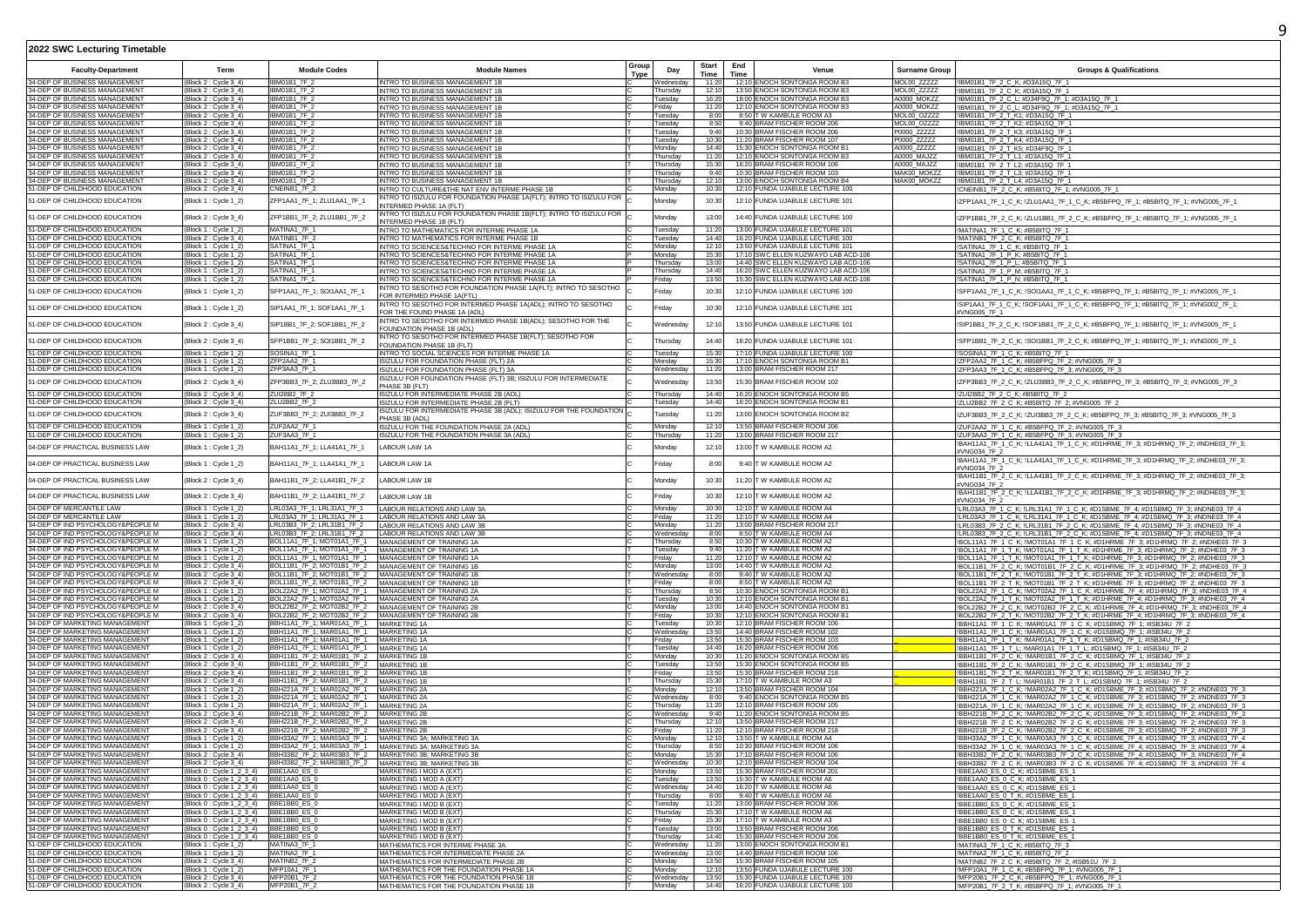| Type<br>Time<br>Time<br>34-DEP OF BUSINESS MANAGEMENT<br>IBM01B1_7F_2<br>12:10 ENOCH SONTONGA ROOM B3<br>MOL00 ZZZZZ<br>(Block 2: Cycle 3 4)<br>INTRO TO BUSINESS MANAGEMENT 1B<br>11:20<br>!IBM01B1_7F_2_C_K; #D3A15Q_7F_1<br>Wednesdav<br>34-DEP OF BUSINESS MANAGEMENT<br>IBM01B1 7F 2<br>13:50 ENOCH SONTONGA ROOM B3<br>MOL00_ZZZZZ<br>Block 2 : Cycle 3_4)<br>INTRO TO BUSINESS MANAGEMENT 1E<br>Thursday<br>12:1<br>!IBM01B1_7F_2_C_K; #D3A15Q_7F_1<br>IBM01B1_7F_2<br>16:20<br>18:00 ENOCH SONTONGA ROOM B3<br>A0000 MOKZZ<br>(Block 2 : Cycle 3_4)<br>Tuesdav<br>!IBM01B1_7F_2_C_L; #D34F9Q_7F_1; #D3A15Q_7F_1<br>INTRO TO BUSINESS MANAGEMENT 1B<br>34-DEP OF BUSINESS MANAGEMENT<br>(Block 2 : Cycle 3_4)<br>IBM01B1 7F 2<br>12:10 ENOCH SONTONGA ROOM B3<br>A0000_MOKZZ<br>!IBM01B1_7F_2_C_L; #D34F9Q_7F_1; #D3A15Q_7F_1<br>INTRO TO BUSINESS MANAGEMENT 1B<br>Friday<br>11:2<br>34-DEP OF BUSINESS MANAGEMENT<br>IBM01B1_7F_2<br>8:50 T W KAMBULE ROOM A3<br>MOL00 OZZZZ<br>(Block 2 : Cycle 3_4)<br>8:00<br>Tuesdav<br>!IBM01B1_7F_2_T_K1; #D3A15Q_7F_1<br>INTRO TO BUSINESS MANAGEMENT 1B<br>IBM01B1_7F_2<br>8:50<br>9:40 BRAM FISCHER ROOM 206<br>MOL00_OZZZZ<br>(Block 2 : Cycle 3_4)<br>INTRO TO BUSINESS MANAGEMENT 1B<br>Tuesday<br>!IBM01B1_7F_2_T_K2; #D3A15Q_7F_1<br>10:30 BRAM FISCHER ROOM 206<br>!IBM01B1_7F_2_T_K3; #D3A15Q_7F_1<br>IBM01B1_7F_2<br>9:40<br>INTRO TO BUSINESS MANAGEMENT 1B<br>P0000_ZZZZZ<br>(Block 2 : Cycle 3_4)<br>Tuesday<br>!IBM01B1_7F_2_T_K4; #D3A15Q_7F_1<br>34-DEP OF BUSINESS MANAGEMENT<br>(Block 2 : Cycle 3_4)<br>IBM01B1 7F 2<br>INTRO TO BUSINESS MANAGEMENT 1B<br>Tuesday<br>10:30<br>11:20 BRAM FISCHER ROOM 107<br>P0000_ZZZZZ<br>34-DEP OF BUSINESS MANAGEMENT<br><b>IRM01B1 7F 2</b><br>INTRO TO BUSINESS MANAGEMENT 1B<br>15:30 ENOCH SONTONGA ROOM B1<br>A0000_ZZZZZ<br>IBM01B1_7F_2_T_K5; #D34F9Q_7F_1<br>(Block 2 : Cycle 3_4)<br>Monday<br>14:40<br>34-DEP OF BUSINESS MANAGEMENT<br>IBM01B1 7F 2<br>INTRO TO BUSINESS MANAGEMENT 1B<br>11:20<br>12:10 ENOCH SONTONGA ROOM B3<br>A0000 MAJZZ<br>IBM01B1_7F_2_T_L1; #D3A15Q_7F_1<br>Block 2 : Cycle 3_4)<br>Thursday<br>34-DEP OF BUSINESS MANAGEMENT<br>IBM01B1_7F_2<br>16:20 BRAM FISCHER ROOM 106<br>15:30<br>A0000 MAJ77<br>(Block 2 : Cycle 3_4)<br>INTRO TO BUSINESS MANAGEMENT 1B<br>Thursday<br>!IBM01B1_7F_2_T_L2; #D3A15Q_7F_1<br>34-DEP OF BUSINESS MANAGEMENT<br>IBM01B1_7F_2<br>10:30 BRAM FISCHER ROOM 103<br>MAK00 MOKZZ<br>(Block 2 : Cycle 3_4)<br>INTRO TO BUSINESS MANAGEMENT 1B<br>Thursday<br>9:40<br>!IBM01B1_7F_2_T_L3; #D3A15Q_7F_1<br><b>IBM01B1_7F_2</b><br>13:00 ENOCH SONTONGA ROOM B4<br>MAK00_MOKZZ<br>12:10<br>(Block 2 : Cycle 3_4)<br>INTRO TO BUSINESS MANAGEMENT 1B<br>Thursday<br>!IBM01B1_7F_2_T_L4; #D3A15Q_7F_1<br>51-DEP OF CHILDHOOD EDUCATION<br>(Block 2 : Cycle 3_4)<br>CNEINB1_7F_2<br>INTRO TO CULTURE&THE NAT ENV INTERME PHASE 1B<br>10:30<br>12:10 FUNDA UJABULE LECTURE 100<br>Monday<br>CNEINB1_7F_2_C_K; #B5BITQ_7F_1; #VNG005_7F_1<br>INTRO TO ISIZULU FOR FOUNDATION PHASE 1A(FLT); INTRO TO ISIZULU FOR<br>51-DEP OF CHILDHOOD EDUCATION<br>12:10 FUNDA UJABULE LECTURE 101<br>(Block 1 : Cycle 1_2)<br>ZFP1AA1_7F_1; ZLU1AA1_7F_1<br>10:30<br>Monday<br>!ZFP1AA1_7F_1_C_K; !ZLU1AA1_7F_1_C_K; #B5BFPQ_7F_1; #B5BITQ_7F_1; #VNG005_7F_1<br>INTERMED PHASE 1A (FLT)<br>INTRO TO ISIZULU FOR FOUNDATION PHASE 1B(FLT); INTRO TO ISIZULU FOR<br>14:40 FUNDA UJABULE LECTURE 100<br>(Block 2 : Cycle 3_4)<br>ZFP1BB1_7F_2; ZLU1BB1_7F_2<br>Mondav<br>13:00<br>!ZFP1BB1_7F_2_C_K; !ZLU1BB1_7F_2_C_K; #B5BFPQ_7F_1; #B5BITQ_7F_1; #VNG005_7F_1<br>NTERMED PHASE 1B (FLT)<br>1-DEP OF CHILDHOOD EDUCATION<br>MATINA1_7F_1<br>INTRO TO MATHEMATICS FOR INTERME PHASE 1A<br>11:20<br>13:00 FUNDA UJABULE LECTURE 101<br>!MATINA1_7F_1_C_K; #B5BITQ_7F_1<br>Block 1 : Cycle 1_2)<br>Tuesday<br>51-DEP OF CHILDHOOD EDUCATION<br>MATINB1_7F_2<br>INTRO TO MATHEMATICS FOR INTERME PHASE 1B<br>14:40<br>16:20 FUNDA UJABULE LECTURE 100<br>!MATINB1_7F_2_C_K: #B5BITQ_7F_1<br>(Block 2 : Cycle 3_4)<br>Tuesdav<br>51-DEP OF CHILDHOOD EDUCATION<br>SATINA1_7F_1<br>INTRO TO SCIENCES&TECHNO FOR INTERME PHASE 1A<br>12:10<br>13:50 FUNDA UJABULE LECTURE 101<br>!SATINA1_7F_1_C_K; #B5BITQ_7F_1<br>(Block 1 : Cycle 1_2)<br>Monday<br>1-DEP OF CHILDHOOD EDUCATION<br>SATINA1_7F_1<br>15:30<br>17:10 SWC ELLEN KUZWAYO LAB ACD-106<br>Monday<br>(Block 1 : Cycle 1_2)<br>!SATINA1_7F_1_P_K; #B5BITQ_7F_1<br>INTRO TO SCIENCES&TECHNO FOR INTERME PHASE 1A<br>51-DEP OF CHILDHOOD EDUCATION<br>SATINA1_7F_1<br>13:0<br>14:40 SWC ELLEN KUZWAYO LAB ACD-106<br>(Block 1 : Cycle 1_2)<br>INTRO TO SCIENCES&TECHNO FOR INTERME PHASE 1A<br>Thursday<br>SATINA1_7F_1_P_L; #B5BITQ_7F_1<br>1-DEP OF CHILDHOOD EDUCATION<br>(Block 1 : Cycle 1_2)<br>SATINA1_7F_1<br>16:20 SWC ELLEN KUZWAYO LAB ACD-106<br>14:40<br>Thursdav<br>!SATINA1_7F_1_P_M; #B5BITQ_7F_1<br>INTRO TO SCIENCES&TECHNO FOR INTERME PHASE 1A<br>(Block 1 : Cycle 1_2)<br>SATINA1_7F_1<br>13:50<br>15:30 SWC ELLEN KUZWAYO LAB ACD-106<br>!SATINA1_7F_1_P_N; #B5BITQ_7F_1<br>INTRO TO SCIENCES&TECHNO FOR INTERME PHASE 1A<br>Friday<br>INTRO TO SESOTHO FOR FOUNDATION PHASE 1A(FLT); INTRO TO SESOTHO<br>12:10 FUNDA UJABULE LECTURE 100<br>51-DEP OF CHILDHOOD EDUCATION<br>(Block 1 : Cycle 1_2)<br>SFP1AA1_7F_1; SOI1AA1_7F_1<br>riday<br>10:30<br>!SFP1AA1_7F_1_C_K; !SOI1AA1_7F_1_C_K; #B5BFPQ_7F_1; #B5BITQ_7F_1; #VNG005_7F_1<br>FOR INTERMED PHASE 1A(FTL)<br>!SIP1AA1_7F_1_C_K; !SOF1AA1_7F_1_C_K; #B5BFPQ_7F_1; #B5BITQ_7F_1; #VNG002_7F_1;<br>INTRO TO SESOTHO FOR INTERMED PHASE 1A(ADL); INTRO TO SESOTHO<br>12:10 FUNDA UJABULE LECTURE 101<br>51-DEP OF CHILDHOOD EDUCATION<br>SIP1AA1_7F_1; SOF1AA1_7F_1<br>10:30<br>(Block 1 : Cycle 1_2)<br>Friday<br>FOR THE FOUND PHASE 1A (ADL)<br>#VNG005_7F_1<br>INTRO TO SESOTHO FOR INTERMED PHASE 1B(ADL); SESOTHO FOR THE<br>51-DEP OF CHILDHOOD EDUCATION<br>SIP1BB1_7F_2; SOF1BB1_7F_2<br>13:50 FUNDA UJABULE LECTURE 101<br>(Block 2 : Cycle 3_4)<br>!SIP1BB1_7F_2_C_K; !SOF1BB1_7F_2_C_K; #B5BFPQ_7F_1; #B5BITQ_7F_1; #VNG005_7F_1<br>Wednesdav<br>12:10<br>FOUNDATION PHASE 1B (ADL)<br>INTRO TO SESOTHO FOR INTERMED PHASE 1B(FLT); SESOTHO FOR<br>SFP1BB1_7F_2; SOI1BB1_7F_2<br>51-DEP OF CHILDHOOD EDUCATION<br>16:20 FUNDA UJABULE LECTURE 101<br>(Block 2 : Cycle 3_4)<br>14:40<br>!SFP1BB1_7F_2_C_K; !SOI1BB1_7F_2_C_K; #B5BFPQ_7F_1; #B5BITQ_7F_1; #VNG005_7F_1<br>Thursdav<br>FOUNDATION PHASE 1B (FLT)<br>51-DEP OF CHILDHOOD EDUCATION<br>17:10 FUNDA UJABULE LECTURE 100<br>SOSINA1_7F_1<br>(Block 1 : Cycle 1_2)<br>!SOSINA1_7F_1_C_K; #B5BITQ_7F_1<br>INTRO TO SOCIAL SCIENCES FOR INTERME PHASE 1A<br>Tuesday<br>15:30<br>1-DEP OF CHILDHOOD EDUCATION<br>17:10 ENOCH SONTONGA ROOM B1<br>Block 1 : Cycle 1_2)<br>ZFP2AA2_7F_1<br>Monday<br>15:3<br>!ZFP2AA2_7F_1_C_K; #B5BFPQ_7F_2; #VNG005_7F_3<br>ISIZULU FOR FOUNDATION PHASE (FLT) 2A<br>ZFP3AA3_7F_1<br>13:00 BRAM FISCHER ROOM 217<br>51-DEP OF CHILDHOOD EDUCATION<br>11:20<br>(Block 1 : Cycle 1_2)<br>ISIZULU FOR FOUNDATION PHASE (FLT) 3A<br>Wednesday<br>!ZFP3AA3_7F_1_C_K; #B5BFPQ_7F_3; #VNG005_7F_3<br>ISIZULU FOR FOUNDATION PHASE (FLT) 3B; ISIZULU FOR INTERMEDIATE<br>51-DEP OF CHILDHOOD EDUCATION<br>ZFP3BB3_7F_2; ZLU3BB3_7F_2<br>13:50<br>15:30 BRAM FISCHER ROOM 102<br>(Block 2 : Cycle 3_4)<br>Wednesday<br>!ZFP3BB3_7F_2_C_K; !ZLU3BB3_7F_2_C_K; #B5BFPQ_7F_3; #B5BITQ_7F_3; #VNG005_7F_3<br>PHASE 3B (FLT)<br>51-DEP OF CHILDHOOD EDUCATION<br>ZUI2BB2_7F_2<br>16:20 ENOCH SONTONGA ROOM B5<br>Block 2 : Cycle 3_4)<br>!ZUI2BB2_7F_2_C_K; #B5BITQ_7F_2<br>ISIZULU FOR INTERMEDIATE PHASE 2B (ADL)<br>Thursday<br>14:40<br>51-DEP OF CHILDHOOD EDUCATION<br>ZLU2BB2_7F_2<br>ISIZULU FOR INTERMEDIATE PHASE 2B (FLT)<br>14:40<br>16:20 ENOCH SONTONGA ROOM B1<br>!ZLU2BB2_7F_2_C_K; #B5BITQ_7F_2; #VNG005_7F_2<br>(Block 2 : Cycle 3_4)<br>uesday<br>ISIZULU FOR INTERMEDIATE PHASE 3B (ADL); ISIZULU FOR THE FOUNDATION<br>1-DEP OF CHILDHOOD EDUCATION<br>(Block 2 : Cycle 3_4)<br>ZUF3BB3_7F_2; ZUI3BB3_7F_2<br>11:20<br>13:00 ENOCH SONTONGA ROOM B2<br>!ZUF3BB3_7F_2_C_K; !ZUI3BB3_7F_2_C_K; #B5BFPQ_7F_3; #B5BITQ_7F_3; #VNG005_7F_3<br><b>Tuesdav</b><br>PHASE 3B (ADL)<br>1-DEP OF CHILDHOOD EDUCATION<br>13:50 BRAM FISCHER ROOM 206<br>(Block 1 : Cycle 1_2)<br>ZUF2AA2_7F_1<br>ISIZULU FOR THE FOUNDATION PHASE 2A (ADL)<br>!ZUF2AA2 7F 1 C K; #B5BFPQ 7F 2; #VNG005 7F 3<br>12:10<br>Monday<br>1-DEP OF CHILDHOOD EDUCATION<br>ZUF3AA3_7F_1<br>11:2<br>13:00 BRAM FISCHER ROOM 217<br>Block 1 : Cycle 1_2)<br>SIZULU FOR THE FOUNDATION PHASE 3A (ADL)<br>Thursday<br>!ZUF3AA3_7F_1_C_K; #B5BFPQ_7F_3; #VNG005_7F_3<br>!BAH11A1_7F_1_C_K; !LLA41A1_7F_1_C_K; #D1HRME_7F_3; #D1HRMQ_7F_2; #NDHE03_7F_3;<br>13:00 T W KAMBULE ROOM A2<br>04-DEP OF PRACTICAL BUSINESS LAW<br>(Block 1 : Cycle 1_2)<br>BAH11A1_7F_1; LLA41A1_7F_1<br>LABOUR LAW 1A<br>12:10<br>Monday<br>#VNG034 7F 2<br>!BAH11A1_7F_1_C_K; !LLA41A1_7F_1_C_K; #D1HRME_7F_3; #D1HRMQ_7F_2; #NDHE03_7F_3;<br>04-DEP OF PRACTICAL BUSINESS LAW<br>(Block 1 : Cycle 1_2)<br>BAH11A1_7F_1; LLA41A1_7F_1<br>riday<br>9:40 T W KAMBULE ROOM A2<br>LABOUR LAW 1A<br>8:00<br>#VNG034 7F 2<br>!BAH11B1_7F_2_C_K; !LLA41B1_7F_2_C_K; #D1HRME_7F_3; #D1HRMQ_7F_2; #NDHE03_7F_3;<br>(Block 2 : Cycle 3_4)<br>BAH11B1_7F_2; LLA41B1_7F_2<br>Monday<br>10:30<br>11:20 T W KAMBULE ROOM A2<br>LABOUR LAW 1B<br>#VNG034 7F 2<br>!BAH11B1_7F_2_C_K; !LLA41B1_7F_2_C_K; #D1HRME_7F_3; #D1HRMQ_7F_2; #NDHE03_7F_3;<br>12:10 T W KAMBULE ROOM A2<br>(Block 2 : Cycle 3_4)<br>BAH11B1_7F_2; LLA41B1_7F_2<br>LABOUR LAW 1B<br>Fridav<br>10:30<br>#VNG034_7F_2<br>LRL03A3_7F_1; LRL31A1_7F_1<br>!LRL03A3_7F_1_C_K; !LRL31A1_7F_1_C_K; #D1SBME_7F_4; #D1SBMQ_7F_3; #NDNE03_7F_4<br>04-DEP OF MERCANTILE LAW<br>LABOUR RELATIONS AND LAW 3A<br>12:10 T W KAMBULE ROOM A4<br>(Block 1 : Cycle 1_2)<br>Monday<br>10:30<br>LRL03A3 7F_1; LRL31A1 7F_1<br>LABOUR RELATIONS AND LAW 3A<br>12:10 T W KAMBULE ROOM A4<br>!LRL03A3_7F_1_C_K; !LRL31A1_7F_1_C_K; #D1SBME_7F_4; #D1SBMQ_7F_3; #NDNE03_7F_4<br>(Block 1 : Cycle 1_2)<br>Friday<br>11:20<br>13:00 BRAM FISCHER ROOM 217<br>LRL03B3_7F_2; LRL31B1_7F_2<br>11:20<br>(Block 2 : Cycle 3_4)<br>LABOUR RELATIONS AND LAW 3B<br>Monday<br>ILRL03B3_7F_2_C_K; ILRL31B1_7F_2_C_K; #D1SBME_7F_4; #D1SBMQ_7F_3; #NDNE03_7F_4<br>34-DEP OF IND PSYCHOLOGY&PEOPLE M<br>(Block 2 : Cycle 3_4)<br>LRL03B3_7F_2; LRL31B1_7F_2<br>8:00<br>8:50 T W KAMBULE ROOM A4<br>!LRL03B3_7F_2_C_K; !LRL31B1_7F_2_C_K; #D1SBME_7F_4; #D1SBMQ_7F_3; #NDNE03_7F_4<br>LABOUR RELATIONS AND LAW 3B<br>Wednesday<br>BOL11A1_7F_1; MOT01A1_7F_1<br>10:30 T W KAMBULE ROOM A2<br>34-DEP OF IND PSYCHOLOGY&PEOPLE M<br>8:50<br>(Block 1 : Cycle 1_2)<br>MANAGEMENT OF TRAINING 1A<br>Thursday<br>!BOL11A1_7F_1_C_K; !MOT01A1_7F_1_C_K; #D1HRME_7F_3; #D1HRMQ_7F_2; #NDHE03_7F_3<br>BOL11A1_7F_1; MOT01A1_7F_1<br>11:20 T W KAMBULE ROOM A2<br>(Block 1 : Cycle 1_2)<br>MANAGEMENT OF TRAINING 1A<br>Tuesday<br>9:40<br>!BOL11A1_7F_1_T_K; !MOT01A1_7F_1_T_K; #D1HRME_7F_3; #D1HRMQ_7F_2; #NDHE03_7F_3<br>BOL11A1_7F_1; MOT01A1_7F_1<br>34-DEP OF IND PSYCHOLOGY&PEOPLE M<br>12:10 TW KAMBULE ROOM A2<br>(Block 1 : Cycle 1_2)<br>MANAGEMENT OF TRAINING 1A<br>Friday<br>11:20<br>!BOL11A1_7F_1_T_K; !MOT01A1_7F_1_T_K; #D1HRME_7F_3; #D1HRMQ_7F_2; #NDHE03_7F_3<br>34-DEP OF IND PSYCHOLOGY&PEOPLE M<br>(Block 2 : Cycle 3_4)<br>BOL11B1_7F_2; MOT01B1_7F_2<br>MANAGEMENT OF TRAINING 1B<br>Monday<br>13:00<br>14:40 T W KAMBULE ROOM A2<br>IBOL11B1_7F_2_C_K; IMOT01B1_7F_2_C_K; #D1HRME_7F_3; #D1HRMQ_7F_2; #NDHE03_7F_3<br>BOL11B1_7F_2; MOT01B1_7F_2 MANAGEMENT OF TRAINING 1B<br>9:40 T W KAMBULE ROOM A2<br>(Block 2 : Cycle 3_4)<br>Wednesday<br>8:00<br>!BOL11B1_7F_2_T_K; !MOT01B1_7F_2_T_K; #D1HRME_7F_3; #D1HRMQ_7F_2; #NDHE03_7F_3<br>34-DEP OF IND PSYCHOLOGY&PEOPLE M<br>8:50 T W KAMBULE ROOM A2<br>(Block 2 : Cycle 3_4)<br>BOL11B1_7F_2; MOT01B1_7F_2 MANAGEMENT OF TRAINING 1B<br>Fridav<br>8:00<br>!BOL11B1_7F_2_T_K; !MOT01B1_7F_2_T_K; #D1HRME_7F_3; #D1HRMQ_7F_2; #NDHE03_7F_3<br>34-DEP OF IND PSYCHOLOGY&PEOPLE M<br>BOL22A2_7F_1; MOT02A2_7F_1 MANAGEMENT OF TRAINING 2A<br>8:50<br>10:30 ENOCH SONTONGA ROOM B1<br>!BOL22A2_7F_1_C_K; !MOT02A2_7F_1_C_K; #D1HRME_7F_4; #D1HRMQ_7F_3; #NDHE03_7F_4<br>(Block 1 : Cycle 1_2)<br>Thursday<br>BOL22A2_7F_1; MOT02A2_7F_1<br>MANAGEMENT OF TRAINING 2A<br>12:10 ENOCH SONTONGA ROOM B1<br>!BOL22A2_7F_1_T_K; !MOT02A2_7F_1_T_K; #D1HRME_7F_4; #D1HRMQ_7F_3; #NDHE03_7F_4<br>10:30<br>(Block $1:$ Cycle $1_2$ )<br>Tuesdav<br>BOL22B2_7F_2; MOT02B2_7F_2 MANAGEMENT OF TRAINING 2B<br>13:00<br>14:40 ENOCH SONTONGA ROOM B1<br>!BOL22B2_7F_2_C_K; !MOT02B2_7F_2_C_K; #D1HRME_7F_4; #D1HRMQ_7F_3; #NDHE03_7F_4<br>(Block 2 : Cycle 3_4)<br>Monday<br>!BOL22B2_7F_2_T_K; !MOT02B2_7F_2_T_K; #D1HRME_7F_4; #D1HRMQ_7F_3; #NDHE03_7F_4<br>BOL22B2_7F_2; MOT02B2_7F_2 MANAGEMENT OF TRAINING 2B<br>34-DEP OF IND PSYCHOLOGY&PEOPLE M<br>$(Block 2:Cycle 3_4)$<br>10:30<br>12:10 ENOCH SONTONGA ROOM B1<br>Fridav<br>34-DEP OF MARKETING MANAGEMENT<br>BBH11A1_7F_1; MAR01A1_7F_1 MARKETING 1A<br>10:30<br>12:10 BRAM FISCHER ROOM 106<br>!BBH11A1_7F_1_C_K; !MAR01A1_7F_1_C_K; #D1SBMQ_7F_1; #ISB34U_7F_2<br>(Block $1:$ Cycle $1_2$ )<br>Tuesday<br>BBH11A1_7F_1; MAR01A1_7F_1 __ MARKETING 1A<br>13:50<br>14:40 BRAM FISCHER ROOM 102<br>(Block 1 : Cycle 1_2)<br>!BBH11A1_7F_1_C_K; !MAR01A1_7F_1_C_K; #D1SBMQ_7F_1; #ISB34U_7F_2<br>Wednesdav<br>BBH11A1_7F_1; MAR01A1_7F_1<br>15:30 BRAM FISCHER ROOM 103<br>34-DEP OF MARKETING MANAGEMENT<br>13:50<br>Block 1 : Cycle 1_2)<br>MARKETING 1A<br><b>Triday</b><br>!BBH11A1_7F_1_T_K; !MAR01A1_7F_1_T_K; #D1SBMQ_7F_1; #ISB34U_7F_2<br>BBH11A1_7F_1; MAR01A1_7F_1 MARKETING 1A<br>34-DEP OF MARKETING MANAGEMENT<br>(Block 1 : Cycle 1_2)<br>14:40<br>16:20 BRAM FISCHER ROOM 206<br>!BBH11A1_7F_1_T_L; !MAR01A1_7F_1_T_L; #D1SBMQ_7F_1; #ISB34U_7F_2<br>Tuesdav<br>BBH11B1_7F_2; MAR01B1_7F_2 MARKETING 1B<br>10:30<br>11:20 ENOCH SONTONGA ROOM B5<br>!BBH11B1_7F_2_C_K; !MAR01B1_7F_2_C_K; #D1SBMQ_7F_1; #ISB34U_7F_2<br>(Block 2 : Cycle 3 4)<br>Monday<br>34-DEP OF MARKETING MANAGEMENT<br>13:50<br>15:30 ENOCH SONTONGA ROOM B5<br>BBH11B1_7F_2; MAR01B1_7F_2 MARKETING 1B<br>(Block 2 : Cycle 3_4)<br>Tuesdav<br>!BBH11B1_7F_2_C_K; !MAR01B1_7F_2_C_K; #D1SBMQ_7F_1; #ISB34U_7F_2<br>!BBH11B1_7F_2_T_K; !MAR01B1_7F_2_T_K; #D1SBMQ_7F_1; #ISB34U_7F_1<br>34-DEP OF MARKETING MANAGEMENT<br>BBH11B1_7F_2; MAR01B1_7F_2<br>MARKETING 1<br>13:5<br>15:30 BRAM FISCHER ROOM 218<br>(Block 2 : Cycle 3_4)<br>Friday<br>IBBH11B1_7F_2_T_L; IMAR01B1_7F_2_T_L; #D1SBMQ_7F_1; #ISB34U_7F_2<br>17:10 TW KAMBULE ROOM A3<br>BBH11B1_7F_2; MAR01B1_7F_2 MARKETING 1B<br>(Block 2 : Cycle 3_4)<br>Thursday<br>15:30<br>BBH221A_7F_1; MAR02A2_7F_1 MARKETING 2A<br>13:50 BRAM FISCHER ROOM 104<br>!BBH221A_7F_1_C_K; !MAR02A2_7F_1_C_K; #D1SBME_7F_3; #D1SBMQ_7F_2; #NDNE03_7F_3<br>(Block 1 : Cycle 1_2)<br>Monday<br>12:10<br>34-DEP OF MARKETING MANAGEMENT<br>BBH221A_7F_1; MAR02A2_7F_1 MARKETING 2A<br>9:40 ENOCH SONTONGA ROOM B5<br>!BBH221A_7F_1_C_K; !MAR02A2_7F_1_C_K; #D1SBME_7F_3; #D1SBMQ_7F_2; #NDNE03_7F_3<br>(Block 1 : Cycle 1_2)<br>Wednesday<br>8:00<br><b>34-DEP OF MARKETING MANAGEMENT</b><br>BBH221A_7F_1; MAR02A2_7F_1 MARKETING 2A<br>12:10 BRAM FISCHER ROOM 105<br>(Block 1 : Cycle 1_2)<br>11:20<br>IBBH221A_7F_1_C_K; !MAR02A2_7F_1_C_K; #D1SBME_7F_3; #D1SBMQ_7F_2; #NDNE03_7F_3<br>Thursday<br>BBH221B_7F_2; MAR02B2_7F_2 MARKETING 2B<br>11:20 ENOCH SONTONGA ROOM B5<br>(Block 2 : Cycle 3_4)<br>Wednesda<br>9:40<br>!BBH221B 7F 2 C K; !MAR02B2 7F 2 C K; #D1SBME 7F 3; #D1SBMQ 7F 2; #NDNE03 7F 3<br>34-DEP OF MARKETING MANAGEMENT<br>BBH221B_7F_2; MAR02B2_7F_2 MARKETING 2B<br>13:50 BRAM FISCHER ROOM 217<br>(Block 2 : Cycle 3_4)<br>Thursday<br>12:10<br>!BBH221B 7F 2 C K; !MAR02B2 7F 2 C K; #D1SBME 7F 3; #D1SBMQ 7F 2; #NDNE03 7F 3<br>BBH221B_7F_2; MAR02B2_7F_2 MARKETING 2B<br>12:10 BRAM FISCHER ROOM 218<br>(Block 2 : Cycle 3_4)<br>Fridav<br>11:20<br>!BBH221B 7F 2 C K; !MAR02B2 7F 2 C K; #D1SBME 7F 3; #D1SBMQ 7F 2; #NDNE03 7F 3<br>BBH33A2_7F_1; MAR03A3_7F_1 MARKETING 3A; MARKETING 3A<br>(Block 1 : Cycle 1_2)<br>Monday<br>12:11<br>13:50 T W KAMBULE ROOM A4<br>!BBH33A2_7F_1_C_K; !MAR03A3_7F_1_C_K; #D1SBME_7F_4; #D1SBMQ_7F_3; #NDNE03_7F_4<br>BBH33A2_7F_1; MAR03A3_7F_1 MARKETING 3A; MARKETING 3A<br>34-DEP OF MARKETING MANAGEMENT<br>8:50<br>10:30 BRAM FISCHER ROOM 106<br>(Block 1 : Cycle 1_2)<br>Thursday<br>!BBH33A2_7F_1_C_K; !MAR03A3_7F_1_C_K; #D1SBME_7F_4; #D1SBMQ_7F_3; #NDNE03_7F_4<br>34-DEP OF MARKETING MANAGEMENT<br>(Block 2 : Cycle 3_4)<br>BBH33B2_7F_2; MAR03B3_7F_2 MARKETING 3B; MARKETING 3B<br>Monday<br>15:30<br>17:10 BRAM FISCHER ROOM 106<br>IBBH33B2_7F_2_C_K; IMAR03B3_7F_2_C_K; #D1SBME_7F_4; #D1SBMQ_7F_3; #NDNE03_7F_4<br>12:10 BRAM FISCHER ROOM 104<br>BBH33B2_7F_2; MAR03B3_7F_2 MARKETING 3B; MARKETING 3B<br>Wednesday<br>10:30<br>(Block 2 : Cycle 3_4)<br>!BBH33B2_7F_2_C_K; !MAR03B3_7F_2_C_K; #D1SBME_7F_4; #D1SBMQ_7F_3; #NDNE03_7F_4<br>(Block 0: Cycle 1_2_3_4)<br>BBE1AA0 ES 0<br>MARKETING I MOD A (EXT)<br>15:30 BRAM FISCHER ROOM 201<br>IBBE1AA0 ES 0 C K: #D1SBME ES 1<br>Monday<br>13:50<br>34-DEP OF MARKETING MANAGEMENT<br>(Block 0: Cycle 1_2_3_4) BBE1AA0_ES_0<br>MARKETING I MOD A (EXT)<br>Tuesday<br>13:50<br>15:30 T W KAMBULE ROOM A6<br>IBBE1AA0 ES 0 C K #D1SBME ES 1<br>(Block 0: Cycle 1 2 3 4) BBE1AA0 ES 0<br>16:20 T W KAMBULE ROOM A6<br>!BBE1AA0 ES 0 C K; #D1SBME ES 1<br>MARKETING I MOD A (EXT)<br>14:40<br>Wednesdav<br>$\frac{(Block 0: Cycle 1_2 3_4)  \t\t\t-BBE1AA0 ES 0}{(Block 0: Cycle 1_2 3_4)  \t\t-BBE1BB0 ES 0}$<br>9:40 T W KAMBULE ROOM A6<br>!BBE1AA0_ES_0_T_K; #D1SBME_ES_1<br>MARKETING I MOD A (EXT)<br>Thursday<br>8:00<br>34-DEP OF MARKETING MANAGEMENT<br>13:00 BRAM FISCHER ROOM 206<br>MARKETING I MOD B (EXT)<br>11:21<br>!BBE1BB0 ES 0 C K; #D1SBME ES 1<br>uesdav<br>Block 0: Cycle 1_2_3_4) BBE1BB0_ES_0<br>17:10 T W KAMBULE ROOM A6<br>MARKETING I MOD B (EXT)<br>Thursday<br>15:30<br>!BBE1BB0 ES 0 C K; #D1SBME ES 1<br>(Block 0 : Cycle 1_2_3_4) BBE1BB0 ES 0<br>17:10 T W KAMBULE ROOM A3<br>15:30<br>!BBE1BB0_ES_0_C_K; #D1SBME_ES_1<br>MARKETING I MOD B (EXT)<br>Friday<br><b>34-DEP OF MARKETING MANAGEMENT</b><br>13:50 BRAM FISCHER ROOM 206<br>(Block 0: Cycle 1_2_3_4)   BBE1BB0_ES_0<br>MARKETING I MOD B (EXT)<br>Tuesday<br>13:00<br>!BBE1BB0_ES_0_T_K; #D1SBME_ES_1<br>15:30 BRAM FISCHER ROOM 206<br>Block 0 : Cycle 1_2_3_4)<br>BBE1BB0 ES 0<br>14:40<br>MARKETING I MOD B (EXT)<br>Thursdav<br>!BBE1BB0_ES_0_T_K; #D1SBME_ES_1<br>MATINA3_7F_1<br>13:00 ENOCH SONTONGA ROOM B1<br>51-DEP OF CHILDHOOD EDUCATION<br>(Block 1 : Cycle 1_2)<br>MATHEMATICS FOR INTERME PHASE 3A<br>Wednesday<br>11:20<br>!MATINA3 7F 1 C K: #B5BITQ 7F 3<br>51-DEP OF CHILDHOOD EDUCATION<br>MATINA2 7F 1<br>MATHEMATICS FOR INTERMEDIATE PHASE 2A<br>14:40 BRAM FISCHER ROOM 106<br>(Block 1 : Cycle 1_2)<br>Wednesday<br>13:00<br>!MATINA2_7F_1_C_K; #B5BITQ_7F_2<br>MATINB2_7F_2<br>MATHEMATICS FOR INTERMEDIATE PHASE 2B<br>15:30 BRAM FISCHER ROOM 105<br>!MATINB2_7F_2_C_K; #B5BITQ_7F_2; #ISB51U_7F_2<br>51-DEP OF CHILDHOOD EDUCATION<br>(Block 2 : Cycle 3_4)<br>Monday<br>13:50<br>MATHEMATICS FOR THE FOUNDATION PHASE 1A<br>13:50 FUNDA UJABULE LECTURE 100<br>MFP10A1_7F_1<br>Monday<br>IMFP10A1_7F_1_C_K: #B5BFPO_7F_1: #VNG005_7F_1<br>$(Block 1 : Cycle 1_2)$<br>12:10<br>51-DEP OF CHILDHOOD EDUCATION<br>Block 2 : Cycle 3_4)<br>MFP20B1_7F_2<br>MATHEMATICS FOR THE FOUNDATION PHASE 1B<br>15:30 FUNDA UJABULE LECTURE 100<br>!MFP20B1_7F_2_C_K; #B5BFPQ_7F_1; #VNG005_7F_1<br>Wednesday<br>13:50<br>MATHEMATICS FOR THE FOUNDATION PHASE 1B<br>16:20 FUNDA UJABULE LECTURE 100<br>51-DEP OF CHILDHOOD EDUCATION<br>MFP20B1_7F_2<br>14:40<br>!MFP20B1_7F_2_T_K; #B5BFPQ_7F_1; #VNG005_7F_1<br>(Block 2 : Cycle 3_4)<br>Monday |                                   |      |                     |                     | Group | Start | End |       |                      |                                    |
|------------------------------------------------------------------------------------------------------------------------------------------------------------------------------------------------------------------------------------------------------------------------------------------------------------------------------------------------------------------------------------------------------------------------------------------------------------------------------------------------------------------------------------------------------------------------------------------------------------------------------------------------------------------------------------------------------------------------------------------------------------------------------------------------------------------------------------------------------------------------------------------------------------------------------------------------------------------------------------------------------------------------------------------------------------------------------------------------------------------------------------------------------------------------------------------------------------------------------------------------------------------------------------------------------------------------------------------------------------------------------------------------------------------------------------------------------------------------------------------------------------------------------------------------------------------------------------------------------------------------------------------------------------------------------------------------------------------------------------------------------------------------------------------------------------------------------------------------------------------------------------------------------------------------------------------------------------------------------------------------------------------------------------------------------------------------------------------------------------------------------------------------------------------------------------------------------------------------------------------------------------------------------------------------------------------------------------------------------------------------------------------------------------------------------------------------------------------------------------------------------------------------------------------------------------------------------------------------------------------------------------------------------------------------------------------------------------------------------------------------------------------------------------------------------------------------------------------------------------------------------------------------------------------------------------------------------------------------------------------------------------------------------------------------------------------------------------------------------------------------------------------------------------------------------------------------------------------------------------------------------------------------------------------------------------------------------------------------------------------------------------------------------------------------------------------------------------------------------------------------------------------------------------------------------------------------------------------------------------------------------------------------------------------------------------------------------------------------------------------------------------------------------------------------------------------------------------------------------------------------------------------------------------------------------------------------------------------------------------------------------------------------------------------------------------------------------------------------------------------------------------------------------------------------------------------------------------------------------------------------------------------------------------------------------------------------------------------------------------------------------------------------------------------------------------------------------------------------------------------------------------------------------------------------------------------------------------------------------------------------------------------------------------------------------------------------------------------------------------------------------------------------------------------------------------------------------------------------------------------------------------------------------------------------------------------------------------------------------------------------------------------------------------------------------------------------------------------------------------------------------------------------------------------------------------------------------------------------------------------------------------------------------------------------------------------------------------------------------------------------------------------------------------------------------------------------------------------------------------------------------------------------------------------------------------------------------------------------------------------------------------------------------------------------------------------------------------------------------------------------------------------------------------------------------------------------------------------------------------------------------------------------------------------------------------------------------------------------------------------------------------------------------------------------------------------------------------------------------------------------------------------------------------------------------------------------------------------------------------------------------------------------------------------------------------------------------------------------------------------------------------------------------------------------------------------------------------------------------------------------------------------------------------------------------------------------------------------------------------------------------------------------------------------------------------------------------------------------------------------------------------------------------------------------------------------------------------------------------------------------------------------------------------------------------------------------------------------------------------------------------------------------------------------------------------------------------------------------------------------------------------------------------------------------------------------------------------------------------------------------------------------------------------------------------------------------------------------------------------------------------------------------------------------------------------------------------------------------------------------------------------------------------------------------------------------------------------------------------------------------------------------------------------------------------------------------------------------------------------------------------------------------------------------------------------------------------------------------------------------------------------------------------------------------------------------------------------------------------------------------------------------------------------------------------------------------------------------------------------------------------------------------------------------------------------------------------------------------------------------------------------------------------------------------------------------------------------------------------------------------------------------------------------------------------------------------------------------------------------------------------------------------------------------------------------------------------------------------------------------------------------------------------------------------------------------------------------------------------------------------------------------------------------------------------------------------------------------------------------------------------------------------------------------------------------------------------------------------------------------------------------------------------------------------------------------------------------------------------------------------------------------------------------------------------------------------------------------------------------------------------------------------------------------------------------------------------------------------------------------------------------------------------------------------------------------------------------------------------------------------------------------------------------------------------------------------------------------------------------------------------------------------------------------------------------------------------------------------------------------------------------------------------------------------------------------------------------------------------------------------------------------------------------------------------------------------------------------------------------------------------------------------------------------------------------------------------------------------------------------------------------------------------------------------------------------------------------------------------------------------------------------------------------------------------------------------------------------------------------------------------------------------------------------------------------------------------------------------------------------------------------------------------------------------------------------------------------------------------------------------------------------------------------------------------------------------------------------------------------------------------------------------------------------------------------------------------------------------------------------------------------------------------------------------------------------------------------------------------------------------------------------------------------------------------------------------------------------------------------------------------------------------------------------------------------------------------------------------------------------------------------------------------------------------------------------------------------------------------------------------------------------------------------------------------------------------------------------------------------------------------------------------------------------------------------------------------------------------------------------------------------------------------------------------------------------------------------------------------------------------------------------------------------------------------------------------------------------------------------------------------------------------------------------------------------------------------------------------------------------------------------------------------------------------------------------------------------------------------------------------------------------------------------------------------------------------------------------------------------------------------------------------------------------------------------------------------------------------------------------------------------------------------------------------------------------------------------------------------------------------------------------------------------------------------------------------------------------------------------------------------------------------------------------------------------------------------------------------------------------------------------------------------------------------------------------------------------------------------------------------------------------------------------------------------------------------------------------------------------------------------------------------------------------------------------------------------------------------------------------------------------------------------------------------------------------------------------------------------------------------------------------------------------------------------------------------------------------------------------------------------------------------------------------------------------------------------------------------------------------------------------------------------------------------------------------------------------------------------------------------------------------------------------------------------------------------------------------------------------------------------------------------------------------------------------------------------------------------------------------------------------------------------------------------------------------------------------------------------------------------------------------------------------------------------------------------------------------------------------------------------------------------------------------------------------------------------------------------------------------------------------------------------------------------------------------------------------------------------------------------------------------------------------------------------------------------------------------------------------------------------------------------------------------------------------------------------------------------------------------------------------------------------------------------------------------------------------------------------------------------------------------------------------------------------------------------------------------------------------------------------------------------------------------------------------------------------------------------------------------------------------------------------------------------------------------------------------------------------------------------------------------------------------------------------------------------------------------------------------------------------------------------------------------------------------------------------------------------------------------------------------------------------------------------------------------------------------------------------------------------------------------------------------------------------------------------------------------------------------------------------------------------------------------------------------------------------------------------------------------------------------------------------------------------------------------------------------------------------------------------------------------------------------------------------------------------------------------------------------------------------------------------------------------------------------------------------------------------------------------------------------------------------------------------------------------------------------------------------------------------------------------------------------------------------------------------------------------------------------------------------------------------------------------------------------------------------------------------------------------------------------------------------------------------------------------------------------------------------------------------------------------------------------------------------------------------------------------------------------------------------------------------------------------------------------------------------------------------------------------------------------------------------------------------------------------------------------------------------------------------------------------------------------------------------------------------------------------------------------------------------------------------------------------------------------------------------------------------------------------------------------------------------------------------------------------------------------------------------------------------------------------------------------------------------------------------------------------------------------------------------------------------------------------------------------------------------------------------------------------------------------------------------------------------------------------------------------------------------------------------------------------------------------------------------------------------------------------------------------------------------------------------------------------------------------------------------------------------------------------------------------------------------------------------------------------------------------------------------------------------------------------------------------------------------------------------------------------------------------------------------------------------------------------------------------------------------------------------------------------------------------------------------------------------------------------------------------------------------------------------------------------------------------------------------------------------------------------------------------------------------------------------------------------------------------------------------------------------------------------------------------------------------------------------------------------------------------------------------------------------------------------------------------------------------------------------------------------------------------------------------------------------------------------------------------------------------------------------------------------------------------------------------------------------------------------------------------------------------------------------------------------------------------------------------------------------------------------------------------------------------------------------------------------------------------------------------------------------------------------------------------------------------------------------------------------------------------------------------------------------------------------------------------------------------------------------------------------------------------------------------------------------------------------------------------------------------------------------------------------------------------------------------------------------------------------------------------------------------------------------------------------------------------------------------------------------------------------------------|-----------------------------------|------|---------------------|---------------------|-------|-------|-----|-------|----------------------|------------------------------------|
|                                                                                                                                                                                                                                                                                                                                                                                                                                                                                                                                                                                                                                                                                                                                                                                                                                                                                                                                                                                                                                                                                                                                                                                                                                                                                                                                                                                                                                                                                                                                                                                                                                                                                                                                                                                                                                                                                                                                                                                                                                                                                                                                                                                                                                                                                                                                                                                                                                                                                                                                                                                                                                                                                                                                                                                                                                                                                                                                                                                                                                                                                                                                                                                                                                                                                                                                                                                                                                                                                                                                                                                                                                                                                                                                                                                                                                                                                                                                                                                                                                                                                                                                                                                                                                                                                                                                                                                                                                                                                                                                                                                                                                                                                                                                                                                                                                                                                                                                                                                                                                                                                                                                                                                                                                                                                                                                                                                                                                                                                                                                                                                                                                                                                                                                                                                                                                                                                                                                                                                                                                                                                                                                                                                                                                                                                                                                                                                                                                                                                                                                                                                                                                                                                                                                                                                                                                                                                                                                                                                                                                                                                                                                                                                                                                                                                                                                                                                                                                                                                                                                                                                                                                                                                                                                                                                                                                                                                                                                                                                                                                                                                                                                                                                                                                                                                                                                                                                                                                                                                                                                                                                                                                                                                                                                                                                                                                                                                                                                                                                                                                                                                                                                                                                                                                                                                                                                                                                                                                                                                                                                                                                                                                                                                                                                                                                                                                                                                                                                                                                                                                                                                                                                                                                                                                                                                                                                                                                                                                                                                                                                                                                                                                                                                                                                                                                                                                                                                                                                                                                                                                                                                                                                                                                                                                                                                                                                                                                                                                                                                                                                                                                                                                                                                                                                                                                                                                                                                                                                                                                                                                                                                                                                                                                                                                                                                                                                                                                                                                                                                                                                                                                                                                                                                                                                                                                                                                                                                                                                                                                                                                                                                                                                                                                                                                                                                                                                                                                                                                                                                                                                                                                                                                                                                                                                                                                                                                                                                                                                                                                                                                                                                                                                                                                                                                                                                                                                                                                                                                                                                                                                                                                                                                                                                                                                                                                                                                                                                                                                                                                                                                                                                                                                                                                                                                                                                                                                                                                                                                                                                                                                                                                                                                                                                                                                                                                                                                                                                                                                                                                                                                                                                                                                                                                                                                                                                                                                                                                                                                                                                                                                                                                                                                                                                                                                                                                                                                                                                                                                                                                                                                                                                                                                                                                                                                                                                                                                                                                                                                                                                                                                                                                                                                                                                                                                                                                                                                                                                                                                                                                                                                                                                                                                                                                                                                                                                                                                                                                                                                                                                                                                                                                                                                                                                                                                                                                                                                                                                                                                                                                                                                                                                                                                                                                                                                                                                                                                                                                                                                                                                                                                                                                                                                                                                                                                                                                                                                                                                                                                                                                                                                                                                                      | <b>Faculty-Department</b>         | Term | <b>Module Codes</b> | <b>Module Names</b> | Day   |       |     | Venue | <b>Surname Group</b> | <b>Groups &amp; Qualifications</b> |
|                                                                                                                                                                                                                                                                                                                                                                                                                                                                                                                                                                                                                                                                                                                                                                                                                                                                                                                                                                                                                                                                                                                                                                                                                                                                                                                                                                                                                                                                                                                                                                                                                                                                                                                                                                                                                                                                                                                                                                                                                                                                                                                                                                                                                                                                                                                                                                                                                                                                                                                                                                                                                                                                                                                                                                                                                                                                                                                                                                                                                                                                                                                                                                                                                                                                                                                                                                                                                                                                                                                                                                                                                                                                                                                                                                                                                                                                                                                                                                                                                                                                                                                                                                                                                                                                                                                                                                                                                                                                                                                                                                                                                                                                                                                                                                                                                                                                                                                                                                                                                                                                                                                                                                                                                                                                                                                                                                                                                                                                                                                                                                                                                                                                                                                                                                                                                                                                                                                                                                                                                                                                                                                                                                                                                                                                                                                                                                                                                                                                                                                                                                                                                                                                                                                                                                                                                                                                                                                                                                                                                                                                                                                                                                                                                                                                                                                                                                                                                                                                                                                                                                                                                                                                                                                                                                                                                                                                                                                                                                                                                                                                                                                                                                                                                                                                                                                                                                                                                                                                                                                                                                                                                                                                                                                                                                                                                                                                                                                                                                                                                                                                                                                                                                                                                                                                                                                                                                                                                                                                                                                                                                                                                                                                                                                                                                                                                                                                                                                                                                                                                                                                                                                                                                                                                                                                                                                                                                                                                                                                                                                                                                                                                                                                                                                                                                                                                                                                                                                                                                                                                                                                                                                                                                                                                                                                                                                                                                                                                                                                                                                                                                                                                                                                                                                                                                                                                                                                                                                                                                                                                                                                                                                                                                                                                                                                                                                                                                                                                                                                                                                                                                                                                                                                                                                                                                                                                                                                                                                                                                                                                                                                                                                                                                                                                                                                                                                                                                                                                                                                                                                                                                                                                                                                                                                                                                                                                                                                                                                                                                                                                                                                                                                                                                                                                                                                                                                                                                                                                                                                                                                                                                                                                                                                                                                                                                                                                                                                                                                                                                                                                                                                                                                                                                                                                                                                                                                                                                                                                                                                                                                                                                                                                                                                                                                                                                                                                                                                                                                                                                                                                                                                                                                                                                                                                                                                                                                                                                                                                                                                                                                                                                                                                                                                                                                                                                                                                                                                                                                                                                                                                                                                                                                                                                                                                                                                                                                                                                                                                                                                                                                                                                                                                                                                                                                                                                                                                                                                                                                                                                                                                                                                                                                                                                                                                                                                                                                                                                                                                                                                                                                                                                                                                                                                                                                                                                                                                                                                                                                                                                                                                                                                                                                                                                                                                                                                                                                                                                                                                                                                                                                                                                                                                                                                                                                                                                                                                                                                                                                                                                                                                                                                                                      |                                   |      |                     |                     |       |       |     |       |                      |                                    |
|                                                                                                                                                                                                                                                                                                                                                                                                                                                                                                                                                                                                                                                                                                                                                                                                                                                                                                                                                                                                                                                                                                                                                                                                                                                                                                                                                                                                                                                                                                                                                                                                                                                                                                                                                                                                                                                                                                                                                                                                                                                                                                                                                                                                                                                                                                                                                                                                                                                                                                                                                                                                                                                                                                                                                                                                                                                                                                                                                                                                                                                                                                                                                                                                                                                                                                                                                                                                                                                                                                                                                                                                                                                                                                                                                                                                                                                                                                                                                                                                                                                                                                                                                                                                                                                                                                                                                                                                                                                                                                                                                                                                                                                                                                                                                                                                                                                                                                                                                                                                                                                                                                                                                                                                                                                                                                                                                                                                                                                                                                                                                                                                                                                                                                                                                                                                                                                                                                                                                                                                                                                                                                                                                                                                                                                                                                                                                                                                                                                                                                                                                                                                                                                                                                                                                                                                                                                                                                                                                                                                                                                                                                                                                                                                                                                                                                                                                                                                                                                                                                                                                                                                                                                                                                                                                                                                                                                                                                                                                                                                                                                                                                                                                                                                                                                                                                                                                                                                                                                                                                                                                                                                                                                                                                                                                                                                                                                                                                                                                                                                                                                                                                                                                                                                                                                                                                                                                                                                                                                                                                                                                                                                                                                                                                                                                                                                                                                                                                                                                                                                                                                                                                                                                                                                                                                                                                                                                                                                                                                                                                                                                                                                                                                                                                                                                                                                                                                                                                                                                                                                                                                                                                                                                                                                                                                                                                                                                                                                                                                                                                                                                                                                                                                                                                                                                                                                                                                                                                                                                                                                                                                                                                                                                                                                                                                                                                                                                                                                                                                                                                                                                                                                                                                                                                                                                                                                                                                                                                                                                                                                                                                                                                                                                                                                                                                                                                                                                                                                                                                                                                                                                                                                                                                                                                                                                                                                                                                                                                                                                                                                                                                                                                                                                                                                                                                                                                                                                                                                                                                                                                                                                                                                                                                                                                                                                                                                                                                                                                                                                                                                                                                                                                                                                                                                                                                                                                                                                                                                                                                                                                                                                                                                                                                                                                                                                                                                                                                                                                                                                                                                                                                                                                                                                                                                                                                                                                                                                                                                                                                                                                                                                                                                                                                                                                                                                                                                                                                                                                                                                                                                                                                                                                                                                                                                                                                                                                                                                                                                                                                                                                                                                                                                                                                                                                                                                                                                                                                                                                                                                                                                                                                                                                                                                                                                                                                                                                                                                                                                                                                                                                                                                                                                                                                                                                                                                                                                                                                                                                                                                                                                                                                                                                                                                                                                                                                                                                                                                                                                                                                                                                                                                                                                                                                                                                                                                                                                                                                                                                                                                                                                                                                                                                      | 34-DEP OF BUSINESS MANAGEMENT     |      |                     |                     |       |       |     |       |                      |                                    |
|                                                                                                                                                                                                                                                                                                                                                                                                                                                                                                                                                                                                                                                                                                                                                                                                                                                                                                                                                                                                                                                                                                                                                                                                                                                                                                                                                                                                                                                                                                                                                                                                                                                                                                                                                                                                                                                                                                                                                                                                                                                                                                                                                                                                                                                                                                                                                                                                                                                                                                                                                                                                                                                                                                                                                                                                                                                                                                                                                                                                                                                                                                                                                                                                                                                                                                                                                                                                                                                                                                                                                                                                                                                                                                                                                                                                                                                                                                                                                                                                                                                                                                                                                                                                                                                                                                                                                                                                                                                                                                                                                                                                                                                                                                                                                                                                                                                                                                                                                                                                                                                                                                                                                                                                                                                                                                                                                                                                                                                                                                                                                                                                                                                                                                                                                                                                                                                                                                                                                                                                                                                                                                                                                                                                                                                                                                                                                                                                                                                                                                                                                                                                                                                                                                                                                                                                                                                                                                                                                                                                                                                                                                                                                                                                                                                                                                                                                                                                                                                                                                                                                                                                                                                                                                                                                                                                                                                                                                                                                                                                                                                                                                                                                                                                                                                                                                                                                                                                                                                                                                                                                                                                                                                                                                                                                                                                                                                                                                                                                                                                                                                                                                                                                                                                                                                                                                                                                                                                                                                                                                                                                                                                                                                                                                                                                                                                                                                                                                                                                                                                                                                                                                                                                                                                                                                                                                                                                                                                                                                                                                                                                                                                                                                                                                                                                                                                                                                                                                                                                                                                                                                                                                                                                                                                                                                                                                                                                                                                                                                                                                                                                                                                                                                                                                                                                                                                                                                                                                                                                                                                                                                                                                                                                                                                                                                                                                                                                                                                                                                                                                                                                                                                                                                                                                                                                                                                                                                                                                                                                                                                                                                                                                                                                                                                                                                                                                                                                                                                                                                                                                                                                                                                                                                                                                                                                                                                                                                                                                                                                                                                                                                                                                                                                                                                                                                                                                                                                                                                                                                                                                                                                                                                                                                                                                                                                                                                                                                                                                                                                                                                                                                                                                                                                                                                                                                                                                                                                                                                                                                                                                                                                                                                                                                                                                                                                                                                                                                                                                                                                                                                                                                                                                                                                                                                                                                                                                                                                                                                                                                                                                                                                                                                                                                                                                                                                                                                                                                                                                                                                                                                                                                                                                                                                                                                                                                                                                                                                                                                                                                                                                                                                                                                                                                                                                                                                                                                                                                                                                                                                                                                                                                                                                                                                                                                                                                                                                                                                                                                                                                                                                                                                                                                                                                                                                                                                                                                                                                                                                                                                                                                                                                                                                                                                                                                                                                                                                                                                                                                                                                                                                                                                                                                                                                                                                                                                                                                                                                                                                                                                                                                                                                                                                      |                                   |      |                     |                     |       |       |     |       |                      |                                    |
|                                                                                                                                                                                                                                                                                                                                                                                                                                                                                                                                                                                                                                                                                                                                                                                                                                                                                                                                                                                                                                                                                                                                                                                                                                                                                                                                                                                                                                                                                                                                                                                                                                                                                                                                                                                                                                                                                                                                                                                                                                                                                                                                                                                                                                                                                                                                                                                                                                                                                                                                                                                                                                                                                                                                                                                                                                                                                                                                                                                                                                                                                                                                                                                                                                                                                                                                                                                                                                                                                                                                                                                                                                                                                                                                                                                                                                                                                                                                                                                                                                                                                                                                                                                                                                                                                                                                                                                                                                                                                                                                                                                                                                                                                                                                                                                                                                                                                                                                                                                                                                                                                                                                                                                                                                                                                                                                                                                                                                                                                                                                                                                                                                                                                                                                                                                                                                                                                                                                                                                                                                                                                                                                                                                                                                                                                                                                                                                                                                                                                                                                                                                                                                                                                                                                                                                                                                                                                                                                                                                                                                                                                                                                                                                                                                                                                                                                                                                                                                                                                                                                                                                                                                                                                                                                                                                                                                                                                                                                                                                                                                                                                                                                                                                                                                                                                                                                                                                                                                                                                                                                                                                                                                                                                                                                                                                                                                                                                                                                                                                                                                                                                                                                                                                                                                                                                                                                                                                                                                                                                                                                                                                                                                                                                                                                                                                                                                                                                                                                                                                                                                                                                                                                                                                                                                                                                                                                                                                                                                                                                                                                                                                                                                                                                                                                                                                                                                                                                                                                                                                                                                                                                                                                                                                                                                                                                                                                                                                                                                                                                                                                                                                                                                                                                                                                                                                                                                                                                                                                                                                                                                                                                                                                                                                                                                                                                                                                                                                                                                                                                                                                                                                                                                                                                                                                                                                                                                                                                                                                                                                                                                                                                                                                                                                                                                                                                                                                                                                                                                                                                                                                                                                                                                                                                                                                                                                                                                                                                                                                                                                                                                                                                                                                                                                                                                                                                                                                                                                                                                                                                                                                                                                                                                                                                                                                                                                                                                                                                                                                                                                                                                                                                                                                                                                                                                                                                                                                                                                                                                                                                                                                                                                                                                                                                                                                                                                                                                                                                                                                                                                                                                                                                                                                                                                                                                                                                                                                                                                                                                                                                                                                                                                                                                                                                                                                                                                                                                                                                                                                                                                                                                                                                                                                                                                                                                                                                                                                                                                                                                                                                                                                                                                                                                                                                                                                                                                                                                                                                                                                                                                                                                                                                                                                                                                                                                                                                                                                                                                                                                                                                                                                                                                                                                                                                                                                                                                                                                                                                                                                                                                                                                                                                                                                                                                                                                                                                                                                                                                                                                                                                                                                                                                                                                                                                                                                                                                                                                                                                                                                                                                                                                                                                                      | 34-DEP OF BUSINESS MANAGEMENT     |      |                     |                     |       |       |     |       |                      |                                    |
|                                                                                                                                                                                                                                                                                                                                                                                                                                                                                                                                                                                                                                                                                                                                                                                                                                                                                                                                                                                                                                                                                                                                                                                                                                                                                                                                                                                                                                                                                                                                                                                                                                                                                                                                                                                                                                                                                                                                                                                                                                                                                                                                                                                                                                                                                                                                                                                                                                                                                                                                                                                                                                                                                                                                                                                                                                                                                                                                                                                                                                                                                                                                                                                                                                                                                                                                                                                                                                                                                                                                                                                                                                                                                                                                                                                                                                                                                                                                                                                                                                                                                                                                                                                                                                                                                                                                                                                                                                                                                                                                                                                                                                                                                                                                                                                                                                                                                                                                                                                                                                                                                                                                                                                                                                                                                                                                                                                                                                                                                                                                                                                                                                                                                                                                                                                                                                                                                                                                                                                                                                                                                                                                                                                                                                                                                                                                                                                                                                                                                                                                                                                                                                                                                                                                                                                                                                                                                                                                                                                                                                                                                                                                                                                                                                                                                                                                                                                                                                                                                                                                                                                                                                                                                                                                                                                                                                                                                                                                                                                                                                                                                                                                                                                                                                                                                                                                                                                                                                                                                                                                                                                                                                                                                                                                                                                                                                                                                                                                                                                                                                                                                                                                                                                                                                                                                                                                                                                                                                                                                                                                                                                                                                                                                                                                                                                                                                                                                                                                                                                                                                                                                                                                                                                                                                                                                                                                                                                                                                                                                                                                                                                                                                                                                                                                                                                                                                                                                                                                                                                                                                                                                                                                                                                                                                                                                                                                                                                                                                                                                                                                                                                                                                                                                                                                                                                                                                                                                                                                                                                                                                                                                                                                                                                                                                                                                                                                                                                                                                                                                                                                                                                                                                                                                                                                                                                                                                                                                                                                                                                                                                                                                                                                                                                                                                                                                                                                                                                                                                                                                                                                                                                                                                                                                                                                                                                                                                                                                                                                                                                                                                                                                                                                                                                                                                                                                                                                                                                                                                                                                                                                                                                                                                                                                                                                                                                                                                                                                                                                                                                                                                                                                                                                                                                                                                                                                                                                                                                                                                                                                                                                                                                                                                                                                                                                                                                                                                                                                                                                                                                                                                                                                                                                                                                                                                                                                                                                                                                                                                                                                                                                                                                                                                                                                                                                                                                                                                                                                                                                                                                                                                                                                                                                                                                                                                                                                                                                                                                                                                                                                                                                                                                                                                                                                                                                                                                                                                                                                                                                                                                                                                                                                                                                                                                                                                                                                                                                                                                                                                                                                                                                                                                                                                                                                                                                                                                                                                                                                                                                                                                                                                                                                                                                                                                                                                                                                                                                                                                                                                                                                                                                                                                                                                                                                                                                                                                                                                                                                                                                                                                                                                                                                                      | 34-DEP OF BUSINESS MANAGEMENT     |      |                     |                     |       |       |     |       |                      |                                    |
|                                                                                                                                                                                                                                                                                                                                                                                                                                                                                                                                                                                                                                                                                                                                                                                                                                                                                                                                                                                                                                                                                                                                                                                                                                                                                                                                                                                                                                                                                                                                                                                                                                                                                                                                                                                                                                                                                                                                                                                                                                                                                                                                                                                                                                                                                                                                                                                                                                                                                                                                                                                                                                                                                                                                                                                                                                                                                                                                                                                                                                                                                                                                                                                                                                                                                                                                                                                                                                                                                                                                                                                                                                                                                                                                                                                                                                                                                                                                                                                                                                                                                                                                                                                                                                                                                                                                                                                                                                                                                                                                                                                                                                                                                                                                                                                                                                                                                                                                                                                                                                                                                                                                                                                                                                                                                                                                                                                                                                                                                                                                                                                                                                                                                                                                                                                                                                                                                                                                                                                                                                                                                                                                                                                                                                                                                                                                                                                                                                                                                                                                                                                                                                                                                                                                                                                                                                                                                                                                                                                                                                                                                                                                                                                                                                                                                                                                                                                                                                                                                                                                                                                                                                                                                                                                                                                                                                                                                                                                                                                                                                                                                                                                                                                                                                                                                                                                                                                                                                                                                                                                                                                                                                                                                                                                                                                                                                                                                                                                                                                                                                                                                                                                                                                                                                                                                                                                                                                                                                                                                                                                                                                                                                                                                                                                                                                                                                                                                                                                                                                                                                                                                                                                                                                                                                                                                                                                                                                                                                                                                                                                                                                                                                                                                                                                                                                                                                                                                                                                                                                                                                                                                                                                                                                                                                                                                                                                                                                                                                                                                                                                                                                                                                                                                                                                                                                                                                                                                                                                                                                                                                                                                                                                                                                                                                                                                                                                                                                                                                                                                                                                                                                                                                                                                                                                                                                                                                                                                                                                                                                                                                                                                                                                                                                                                                                                                                                                                                                                                                                                                                                                                                                                                                                                                                                                                                                                                                                                                                                                                                                                                                                                                                                                                                                                                                                                                                                                                                                                                                                                                                                                                                                                                                                                                                                                                                                                                                                                                                                                                                                                                                                                                                                                                                                                                                                                                                                                                                                                                                                                                                                                                                                                                                                                                                                                                                                                                                                                                                                                                                                                                                                                                                                                                                                                                                                                                                                                                                                                                                                                                                                                                                                                                                                                                                                                                                                                                                                                                                                                                                                                                                                                                                                                                                                                                                                                                                                                                                                                                                                                                                                                                                                                                                                                                                                                                                                                                                                                                                                                                                                                                                                                                                                                                                                                                                                                                                                                                                                                                                                                                                                                                                                                                                                                                                                                                                                                                                                                                                                                                                                                                                                                                                                                                                                                                                                                                                                                                                                                                                                                                                                                                                                                                                                                                                                                                                                                                                                                                                                                                                                                                                                                                                      |                                   |      |                     |                     |       |       |     |       |                      |                                    |
|                                                                                                                                                                                                                                                                                                                                                                                                                                                                                                                                                                                                                                                                                                                                                                                                                                                                                                                                                                                                                                                                                                                                                                                                                                                                                                                                                                                                                                                                                                                                                                                                                                                                                                                                                                                                                                                                                                                                                                                                                                                                                                                                                                                                                                                                                                                                                                                                                                                                                                                                                                                                                                                                                                                                                                                                                                                                                                                                                                                                                                                                                                                                                                                                                                                                                                                                                                                                                                                                                                                                                                                                                                                                                                                                                                                                                                                                                                                                                                                                                                                                                                                                                                                                                                                                                                                                                                                                                                                                                                                                                                                                                                                                                                                                                                                                                                                                                                                                                                                                                                                                                                                                                                                                                                                                                                                                                                                                                                                                                                                                                                                                                                                                                                                                                                                                                                                                                                                                                                                                                                                                                                                                                                                                                                                                                                                                                                                                                                                                                                                                                                                                                                                                                                                                                                                                                                                                                                                                                                                                                                                                                                                                                                                                                                                                                                                                                                                                                                                                                                                                                                                                                                                                                                                                                                                                                                                                                                                                                                                                                                                                                                                                                                                                                                                                                                                                                                                                                                                                                                                                                                                                                                                                                                                                                                                                                                                                                                                                                                                                                                                                                                                                                                                                                                                                                                                                                                                                                                                                                                                                                                                                                                                                                                                                                                                                                                                                                                                                                                                                                                                                                                                                                                                                                                                                                                                                                                                                                                                                                                                                                                                                                                                                                                                                                                                                                                                                                                                                                                                                                                                                                                                                                                                                                                                                                                                                                                                                                                                                                                                                                                                                                                                                                                                                                                                                                                                                                                                                                                                                                                                                                                                                                                                                                                                                                                                                                                                                                                                                                                                                                                                                                                                                                                                                                                                                                                                                                                                                                                                                                                                                                                                                                                                                                                                                                                                                                                                                                                                                                                                                                                                                                                                                                                                                                                                                                                                                                                                                                                                                                                                                                                                                                                                                                                                                                                                                                                                                                                                                                                                                                                                                                                                                                                                                                                                                                                                                                                                                                                                                                                                                                                                                                                                                                                                                                                                                                                                                                                                                                                                                                                                                                                                                                                                                                                                                                                                                                                                                                                                                                                                                                                                                                                                                                                                                                                                                                                                                                                                                                                                                                                                                                                                                                                                                                                                                                                                                                                                                                                                                                                                                                                                                                                                                                                                                                                                                                                                                                                                                                                                                                                                                                                                                                                                                                                                                                                                                                                                                                                                                                                                                                                                                                                                                                                                                                                                                                                                                                                                                                                                                                                                                                                                                                                                                                                                                                                                                                                                                                                                                                                                                                                                                                                                                                                                                                                                                                                                                                                                                                                                                                                                                                                                                                                                                                                                                                                                                                                                                                                                                                                                                                                      |                                   |      |                     |                     |       |       |     |       |                      |                                    |
|                                                                                                                                                                                                                                                                                                                                                                                                                                                                                                                                                                                                                                                                                                                                                                                                                                                                                                                                                                                                                                                                                                                                                                                                                                                                                                                                                                                                                                                                                                                                                                                                                                                                                                                                                                                                                                                                                                                                                                                                                                                                                                                                                                                                                                                                                                                                                                                                                                                                                                                                                                                                                                                                                                                                                                                                                                                                                                                                                                                                                                                                                                                                                                                                                                                                                                                                                                                                                                                                                                                                                                                                                                                                                                                                                                                                                                                                                                                                                                                                                                                                                                                                                                                                                                                                                                                                                                                                                                                                                                                                                                                                                                                                                                                                                                                                                                                                                                                                                                                                                                                                                                                                                                                                                                                                                                                                                                                                                                                                                                                                                                                                                                                                                                                                                                                                                                                                                                                                                                                                                                                                                                                                                                                                                                                                                                                                                                                                                                                                                                                                                                                                                                                                                                                                                                                                                                                                                                                                                                                                                                                                                                                                                                                                                                                                                                                                                                                                                                                                                                                                                                                                                                                                                                                                                                                                                                                                                                                                                                                                                                                                                                                                                                                                                                                                                                                                                                                                                                                                                                                                                                                                                                                                                                                                                                                                                                                                                                                                                                                                                                                                                                                                                                                                                                                                                                                                                                                                                                                                                                                                                                                                                                                                                                                                                                                                                                                                                                                                                                                                                                                                                                                                                                                                                                                                                                                                                                                                                                                                                                                                                                                                                                                                                                                                                                                                                                                                                                                                                                                                                                                                                                                                                                                                                                                                                                                                                                                                                                                                                                                                                                                                                                                                                                                                                                                                                                                                                                                                                                                                                                                                                                                                                                                                                                                                                                                                                                                                                                                                                                                                                                                                                                                                                                                                                                                                                                                                                                                                                                                                                                                                                                                                                                                                                                                                                                                                                                                                                                                                                                                                                                                                                                                                                                                                                                                                                                                                                                                                                                                                                                                                                                                                                                                                                                                                                                                                                                                                                                                                                                                                                                                                                                                                                                                                                                                                                                                                                                                                                                                                                                                                                                                                                                                                                                                                                                                                                                                                                                                                                                                                                                                                                                                                                                                                                                                                                                                                                                                                                                                                                                                                                                                                                                                                                                                                                                                                                                                                                                                                                                                                                                                                                                                                                                                                                                                                                                                                                                                                                                                                                                                                                                                                                                                                                                                                                                                                                                                                                                                                                                                                                                                                                                                                                                                                                                                                                                                                                                                                                                                                                                                                                                                                                                                                                                                                                                                                                                                                                                                                                                                                                                                                                                                                                                                                                                                                                                                                                                                                                                                                                                                                                                                                                                                                                                                                                                                                                                                                                                                                                                                                                                                                                                                                                                                                                                                                                                                                                                                                                                                                                                                                                                      |                                   |      |                     |                     |       |       |     |       |                      |                                    |
|                                                                                                                                                                                                                                                                                                                                                                                                                                                                                                                                                                                                                                                                                                                                                                                                                                                                                                                                                                                                                                                                                                                                                                                                                                                                                                                                                                                                                                                                                                                                                                                                                                                                                                                                                                                                                                                                                                                                                                                                                                                                                                                                                                                                                                                                                                                                                                                                                                                                                                                                                                                                                                                                                                                                                                                                                                                                                                                                                                                                                                                                                                                                                                                                                                                                                                                                                                                                                                                                                                                                                                                                                                                                                                                                                                                                                                                                                                                                                                                                                                                                                                                                                                                                                                                                                                                                                                                                                                                                                                                                                                                                                                                                                                                                                                                                                                                                                                                                                                                                                                                                                                                                                                                                                                                                                                                                                                                                                                                                                                                                                                                                                                                                                                                                                                                                                                                                                                                                                                                                                                                                                                                                                                                                                                                                                                                                                                                                                                                                                                                                                                                                                                                                                                                                                                                                                                                                                                                                                                                                                                                                                                                                                                                                                                                                                                                                                                                                                                                                                                                                                                                                                                                                                                                                                                                                                                                                                                                                                                                                                                                                                                                                                                                                                                                                                                                                                                                                                                                                                                                                                                                                                                                                                                                                                                                                                                                                                                                                                                                                                                                                                                                                                                                                                                                                                                                                                                                                                                                                                                                                                                                                                                                                                                                                                                                                                                                                                                                                                                                                                                                                                                                                                                                                                                                                                                                                                                                                                                                                                                                                                                                                                                                                                                                                                                                                                                                                                                                                                                                                                                                                                                                                                                                                                                                                                                                                                                                                                                                                                                                                                                                                                                                                                                                                                                                                                                                                                                                                                                                                                                                                                                                                                                                                                                                                                                                                                                                                                                                                                                                                                                                                                                                                                                                                                                                                                                                                                                                                                                                                                                                                                                                                                                                                                                                                                                                                                                                                                                                                                                                                                                                                                                                                                                                                                                                                                                                                                                                                                                                                                                                                                                                                                                                                                                                                                                                                                                                                                                                                                                                                                                                                                                                                                                                                                                                                                                                                                                                                                                                                                                                                                                                                                                                                                                                                                                                                                                                                                                                                                                                                                                                                                                                                                                                                                                                                                                                                                                                                                                                                                                                                                                                                                                                                                                                                                                                                                                                                                                                                                                                                                                                                                                                                                                                                                                                                                                                                                                                                                                                                                                                                                                                                                                                                                                                                                                                                                                                                                                                                                                                                                                                                                                                                                                                                                                                                                                                                                                                                                                                                                                                                                                                                                                                                                                                                                                                                                                                                                                                                                                                                                                                                                                                                                                                                                                                                                                                                                                                                                                                                                                                                                                                                                                                                                                                                                                                                                                                                                                                                                                                                                                                                                                                                                                                                                                                                                                                                                                                                                                                                                                                                                                      | 34-DEP OF BUSINESS MANAGEMENT     |      |                     |                     |       |       |     |       |                      |                                    |
|                                                                                                                                                                                                                                                                                                                                                                                                                                                                                                                                                                                                                                                                                                                                                                                                                                                                                                                                                                                                                                                                                                                                                                                                                                                                                                                                                                                                                                                                                                                                                                                                                                                                                                                                                                                                                                                                                                                                                                                                                                                                                                                                                                                                                                                                                                                                                                                                                                                                                                                                                                                                                                                                                                                                                                                                                                                                                                                                                                                                                                                                                                                                                                                                                                                                                                                                                                                                                                                                                                                                                                                                                                                                                                                                                                                                                                                                                                                                                                                                                                                                                                                                                                                                                                                                                                                                                                                                                                                                                                                                                                                                                                                                                                                                                                                                                                                                                                                                                                                                                                                                                                                                                                                                                                                                                                                                                                                                                                                                                                                                                                                                                                                                                                                                                                                                                                                                                                                                                                                                                                                                                                                                                                                                                                                                                                                                                                                                                                                                                                                                                                                                                                                                                                                                                                                                                                                                                                                                                                                                                                                                                                                                                                                                                                                                                                                                                                                                                                                                                                                                                                                                                                                                                                                                                                                                                                                                                                                                                                                                                                                                                                                                                                                                                                                                                                                                                                                                                                                                                                                                                                                                                                                                                                                                                                                                                                                                                                                                                                                                                                                                                                                                                                                                                                                                                                                                                                                                                                                                                                                                                                                                                                                                                                                                                                                                                                                                                                                                                                                                                                                                                                                                                                                                                                                                                                                                                                                                                                                                                                                                                                                                                                                                                                                                                                                                                                                                                                                                                                                                                                                                                                                                                                                                                                                                                                                                                                                                                                                                                                                                                                                                                                                                                                                                                                                                                                                                                                                                                                                                                                                                                                                                                                                                                                                                                                                                                                                                                                                                                                                                                                                                                                                                                                                                                                                                                                                                                                                                                                                                                                                                                                                                                                                                                                                                                                                                                                                                                                                                                                                                                                                                                                                                                                                                                                                                                                                                                                                                                                                                                                                                                                                                                                                                                                                                                                                                                                                                                                                                                                                                                                                                                                                                                                                                                                                                                                                                                                                                                                                                                                                                                                                                                                                                                                                                                                                                                                                                                                                                                                                                                                                                                                                                                                                                                                                                                                                                                                                                                                                                                                                                                                                                                                                                                                                                                                                                                                                                                                                                                                                                                                                                                                                                                                                                                                                                                                                                                                                                                                                                                                                                                                                                                                                                                                                                                                                                                                                                                                                                                                                                                                                                                                                                                                                                                                                                                                                                                                                                                                                                                                                                                                                                                                                                                                                                                                                                                                                                                                                                                                                                                                                                                                                                                                                                                                                                                                                                                                                                                                                                                                                                                                                                                                                                                                                                                                                                                                                                                                                                                                                                                                                                                                                                                                                                                                                                                                                                                                                                                                                                                                                                                                      |                                   |      |                     |                     |       |       |     |       |                      |                                    |
|                                                                                                                                                                                                                                                                                                                                                                                                                                                                                                                                                                                                                                                                                                                                                                                                                                                                                                                                                                                                                                                                                                                                                                                                                                                                                                                                                                                                                                                                                                                                                                                                                                                                                                                                                                                                                                                                                                                                                                                                                                                                                                                                                                                                                                                                                                                                                                                                                                                                                                                                                                                                                                                                                                                                                                                                                                                                                                                                                                                                                                                                                                                                                                                                                                                                                                                                                                                                                                                                                                                                                                                                                                                                                                                                                                                                                                                                                                                                                                                                                                                                                                                                                                                                                                                                                                                                                                                                                                                                                                                                                                                                                                                                                                                                                                                                                                                                                                                                                                                                                                                                                                                                                                                                                                                                                                                                                                                                                                                                                                                                                                                                                                                                                                                                                                                                                                                                                                                                                                                                                                                                                                                                                                                                                                                                                                                                                                                                                                                                                                                                                                                                                                                                                                                                                                                                                                                                                                                                                                                                                                                                                                                                                                                                                                                                                                                                                                                                                                                                                                                                                                                                                                                                                                                                                                                                                                                                                                                                                                                                                                                                                                                                                                                                                                                                                                                                                                                                                                                                                                                                                                                                                                                                                                                                                                                                                                                                                                                                                                                                                                                                                                                                                                                                                                                                                                                                                                                                                                                                                                                                                                                                                                                                                                                                                                                                                                                                                                                                                                                                                                                                                                                                                                                                                                                                                                                                                                                                                                                                                                                                                                                                                                                                                                                                                                                                                                                                                                                                                                                                                                                                                                                                                                                                                                                                                                                                                                                                                                                                                                                                                                                                                                                                                                                                                                                                                                                                                                                                                                                                                                                                                                                                                                                                                                                                                                                                                                                                                                                                                                                                                                                                                                                                                                                                                                                                                                                                                                                                                                                                                                                                                                                                                                                                                                                                                                                                                                                                                                                                                                                                                                                                                                                                                                                                                                                                                                                                                                                                                                                                                                                                                                                                                                                                                                                                                                                                                                                                                                                                                                                                                                                                                                                                                                                                                                                                                                                                                                                                                                                                                                                                                                                                                                                                                                                                                                                                                                                                                                                                                                                                                                                                                                                                                                                                                                                                                                                                                                                                                                                                                                                                                                                                                                                                                                                                                                                                                                                                                                                                                                                                                                                                                                                                                                                                                                                                                                                                                                                                                                                                                                                                                                                                                                                                                                                                                                                                                                                                                                                                                                                                                                                                                                                                                                                                                                                                                                                                                                                                                                                                                                                                                                                                                                                                                                                                                                                                                                                                                                                                                                                                                                                                                                                                                                                                                                                                                                                                                                                                                                                                                                                                                                                                                                                                                                                                                                                                                                                                                                                                                                                                                                                                                                                                                                                                                                                                                                                                                                                                                                                                                                                                                                      |                                   |      |                     |                     |       |       |     |       |                      |                                    |
|                                                                                                                                                                                                                                                                                                                                                                                                                                                                                                                                                                                                                                                                                                                                                                                                                                                                                                                                                                                                                                                                                                                                                                                                                                                                                                                                                                                                                                                                                                                                                                                                                                                                                                                                                                                                                                                                                                                                                                                                                                                                                                                                                                                                                                                                                                                                                                                                                                                                                                                                                                                                                                                                                                                                                                                                                                                                                                                                                                                                                                                                                                                                                                                                                                                                                                                                                                                                                                                                                                                                                                                                                                                                                                                                                                                                                                                                                                                                                                                                                                                                                                                                                                                                                                                                                                                                                                                                                                                                                                                                                                                                                                                                                                                                                                                                                                                                                                                                                                                                                                                                                                                                                                                                                                                                                                                                                                                                                                                                                                                                                                                                                                                                                                                                                                                                                                                                                                                                                                                                                                                                                                                                                                                                                                                                                                                                                                                                                                                                                                                                                                                                                                                                                                                                                                                                                                                                                                                                                                                                                                                                                                                                                                                                                                                                                                                                                                                                                                                                                                                                                                                                                                                                                                                                                                                                                                                                                                                                                                                                                                                                                                                                                                                                                                                                                                                                                                                                                                                                                                                                                                                                                                                                                                                                                                                                                                                                                                                                                                                                                                                                                                                                                                                                                                                                                                                                                                                                                                                                                                                                                                                                                                                                                                                                                                                                                                                                                                                                                                                                                                                                                                                                                                                                                                                                                                                                                                                                                                                                                                                                                                                                                                                                                                                                                                                                                                                                                                                                                                                                                                                                                                                                                                                                                                                                                                                                                                                                                                                                                                                                                                                                                                                                                                                                                                                                                                                                                                                                                                                                                                                                                                                                                                                                                                                                                                                                                                                                                                                                                                                                                                                                                                                                                                                                                                                                                                                                                                                                                                                                                                                                                                                                                                                                                                                                                                                                                                                                                                                                                                                                                                                                                                                                                                                                                                                                                                                                                                                                                                                                                                                                                                                                                                                                                                                                                                                                                                                                                                                                                                                                                                                                                                                                                                                                                                                                                                                                                                                                                                                                                                                                                                                                                                                                                                                                                                                                                                                                                                                                                                                                                                                                                                                                                                                                                                                                                                                                                                                                                                                                                                                                                                                                                                                                                                                                                                                                                                                                                                                                                                                                                                                                                                                                                                                                                                                                                                                                                                                                                                                                                                                                                                                                                                                                                                                                                                                                                                                                                                                                                                                                                                                                                                                                                                                                                                                                                                                                                                                                                                                                                                                                                                                                                                                                                                                                                                                                                                                                                                                                                                                                                                                                                                                                                                                                                                                                                                                                                                                                                                                                                                                                                                                                                                                                                                                                                                                                                                                                                                                                                                                                                                                                                                                                                                                                                                                                                                                                                                                                                                                                                                                                                                      | 51-DEP OF CHILDHOOD EDUCATION     |      |                     |                     |       |       |     |       |                      |                                    |
|                                                                                                                                                                                                                                                                                                                                                                                                                                                                                                                                                                                                                                                                                                                                                                                                                                                                                                                                                                                                                                                                                                                                                                                                                                                                                                                                                                                                                                                                                                                                                                                                                                                                                                                                                                                                                                                                                                                                                                                                                                                                                                                                                                                                                                                                                                                                                                                                                                                                                                                                                                                                                                                                                                                                                                                                                                                                                                                                                                                                                                                                                                                                                                                                                                                                                                                                                                                                                                                                                                                                                                                                                                                                                                                                                                                                                                                                                                                                                                                                                                                                                                                                                                                                                                                                                                                                                                                                                                                                                                                                                                                                                                                                                                                                                                                                                                                                                                                                                                                                                                                                                                                                                                                                                                                                                                                                                                                                                                                                                                                                                                                                                                                                                                                                                                                                                                                                                                                                                                                                                                                                                                                                                                                                                                                                                                                                                                                                                                                                                                                                                                                                                                                                                                                                                                                                                                                                                                                                                                                                                                                                                                                                                                                                                                                                                                                                                                                                                                                                                                                                                                                                                                                                                                                                                                                                                                                                                                                                                                                                                                                                                                                                                                                                                                                                                                                                                                                                                                                                                                                                                                                                                                                                                                                                                                                                                                                                                                                                                                                                                                                                                                                                                                                                                                                                                                                                                                                                                                                                                                                                                                                                                                                                                                                                                                                                                                                                                                                                                                                                                                                                                                                                                                                                                                                                                                                                                                                                                                                                                                                                                                                                                                                                                                                                                                                                                                                                                                                                                                                                                                                                                                                                                                                                                                                                                                                                                                                                                                                                                                                                                                                                                                                                                                                                                                                                                                                                                                                                                                                                                                                                                                                                                                                                                                                                                                                                                                                                                                                                                                                                                                                                                                                                                                                                                                                                                                                                                                                                                                                                                                                                                                                                                                                                                                                                                                                                                                                                                                                                                                                                                                                                                                                                                                                                                                                                                                                                                                                                                                                                                                                                                                                                                                                                                                                                                                                                                                                                                                                                                                                                                                                                                                                                                                                                                                                                                                                                                                                                                                                                                                                                                                                                                                                                                                                                                                                                                                                                                                                                                                                                                                                                                                                                                                                                                                                                                                                                                                                                                                                                                                                                                                                                                                                                                                                                                                                                                                                                                                                                                                                                                                                                                                                                                                                                                                                                                                                                                                                                                                                                                                                                                                                                                                                                                                                                                                                                                                                                                                                                                                                                                                                                                                                                                                                                                                                                                                                                                                                                                                                                                                                                                                                                                                                                                                                                                                                                                                                                                                                                                                                                                                                                                                                                                                                                                                                                                                                                                                                                                                                                                                                                                                                                                                                                                                                                                                                                                                                                                                                                                                                                                                                                                                                                                                                                                                                                                                                                                                                                                                                                                                                                                                      |                                   |      |                     |                     |       |       |     |       |                      |                                    |
|                                                                                                                                                                                                                                                                                                                                                                                                                                                                                                                                                                                                                                                                                                                                                                                                                                                                                                                                                                                                                                                                                                                                                                                                                                                                                                                                                                                                                                                                                                                                                                                                                                                                                                                                                                                                                                                                                                                                                                                                                                                                                                                                                                                                                                                                                                                                                                                                                                                                                                                                                                                                                                                                                                                                                                                                                                                                                                                                                                                                                                                                                                                                                                                                                                                                                                                                                                                                                                                                                                                                                                                                                                                                                                                                                                                                                                                                                                                                                                                                                                                                                                                                                                                                                                                                                                                                                                                                                                                                                                                                                                                                                                                                                                                                                                                                                                                                                                                                                                                                                                                                                                                                                                                                                                                                                                                                                                                                                                                                                                                                                                                                                                                                                                                                                                                                                                                                                                                                                                                                                                                                                                                                                                                                                                                                                                                                                                                                                                                                                                                                                                                                                                                                                                                                                                                                                                                                                                                                                                                                                                                                                                                                                                                                                                                                                                                                                                                                                                                                                                                                                                                                                                                                                                                                                                                                                                                                                                                                                                                                                                                                                                                                                                                                                                                                                                                                                                                                                                                                                                                                                                                                                                                                                                                                                                                                                                                                                                                                                                                                                                                                                                                                                                                                                                                                                                                                                                                                                                                                                                                                                                                                                                                                                                                                                                                                                                                                                                                                                                                                                                                                                                                                                                                                                                                                                                                                                                                                                                                                                                                                                                                                                                                                                                                                                                                                                                                                                                                                                                                                                                                                                                                                                                                                                                                                                                                                                                                                                                                                                                                                                                                                                                                                                                                                                                                                                                                                                                                                                                                                                                                                                                                                                                                                                                                                                                                                                                                                                                                                                                                                                                                                                                                                                                                                                                                                                                                                                                                                                                                                                                                                                                                                                                                                                                                                                                                                                                                                                                                                                                                                                                                                                                                                                                                                                                                                                                                                                                                                                                                                                                                                                                                                                                                                                                                                                                                                                                                                                                                                                                                                                                                                                                                                                                                                                                                                                                                                                                                                                                                                                                                                                                                                                                                                                                                                                                                                                                                                                                                                                                                                                                                                                                                                                                                                                                                                                                                                                                                                                                                                                                                                                                                                                                                                                                                                                                                                                                                                                                                                                                                                                                                                                                                                                                                                                                                                                                                                                                                                                                                                                                                                                                                                                                                                                                                                                                                                                                                                                                                                                                                                                                                                                                                                                                                                                                                                                                                                                                                                                                                                                                                                                                                                                                                                                                                                                                                                                                                                                                                                                                                                                                                                                                                                                                                                                                                                                                                                                                                                                                                                                                                                                                                                                                                                                                                                                                                                                                                                                                                                                                                                                                                                                                                                                                                                                                                                                                                                                                                                                                                                                                                                                                      |                                   |      |                     |                     |       |       |     |       |                      |                                    |
|                                                                                                                                                                                                                                                                                                                                                                                                                                                                                                                                                                                                                                                                                                                                                                                                                                                                                                                                                                                                                                                                                                                                                                                                                                                                                                                                                                                                                                                                                                                                                                                                                                                                                                                                                                                                                                                                                                                                                                                                                                                                                                                                                                                                                                                                                                                                                                                                                                                                                                                                                                                                                                                                                                                                                                                                                                                                                                                                                                                                                                                                                                                                                                                                                                                                                                                                                                                                                                                                                                                                                                                                                                                                                                                                                                                                                                                                                                                                                                                                                                                                                                                                                                                                                                                                                                                                                                                                                                                                                                                                                                                                                                                                                                                                                                                                                                                                                                                                                                                                                                                                                                                                                                                                                                                                                                                                                                                                                                                                                                                                                                                                                                                                                                                                                                                                                                                                                                                                                                                                                                                                                                                                                                                                                                                                                                                                                                                                                                                                                                                                                                                                                                                                                                                                                                                                                                                                                                                                                                                                                                                                                                                                                                                                                                                                                                                                                                                                                                                                                                                                                                                                                                                                                                                                                                                                                                                                                                                                                                                                                                                                                                                                                                                                                                                                                                                                                                                                                                                                                                                                                                                                                                                                                                                                                                                                                                                                                                                                                                                                                                                                                                                                                                                                                                                                                                                                                                                                                                                                                                                                                                                                                                                                                                                                                                                                                                                                                                                                                                                                                                                                                                                                                                                                                                                                                                                                                                                                                                                                                                                                                                                                                                                                                                                                                                                                                                                                                                                                                                                                                                                                                                                                                                                                                                                                                                                                                                                                                                                                                                                                                                                                                                                                                                                                                                                                                                                                                                                                                                                                                                                                                                                                                                                                                                                                                                                                                                                                                                                                                                                                                                                                                                                                                                                                                                                                                                                                                                                                                                                                                                                                                                                                                                                                                                                                                                                                                                                                                                                                                                                                                                                                                                                                                                                                                                                                                                                                                                                                                                                                                                                                                                                                                                                                                                                                                                                                                                                                                                                                                                                                                                                                                                                                                                                                                                                                                                                                                                                                                                                                                                                                                                                                                                                                                                                                                                                                                                                                                                                                                                                                                                                                                                                                                                                                                                                                                                                                                                                                                                                                                                                                                                                                                                                                                                                                                                                                                                                                                                                                                                                                                                                                                                                                                                                                                                                                                                                                                                                                                                                                                                                                                                                                                                                                                                                                                                                                                                                                                                                                                                                                                                                                                                                                                                                                                                                                                                                                                                                                                                                                                                                                                                                                                                                                                                                                                                                                                                                                                                                                                                                                                                                                                                                                                                                                                                                                                                                                                                                                                                                                                                                                                                                                                                                                                                                                                                                                                                                                                                                                                                                                                                                                                                                                                                                                                                                                                                                                                                                                                                                                                                                                                                      |                                   |      |                     |                     |       |       |     |       |                      |                                    |
|                                                                                                                                                                                                                                                                                                                                                                                                                                                                                                                                                                                                                                                                                                                                                                                                                                                                                                                                                                                                                                                                                                                                                                                                                                                                                                                                                                                                                                                                                                                                                                                                                                                                                                                                                                                                                                                                                                                                                                                                                                                                                                                                                                                                                                                                                                                                                                                                                                                                                                                                                                                                                                                                                                                                                                                                                                                                                                                                                                                                                                                                                                                                                                                                                                                                                                                                                                                                                                                                                                                                                                                                                                                                                                                                                                                                                                                                                                                                                                                                                                                                                                                                                                                                                                                                                                                                                                                                                                                                                                                                                                                                                                                                                                                                                                                                                                                                                                                                                                                                                                                                                                                                                                                                                                                                                                                                                                                                                                                                                                                                                                                                                                                                                                                                                                                                                                                                                                                                                                                                                                                                                                                                                                                                                                                                                                                                                                                                                                                                                                                                                                                                                                                                                                                                                                                                                                                                                                                                                                                                                                                                                                                                                                                                                                                                                                                                                                                                                                                                                                                                                                                                                                                                                                                                                                                                                                                                                                                                                                                                                                                                                                                                                                                                                                                                                                                                                                                                                                                                                                                                                                                                                                                                                                                                                                                                                                                                                                                                                                                                                                                                                                                                                                                                                                                                                                                                                                                                                                                                                                                                                                                                                                                                                                                                                                                                                                                                                                                                                                                                                                                                                                                                                                                                                                                                                                                                                                                                                                                                                                                                                                                                                                                                                                                                                                                                                                                                                                                                                                                                                                                                                                                                                                                                                                                                                                                                                                                                                                                                                                                                                                                                                                                                                                                                                                                                                                                                                                                                                                                                                                                                                                                                                                                                                                                                                                                                                                                                                                                                                                                                                                                                                                                                                                                                                                                                                                                                                                                                                                                                                                                                                                                                                                                                                                                                                                                                                                                                                                                                                                                                                                                                                                                                                                                                                                                                                                                                                                                                                                                                                                                                                                                                                                                                                                                                                                                                                                                                                                                                                                                                                                                                                                                                                                                                                                                                                                                                                                                                                                                                                                                                                                                                                                                                                                                                                                                                                                                                                                                                                                                                                                                                                                                                                                                                                                                                                                                                                                                                                                                                                                                                                                                                                                                                                                                                                                                                                                                                                                                                                                                                                                                                                                                                                                                                                                                                                                                                                                                                                                                                                                                                                                                                                                                                                                                                                                                                                                                                                                                                                                                                                                                                                                                                                                                                                                                                                                                                                                                                                                                                                                                                                                                                                                                                                                                                                                                                                                                                                                                                                                                                                                                                                                                                                                                                                                                                                                                                                                                                                                                                                                                                                                                                                                                                                                                                                                                                                                                                                                                                                                                                                                                                                                                                                                                                                                                                                                                                                                                                                                                                                                                                                                      |                                   |      |                     |                     |       |       |     |       |                      |                                    |
|                                                                                                                                                                                                                                                                                                                                                                                                                                                                                                                                                                                                                                                                                                                                                                                                                                                                                                                                                                                                                                                                                                                                                                                                                                                                                                                                                                                                                                                                                                                                                                                                                                                                                                                                                                                                                                                                                                                                                                                                                                                                                                                                                                                                                                                                                                                                                                                                                                                                                                                                                                                                                                                                                                                                                                                                                                                                                                                                                                                                                                                                                                                                                                                                                                                                                                                                                                                                                                                                                                                                                                                                                                                                                                                                                                                                                                                                                                                                                                                                                                                                                                                                                                                                                                                                                                                                                                                                                                                                                                                                                                                                                                                                                                                                                                                                                                                                                                                                                                                                                                                                                                                                                                                                                                                                                                                                                                                                                                                                                                                                                                                                                                                                                                                                                                                                                                                                                                                                                                                                                                                                                                                                                                                                                                                                                                                                                                                                                                                                                                                                                                                                                                                                                                                                                                                                                                                                                                                                                                                                                                                                                                                                                                                                                                                                                                                                                                                                                                                                                                                                                                                                                                                                                                                                                                                                                                                                                                                                                                                                                                                                                                                                                                                                                                                                                                                                                                                                                                                                                                                                                                                                                                                                                                                                                                                                                                                                                                                                                                                                                                                                                                                                                                                                                                                                                                                                                                                                                                                                                                                                                                                                                                                                                                                                                                                                                                                                                                                                                                                                                                                                                                                                                                                                                                                                                                                                                                                                                                                                                                                                                                                                                                                                                                                                                                                                                                                                                                                                                                                                                                                                                                                                                                                                                                                                                                                                                                                                                                                                                                                                                                                                                                                                                                                                                                                                                                                                                                                                                                                                                                                                                                                                                                                                                                                                                                                                                                                                                                                                                                                                                                                                                                                                                                                                                                                                                                                                                                                                                                                                                                                                                                                                                                                                                                                                                                                                                                                                                                                                                                                                                                                                                                                                                                                                                                                                                                                                                                                                                                                                                                                                                                                                                                                                                                                                                                                                                                                                                                                                                                                                                                                                                                                                                                                                                                                                                                                                                                                                                                                                                                                                                                                                                                                                                                                                                                                                                                                                                                                                                                                                                                                                                                                                                                                                                                                                                                                                                                                                                                                                                                                                                                                                                                                                                                                                                                                                                                                                                                                                                                                                                                                                                                                                                                                                                                                                                                                                                                                                                                                                                                                                                                                                                                                                                                                                                                                                                                                                                                                                                                                                                                                                                                                                                                                                                                                                                                                                                                                                                                                                                                                                                                                                                                                                                                                                                                                                                                                                                                                                                                                                                                                                                                                                                                                                                                                                                                                                                                                                                                                                                                                                                                                                                                                                                                                                                                                                                                                                                                                                                                                                                                                                                                                                                                                                                                                                                                                                                                                                                                                                                                                                                                      | 51-DEP OF CHILDHOOD EDUCATION     |      |                     |                     |       |       |     |       |                      |                                    |
|                                                                                                                                                                                                                                                                                                                                                                                                                                                                                                                                                                                                                                                                                                                                                                                                                                                                                                                                                                                                                                                                                                                                                                                                                                                                                                                                                                                                                                                                                                                                                                                                                                                                                                                                                                                                                                                                                                                                                                                                                                                                                                                                                                                                                                                                                                                                                                                                                                                                                                                                                                                                                                                                                                                                                                                                                                                                                                                                                                                                                                                                                                                                                                                                                                                                                                                                                                                                                                                                                                                                                                                                                                                                                                                                                                                                                                                                                                                                                                                                                                                                                                                                                                                                                                                                                                                                                                                                                                                                                                                                                                                                                                                                                                                                                                                                                                                                                                                                                                                                                                                                                                                                                                                                                                                                                                                                                                                                                                                                                                                                                                                                                                                                                                                                                                                                                                                                                                                                                                                                                                                                                                                                                                                                                                                                                                                                                                                                                                                                                                                                                                                                                                                                                                                                                                                                                                                                                                                                                                                                                                                                                                                                                                                                                                                                                                                                                                                                                                                                                                                                                                                                                                                                                                                                                                                                                                                                                                                                                                                                                                                                                                                                                                                                                                                                                                                                                                                                                                                                                                                                                                                                                                                                                                                                                                                                                                                                                                                                                                                                                                                                                                                                                                                                                                                                                                                                                                                                                                                                                                                                                                                                                                                                                                                                                                                                                                                                                                                                                                                                                                                                                                                                                                                                                                                                                                                                                                                                                                                                                                                                                                                                                                                                                                                                                                                                                                                                                                                                                                                                                                                                                                                                                                                                                                                                                                                                                                                                                                                                                                                                                                                                                                                                                                                                                                                                                                                                                                                                                                                                                                                                                                                                                                                                                                                                                                                                                                                                                                                                                                                                                                                                                                                                                                                                                                                                                                                                                                                                                                                                                                                                                                                                                                                                                                                                                                                                                                                                                                                                                                                                                                                                                                                                                                                                                                                                                                                                                                                                                                                                                                                                                                                                                                                                                                                                                                                                                                                                                                                                                                                                                                                                                                                                                                                                                                                                                                                                                                                                                                                                                                                                                                                                                                                                                                                                                                                                                                                                                                                                                                                                                                                                                                                                                                                                                                                                                                                                                                                                                                                                                                                                                                                                                                                                                                                                                                                                                                                                                                                                                                                                                                                                                                                                                                                                                                                                                                                                                                                                                                                                                                                                                                                                                                                                                                                                                                                                                                                                                                                                                                                                                                                                                                                                                                                                                                                                                                                                                                                                                                                                                                                                                                                                                                                                                                                                                                                                                                                                                                                                                                                                                                                                                                                                                                                                                                                                                                                                                                                                                                                                                                                                                                                                                                                                                                                                                                                                                                                                                                                                                                                                                                                                                                                                                                                                                                                                                                                                                                                                                                                                                                                                                                      |                                   |      |                     |                     |       |       |     |       |                      |                                    |
|                                                                                                                                                                                                                                                                                                                                                                                                                                                                                                                                                                                                                                                                                                                                                                                                                                                                                                                                                                                                                                                                                                                                                                                                                                                                                                                                                                                                                                                                                                                                                                                                                                                                                                                                                                                                                                                                                                                                                                                                                                                                                                                                                                                                                                                                                                                                                                                                                                                                                                                                                                                                                                                                                                                                                                                                                                                                                                                                                                                                                                                                                                                                                                                                                                                                                                                                                                                                                                                                                                                                                                                                                                                                                                                                                                                                                                                                                                                                                                                                                                                                                                                                                                                                                                                                                                                                                                                                                                                                                                                                                                                                                                                                                                                                                                                                                                                                                                                                                                                                                                                                                                                                                                                                                                                                                                                                                                                                                                                                                                                                                                                                                                                                                                                                                                                                                                                                                                                                                                                                                                                                                                                                                                                                                                                                                                                                                                                                                                                                                                                                                                                                                                                                                                                                                                                                                                                                                                                                                                                                                                                                                                                                                                                                                                                                                                                                                                                                                                                                                                                                                                                                                                                                                                                                                                                                                                                                                                                                                                                                                                                                                                                                                                                                                                                                                                                                                                                                                                                                                                                                                                                                                                                                                                                                                                                                                                                                                                                                                                                                                                                                                                                                                                                                                                                                                                                                                                                                                                                                                                                                                                                                                                                                                                                                                                                                                                                                                                                                                                                                                                                                                                                                                                                                                                                                                                                                                                                                                                                                                                                                                                                                                                                                                                                                                                                                                                                                                                                                                                                                                                                                                                                                                                                                                                                                                                                                                                                                                                                                                                                                                                                                                                                                                                                                                                                                                                                                                                                                                                                                                                                                                                                                                                                                                                                                                                                                                                                                                                                                                                                                                                                                                                                                                                                                                                                                                                                                                                                                                                                                                                                                                                                                                                                                                                                                                                                                                                                                                                                                                                                                                                                                                                                                                                                                                                                                                                                                                                                                                                                                                                                                                                                                                                                                                                                                                                                                                                                                                                                                                                                                                                                                                                                                                                                                                                                                                                                                                                                                                                                                                                                                                                                                                                                                                                                                                                                                                                                                                                                                                                                                                                                                                                                                                                                                                                                                                                                                                                                                                                                                                                                                                                                                                                                                                                                                                                                                                                                                                                                                                                                                                                                                                                                                                                                                                                                                                                                                                                                                                                                                                                                                                                                                                                                                                                                                                                                                                                                                                                                                                                                                                                                                                                                                                                                                                                                                                                                                                                                                                                                                                                                                                                                                                                                                                                                                                                                                                                                                                                                                                                                                                                                                                                                                                                                                                                                                                                                                                                                                                                                                                                                                                                                                                                                                                                                                                                                                                                                                                                                                                                                                                                                                                                                                                                                                                                                                                                                                                                                                                                                                                                                                                                      |                                   |      |                     |                     |       |       |     |       |                      |                                    |
|                                                                                                                                                                                                                                                                                                                                                                                                                                                                                                                                                                                                                                                                                                                                                                                                                                                                                                                                                                                                                                                                                                                                                                                                                                                                                                                                                                                                                                                                                                                                                                                                                                                                                                                                                                                                                                                                                                                                                                                                                                                                                                                                                                                                                                                                                                                                                                                                                                                                                                                                                                                                                                                                                                                                                                                                                                                                                                                                                                                                                                                                                                                                                                                                                                                                                                                                                                                                                                                                                                                                                                                                                                                                                                                                                                                                                                                                                                                                                                                                                                                                                                                                                                                                                                                                                                                                                                                                                                                                                                                                                                                                                                                                                                                                                                                                                                                                                                                                                                                                                                                                                                                                                                                                                                                                                                                                                                                                                                                                                                                                                                                                                                                                                                                                                                                                                                                                                                                                                                                                                                                                                                                                                                                                                                                                                                                                                                                                                                                                                                                                                                                                                                                                                                                                                                                                                                                                                                                                                                                                                                                                                                                                                                                                                                                                                                                                                                                                                                                                                                                                                                                                                                                                                                                                                                                                                                                                                                                                                                                                                                                                                                                                                                                                                                                                                                                                                                                                                                                                                                                                                                                                                                                                                                                                                                                                                                                                                                                                                                                                                                                                                                                                                                                                                                                                                                                                                                                                                                                                                                                                                                                                                                                                                                                                                                                                                                                                                                                                                                                                                                                                                                                                                                                                                                                                                                                                                                                                                                                                                                                                                                                                                                                                                                                                                                                                                                                                                                                                                                                                                                                                                                                                                                                                                                                                                                                                                                                                                                                                                                                                                                                                                                                                                                                                                                                                                                                                                                                                                                                                                                                                                                                                                                                                                                                                                                                                                                                                                                                                                                                                                                                                                                                                                                                                                                                                                                                                                                                                                                                                                                                                                                                                                                                                                                                                                                                                                                                                                                                                                                                                                                                                                                                                                                                                                                                                                                                                                                                                                                                                                                                                                                                                                                                                                                                                                                                                                                                                                                                                                                                                                                                                                                                                                                                                                                                                                                                                                                                                                                                                                                                                                                                                                                                                                                                                                                                                                                                                                                                                                                                                                                                                                                                                                                                                                                                                                                                                                                                                                                                                                                                                                                                                                                                                                                                                                                                                                                                                                                                                                                                                                                                                                                                                                                                                                                                                                                                                                                                                                                                                                                                                                                                                                                                                                                                                                                                                                                                                                                                                                                                                                                                                                                                                                                                                                                                                                                                                                                                                                                                                                                                                                                                                                                                                                                                                                                                                                                                                                                                                                                                                                                                                                                                                                                                                                                                                                                                                                                                                                                                                                                                                                                                                                                                                                                                                                                                                                                                                                                                                                                                                                                                                                                                                                                                                                                                                                                                                                                                                                                                                                                                                                                      |                                   |      |                     |                     |       |       |     |       |                      |                                    |
|                                                                                                                                                                                                                                                                                                                                                                                                                                                                                                                                                                                                                                                                                                                                                                                                                                                                                                                                                                                                                                                                                                                                                                                                                                                                                                                                                                                                                                                                                                                                                                                                                                                                                                                                                                                                                                                                                                                                                                                                                                                                                                                                                                                                                                                                                                                                                                                                                                                                                                                                                                                                                                                                                                                                                                                                                                                                                                                                                                                                                                                                                                                                                                                                                                                                                                                                                                                                                                                                                                                                                                                                                                                                                                                                                                                                                                                                                                                                                                                                                                                                                                                                                                                                                                                                                                                                                                                                                                                                                                                                                                                                                                                                                                                                                                                                                                                                                                                                                                                                                                                                                                                                                                                                                                                                                                                                                                                                                                                                                                                                                                                                                                                                                                                                                                                                                                                                                                                                                                                                                                                                                                                                                                                                                                                                                                                                                                                                                                                                                                                                                                                                                                                                                                                                                                                                                                                                                                                                                                                                                                                                                                                                                                                                                                                                                                                                                                                                                                                                                                                                                                                                                                                                                                                                                                                                                                                                                                                                                                                                                                                                                                                                                                                                                                                                                                                                                                                                                                                                                                                                                                                                                                                                                                                                                                                                                                                                                                                                                                                                                                                                                                                                                                                                                                                                                                                                                                                                                                                                                                                                                                                                                                                                                                                                                                                                                                                                                                                                                                                                                                                                                                                                                                                                                                                                                                                                                                                                                                                                                                                                                                                                                                                                                                                                                                                                                                                                                                                                                                                                                                                                                                                                                                                                                                                                                                                                                                                                                                                                                                                                                                                                                                                                                                                                                                                                                                                                                                                                                                                                                                                                                                                                                                                                                                                                                                                                                                                                                                                                                                                                                                                                                                                                                                                                                                                                                                                                                                                                                                                                                                                                                                                                                                                                                                                                                                                                                                                                                                                                                                                                                                                                                                                                                                                                                                                                                                                                                                                                                                                                                                                                                                                                                                                                                                                                                                                                                                                                                                                                                                                                                                                                                                                                                                                                                                                                                                                                                                                                                                                                                                                                                                                                                                                                                                                                                                                                                                                                                                                                                                                                                                                                                                                                                                                                                                                                                                                                                                                                                                                                                                                                                                                                                                                                                                                                                                                                                                                                                                                                                                                                                                                                                                                                                                                                                                                                                                                                                                                                                                                                                                                                                                                                                                                                                                                                                                                                                                                                                                                                                                                                                                                                                                                                                                                                                                                                                                                                                                                                                                                                                                                                                                                                                                                                                                                                                                                                                                                                                                                                                                                                                                                                                                                                                                                                                                                                                                                                                                                                                                                                                                                                                                                                                                                                                                                                                                                                                                                                                                                                                                                                                                                                                                                                                                                                                                                                                                                                                                                                                                                                                                                                                                      |                                   |      |                     |                     |       |       |     |       |                      |                                    |
|                                                                                                                                                                                                                                                                                                                                                                                                                                                                                                                                                                                                                                                                                                                                                                                                                                                                                                                                                                                                                                                                                                                                                                                                                                                                                                                                                                                                                                                                                                                                                                                                                                                                                                                                                                                                                                                                                                                                                                                                                                                                                                                                                                                                                                                                                                                                                                                                                                                                                                                                                                                                                                                                                                                                                                                                                                                                                                                                                                                                                                                                                                                                                                                                                                                                                                                                                                                                                                                                                                                                                                                                                                                                                                                                                                                                                                                                                                                                                                                                                                                                                                                                                                                                                                                                                                                                                                                                                                                                                                                                                                                                                                                                                                                                                                                                                                                                                                                                                                                                                                                                                                                                                                                                                                                                                                                                                                                                                                                                                                                                                                                                                                                                                                                                                                                                                                                                                                                                                                                                                                                                                                                                                                                                                                                                                                                                                                                                                                                                                                                                                                                                                                                                                                                                                                                                                                                                                                                                                                                                                                                                                                                                                                                                                                                                                                                                                                                                                                                                                                                                                                                                                                                                                                                                                                                                                                                                                                                                                                                                                                                                                                                                                                                                                                                                                                                                                                                                                                                                                                                                                                                                                                                                                                                                                                                                                                                                                                                                                                                                                                                                                                                                                                                                                                                                                                                                                                                                                                                                                                                                                                                                                                                                                                                                                                                                                                                                                                                                                                                                                                                                                                                                                                                                                                                                                                                                                                                                                                                                                                                                                                                                                                                                                                                                                                                                                                                                                                                                                                                                                                                                                                                                                                                                                                                                                                                                                                                                                                                                                                                                                                                                                                                                                                                                                                                                                                                                                                                                                                                                                                                                                                                                                                                                                                                                                                                                                                                                                                                                                                                                                                                                                                                                                                                                                                                                                                                                                                                                                                                                                                                                                                                                                                                                                                                                                                                                                                                                                                                                                                                                                                                                                                                                                                                                                                                                                                                                                                                                                                                                                                                                                                                                                                                                                                                                                                                                                                                                                                                                                                                                                                                                                                                                                                                                                                                                                                                                                                                                                                                                                                                                                                                                                                                                                                                                                                                                                                                                                                                                                                                                                                                                                                                                                                                                                                                                                                                                                                                                                                                                                                                                                                                                                                                                                                                                                                                                                                                                                                                                                                                                                                                                                                                                                                                                                                                                                                                                                                                                                                                                                                                                                                                                                                                                                                                                                                                                                                                                                                                                                                                                                                                                                                                                                                                                                                                                                                                                                                                                                                                                                                                                                                                                                                                                                                                                                                                                                                                                                                                                                                                                                                                                                                                                                                                                                                                                                                                                                                                                                                                                                                                                                                                                                                                                                                                                                                                                                                                                                                                                                                                                                                                                                                                                                                                                                                                                                                                                                                                                                                                                                                                                                                      |                                   |      |                     |                     |       |       |     |       |                      |                                    |
|                                                                                                                                                                                                                                                                                                                                                                                                                                                                                                                                                                                                                                                                                                                                                                                                                                                                                                                                                                                                                                                                                                                                                                                                                                                                                                                                                                                                                                                                                                                                                                                                                                                                                                                                                                                                                                                                                                                                                                                                                                                                                                                                                                                                                                                                                                                                                                                                                                                                                                                                                                                                                                                                                                                                                                                                                                                                                                                                                                                                                                                                                                                                                                                                                                                                                                                                                                                                                                                                                                                                                                                                                                                                                                                                                                                                                                                                                                                                                                                                                                                                                                                                                                                                                                                                                                                                                                                                                                                                                                                                                                                                                                                                                                                                                                                                                                                                                                                                                                                                                                                                                                                                                                                                                                                                                                                                                                                                                                                                                                                                                                                                                                                                                                                                                                                                                                                                                                                                                                                                                                                                                                                                                                                                                                                                                                                                                                                                                                                                                                                                                                                                                                                                                                                                                                                                                                                                                                                                                                                                                                                                                                                                                                                                                                                                                                                                                                                                                                                                                                                                                                                                                                                                                                                                                                                                                                                                                                                                                                                                                                                                                                                                                                                                                                                                                                                                                                                                                                                                                                                                                                                                                                                                                                                                                                                                                                                                                                                                                                                                                                                                                                                                                                                                                                                                                                                                                                                                                                                                                                                                                                                                                                                                                                                                                                                                                                                                                                                                                                                                                                                                                                                                                                                                                                                                                                                                                                                                                                                                                                                                                                                                                                                                                                                                                                                                                                                                                                                                                                                                                                                                                                                                                                                                                                                                                                                                                                                                                                                                                                                                                                                                                                                                                                                                                                                                                                                                                                                                                                                                                                                                                                                                                                                                                                                                                                                                                                                                                                                                                                                                                                                                                                                                                                                                                                                                                                                                                                                                                                                                                                                                                                                                                                                                                                                                                                                                                                                                                                                                                                                                                                                                                                                                                                                                                                                                                                                                                                                                                                                                                                                                                                                                                                                                                                                                                                                                                                                                                                                                                                                                                                                                                                                                                                                                                                                                                                                                                                                                                                                                                                                                                                                                                                                                                                                                                                                                                                                                                                                                                                                                                                                                                                                                                                                                                                                                                                                                                                                                                                                                                                                                                                                                                                                                                                                                                                                                                                                                                                                                                                                                                                                                                                                                                                                                                                                                                                                                                                                                                                                                                                                                                                                                                                                                                                                                                                                                                                                                                                                                                                                                                                                                                                                                                                                                                                                                                                                                                                                                                                                                                                                                                                                                                                                                                                                                                                                                                                                                                                                                                                                                                                                                                                                                                                                                                                                                                                                                                                                                                                                                                                                                                                                                                                                                                                                                                                                                                                                                                                                                                                                                                                                                                                                                                                                                                                                                                                                                                                                                                                                                                                                                                                      |                                   |      |                     |                     |       |       |     |       |                      |                                    |
|                                                                                                                                                                                                                                                                                                                                                                                                                                                                                                                                                                                                                                                                                                                                                                                                                                                                                                                                                                                                                                                                                                                                                                                                                                                                                                                                                                                                                                                                                                                                                                                                                                                                                                                                                                                                                                                                                                                                                                                                                                                                                                                                                                                                                                                                                                                                                                                                                                                                                                                                                                                                                                                                                                                                                                                                                                                                                                                                                                                                                                                                                                                                                                                                                                                                                                                                                                                                                                                                                                                                                                                                                                                                                                                                                                                                                                                                                                                                                                                                                                                                                                                                                                                                                                                                                                                                                                                                                                                                                                                                                                                                                                                                                                                                                                                                                                                                                                                                                                                                                                                                                                                                                                                                                                                                                                                                                                                                                                                                                                                                                                                                                                                                                                                                                                                                                                                                                                                                                                                                                                                                                                                                                                                                                                                                                                                                                                                                                                                                                                                                                                                                                                                                                                                                                                                                                                                                                                                                                                                                                                                                                                                                                                                                                                                                                                                                                                                                                                                                                                                                                                                                                                                                                                                                                                                                                                                                                                                                                                                                                                                                                                                                                                                                                                                                                                                                                                                                                                                                                                                                                                                                                                                                                                                                                                                                                                                                                                                                                                                                                                                                                                                                                                                                                                                                                                                                                                                                                                                                                                                                                                                                                                                                                                                                                                                                                                                                                                                                                                                                                                                                                                                                                                                                                                                                                                                                                                                                                                                                                                                                                                                                                                                                                                                                                                                                                                                                                                                                                                                                                                                                                                                                                                                                                                                                                                                                                                                                                                                                                                                                                                                                                                                                                                                                                                                                                                                                                                                                                                                                                                                                                                                                                                                                                                                                                                                                                                                                                                                                                                                                                                                                                                                                                                                                                                                                                                                                                                                                                                                                                                                                                                                                                                                                                                                                                                                                                                                                                                                                                                                                                                                                                                                                                                                                                                                                                                                                                                                                                                                                                                                                                                                                                                                                                                                                                                                                                                                                                                                                                                                                                                                                                                                                                                                                                                                                                                                                                                                                                                                                                                                                                                                                                                                                                                                                                                                                                                                                                                                                                                                                                                                                                                                                                                                                                                                                                                                                                                                                                                                                                                                                                                                                                                                                                                                                                                                                                                                                                                                                                                                                                                                                                                                                                                                                                                                                                                                                                                                                                                                                                                                                                                                                                                                                                                                                                                                                                                                                                                                                                                                                                                                                                                                                                                                                                                                                                                                                                                                                                                                                                                                                                                                                                                                                                                                                                                                                                                                                                                                                                                                                                                                                                                                                                                                                                                                                                                                                                                                                                                                                                                                                                                                                                                                                                                                                                                                                                                                                                                                                                                                                                                                                                                                                                                                                                                                                                                                                                                                                                                                                                                                                                                      |                                   |      |                     |                     |       |       |     |       |                      |                                    |
|                                                                                                                                                                                                                                                                                                                                                                                                                                                                                                                                                                                                                                                                                                                                                                                                                                                                                                                                                                                                                                                                                                                                                                                                                                                                                                                                                                                                                                                                                                                                                                                                                                                                                                                                                                                                                                                                                                                                                                                                                                                                                                                                                                                                                                                                                                                                                                                                                                                                                                                                                                                                                                                                                                                                                                                                                                                                                                                                                                                                                                                                                                                                                                                                                                                                                                                                                                                                                                                                                                                                                                                                                                                                                                                                                                                                                                                                                                                                                                                                                                                                                                                                                                                                                                                                                                                                                                                                                                                                                                                                                                                                                                                                                                                                                                                                                                                                                                                                                                                                                                                                                                                                                                                                                                                                                                                                                                                                                                                                                                                                                                                                                                                                                                                                                                                                                                                                                                                                                                                                                                                                                                                                                                                                                                                                                                                                                                                                                                                                                                                                                                                                                                                                                                                                                                                                                                                                                                                                                                                                                                                                                                                                                                                                                                                                                                                                                                                                                                                                                                                                                                                                                                                                                                                                                                                                                                                                                                                                                                                                                                                                                                                                                                                                                                                                                                                                                                                                                                                                                                                                                                                                                                                                                                                                                                                                                                                                                                                                                                                                                                                                                                                                                                                                                                                                                                                                                                                                                                                                                                                                                                                                                                                                                                                                                                                                                                                                                                                                                                                                                                                                                                                                                                                                                                                                                                                                                                                                                                                                                                                                                                                                                                                                                                                                                                                                                                                                                                                                                                                                                                                                                                                                                                                                                                                                                                                                                                                                                                                                                                                                                                                                                                                                                                                                                                                                                                                                                                                                                                                                                                                                                                                                                                                                                                                                                                                                                                                                                                                                                                                                                                                                                                                                                                                                                                                                                                                                                                                                                                                                                                                                                                                                                                                                                                                                                                                                                                                                                                                                                                                                                                                                                                                                                                                                                                                                                                                                                                                                                                                                                                                                                                                                                                                                                                                                                                                                                                                                                                                                                                                                                                                                                                                                                                                                                                                                                                                                                                                                                                                                                                                                                                                                                                                                                                                                                                                                                                                                                                                                                                                                                                                                                                                                                                                                                                                                                                                                                                                                                                                                                                                                                                                                                                                                                                                                                                                                                                                                                                                                                                                                                                                                                                                                                                                                                                                                                                                                                                                                                                                                                                                                                                                                                                                                                                                                                                                                                                                                                                                                                                                                                                                                                                                                                                                                                                                                                                                                                                                                                                                                                                                                                                                                                                                                                                                                                                                                                                                                                                                                                                                                                                                                                                                                                                                                                                                                                                                                                                                                                                                                                                                                                                                                                                                                                                                                                                                                                                                                                                                                                                                                                                                                                                                                                                                                                                                                                                                                                                                                                                                                                                                                                                      |                                   |      |                     |                     |       |       |     |       |                      |                                    |
|                                                                                                                                                                                                                                                                                                                                                                                                                                                                                                                                                                                                                                                                                                                                                                                                                                                                                                                                                                                                                                                                                                                                                                                                                                                                                                                                                                                                                                                                                                                                                                                                                                                                                                                                                                                                                                                                                                                                                                                                                                                                                                                                                                                                                                                                                                                                                                                                                                                                                                                                                                                                                                                                                                                                                                                                                                                                                                                                                                                                                                                                                                                                                                                                                                                                                                                                                                                                                                                                                                                                                                                                                                                                                                                                                                                                                                                                                                                                                                                                                                                                                                                                                                                                                                                                                                                                                                                                                                                                                                                                                                                                                                                                                                                                                                                                                                                                                                                                                                                                                                                                                                                                                                                                                                                                                                                                                                                                                                                                                                                                                                                                                                                                                                                                                                                                                                                                                                                                                                                                                                                                                                                                                                                                                                                                                                                                                                                                                                                                                                                                                                                                                                                                                                                                                                                                                                                                                                                                                                                                                                                                                                                                                                                                                                                                                                                                                                                                                                                                                                                                                                                                                                                                                                                                                                                                                                                                                                                                                                                                                                                                                                                                                                                                                                                                                                                                                                                                                                                                                                                                                                                                                                                                                                                                                                                                                                                                                                                                                                                                                                                                                                                                                                                                                                                                                                                                                                                                                                                                                                                                                                                                                                                                                                                                                                                                                                                                                                                                                                                                                                                                                                                                                                                                                                                                                                                                                                                                                                                                                                                                                                                                                                                                                                                                                                                                                                                                                                                                                                                                                                                                                                                                                                                                                                                                                                                                                                                                                                                                                                                                                                                                                                                                                                                                                                                                                                                                                                                                                                                                                                                                                                                                                                                                                                                                                                                                                                                                                                                                                                                                                                                                                                                                                                                                                                                                                                                                                                                                                                                                                                                                                                                                                                                                                                                                                                                                                                                                                                                                                                                                                                                                                                                                                                                                                                                                                                                                                                                                                                                                                                                                                                                                                                                                                                                                                                                                                                                                                                                                                                                                                                                                                                                                                                                                                                                                                                                                                                                                                                                                                                                                                                                                                                                                                                                                                                                                                                                                                                                                                                                                                                                                                                                                                                                                                                                                                                                                                                                                                                                                                                                                                                                                                                                                                                                                                                                                                                                                                                                                                                                                                                                                                                                                                                                                                                                                                                                                                                                                                                                                                                                                                                                                                                                                                                                                                                                                                                                                                                                                                                                                                                                                                                                                                                                                                                                                                                                                                                                                                                                                                                                                                                                                                                                                                                                                                                                                                                                                                                                                                                                                                                                                                                                                                                                                                                                                                                                                                                                                                                                                                                                                                                                                                                                                                                                                                                                                                                                                                                                                                                                                                                                                                                                                                                                                                                                                                                                                                                                                                                                                                                                                                                      |                                   |      |                     |                     |       |       |     |       |                      |                                    |
|                                                                                                                                                                                                                                                                                                                                                                                                                                                                                                                                                                                                                                                                                                                                                                                                                                                                                                                                                                                                                                                                                                                                                                                                                                                                                                                                                                                                                                                                                                                                                                                                                                                                                                                                                                                                                                                                                                                                                                                                                                                                                                                                                                                                                                                                                                                                                                                                                                                                                                                                                                                                                                                                                                                                                                                                                                                                                                                                                                                                                                                                                                                                                                                                                                                                                                                                                                                                                                                                                                                                                                                                                                                                                                                                                                                                                                                                                                                                                                                                                                                                                                                                                                                                                                                                                                                                                                                                                                                                                                                                                                                                                                                                                                                                                                                                                                                                                                                                                                                                                                                                                                                                                                                                                                                                                                                                                                                                                                                                                                                                                                                                                                                                                                                                                                                                                                                                                                                                                                                                                                                                                                                                                                                                                                                                                                                                                                                                                                                                                                                                                                                                                                                                                                                                                                                                                                                                                                                                                                                                                                                                                                                                                                                                                                                                                                                                                                                                                                                                                                                                                                                                                                                                                                                                                                                                                                                                                                                                                                                                                                                                                                                                                                                                                                                                                                                                                                                                                                                                                                                                                                                                                                                                                                                                                                                                                                                                                                                                                                                                                                                                                                                                                                                                                                                                                                                                                                                                                                                                                                                                                                                                                                                                                                                                                                                                                                                                                                                                                                                                                                                                                                                                                                                                                                                                                                                                                                                                                                                                                                                                                                                                                                                                                                                                                                                                                                                                                                                                                                                                                                                                                                                                                                                                                                                                                                                                                                                                                                                                                                                                                                                                                                                                                                                                                                                                                                                                                                                                                                                                                                                                                                                                                                                                                                                                                                                                                                                                                                                                                                                                                                                                                                                                                                                                                                                                                                                                                                                                                                                                                                                                                                                                                                                                                                                                                                                                                                                                                                                                                                                                                                                                                                                                                                                                                                                                                                                                                                                                                                                                                                                                                                                                                                                                                                                                                                                                                                                                                                                                                                                                                                                                                                                                                                                                                                                                                                                                                                                                                                                                                                                                                                                                                                                                                                                                                                                                                                                                                                                                                                                                                                                                                                                                                                                                                                                                                                                                                                                                                                                                                                                                                                                                                                                                                                                                                                                                                                                                                                                                                                                                                                                                                                                                                                                                                                                                                                                                                                                                                                                                                                                                                                                                                                                                                                                                                                                                                                                                                                                                                                                                                                                                                                                                                                                                                                                                                                                                                                                                                                                                                                                                                                                                                                                                                                                                                                                                                                                                                                                                                                                                                                                                                                                                                                                                                                                                                                                                                                                                                                                                                                                                                                                                                                                                                                                                                                                                                                                                                                                                                                                                                                                                                                                                                                                                                                                                                                                                                                                                                                                                                                                                                                      |                                   |      |                     |                     |       |       |     |       |                      |                                    |
|                                                                                                                                                                                                                                                                                                                                                                                                                                                                                                                                                                                                                                                                                                                                                                                                                                                                                                                                                                                                                                                                                                                                                                                                                                                                                                                                                                                                                                                                                                                                                                                                                                                                                                                                                                                                                                                                                                                                                                                                                                                                                                                                                                                                                                                                                                                                                                                                                                                                                                                                                                                                                                                                                                                                                                                                                                                                                                                                                                                                                                                                                                                                                                                                                                                                                                                                                                                                                                                                                                                                                                                                                                                                                                                                                                                                                                                                                                                                                                                                                                                                                                                                                                                                                                                                                                                                                                                                                                                                                                                                                                                                                                                                                                                                                                                                                                                                                                                                                                                                                                                                                                                                                                                                                                                                                                                                                                                                                                                                                                                                                                                                                                                                                                                                                                                                                                                                                                                                                                                                                                                                                                                                                                                                                                                                                                                                                                                                                                                                                                                                                                                                                                                                                                                                                                                                                                                                                                                                                                                                                                                                                                                                                                                                                                                                                                                                                                                                                                                                                                                                                                                                                                                                                                                                                                                                                                                                                                                                                                                                                                                                                                                                                                                                                                                                                                                                                                                                                                                                                                                                                                                                                                                                                                                                                                                                                                                                                                                                                                                                                                                                                                                                                                                                                                                                                                                                                                                                                                                                                                                                                                                                                                                                                                                                                                                                                                                                                                                                                                                                                                                                                                                                                                                                                                                                                                                                                                                                                                                                                                                                                                                                                                                                                                                                                                                                                                                                                                                                                                                                                                                                                                                                                                                                                                                                                                                                                                                                                                                                                                                                                                                                                                                                                                                                                                                                                                                                                                                                                                                                                                                                                                                                                                                                                                                                                                                                                                                                                                                                                                                                                                                                                                                                                                                                                                                                                                                                                                                                                                                                                                                                                                                                                                                                                                                                                                                                                                                                                                                                                                                                                                                                                                                                                                                                                                                                                                                                                                                                                                                                                                                                                                                                                                                                                                                                                                                                                                                                                                                                                                                                                                                                                                                                                                                                                                                                                                                                                                                                                                                                                                                                                                                                                                                                                                                                                                                                                                                                                                                                                                                                                                                                                                                                                                                                                                                                                                                                                                                                                                                                                                                                                                                                                                                                                                                                                                                                                                                                                                                                                                                                                                                                                                                                                                                                                                                                                                                                                                                                                                                                                                                                                                                                                                                                                                                                                                                                                                                                                                                                                                                                                                                                                                                                                                                                                                                                                                                                                                                                                                                                                                                                                                                                                                                                                                                                                                                                                                                                                                                                                                                                                                                                                                                                                                                                                                                                                                                                                                                                                                                                                                                                                                                                                                                                                                                                                                                                                                                                                                                                                                                                                                                                                                                                                                                                                                                                                                                                                                                                                                                                                                                                                                      |                                   |      |                     |                     |       |       |     |       |                      |                                    |
|                                                                                                                                                                                                                                                                                                                                                                                                                                                                                                                                                                                                                                                                                                                                                                                                                                                                                                                                                                                                                                                                                                                                                                                                                                                                                                                                                                                                                                                                                                                                                                                                                                                                                                                                                                                                                                                                                                                                                                                                                                                                                                                                                                                                                                                                                                                                                                                                                                                                                                                                                                                                                                                                                                                                                                                                                                                                                                                                                                                                                                                                                                                                                                                                                                                                                                                                                                                                                                                                                                                                                                                                                                                                                                                                                                                                                                                                                                                                                                                                                                                                                                                                                                                                                                                                                                                                                                                                                                                                                                                                                                                                                                                                                                                                                                                                                                                                                                                                                                                                                                                                                                                                                                                                                                                                                                                                                                                                                                                                                                                                                                                                                                                                                                                                                                                                                                                                                                                                                                                                                                                                                                                                                                                                                                                                                                                                                                                                                                                                                                                                                                                                                                                                                                                                                                                                                                                                                                                                                                                                                                                                                                                                                                                                                                                                                                                                                                                                                                                                                                                                                                                                                                                                                                                                                                                                                                                                                                                                                                                                                                                                                                                                                                                                                                                                                                                                                                                                                                                                                                                                                                                                                                                                                                                                                                                                                                                                                                                                                                                                                                                                                                                                                                                                                                                                                                                                                                                                                                                                                                                                                                                                                                                                                                                                                                                                                                                                                                                                                                                                                                                                                                                                                                                                                                                                                                                                                                                                                                                                                                                                                                                                                                                                                                                                                                                                                                                                                                                                                                                                                                                                                                                                                                                                                                                                                                                                                                                                                                                                                                                                                                                                                                                                                                                                                                                                                                                                                                                                                                                                                                                                                                                                                                                                                                                                                                                                                                                                                                                                                                                                                                                                                                                                                                                                                                                                                                                                                                                                                                                                                                                                                                                                                                                                                                                                                                                                                                                                                                                                                                                                                                                                                                                                                                                                                                                                                                                                                                                                                                                                                                                                                                                                                                                                                                                                                                                                                                                                                                                                                                                                                                                                                                                                                                                                                                                                                                                                                                                                                                                                                                                                                                                                                                                                                                                                                                                                                                                                                                                                                                                                                                                                                                                                                                                                                                                                                                                                                                                                                                                                                                                                                                                                                                                                                                                                                                                                                                                                                                                                                                                                                                                                                                                                                                                                                                                                                                                                                                                                                                                                                                                                                                                                                                                                                                                                                                                                                                                                                                                                                                                                                                                                                                                                                                                                                                                                                                                                                                                                                                                                                                                                                                                                                                                                                                                                                                                                                                                                                                                                                                                                                                                                                                                                                                                                                                                                                                                                                                                                                                                                                                                                                                                                                                                                                                                                                                                                                                                                                                                                                                                                                                                                                                                                                                                                                                                                                                                                                                                                                                                                                                                                                                      |                                   |      |                     |                     |       |       |     |       |                      |                                    |
|                                                                                                                                                                                                                                                                                                                                                                                                                                                                                                                                                                                                                                                                                                                                                                                                                                                                                                                                                                                                                                                                                                                                                                                                                                                                                                                                                                                                                                                                                                                                                                                                                                                                                                                                                                                                                                                                                                                                                                                                                                                                                                                                                                                                                                                                                                                                                                                                                                                                                                                                                                                                                                                                                                                                                                                                                                                                                                                                                                                                                                                                                                                                                                                                                                                                                                                                                                                                                                                                                                                                                                                                                                                                                                                                                                                                                                                                                                                                                                                                                                                                                                                                                                                                                                                                                                                                                                                                                                                                                                                                                                                                                                                                                                                                                                                                                                                                                                                                                                                                                                                                                                                                                                                                                                                                                                                                                                                                                                                                                                                                                                                                                                                                                                                                                                                                                                                                                                                                                                                                                                                                                                                                                                                                                                                                                                                                                                                                                                                                                                                                                                                                                                                                                                                                                                                                                                                                                                                                                                                                                                                                                                                                                                                                                                                                                                                                                                                                                                                                                                                                                                                                                                                                                                                                                                                                                                                                                                                                                                                                                                                                                                                                                                                                                                                                                                                                                                                                                                                                                                                                                                                                                                                                                                                                                                                                                                                                                                                                                                                                                                                                                                                                                                                                                                                                                                                                                                                                                                                                                                                                                                                                                                                                                                                                                                                                                                                                                                                                                                                                                                                                                                                                                                                                                                                                                                                                                                                                                                                                                                                                                                                                                                                                                                                                                                                                                                                                                                                                                                                                                                                                                                                                                                                                                                                                                                                                                                                                                                                                                                                                                                                                                                                                                                                                                                                                                                                                                                                                                                                                                                                                                                                                                                                                                                                                                                                                                                                                                                                                                                                                                                                                                                                                                                                                                                                                                                                                                                                                                                                                                                                                                                                                                                                                                                                                                                                                                                                                                                                                                                                                                                                                                                                                                                                                                                                                                                                                                                                                                                                                                                                                                                                                                                                                                                                                                                                                                                                                                                                                                                                                                                                                                                                                                                                                                                                                                                                                                                                                                                                                                                                                                                                                                                                                                                                                                                                                                                                                                                                                                                                                                                                                                                                                                                                                                                                                                                                                                                                                                                                                                                                                                                                                                                                                                                                                                                                                                                                                                                                                                                                                                                                                                                                                                                                                                                                                                                                                                                                                                                                                                                                                                                                                                                                                                                                                                                                                                                                                                                                                                                                                                                                                                                                                                                                                                                                                                                                                                                                                                                                                                                                                                                                                                                                                                                                                                                                                                                                                                                                                                                                                                                                                                                                                                                                                                                                                                                                                                                                                                                                                                                                                                                                                                                                                                                                                                                                                                                                                                                                                                                                                                                                                                                                                                                                                                                                                                                                                                                                                                                                                                                                                                                      |                                   |      |                     |                     |       |       |     |       |                      |                                    |
|                                                                                                                                                                                                                                                                                                                                                                                                                                                                                                                                                                                                                                                                                                                                                                                                                                                                                                                                                                                                                                                                                                                                                                                                                                                                                                                                                                                                                                                                                                                                                                                                                                                                                                                                                                                                                                                                                                                                                                                                                                                                                                                                                                                                                                                                                                                                                                                                                                                                                                                                                                                                                                                                                                                                                                                                                                                                                                                                                                                                                                                                                                                                                                                                                                                                                                                                                                                                                                                                                                                                                                                                                                                                                                                                                                                                                                                                                                                                                                                                                                                                                                                                                                                                                                                                                                                                                                                                                                                                                                                                                                                                                                                                                                                                                                                                                                                                                                                                                                                                                                                                                                                                                                                                                                                                                                                                                                                                                                                                                                                                                                                                                                                                                                                                                                                                                                                                                                                                                                                                                                                                                                                                                                                                                                                                                                                                                                                                                                                                                                                                                                                                                                                                                                                                                                                                                                                                                                                                                                                                                                                                                                                                                                                                                                                                                                                                                                                                                                                                                                                                                                                                                                                                                                                                                                                                                                                                                                                                                                                                                                                                                                                                                                                                                                                                                                                                                                                                                                                                                                                                                                                                                                                                                                                                                                                                                                                                                                                                                                                                                                                                                                                                                                                                                                                                                                                                                                                                                                                                                                                                                                                                                                                                                                                                                                                                                                                                                                                                                                                                                                                                                                                                                                                                                                                                                                                                                                                                                                                                                                                                                                                                                                                                                                                                                                                                                                                                                                                                                                                                                                                                                                                                                                                                                                                                                                                                                                                                                                                                                                                                                                                                                                                                                                                                                                                                                                                                                                                                                                                                                                                                                                                                                                                                                                                                                                                                                                                                                                                                                                                                                                                                                                                                                                                                                                                                                                                                                                                                                                                                                                                                                                                                                                                                                                                                                                                                                                                                                                                                                                                                                                                                                                                                                                                                                                                                                                                                                                                                                                                                                                                                                                                                                                                                                                                                                                                                                                                                                                                                                                                                                                                                                                                                                                                                                                                                                                                                                                                                                                                                                                                                                                                                                                                                                                                                                                                                                                                                                                                                                                                                                                                                                                                                                                                                                                                                                                                                                                                                                                                                                                                                                                                                                                                                                                                                                                                                                                                                                                                                                                                                                                                                                                                                                                                                                                                                                                                                                                                                                                                                                                                                                                                                                                                                                                                                                                                                                                                                                                                                                                                                                                                                                                                                                                                                                                                                                                                                                                                                                                                                                                                                                                                                                                                                                                                                                                                                                                                                                                                                                                                                                                                                                                                                                                                                                                                                                                                                                                                                                                                                                                                                                                                                                                                                                                                                                                                                                                                                                                                                                                                                                                                                                                                                                                                                                                                                                                                                                                                                                                                                                                                                                                      |                                   |      |                     |                     |       |       |     |       |                      |                                    |
|                                                                                                                                                                                                                                                                                                                                                                                                                                                                                                                                                                                                                                                                                                                                                                                                                                                                                                                                                                                                                                                                                                                                                                                                                                                                                                                                                                                                                                                                                                                                                                                                                                                                                                                                                                                                                                                                                                                                                                                                                                                                                                                                                                                                                                                                                                                                                                                                                                                                                                                                                                                                                                                                                                                                                                                                                                                                                                                                                                                                                                                                                                                                                                                                                                                                                                                                                                                                                                                                                                                                                                                                                                                                                                                                                                                                                                                                                                                                                                                                                                                                                                                                                                                                                                                                                                                                                                                                                                                                                                                                                                                                                                                                                                                                                                                                                                                                                                                                                                                                                                                                                                                                                                                                                                                                                                                                                                                                                                                                                                                                                                                                                                                                                                                                                                                                                                                                                                                                                                                                                                                                                                                                                                                                                                                                                                                                                                                                                                                                                                                                                                                                                                                                                                                                                                                                                                                                                                                                                                                                                                                                                                                                                                                                                                                                                                                                                                                                                                                                                                                                                                                                                                                                                                                                                                                                                                                                                                                                                                                                                                                                                                                                                                                                                                                                                                                                                                                                                                                                                                                                                                                                                                                                                                                                                                                                                                                                                                                                                                                                                                                                                                                                                                                                                                                                                                                                                                                                                                                                                                                                                                                                                                                                                                                                                                                                                                                                                                                                                                                                                                                                                                                                                                                                                                                                                                                                                                                                                                                                                                                                                                                                                                                                                                                                                                                                                                                                                                                                                                                                                                                                                                                                                                                                                                                                                                                                                                                                                                                                                                                                                                                                                                                                                                                                                                                                                                                                                                                                                                                                                                                                                                                                                                                                                                                                                                                                                                                                                                                                                                                                                                                                                                                                                                                                                                                                                                                                                                                                                                                                                                                                                                                                                                                                                                                                                                                                                                                                                                                                                                                                                                                                                                                                                                                                                                                                                                                                                                                                                                                                                                                                                                                                                                                                                                                                                                                                                                                                                                                                                                                                                                                                                                                                                                                                                                                                                                                                                                                                                                                                                                                                                                                                                                                                                                                                                                                                                                                                                                                                                                                                                                                                                                                                                                                                                                                                                                                                                                                                                                                                                                                                                                                                                                                                                                                                                                                                                                                                                                                                                                                                                                                                                                                                                                                                                                                                                                                                                                                                                                                                                                                                                                                                                                                                                                                                                                                                                                                                                                                                                                                                                                                                                                                                                                                                                                                                                                                                                                                                                                                                                                                                                                                                                                                                                                                                                                                                                                                                                                                                                                                                                                                                                                                                                                                                                                                                                                                                                                                                                                                                                                                                                                                                                                                                                                                                                                                                                                                                                                                                                                                                                                                                                                                                                                                                                                                                                                                                                                                                                                                                                                                                                                      | 04-DEP OF PRACTICAL BUSINESS LAW  |      |                     |                     |       |       |     |       |                      |                                    |
|                                                                                                                                                                                                                                                                                                                                                                                                                                                                                                                                                                                                                                                                                                                                                                                                                                                                                                                                                                                                                                                                                                                                                                                                                                                                                                                                                                                                                                                                                                                                                                                                                                                                                                                                                                                                                                                                                                                                                                                                                                                                                                                                                                                                                                                                                                                                                                                                                                                                                                                                                                                                                                                                                                                                                                                                                                                                                                                                                                                                                                                                                                                                                                                                                                                                                                                                                                                                                                                                                                                                                                                                                                                                                                                                                                                                                                                                                                                                                                                                                                                                                                                                                                                                                                                                                                                                                                                                                                                                                                                                                                                                                                                                                                                                                                                                                                                                                                                                                                                                                                                                                                                                                                                                                                                                                                                                                                                                                                                                                                                                                                                                                                                                                                                                                                                                                                                                                                                                                                                                                                                                                                                                                                                                                                                                                                                                                                                                                                                                                                                                                                                                                                                                                                                                                                                                                                                                                                                                                                                                                                                                                                                                                                                                                                                                                                                                                                                                                                                                                                                                                                                                                                                                                                                                                                                                                                                                                                                                                                                                                                                                                                                                                                                                                                                                                                                                                                                                                                                                                                                                                                                                                                                                                                                                                                                                                                                                                                                                                                                                                                                                                                                                                                                                                                                                                                                                                                                                                                                                                                                                                                                                                                                                                                                                                                                                                                                                                                                                                                                                                                                                                                                                                                                                                                                                                                                                                                                                                                                                                                                                                                                                                                                                                                                                                                                                                                                                                                                                                                                                                                                                                                                                                                                                                                                                                                                                                                                                                                                                                                                                                                                                                                                                                                                                                                                                                                                                                                                                                                                                                                                                                                                                                                                                                                                                                                                                                                                                                                                                                                                                                                                                                                                                                                                                                                                                                                                                                                                                                                                                                                                                                                                                                                                                                                                                                                                                                                                                                                                                                                                                                                                                                                                                                                                                                                                                                                                                                                                                                                                                                                                                                                                                                                                                                                                                                                                                                                                                                                                                                                                                                                                                                                                                                                                                                                                                                                                                                                                                                                                                                                                                                                                                                                                                                                                                                                                                                                                                                                                                                                                                                                                                                                                                                                                                                                                                                                                                                                                                                                                                                                                                                                                                                                                                                                                                                                                                                                                                                                                                                                                                                                                                                                                                                                                                                                                                                                                                                                                                                                                                                                                                                                                                                                                                                                                                                                                                                                                                                                                                                                                                                                                                                                                                                                                                                                                                                                                                                                                                                                                                                                                                                                                                                                                                                                                                                                                                                                                                                                                                                                                                                                                                                                                                                                                                                                                                                                                                                                                                                                                                                                                                                                                                                                                                                                                                                                                                                                                                                                                                                                                                                                                                                                                                                                                                                                                                                                                                                                                                                                                                                                                                                                      | 04-DEP OF PRACTICAL BUSINESS LAW  |      |                     |                     |       |       |     |       |                      |                                    |
|                                                                                                                                                                                                                                                                                                                                                                                                                                                                                                                                                                                                                                                                                                                                                                                                                                                                                                                                                                                                                                                                                                                                                                                                                                                                                                                                                                                                                                                                                                                                                                                                                                                                                                                                                                                                                                                                                                                                                                                                                                                                                                                                                                                                                                                                                                                                                                                                                                                                                                                                                                                                                                                                                                                                                                                                                                                                                                                                                                                                                                                                                                                                                                                                                                                                                                                                                                                                                                                                                                                                                                                                                                                                                                                                                                                                                                                                                                                                                                                                                                                                                                                                                                                                                                                                                                                                                                                                                                                                                                                                                                                                                                                                                                                                                                                                                                                                                                                                                                                                                                                                                                                                                                                                                                                                                                                                                                                                                                                                                                                                                                                                                                                                                                                                                                                                                                                                                                                                                                                                                                                                                                                                                                                                                                                                                                                                                                                                                                                                                                                                                                                                                                                                                                                                                                                                                                                                                                                                                                                                                                                                                                                                                                                                                                                                                                                                                                                                                                                                                                                                                                                                                                                                                                                                                                                                                                                                                                                                                                                                                                                                                                                                                                                                                                                                                                                                                                                                                                                                                                                                                                                                                                                                                                                                                                                                                                                                                                                                                                                                                                                                                                                                                                                                                                                                                                                                                                                                                                                                                                                                                                                                                                                                                                                                                                                                                                                                                                                                                                                                                                                                                                                                                                                                                                                                                                                                                                                                                                                                                                                                                                                                                                                                                                                                                                                                                                                                                                                                                                                                                                                                                                                                                                                                                                                                                                                                                                                                                                                                                                                                                                                                                                                                                                                                                                                                                                                                                                                                                                                                                                                                                                                                                                                                                                                                                                                                                                                                                                                                                                                                                                                                                                                                                                                                                                                                                                                                                                                                                                                                                                                                                                                                                                                                                                                                                                                                                                                                                                                                                                                                                                                                                                                                                                                                                                                                                                                                                                                                                                                                                                                                                                                                                                                                                                                                                                                                                                                                                                                                                                                                                                                                                                                                                                                                                                                                                                                                                                                                                                                                                                                                                                                                                                                                                                                                                                                                                                                                                                                                                                                                                                                                                                                                                                                                                                                                                                                                                                                                                                                                                                                                                                                                                                                                                                                                                                                                                                                                                                                                                                                                                                                                                                                                                                                                                                                                                                                                                                                                                                                                                                                                                                                                                                                                                                                                                                                                                                                                                                                                                                                                                                                                                                                                                                                                                                                                                                                                                                                                                                                                                                                                                                                                                                                                                                                                                                                                                                                                                                                                                                                                                                                                                                                                                                                                                                                                                                                                                                                                                                                                                                                                                                                                                                                                                                                                                                                                                                                                                                                                                                                                                                                                                                                                                                                                                                                                                                                                                                                                                                                                                                                                                                      | 04-DEP OF MERCANTILE LAW          |      |                     |                     |       |       |     |       |                      |                                    |
|                                                                                                                                                                                                                                                                                                                                                                                                                                                                                                                                                                                                                                                                                                                                                                                                                                                                                                                                                                                                                                                                                                                                                                                                                                                                                                                                                                                                                                                                                                                                                                                                                                                                                                                                                                                                                                                                                                                                                                                                                                                                                                                                                                                                                                                                                                                                                                                                                                                                                                                                                                                                                                                                                                                                                                                                                                                                                                                                                                                                                                                                                                                                                                                                                                                                                                                                                                                                                                                                                                                                                                                                                                                                                                                                                                                                                                                                                                                                                                                                                                                                                                                                                                                                                                                                                                                                                                                                                                                                                                                                                                                                                                                                                                                                                                                                                                                                                                                                                                                                                                                                                                                                                                                                                                                                                                                                                                                                                                                                                                                                                                                                                                                                                                                                                                                                                                                                                                                                                                                                                                                                                                                                                                                                                                                                                                                                                                                                                                                                                                                                                                                                                                                                                                                                                                                                                                                                                                                                                                                                                                                                                                                                                                                                                                                                                                                                                                                                                                                                                                                                                                                                                                                                                                                                                                                                                                                                                                                                                                                                                                                                                                                                                                                                                                                                                                                                                                                                                                                                                                                                                                                                                                                                                                                                                                                                                                                                                                                                                                                                                                                                                                                                                                                                                                                                                                                                                                                                                                                                                                                                                                                                                                                                                                                                                                                                                                                                                                                                                                                                                                                                                                                                                                                                                                                                                                                                                                                                                                                                                                                                                                                                                                                                                                                                                                                                                                                                                                                                                                                                                                                                                                                                                                                                                                                                                                                                                                                                                                                                                                                                                                                                                                                                                                                                                                                                                                                                                                                                                                                                                                                                                                                                                                                                                                                                                                                                                                                                                                                                                                                                                                                                                                                                                                                                                                                                                                                                                                                                                                                                                                                                                                                                                                                                                                                                                                                                                                                                                                                                                                                                                                                                                                                                                                                                                                                                                                                                                                                                                                                                                                                                                                                                                                                                                                                                                                                                                                                                                                                                                                                                                                                                                                                                                                                                                                                                                                                                                                                                                                                                                                                                                                                                                                                                                                                                                                                                                                                                                                                                                                                                                                                                                                                                                                                                                                                                                                                                                                                                                                                                                                                                                                                                                                                                                                                                                                                                                                                                                                                                                                                                                                                                                                                                                                                                                                                                                                                                                                                                                                                                                                                                                                                                                                                                                                                                                                                                                                                                                                                                                                                                                                                                                                                                                                                                                                                                                                                                                                                                                                                                                                                                                                                                                                                                                                                                                                                                                                                                                                                                                                                                                                                                                                                                                                                                                                                                                                                                                                                                                                                                                                                                                                                                                                                                                                                                                                                                                                                                                                                                                                                                                                                                                                                                                                                                                                                                                                                                                                                                                                                                                                                                                                      | 34-DEP OF IND PSYCHOLOGY&PEOPLE M |      |                     |                     |       |       |     |       |                      |                                    |
|                                                                                                                                                                                                                                                                                                                                                                                                                                                                                                                                                                                                                                                                                                                                                                                                                                                                                                                                                                                                                                                                                                                                                                                                                                                                                                                                                                                                                                                                                                                                                                                                                                                                                                                                                                                                                                                                                                                                                                                                                                                                                                                                                                                                                                                                                                                                                                                                                                                                                                                                                                                                                                                                                                                                                                                                                                                                                                                                                                                                                                                                                                                                                                                                                                                                                                                                                                                                                                                                                                                                                                                                                                                                                                                                                                                                                                                                                                                                                                                                                                                                                                                                                                                                                                                                                                                                                                                                                                                                                                                                                                                                                                                                                                                                                                                                                                                                                                                                                                                                                                                                                                                                                                                                                                                                                                                                                                                                                                                                                                                                                                                                                                                                                                                                                                                                                                                                                                                                                                                                                                                                                                                                                                                                                                                                                                                                                                                                                                                                                                                                                                                                                                                                                                                                                                                                                                                                                                                                                                                                                                                                                                                                                                                                                                                                                                                                                                                                                                                                                                                                                                                                                                                                                                                                                                                                                                                                                                                                                                                                                                                                                                                                                                                                                                                                                                                                                                                                                                                                                                                                                                                                                                                                                                                                                                                                                                                                                                                                                                                                                                                                                                                                                                                                                                                                                                                                                                                                                                                                                                                                                                                                                                                                                                                                                                                                                                                                                                                                                                                                                                                                                                                                                                                                                                                                                                                                                                                                                                                                                                                                                                                                                                                                                                                                                                                                                                                                                                                                                                                                                                                                                                                                                                                                                                                                                                                                                                                                                                                                                                                                                                                                                                                                                                                                                                                                                                                                                                                                                                                                                                                                                                                                                                                                                                                                                                                                                                                                                                                                                                                                                                                                                                                                                                                                                                                                                                                                                                                                                                                                                                                                                                                                                                                                                                                                                                                                                                                                                                                                                                                                                                                                                                                                                                                                                                                                                                                                                                                                                                                                                                                                                                                                                                                                                                                                                                                                                                                                                                                                                                                                                                                                                                                                                                                                                                                                                                                                                                                                                                                                                                                                                                                                                                                                                                                                                                                                                                                                                                                                                                                                                                                                                                                                                                                                                                                                                                                                                                                                                                                                                                                                                                                                                                                                                                                                                                                                                                                                                                                                                                                                                                                                                                                                                                                                                                                                                                                                                                                                                                                                                                                                                                                                                                                                                                                                                                                                                                                                                                                                                                                                                                                                                                                                                                                                                                                                                                                                                                                                                                                                                                                                                                                                                                                                                                                                                                                                                                                                                                                                                                                                                                                                                                                                                                                                                                                                                                                                                                                                                                                                                                                                                                                                                                                                                                                                                                                                                                                                                                                                                                                                                                                                                                                                                                                                                                                                                                                                                                                                                                                                                                                                                                      |                                   |      |                     |                     |       |       |     |       |                      |                                    |
|                                                                                                                                                                                                                                                                                                                                                                                                                                                                                                                                                                                                                                                                                                                                                                                                                                                                                                                                                                                                                                                                                                                                                                                                                                                                                                                                                                                                                                                                                                                                                                                                                                                                                                                                                                                                                                                                                                                                                                                                                                                                                                                                                                                                                                                                                                                                                                                                                                                                                                                                                                                                                                                                                                                                                                                                                                                                                                                                                                                                                                                                                                                                                                                                                                                                                                                                                                                                                                                                                                                                                                                                                                                                                                                                                                                                                                                                                                                                                                                                                                                                                                                                                                                                                                                                                                                                                                                                                                                                                                                                                                                                                                                                                                                                                                                                                                                                                                                                                                                                                                                                                                                                                                                                                                                                                                                                                                                                                                                                                                                                                                                                                                                                                                                                                                                                                                                                                                                                                                                                                                                                                                                                                                                                                                                                                                                                                                                                                                                                                                                                                                                                                                                                                                                                                                                                                                                                                                                                                                                                                                                                                                                                                                                                                                                                                                                                                                                                                                                                                                                                                                                                                                                                                                                                                                                                                                                                                                                                                                                                                                                                                                                                                                                                                                                                                                                                                                                                                                                                                                                                                                                                                                                                                                                                                                                                                                                                                                                                                                                                                                                                                                                                                                                                                                                                                                                                                                                                                                                                                                                                                                                                                                                                                                                                                                                                                                                                                                                                                                                                                                                                                                                                                                                                                                                                                                                                                                                                                                                                                                                                                                                                                                                                                                                                                                                                                                                                                                                                                                                                                                                                                                                                                                                                                                                                                                                                                                                                                                                                                                                                                                                                                                                                                                                                                                                                                                                                                                                                                                                                                                                                                                                                                                                                                                                                                                                                                                                                                                                                                                                                                                                                                                                                                                                                                                                                                                                                                                                                                                                                                                                                                                                                                                                                                                                                                                                                                                                                                                                                                                                                                                                                                                                                                                                                                                                                                                                                                                                                                                                                                                                                                                                                                                                                                                                                                                                                                                                                                                                                                                                                                                                                                                                                                                                                                                                                                                                                                                                                                                                                                                                                                                                                                                                                                                                                                                                                                                                                                                                                                                                                                                                                                                                                                                                                                                                                                                                                                                                                                                                                                                                                                                                                                                                                                                                                                                                                                                                                                                                                                                                                                                                                                                                                                                                                                                                                                                                                                                                                                                                                                                                                                                                                                                                                                                                                                                                                                                                                                                                                                                                                                                                                                                                                                                                                                                                                                                                                                                                                                                                                                                                                                                                                                                                                                                                                                                                                                                                                                                                                                                                                                                                                                                                                                                                                                                                                                                                                                                                                                                                                                                                                                                                                                                                                                                                                                                                                                                                                                                                                                                                                                                                                                                                                                                                                                                                                                                                                                                                                                                                                                                                                                                      | 34-DEP OF IND PSYCHOLOGY&PEOPLE M |      |                     |                     |       |       |     |       |                      |                                    |
|                                                                                                                                                                                                                                                                                                                                                                                                                                                                                                                                                                                                                                                                                                                                                                                                                                                                                                                                                                                                                                                                                                                                                                                                                                                                                                                                                                                                                                                                                                                                                                                                                                                                                                                                                                                                                                                                                                                                                                                                                                                                                                                                                                                                                                                                                                                                                                                                                                                                                                                                                                                                                                                                                                                                                                                                                                                                                                                                                                                                                                                                                                                                                                                                                                                                                                                                                                                                                                                                                                                                                                                                                                                                                                                                                                                                                                                                                                                                                                                                                                                                                                                                                                                                                                                                                                                                                                                                                                                                                                                                                                                                                                                                                                                                                                                                                                                                                                                                                                                                                                                                                                                                                                                                                                                                                                                                                                                                                                                                                                                                                                                                                                                                                                                                                                                                                                                                                                                                                                                                                                                                                                                                                                                                                                                                                                                                                                                                                                                                                                                                                                                                                                                                                                                                                                                                                                                                                                                                                                                                                                                                                                                                                                                                                                                                                                                                                                                                                                                                                                                                                                                                                                                                                                                                                                                                                                                                                                                                                                                                                                                                                                                                                                                                                                                                                                                                                                                                                                                                                                                                                                                                                                                                                                                                                                                                                                                                                                                                                                                                                                                                                                                                                                                                                                                                                                                                                                                                                                                                                                                                                                                                                                                                                                                                                                                                                                                                                                                                                                                                                                                                                                                                                                                                                                                                                                                                                                                                                                                                                                                                                                                                                                                                                                                                                                                                                                                                                                                                                                                                                                                                                                                                                                                                                                                                                                                                                                                                                                                                                                                                                                                                                                                                                                                                                                                                                                                                                                                                                                                                                                                                                                                                                                                                                                                                                                                                                                                                                                                                                                                                                                                                                                                                                                                                                                                                                                                                                                                                                                                                                                                                                                                                                                                                                                                                                                                                                                                                                                                                                                                                                                                                                                                                                                                                                                                                                                                                                                                                                                                                                                                                                                                                                                                                                                                                                                                                                                                                                                                                                                                                                                                                                                                                                                                                                                                                                                                                                                                                                                                                                                                                                                                                                                                                                                                                                                                                                                                                                                                                                                                                                                                                                                                                                                                                                                                                                                                                                                                                                                                                                                                                                                                                                                                                                                                                                                                                                                                                                                                                                                                                                                                                                                                                                                                                                                                                                                                                                                                                                                                                                                                                                                                                                                                                                                                                                                                                                                                                                                                                                                                                                                                                                                                                                                                                                                                                                                                                                                                                                                                                                                                                                                                                                                                                                                                                                                                                                                                                                                                                                                                                                                                                                                                                                                                                                                                                                                                                                                                                                                                                                                                                                                                                                                                                                                                                                                                                                                                                                                                                                                                                                                                                                                                                                                                                                                                                                                                                                                                                                                                                                                                                                                      |                                   |      |                     |                     |       |       |     |       |                      |                                    |
|                                                                                                                                                                                                                                                                                                                                                                                                                                                                                                                                                                                                                                                                                                                                                                                                                                                                                                                                                                                                                                                                                                                                                                                                                                                                                                                                                                                                                                                                                                                                                                                                                                                                                                                                                                                                                                                                                                                                                                                                                                                                                                                                                                                                                                                                                                                                                                                                                                                                                                                                                                                                                                                                                                                                                                                                                                                                                                                                                                                                                                                                                                                                                                                                                                                                                                                                                                                                                                                                                                                                                                                                                                                                                                                                                                                                                                                                                                                                                                                                                                                                                                                                                                                                                                                                                                                                                                                                                                                                                                                                                                                                                                                                                                                                                                                                                                                                                                                                                                                                                                                                                                                                                                                                                                                                                                                                                                                                                                                                                                                                                                                                                                                                                                                                                                                                                                                                                                                                                                                                                                                                                                                                                                                                                                                                                                                                                                                                                                                                                                                                                                                                                                                                                                                                                                                                                                                                                                                                                                                                                                                                                                                                                                                                                                                                                                                                                                                                                                                                                                                                                                                                                                                                                                                                                                                                                                                                                                                                                                                                                                                                                                                                                                                                                                                                                                                                                                                                                                                                                                                                                                                                                                                                                                                                                                                                                                                                                                                                                                                                                                                                                                                                                                                                                                                                                                                                                                                                                                                                                                                                                                                                                                                                                                                                                                                                                                                                                                                                                                                                                                                                                                                                                                                                                                                                                                                                                                                                                                                                                                                                                                                                                                                                                                                                                                                                                                                                                                                                                                                                                                                                                                                                                                                                                                                                                                                                                                                                                                                                                                                                                                                                                                                                                                                                                                                                                                                                                                                                                                                                                                                                                                                                                                                                                                                                                                                                                                                                                                                                                                                                                                                                                                                                                                                                                                                                                                                                                                                                                                                                                                                                                                                                                                                                                                                                                                                                                                                                                                                                                                                                                                                                                                                                                                                                                                                                                                                                                                                                                                                                                                                                                                                                                                                                                                                                                                                                                                                                                                                                                                                                                                                                                                                                                                                                                                                                                                                                                                                                                                                                                                                                                                                                                                                                                                                                                                                                                                                                                                                                                                                                                                                                                                                                                                                                                                                                                                                                                                                                                                                                                                                                                                                                                                                                                                                                                                                                                                                                                                                                                                                                                                                                                                                                                                                                                                                                                                                                                                                                                                                                                                                                                                                                                                                                                                                                                                                                                                                                                                                                                                                                                                                                                                                                                                                                                                                                                                                                                                                                                                                                                                                                                                                                                                                                                                                                                                                                                                                                                                                                                                                                                                                                                                                                                                                                                                                                                                                                                                                                                                                                                                                                                                                                                                                                                                                                                                                                                                                                                                                                                                                                                                                                                                                                                                                                                                                                                                                                                                                                                                                                                                                                                                      | 34-DEP OF IND PSYCHOLOGY&PEOPLE M |      |                     |                     |       |       |     |       |                      |                                    |
|                                                                                                                                                                                                                                                                                                                                                                                                                                                                                                                                                                                                                                                                                                                                                                                                                                                                                                                                                                                                                                                                                                                                                                                                                                                                                                                                                                                                                                                                                                                                                                                                                                                                                                                                                                                                                                                                                                                                                                                                                                                                                                                                                                                                                                                                                                                                                                                                                                                                                                                                                                                                                                                                                                                                                                                                                                                                                                                                                                                                                                                                                                                                                                                                                                                                                                                                                                                                                                                                                                                                                                                                                                                                                                                                                                                                                                                                                                                                                                                                                                                                                                                                                                                                                                                                                                                                                                                                                                                                                                                                                                                                                                                                                                                                                                                                                                                                                                                                                                                                                                                                                                                                                                                                                                                                                                                                                                                                                                                                                                                                                                                                                                                                                                                                                                                                                                                                                                                                                                                                                                                                                                                                                                                                                                                                                                                                                                                                                                                                                                                                                                                                                                                                                                                                                                                                                                                                                                                                                                                                                                                                                                                                                                                                                                                                                                                                                                                                                                                                                                                                                                                                                                                                                                                                                                                                                                                                                                                                                                                                                                                                                                                                                                                                                                                                                                                                                                                                                                                                                                                                                                                                                                                                                                                                                                                                                                                                                                                                                                                                                                                                                                                                                                                                                                                                                                                                                                                                                                                                                                                                                                                                                                                                                                                                                                                                                                                                                                                                                                                                                                                                                                                                                                                                                                                                                                                                                                                                                                                                                                                                                                                                                                                                                                                                                                                                                                                                                                                                                                                                                                                                                                                                                                                                                                                                                                                                                                                                                                                                                                                                                                                                                                                                                                                                                                                                                                                                                                                                                                                                                                                                                                                                                                                                                                                                                                                                                                                                                                                                                                                                                                                                                                                                                                                                                                                                                                                                                                                                                                                                                                                                                                                                                                                                                                                                                                                                                                                                                                                                                                                                                                                                                                                                                                                                                                                                                                                                                                                                                                                                                                                                                                                                                                                                                                                                                                                                                                                                                                                                                                                                                                                                                                                                                                                                                                                                                                                                                                                                                                                                                                                                                                                                                                                                                                                                                                                                                                                                                                                                                                                                                                                                                                                                                                                                                                                                                                                                                                                                                                                                                                                                                                                                                                                                                                                                                                                                                                                                                                                                                                                                                                                                                                                                                                                                                                                                                                                                                                                                                                                                                                                                                                                                                                                                                                                                                                                                                                                                                                                                                                                                                                                                                                                                                                                                                                                                                                                                                                                                                                                                                                                                                                                                                                                                                                                                                                                                                                                                                                                                                                                                                                                                                                                                                                                                                                                                                                                                                                                                                                                                                                                                                                                                                                                                                                                                                                                                                                                                                                                                                                                                                                                                                                                                                                                                                                                                                                                                                                                                                                                                                                                                                                      |                                   |      |                     |                     |       |       |     |       |                      |                                    |
|                                                                                                                                                                                                                                                                                                                                                                                                                                                                                                                                                                                                                                                                                                                                                                                                                                                                                                                                                                                                                                                                                                                                                                                                                                                                                                                                                                                                                                                                                                                                                                                                                                                                                                                                                                                                                                                                                                                                                                                                                                                                                                                                                                                                                                                                                                                                                                                                                                                                                                                                                                                                                                                                                                                                                                                                                                                                                                                                                                                                                                                                                                                                                                                                                                                                                                                                                                                                                                                                                                                                                                                                                                                                                                                                                                                                                                                                                                                                                                                                                                                                                                                                                                                                                                                                                                                                                                                                                                                                                                                                                                                                                                                                                                                                                                                                                                                                                                                                                                                                                                                                                                                                                                                                                                                                                                                                                                                                                                                                                                                                                                                                                                                                                                                                                                                                                                                                                                                                                                                                                                                                                                                                                                                                                                                                                                                                                                                                                                                                                                                                                                                                                                                                                                                                                                                                                                                                                                                                                                                                                                                                                                                                                                                                                                                                                                                                                                                                                                                                                                                                                                                                                                                                                                                                                                                                                                                                                                                                                                                                                                                                                                                                                                                                                                                                                                                                                                                                                                                                                                                                                                                                                                                                                                                                                                                                                                                                                                                                                                                                                                                                                                                                                                                                                                                                                                                                                                                                                                                                                                                                                                                                                                                                                                                                                                                                                                                                                                                                                                                                                                                                                                                                                                                                                                                                                                                                                                                                                                                                                                                                                                                                                                                                                                                                                                                                                                                                                                                                                                                                                                                                                                                                                                                                                                                                                                                                                                                                                                                                                                                                                                                                                                                                                                                                                                                                                                                                                                                                                                                                                                                                                                                                                                                                                                                                                                                                                                                                                                                                                                                                                                                                                                                                                                                                                                                                                                                                                                                                                                                                                                                                                                                                                                                                                                                                                                                                                                                                                                                                                                                                                                                                                                                                                                                                                                                                                                                                                                                                                                                                                                                                                                                                                                                                                                                                                                                                                                                                                                                                                                                                                                                                                                                                                                                                                                                                                                                                                                                                                                                                                                                                                                                                                                                                                                                                                                                                                                                                                                                                                                                                                                                                                                                                                                                                                                                                                                                                                                                                                                                                                                                                                                                                                                                                                                                                                                                                                                                                                                                                                                                                                                                                                                                                                                                                                                                                                                                                                                                                                                                                                                                                                                                                                                                                                                                                                                                                                                                                                                                                                                                                                                                                                                                                                                                                                                                                                                                                                                                                                                                                                                                                                                                                                                                                                                                                                                                                                                                                                                                                                                                                                                                                                                                                                                                                                                                                                                                                                                                                                                                                                                                                                                                                                                                                                                                                                                                                                                                                                                                                                                                                                                                                                                                                                                                                                                                                                                                                                                                                                                                                                                                                                                      | 34-DEP OF IND PSYCHOLOGY&PEOPLE M |      |                     |                     |       |       |     |       |                      |                                    |
|                                                                                                                                                                                                                                                                                                                                                                                                                                                                                                                                                                                                                                                                                                                                                                                                                                                                                                                                                                                                                                                                                                                                                                                                                                                                                                                                                                                                                                                                                                                                                                                                                                                                                                                                                                                                                                                                                                                                                                                                                                                                                                                                                                                                                                                                                                                                                                                                                                                                                                                                                                                                                                                                                                                                                                                                                                                                                                                                                                                                                                                                                                                                                                                                                                                                                                                                                                                                                                                                                                                                                                                                                                                                                                                                                                                                                                                                                                                                                                                                                                                                                                                                                                                                                                                                                                                                                                                                                                                                                                                                                                                                                                                                                                                                                                                                                                                                                                                                                                                                                                                                                                                                                                                                                                                                                                                                                                                                                                                                                                                                                                                                                                                                                                                                                                                                                                                                                                                                                                                                                                                                                                                                                                                                                                                                                                                                                                                                                                                                                                                                                                                                                                                                                                                                                                                                                                                                                                                                                                                                                                                                                                                                                                                                                                                                                                                                                                                                                                                                                                                                                                                                                                                                                                                                                                                                                                                                                                                                                                                                                                                                                                                                                                                                                                                                                                                                                                                                                                                                                                                                                                                                                                                                                                                                                                                                                                                                                                                                                                                                                                                                                                                                                                                                                                                                                                                                                                                                                                                                                                                                                                                                                                                                                                                                                                                                                                                                                                                                                                                                                                                                                                                                                                                                                                                                                                                                                                                                                                                                                                                                                                                                                                                                                                                                                                                                                                                                                                                                                                                                                                                                                                                                                                                                                                                                                                                                                                                                                                                                                                                                                                                                                                                                                                                                                                                                                                                                                                                                                                                                                                                                                                                                                                                                                                                                                                                                                                                                                                                                                                                                                                                                                                                                                                                                                                                                                                                                                                                                                                                                                                                                                                                                                                                                                                                                                                                                                                                                                                                                                                                                                                                                                                                                                                                                                                                                                                                                                                                                                                                                                                                                                                                                                                                                                                                                                                                                                                                                                                                                                                                                                                                                                                                                                                                                                                                                                                                                                                                                                                                                                                                                                                                                                                                                                                                                                                                                                                                                                                                                                                                                                                                                                                                                                                                                                                                                                                                                                                                                                                                                                                                                                                                                                                                                                                                                                                                                                                                                                                                                                                                                                                                                                                                                                                                                                                                                                                                                                                                                                                                                                                                                                                                                                                                                                                                                                                                                                                                                                                                                                                                                                                                                                                                                                                                                                                                                                                                                                                                                                                                                                                                                                                                                                                                                                                                                                                                                                                                                                                                                                                                                                                                                                                                                                                                                                                                                                                                                                                                                                                                                                                                                                                                                                                                                                                                                                                                                                                                                                                                                                                                                                                                                                                                                                                                                                                                                                                                                                                                                                                                                                                                                                                      | 34-DEP OF IND PSYCHOLOGY&PEOPLE M |      |                     |                     |       |       |     |       |                      |                                    |
|                                                                                                                                                                                                                                                                                                                                                                                                                                                                                                                                                                                                                                                                                                                                                                                                                                                                                                                                                                                                                                                                                                                                                                                                                                                                                                                                                                                                                                                                                                                                                                                                                                                                                                                                                                                                                                                                                                                                                                                                                                                                                                                                                                                                                                                                                                                                                                                                                                                                                                                                                                                                                                                                                                                                                                                                                                                                                                                                                                                                                                                                                                                                                                                                                                                                                                                                                                                                                                                                                                                                                                                                                                                                                                                                                                                                                                                                                                                                                                                                                                                                                                                                                                                                                                                                                                                                                                                                                                                                                                                                                                                                                                                                                                                                                                                                                                                                                                                                                                                                                                                                                                                                                                                                                                                                                                                                                                                                                                                                                                                                                                                                                                                                                                                                                                                                                                                                                                                                                                                                                                                                                                                                                                                                                                                                                                                                                                                                                                                                                                                                                                                                                                                                                                                                                                                                                                                                                                                                                                                                                                                                                                                                                                                                                                                                                                                                                                                                                                                                                                                                                                                                                                                                                                                                                                                                                                                                                                                                                                                                                                                                                                                                                                                                                                                                                                                                                                                                                                                                                                                                                                                                                                                                                                                                                                                                                                                                                                                                                                                                                                                                                                                                                                                                                                                                                                                                                                                                                                                                                                                                                                                                                                                                                                                                                                                                                                                                                                                                                                                                                                                                                                                                                                                                                                                                                                                                                                                                                                                                                                                                                                                                                                                                                                                                                                                                                                                                                                                                                                                                                                                                                                                                                                                                                                                                                                                                                                                                                                                                                                                                                                                                                                                                                                                                                                                                                                                                                                                                                                                                                                                                                                                                                                                                                                                                                                                                                                                                                                                                                                                                                                                                                                                                                                                                                                                                                                                                                                                                                                                                                                                                                                                                                                                                                                                                                                                                                                                                                                                                                                                                                                                                                                                                                                                                                                                                                                                                                                                                                                                                                                                                                                                                                                                                                                                                                                                                                                                                                                                                                                                                                                                                                                                                                                                                                                                                                                                                                                                                                                                                                                                                                                                                                                                                                                                                                                                                                                                                                                                                                                                                                                                                                                                                                                                                                                                                                                                                                                                                                                                                                                                                                                                                                                                                                                                                                                                                                                                                                                                                                                                                                                                                                                                                                                                                                                                                                                                                                                                                                                                                                                                                                                                                                                                                                                                                                                                                                                                                                                                                                                                                                                                                                                                                                                                                                                                                                                                                                                                                                                                                                                                                                                                                                                                                                                                                                                                                                                                                                                                                                                                                                                                                                                                                                                                                                                                                                                                                                                                                                                                                                                                                                                                                                                                                                                                                                                                                                                                                                                                                                                                                                                                                                                                                                                                                                                                                                                                                                                                                                                                                                                                                                                      |                                   |      |                     |                     |       |       |     |       |                      |                                    |
|                                                                                                                                                                                                                                                                                                                                                                                                                                                                                                                                                                                                                                                                                                                                                                                                                                                                                                                                                                                                                                                                                                                                                                                                                                                                                                                                                                                                                                                                                                                                                                                                                                                                                                                                                                                                                                                                                                                                                                                                                                                                                                                                                                                                                                                                                                                                                                                                                                                                                                                                                                                                                                                                                                                                                                                                                                                                                                                                                                                                                                                                                                                                                                                                                                                                                                                                                                                                                                                                                                                                                                                                                                                                                                                                                                                                                                                                                                                                                                                                                                                                                                                                                                                                                                                                                                                                                                                                                                                                                                                                                                                                                                                                                                                                                                                                                                                                                                                                                                                                                                                                                                                                                                                                                                                                                                                                                                                                                                                                                                                                                                                                                                                                                                                                                                                                                                                                                                                                                                                                                                                                                                                                                                                                                                                                                                                                                                                                                                                                                                                                                                                                                                                                                                                                                                                                                                                                                                                                                                                                                                                                                                                                                                                                                                                                                                                                                                                                                                                                                                                                                                                                                                                                                                                                                                                                                                                                                                                                                                                                                                                                                                                                                                                                                                                                                                                                                                                                                                                                                                                                                                                                                                                                                                                                                                                                                                                                                                                                                                                                                                                                                                                                                                                                                                                                                                                                                                                                                                                                                                                                                                                                                                                                                                                                                                                                                                                                                                                                                                                                                                                                                                                                                                                                                                                                                                                                                                                                                                                                                                                                                                                                                                                                                                                                                                                                                                                                                                                                                                                                                                                                                                                                                                                                                                                                                                                                                                                                                                                                                                                                                                                                                                                                                                                                                                                                                                                                                                                                                                                                                                                                                                                                                                                                                                                                                                                                                                                                                                                                                                                                                                                                                                                                                                                                                                                                                                                                                                                                                                                                                                                                                                                                                                                                                                                                                                                                                                                                                                                                                                                                                                                                                                                                                                                                                                                                                                                                                                                                                                                                                                                                                                                                                                                                                                                                                                                                                                                                                                                                                                                                                                                                                                                                                                                                                                                                                                                                                                                                                                                                                                                                                                                                                                                                                                                                                                                                                                                                                                                                                                                                                                                                                                                                                                                                                                                                                                                                                                                                                                                                                                                                                                                                                                                                                                                                                                                                                                                                                                                                                                                                                                                                                                                                                                                                                                                                                                                                                                                                                                                                                                                                                                                                                                                                                                                                                                                                                                                                                                                                                                                                                                                                                                                                                                                                                                                                                                                                                                                                                                                                                                                                                                                                                                                                                                                                                                                                                                                                                                                                                                                                                                                                                                                                                                                                                                                                                                                                                                                                                                                                                                                                                                                                                                                                                                                                                                                                                                                                                                                                                                                                                                                                                                                                                                                                                                                                                                                                                                                                                                                                                                                                                                      | 34-DEP OF MARKETING MANAGEMENT    |      |                     |                     |       |       |     |       |                      |                                    |
|                                                                                                                                                                                                                                                                                                                                                                                                                                                                                                                                                                                                                                                                                                                                                                                                                                                                                                                                                                                                                                                                                                                                                                                                                                                                                                                                                                                                                                                                                                                                                                                                                                                                                                                                                                                                                                                                                                                                                                                                                                                                                                                                                                                                                                                                                                                                                                                                                                                                                                                                                                                                                                                                                                                                                                                                                                                                                                                                                                                                                                                                                                                                                                                                                                                                                                                                                                                                                                                                                                                                                                                                                                                                                                                                                                                                                                                                                                                                                                                                                                                                                                                                                                                                                                                                                                                                                                                                                                                                                                                                                                                                                                                                                                                                                                                                                                                                                                                                                                                                                                                                                                                                                                                                                                                                                                                                                                                                                                                                                                                                                                                                                                                                                                                                                                                                                                                                                                                                                                                                                                                                                                                                                                                                                                                                                                                                                                                                                                                                                                                                                                                                                                                                                                                                                                                                                                                                                                                                                                                                                                                                                                                                                                                                                                                                                                                                                                                                                                                                                                                                                                                                                                                                                                                                                                                                                                                                                                                                                                                                                                                                                                                                                                                                                                                                                                                                                                                                                                                                                                                                                                                                                                                                                                                                                                                                                                                                                                                                                                                                                                                                                                                                                                                                                                                                                                                                                                                                                                                                                                                                                                                                                                                                                                                                                                                                                                                                                                                                                                                                                                                                                                                                                                                                                                                                                                                                                                                                                                                                                                                                                                                                                                                                                                                                                                                                                                                                                                                                                                                                                                                                                                                                                                                                                                                                                                                                                                                                                                                                                                                                                                                                                                                                                                                                                                                                                                                                                                                                                                                                                                                                                                                                                                                                                                                                                                                                                                                                                                                                                                                                                                                                                                                                                                                                                                                                                                                                                                                                                                                                                                                                                                                                                                                                                                                                                                                                                                                                                                                                                                                                                                                                                                                                                                                                                                                                                                                                                                                                                                                                                                                                                                                                                                                                                                                                                                                                                                                                                                                                                                                                                                                                                                                                                                                                                                                                                                                                                                                                                                                                                                                                                                                                                                                                                                                                                                                                                                                                                                                                                                                                                                                                                                                                                                                                                                                                                                                                                                                                                                                                                                                                                                                                                                                                                                                                                                                                                                                                                                                                                                                                                                                                                                                                                                                                                                                                                                                                                                                                                                                                                                                                                                                                                                                                                                                                                                                                                                                                                                                                                                                                                                                                                                                                                                                                                                                                                                                                                                                                                                                                                                                                                                                                                                                                                                                                                                                                                                                                                                                                                                                                                                                                                                                                                                                                                                                                                                                                                                                                                                                                                                                                                                                                                                                                                                                                                                                                                                                                                                                                                                                                                                                                                                                                                                                                                                                                                                                                                                                                                                                                                                                                                                      |                                   |      |                     |                     |       |       |     |       |                      |                                    |
|                                                                                                                                                                                                                                                                                                                                                                                                                                                                                                                                                                                                                                                                                                                                                                                                                                                                                                                                                                                                                                                                                                                                                                                                                                                                                                                                                                                                                                                                                                                                                                                                                                                                                                                                                                                                                                                                                                                                                                                                                                                                                                                                                                                                                                                                                                                                                                                                                                                                                                                                                                                                                                                                                                                                                                                                                                                                                                                                                                                                                                                                                                                                                                                                                                                                                                                                                                                                                                                                                                                                                                                                                                                                                                                                                                                                                                                                                                                                                                                                                                                                                                                                                                                                                                                                                                                                                                                                                                                                                                                                                                                                                                                                                                                                                                                                                                                                                                                                                                                                                                                                                                                                                                                                                                                                                                                                                                                                                                                                                                                                                                                                                                                                                                                                                                                                                                                                                                                                                                                                                                                                                                                                                                                                                                                                                                                                                                                                                                                                                                                                                                                                                                                                                                                                                                                                                                                                                                                                                                                                                                                                                                                                                                                                                                                                                                                                                                                                                                                                                                                                                                                                                                                                                                                                                                                                                                                                                                                                                                                                                                                                                                                                                                                                                                                                                                                                                                                                                                                                                                                                                                                                                                                                                                                                                                                                                                                                                                                                                                                                                                                                                                                                                                                                                                                                                                                                                                                                                                                                                                                                                                                                                                                                                                                                                                                                                                                                                                                                                                                                                                                                                                                                                                                                                                                                                                                                                                                                                                                                                                                                                                                                                                                                                                                                                                                                                                                                                                                                                                                                                                                                                                                                                                                                                                                                                                                                                                                                                                                                                                                                                                                                                                                                                                                                                                                                                                                                                                                                                                                                                                                                                                                                                                                                                                                                                                                                                                                                                                                                                                                                                                                                                                                                                                                                                                                                                                                                                                                                                                                                                                                                                                                                                                                                                                                                                                                                                                                                                                                                                                                                                                                                                                                                                                                                                                                                                                                                                                                                                                                                                                                                                                                                                                                                                                                                                                                                                                                                                                                                                                                                                                                                                                                                                                                                                                                                                                                                                                                                                                                                                                                                                                                                                                                                                                                                                                                                                                                                                                                                                                                                                                                                                                                                                                                                                                                                                                                                                                                                                                                                                                                                                                                                                                                                                                                                                                                                                                                                                                                                                                                                                                                                                                                                                                                                                                                                                                                                                                                                                                                                                                                                                                                                                                                                                                                                                                                                                                                                                                                                                                                                                                                                                                                                                                                                                                                                                                                                                                                                                                                                                                                                                                                                                                                                                                                                                                                                                                                                                                                                                                                                                                                                                                                                                                                                                                                                                                                                                                                                                                                                                                                                                                                                                                                                                                                                                                                                                                                                                                                                                                                                                                                                                                                                                                                                                                                                                                                                                                                                                                                                                                                                                                      | 34-DEP OF MARKETING MANAGEMENT    |      |                     |                     |       |       |     |       |                      |                                    |
|                                                                                                                                                                                                                                                                                                                                                                                                                                                                                                                                                                                                                                                                                                                                                                                                                                                                                                                                                                                                                                                                                                                                                                                                                                                                                                                                                                                                                                                                                                                                                                                                                                                                                                                                                                                                                                                                                                                                                                                                                                                                                                                                                                                                                                                                                                                                                                                                                                                                                                                                                                                                                                                                                                                                                                                                                                                                                                                                                                                                                                                                                                                                                                                                                                                                                                                                                                                                                                                                                                                                                                                                                                                                                                                                                                                                                                                                                                                                                                                                                                                                                                                                                                                                                                                                                                                                                                                                                                                                                                                                                                                                                                                                                                                                                                                                                                                                                                                                                                                                                                                                                                                                                                                                                                                                                                                                                                                                                                                                                                                                                                                                                                                                                                                                                                                                                                                                                                                                                                                                                                                                                                                                                                                                                                                                                                                                                                                                                                                                                                                                                                                                                                                                                                                                                                                                                                                                                                                                                                                                                                                                                                                                                                                                                                                                                                                                                                                                                                                                                                                                                                                                                                                                                                                                                                                                                                                                                                                                                                                                                                                                                                                                                                                                                                                                                                                                                                                                                                                                                                                                                                                                                                                                                                                                                                                                                                                                                                                                                                                                                                                                                                                                                                                                                                                                                                                                                                                                                                                                                                                                                                                                                                                                                                                                                                                                                                                                                                                                                                                                                                                                                                                                                                                                                                                                                                                                                                                                                                                                                                                                                                                                                                                                                                                                                                                                                                                                                                                                                                                                                                                                                                                                                                                                                                                                                                                                                                                                                                                                                                                                                                                                                                                                                                                                                                                                                                                                                                                                                                                                                                                                                                                                                                                                                                                                                                                                                                                                                                                                                                                                                                                                                                                                                                                                                                                                                                                                                                                                                                                                                                                                                                                                                                                                                                                                                                                                                                                                                                                                                                                                                                                                                                                                                                                                                                                                                                                                                                                                                                                                                                                                                                                                                                                                                                                                                                                                                                                                                                                                                                                                                                                                                                                                                                                                                                                                                                                                                                                                                                                                                                                                                                                                                                                                                                                                                                                                                                                                                                                                                                                                                                                                                                                                                                                                                                                                                                                                                                                                                                                                                                                                                                                                                                                                                                                                                                                                                                                                                                                                                                                                                                                                                                                                                                                                                                                                                                                                                                                                                                                                                                                                                                                                                                                                                                                                                                                                                                                                                                                                                                                                                                                                                                                                                                                                                                                                                                                                                                                                                                                                                                                                                                                                                                                                                                                                                                                                                                                                                                                                                                                                                                                                                                                                                                                                                                                                                                                                                                                                                                                                                                                                                                                                                                                                                                                                                                                                                                                                                                                                                                                                                                                                                                                                                                                                                                                                                                                                                                                                                                                                                                                                                                      |                                   |      |                     |                     |       |       |     |       |                      |                                    |
|                                                                                                                                                                                                                                                                                                                                                                                                                                                                                                                                                                                                                                                                                                                                                                                                                                                                                                                                                                                                                                                                                                                                                                                                                                                                                                                                                                                                                                                                                                                                                                                                                                                                                                                                                                                                                                                                                                                                                                                                                                                                                                                                                                                                                                                                                                                                                                                                                                                                                                                                                                                                                                                                                                                                                                                                                                                                                                                                                                                                                                                                                                                                                                                                                                                                                                                                                                                                                                                                                                                                                                                                                                                                                                                                                                                                                                                                                                                                                                                                                                                                                                                                                                                                                                                                                                                                                                                                                                                                                                                                                                                                                                                                                                                                                                                                                                                                                                                                                                                                                                                                                                                                                                                                                                                                                                                                                                                                                                                                                                                                                                                                                                                                                                                                                                                                                                                                                                                                                                                                                                                                                                                                                                                                                                                                                                                                                                                                                                                                                                                                                                                                                                                                                                                                                                                                                                                                                                                                                                                                                                                                                                                                                                                                                                                                                                                                                                                                                                                                                                                                                                                                                                                                                                                                                                                                                                                                                                                                                                                                                                                                                                                                                                                                                                                                                                                                                                                                                                                                                                                                                                                                                                                                                                                                                                                                                                                                                                                                                                                                                                                                                                                                                                                                                                                                                                                                                                                                                                                                                                                                                                                                                                                                                                                                                                                                                                                                                                                                                                                                                                                                                                                                                                                                                                                                                                                                                                                                                                                                                                                                                                                                                                                                                                                                                                                                                                                                                                                                                                                                                                                                                                                                                                                                                                                                                                                                                                                                                                                                                                                                                                                                                                                                                                                                                                                                                                                                                                                                                                                                                                                                                                                                                                                                                                                                                                                                                                                                                                                                                                                                                                                                                                                                                                                                                                                                                                                                                                                                                                                                                                                                                                                                                                                                                                                                                                                                                                                                                                                                                                                                                                                                                                                                                                                                                                                                                                                                                                                                                                                                                                                                                                                                                                                                                                                                                                                                                                                                                                                                                                                                                                                                                                                                                                                                                                                                                                                                                                                                                                                                                                                                                                                                                                                                                                                                                                                                                                                                                                                                                                                                                                                                                                                                                                                                                                                                                                                                                                                                                                                                                                                                                                                                                                                                                                                                                                                                                                                                                                                                                                                                                                                                                                                                                                                                                                                                                                                                                                                                                                                                                                                                                                                                                                                                                                                                                                                                                                                                                                                                                                                                                                                                                                                                                                                                                                                                                                                                                                                                                                                                                                                                                                                                                                                                                                                                                                                                                                                                                                                                                                                                                                                                                                                                                                                                                                                                                                                                                                                                                                                                                                                                                                                                                                                                                                                                                                                                                                                                                                                                                                                                                                                                                                                                                                                                                                                                                                                                                                                                                                                                                                                                                                      | 34-DEP OF MARKETING MANAGEMENT    |      |                     |                     |       |       |     |       |                      |                                    |
|                                                                                                                                                                                                                                                                                                                                                                                                                                                                                                                                                                                                                                                                                                                                                                                                                                                                                                                                                                                                                                                                                                                                                                                                                                                                                                                                                                                                                                                                                                                                                                                                                                                                                                                                                                                                                                                                                                                                                                                                                                                                                                                                                                                                                                                                                                                                                                                                                                                                                                                                                                                                                                                                                                                                                                                                                                                                                                                                                                                                                                                                                                                                                                                                                                                                                                                                                                                                                                                                                                                                                                                                                                                                                                                                                                                                                                                                                                                                                                                                                                                                                                                                                                                                                                                                                                                                                                                                                                                                                                                                                                                                                                                                                                                                                                                                                                                                                                                                                                                                                                                                                                                                                                                                                                                                                                                                                                                                                                                                                                                                                                                                                                                                                                                                                                                                                                                                                                                                                                                                                                                                                                                                                                                                                                                                                                                                                                                                                                                                                                                                                                                                                                                                                                                                                                                                                                                                                                                                                                                                                                                                                                                                                                                                                                                                                                                                                                                                                                                                                                                                                                                                                                                                                                                                                                                                                                                                                                                                                                                                                                                                                                                                                                                                                                                                                                                                                                                                                                                                                                                                                                                                                                                                                                                                                                                                                                                                                                                                                                                                                                                                                                                                                                                                                                                                                                                                                                                                                                                                                                                                                                                                                                                                                                                                                                                                                                                                                                                                                                                                                                                                                                                                                                                                                                                                                                                                                                                                                                                                                                                                                                                                                                                                                                                                                                                                                                                                                                                                                                                                                                                                                                                                                                                                                                                                                                                                                                                                                                                                                                                                                                                                                                                                                                                                                                                                                                                                                                                                                                                                                                                                                                                                                                                                                                                                                                                                                                                                                                                                                                                                                                                                                                                                                                                                                                                                                                                                                                                                                                                                                                                                                                                                                                                                                                                                                                                                                                                                                                                                                                                                                                                                                                                                                                                                                                                                                                                                                                                                                                                                                                                                                                                                                                                                                                                                                                                                                                                                                                                                                                                                                                                                                                                                                                                                                                                                                                                                                                                                                                                                                                                                                                                                                                                                                                                                                                                                                                                                                                                                                                                                                                                                                                                                                                                                                                                                                                                                                                                                                                                                                                                                                                                                                                                                                                                                                                                                                                                                                                                                                                                                                                                                                                                                                                                                                                                                                                                                                                                                                                                                                                                                                                                                                                                                                                                                                                                                                                                                                                                                                                                                                                                                                                                                                                                                                                                                                                                                                                                                                                                                                                                                                                                                                                                                                                                                                                                                                                                                                                                                                                                                                                                                                                                                                                                                                                                                                                                                                                                                                                                                                                                                                                                                                                                                                                                                                                                                                                                                                                                                                                                                                                                                                                                                                                                                                                                                                                                                                                                                                                                                                                                                                                      | 34-DEP OF MARKETING MANAGEMENT    |      |                     |                     |       |       |     |       |                      |                                    |
|                                                                                                                                                                                                                                                                                                                                                                                                                                                                                                                                                                                                                                                                                                                                                                                                                                                                                                                                                                                                                                                                                                                                                                                                                                                                                                                                                                                                                                                                                                                                                                                                                                                                                                                                                                                                                                                                                                                                                                                                                                                                                                                                                                                                                                                                                                                                                                                                                                                                                                                                                                                                                                                                                                                                                                                                                                                                                                                                                                                                                                                                                                                                                                                                                                                                                                                                                                                                                                                                                                                                                                                                                                                                                                                                                                                                                                                                                                                                                                                                                                                                                                                                                                                                                                                                                                                                                                                                                                                                                                                                                                                                                                                                                                                                                                                                                                                                                                                                                                                                                                                                                                                                                                                                                                                                                                                                                                                                                                                                                                                                                                                                                                                                                                                                                                                                                                                                                                                                                                                                                                                                                                                                                                                                                                                                                                                                                                                                                                                                                                                                                                                                                                                                                                                                                                                                                                                                                                                                                                                                                                                                                                                                                                                                                                                                                                                                                                                                                                                                                                                                                                                                                                                                                                                                                                                                                                                                                                                                                                                                                                                                                                                                                                                                                                                                                                                                                                                                                                                                                                                                                                                                                                                                                                                                                                                                                                                                                                                                                                                                                                                                                                                                                                                                                                                                                                                                                                                                                                                                                                                                                                                                                                                                                                                                                                                                                                                                                                                                                                                                                                                                                                                                                                                                                                                                                                                                                                                                                                                                                                                                                                                                                                                                                                                                                                                                                                                                                                                                                                                                                                                                                                                                                                                                                                                                                                                                                                                                                                                                                                                                                                                                                                                                                                                                                                                                                                                                                                                                                                                                                                                                                                                                                                                                                                                                                                                                                                                                                                                                                                                                                                                                                                                                                                                                                                                                                                                                                                                                                                                                                                                                                                                                                                                                                                                                                                                                                                                                                                                                                                                                                                                                                                                                                                                                                                                                                                                                                                                                                                                                                                                                                                                                                                                                                                                                                                                                                                                                                                                                                                                                                                                                                                                                                                                                                                                                                                                                                                                                                                                                                                                                                                                                                                                                                                                                                                                                                                                                                                                                                                                                                                                                                                                                                                                                                                                                                                                                                                                                                                                                                                                                                                                                                                                                                                                                                                                                                                                                                                                                                                                                                                                                                                                                                                                                                                                                                                                                                                                                                                                                                                                                                                                                                                                                                                                                                                                                                                                                                                                                                                                                                                                                                                                                                                                                                                                                                                                                                                                                                                                                                                                                                                                                                                                                                                                                                                                                                                                                                                                                                                                                                                                                                                                                                                                                                                                                                                                                                                                                                                                                                                                                                                                                                                                                                                                                                                                                                                                                                                                                                                                                                                                                                                                                                                                                                                                                                                                                                                                                                                                                                                                                                                      |                                   |      |                     |                     |       |       |     |       |                      |                                    |
|                                                                                                                                                                                                                                                                                                                                                                                                                                                                                                                                                                                                                                                                                                                                                                                                                                                                                                                                                                                                                                                                                                                                                                                                                                                                                                                                                                                                                                                                                                                                                                                                                                                                                                                                                                                                                                                                                                                                                                                                                                                                                                                                                                                                                                                                                                                                                                                                                                                                                                                                                                                                                                                                                                                                                                                                                                                                                                                                                                                                                                                                                                                                                                                                                                                                                                                                                                                                                                                                                                                                                                                                                                                                                                                                                                                                                                                                                                                                                                                                                                                                                                                                                                                                                                                                                                                                                                                                                                                                                                                                                                                                                                                                                                                                                                                                                                                                                                                                                                                                                                                                                                                                                                                                                                                                                                                                                                                                                                                                                                                                                                                                                                                                                                                                                                                                                                                                                                                                                                                                                                                                                                                                                                                                                                                                                                                                                                                                                                                                                                                                                                                                                                                                                                                                                                                                                                                                                                                                                                                                                                                                                                                                                                                                                                                                                                                                                                                                                                                                                                                                                                                                                                                                                                                                                                                                                                                                                                                                                                                                                                                                                                                                                                                                                                                                                                                                                                                                                                                                                                                                                                                                                                                                                                                                                                                                                                                                                                                                                                                                                                                                                                                                                                                                                                                                                                                                                                                                                                                                                                                                                                                                                                                                                                                                                                                                                                                                                                                                                                                                                                                                                                                                                                                                                                                                                                                                                                                                                                                                                                                                                                                                                                                                                                                                                                                                                                                                                                                                                                                                                                                                                                                                                                                                                                                                                                                                                                                                                                                                                                                                                                                                                                                                                                                                                                                                                                                                                                                                                                                                                                                                                                                                                                                                                                                                                                                                                                                                                                                                                                                                                                                                                                                                                                                                                                                                                                                                                                                                                                                                                                                                                                                                                                                                                                                                                                                                                                                                                                                                                                                                                                                                                                                                                                                                                                                                                                                                                                                                                                                                                                                                                                                                                                                                                                                                                                                                                                                                                                                                                                                                                                                                                                                                                                                                                                                                                                                                                                                                                                                                                                                                                                                                                                                                                                                                                                                                                                                                                                                                                                                                                                                                                                                                                                                                                                                                                                                                                                                                                                                                                                                                                                                                                                                                                                                                                                                                                                                                                                                                                                                                                                                                                                                                                                                                                                                                                                                                                                                                                                                                                                                                                                                                                                                                                                                                                                                                                                                                                                                                                                                                                                                                                                                                                                                                                                                                                                                                                                                                                                                                                                                                                                                                                                                                                                                                                                                                                                                                                                                                                                                                                                                                                                                                                                                                                                                                                                                                                                                                                                                                                                                                                                                                                                                                                                                                                                                                                                                                                                                                                                                                                                                                                                                                                                                                                                                                                                                                                                                                                                                                                                                                                                      | 34-DEP OF MARKETING MANAGEMENT    |      |                     |                     |       |       |     |       |                      |                                    |
|                                                                                                                                                                                                                                                                                                                                                                                                                                                                                                                                                                                                                                                                                                                                                                                                                                                                                                                                                                                                                                                                                                                                                                                                                                                                                                                                                                                                                                                                                                                                                                                                                                                                                                                                                                                                                                                                                                                                                                                                                                                                                                                                                                                                                                                                                                                                                                                                                                                                                                                                                                                                                                                                                                                                                                                                                                                                                                                                                                                                                                                                                                                                                                                                                                                                                                                                                                                                                                                                                                                                                                                                                                                                                                                                                                                                                                                                                                                                                                                                                                                                                                                                                                                                                                                                                                                                                                                                                                                                                                                                                                                                                                                                                                                                                                                                                                                                                                                                                                                                                                                                                                                                                                                                                                                                                                                                                                                                                                                                                                                                                                                                                                                                                                                                                                                                                                                                                                                                                                                                                                                                                                                                                                                                                                                                                                                                                                                                                                                                                                                                                                                                                                                                                                                                                                                                                                                                                                                                                                                                                                                                                                                                                                                                                                                                                                                                                                                                                                                                                                                                                                                                                                                                                                                                                                                                                                                                                                                                                                                                                                                                                                                                                                                                                                                                                                                                                                                                                                                                                                                                                                                                                                                                                                                                                                                                                                                                                                                                                                                                                                                                                                                                                                                                                                                                                                                                                                                                                                                                                                                                                                                                                                                                                                                                                                                                                                                                                                                                                                                                                                                                                                                                                                                                                                                                                                                                                                                                                                                                                                                                                                                                                                                                                                                                                                                                                                                                                                                                                                                                                                                                                                                                                                                                                                                                                                                                                                                                                                                                                                                                                                                                                                                                                                                                                                                                                                                                                                                                                                                                                                                                                                                                                                                                                                                                                                                                                                                                                                                                                                                                                                                                                                                                                                                                                                                                                                                                                                                                                                                                                                                                                                                                                                                                                                                                                                                                                                                                                                                                                                                                                                                                                                                                                                                                                                                                                                                                                                                                                                                                                                                                                                                                                                                                                                                                                                                                                                                                                                                                                                                                                                                                                                                                                                                                                                                                                                                                                                                                                                                                                                                                                                                                                                                                                                                                                                                                                                                                                                                                                                                                                                                                                                                                                                                                                                                                                                                                                                                                                                                                                                                                                                                                                                                                                                                                                                                                                                                                                                                                                                                                                                                                                                                                                                                                                                                                                                                                                                                                                                                                                                                                                                                                                                                                                                                                                                                                                                                                                                                                                                                                                                                                                                                                                                                                                                                                                                                                                                                                                                                                                                                                                                                                                                                                                                                                                                                                                                                                                                                                                                                                                                                                                                                                                                                                                                                                                                                                                                                                                                                                                                                                                                                                                                                                                                                                                                                                                                                                                                                                                                                                                                                                                                                                                                                                                                                                                                                                                                                                                                                                                                                                                                      | 34-DEP OF MARKETING MANAGEMENT    |      |                     |                     |       |       |     |       |                      |                                    |
|                                                                                                                                                                                                                                                                                                                                                                                                                                                                                                                                                                                                                                                                                                                                                                                                                                                                                                                                                                                                                                                                                                                                                                                                                                                                                                                                                                                                                                                                                                                                                                                                                                                                                                                                                                                                                                                                                                                                                                                                                                                                                                                                                                                                                                                                                                                                                                                                                                                                                                                                                                                                                                                                                                                                                                                                                                                                                                                                                                                                                                                                                                                                                                                                                                                                                                                                                                                                                                                                                                                                                                                                                                                                                                                                                                                                                                                                                                                                                                                                                                                                                                                                                                                                                                                                                                                                                                                                                                                                                                                                                                                                                                                                                                                                                                                                                                                                                                                                                                                                                                                                                                                                                                                                                                                                                                                                                                                                                                                                                                                                                                                                                                                                                                                                                                                                                                                                                                                                                                                                                                                                                                                                                                                                                                                                                                                                                                                                                                                                                                                                                                                                                                                                                                                                                                                                                                                                                                                                                                                                                                                                                                                                                                                                                                                                                                                                                                                                                                                                                                                                                                                                                                                                                                                                                                                                                                                                                                                                                                                                                                                                                                                                                                                                                                                                                                                                                                                                                                                                                                                                                                                                                                                                                                                                                                                                                                                                                                                                                                                                                                                                                                                                                                                                                                                                                                                                                                                                                                                                                                                                                                                                                                                                                                                                                                                                                                                                                                                                                                                                                                                                                                                                                                                                                                                                                                                                                                                                                                                                                                                                                                                                                                                                                                                                                                                                                                                                                                                                                                                                                                                                                                                                                                                                                                                                                                                                                                                                                                                                                                                                                                                                                                                                                                                                                                                                                                                                                                                                                                                                                                                                                                                                                                                                                                                                                                                                                                                                                                                                                                                                                                                                                                                                                                                                                                                                                                                                                                                                                                                                                                                                                                                                                                                                                                                                                                                                                                                                                                                                                                                                                                                                                                                                                                                                                                                                                                                                                                                                                                                                                                                                                                                                                                                                                                                                                                                                                                                                                                                                                                                                                                                                                                                                                                                                                                                                                                                                                                                                                                                                                                                                                                                                                                                                                                                                                                                                                                                                                                                                                                                                                                                                                                                                                                                                                                                                                                                                                                                                                                                                                                                                                                                                                                                                                                                                                                                                                                                                                                                                                                                                                                                                                                                                                                                                                                                                                                                                                                                                                                                                                                                                                                                                                                                                                                                                                                                                                                                                                                                                                                                                                                                                                                                                                                                                                                                                                                                                                                                                                                                                                                                                                                                                                                                                                                                                                                                                                                                                                                                                                                                                                                                                                                                                                                                                                                                                                                                                                                                                                                                                                                                                                                                                                                                                                                                                                                                                                                                                                                                                                                                                                                                                                                                                                                                                                                                                                                                                                                                                                                                                                                                                                                      | 34-DEP OF MARKETING MANAGEMENT    |      |                     |                     |       |       |     |       |                      |                                    |
|                                                                                                                                                                                                                                                                                                                                                                                                                                                                                                                                                                                                                                                                                                                                                                                                                                                                                                                                                                                                                                                                                                                                                                                                                                                                                                                                                                                                                                                                                                                                                                                                                                                                                                                                                                                                                                                                                                                                                                                                                                                                                                                                                                                                                                                                                                                                                                                                                                                                                                                                                                                                                                                                                                                                                                                                                                                                                                                                                                                                                                                                                                                                                                                                                                                                                                                                                                                                                                                                                                                                                                                                                                                                                                                                                                                                                                                                                                                                                                                                                                                                                                                                                                                                                                                                                                                                                                                                                                                                                                                                                                                                                                                                                                                                                                                                                                                                                                                                                                                                                                                                                                                                                                                                                                                                                                                                                                                                                                                                                                                                                                                                                                                                                                                                                                                                                                                                                                                                                                                                                                                                                                                                                                                                                                                                                                                                                                                                                                                                                                                                                                                                                                                                                                                                                                                                                                                                                                                                                                                                                                                                                                                                                                                                                                                                                                                                                                                                                                                                                                                                                                                                                                                                                                                                                                                                                                                                                                                                                                                                                                                                                                                                                                                                                                                                                                                                                                                                                                                                                                                                                                                                                                                                                                                                                                                                                                                                                                                                                                                                                                                                                                                                                                                                                                                                                                                                                                                                                                                                                                                                                                                                                                                                                                                                                                                                                                                                                                                                                                                                                                                                                                                                                                                                                                                                                                                                                                                                                                                                                                                                                                                                                                                                                                                                                                                                                                                                                                                                                                                                                                                                                                                                                                                                                                                                                                                                                                                                                                                                                                                                                                                                                                                                                                                                                                                                                                                                                                                                                                                                                                                                                                                                                                                                                                                                                                                                                                                                                                                                                                                                                                                                                                                                                                                                                                                                                                                                                                                                                                                                                                                                                                                                                                                                                                                                                                                                                                                                                                                                                                                                                                                                                                                                                                                                                                                                                                                                                                                                                                                                                                                                                                                                                                                                                                                                                                                                                                                                                                                                                                                                                                                                                                                                                                                                                                                                                                                                                                                                                                                                                                                                                                                                                                                                                                                                                                                                                                                                                                                                                                                                                                                                                                                                                                                                                                                                                                                                                                                                                                                                                                                                                                                                                                                                                                                                                                                                                                                                                                                                                                                                                                                                                                                                                                                                                                                                                                                                                                                                                                                                                                                                                                                                                                                                                                                                                                                                                                                                                                                                                                                                                                                                                                                                                                                                                                                                                                                                                                                                                                                                                                                                                                                                                                                                                                                                                                                                                                                                                                                                                                                                                                                                                                                                                                                                                                                                                                                                                                                                                                                                                                                                                                                                                                                                                                                                                                                                                                                                                                                                                                                                                                                                                                                                                                                                                                                                                                                                                                                                                                                                                                                                                                      |                                   |      |                     |                     |       |       |     |       |                      |                                    |
|                                                                                                                                                                                                                                                                                                                                                                                                                                                                                                                                                                                                                                                                                                                                                                                                                                                                                                                                                                                                                                                                                                                                                                                                                                                                                                                                                                                                                                                                                                                                                                                                                                                                                                                                                                                                                                                                                                                                                                                                                                                                                                                                                                                                                                                                                                                                                                                                                                                                                                                                                                                                                                                                                                                                                                                                                                                                                                                                                                                                                                                                                                                                                                                                                                                                                                                                                                                                                                                                                                                                                                                                                                                                                                                                                                                                                                                                                                                                                                                                                                                                                                                                                                                                                                                                                                                                                                                                                                                                                                                                                                                                                                                                                                                                                                                                                                                                                                                                                                                                                                                                                                                                                                                                                                                                                                                                                                                                                                                                                                                                                                                                                                                                                                                                                                                                                                                                                                                                                                                                                                                                                                                                                                                                                                                                                                                                                                                                                                                                                                                                                                                                                                                                                                                                                                                                                                                                                                                                                                                                                                                                                                                                                                                                                                                                                                                                                                                                                                                                                                                                                                                                                                                                                                                                                                                                                                                                                                                                                                                                                                                                                                                                                                                                                                                                                                                                                                                                                                                                                                                                                                                                                                                                                                                                                                                                                                                                                                                                                                                                                                                                                                                                                                                                                                                                                                                                                                                                                                                                                                                                                                                                                                                                                                                                                                                                                                                                                                                                                                                                                                                                                                                                                                                                                                                                                                                                                                                                                                                                                                                                                                                                                                                                                                                                                                                                                                                                                                                                                                                                                                                                                                                                                                                                                                                                                                                                                                                                                                                                                                                                                                                                                                                                                                                                                                                                                                                                                                                                                                                                                                                                                                                                                                                                                                                                                                                                                                                                                                                                                                                                                                                                                                                                                                                                                                                                                                                                                                                                                                                                                                                                                                                                                                                                                                                                                                                                                                                                                                                                                                                                                                                                                                                                                                                                                                                                                                                                                                                                                                                                                                                                                                                                                                                                                                                                                                                                                                                                                                                                                                                                                                                                                                                                                                                                                                                                                                                                                                                                                                                                                                                                                                                                                                                                                                                                                                                                                                                                                                                                                                                                                                                                                                                                                                                                                                                                                                                                                                                                                                                                                                                                                                                                                                                                                                                                                                                                                                                                                                                                                                                                                                                                                                                                                                                                                                                                                                                                                                                                                                                                                                                                                                                                                                                                                                                                                                                                                                                                                                                                                                                                                                                                                                                                                                                                                                                                                                                                                                                                                                                                                                                                                                                                                                                                                                                                                                                                                                                                                                                                                                                                                                                                                                                                                                                                                                                                                                                                                                                                                                                                                                                                                                                                                                                                                                                                                                                                                                                                                                                                                                                                                                                                                                                                                                                                                                                                                                                                                                                                                                                                                                                                                                      | 34-DEP OF MARKETING MANAGEMENT    |      |                     |                     |       |       |     |       |                      |                                    |
|                                                                                                                                                                                                                                                                                                                                                                                                                                                                                                                                                                                                                                                                                                                                                                                                                                                                                                                                                                                                                                                                                                                                                                                                                                                                                                                                                                                                                                                                                                                                                                                                                                                                                                                                                                                                                                                                                                                                                                                                                                                                                                                                                                                                                                                                                                                                                                                                                                                                                                                                                                                                                                                                                                                                                                                                                                                                                                                                                                                                                                                                                                                                                                                                                                                                                                                                                                                                                                                                                                                                                                                                                                                                                                                                                                                                                                                                                                                                                                                                                                                                                                                                                                                                                                                                                                                                                                                                                                                                                                                                                                                                                                                                                                                                                                                                                                                                                                                                                                                                                                                                                                                                                                                                                                                                                                                                                                                                                                                                                                                                                                                                                                                                                                                                                                                                                                                                                                                                                                                                                                                                                                                                                                                                                                                                                                                                                                                                                                                                                                                                                                                                                                                                                                                                                                                                                                                                                                                                                                                                                                                                                                                                                                                                                                                                                                                                                                                                                                                                                                                                                                                                                                                                                                                                                                                                                                                                                                                                                                                                                                                                                                                                                                                                                                                                                                                                                                                                                                                                                                                                                                                                                                                                                                                                                                                                                                                                                                                                                                                                                                                                                                                                                                                                                                                                                                                                                                                                                                                                                                                                                                                                                                                                                                                                                                                                                                                                                                                                                                                                                                                                                                                                                                                                                                                                                                                                                                                                                                                                                                                                                                                                                                                                                                                                                                                                                                                                                                                                                                                                                                                                                                                                                                                                                                                                                                                                                                                                                                                                                                                                                                                                                                                                                                                                                                                                                                                                                                                                                                                                                                                                                                                                                                                                                                                                                                                                                                                                                                                                                                                                                                                                                                                                                                                                                                                                                                                                                                                                                                                                                                                                                                                                                                                                                                                                                                                                                                                                                                                                                                                                                                                                                                                                                                                                                                                                                                                                                                                                                                                                                                                                                                                                                                                                                                                                                                                                                                                                                                                                                                                                                                                                                                                                                                                                                                                                                                                                                                                                                                                                                                                                                                                                                                                                                                                                                                                                                                                                                                                                                                                                                                                                                                                                                                                                                                                                                                                                                                                                                                                                                                                                                                                                                                                                                                                                                                                                                                                                                                                                                                                                                                                                                                                                                                                                                                                                                                                                                                                                                                                                                                                                                                                                                                                                                                                                                                                                                                                                                                                                                                                                                                                                                                                                                                                                                                                                                                                                                                                                                                                                                                                                                                                                                                                                                                                                                                                                                                                                                                                                                                                                                                                                                                                                                                                                                                                                                                                                                                                                                                                                                                                                                                                                                                                                                                                                                                                                                                                                                                                                                                                                                                                                                                                                                                                                                                                                                                                                                                                                                                                                                                                                                                      | 34-DEP OF MARKETING MANAGEMENT    |      |                     |                     |       |       |     |       |                      |                                    |
|                                                                                                                                                                                                                                                                                                                                                                                                                                                                                                                                                                                                                                                                                                                                                                                                                                                                                                                                                                                                                                                                                                                                                                                                                                                                                                                                                                                                                                                                                                                                                                                                                                                                                                                                                                                                                                                                                                                                                                                                                                                                                                                                                                                                                                                                                                                                                                                                                                                                                                                                                                                                                                                                                                                                                                                                                                                                                                                                                                                                                                                                                                                                                                                                                                                                                                                                                                                                                                                                                                                                                                                                                                                                                                                                                                                                                                                                                                                                                                                                                                                                                                                                                                                                                                                                                                                                                                                                                                                                                                                                                                                                                                                                                                                                                                                                                                                                                                                                                                                                                                                                                                                                                                                                                                                                                                                                                                                                                                                                                                                                                                                                                                                                                                                                                                                                                                                                                                                                                                                                                                                                                                                                                                                                                                                                                                                                                                                                                                                                                                                                                                                                                                                                                                                                                                                                                                                                                                                                                                                                                                                                                                                                                                                                                                                                                                                                                                                                                                                                                                                                                                                                                                                                                                                                                                                                                                                                                                                                                                                                                                                                                                                                                                                                                                                                                                                                                                                                                                                                                                                                                                                                                                                                                                                                                                                                                                                                                                                                                                                                                                                                                                                                                                                                                                                                                                                                                                                                                                                                                                                                                                                                                                                                                                                                                                                                                                                                                                                                                                                                                                                                                                                                                                                                                                                                                                                                                                                                                                                                                                                                                                                                                                                                                                                                                                                                                                                                                                                                                                                                                                                                                                                                                                                                                                                                                                                                                                                                                                                                                                                                                                                                                                                                                                                                                                                                                                                                                                                                                                                                                                                                                                                                                                                                                                                                                                                                                                                                                                                                                                                                                                                                                                                                                                                                                                                                                                                                                                                                                                                                                                                                                                                                                                                                                                                                                                                                                                                                                                                                                                                                                                                                                                                                                                                                                                                                                                                                                                                                                                                                                                                                                                                                                                                                                                                                                                                                                                                                                                                                                                                                                                                                                                                                                                                                                                                                                                                                                                                                                                                                                                                                                                                                                                                                                                                                                                                                                                                                                                                                                                                                                                                                                                                                                                                                                                                                                                                                                                                                                                                                                                                                                                                                                                                                                                                                                                                                                                                                                                                                                                                                                                                                                                                                                                                                                                                                                                                                                                                                                                                                                                                                                                                                                                                                                                                                                                                                                                                                                                                                                                                                                                                                                                                                                                                                                                                                                                                                                                                                                                                                                                                                                                                                                                                                                                                                                                                                                                                                                                                                                                                                                                                                                                                                                                                                                                                                                                                                                                                                                                                                                                                                                                                                                                                                                                                                                                                                                                                                                                                                                                                                                                                                                                                                                                                                                                                                                                                                                                                                                                                                                                                                                                      | 34-DEP OF MARKETING MANAGEMENT    |      |                     |                     |       |       |     |       |                      |                                    |
|                                                                                                                                                                                                                                                                                                                                                                                                                                                                                                                                                                                                                                                                                                                                                                                                                                                                                                                                                                                                                                                                                                                                                                                                                                                                                                                                                                                                                                                                                                                                                                                                                                                                                                                                                                                                                                                                                                                                                                                                                                                                                                                                                                                                                                                                                                                                                                                                                                                                                                                                                                                                                                                                                                                                                                                                                                                                                                                                                                                                                                                                                                                                                                                                                                                                                                                                                                                                                                                                                                                                                                                                                                                                                                                                                                                                                                                                                                                                                                                                                                                                                                                                                                                                                                                                                                                                                                                                                                                                                                                                                                                                                                                                                                                                                                                                                                                                                                                                                                                                                                                                                                                                                                                                                                                                                                                                                                                                                                                                                                                                                                                                                                                                                                                                                                                                                                                                                                                                                                                                                                                                                                                                                                                                                                                                                                                                                                                                                                                                                                                                                                                                                                                                                                                                                                                                                                                                                                                                                                                                                                                                                                                                                                                                                                                                                                                                                                                                                                                                                                                                                                                                                                                                                                                                                                                                                                                                                                                                                                                                                                                                                                                                                                                                                                                                                                                                                                                                                                                                                                                                                                                                                                                                                                                                                                                                                                                                                                                                                                                                                                                                                                                                                                                                                                                                                                                                                                                                                                                                                                                                                                                                                                                                                                                                                                                                                                                                                                                                                                                                                                                                                                                                                                                                                                                                                                                                                                                                                                                                                                                                                                                                                                                                                                                                                                                                                                                                                                                                                                                                                                                                                                                                                                                                                                                                                                                                                                                                                                                                                                                                                                                                                                                                                                                                                                                                                                                                                                                                                                                                                                                                                                                                                                                                                                                                                                                                                                                                                                                                                                                                                                                                                                                                                                                                                                                                                                                                                                                                                                                                                                                                                                                                                                                                                                                                                                                                                                                                                                                                                                                                                                                                                                                                                                                                                                                                                                                                                                                                                                                                                                                                                                                                                                                                                                                                                                                                                                                                                                                                                                                                                                                                                                                                                                                                                                                                                                                                                                                                                                                                                                                                                                                                                                                                                                                                                                                                                                                                                                                                                                                                                                                                                                                                                                                                                                                                                                                                                                                                                                                                                                                                                                                                                                                                                                                                                                                                                                                                                                                                                                                                                                                                                                                                                                                                                                                                                                                                                                                                                                                                                                                                                                                                                                                                                                                                                                                                                                                                                                                                                                                                                                                                                                                                                                                                                                                                                                                                                                                                                                                                                                                                                                                                                                                                                                                                                                                                                                                                                                                                                                                                                                                                                                                                                                                                                                                                                                                                                                                                                                                                                                                                                                                                                                                                                                                                                                                                                                                                                                                                                                                                                                                                                                                                                                                                                                                                                                                                                                                                                                                                                                                                                                      | 34-DEP OF MARKETING MANAGEMENT    |      |                     |                     |       |       |     |       |                      |                                    |
|                                                                                                                                                                                                                                                                                                                                                                                                                                                                                                                                                                                                                                                                                                                                                                                                                                                                                                                                                                                                                                                                                                                                                                                                                                                                                                                                                                                                                                                                                                                                                                                                                                                                                                                                                                                                                                                                                                                                                                                                                                                                                                                                                                                                                                                                                                                                                                                                                                                                                                                                                                                                                                                                                                                                                                                                                                                                                                                                                                                                                                                                                                                                                                                                                                                                                                                                                                                                                                                                                                                                                                                                                                                                                                                                                                                                                                                                                                                                                                                                                                                                                                                                                                                                                                                                                                                                                                                                                                                                                                                                                                                                                                                                                                                                                                                                                                                                                                                                                                                                                                                                                                                                                                                                                                                                                                                                                                                                                                                                                                                                                                                                                                                                                                                                                                                                                                                                                                                                                                                                                                                                                                                                                                                                                                                                                                                                                                                                                                                                                                                                                                                                                                                                                                                                                                                                                                                                                                                                                                                                                                                                                                                                                                                                                                                                                                                                                                                                                                                                                                                                                                                                                                                                                                                                                                                                                                                                                                                                                                                                                                                                                                                                                                                                                                                                                                                                                                                                                                                                                                                                                                                                                                                                                                                                                                                                                                                                                                                                                                                                                                                                                                                                                                                                                                                                                                                                                                                                                                                                                                                                                                                                                                                                                                                                                                                                                                                                                                                                                                                                                                                                                                                                                                                                                                                                                                                                                                                                                                                                                                                                                                                                                                                                                                                                                                                                                                                                                                                                                                                                                                                                                                                                                                                                                                                                                                                                                                                                                                                                                                                                                                                                                                                                                                                                                                                                                                                                                                                                                                                                                                                                                                                                                                                                                                                                                                                                                                                                                                                                                                                                                                                                                                                                                                                                                                                                                                                                                                                                                                                                                                                                                                                                                                                                                                                                                                                                                                                                                                                                                                                                                                                                                                                                                                                                                                                                                                                                                                                                                                                                                                                                                                                                                                                                                                                                                                                                                                                                                                                                                                                                                                                                                                                                                                                                                                                                                                                                                                                                                                                                                                                                                                                                                                                                                                                                                                                                                                                                                                                                                                                                                                                                                                                                                                                                                                                                                                                                                                                                                                                                                                                                                                                                                                                                                                                                                                                                                                                                                                                                                                                                                                                                                                                                                                                                                                                                                                                                                                                                                                                                                                                                                                                                                                                                                                                                                                                                                                                                                                                                                                                                                                                                                                                                                                                                                                                                                                                                                                                                                                                                                                                                                                                                                                                                                                                                                                                                                                                                                                                                                                                                                                                                                                                                                                                                                                                                                                                                                                                                                                                                                                                                                                                                                                                                                                                                                                                                                                                                                                                                                                                                                                                                                                                                                                                                                                                                                                                                                                                                                                                                                                                                                                      | 34-DEP OF MARKETING MANAGEMENT    |      |                     |                     |       |       |     |       |                      |                                    |
|                                                                                                                                                                                                                                                                                                                                                                                                                                                                                                                                                                                                                                                                                                                                                                                                                                                                                                                                                                                                                                                                                                                                                                                                                                                                                                                                                                                                                                                                                                                                                                                                                                                                                                                                                                                                                                                                                                                                                                                                                                                                                                                                                                                                                                                                                                                                                                                                                                                                                                                                                                                                                                                                                                                                                                                                                                                                                                                                                                                                                                                                                                                                                                                                                                                                                                                                                                                                                                                                                                                                                                                                                                                                                                                                                                                                                                                                                                                                                                                                                                                                                                                                                                                                                                                                                                                                                                                                                                                                                                                                                                                                                                                                                                                                                                                                                                                                                                                                                                                                                                                                                                                                                                                                                                                                                                                                                                                                                                                                                                                                                                                                                                                                                                                                                                                                                                                                                                                                                                                                                                                                                                                                                                                                                                                                                                                                                                                                                                                                                                                                                                                                                                                                                                                                                                                                                                                                                                                                                                                                                                                                                                                                                                                                                                                                                                                                                                                                                                                                                                                                                                                                                                                                                                                                                                                                                                                                                                                                                                                                                                                                                                                                                                                                                                                                                                                                                                                                                                                                                                                                                                                                                                                                                                                                                                                                                                                                                                                                                                                                                                                                                                                                                                                                                                                                                                                                                                                                                                                                                                                                                                                                                                                                                                                                                                                                                                                                                                                                                                                                                                                                                                                                                                                                                                                                                                                                                                                                                                                                                                                                                                                                                                                                                                                                                                                                                                                                                                                                                                                                                                                                                                                                                                                                                                                                                                                                                                                                                                                                                                                                                                                                                                                                                                                                                                                                                                                                                                                                                                                                                                                                                                                                                                                                                                                                                                                                                                                                                                                                                                                                                                                                                                                                                                                                                                                                                                                                                                                                                                                                                                                                                                                                                                                                                                                                                                                                                                                                                                                                                                                                                                                                                                                                                                                                                                                                                                                                                                                                                                                                                                                                                                                                                                                                                                                                                                                                                                                                                                                                                                                                                                                                                                                                                                                                                                                                                                                                                                                                                                                                                                                                                                                                                                                                                                                                                                                                                                                                                                                                                                                                                                                                                                                                                                                                                                                                                                                                                                                                                                                                                                                                                                                                                                                                                                                                                                                                                                                                                                                                                                                                                                                                                                                                                                                                                                                                                                                                                                                                                                                                                                                                                                                                                                                                                                                                                                                                                                                                                                                                                                                                                                                                                                                                                                                                                                                                                                                                                                                                                                                                                                                                                                                                                                                                                                                                                                                                                                                                                                                                                                                                                                                                                                                                                                                                                                                                                                                                                                                                                                                                                                                                                                                                                                                                                                                                                                                                                                                                                                                                                                                                                                                                                                                                                                                                                                                                                                                                                                                                                                                                                                                                                                      | 34-DEP OF MARKETING MANAGEMENT    |      |                     |                     |       |       |     |       |                      |                                    |
|                                                                                                                                                                                                                                                                                                                                                                                                                                                                                                                                                                                                                                                                                                                                                                                                                                                                                                                                                                                                                                                                                                                                                                                                                                                                                                                                                                                                                                                                                                                                                                                                                                                                                                                                                                                                                                                                                                                                                                                                                                                                                                                                                                                                                                                                                                                                                                                                                                                                                                                                                                                                                                                                                                                                                                                                                                                                                                                                                                                                                                                                                                                                                                                                                                                                                                                                                                                                                                                                                                                                                                                                                                                                                                                                                                                                                                                                                                                                                                                                                                                                                                                                                                                                                                                                                                                                                                                                                                                                                                                                                                                                                                                                                                                                                                                                                                                                                                                                                                                                                                                                                                                                                                                                                                                                                                                                                                                                                                                                                                                                                                                                                                                                                                                                                                                                                                                                                                                                                                                                                                                                                                                                                                                                                                                                                                                                                                                                                                                                                                                                                                                                                                                                                                                                                                                                                                                                                                                                                                                                                                                                                                                                                                                                                                                                                                                                                                                                                                                                                                                                                                                                                                                                                                                                                                                                                                                                                                                                                                                                                                                                                                                                                                                                                                                                                                                                                                                                                                                                                                                                                                                                                                                                                                                                                                                                                                                                                                                                                                                                                                                                                                                                                                                                                                                                                                                                                                                                                                                                                                                                                                                                                                                                                                                                                                                                                                                                                                                                                                                                                                                                                                                                                                                                                                                                                                                                                                                                                                                                                                                                                                                                                                                                                                                                                                                                                                                                                                                                                                                                                                                                                                                                                                                                                                                                                                                                                                                                                                                                                                                                                                                                                                                                                                                                                                                                                                                                                                                                                                                                                                                                                                                                                                                                                                                                                                                                                                                                                                                                                                                                                                                                                                                                                                                                                                                                                                                                                                                                                                                                                                                                                                                                                                                                                                                                                                                                                                                                                                                                                                                                                                                                                                                                                                                                                                                                                                                                                                                                                                                                                                                                                                                                                                                                                                                                                                                                                                                                                                                                                                                                                                                                                                                                                                                                                                                                                                                                                                                                                                                                                                                                                                                                                                                                                                                                                                                                                                                                                                                                                                                                                                                                                                                                                                                                                                                                                                                                                                                                                                                                                                                                                                                                                                                                                                                                                                                                                                                                                                                                                                                                                                                                                                                                                                                                                                                                                                                                                                                                                                                                                                                                                                                                                                                                                                                                                                                                                                                                                                                                                                                                                                                                                                                                                                                                                                                                                                                                                                                                                                                                                                                                                                                                                                                                                                                                                                                                                                                                                                                                                                                                                                                                                                                                                                                                                                                                                                                                                                                                                                                                                                                                                                                                                                                                                                                                                                                                                                                                                                                                                                                                                                                                                                                                                                                                                                                                                                                                                                                                                                                                                                                                                                      | 34-DEP OF MARKETING MANAGEMENT    |      |                     |                     |       |       |     |       |                      |                                    |
|                                                                                                                                                                                                                                                                                                                                                                                                                                                                                                                                                                                                                                                                                                                                                                                                                                                                                                                                                                                                                                                                                                                                                                                                                                                                                                                                                                                                                                                                                                                                                                                                                                                                                                                                                                                                                                                                                                                                                                                                                                                                                                                                                                                                                                                                                                                                                                                                                                                                                                                                                                                                                                                                                                                                                                                                                                                                                                                                                                                                                                                                                                                                                                                                                                                                                                                                                                                                                                                                                                                                                                                                                                                                                                                                                                                                                                                                                                                                                                                                                                                                                                                                                                                                                                                                                                                                                                                                                                                                                                                                                                                                                                                                                                                                                                                                                                                                                                                                                                                                                                                                                                                                                                                                                                                                                                                                                                                                                                                                                                                                                                                                                                                                                                                                                                                                                                                                                                                                                                                                                                                                                                                                                                                                                                                                                                                                                                                                                                                                                                                                                                                                                                                                                                                                                                                                                                                                                                                                                                                                                                                                                                                                                                                                                                                                                                                                                                                                                                                                                                                                                                                                                                                                                                                                                                                                                                                                                                                                                                                                                                                                                                                                                                                                                                                                                                                                                                                                                                                                                                                                                                                                                                                                                                                                                                                                                                                                                                                                                                                                                                                                                                                                                                                                                                                                                                                                                                                                                                                                                                                                                                                                                                                                                                                                                                                                                                                                                                                                                                                                                                                                                                                                                                                                                                                                                                                                                                                                                                                                                                                                                                                                                                                                                                                                                                                                                                                                                                                                                                                                                                                                                                                                                                                                                                                                                                                                                                                                                                                                                                                                                                                                                                                                                                                                                                                                                                                                                                                                                                                                                                                                                                                                                                                                                                                                                                                                                                                                                                                                                                                                                                                                                                                                                                                                                                                                                                                                                                                                                                                                                                                                                                                                                                                                                                                                                                                                                                                                                                                                                                                                                                                                                                                                                                                                                                                                                                                                                                                                                                                                                                                                                                                                                                                                                                                                                                                                                                                                                                                                                                                                                                                                                                                                                                                                                                                                                                                                                                                                                                                                                                                                                                                                                                                                                                                                                                                                                                                                                                                                                                                                                                                                                                                                                                                                                                                                                                                                                                                                                                                                                                                                                                                                                                                                                                                                                                                                                                                                                                                                                                                                                                                                                                                                                                                                                                                                                                                                                                                                                                                                                                                                                                                                                                                                                                                                                                                                                                                                                                                                                                                                                                                                                                                                                                                                                                                                                                                                                                                                                                                                                                                                                                                                                                                                                                                                                                                                                                                                                                                                                                                                                                                                                                                                                                                                                                                                                                                                                                                                                                                                                                                                                                                                                                                                                                                                                                                                                                                                                                                                                                                                                                                                                                                                                                                                                                                                                                                                                                                                                                                                                                                                                                      |                                   |      |                     |                     |       |       |     |       |                      |                                    |
|                                                                                                                                                                                                                                                                                                                                                                                                                                                                                                                                                                                                                                                                                                                                                                                                                                                                                                                                                                                                                                                                                                                                                                                                                                                                                                                                                                                                                                                                                                                                                                                                                                                                                                                                                                                                                                                                                                                                                                                                                                                                                                                                                                                                                                                                                                                                                                                                                                                                                                                                                                                                                                                                                                                                                                                                                                                                                                                                                                                                                                                                                                                                                                                                                                                                                                                                                                                                                                                                                                                                                                                                                                                                                                                                                                                                                                                                                                                                                                                                                                                                                                                                                                                                                                                                                                                                                                                                                                                                                                                                                                                                                                                                                                                                                                                                                                                                                                                                                                                                                                                                                                                                                                                                                                                                                                                                                                                                                                                                                                                                                                                                                                                                                                                                                                                                                                                                                                                                                                                                                                                                                                                                                                                                                                                                                                                                                                                                                                                                                                                                                                                                                                                                                                                                                                                                                                                                                                                                                                                                                                                                                                                                                                                                                                                                                                                                                                                                                                                                                                                                                                                                                                                                                                                                                                                                                                                                                                                                                                                                                                                                                                                                                                                                                                                                                                                                                                                                                                                                                                                                                                                                                                                                                                                                                                                                                                                                                                                                                                                                                                                                                                                                                                                                                                                                                                                                                                                                                                                                                                                                                                                                                                                                                                                                                                                                                                                                                                                                                                                                                                                                                                                                                                                                                                                                                                                                                                                                                                                                                                                                                                                                                                                                                                                                                                                                                                                                                                                                                                                                                                                                                                                                                                                                                                                                                                                                                                                                                                                                                                                                                                                                                                                                                                                                                                                                                                                                                                                                                                                                                                                                                                                                                                                                                                                                                                                                                                                                                                                                                                                                                                                                                                                                                                                                                                                                                                                                                                                                                                                                                                                                                                                                                                                                                                                                                                                                                                                                                                                                                                                                                                                                                                                                                                                                                                                                                                                                                                                                                                                                                                                                                                                                                                                                                                                                                                                                                                                                                                                                                                                                                                                                                                                                                                                                                                                                                                                                                                                                                                                                                                                                                                                                                                                                                                                                                                                                                                                                                                                                                                                                                                                                                                                                                                                                                                                                                                                                                                                                                                                                                                                                                                                                                                                                                                                                                                                                                                                                                                                                                                                                                                                                                                                                                                                                                                                                                                                                                                                                                                                                                                                                                                                                                                                                                                                                                                                                                                                                                                                                                                                                                                                                                                                                                                                                                                                                                                                                                                                                                                                                                                                                                                                                                                                                                                                                                                                                                                                                                                                                                                                                                                                                                                                                                                                                                                                                                                                                                                                                                                                                                                                                                                                                                                                                                                                                                                                                                                                                                                                                                                                                                                                                                                                                                                                                                                                                                                                                                                                                                                                                                                                                                                      |                                   |      |                     |                     |       |       |     |       |                      |                                    |
|                                                                                                                                                                                                                                                                                                                                                                                                                                                                                                                                                                                                                                                                                                                                                                                                                                                                                                                                                                                                                                                                                                                                                                                                                                                                                                                                                                                                                                                                                                                                                                                                                                                                                                                                                                                                                                                                                                                                                                                                                                                                                                                                                                                                                                                                                                                                                                                                                                                                                                                                                                                                                                                                                                                                                                                                                                                                                                                                                                                                                                                                                                                                                                                                                                                                                                                                                                                                                                                                                                                                                                                                                                                                                                                                                                                                                                                                                                                                                                                                                                                                                                                                                                                                                                                                                                                                                                                                                                                                                                                                                                                                                                                                                                                                                                                                                                                                                                                                                                                                                                                                                                                                                                                                                                                                                                                                                                                                                                                                                                                                                                                                                                                                                                                                                                                                                                                                                                                                                                                                                                                                                                                                                                                                                                                                                                                                                                                                                                                                                                                                                                                                                                                                                                                                                                                                                                                                                                                                                                                                                                                                                                                                                                                                                                                                                                                                                                                                                                                                                                                                                                                                                                                                                                                                                                                                                                                                                                                                                                                                                                                                                                                                                                                                                                                                                                                                                                                                                                                                                                                                                                                                                                                                                                                                                                                                                                                                                                                                                                                                                                                                                                                                                                                                                                                                                                                                                                                                                                                                                                                                                                                                                                                                                                                                                                                                                                                                                                                                                                                                                                                                                                                                                                                                                                                                                                                                                                                                                                                                                                                                                                                                                                                                                                                                                                                                                                                                                                                                                                                                                                                                                                                                                                                                                                                                                                                                                                                                                                                                                                                                                                                                                                                                                                                                                                                                                                                                                                                                                                                                                                                                                                                                                                                                                                                                                                                                                                                                                                                                                                                                                                                                                                                                                                                                                                                                                                                                                                                                                                                                                                                                                                                                                                                                                                                                                                                                                                                                                                                                                                                                                                                                                                                                                                                                                                                                                                                                                                                                                                                                                                                                                                                                                                                                                                                                                                                                                                                                                                                                                                                                                                                                                                                                                                                                                                                                                                                                                                                                                                                                                                                                                                                                                                                                                                                                                                                                                                                                                                                                                                                                                                                                                                                                                                                                                                                                                                                                                                                                                                                                                                                                                                                                                                                                                                                                                                                                                                                                                                                                                                                                                                                                                                                                                                                                                                                                                                                                                                                                                                                                                                                                                                                                                                                                                                                                                                                                                                                                                                                                                                                                                                                                                                                                                                                                                                                                                                                                                                                                                                                                                                                                                                                                                                                                                                                                                                                                                                                                                                                                                                                                                                                                                                                                                                                                                                                                                                                                                                                                                                                                                                                                                                                                                                                                                                                                                                                                                                                                                                                                                                                                                                                                                                                                                                                                                                                                                                                                                                                                                                                                                                                                                                      | 51-DEP OF CHILDHOOD EDUCATION     |      |                     |                     |       |       |     |       |                      |                                    |
|                                                                                                                                                                                                                                                                                                                                                                                                                                                                                                                                                                                                                                                                                                                                                                                                                                                                                                                                                                                                                                                                                                                                                                                                                                                                                                                                                                                                                                                                                                                                                                                                                                                                                                                                                                                                                                                                                                                                                                                                                                                                                                                                                                                                                                                                                                                                                                                                                                                                                                                                                                                                                                                                                                                                                                                                                                                                                                                                                                                                                                                                                                                                                                                                                                                                                                                                                                                                                                                                                                                                                                                                                                                                                                                                                                                                                                                                                                                                                                                                                                                                                                                                                                                                                                                                                                                                                                                                                                                                                                                                                                                                                                                                                                                                                                                                                                                                                                                                                                                                                                                                                                                                                                                                                                                                                                                                                                                                                                                                                                                                                                                                                                                                                                                                                                                                                                                                                                                                                                                                                                                                                                                                                                                                                                                                                                                                                                                                                                                                                                                                                                                                                                                                                                                                                                                                                                                                                                                                                                                                                                                                                                                                                                                                                                                                                                                                                                                                                                                                                                                                                                                                                                                                                                                                                                                                                                                                                                                                                                                                                                                                                                                                                                                                                                                                                                                                                                                                                                                                                                                                                                                                                                                                                                                                                                                                                                                                                                                                                                                                                                                                                                                                                                                                                                                                                                                                                                                                                                                                                                                                                                                                                                                                                                                                                                                                                                                                                                                                                                                                                                                                                                                                                                                                                                                                                                                                                                                                                                                                                                                                                                                                                                                                                                                                                                                                                                                                                                                                                                                                                                                                                                                                                                                                                                                                                                                                                                                                                                                                                                                                                                                                                                                                                                                                                                                                                                                                                                                                                                                                                                                                                                                                                                                                                                                                                                                                                                                                                                                                                                                                                                                                                                                                                                                                                                                                                                                                                                                                                                                                                                                                                                                                                                                                                                                                                                                                                                                                                                                                                                                                                                                                                                                                                                                                                                                                                                                                                                                                                                                                                                                                                                                                                                                                                                                                                                                                                                                                                                                                                                                                                                                                                                                                                                                                                                                                                                                                                                                                                                                                                                                                                                                                                                                                                                                                                                                                                                                                                                                                                                                                                                                                                                                                                                                                                                                                                                                                                                                                                                                                                                                                                                                                                                                                                                                                                                                                                                                                                                                                                                                                                                                                                                                                                                                                                                                                                                                                                                                                                                                                                                                                                                                                                                                                                                                                                                                                                                                                                                                                                                                                                                                                                                                                                                                                                                                                                                                                                                                                                                                                                                                                                                                                                                                                                                                                                                                                                                                                                                                                                                                                                                                                                                                                                                                                                                                                                                                                                                                                                                                                                                                                                                                                                                                                                                                                                                                                                                                                                                                                                                                                                                                                                                                                                                                                                                                                                                                                                                                                                                                                                                                                                                      |                                   |      |                     |                     |       |       |     |       |                      |                                    |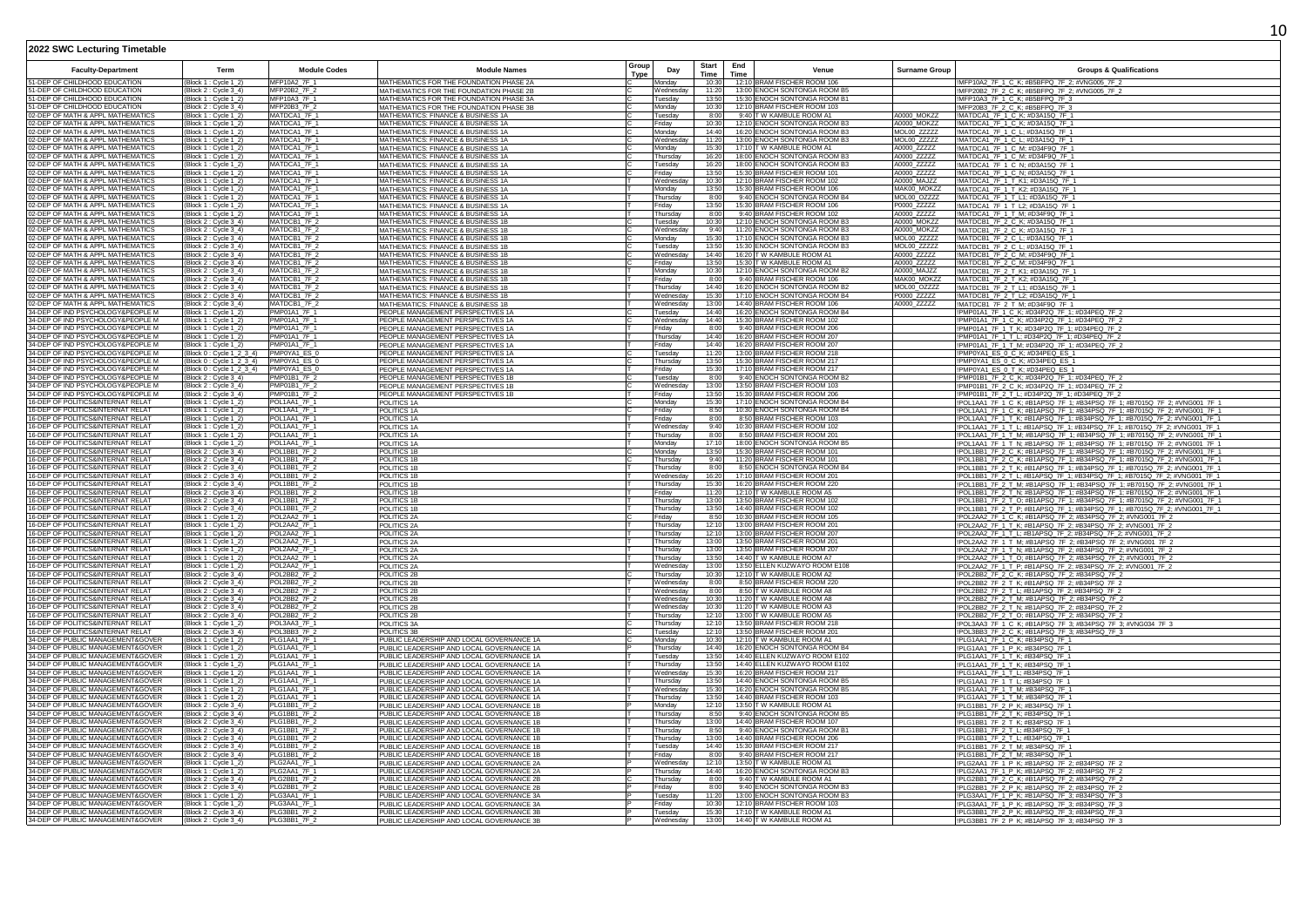|                                                                        |                                                 |                                     |                                                                                        | Group |                        | <b>Start</b>   | End         |                                                              |                            |                                                                                                                                                        |
|------------------------------------------------------------------------|-------------------------------------------------|-------------------------------------|----------------------------------------------------------------------------------------|-------|------------------------|----------------|-------------|--------------------------------------------------------------|----------------------------|--------------------------------------------------------------------------------------------------------------------------------------------------------|
| <b>Faculty-Department</b>                                              | Term                                            | <b>Module Codes</b>                 | <b>Module Names</b>                                                                    | Type  | Day                    | Time           | <b>Time</b> | Venue                                                        | <b>Surname Group</b>       | <b>Groups &amp; Qualifications</b>                                                                                                                     |
| 51-DEP OF CHILDHOOD EDUCATION<br>51-DEP OF CHILDHOOD EDUCATION         | Block 1 : Cycle 1_2]                            | MFP10A2 7F 1<br>MFP20B2_7F_2        | MATHEMATICS FOR THE FOUNDATION PHASE 2A                                                |       | Monday<br>Wednesday    | 10:30<br>11:2  |             | 12:10 BRAM FISCHER ROOM 106<br>13:00 ENOCH SONTONGA ROOM B5  |                            | !MFP10A2_7F_1_C_K; #B5BFPQ_7F_2; #VNG005_7F_2                                                                                                          |
| 51-DEP OF CHILDHOOD EDUCATION                                          | Block 2 : Cycle 3_4)<br>Block 1 : Cycle 1_2]    | MFP10A3_7F_1                        | MATHEMATICS FOR THE FOUNDATION PHASE 2B<br>MATHEMATICS FOR THE FOUNDATION PHASE 3A     |       | Tuesday                | 13:5           |             | 15:30 ENOCH SONTONGA ROOM B1                                 |                            | MFP20B2_7F_2_C_K; #B5BFPQ_7F_2; #VNG005_7F_2<br>!MFP10A3_7F_1_C_K; #B5BFPQ_7F_3                                                                        |
| 51-DEP OF CHILDHOOD EDUCATION                                          | Block 2 : Cycle 3 4                             | MFP20B3 7F 2                        | MATHEMATICS FOR THE FOUNDATION PHASE 3B                                                |       | Monday                 | 10:30          |             | 12:10 BRAM FISCHER ROOM 103                                  |                            | MFP20B3 7F 2 C K: #B5BFPQ 7F 3                                                                                                                         |
| 02-DEP OF MATH & APPL MATHEMATICS                                      | Block 1 : Cycle 1-2                             | MATDCA1 7F 1                        | MATHEMATICS: FINANCE & BUSINESS 1A                                                     |       | Tuesday                | 8:00           |             | 9:40 TW KAMBULE ROOM A1                                      | <b>A0000 MOKZZ</b>         | !MATDCA1_7F_1_C_K; #D3A15Q_7F_1                                                                                                                        |
| 02-DEP OF MATH & APPL MATHEMATICS                                      | Block 1 : Cycle 1_2)                            | MATDCA1_7F_1                        | MATHEMATICS: FINANCE & BUSINESS 1A                                                     |       | Friday                 | 10:30          |             | 12:10 ENOCH SONTONGA ROOM B                                  | A0000_MOKZZ                | !MATDCA1_7F_1_C_K; #D3A15Q_7F_1                                                                                                                        |
| 02-DEP OF MATH & APPL MATHEMATICS<br>02-DEP OF MATH & APPL MATHEMATICS | Block 1 : Cycle 1_2]<br>Block 1 : Cycle 1_2]    | MATDCA1 7F<br>MATDCA1_7F_1          | MATHEMATICS: FINANCE & BUSINESS 1A<br>MATHEMATICS: FINANCE & BUSINESS 1A               |       | Monday<br>Wednesda     | 14:40<br>11:20 |             | 16:20 ENOCH SONTONGA ROOM B3<br>13:00 ENOCH SONTONGA ROOM B3 | MOL00_ZZZZZ<br>MOL00_ZZZZZ | MATDCA1_7F_1_C_L; #D3A15Q_7F_1<br>MATDCA1_7F_1_C_L; #D3A15Q_7F_1                                                                                       |
| 02-DEP OF MATH & APPL MATHEMATICS                                      | Block 1 : Cvcle 1 2                             | MATDCA1_7F_1                        | MATHEMATICS: FINANCE & BUSINESS 1A                                                     |       | Mondav                 | 15:30          |             | 17:10 T W KAMBULE ROOM A1                                    | A0000 ZZZZZ                | MATDCA1_7F_1_C_M; #D34F9Q_7F_1                                                                                                                         |
| 02-DEP OF MATH & APPL MATHEMATICS                                      | Block 1 : Cycle 1_2]                            | MATDCA1 7F 1                        | MATHEMATICS: FINANCE & BUSINESS 1A                                                     |       | Thursday               | 16:20          |             | 18:00 ENOCH SONTONGA ROOM B3                                 | A0000 ZZZZZ                | !MATDCA1_7F_1_C_M: #D34F9Q_7F_1                                                                                                                        |
| 02-DEP OF MATH & APPL MATHEMATICS                                      | Block 1 : Cycle 1_2)                            | MATDCA1 7F 1                        | MATHEMATICS: FINANCE & BUSINESS 1A                                                     |       | Tuesday                | 16:20          |             | 18:00 ENOCH SONTONGA ROOM B3                                 | A0000_ZZZZZ                | !MATDCA1_7F_1_C_N; #D3A15Q_7F_1                                                                                                                        |
| 02-DEP OF MATH & APPL MATHEMATICS<br>02-DEP OF MATH & APPL MATHEMATICS | Block 1 : Cycle 1_2)<br>Block 1 : Cycle 1_2]    | MATDCA1_7F_1<br>MATDCA1_7F_1        | MATHEMATICS: FINANCE & BUSINESS 1A<br>MATHEMATICS: FINANCE & BUSINESS 1A               |       | Friday<br>Wednesda     | 13:50<br>10:30 |             | 15:30 BRAM FISCHER ROOM 101<br>12:10 BRAM FISCHER ROOM 102   | A0000_ZZZZZ<br>A0000 MAJZZ | MATDCA1_7F_1_C_N; #D3A15Q_7F_1<br>!MATDCA1_7F_1_T_K1; #D3A15Q_7F_1                                                                                     |
| 02-DEP OF MATH & APPL MATHEMATICS                                      | Block 1 : Cvcle 1 2                             | MATDCA1_7F_1                        | MATHEMATICS: FINANCE & BUSINESS 1A                                                     |       | Monday                 | 13:50          |             | 15:30 BRAM FISCHER ROOM 106                                  | MAK00 MOKZZ                | !MATDCA1_7F_1_T_K2; #D3A15Q_7F_1                                                                                                                       |
| 02-DEP OF MATH & APPL MATHEMATICS                                      | Block 1 : Cvcle 1 2)                            | MATDCA1_7F_1                        | MATHEMATICS: FINANCE & BUSINESS 1A                                                     |       | Thursday               | 8:00           |             | 9:40 FNOCH SONTONGA ROOM B4                                  | MOL00 07777                | !MATDCA1_7F_1_T_L1; #D3A15Q_7F_1                                                                                                                       |
| 02-DEP OF MATH & APPL MATHEMATICS                                      | Block 1 : Cycle 1_2)                            | MATDCA1_7F_1                        | MATHEMATICS: FINANCE & BUSINESS 1A                                                     |       | Friday                 | 13:50          |             | 15:30 BRAM FISCHER ROOM 106                                  | P0000 ZZZZZ                | !MATDCA1_7F_1_T_L2; #D3A15Q_7F_1                                                                                                                       |
| 02-DEP OF MATH & APPL MATHEMATICS<br>02-DEP OF MATH & APPL MATHEMATICS | Block 1 : Cycle 1_2)<br>(Block 2 : Cycle 3_4)   | MATDCA1_7F_1<br>MATDCB1_7F_2        | MATHEMATICS: FINANCE & BUSINESS 1A<br>MATHEMATICS: FINANCE & BUSINESS 1B               |       | Thursday<br>Tuesdav    | 8:0<br>10:30   |             | 9:40 BRAM FISCHER ROOM 102<br>12:10 ENOCH SONTONGA ROOM B3   | A0000_ZZZZZ<br>A0000_MOKZZ | MATDCA1_7F_1_T_M; #D34F9Q_7F_1<br>!MATDCB1_7F_2_C_K; #D3A15Q_7F_1                                                                                      |
| 02-DEP OF MATH & APPL MATHEMATICS                                      | (Block 2 : Cycle 3_4)                           | MATDCB1 7F                          | MATHEMATICS: FINANCE & BUSINESS 1B                                                     |       | Wednesda               | 9:40           |             | 11:20 ENOCH SONTONGA ROOM B3                                 | A0000 MOKZZ                | MATDCB1_7F_2_C_K; #D3A15Q_7F_1                                                                                                                         |
| 02-DEP OF MATH & APPL MATHEMATICS                                      | (Block 2: Cvcle 3 4)                            | MATDCB1_7F_2                        | MATHEMATICS: FINANCE & BUSINESS 1B                                                     |       | Monday                 | 15:30          |             | 17:10 FNOCH SONTONGA ROOM B3                                 | MOL00 ZZZZZ                | !MATDCB1_7F_2_C_L: #D3A15Q_7F_1                                                                                                                        |
| 02-DEP OF MATH & APPL MATHEMATICS                                      | Block 2 : Cycle 3_4)                            | MATDCB1_7F_2                        | MATHEMATICS: FINANCE & BUSINESS 1B                                                     |       | Tuesday                | 13:50          |             | 15:30 ENOCH SONTONGA ROOM B3                                 | MOL00_ZZZZZ                | !MATDCB1_7F_2_C_L; #D3A15Q_7F_1                                                                                                                        |
| 02-DEP OF MATH & APPL MATHEMATICS<br>02-DEP OF MATH & APPL MATHEMATICS | Block 2 : Cycle 3_4)<br>Block 2 : Cycle 3_4)    | MATDCB1_7F_<br>MATDCB1_7F_2         | MATHEMATICS: FINANCE & BUSINESS 1B<br>MATHEMATICS: FINANCE & BUSINESS 1B               |       | Wednesda<br>Friday     | 14:40<br>13:50 |             | 16:20 T W KAMBULE ROOM A1<br>15:30 T W KAMBULE ROOM A1       | A0000_ZZZZZ<br>A0000_ZZZZZ | MATDCB1_7F_2_C_M; #D34F9Q_7F_1<br>!MATDCB1_7F_2_C_M; #D34F9Q_7F_1                                                                                      |
| 02-DEP OF MATH & APPL MATHEMATICS                                      | Block 2 : Cvcle 3 4)                            | MATDCB1_7F_2                        | MATHEMATICS: FINANCE & BUSINESS 1B                                                     |       | Monday                 | 10:30          |             | 12:10 ENOCH SONTONGA ROOM B2                                 | A0000 MAJZZ                | MATDCB1 7F 2 T K1: #D3A15Q 7F 1                                                                                                                        |
| 02-DEP OF MATH & APPL MATHEMATICS                                      | Block 2 : Cycle 3-4)                            | MATDCB1_7F_2                        | MATHEMATICS: FINANCE & BUSINESS 1B                                                     |       | Friday                 | 8:00           |             | 9:40 BRAM FISCHER ROOM 106                                   | MAK00 MOKZ                 | !MATDCB1_7F_2_T_K2; #D3A15Q_7F_1                                                                                                                       |
| 02-DEP OF MATH & APPL MATHEMATICS                                      | Block 2 : Cycle 3_4)                            | MATDCB1_7F_2                        | MATHEMATICS: FINANCE & BUSINESS 1B                                                     |       | Thursday               | 14:40          |             | 16:20 ENOCH SONTONGA ROOM B2                                 | MOL00 OZZZZ                | !MATDCB1_7F_2_T_L1; #D3A15Q_7F_1                                                                                                                       |
| 02-DEP OF MATH & APPL MATHEMATICS<br>02-DEP OF MATH & APPL MATHEMATICS | (Block 2: Cycle 3_4)                            | MATDCB1 7F<br>MATDCB1_7F            | MATHEMATICS: FINANCE & BUSINESS 1B                                                     |       | Wednesday              | 15:30<br>13:00 |             | 17:10 ENOCH SONTONGA ROOM B4<br>14:40 BRAM FISCHER ROOM 106  | P0000_ZZZZZ<br>A0000_ZZZZZ | !MATDCB1_7F_2_T_L2; #D3A15Q_7F_1                                                                                                                       |
| 34-DEP OF IND PSYCHOLOGY&PEOPLE M                                      | Block 2 : Cycle 3_4)<br>Block 1 : Cycle 1_2     | PMP01A1_7F_1                        | MATHEMATICS: FINANCE & BUSINESS 1B<br>PEOPLE MANAGEMENT PERSPECTIVES 1A                |       | Wednesday<br>Tuesday   | 14:40          |             | 16:20 ENOCH SONTONGA ROOM B4                                 |                            | !MATDCB1_7F_2_T_M; #D34F9Q_7F_1<br>PMP01A1_7F_1_C_K; #D34P2Q_7F_1; #D34PEQ_7F_2                                                                        |
| 34-DEP OF IND PSYCHOLOGY&PEOPLE M                                      | (Block 1: Cycle 1_2)                            | <b>PMP01A1 7F 1</b>                 | PEOPLE MANAGEMENT PERSPECTIVES 1A                                                      |       | Wednesday              | 14:40          |             | 15:30 BRAM FISCHER ROOM 102                                  |                            | !PMP01A1_7F_1_C_K; #D34P2Q_7F_1; #D34PEQ_7F_2                                                                                                          |
| 34-DEP OF IND PSYCHOLOGY&PEOPLE M                                      | Block 1 : Cycle 1_2)                            | <b>PMP01A1 7F 1</b>                 | PEOPLE MANAGEMENT PERSPECTIVES 1A                                                      |       | Friday                 | 8:00           |             | 9:40 BRAM FISCHER ROOM 206                                   |                            | !PMP01A1_7F_1_T_K; #D34P2Q_7F_1; #D34PEQ_7F_2                                                                                                          |
| 34-DEP OF IND PSYCHOLOGY&PEOPLE M                                      | Block 1 : Cycle 1_2                             | PMP01A1_7F_1                        | PEOPLE MANAGEMENT PERSPECTIVES 1A                                                      |       | Thursday               | 14:40          |             | 16:20 BRAM FISCHER ROOM 207                                  |                            | !PMP01A1_7F_1_T_L; #D34P2Q_7F_1; #D34PEQ_7F_2                                                                                                          |
| 34-DEP OF IND PSYCHOLOGY&PEOPLE M<br>34-DEP OF IND PSYCHOLOGY&PEOPLE M | Block 1 : Cycle 1_2)<br>Block 0: Cycle 1 2 3 4) | <b>PMP01A1_7F_1</b><br>PMP0YA1 ES 0 | PEOPLE MANAGEMENT PERSPECTIVES 1A<br>PEOPLE MANAGEMENT PERSPECTIVES 1A                 |       | Fridav<br>Tuesdav      | 14:40<br>11:20 |             | 16:20 BRAM FISCHER ROOM 207<br>13:00 BRAM FISCHER ROOM 218   |                            | !PMP01A1_7F_1_T_M; #D34P2Q_7F_1; #D34PEQ_7F_2<br>!PMP0YA1 ES 0 C K: #D34PEQ ES 1                                                                       |
| 34-DEP OF IND PSYCHOLOGY&PEOPLE M                                      | (Block 0 : Cycle 1_2_3_4)                       | PMP0YA1 ES 0                        | PEOPLE MANAGEMENT PERSPECTIVES 1A                                                      |       | Thursday               | 13:50          |             | 15:30 BRAM FISCHER ROOM 217                                  |                            | !PMP0YA1_ES_0_C_K; #D34PEQ_ES_1                                                                                                                        |
| 34-DEP OF IND PSYCHOLOGY&PEOPLE M                                      | Block 0 : Cycle 1_2_3_4)                        | PMP0YA1 ES 0                        | PEOPLE MANAGEMENT PERSPECTIVES 1A                                                      |       | Friday                 | 15:30          |             | 17:10 BRAM FISCHER ROOM 217                                  |                            | !PMP0YA1_ES_0_T_K; #D34PEQ_ES_1                                                                                                                        |
| 34-DEP OF IND PSYCHOLOGY&PEOPLE M                                      | Block 2 : Cycle 3_4)                            | PMP01B1_7F_2                        | PEOPLE MANAGEMENT PERSPECTIVES 1B                                                      |       | Tuesday                | 8:00           |             | 9:40 ENOCH SONTONGA ROOM B2                                  |                            | !PMP01B1_7F_2_C_K; #D34P2Q_7F_1; #D34PEQ_7F_2                                                                                                          |
| 34-DEP OF IND PSYCHOLOGY&PEOPLE M<br>34-DEP OF IND PSYCHOLOGY&PEOPLE M | Block 2 : Cycle 3_4)<br>Block 2 : Cycle 3_4     | PMP01B1_7F_2<br>PMP01B1_7F_2        | PEOPLE MANAGEMENT PERSPECTIVES 1B<br>PEOPLE MANAGEMENT PERSPECTIVES 1B                 |       | Wednesda<br>Friday     | 13:00<br>13:50 |             | 13:50 BRAM FISCHER ROOM 103<br>15:30 BRAM FISCHER ROOM 206   |                            | !PMP01B1_7F_2_C_K; #D34P2Q_7F_1; #D34PEQ_7F_2<br>!PMP01B1_7F_2_T_L; #D34P2Q_7F_1; #D34PEQ_7F_2                                                         |
| 16-DEP OF POLITICS&INTERNAT RELAT                                      | Block 1: Cycle 1_2)                             | POL1AA1_7F_1                        | POLITICS 1A                                                                            |       | Monday                 | 15:30          |             | 17:10 ENOCH SONTONGA ROOM B4                                 |                            | !POL1AA1_7F_1_C_K; #B1APSQ_7F_1; #B34PSQ_7F_1; #B7015Q_7F_2; #VNG001_7F_1                                                                              |
| 16-DEP OF POLITICS&INTERNAT RELAT                                      | Block 1 : Cycle 1_2)                            | POL1AA1_7F_1                        | POLITICS 1A                                                                            |       | Friday                 | 8:50           |             | 10:30 ENOCH SONTONGA ROOM B4                                 |                            | !POL1AA1_7F_1_C_K; #B1APSQ_7F_1; #B34PSQ_7F_1; #B7015Q_7F_2; #VNG001_7F_1                                                                              |
| 16-DEP OF POLITICS&INTERNAT RELAT                                      | Block 1 : Cycle 1_2]                            | POL1AA1_7F_1                        | POLITICS 1A                                                                            |       | Friday                 | 8:00           |             | 8:50 BRAM FISCHER ROOM 103                                   |                            | !POL1AA1_7F_1_T_K; #B1APSQ_7F_1; #B34PSQ_7F_1; #B7015Q_7F_2; #VNG001_7F_1                                                                              |
| 16-DEP OF POLITICS&INTERNAT RELAT<br>16-DEP OF POLITICS&INTERNAT RELAT | Block 1 : Cycle 1_2)<br>Block 1 : Cvcle 1 2     | POL1AA1_7F_1<br>POL1AA1 7F_1        | POLITICS <sub>1A</sub>                                                                 |       | Wednesday<br>Thursdav  | 9:40<br>8:00   |             | 10:30 BRAM FISCHER ROOM 102<br>8:50 BRAM FISCHER ROOM 201    |                            | !POL1AA1_7F_1_T_L; #B1APSQ_7F_1; #B34PSQ_7F_1; #B7015Q_7F_2; #VNG001_7F_1                                                                              |
| 16-DEP OF POLITICS&INTERNAT RELAT                                      | Block 1 : Cycle 1-2                             | POL1AA1_7F_1                        | POLITICS <sub>1A</sub><br>POLITICS 1A                                                  |       | Monday                 | 17:10          |             | 18:00 FNOCH SONTONGA ROOM B                                  |                            | !POL1AA1 7F 1 T M: #B1APSQ 7F 1: #B34PSQ 7F 1: #B7015Q 7F 2: #VNG001 7F 1<br>!POL1AA1_7F_1_T_N; #B1APSQ_7F_1; #B34PSQ_7F_1; #B7015Q_7F_2; #VNG001_7F_1 |
| 16-DEP OF POLITICS&INTERNAT RELAT                                      | Block 2 : Cycle 3_4)                            | POL1BB1_7F_2                        | POLITICS 1B                                                                            |       | Monday                 | 13:50          |             | 15:30 BRAM FISCHER ROOM 101                                  |                            | !POL1BB1_7F_2_C_K; #B1APSQ_7F_1; #B34PSQ_7F_1; #B7015Q_7F_2; #VNG001_7F_1                                                                              |
| 16-DEP OF POLITICS&INTERNAT RELAT                                      | Block 2 : Cycle 3_4)                            | <b>POL1BB1 7F 2</b>                 | POLITICS 1B                                                                            |       | Thursday               | 9:40           |             | 11:20 BRAM FISCHER ROOM 101                                  |                            | !POL1BB1_7F_2_C_K; #B1APSQ_7F_1; #B34PSQ_7F_1; #B7015Q_7F_2; #VNG001_7F_1                                                                              |
| 16-DEP OF POLITICS&INTERNAT RELAT<br>16-DEP OF POLITICS&INTERNAT RELAT | Block 2 : Cycle 3_4)                            | POL1BB1_7F_2                        | POLITICS 1B                                                                            |       | Thursday               | 8:00           |             | 8:50 ENOCH SONTONGA ROOM B4<br>17:10 BRAM FISCHER ROOM 201   |                            | !POL1BB1_7F_2_T_K; #B1APSQ_7F_1; #B34PSQ_7F_1; #B7015Q_7F_2; #VNG001_7F_1                                                                              |
| 16-DEP OF POLITICS&INTERNAT RELAT                                      | Block 2 : Cycle 3_4<br>Block 2 : Cycle 3_4)     | POL1BB1_7F_2<br>POL1BB1_7F_2        | POLITICS 1B<br>POLITICS 1B                                                             |       | Wednesday<br>Thursdav  | 16:20<br>15:30 |             | 16:20 BRAM FISCHER ROOM 220                                  |                            | !POL1BB1_7F_2_T_L; #B1APSQ_7F_1; #B34PSQ_7F_1; #B7015Q_7F_2; #VNG001_7F_<br>!POL1BB1_7F_2_T_M; #B1APSQ_7F_1; #B34PSQ_7F_1; #B7015Q_7F_2; #VNG001_7F_1  |
| 16-DEP OF POLITICS&INTERNAT RELAT                                      | Block 2 : Cycle 3_4)                            | POL1BB1_7F_2                        | POLITICS 1B                                                                            |       | Friday                 | 11:20          |             | 12:10 T W KAMBULE ROOM A5                                    |                            | !POL1BB1_7F_2_T_N; #B1APSQ_7F_1; #B34PSQ_7F_1; #B7015Q_7F_2; #VNG001_7F_1                                                                              |
| 16-DEP OF POLITICS&INTERNAT RELAT                                      | Block 2 : Cycle 3_4)                            | POL1BB1_7F_2                        | POLITICS 1B                                                                            |       | Thursday               | 13:00          |             | 13:50 BRAM FISCHER ROOM 102                                  |                            | !POL1BB1_7F_2_T_O; #B1APSQ_7F_1; #B34PSQ_7F_1; #B7015Q_7F_2; #VNG001_7F_1                                                                              |
| 16-DEP OF POLITICS&INTERNAT RELAT                                      | Block 2 : Cycle 3_4)                            | POL1BB1_7F_2                        | POLITICS 1B                                                                            |       | Thursday               | 13:50<br>8:50  |             | 14:40 BRAM FISCHER ROOM 102                                  |                            | !POL1BB1_7F_2_T_P; #B1APSQ_7F_1; #B34PSQ_7F_1; #B7015Q_7F_2; #VNG001_7F_1                                                                              |
| 6-DEP OF POLITICS&INTERNAT RELAT<br>16-DEP OF POLITICS&INTERNAT RELAT  | Block 1 : Cvcle 1 2<br>Block 1 : Cycle 1-21     | POL2AA2 7F_1<br>POL2AA2_7F_1        | POLITICS 2A<br>POLITICS 2A                                                             |       | Fridav<br>Thursday     | 12:10          |             | 10:30 BRAM FISCHER ROOM 105<br>13:00 BRAM FISCHER ROOM 201   |                            | POL2AA2 7F 1 C K; #B1APSQ 7F 2; #B34PSQ 7F 2; #VNG001 7F 2<br>!POL2AA2_7F_1_T_K; #B1APSQ_7F_2; #B34PSQ_7F_2; #VNG001_7F_2                              |
| 16-DEP OF POLITICS&INTERNAT RELAT                                      | Block 1 : Cycle 1_2)                            | POL2AA2_7F_1                        | POLITICS 2A                                                                            |       | Thursday               | 12:10          |             | 13:00 BRAM FISCHER ROOM 207                                  |                            | !POL2AA2_7F_1_T_L; #B1APSQ_7F_2; #B34PSQ_7F_2; #VNG001_7F_2                                                                                            |
| 16-DEP OF POLITICS&INTERNAT RELAT                                      | Block 1 : Cycle 1_2]                            | POL2AA2_7F_1                        | POLITICS 2A                                                                            |       | Thursday               | 13:0           |             | 13:50 BRAM FISCHER ROOM 201                                  |                            | !POL2AA2_7F_1_T_M; #B1APSQ_7F_2; #B34PSQ_7F_2; #VNG001_7F_2                                                                                            |
| 16-DEP OF POLITICS&INTERNAT RELAT<br>6-DEP OF POLITICS&INTERNAT RELAT  | Block 1 : Cycle 1_2)                            | POL2AA2 7F_1                        | POLITICS 2A                                                                            |       | Thursday               | 13:00<br>13:50 |             | 13:50 BRAM FISCHER ROOM 207                                  |                            | !POL2AA2_7F_1_T_N; #B1APSQ_7F_2; #B34PSQ_7F_2; #VNG001_7F_2                                                                                            |
| 16-DEP OF POLITICS&INTERNAT RELAT                                      | Block 1 : Cycle 1_2]<br>Block 1 : Cycle 1 2     | POL2AA2_7F_1<br>POL2AA2 7F 1        | POLITICS 2A<br>POLITICS 2A                                                             |       | Thursday<br>Wednesdav  | 13:00          |             | 14:40 T W KAMBULE ROOM A7<br>13:50 ELLEN KUZWAYO ROOM E108   |                            | !POL2AA2_7F_1_T_O; #B1APSQ_7F_2; #B34PSQ_7F_2; #VNG001_7F_2<br>!POL2AA2_7F_1_T_P; #B1APSQ_7F_2; #B34PSQ_7F_2; #VNG001_7F_2                             |
| 16-DEP OF POLITICS&INTERNAT RELAT                                      | Block 2 : Cycle 3_4)                            | <b>POL2BB2 7F 2</b>                 | POLITICS 2B                                                                            |       | Thursday               | 10:30          |             | 12:10 T W KAMBULE ROOM A2                                    |                            | !POL2BB2_7F_2_C_K; #B1APSQ_7F_2; #B34PSQ_7F_2                                                                                                          |
| 16-DEP OF POLITICS&INTERNAT RELAT                                      | Block 2 : Cycle 3_4)                            | POL2BB2_7F_2                        | POLITICS 2B                                                                            |       | Wednesday              | 8:00           |             | 8:50 BRAM FISCHER ROOM 220                                   |                            | !POL2BB2_7F_2_T_K; #B1APSQ_7F_2; #B34PSQ_7F_2                                                                                                          |
| 16-DEP OF POLITICS&INTERNAT RELAT                                      | Block 2 : Cycle 3_4)                            | POL2BB2_7F_2                        | POLITICS 2B                                                                            |       | Wednesday              | 8:0            |             | 8:50 TW KAMBULE ROOM A8                                      |                            | !POL2BB2_7F_2_T_L; #B1APSQ_7F_2; #B34PSQ_7F_2                                                                                                          |
| 16-DEP OF POLITICS&INTERNAT RELAT<br>16-DEP OF POLITICS&INTERNAT RELAT | Block 2 : Cycle 3 4<br>'Block 2 : Cycle 3-4)    | POL2BB2 7F 2<br>POL2BB2 7F 2        | POLITICS 2B<br>POLITICS 2B                                                             |       | Wednesdav<br>Wednesday | 10:30<br>10:30 |             | 11:20 T W KAMBULE ROOM A8<br>11:20 T W KAMBULE ROOM A3       |                            | !POL2BB2_7F_2_T_M; #B1APSQ_7F_2; #B34PSQ_7F_2<br>!POL2BB2_7F_2_T_N; #B1APSQ_7F_2; #B34PSQ_7F_2                                                         |
| 16-DEP OF POLITICS&INTERNAT RELAT                                      | Block 2 : Cycle 3_4)                            | <b>POL2BB2 7F 2</b>                 | POLITICS 2B                                                                            |       | Thursday               | 12:10          |             | 13:00 T W KAMBULE ROOM A5                                    |                            | !POL2BB2_7F_2_T_O; #B1APSQ_7F_2; #B34PSQ_7F_2                                                                                                          |
| 16-DEP OF POLITICS&INTERNAT RELAT                                      | Block 1 : Cycle 1_2)                            | POL3AA3_7F_1                        | POLITICS 3A                                                                            |       | Thursday               | 12:10          |             | 13:50 BRAM FISCHER ROOM 218                                  |                            | !POL3AA3_7F_1_C_K; #B1APSQ_7F_3; #B34PSQ_7F_3; #VNG034_7F_3                                                                                            |
| 16-DEP OF POLITICS&INTERNAT RELAT                                      | Block 2 : Cycle 3 4                             | POL3BB3_7F_2                        | POLITICS 3B                                                                            |       | Tuesdav                | 12:10          |             | 13:50 BRAM FISCHER ROOM 201                                  |                            | !POL3BB3_7F_2_C_K; #B1APSQ_7F_3; #B34PSQ_7F_3                                                                                                          |
| 34-DEP OF PUBLIC MANAGEMENT&GOVER<br>34-DEP OF PUBLIC MANAGEMENT&GOVER | Block 1 : Cycle 1 2<br>Block 1: Cvcle 1 2       | PLG1AA1_7F_1<br>PLG1AA1_7F_1        | PUBLIC LEADERSHIP AND LOCAL GOVERNANCE 1A<br>PUBLIC LEADERSHIP AND LOCAL GOVERNANCE 1A |       | Monday<br>Thursday     | 10:30<br>14:40 |             | 12:10 T W KAMBULE ROOM A1<br>16:20 ENOCH SONTONGA ROOM B4    |                            | !PLG1AA1_7F_1_C_K; #B34PSQ_7F_1<br>!PLG1AA1_7F_1_P_K; #B34PSQ_7F_1                                                                                     |
| 34-DEP OF PUBLIC MANAGEMENT&GOVER                                      | Block 1 : Cycle 1_2]                            | PLG1AA1_7F_1                        | PUBLIC LEADERSHIP AND LOCAL GOVERNANCE 1A                                              |       | Tuesdav                | 13:50          |             | 14:40 FLLEN KUZWAYO ROOM E102                                |                            | !PLG1AA1_7F_1_T_K; #B34PSQ_7F_1                                                                                                                        |
| 34-DEP OF PUBLIC MANAGEMENT&GOVER                                      | Block 1 : Cycle 1_2)                            | PLG1AA1_7F_1                        | PUBLIC LEADERSHIP AND LOCAL GOVERNANCE 1A                                              |       | Thursday               | 13:50          |             | 14:40 ELLEN KUZWAYO ROOM E102                                |                            | !PLG1AA1_7F_1_T_K; #B34PSQ_7F_1                                                                                                                        |
| 34-DEP OF PUBLIC MANAGEMENT&GOVER                                      | Block 1 : Cycle 1_2)                            | PLG1AA1_7F_1                        | PUBLIC LEADERSHIP AND LOCAL GOVERNANCE 1A                                              |       | Wednesday              | 15:30          |             | 16:20 BRAM FISCHER ROOM 217                                  |                            | !PLG1AA1_7F_1_T_L; #B34PSQ_7F_1                                                                                                                        |
| 34-DEP OF PUBLIC MANAGEMENT&GOVER<br>34-DEP OF PUBLIC MANAGEMENT&GOVER | Block 1 : Cycle 1_2<br>(Block 1 : Cycle 1-2)    | PLG1AA1_7F_1<br>PLG1AA1 7F 1        | PUBLIC LEADERSHIP AND LOCAL GOVERNANCE 1A<br>PUBLIC LEADERSHIP AND LOCAL GOVERNANCE 1A |       | Thursdav<br>Wednesday  | 13:50<br>15:30 |             | 14:40 ENOCH SONTONGA ROOM B5<br>16:20 FNOCH SONTONGA ROOM B5 |                            | !PLG1AA1_7F_1_T_L; #B34PSQ_7F_1<br>IPI G1AA1 7F 1 T M: #B34PSO 7F 1                                                                                    |
| 34-DEP OF PUBLIC MANAGEMENT&GOVER                                      | Block 1 : Cycle 1_2]                            | PLG1AA1_7F_1                        | PUBLIC LEADERSHIP AND LOCAL GOVERNANCE 1A                                              |       | Thursday               | 13:50          |             | 14:40 BRAM FISCHER ROOM 103                                  |                            | !PLG1AA1 7F 1 T M: #B34PSQ 7F 1                                                                                                                        |
| 34-DEP OF PUBLIC MANAGEMENT&GOVER                                      | Block 2: Cycle 3_4)                             | PLG1BB1_7F_2                        | PUBLIC LEADERSHIP AND LOCAL GOVERNANCE 1B                                              |       | Monday                 | 12:10          |             | 13:50 T W KAMBULE ROOM A1                                    |                            | !PLG1BB1_7F_2_P_K: #B34PSQ_7F_1                                                                                                                        |
| 34-DEP OF PUBLIC MANAGEMENT&GOVER                                      | Block 2 : Cvcle 3 4                             | PLG1BB1_7F_2                        | PUBLIC LEADERSHIP AND LOCAL GOVERNANCE 1B                                              |       | Thursday               | 8:5(           |             | 9:40 ENOCH SONTONGA ROOM B5                                  |                            | !PLG1BB1_7F_2_T_K; #B34PSQ_7F_1                                                                                                                        |
| 34-DEP OF PUBLIC MANAGEMENT&GOVER<br>34-DEP OF PUBLIC MANAGEMENT&GOVER | Block 2 : Cycle 3_4<br>Block 2 : Cvcle 3 4)     | PLG1BB1_7F_2<br>PLG1BB1_7F_2        | PUBLIC LEADERSHIP AND LOCAL GOVERNANCE 1B                                              |       | Thursday<br>Thursday   | 13:00<br>8:50  |             | 14:40 BRAM FISCHER ROOM 107<br>9:40 ENOCH SONTONGA ROOM B1   |                            | IPLG1BB1 7F 2 T K: #B34PSQ 7F 1<br>IPLG1BB1_7F_2_T_L: #B34PSQ_7F_1                                                                                     |
| 34-DEP OF PUBLIC MANAGEMENT&GOVER                                      | Block 2: Cycle 3_4)                             | PLG1BB1 7F 2                        | PUBLIC LEADERSHIP AND LOCAL GOVERNANCE 1B<br>PUBLIC LEADERSHIP AND LOCAL GOVERNANCE 1B |       | Thursdav               | 13:00          |             | 14:40 BRAM FISCHER ROOM 206                                  |                            | !PLG1BB1_7F_2_T_L; #B34PSQ_7F_1                                                                                                                        |
| 34-DEP OF PUBLIC MANAGEMENT&GOVER                                      | Block 2 : Cycle 3_4)                            | PLG1BB1_7F_2                        | PUBLIC LEADERSHIP AND LOCAL GOVERNANCE 1B                                              |       | Tuesday                | 14.40          |             | 15:30 BRAM FISCHER ROOM 217                                  |                            | !PLG1BB1_7F_2_T_M; #B34PSQ_7F_1                                                                                                                        |
| 34-DEP OF PUBLIC MANAGEMENT&GOVER                                      | Block 2 : Cycle 3_4)                            | PLG1BB1_7F_2                        | PUBLIC LEADERSHIP AND LOCAL GOVERNANCE 1B                                              |       | Friday                 | 8:0(           |             | 9:40 BRAM FISCHER ROOM 217                                   |                            | !PLG1BB1_7F_2_T_M; #B34PSQ_7F_1                                                                                                                        |
| 34-DEP OF PUBLIC MANAGEMENT&GOVER<br>34-DEP OF PUBLIC MANAGEMENT&GOVER | Block 1 : Cycle 1_2)                            | PLG2AA1 7F<br>PLG2AA1_7F_1          | PUBLIC LEADERSHIP AND LOCAL GOVERNANCE 2A<br>PUBLIC LEADERSHIP AND LOCAL GOVERNANCE 2A |       | Wednesday              | 12:1<br>14:40  |             | 13:50 T W KAMBULE ROOM A1<br>16:20 ENOCH SONTONGA ROOM B3    |                            | !PLG2AA1_7F_1_P_K; #B1APSQ_7F_2; #B34PSQ_7F_2<br>IPI G2AA1 7F 1 P K: #B1APSO 7F 2: #B34PSO 7F 2                                                        |
| 34-DEP OF PUBLIC MANAGEMENT&GOVER                                      | Block 1 : Cycle 1_2)<br>Block 2 : Cycle 3_4)    | PLG2BB1 7F 2                        | PUBLIC LEADERSHIP AND LOCAL GOVERNANCE 2B                                              |       | Thursday<br>Thursday   | 8:00           |             | 9:40 T W KAMBULE ROOM A1                                     |                            | !PLG2BB1_7F_2_C_K; #B1APSQ_7F_2; #B34PSQ_7F_2                                                                                                          |
| 34-DEP OF PUBLIC MANAGEMENT&GOVER                                      | Block 2 : Cycle 3_4)                            | PLG2BB17F2                          | PUBLIC LEADERSHIP AND LOCAL GOVERNANCE 2B                                              |       | Friday                 | 8:00           |             | 9:40 ENOCH SONTONGA ROOM B3                                  |                            | !PLG2BB1_7F_2_P_K; #B1APSQ_7F_2; #B34PSQ_7F_2                                                                                                          |
| 34-DEP OF PUBLIC MANAGEMENT&GOVER                                      | Block 1 : Cycle 1_2]                            | PLG3AA1_7F_1                        | PUBLIC LEADERSHIP AND LOCAL GOVERNANCE 3A                                              |       | Tuesdav                | 11:20          |             | 13:00 ENOCH SONTONGA ROOM B3                                 |                            | !PLG3AA1_7F_1_P_K; #B1APSQ_7F_3; #B34PSQ_7F_3                                                                                                          |
| 34-DEP OF PUBLIC MANAGEMENT&GOVER<br>34-DEP OF PUBLIC MANAGEMENT&GOVER | Block 1 : Cycle 1_2]<br>(Block 2: Cycle 3 4)    | PLG3AA1_7F_1<br>PLG3BB1 7F 2        | PUBLIC LEADERSHIP AND LOCAL GOVERNANCE 3A                                              |       | Friday<br>Tuesdav      | 10:30<br>15:30 |             | 12:10 BRAM FISCHER ROOM 103<br>17:10 T W KAMBULE ROOM A1     |                            | !PLG3AA1_7F_1_P_K; #B1APSQ_7F_3; #B34PSQ_7F_3                                                                                                          |
| 34-DEP OF PUBLIC MANAGEMENT&GOVER                                      | (Block 2 : Cycle 3_4)                           | PLG3BB1 7F 2                        | PUBLIC LEADERSHIP AND LOCAL GOVERNANCE 3B<br>PUBLIC LEADERSHIP AND LOCAL GOVERNANCE 3B |       | Wednesday              | 13:00          |             | 14:40 T W KAMBULE ROOM A1                                    |                            | IPLG3BB1_7F_2_P_K; #B1APSQ_7F_3; #B34PSQ_7F_3<br>IPLG3BB1 7F 2 P K: #B1APSQ 7F 3: #B34PSQ 7F 3                                                         |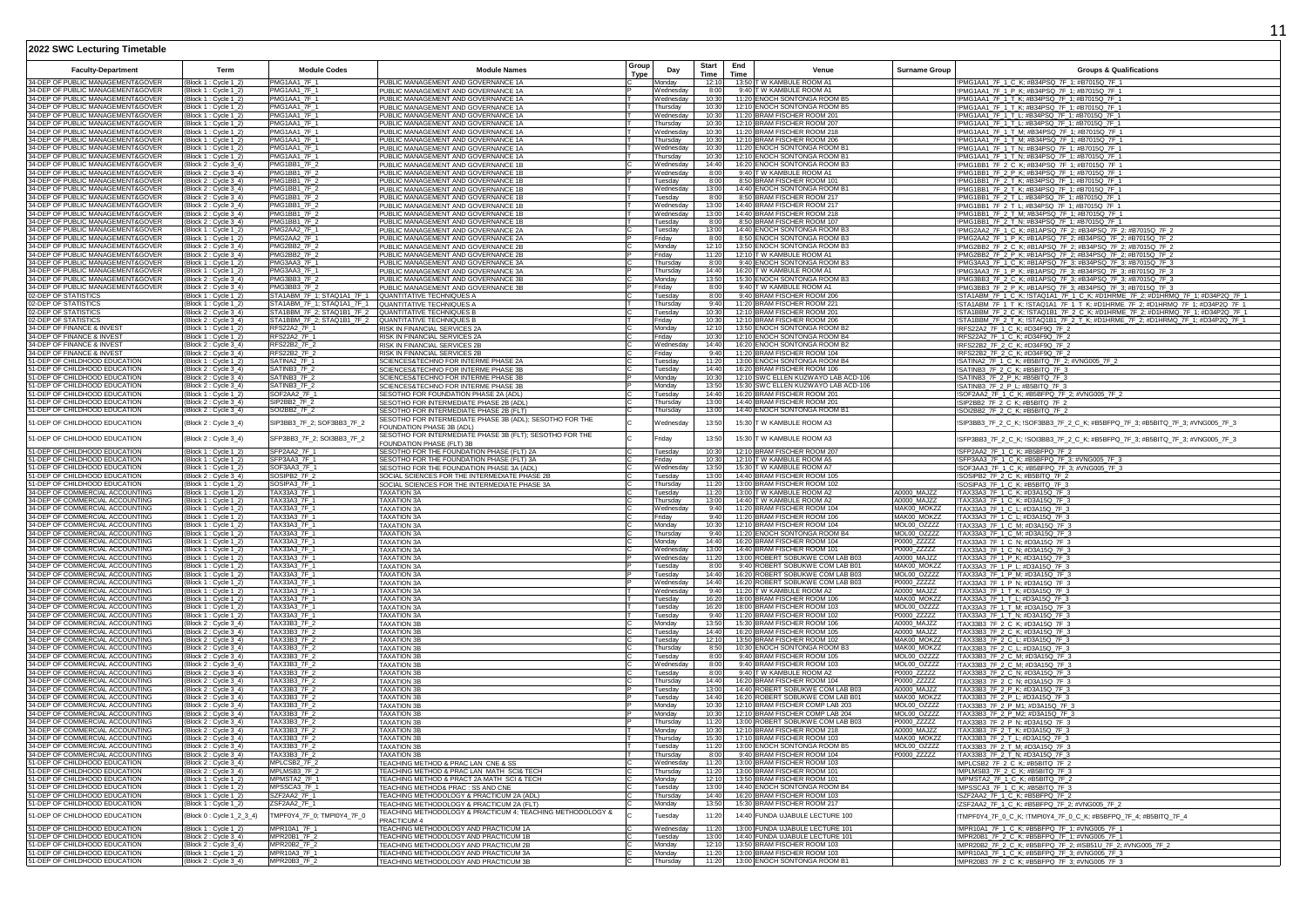| <b>Faculty-Department</b>                                              | Term                                           | <b>Module Codes</b>                                                         | <b>Module Names</b>                                                                    | Group<br><b>Type</b> | Day                             | <b>Start</b><br>Time | End<br>Time                                                         | <b>Surname Group</b>       | <b>Groups &amp; Qualifications</b>                                                                                                                        |
|------------------------------------------------------------------------|------------------------------------------------|-----------------------------------------------------------------------------|----------------------------------------------------------------------------------------|----------------------|---------------------------------|----------------------|---------------------------------------------------------------------|----------------------------|-----------------------------------------------------------------------------------------------------------------------------------------------------------|
| 34-DEP OF PUBLIC MANAGEMENT&GOVER<br>34-DEP OF PUBLIC MANAGEMENT&GOVER | (Block 1: Cycle 1_2)                           | PMG1AA1_7F_1<br>MG1AA1 7F                                                   | PUBLIC MANAGEMENT AND GOVERNANCE 1A                                                    |                      | Mondav                          | 12:10                | 13:50 T W KAMBULE ROOM A1<br>9:40 TW KAMBULE ROOM A1                |                            | PMG1AA1_7F_1_C_K; #B34PSQ_7F_1; #B7015Q_7F_1                                                                                                              |
| 34-DEP OF PUBLIC MANAGEMENT&GOVER                                      | Block 1 : Cycle 1_2<br>Block 1 : Cycle 1_2     | PMG1AA1_7F_1                                                                | PUBLIC MANAGEMENT AND GOVERNANCE 1A<br>PUBLIC MANAGEMENT AND GOVERNANCE 1A             |                      | Vednesdav<br>Wednesdav          | 8:00<br>10:30        | 11:20 ENOCH SONTONGA ROOM B5                                        |                            | !PMG1AA1_7F_1_P_K;                                  #B34PSQ_7F_1;                           #B7015Q_7F_1<br>!PMG1AA1_7F_1_T_K; #B34PSQ_7F_1; #B7015Q_7F_1 |
| 34-DEP OF PUBLIC MANAGEMENT&GOVER                                      | Block 1 : Cycle 1_2)                           | PMG1AA1 7F                                                                  | PUBLIC MANAGEMENT AND GOVERNANCE 1A                                                    |                      | hursdav                         | 10:30                | 12:10 ENOCH SONTONGA ROOM B5<br>11:20 BRAM FISCHER ROOM 201         |                            | !PMG1AA1_7F_1_T_K; #B34PSQ_7F_1; #B7015Q_7F_1                                                                                                             |
| 34-DEP OF PUBLIC MANAGEMENT&GOVER<br>34-DEP OF PUBLIC MANAGEMENT&GOVER | (Block 1 : Cycle 1_2)                          | PMG1AA1 7F 1<br>PMG1AA1 7F                                                  | PUBLIC MANAGEMENT AND GOVERNANCE 1A                                                    |                      | Nednesday<br>hursdav            | 10:30<br>10:30       | 12:10 BRAM FISCHER ROOM 207                                         |                            | !PMG1AA1_7F_1_T_L; #B34PSQ_7F_1; #B7015Q_7F_1                                                                                                             |
| 34-DEP OF PUBLIC MANAGEMENT&GOVER                                      | Block 1 : Cycle 1_2)<br>Block 1 : Cycle 1_2    | PMG1AA1 7F 1                                                                | PUBLIC MANAGEMENT AND GOVERNANCE 1A<br>PUBLIC MANAGEMENT AND GOVERNANCE 1A             |                      | Vednesday                       | 10:30                | 11:20 BRAM FISCHER ROOM 218                                         |                            | !PMG1AA1_7F_1_T_L; #B34PSQ_7F_1; #B7015Q_7F_1<br>!PMG1AA1_7F_1_T_M; #B34PSQ_7F_1; #B7015Q_7F_1                                                            |
| 34-DEP OF PUBLIC MANAGEMENT&GOVER                                      | Block 1 : Cycle 1_2)                           | PMG1AA1 7F 1                                                                | PUBLIC MANAGEMENT AND GOVERNANCE 1A                                                    |                      | Thursday                        | 10:30                | 12:10 BRAM FISCHER ROOM 206                                         |                            | !PMG1AA1_7F_1_T_M; #B34PSQ_7F_1; #B7015Q_7F_1                                                                                                             |
| 34-DEP OF PUBLIC MANAGEMENT&GOVER                                      | Block 1 : Cycle 1_2)                           | PMG1AA1 7F 1<br>PMG1AA1 7F 1                                                | PUBLIC MANAGEMENT AND GOVERNANCE 1A                                                    |                      | Vednesday                       | 10:30<br>10:30       | 11:20 ENOCH SONTONGA ROOM B1                                        |                            | TPMG1AA1_7F_1_T_N; #B34PSQ_7F_1; #B7015Q_7F_1<br>TPMG1AA1_7F_1_T_N; #B34PSQ_7F_1; #B7015Q_7F_1                                                            |
| 34-DEP OF PUBLIC MANAGEMENT&GOVER<br>34-DEP OF PUBLIC MANAGEMENT&GOVER | Block 1 : Cycle 1_2)<br>Block 2 : Cycle 3_4)   | PMG1BB1 7F 2                                                                | PUBLIC MANAGEMENT AND GOVERNANCE 1A<br>PUBLIC MANAGEMENT AND GOVERNANCE 1B             |                      | hursday<br>/ednesday            | 14:40                | 12:10 ENOCH SONTONGA ROOM B1<br>16:20 ENOCH SONTONGA ROOM B3        |                            | !PMG1BB1_7F_2_C_K; #B34PSQ_7F_1; #B7015Q_7F_1                                                                                                             |
| 34-DEP OF PUBLIC MANAGEMENT&GOVER                                      | Block 2 : Cycle 3_4)                           | PMG1BB1 7F 2                                                                | PUBLIC MANAGEMENT AND GOVERNANCE 1B                                                    |                      | Nednesday                       | 8:00                 | 9:40 T W KAMBULE ROOM A1                                            |                            | !PMG1BB1_7F_2_P_K; #B34PSQ_7F_1; #B7015Q_7F_1                                                                                                             |
| 34-DEP OF PUBLIC MANAGEMENT&GOVER<br>34-DEP OF PUBLIC MANAGEMENT&GOVER | Block 2 : Cycle 3_4)                           | PMG1BB1 7F<br>PMG1BB1_7F_2                                                  | PUBLIC MANAGEMENT AND GOVERNANCE 1B                                                    |                      | uesday                          | 8:00<br>13:00        | 8:50 BRAM FISCHER ROOM 101<br>14:40 ENOCH SONTONGA ROOM B1          |                            | !PMG1BB1_7F_2_T_K; #B34PSQ_7F_1; #B7015Q_7F_1                                                                                                             |
| 34-DEP OF PUBLIC MANAGEMENT&GOVER                                      | Block 2 : Cycle 3_4)<br>Block 2 : Cycle 3_4)   | PMG1BB1 7F                                                                  | PUBLIC MANAGEMENT AND GOVERNANCE 1B<br>PUBLIC MANAGEMENT AND GOVERNANCE 1B             |                      | Vednesday<br>uesday             | 8:00                 | 8:50 BRAM FISCHER ROOM 217                                          |                            | !PMG1BB1_7F_2_T_K; #B34PSQ_7F_1; #B7015Q_7F_1<br>PMG1BB1_7F_2_T_L; #B34PSQ_7F_1; #B7015Q_7F_1                                                             |
| 34-DEP OF PUBLIC MANAGEMENT&GOVER                                      | (Block 2 : Cycle 3_4)                          | PMG1BB1_7F_2                                                                | PUBLIC MANAGEMENT AND GOVERNANCE 1B                                                    |                      | <b>Nednesday</b>                |                      | 13:00 14:40 BRAM FISCHER ROOM 217                                   |                            | !PMG1BB1_7F_2_T_L; #B34PSQ_7F_1; #B7015Q_7F_1                                                                                                             |
| 34-DEP OF PUBLIC MANAGEMENT&GOVER<br>34-DEP OF PUBLIC MANAGEMENT&GOVER | Block 2 : Cycle 3_4)                           | PMG1BB1 7F<br>PMG1BB1_7F_2                                                  | PUBLIC MANAGEMENT AND GOVERNANCE 1B                                                    |                      | Vednesday                       | 13:00<br>8:00        | 14:40 BRAM FISCHER ROOM 218<br>8:50 BRAM FISCHER ROOM 107           |                            | !PMG1BB1_7F_2_T_M; #B34PSQ_7F_1; #B7015Q_7F_<br>!PMG1BB1_7F_2_T_N; #B34PSQ_7F_1; #B7015Q_7F_1                                                             |
| 34-DEP OF PUBLIC MANAGEMENT&GOVER                                      | (Block 2 : Cycle 3_4)<br>(Block 1 : Cycle 1_2) | PMG2AA2 7F                                                                  | PUBLIC MANAGEMENT AND GOVERNANCE 1B<br>PUBLIC MANAGEMENT AND GOVERNANCE 2A             |                      | Tuesday<br>Tuesdav              | 13:00                | 14:40 ENOCH SONTONGA ROOM B3                                        |                            | PMG2AA2_7F_1_C_K; #B1APSQ_7F_2; #B34PSQ_7F_2; #B7015Q_7F_2                                                                                                |
| 34-DEP OF PUBLIC MANAGEMENT&GOVER                                      | (Block 1 : Cycle 1 2)                          | PMG2AA2 7F                                                                  | PUBLIC MANAGEMENT AND GOVERNANCE 2A                                                    |                      | Fridav                          | 8:00                 | 8:50 ENOCH SONTONGA ROOM B3                                         |                            | !PMG2AA2_7F_1_P_K; #B1APSQ_7F_2; #B34PSQ_7F_2; #B7015Q_7F_2                                                                                               |
| 34-DEP OF PUBLIC MANAGEMENT&GOVER<br>34-DEP OF PUBLIC MANAGEMENT&GOVER | Block 2: Cycle 3_4)<br>Block 2: Cycle 3_4)     | PMG2BB2_7F_2<br>PMG2BB2_7F_2                                                | PUBLIC MANAGEMENT AND GOVERNANCE 2B                                                    |                      | Mondav<br>Fridav                | 12:10<br>11:20       | 13:50 ENOCH SONTONGA ROOM B3<br>12:10 T W KAMBULE ROOM A1           |                            | PMG2BB2 7F 2 C K; #B1APSQ 7F 2; #B34PSQ 7F 2; #B7015Q 7F 2                                                                                                |
| 34-DEP OF PUBLIC MANAGEMENT&GOVER                                      | Block 1 : Cycle 1_2)                           | MG3AA3 7F                                                                   | PUBLIC MANAGEMENT AND GOVERNANCE 2B<br>PUBLIC MANAGEMENT AND GOVERNANCE 3A             |                      | hursdav                         | 8:00                 | 9:40 ENOCH SONTONGA ROOM B3                                         |                            | !PMG2BB2_7F_2_P_K; #B1APSQ_7F_2; #B34PSQ_7F_2; #B7015Q_7F_2<br>PMG3AA3_7F_1_C_K; #B1APSQ_7F_3; #B34PSQ_7F_3; #B7015Q_7F_3                                 |
| 34-DEP OF PUBLIC MANAGEMENT&GOVER                                      | Block 1: Cycle 1_2)                            | PMG3AA3 7F                                                                  | PUBLIC MANAGEMENT AND GOVERNANCE 3A                                                    |                      | Thursdav                        | 14:40                | 16:20 T W KAMBULE ROOM A1                                           |                            | PMG3AA3 7F 1 P K; #B1APSQ 7F 3; #B34PSQ 7F 3; #B7015Q 7F 3                                                                                                |
| 34-DEP OF PUBLIC MANAGEMENT&GOVER<br>34-DEP OF PUBLIC MANAGEMENT&GOVER | Block 2 : Cycle 3_4)<br>Block 2 : Cycle 3_4)   | PMG3BB3 7F<br>PMG3BB3 7F 2                                                  | PUBLIC MANAGEMENT AND GOVERNANCE 3B                                                    |                      | Monday<br>Friday                | 13:50<br>8:00        | 15:30 ENOCH SONTONGA ROOM B3<br>9:40 T W KAMBULE ROOM A1            |                            | PMG3BB3_7F_2_C_K; #B1APSQ_7F_3; #B34PSQ_7F_3; #B7015Q_7F_3                                                                                                |
| 02-DEP OF STATISTICS                                                   | Block 1 : Cycle 1_2)                           | TA1ABM 7F 1: STAO1A1 7F 1                                                   | PUBLIC MANAGEMENT AND GOVERNANCE 3B<br>QUANTITATIVE TECHNIQUES A                       |                      | uesdav                          | 8:00                 | 9:40 BRAM FISCHER ROOM 206                                          |                            | !PMG3BB3_7F_2_P_K; #B1APSQ_7F_3; #B34PSQ_7F_3; #B7015Q_7F_3<br>ISTA1ABM_7F_1_C_K; ISTAQ1A1_7F_1_C_K; #D1HRME_7F_2; #D1HRMQ_7F_1; #D34P2Q_7F_1             |
| 02-DEP OF STATISTICS                                                   | Block 1 : Cycle 1_2)                           | STA1ABM_7F_1; STAQ1A1_7F_1 QUANTITATIVE TECHNIQUES A                        |                                                                                        |                      | hursday                         | 9:40                 | 11:20 BRAM FISCHER ROOM 221                                         |                            | STA1ABM_7F_1_T_K; !STAQ1A1_7F_1_T_K; #D1HRME_7F_2; #D1HRMQ_7F_1; #D34P2Q_7F_1                                                                             |
| 02-DEP OF STATISTICS<br>02-DEP OF STATISTICS                           | Block 2 : Cycle 3_4)                           | STA1BBM_7F_2; STAQ1B1_7F_2    QUANTITATIVE TECHNIQUES B                     |                                                                                        |                      | Tuesday                         | 10:30<br>10:30       | 12:10 BRAM FISCHER ROOM 201<br>12:10 BRAM FISCHER ROOM 206          |                            | !STA1BBM_7F_2_C_K; !STAQ1B1_7F_2_C_K; #D1HRME_7F_2; #D1HRMQ_7F_1; #D34P2Q_7F_1                                                                            |
| 34-DEP OF FINANCE & INVEST                                             | (Block 2 : Cycle 3_4)<br>Block 1 : Cycle 1_2)  | STA1BBM_7F_2; STAQ1B1_7F_2 QUANTITATIVE TECHNIQUES B<br><b>RFS22A2 7F 1</b> | RISK IN FINANCIAL SERVICES 2A                                                          |                      | Friday<br>Monday                | 12:10                | 13:50 ENOCH SONTONGA ROOM B2                                        |                            | !STA1BBM_7F_2_T_K; !STAQ1B1_7F_2_T_K; #D1HRME_7F_2; #D1HRMQ_7F_1; #D34P2Q_7F_1<br>!RFS22A2_7F_1_C_K; #D34F9Q_7F_2                                         |
| 34-DEP OF FINANCE & INVEST                                             | Block 1 : Cycle 1_2)                           | RFS22A2_7F_1                                                                | RISK IN FINANCIAL SERVICES 2A                                                          |                      | ridav                           | 10:30                | 12:10 ENOCH SONTONGA ROOM B4                                        |                            | !RFS22A2_7F_1_C_K; #D34F9Q_7F_2                                                                                                                           |
| 34-DEP OF FINANCE & INVEST<br>34-DEP OF FINANCE & INVEST               | Block 2 : Cycle 3_4)                           | RFS22B2_7F_2                                                                | RISK IN FINANCIAL SERVICES 2B                                                          |                      | Wednesda <sup>®</sup>           |                      | 14:40 16:20 ENOCH SONTONGA ROOM B2<br>11:20 BRAM FISCHER ROOM 104   |                            | !RFS22B2_7F_2_C_K; #D34F9Q_7F_2                                                                                                                           |
| 51-DEP OF CHILDHOOD EDUCATION                                          | Block 2: Cycle 3_4)<br>Block 1 : Cycle 1_2)    | RFS22B2_7F_2<br>SATINA2_7F_1                                                | RISK IN FINANCIAL SERVICES 2B<br>SCIENCES&TECHNO FOR INTERME PHASE 2A                  |                      | riday<br>uesday                 | 9:40<br>11:20        | 13:00 ENOCH SONTONGA ROOM B4                                        |                            | !RFS22B2_7F_2_C_K; #D34F9Q_7F_2<br>!SATINA2_7F_1_C_K; #B5BITQ_7F_2; #VNG005_7F_2                                                                          |
| 51-DEP OF CHILDHOOD EDUCATION                                          | Block 2: Cycle 3_4                             | SATINB3_7F_2                                                                | SCIENCES&TECHNO FOR INTERME PHASE 3B                                                   |                      | uesday                          | 14:40                | 16:20 BRAM FISCHER ROOM 106                                         |                            | SATINB3_7F_2_C_K; #B5BITQ_7F_3                                                                                                                            |
| 51-DEP OF CHILDHOOD EDUCATION                                          | Block 2 : Cycle 3_4)                           | SATINB3_7F_2                                                                | SCIENCES&TECHNO FOR INTERME PHASE 3B                                                   |                      | Monday                          |                      | 10:30 12:10 SWC ELLEN KUZWAYO LAB ACD-106                           |                            | !SATINB3_7F_2_P_K; #B5BITQ_7F_3                                                                                                                           |
| 51-DEP OF CHILDHOOD EDUCATION<br>51-DEP OF CHILDHOOD EDUCATION         | Block 2 : Cycle 3_4)<br>Block 1 : Cycle 1_2)   | SATINB3_7F_2<br>SOF2AA2_7F_1                                                | SCIENCES&TECHNO FOR INTERME PHASE 3E<br>SESOTHO FOR FOUNDATION PHASE 2A (ADL)          |                      | Monday<br>uesdav                | 13:50<br>14:40       | 15:30 SWC ELLEN KUZWAYO LAB ACD-106<br>16:20 BRAM FISCHER ROOM 201  |                            | SATINB3_7F_2_P_L; #B5BITQ_7F_<br>!SOF2AA2_7F_1_C_K; #B5BFPQ_7F_2; #VNG005_7F_2                                                                            |
| 51-DEP OF CHILDHOOD EDUCATION                                          | (Block 2 : Cycle 3_4)                          | SIP2BB2 7F 2                                                                | SESOTHO FOR INTERMEDIATE PHASE 2B (ADL)                                                |                      | Thursdav                        | 13:00                | 14:40 BRAM FISCHER ROOM 201                                         |                            | !SIP2BB2_7F_2_C_K; #B5BITQ_7F_2                                                                                                                           |
| 51-DEP OF CHILDHOOD EDUCATION                                          | (Block 2 : Cycle 3_4)                          | SOI2BB2 7F 2                                                                | SESOTHO FOR INTERMEDIATE PHASE 2B (FLT)                                                |                      | Thursdav                        | 13:00                | 14:40 ENOCH SONTONGA ROOM B1                                        |                            | !SOI2BB2_7F_2_C_K; #B5BITQ_7F_2                                                                                                                           |
| 51-DEP OF CHILDHOOD EDUCATION                                          | Block 2 : Cycle 3_4)                           | SIP3BB3_7F_2; SOF3BB3_7F_2                                                  | SESOTHO FOR INTERMEDIATE PHASE 3B (ADL); SESOTHO FOR THE<br>FOUNDATION PHASE 3B (ADL)  |                      | Vednesda                        | 13:50                | 15:30 T W KAMBULE ROOM A3                                           |                            | !SIP3BB3_7F_2_C_K; !SOF3BB3_7F_2_C_K; #B5BFPQ_7F_3; #B5BITQ_7F_3; #VNG005_7F_3                                                                            |
| 51-DEP OF CHILDHOOD EDUCATION                                          | Block 2 : Cycle 3_4)                           | SFP3BB3_7F_2; SOI3BB3_7F_2                                                  | SESOTHO FOR INTERMEDIATE PHASE 3B (FLT); SESOTHO FOR THE<br>FOUNDATION PHASE (FLT) 3B  |                      |                                 | 13:50                | 15:30 T W KAMBULE ROOM A3                                           |                            | !SFP3BB3_7F_2_C_K; !SOI3BB3_7F_2_C_K; #B5BFPQ_7F_3; #B5BITQ_7F_3; #VNG005_7F_3                                                                            |
| 51-DEP OF CHILDHOOD EDUCATION<br>51-DEP OF CHILDHOOD EDUCATION         | Block 1 : Cycle 1_2]<br>Block 1 : Cycle 1_2)   | SFP2AA2 7F 1<br>SFP3AA3 7F 1                                                | SESOTHO FOR THE FOUNDATION PHASE (FLT) 2A<br>SESOTHO FOR THE FOUNDATION PHASE (FLT) 3A |                      | uesdav<br>ridav                 | 10:30<br>10:30       | 12:10 BRAM FISCHER ROOM 207<br>12:10 T W KAMBULE ROOM A5            |                            | !SFP2AA2_7F_1_C_K; #B5BFPQ_7F_2<br>!SFP3AA3_7F_1_C_K; #B5BFPQ_7F_3; #VNG005_7F_3                                                                          |
| 51-DEP OF CHILDHOOD EDUCATION                                          | Block 1 : Cycle 1_2)                           | SOF3AA3 7F 1                                                                | SESOTHO FOR THE FOUNDATION PHASE 3A (ADL)                                              |                      | Wednesday                       | 13:50                | 15:30 T W KAMBULE ROOM A7                                           |                            | !SOF3AA3_7F_1_C_K; #B5BFPQ_7F_3; #VNG005_7F_3                                                                                                             |
| 51-DEP OF CHILDHOOD EDUCATION                                          | Block 2: Cycle 3_4)                            | SOSIPB2 7F 2<br>SOSIPA3 7F 1                                                | SOCIAL SCIENCES FOR THE INTERMEDIATE PHASE 2E                                          |                      | uesdav<br>hursdav               | 13:00<br>11:20       | 14:40 BRAM FISCHER ROOM 105<br>13:00 BRAM FISCHER ROOM 102          |                            | !SOSIPB2_7F_2_C_K; #B5BITQ_7F_2                                                                                                                           |
| 51-DEP OF CHILDHOOD EDUCATION<br>34-DEP OF COMMERCIAL ACCOUNTING       | Block 1 : Cycle 1_2)<br>Block 1 : Cycle 1_2    | TAX33A3_7F_1                                                                | SOCIAL SCIENCES FOR THE INTERMEDIATE PHASE 3A<br><b>TAXATION 3A</b>                    |                      | uesday                          | 11:20                | 13:00 T W KAMBULE ROOM A2                                           | A0000_MAJZZ                | !SOSIPA3_7F_1_C_K; #B5BITQ_7F_3<br>!TAX33A3_7F_1_C_K; #D3A15Q_7F_3                                                                                        |
| 34-DEP OF COMMERCIAL ACCOUNTING                                        | Block 1 : Cycle 1_2)                           | TAX33A3 7F 1                                                                | <b>TAXATION 3A</b>                                                                     |                      | Thursday                        | 13:00                | 14:40 T W KAMBULE ROOM A2                                           | A0000_MAJZZ                | !TAX33A3_7F_1_C_K; #D3A15Q_7F_3                                                                                                                           |
| 34-DEP OF COMMERCIAL ACCOUNTING<br>34-DEP OF COMMERCIAL ACCOUNTING     | Block 1 : Cycle 1_2]<br>Block 1 : Cycle 1_2)   | TAX33A3_7F_1<br>TAX33A3 7F 1                                                | <b>TAXATION 3A</b><br><b>TAXATION 3A</b>                                               |                      | Wednesda <sup>®</sup><br>Friday | 9:40<br>9:40         | 11:20 BRAM FISCHER ROOM 104<br>11:20 BRAM FISCHER ROOM 106          | MAK00_MOKZZ<br>MAK00_MOKZZ | !TAX33A3_7F_1_C_L; #D3A15Q_7F_3<br>!TAX33A3_7F_1_C_L; #D3A15Q_7F_3                                                                                        |
| 34-DEP OF COMMERCIAL ACCOUNTING                                        | Block 1 : Cycle 1_2]                           | TAX33A3_7F_1                                                                | <b>TAXATION 3A</b>                                                                     |                      | Monday                          | 10:30                | 12:10 BRAM FISCHER ROOM 104                                         | MOL00_OZZZZ                | !TAX33A3_7F_1_C_M; #D3A15Q_7F_3                                                                                                                           |
| 34-DEP OF COMMERCIAL ACCOUNTING                                        | Block 1 : Cycle 1_2)                           | AX33A3_7F_1                                                                 | <b>TAXATION 3A</b>                                                                     |                      | hursday                         | 9:40                 | 11:20 ENOCH SONTONGA ROOM B4                                        | MOL00_OZZZZ                | !TAX33A3_7F_1_C_M; #D3A15Q_7F_3                                                                                                                           |
| 34-DEP OF COMMERCIAL ACCOUNTING<br>34-DEP OF COMMERCIAL ACCOUNTING     | Block 1: Cycle 1_2<br>Block 1 : Cycle 1_2)     | TAX33A3_7F_1<br>TAX33A3_7F_1                                                | <b>TAXATION 3A</b><br><b>TAXATION 3A</b>                                               |                      | londay<br><b>Nednesday</b>      | 14:40                | 16:20 BRAM FISCHER ROOM 104<br>13:00 14:40 BRAM FISCHER ROOM 101    | P0000_ZZZZZ<br>P0000_ZZZZZ | TAX33A3_7F_1_C_N; #D3A15Q_7F_3<br>!TAX33A3_7F_1_C_N; #D3A15Q_7F_3                                                                                         |
| 34-DEP OF COMMERCIAL ACCOUNTING                                        | Block 1 : Cycle 1_2                            | AX33A3_7F_1                                                                 | <b>TAXATION 3A</b>                                                                     |                      | /ednesday                       | 11:20                | 13:00 ROBERT SOBUKWE COM LAB B03                                    | A0000 MAJZZ                | TAX33A3_7F_1_P_K; #D3A15Q_7F_3                                                                                                                            |
| 34-DEP OF COMMERCIAL ACCOUNTING<br>34-DEP OF COMMERCIAL ACCOUNTING     | Block 1 : Cycle 1_2)                           | AX33A3_7F_1<br>AX33A3_7F_1                                                  | <b>TAXATION 3A</b>                                                                     |                      | uesday<br>uesdav                | 8:00<br>14:40        | 9:40 ROBERT SOBUKWE COM LAB B01<br>16:20 ROBERT SOBUKWE COM LAB B03 | MAK00_MOKZZ<br>MOL00_OZZZZ | !TAX33A3_7F_1_P_L; #D3A15Q_7F_3                                                                                                                           |
| 34-DEP OF COMMERCIAL ACCOUNTING                                        | Block 1 : Cycle 1_2<br>(Block 1 : Cycle 1_2)   | <b>TAX33A3 7F 1</b>                                                         | <b>TAXATION 3A</b><br><b>TAXATION 3A</b>                                               |                      | Wednesdav                       |                      | 14:40 16:20 ROBERT SOBUKWE COM LAB B03                              | P0000 ZZZZZ                | !TAX33A3_7F_1_P_M; #D3A15Q_7F_3<br>!TAX33A3_7F_1_P_N; #D3A15Q_7F_3                                                                                        |
| 34-DEP OF COMMERCIAL ACCOUNTING                                        | (Block 1 : Cycle 1_2                           | TAX33A3 7F 1                                                                | <b>TAXATION 3A</b>                                                                     |                      | Wednesdav                       | 9:40                 | 11:20 T W KAMBULE ROOM A2                                           | A0000 MAJZZ                | !TAX33A3_7F_1_T_K; #D3A15Q_7F_3                                                                                                                           |
| 34-DEP OF COMMERCIAL ACCOUNTING                                        | (Block 1 : Cycle 1_2)                          | TAX33A3 7F 1                                                                | <b>TAXATION 3A</b>                                                                     |                      | Tuesdav                         | 16:20                | 18:00 BRAM FISCHER ROOM 106                                         | MAK00 MOKZZ                | !TAX33A3 7F 1 T L; #D3A15Q 7F 3<br>TAX33A3_7F_1_T_M; #D3A15Q_7F_3                                                                                         |
| 34-DEP OF COMMERCIAL ACCOUNTING<br>34-DEP OF COMMERCIAL ACCOUNTING     | Block 1 : Cvcle 1 2<br>Block 1: Cycle 1_2)     | TAX33A3 7F 1<br>TAX33A3 7F 1                                                | <b>TAXATION 3A</b><br><b>TAXATION 3A</b>                                               |                      | uesdav<br>uesdav                | 16:20<br>9:40        | 18:00 BRAM FISCHER ROOM 103<br>11:20 BRAM FISCHER ROOM 102          | MOL00_OZZZZ<br>P0000 ZZZZZ | !TAX33A3_7F_1_T_N; #D3A15Q_7F_3                                                                                                                           |
| 34-DEP OF COMMERCIAL ACCOUNTING                                        | Block 2: Cycle 3 4)                            | TAX33B3 7F 2                                                                | <b>TAXATION 3B</b>                                                                     |                      | Mondav                          | 13:50                | 15:30 BRAM FISCHER ROOM 106                                         | A0000 MAJZZ                | !TAX33B3_7F_2_C_K; #D3A15Q_7F_3                                                                                                                           |
| 34-DEP OF COMMERCIAL ACCOUNTING<br>34-DEP OF COMMERCIAL ACCOUNTING     | Block 2: Cycle 3_4)                            | TAX33B3 7F 2<br>AX33B3 7F 2                                                 | <b>TAXATION 3B</b>                                                                     |                      | uesdav<br>uesdav                | 14:40<br>12:10       | 16:20 BRAM FISCHER ROOM 105<br>13:50 BRAM FISCHER ROOM 102          | A0000 MAJZZ<br>MAK00 MOKZZ | !TAX33B3_7F_2_C_K; #D3A15Q_7F_3                                                                                                                           |
| 34-DEP OF COMMERCIAL ACCOUNTING                                        | Block 2: Cycle 3 4)<br>(Block 2: Cycle 3_4)    | TAX33B3 7F 2                                                                | <b>TAXATION 3B</b><br><b>TAXATION 3B</b>                                               |                      | Thursdav                        | 8:50                 | 10:30 ENOCH SONTONGA ROOM B3                                        | MAK00 MOKZZ                | TAX33B3_7F_2_C_L; #D3A15Q_7F_3<br>!TAX33B3_7F_2_C_L; #D3A15Q_7F_3                                                                                         |
| 34-DEP OF COMMERCIAL ACCOUNTING                                        | Block 2 : Cycle 3_4)                           | TAX33B3 7F 2                                                                | <b>TAXATION 3B</b>                                                                     |                      | uesday                          | 8:00                 | 9:40 BRAM FISCHER ROOM 105                                          | MOL00 07777                | !TAX33B3_7F_2_C_M; #D3A15Q_7F_3<br>!TAX33B3_7F_2_C_M; #D3A15Q_7F_3                                                                                        |
| 34-DEP OF COMMERCIAL ACCOUNTING                                        | Block 2 : Cycle 3_4)                           | TAX33B3 7F 2<br>TAX33B3 7F 2                                                | <b>TAXATION 3B</b><br><b>TAXATION 3B</b>                                               |                      | <b>Nednesday</b>                | 8:00<br>8:00         | 9:40 BRAM FISCHER ROOM 103                                          | MOL00 07777                |                                                                                                                                                           |
| 34-DEP OF COMMERCIAL ACCOUNTING<br>34-DEP OF COMMERCIAL ACCOUNTING     | Block 2 : Cycle 3_4)<br>(Block 2 : Cycle 3_4)  | TAX33B3 7F 2                                                                | <b>TAXATION 3B</b>                                                                     |                      | uesday<br>Thursday              | 14:40                | 9:40 T W KAMBULE ROOM A2<br>16:20 BRAM FISCHER ROOM 104             | P0000_ZZZZZ<br>P0000_ZZZZZ | !TAX33B3_7F_2_C_N; #D3A15Q_7F_3<br>!TAX33B3_7F_2_C_N; #D3A15Q_7F_3                                                                                        |
| 34-DEP OF COMMERCIAL ACCOUNTING                                        | Block 2 : Cycle 3_4)                           | TAX33B3 7F 2                                                                | <b>TAXATION 3B</b>                                                                     |                      | Tuesday                         | 13:00                | 14:40 ROBERT SOBUKWE COM LAB B03                                    | A0000 MAJZZ                | !TAX33B3_7F_2_P_K; #D3A15Q_7F_3<br>!TAX33B3_7F_2_P_L; #D3A15Q_7F_3                                                                                        |
| 34-DEP OF COMMERCIAL ACCOUNTING<br>34-DEP OF COMMERCIAL ACCOUNTING     | Block 2 : Cycle 3_4)<br>Block 2 : Cycle 3_4)   | TAX33B3_7F_2<br>TAX33B3_7F_2                                                | <b>TAXATION 3B</b>                                                                     |                      | uesday<br>Monday                | 14:40<br>10:30       | 16:20 ROBERT SOBUKWE COM LAB B01<br>12:10 BRAM FISCHER COMP LAB 203 | MAK00_MOKZZ<br>MOL00_OZZZZ | !TAX33B3_7F_2_P_M1; #D3A15Q_7F_3                                                                                                                          |
| 34-DEP OF COMMERCIAL ACCOUNTING                                        | Block 2: Cycle 3_4)                            | TAX33B3_7F_2                                                                | <b>TAXATION 3B</b><br><b>TAXATION 3B</b>                                               |                      | Monday                          | 10:30                | 12:10 BRAM FISCHER COMP LAB 204                                     | MOL00_OZZZZ                | !TAX33B3_7F_2_P_M2; #D3A15Q_7F_3                                                                                                                          |
| 34-DEP OF COMMERCIAL ACCOUNTING                                        | Block 2 : Cycle 3_4)                           | TAX33B3_7F_2                                                                | <b>TAXATION 3B</b>                                                                     |                      | hursday                         |                      | 11:20 13:00 ROBERT SOBUKWE COM LAB B03                              | P0000_ZZZZZ                | !TAX33B3_7F_2_P_N; #D3A15Q_7F_3                                                                                                                           |
| 34-DEP OF COMMERCIAL ACCOUNTING<br>34-DEP OF COMMERCIAL ACCOUNTING     | Block 2 : Cycle 3_4)<br>Block 2 : Cycle 3_4)   | AX33B3_7F_2<br>AX33B3_7F_2                                                  | <b>TAXATION 3E</b><br><b>TAXATION 3B</b>                                               |                      | <b>Monday</b><br>hursday        | 10:30<br>15:30       | 12:10 BRAM FISCHER ROOM 218<br>17:10 BRAM FISCHER ROOM 103          | A0000_MAJZZ<br>MAK00_MOKZZ | TAX33B3_7F_2_T_K; #D3A15Q_7F_3<br>!TAX33B3_7F_2_T_L; #D3A15Q_7F_3                                                                                         |
| 34-DEP OF COMMERCIAL ACCOUNTING                                        | Block 2 : Cycle 3_4)                           | AX33B3_7F_2                                                                 | <b>TAXATION 3B</b>                                                                     |                      | uesday                          | 11:20                | 13:00 ENOCH SONTONGA ROOM B5                                        | MOL00 OZZZZ                | !TAX33B3_7F_2_T_M; #D3A15Q_7F_3                                                                                                                           |
| 34-DEP OF COMMERCIAL ACCOUNTING                                        | Block 2 : Cycle 3_4)                           | TAX33B3 7F 2                                                                | <b>TAXATION 3B</b>                                                                     |                      | hursdav                         | 8:00                 | 9:40 BRAM FISCHER ROOM 104                                          | P0000 ZZZZZ                | !TAX33B3_7F_2_T_N; #D3A15Q_7F_3                                                                                                                           |
| 51-DEP OF CHILDHOOD EDUCATION<br>51-DEP OF CHILDHOOD EDUCATION         | Block 2 : Cycle 3_4)                           | MPLCSB2 7F<br>MPLMSB3_7F_2                                                  | TEACHING METHOD & PRAC LAN CNE & SS<br>TEACHING METHOD & PRAC LAN MATH SCI& TECH       |                      | Vednesday<br>Thursdav           | 11:20<br>11:20       | 13:00 BRAM FISCHER ROOM 103<br>13:00 BRAM FISCHER ROOM 101          |                            | IMPLCSB2_7F_2_C_K; #B5BITQ_7F_2<br>IMPLMSB3_7F_2_C_K; #B5BITQ_7F_3                                                                                        |
| 51-DEP OF CHILDHOOD EDUCATION                                          | (Block 2 : Cycle 3_4)<br>Block 1 : Cycle 1_2)  | MPMSTA2 7F                                                                  | TEACHING METHOD & PRACT 2A MATH SCI & TECH                                             |                      | Mondav                          | 12:10                | 13:50 BRAM FISCHER ROOM 101                                         |                            | IMPMSTA2_7F_1_C_K; #B5BITQ_7F                                                                                                                             |
| 51-DEP OF CHILDHOOD EDUCATION                                          | Block 1: Cvcle 1 2)                            | MPSSCA3 7F                                                                  | TEACHING METHOD& PRAC : SS AND CNE                                                     |                      | uesdav                          | 13:00                | 14:40 ENOCH SONTONGA ROOM B4                                        |                            | IMPSSCA3_7F_1_C_K; #B5BITQ_7F_3                                                                                                                           |
| 51-DEP OF CHILDHOOD EDUCATION<br>51-DEP OF CHILDHOOD EDUCATION         | Block 1: Cvcle 1 2<br>Block 1 : Cycle 1_2)     | SZF2AA2 7F 1<br>ZSF2AA2 7F 1                                                | TEACHING METHODOLOGY & PRACTICUM 2A (ADL)<br>TEACHING METHODOLOGY & PRACTICUM 2A (FLT) |                      | hursdav<br>Mondav               | 14:40<br>13:50       | 16:20 BRAM FISCHER ROOM 103<br>15:30 BRAM FISCHER ROOM 217          |                            | !SZF2AA2_7F_1_C_K; #B5BFPQ_7F<br>!ZSF2AA2 7F 1 C K: #B5BFPQ 7F 2: #VNG005 7F 2                                                                            |
| 51-DEP OF CHILDHOOD EDUCATION                                          | Block 0: Cycle 1_2_3_4)                        | TMPF0Y4_7F_0; TMPI0Y4_7F_0                                                  | TEACHING METHODOLOGY & PRACTICUM 4; TEACHING METHODOLOGY &                             |                      | uesday                          | 11:20                | 14:40 FUNDA UJABULE LECTURE 100                                     |                            | TMPF0Y4_7F_0_C_K; !TMPI0Y4_7F_0_C_K; #B5BFPQ_7F_4; #B5BITQ_7F_4                                                                                           |
| 51-DEP OF CHILDHOOD EDUCATION                                          | Block 1 : Cycle 1_2)                           | MPR10A1_7F_1                                                                | PRACTICUM 4<br>TEACHING METHODOLOGY AND PRACTICUM 1A                                   |                      | Wednesda <sup>®</sup>           | 11:20                | 13:00 FUNDA UJABULE LECTURE 101                                     |                            | !MPR10A1_7F_1_C_K; #B5BFPQ_7F_1; #VNG005_7F_1                                                                                                             |
| 51-DEP OF CHILDHOOD EDUCATION<br>51-DEP OF CHILDHOOD EDUCATION         | Block 2: Cycle 3_4)<br>Block 2 : Cvcle 3 4)    | MPR20B1 7F 2<br>MPR20B2 7F 2                                                | TEACHING METHODOLOGY AND PRACTICUM 1B<br>TEACHING METHODOLOGY AND PRACTICUM 2B         |                      | uesdav<br>Monday                | 13:00<br>12:10       | 14:40 FUNDA UJABULE LECTURE 101<br>13:50 BRAM FISCHER ROOM 103      |                            | !MPR20B1_7F_2_C_K; #B5BFPQ_7F_1; #VNG005_7F_1<br>!MPR20B2_7F_2_C_K; #B5BFPQ_7F_2; #ISB51U_7F_2; #VNG005_7F_2                                              |
| 51-DEP OF CHILDHOOD EDUCATION                                          | (Block 1 : Cycle 1_2)                          | MPR10A3 7F 1                                                                | TEACHING METHODOLOGY AND PRACTICUM 3A                                                  |                      | Monday                          | 11:20                | 13:00 BRAM FISCHER ROOM 103                                         |                            | !MPR10A3_7F_1_C_K; #B5BFPQ_7F_3; #VNG005_7F_3                                                                                                             |
| 51-DEP OF CHILDHOOD EDUCATION                                          | (Block 2: Cycle 3 4)                           | MPR20B3 7F 2                                                                | TEACHING METHODOLOGY AND PRACTICUM 3B                                                  |                      | Thursdav                        | 11:20                | 13:00 ENOCH SONTONGA ROOM B1                                        |                            | !MPR20B3 7F 2 C K: #B5BFPQ 7F 3: #VNG005 7F 3                                                                                                             |